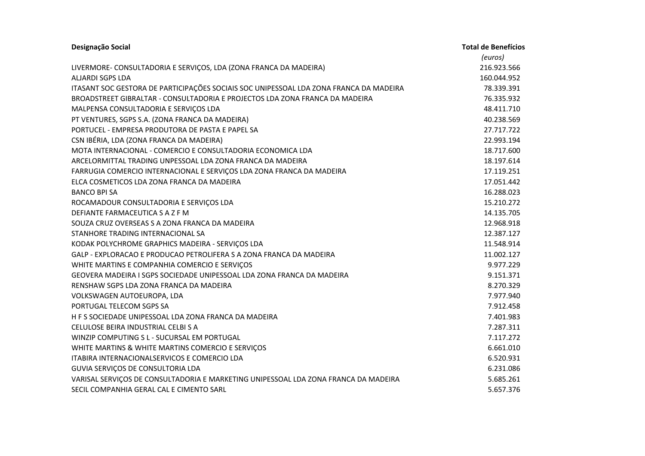| Designação Social                                                                      | <b>Total de Benefícios</b> |
|----------------------------------------------------------------------------------------|----------------------------|
|                                                                                        | (euros)                    |
| LIVERMORE- CONSULTADORIA E SERVIÇOS, LDA (ZONA FRANCA DA MADEIRA)                      | 216.923.566                |
| <b>ALJARDI SGPS LDA</b>                                                                | 160.044.952                |
| ITASANT SOC GESTORA DE PARTICIPAÇÕES SOCIAIS SOC UNIPESSOAL LDA ZONA FRANCA DA MADEIRA | 78.339.391                 |
| BROADSTREET GIBRALTAR - CONSULTADORIA E PROJECTOS LDA ZONA FRANCA DA MADEIRA           | 76.335.932                 |
| MALPENSA CONSULTADORIA E SERVIÇOS LDA                                                  | 48.411.710                 |
| PT VENTURES, SGPS S.A. (ZONA FRANCA DA MADEIRA)                                        | 40.238.569                 |
| PORTUCEL - EMPRESA PRODUTORA DE PASTA E PAPEL SA                                       | 27.717.722                 |
| CSN IBÉRIA, LDA (ZONA FRANCA DA MADEIRA)                                               | 22.993.194                 |
| MOTA INTERNACIONAL - COMERCIO E CONSULTADORIA ECONOMICA LDA                            | 18.717.600                 |
| ARCELORMITTAL TRADING UNPESSOAL LDA ZONA FRANCA DA MADEIRA                             | 18.197.614                 |
| FARRUGIA COMERCIO INTERNACIONAL E SERVIÇOS LDA ZONA FRANCA DA MADEIRA                  | 17.119.251                 |
| ELCA COSMETICOS LDA ZONA FRANCA DA MADEIRA                                             | 17.051.442                 |
| <b>BANCO BPI SA</b>                                                                    | 16.288.023                 |
| ROCAMADOUR CONSULTADORIA E SERVIÇOS LDA                                                | 15.210.272                 |
| DEFIANTE FARMACEUTICA S A Z F M                                                        | 14.135.705                 |
| SOUZA CRUZ OVERSEAS S A ZONA FRANCA DA MADEIRA                                         | 12.968.918                 |
| STANHORE TRADING INTERNACIONAL SA                                                      | 12.387.127                 |
| KODAK POLYCHROME GRAPHICS MADEIRA - SERVIÇOS LDA                                       | 11.548.914                 |
| GALP - EXPLORACAO E PRODUCAO PETROLIFERA S A ZONA FRANCA DA MADEIRA                    | 11.002.127                 |
| WHITE MARTINS E COMPANHIA COMERCIO E SERVIÇOS                                          | 9.977.229                  |
| GEOVERA MADEIRA I SGPS SOCIEDADE UNIPESSOAL LDA ZONA FRANCA DA MADEIRA                 | 9.151.371                  |
| RENSHAW SGPS LDA ZONA FRANCA DA MADEIRA                                                | 8.270.329                  |
| VOLKSWAGEN AUTOEUROPA, LDA                                                             | 7.977.940                  |
| PORTUGAL TELECOM SGPS SA                                                               | 7.912.458                  |
| H F S SOCIEDADE UNIPESSOAL LDA ZONA FRANCA DA MADEIRA                                  | 7.401.983                  |
| CELULOSE BEIRA INDUSTRIAL CELBI S A                                                    | 7.287.311                  |
| WINZIP COMPUTING S L - SUCURSAL EM PORTUGAL                                            | 7.117.272                  |
| WHITE MARTINS & WHITE MARTINS COMERCIO E SERVIÇOS                                      | 6.661.010                  |
| ITABIRA INTERNACIONALSERVICOS E COMERCIO LDA                                           | 6.520.931                  |
| GUVIA SERVIÇOS DE CONSULTORIA LDA                                                      | 6.231.086                  |
| VARISAL SERVIÇOS DE CONSULTADORIA E MARKETING UNIPESSOAL LDA ZONA FRANCA DA MADEIRA    | 5.685.261                  |
| SECIL COMPANHIA GERAL CAL E CIMENTO SARL                                               | 5.657.376                  |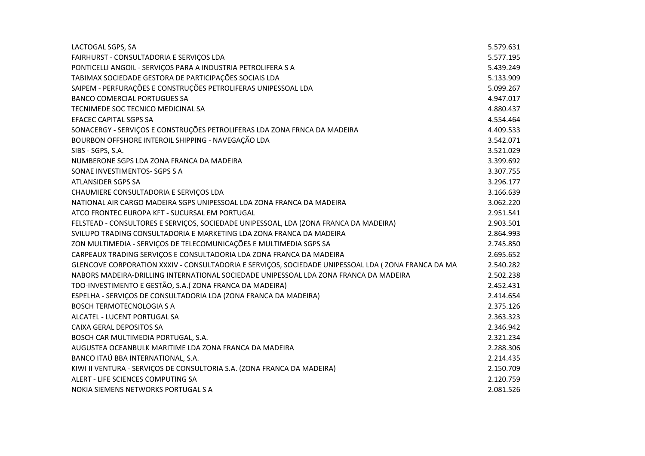| LACTOGAL SGPS, SA                                                                                  | 5.579.631 |
|----------------------------------------------------------------------------------------------------|-----------|
| FAIRHURST - CONSULTADORIA E SERVIÇOS LDA                                                           | 5.577.195 |
| PONTICELLI ANGOIL - SERVIÇOS PARA A INDUSTRIA PETROLIFERA S A                                      | 5.439.249 |
| TABIMAX SOCIEDADE GESTORA DE PARTICIPAÇÕES SOCIAIS LDA                                             | 5.133.909 |
| SAIPEM - PERFURAÇÕES E CONSTRUÇÕES PETROLIFERAS UNIPESSOAL LDA                                     | 5.099.267 |
| <b>BANCO COMERCIAL PORTUGUES SA</b>                                                                | 4.947.017 |
| TECNIMEDE SOC TECNICO MEDICINAL SA                                                                 | 4.880.437 |
| <b>EFACEC CAPITAL SGPS SA</b>                                                                      | 4.554.464 |
| SONACERGY - SERVIÇOS E CONSTRUÇÕES PETROLIFERAS LDA ZONA FRNCA DA MADEIRA                          | 4.409.533 |
| BOURBON OFFSHORE INTEROIL SHIPPING - NAVEGAÇÃO LDA                                                 | 3.542.071 |
| SIBS - SGPS, S.A.                                                                                  | 3.521.029 |
| NUMBERONE SGPS LDA ZONA FRANCA DA MADEIRA                                                          | 3.399.692 |
| SONAE INVESTIMENTOS-SGPS SA                                                                        | 3.307.755 |
| <b>ATLANSIDER SGPS SA</b>                                                                          | 3.296.177 |
| CHAUMIERE CONSULTADORIA E SERVIÇOS LDA                                                             | 3.166.639 |
| NATIONAL AIR CARGO MADEIRA SGPS UNIPESSOAL LDA ZONA FRANCA DA MADEIRA                              | 3.062.220 |
| ATCO FRONTEC EUROPA KFT - SUCURSAL EM PORTUGAL                                                     | 2.951.541 |
| FELSTEAD - CONSULTORES E SERVIÇOS, SOCIEDADE UNIPESSOAL, LDA (ZONA FRANCA DA MADEIRA)              | 2.903.501 |
| SVILUPO TRADING CONSULTADORIA E MARKETING LDA ZONA FRANCA DA MADEIRA                               | 2.864.993 |
| ZON MULTIMEDIA - SERVIÇOS DE TELECOMUNICAÇÕES E MULTIMEDIA SGPS SA                                 | 2.745.850 |
| CARPEAUX TRADING SERVIÇOS E CONSULTADORIA LDA ZONA FRANCA DA MADEIRA                               | 2.695.652 |
| GLENCOVE CORPORATION XXXIV - CONSULTADORIA E SERVIÇOS, SOCIEDADE UNIPESSOAL LDA (ZONA FRANCA DA MA | 2.540.282 |
| NABORS MADEIRA-DRILLING INTERNATIONAL SOCIEDADE UNIPESSOAL LDA ZONA FRANCA DA MADEIRA              | 2.502.238 |
| TDO-INVESTIMENTO E GESTÃO, S.A. (ZONA FRANCA DA MADEIRA)                                           | 2.452.431 |
| ESPELHA - SERVIÇOS DE CONSULTADORIA LDA (ZONA FRANCA DA MADEIRA)                                   | 2.414.654 |
| <b>BOSCH TERMOTECNOLOGIA S A</b>                                                                   | 2.375.126 |
| ALCATEL - LUCENT PORTUGAL SA                                                                       | 2.363.323 |
| CAIXA GERAL DEPOSITOS SA                                                                           | 2.346.942 |
| BOSCH CAR MULTIMEDIA PORTUGAL, S.A.                                                                | 2.321.234 |
| AUGUSTEA OCEANBULK MARITIME LDA ZONA FRANCA DA MADEIRA                                             | 2.288.306 |
| BANCO ITAÚ BBA INTERNATIONAL, S.A.                                                                 | 2.214.435 |
| KIWI II VENTURA - SERVIÇOS DE CONSULTORIA S.A. (ZONA FRANCA DA MADEIRA)                            | 2.150.709 |
| ALERT - LIFE SCIENCES COMPUTING SA                                                                 | 2.120.759 |
| NOKIA SIEMENS NETWORKS PORTUGAL S A                                                                | 2.081.526 |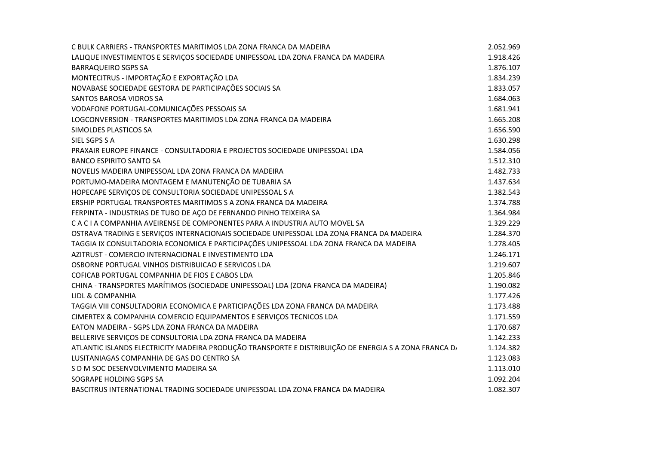| C BULK CARRIERS - TRANSPORTES MARITIMOS LDA ZONA FRANCA DA MADEIRA                                    | 2.052.969 |
|-------------------------------------------------------------------------------------------------------|-----------|
| LALIQUE INVESTIMENTOS E SERVIÇOS SOCIEDADE UNIPESSOAL LDA ZONA FRANCA DA MADEIRA                      | 1.918.426 |
| <b>BARRAQUEIRO SGPS SA</b>                                                                            | 1.876.107 |
| MONTECITRUS - IMPORTAÇÃO E EXPORTAÇÃO LDA                                                             | 1.834.239 |
| NOVABASE SOCIEDADE GESTORA DE PARTICIPAÇÕES SOCIAIS SA                                                | 1.833.057 |
| SANTOS BAROSA VIDROS SA                                                                               | 1.684.063 |
| VODAFONE PORTUGAL-COMUNICAÇÕES PESSOAIS SA                                                            | 1.681.941 |
| LOGCONVERSION - TRANSPORTES MARITIMOS LDA ZONA FRANCA DA MADEIRA                                      | 1.665.208 |
| SIMOLDES PLASTICOS SA                                                                                 | 1.656.590 |
| SIEL SGPS S A                                                                                         | 1.630.298 |
| PRAXAIR EUROPE FINANCE - CONSULTADORIA E PROJECTOS SOCIEDADE UNIPESSOAL LDA                           | 1.584.056 |
| <b>BANCO ESPIRITO SANTO SA</b>                                                                        | 1.512.310 |
| NOVELIS MADEIRA UNIPESSOAL LDA ZONA FRANCA DA MADEIRA                                                 | 1.482.733 |
| PORTUMO-MADEIRA MONTAGEM E MANUTENÇÃO DE TUBARIA SA                                                   | 1.437.634 |
| HOPECAPE SERVIÇOS DE CONSULTORIA SOCIEDADE UNIPESSOAL S A                                             | 1.382.543 |
| ERSHIP PORTUGAL TRANSPORTES MARITIMOS S A ZONA FRANCA DA MADEIRA                                      | 1.374.788 |
| FERPINTA - INDUSTRIAS DE TUBO DE AÇO DE FERNANDO PINHO TEIXEIRA SA                                    | 1.364.984 |
| C A C I A COMPANHIA AVEIRENSE DE COMPONENTES PARA A INDUSTRIA AUTO MOVEL SA                           | 1.329.229 |
| OSTRAVA TRADING E SERVIÇOS INTERNACIONAIS SOCIEDADE UNIPESSOAL LDA ZONA FRANCA DA MADEIRA             | 1.284.370 |
| TAGGIA IX CONSULTADORIA ECONOMICA E PARTICIPAÇÕES UNIPESSOAL LDA ZONA FRANCA DA MADEIRA               | 1.278.405 |
| AZITRUST - COMERCIO INTERNACIONAL E INVESTIMENTO LDA                                                  | 1.246.171 |
| OSBORNE PORTUGAL VINHOS DISTRIBUICAO E SERVICOS LDA                                                   | 1.219.607 |
| COFICAB PORTUGAL COMPANHIA DE FIOS E CABOS LDA                                                        | 1.205.846 |
| CHINA - TRANSPORTES MARÍTIMOS (SOCIEDADE UNIPESSOAL) LDA (ZONA FRANCA DA MADEIRA)                     | 1.190.082 |
| LIDL & COMPANHIA                                                                                      | 1.177.426 |
| TAGGIA VIII CONSULTADORIA ECONOMICA E PARTICIPAÇÕES LDA ZONA FRANCA DA MADEIRA                        | 1.173.488 |
| CIMERTEX & COMPANHIA COMERCIO EQUIPAMENTOS E SERVIÇOS TECNICOS LDA                                    | 1.171.559 |
| EATON MADEIRA - SGPS LDA ZONA FRANCA DA MADEIRA                                                       | 1.170.687 |
| BELLERIVE SERVIÇOS DE CONSULTORIA LDA ZONA FRANCA DA MADEIRA                                          | 1.142.233 |
| ATLANTIC ISLANDS ELECTRICITY MADEIRA PRODUÇÃO TRANSPORTE E DISTRIBUIÇÃO DE ENERGIA S A ZONA FRANCA D. | 1.124.382 |
| LUSITANIAGAS COMPANHIA DE GAS DO CENTRO SA                                                            | 1.123.083 |
| S D M SOC DESENVOLVIMENTO MADEIRA SA                                                                  | 1.113.010 |
| SOGRAPE HOLDING SGPS SA                                                                               | 1.092.204 |
| BASCITRUS INTERNATIONAL TRADING SOCIEDADE UNIPESSOAL LDA ZONA FRANCA DA MADEIRA                       | 1.082.307 |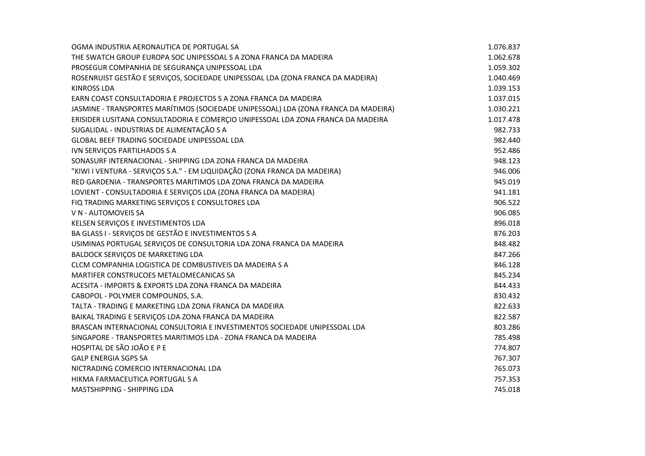| OGMA INDUSTRIA AERONAUTICA DE PORTUGAL SA                                           | 1.076.837 |
|-------------------------------------------------------------------------------------|-----------|
| THE SWATCH GROUP EUROPA SOC UNIPESSOAL S A ZONA FRANCA DA MADEIRA                   | 1.062.678 |
| PROSEGUR COMPANHIA DE SEGURANÇA UNIPESSOAL LDA                                      | 1.059.302 |
| ROSENRUIST GESTÃO E SERVIÇOS, SOCIEDADE UNIPESSOAL LDA (ZONA FRANCA DA MADEIRA)     | 1.040.469 |
| <b>KINROSS LDA</b>                                                                  | 1.039.153 |
| EARN COAST CONSULTADORIA E PROJECTOS S A ZONA FRANCA DA MADEIRA                     | 1.037.015 |
| JASMINE - TRANSPORTES MARÍTIMOS (SOCIEDADE UNIPESSOAL) LDA (ZONA FRANCA DA MADEIRA) | 1.030.221 |
| ERISIDER LUSITANA CONSULTADORIA E COMERÇIO UNIPESSOAL LDA ZONA FRANCA DA MADEIRA    | 1.017.478 |
| SUGALIDAL - INDUSTRIAS DE ALIMENTAÇÃO S A                                           | 982.733   |
| GLOBAL BEEF TRADING SOCIEDADE UNIPESSOAL LDA                                        | 982.440   |
| IVN SERVIÇOS PARTILHADOS S A                                                        | 952.486   |
| SONASURF INTERNACIONAL - SHIPPING LDA ZONA FRANCA DA MADEIRA                        | 948.123   |
| "KIWI I VENTURA - SERVIÇOS S.A." - EM LIQUIDAÇÃO (ZONA FRANCA DA MADEIRA)           | 946.006   |
| RED GARDENIA - TRANSPORTES MARITIMOS LDA ZONA FRANCA DA MADEIRA                     | 945.019   |
| LOVIENT - CONSULTADORIA E SERVIÇOS LDA (ZONA FRANCA DA MADEIRA)                     | 941.181   |
| FIQ TRADING MARKETING SERVIÇOS E CONSULTORES LDA                                    | 906.522   |
| V N - AUTOMOVEIS SA                                                                 | 906.085   |
| KELSEN SERVIÇOS E INVESTIMENTOS LDA                                                 | 896.018   |
| BA GLASS I - SERVIÇOS DE GESTÃO E INVESTIMENTOS S A                                 | 876.203   |
| USIMINAS PORTUGAL SERVIÇOS DE CONSULTORIA LDA ZONA FRANCA DA MADEIRA                | 848.482   |
| BALDOCK SERVIÇOS DE MARKETING LDA                                                   | 847.266   |
| CLCM COMPANHIA LOGISTICA DE COMBUSTIVEIS DA MADEIRA S A                             | 846.128   |
| MARTIFER CONSTRUCOES METALOMECANICAS SA                                             | 845.234   |
| ACESITA - IMPORTS & EXPORTS LDA ZONA FRANCA DA MADEIRA                              | 844.433   |
| CABOPOL - POLYMER COMPOUNDS, S.A.                                                   | 830.432   |
| TALTA - TRADING E MARKETING LDA ZONA FRANCA DA MADEIRA                              | 822.633   |
| BAIKAL TRADING E SERVIÇOS LDA ZONA FRANCA DA MADEIRA                                | 822.587   |
| BRASCAN INTERNACIONAL CONSULTORIA E INVESTIMENTOS SOCIEDADE UNIPESSOAL LDA          | 803.286   |
| SINGAPORE - TRANSPORTES MARITIMOS LDA - ZONA FRANCA DA MADEIRA                      | 785.498   |
| HOSPITAL DE SÃO JOÃO E P E                                                          | 774.807   |
| <b>GALP ENERGIA SGPS SA</b>                                                         | 767.307   |
| NICTRADING COMERCIO INTERNACIONAL LDA                                               | 765.073   |
| HIKMA FARMACEUTICA PORTUGAL S A                                                     | 757.353   |
| MASTSHIPPING - SHIPPING LDA                                                         | 745.018   |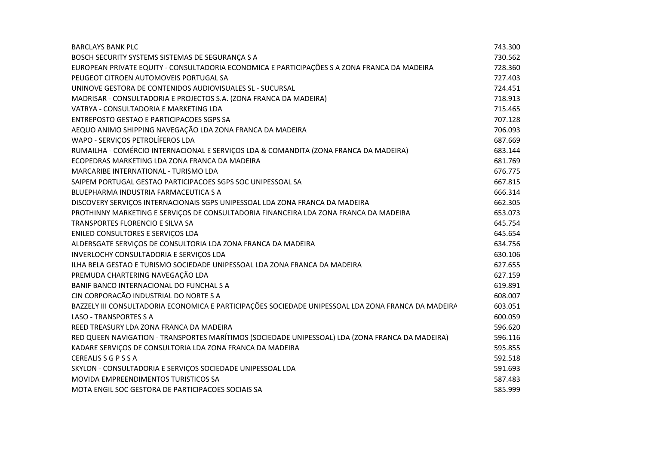| <b>BARCLAYS BANK PLC</b>                                                                            | 743.300 |
|-----------------------------------------------------------------------------------------------------|---------|
| BOSCH SECURITY SYSTEMS SISTEMAS DE SEGURANÇA S A                                                    | 730.562 |
| EUROPEAN PRIVATE EQUITY - CONSULTADORIA ECONOMICA E PARTICIPAÇÕES S A ZONA FRANCA DA MADEIRA        | 728.360 |
| PEUGEOT CITROEN AUTOMOVEIS PORTUGAL SA                                                              | 727.403 |
| UNINOVE GESTORA DE CONTENIDOS AUDIOVISUALES SL - SUCURSAL                                           | 724.451 |
| MADRISAR - CONSULTADORIA E PROJECTOS S.A. (ZONA FRANCA DA MADEIRA)                                  | 718.913 |
| VATRYA - CONSULTADORIA E MARKETING LDA                                                              | 715.465 |
| ENTREPOSTO GESTAO E PARTICIPACOES SGPS SA                                                           | 707.128 |
| AEQUO ANIMO SHIPPING NAVEGAÇÃO LDA ZONA FRANCA DA MADEIRA                                           | 706.093 |
| WAPO - SERVIÇOS PETROLÍFEROS LDA                                                                    | 687.669 |
| RUMAILHA - COMÉRCIO INTERNACIONAL E SERVIÇOS LDA & COMANDITA (ZONA FRANCA DA MADEIRA)               | 683.144 |
| ECOPEDRAS MARKETING LDA ZONA FRANCA DA MADEIRA                                                      | 681.769 |
| MARCARIBE INTERNATIONAL - TURISMO LDA                                                               | 676.775 |
| SAIPEM PORTUGAL GESTAO PARTICIPACOES SGPS SOC UNIPESSOAL SA                                         | 667.815 |
| BLUEPHARMA INDUSTRIA FARMACEUTICA S A                                                               | 666.314 |
| DISCOVERY SERVIÇOS INTERNACIONAIS SGPS UNIPESSOAL LDA ZONA FRANCA DA MADEIRA                        | 662.305 |
| PROTHINNY MARKETING E SERVIÇOS DE CONSULTADORIA FINANCEIRA LDA ZONA FRANCA DA MADEIRA               | 653.073 |
| TRANSPORTES FLORENCIO E SILVA SA                                                                    | 645.754 |
| ENILED CONSULTORES E SERVIÇOS LDA                                                                   | 645.654 |
| ALDERSGATE SERVIÇOS DE CONSULTORIA LDA ZONA FRANCA DA MADEIRA                                       | 634.756 |
| INVERLOCHY CONSULTADORIA E SERVIÇOS LDA                                                             | 630.106 |
| ILHA BELA GESTAO E TURISMO SOCIEDADE UNIPESSOAL LDA ZONA FRANCA DA MADEIRA                          | 627.655 |
| PREMUDA CHARTERING NAVEGAÇÃO LDA                                                                    | 627.159 |
| BANIF BANCO INTERNACIONAL DO FUNCHAL S A                                                            | 619.891 |
| CIN CORPORAÇÃO INDUSTRIAL DO NORTE S A                                                              | 608.007 |
| BAZZELY III CONSULTADORIA ECONOMICA E PARTICIPAÇÕES SOCIEDADE UNIPESSOAL LDA ZONA FRANCA DA MADEIRA | 603.051 |
| <b>LASO - TRANSPORTES S A</b>                                                                       | 600.059 |
| REED TREASURY LDA ZONA FRANCA DA MADEIRA                                                            | 596.620 |
| RED QUEEN NAVIGATION - TRANSPORTES MARÍTIMOS (SOCIEDADE UNIPESSOAL) LDA (ZONA FRANCA DA MADEIRA)    | 596.116 |
| KADARE SERVIÇOS DE CONSULTORIA LDA ZONA FRANCA DA MADEIRA                                           | 595.855 |
| <b>CEREALISSGPSSA</b>                                                                               | 592.518 |
| SKYLON - CONSULTADORIA E SERVIÇOS SOCIEDADE UNIPESSOAL LDA                                          | 591.693 |
| MOVIDA EMPREENDIMENTOS TURISTICOS SA                                                                | 587.483 |
| MOTA ENGIL SOC GESTORA DE PARTICIPACOES SOCIAIS SA                                                  | 585.999 |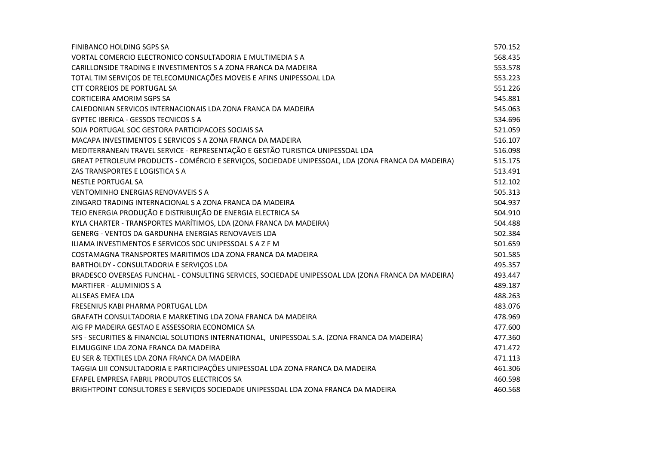| FINIBANCO HOLDING SGPS SA                                                                          | 570.152 |
|----------------------------------------------------------------------------------------------------|---------|
| VORTAL COMERCIO ELECTRONICO CONSULTADORIA E MULTIMEDIA S A                                         | 568.435 |
| CARILLONSIDE TRADING E INVESTIMENTOS S A ZONA FRANCA DA MADEIRA                                    | 553.578 |
| TOTAL TIM SERVIÇOS DE TELECOMUNICAÇÕES MOVEIS E AFINS UNIPESSOAL LDA                               | 553.223 |
| <b>CTT CORREIOS DE PORTUGAL SA</b>                                                                 | 551.226 |
| <b>CORTICEIRA AMORIM SGPS SA</b>                                                                   | 545.881 |
| CALEDONIAN SERVICOS INTERNACIONAIS LDA ZONA FRANCA DA MADEIRA                                      | 545.063 |
| <b>GYPTEC IBERICA - GESSOS TECNICOS S A</b>                                                        | 534.696 |
| SOJA PORTUGAL SOC GESTORA PARTICIPACOES SOCIAIS SA                                                 | 521.059 |
| MACAPA INVESTIMENTOS E SERVICOS S A ZONA FRANCA DA MADEIRA                                         | 516.107 |
| MEDITERRANEAN TRAVEL SERVICE - REPRESENTAÇÃO E GESTÃO TURISTICA UNIPESSOAL LDA                     | 516.098 |
| GREAT PETROLEUM PRODUCTS - COMÉRCIO E SERVIÇOS, SOCIEDADE UNIPESSOAL, LDA (ZONA FRANCA DA MADEIRA) | 515.175 |
| ZAS TRANSPORTES E LOGISTICA S A                                                                    | 513.491 |
| <b>NESTLE PORTUGAL SA</b>                                                                          | 512.102 |
| <b>VENTOMINHO ENERGIAS RENOVAVEIS S A</b>                                                          | 505.313 |
| ZINGARO TRADING INTERNACIONAL S A ZONA FRANCA DA MADEIRA                                           | 504.937 |
| TEJO ENERGIA PRODUÇÃO E DISTRIBUIÇÃO DE ENERGIA ELECTRICA SA                                       | 504.910 |
| KYLA CHARTER - TRANSPORTES MARÍTIMOS, LDA (ZONA FRANCA DA MADEIRA)                                 | 504.488 |
| GENERG - VENTOS DA GARDUNHA ENERGIAS RENOVAVEIS LDA                                                | 502.384 |
| ILIAMA INVESTIMENTOS E SERVICOS SOC UNIPESSOAL S A Z F M                                           | 501.659 |
| COSTAMAGNA TRANSPORTES MARITIMOS LDA ZONA FRANCA DA MADEIRA                                        | 501.585 |
| BARTHOLDY - CONSULTADORIA E SERVIÇOS LDA                                                           | 495.357 |
| BRADESCO OVERSEAS FUNCHAL - CONSULTING SERVICES, SOCIEDADE UNIPESSOAL LDA (ZONA FRANCA DA MADEIRA) | 493.447 |
| <b>MARTIFER - ALUMINIOS S A</b>                                                                    | 489.187 |
| ALLSEAS EMEA LDA                                                                                   | 488.263 |
| FRESENIUS KABI PHARMA PORTUGAL LDA                                                                 | 483.076 |
| GRAFATH CONSULTADORIA E MARKETING LDA ZONA FRANCA DA MADEIRA                                       | 478.969 |
| AIG FP MADEIRA GESTAO E ASSESSORIA ECONOMICA SA                                                    | 477.600 |
| SFS - SECURITIES & FINANCIAL SOLUTIONS INTERNATIONAL, UNIPESSOAL S.A. (ZONA FRANCA DA MADEIRA)     | 477.360 |
| ELMUGGINE LDA ZONA FRANCA DA MADEIRA                                                               | 471.472 |
| EU SER & TEXTILES LDA ZONA FRANCA DA MADEIRA                                                       | 471.113 |
| TAGGIA LIII CONSULTADORIA E PARTICIPAÇÕES UNIPESSOAL LDA ZONA FRANCA DA MADEIRA                    | 461.306 |
| EFAPEL EMPRESA FABRIL PRODUTOS ELECTRICOS SA                                                       | 460.598 |
| BRIGHTPOINT CONSULTORES E SERVIÇOS SOCIEDADE UNIPESSOAL LDA ZONA FRANCA DA MADEIRA                 | 460.568 |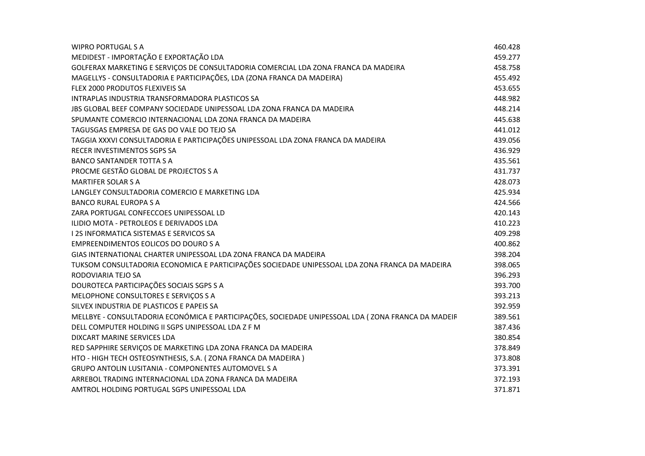| <b>WIPRO PORTUGAL S A</b>                                                                          | 460.428 |
|----------------------------------------------------------------------------------------------------|---------|
| MEDIDEST - IMPORTAÇÃO E EXPORTAÇÃO LDA                                                             | 459.277 |
| GOLFERAX MARKETING E SERVIÇOS DE CONSULTADORIA COMERCIAL LDA ZONA FRANCA DA MADEIRA                | 458.758 |
| MAGELLYS - CONSULTADORIA E PARTICIPAÇÕES, LDA (ZONA FRANCA DA MADEIRA)                             | 455.492 |
| FLEX 2000 PRODUTOS FLEXIVEIS SA                                                                    | 453.655 |
| INTRAPLAS INDUSTRIA TRANSFORMADORA PLASTICOS SA                                                    | 448.982 |
| JBS GLOBAL BEEF COMPANY SOCIEDADE UNIPESSOAL LDA ZONA FRANCA DA MADEIRA                            | 448.214 |
| SPUMANTE COMERCIO INTERNACIONAL LDA ZONA FRANCA DA MADEIRA                                         | 445.638 |
| TAGUSGAS EMPRESA DE GAS DO VALE DO TEJO SA                                                         | 441.012 |
| TAGGIA XXXVI CONSULTADORIA E PARTICIPAÇÕES UNIPESSOAL LDA ZONA FRANCA DA MADEIRA                   | 439.056 |
| RECER INVESTIMENTOS SGPS SA                                                                        | 436.929 |
| <b>BANCO SANTANDER TOTTA S A</b>                                                                   | 435.561 |
| PROCME GESTÃO GLOBAL DE PROJECTOS S A                                                              | 431.737 |
| <b>MARTIFER SOLAR S A</b>                                                                          | 428.073 |
| LANGLEY CONSULTADORIA COMERCIO E MARKETING LDA                                                     | 425.934 |
| <b>BANCO RURAL EUROPA S A</b>                                                                      | 424.566 |
| ZARA PORTUGAL CONFECCOES UNIPESSOAL LD                                                             | 420.143 |
| ILIDIO MOTA - PETROLEOS E DERIVADOS LDA                                                            | 410.223 |
| I 2S INFORMATICA SISTEMAS E SERVICOS SA                                                            | 409.298 |
| <b>EMPREENDIMENTOS EOLICOS DO DOURO S A</b>                                                        | 400.862 |
| GIAS INTERNATIONAL CHARTER UNIPESSOAL LDA ZONA FRANCA DA MADEIRA                                   | 398.204 |
| TUKSOM CONSULTADORIA ECONOMICA E PARTICIPAÇÕES SOCIEDADE UNIPESSOAL LDA ZONA FRANCA DA MADEIRA     | 398.065 |
| RODOVIARIA TEJO SA                                                                                 | 396.293 |
| DOUROTECA PARTICIPAÇÕES SOCIAIS SGPS S A                                                           | 393.700 |
| MELOPHONE CONSULTORES E SERVIÇOS S A                                                               | 393.213 |
| SILVEX INDUSTRIA DE PLASTICOS E PAPEIS SA                                                          | 392.959 |
| MELLBYE - CONSULTADORIA ECONÓMICA E PARTICIPAÇÕES, SOCIEDADE UNIPESSOAL LDA (ZONA FRANCA DA MADEIF | 389.561 |
| DELL COMPUTER HOLDING II SGPS UNIPESSOAL LDA Z F M                                                 | 387.436 |
| DIXCART MARINE SERVICES LDA                                                                        | 380.854 |
| RED SAPPHIRE SERVIÇOS DE MARKETING LDA ZONA FRANCA DA MADEIRA                                      | 378.849 |
| HTO - HIGH TECH OSTEOSYNTHESIS, S.A. (ZONA FRANCA DA MADEIRA)                                      | 373.808 |
| <b>GRUPO ANTOLIN LUSITANIA - COMPONENTES AUTOMOVEL S A</b>                                         | 373.391 |
| ARREBOL TRADING INTERNACIONAL LDA ZONA FRANCA DA MADEIRA                                           | 372.193 |
| AMTROL HOLDING PORTUGAL SGPS UNIPESSOAL LDA                                                        | 371.871 |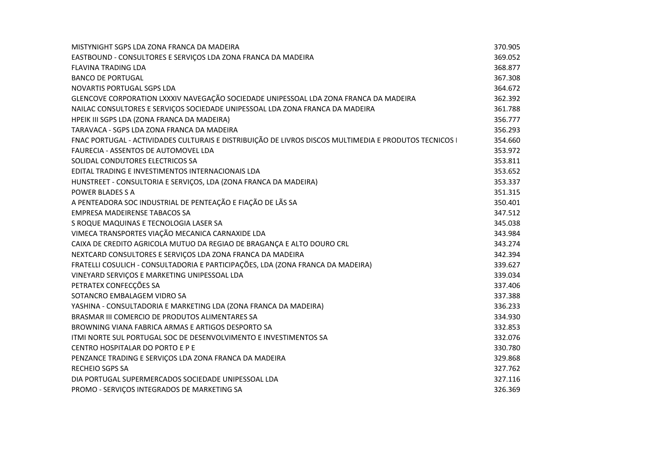| MISTYNIGHT SGPS LDA ZONA FRANCA DA MADEIRA                                                           | 370.905 |
|------------------------------------------------------------------------------------------------------|---------|
| EASTBOUND - CONSULTORES E SERVIÇOS LDA ZONA FRANCA DA MADEIRA                                        | 369.052 |
| <b>FLAVINA TRADING LDA</b>                                                                           | 368.877 |
| <b>BANCO DE PORTUGAL</b>                                                                             | 367.308 |
| NOVARTIS PORTUGAL SGPS LDA                                                                           | 364.672 |
| GLENCOVE CORPORATION LXXXIV NAVEGAÇÃO SOCIEDADE UNIPESSOAL LDA ZONA FRANCA DA MADEIRA                | 362.392 |
| NAILAC CONSULTORES E SERVIÇOS SOCIEDADE UNIPESSOAL LDA ZONA FRANCA DA MADEIRA                        | 361.788 |
| HPEIK III SGPS LDA (ZONA FRANCA DA MADEIRA)                                                          | 356.777 |
| TARAVACA - SGPS LDA ZONA FRANCA DA MADEIRA                                                           | 356.293 |
| FNAC PORTUGAL - ACTIVIDADES CULTURAIS E DISTRIBUIÇÃO DE LIVROS DISCOS MULTIMEDIA E PRODUTOS TECNICOS | 354.660 |
| FAURECIA - ASSENTOS DE AUTOMOVEL LDA                                                                 | 353.972 |
| SOLIDAL CONDUTORES ELECTRICOS SA                                                                     | 353.811 |
| EDITAL TRADING E INVESTIMENTOS INTERNACIONAIS LDA                                                    | 353.652 |
| HUNSTREET - CONSULTORIA E SERVIÇOS, LDA (ZONA FRANCA DA MADEIRA)                                     | 353.337 |
| POWER BLADES S A                                                                                     | 351.315 |
| A PENTEADORA SOC INDUSTRIAL DE PENTEAÇÃO E FIAÇÃO DE LÃS SA                                          | 350.401 |
| <b>EMPRESA MADEIRENSE TABACOS SA</b>                                                                 | 347.512 |
| S ROQUE MAQUINAS E TECNOLOGIA LASER SA                                                               | 345.038 |
| VIMECA TRANSPORTES VIAÇÃO MECANICA CARNAXIDE LDA                                                     | 343.984 |
| CAIXA DE CREDITO AGRICOLA MUTUO DA REGIAO DE BRAGANÇA E ALTO DOURO CRL                               | 343.274 |
| NEXTCARD CONSULTORES E SERVIÇOS LDA ZONA FRANCA DA MADEIRA                                           | 342.394 |
| FRATELLI COSULICH - CONSULTADORIA E PARTICIPAÇÕES, LDA (ZONA FRANCA DA MADEIRA)                      | 339.627 |
| VINEYARD SERVIÇOS E MARKETING UNIPESSOAL LDA                                                         | 339.034 |
| PETRATEX CONFECÇÕES SA                                                                               | 337.406 |
| SOTANCRO EMBALAGEM VIDRO SA                                                                          | 337.388 |
| YASHINA - CONSULTADORIA E MARKETING LDA (ZONA FRANCA DA MADEIRA)                                     | 336.233 |
| BRASMAR III COMERCIO DE PRODUTOS ALIMENTARES SA                                                      | 334.930 |
| BROWNING VIANA FABRICA ARMAS E ARTIGOS DESPORTO SA                                                   | 332.853 |
| ITMI NORTE SUL PORTUGAL SOC DE DESENVOLVIMENTO E INVESTIMENTOS SA                                    | 332.076 |
| CENTRO HOSPITALAR DO PORTO E P E                                                                     | 330.780 |
| PENZANCE TRADING E SERVIÇOS LDA ZONA FRANCA DA MADEIRA                                               | 329.868 |
| <b>RECHEIO SGPS SA</b>                                                                               | 327.762 |
| DIA PORTUGAL SUPERMERCADOS SOCIEDADE UNIPESSOAL LDA                                                  | 327.116 |
| PROMO - SERVIÇOS INTEGRADOS DE MARKETING SA                                                          | 326.369 |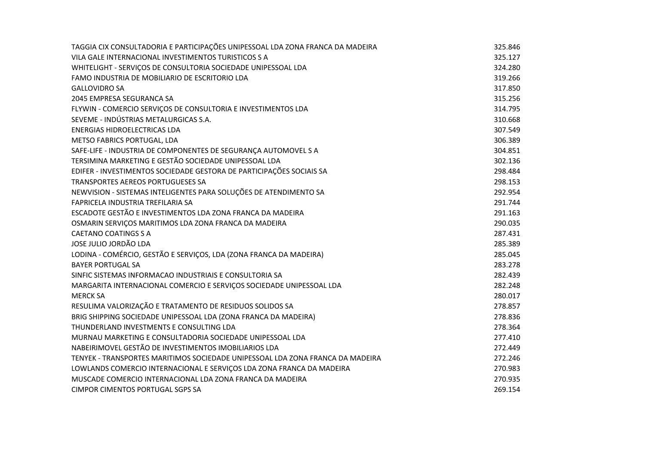| TAGGIA CIX CONSULTADORIA E PARTICIPAÇÕES UNIPESSOAL LDA ZONA FRANCA DA MADEIRA | 325.846 |
|--------------------------------------------------------------------------------|---------|
| VILA GALE INTERNACIONAL INVESTIMENTOS TURISTICOS S A                           | 325.127 |
| WHITELIGHT - SERVIÇOS DE CONSULTORIA SOCIEDADE UNIPESSOAL LDA                  | 324.280 |
| FAMO INDUSTRIA DE MOBILIARIO DE ESCRITORIO LDA                                 | 319.266 |
| <b>GALLOVIDRO SA</b>                                                           | 317.850 |
| 2045 EMPRESA SEGURANCA SA                                                      | 315.256 |
| FLYWIN - COMERCIO SERVIÇOS DE CONSULTORIA E INVESTIMENTOS LDA                  | 314.795 |
| SEVEME - INDÚSTRIAS METALURGICAS S.A.                                          | 310.668 |
| <b>ENERGIAS HIDROELECTRICAS LDA</b>                                            | 307.549 |
| METSO FABRICS PORTUGAL, LDA                                                    | 306.389 |
| SAFE-LIFE - INDUSTRIA DE COMPONENTES DE SEGURANÇA AUTOMOVEL S A                | 304.851 |
| TERSIMINA MARKETING E GESTÃO SOCIEDADE UNIPESSOAL LDA                          | 302.136 |
| EDIFER - INVESTIMENTOS SOCIEDADE GESTORA DE PARTICIPAÇÕES SOCIAIS SA           | 298.484 |
| TRANSPORTES AEREOS PORTUGUESES SA                                              | 298.153 |
| NEWVISION - SISTEMAS INTELIGENTES PARA SOLUÇÕES DE ATENDIMENTO SA              | 292.954 |
| FAPRICELA INDUSTRIA TREFILARIA SA                                              | 291.744 |
| ESCADOTE GESTÃO E INVESTIMENTOS LDA ZONA FRANCA DA MADEIRA                     | 291.163 |
| OSMARIN SERVIÇOS MARITIMOS LDA ZONA FRANCA DA MADEIRA                          | 290.035 |
| <b>CAETANO COATINGS S A</b>                                                    | 287.431 |
| JOSE JULIO JORDÃO LDA                                                          | 285.389 |
| LODINA - COMÉRCIO, GESTÃO E SERVIÇOS, LDA (ZONA FRANCA DA MADEIRA)             | 285.045 |
| <b>BAYER PORTUGAL SA</b>                                                       | 283.278 |
| SINFIC SISTEMAS INFORMACAO INDUSTRIAIS E CONSULTORIA SA                        | 282.439 |
| MARGARITA INTERNACIONAL COMERCIO E SERVIÇOS SOCIEDADE UNIPESSOAL LDA           | 282.248 |
| <b>MERCK SA</b>                                                                | 280.017 |
| RESULIMA VALORIZAÇÃO E TRATAMENTO DE RESIDUOS SOLIDOS SA                       | 278.857 |
| BRIG SHIPPING SOCIEDADE UNIPESSOAL LDA (ZONA FRANCA DA MADEIRA)                | 278.836 |
| THUNDERLAND INVESTMENTS E CONSULTING LDA                                       | 278.364 |
| MURNAU MARKETING E CONSULTADORIA SOCIEDADE UNIPESSOAL LDA                      | 277.410 |
| NABEIRIMOVEL GESTÃO DE INVESTIMENTOS IMOBILIARIOS LDA                          | 272.449 |
| TENYEK - TRANSPORTES MARITIMOS SOCIEDADE UNIPESSOAL LDA ZONA FRANCA DA MADEIRA | 272.246 |
| LOWLANDS COMERCIO INTERNACIONAL E SERVIÇOS LDA ZONA FRANCA DA MADEIRA          | 270.983 |
| MUSCADE COMERCIO INTERNACIONAL LDA ZONA FRANCA DA MADEIRA                      | 270.935 |
| <b>CIMPOR CIMENTOS PORTUGAL SGPS SA</b>                                        | 269.154 |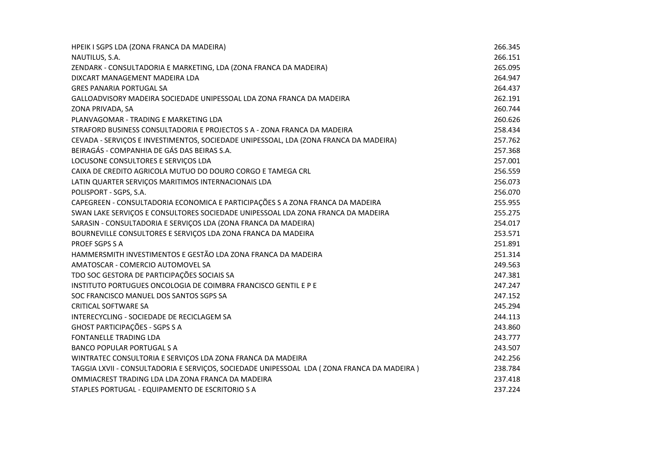| HPEIK I SGPS LDA (ZONA FRANCA DA MADEIRA)                                                  | 266.345 |
|--------------------------------------------------------------------------------------------|---------|
| NAUTILUS, S.A.                                                                             | 266.151 |
| ZENDARK - CONSULTADORIA E MARKETING, LDA (ZONA FRANCA DA MADEIRA)                          | 265.095 |
| DIXCART MANAGEMENT MADEIRA LDA                                                             | 264.947 |
| <b>GRES PANARIA PORTUGAL SA</b>                                                            | 264.437 |
| GALLOADVISORY MADEIRA SOCIEDADE UNIPESSOAL LDA ZONA FRANCA DA MADEIRA                      | 262.191 |
| ZONA PRIVADA, SA                                                                           | 260.744 |
| PLANVAGOMAR - TRADING E MARKETING LDA                                                      | 260.626 |
| STRAFORD BUSINESS CONSULTADORIA E PROJECTOS S A - ZONA FRANCA DA MADEIRA                   | 258.434 |
| CEVADA - SERVIÇOS E INVESTIMENTOS, SOCIEDADE UNIPESSOAL, LDA (ZONA FRANCA DA MADEIRA)      | 257.762 |
| BEIRAGÁS - COMPANHIA DE GÁS DAS BEIRAS S.A.                                                | 257.368 |
| LOCUSONE CONSULTORES E SERVIÇOS LDA                                                        | 257.001 |
| CAIXA DE CREDITO AGRICOLA MUTUO DO DOURO CORGO E TAMEGA CRL                                | 256.559 |
| LATIN QUARTER SERVIÇOS MARITIMOS INTERNACIONAIS LDA                                        | 256.073 |
| POLISPORT - SGPS, S.A.                                                                     | 256.070 |
| CAPEGREEN - CONSULTADORIA ECONOMICA E PARTICIPAÇÕES S A ZONA FRANCA DA MADEIRA             | 255.955 |
| SWAN LAKE SERVIÇOS E CONSULTORES SOCIEDADE UNIPESSOAL LDA ZONA FRANCA DA MADEIRA           | 255.275 |
| SARASIN - CONSULTADORIA E SERVIÇOS LDA (ZONA FRANCA DA MADEIRA)                            | 254.017 |
| BOURNEVILLE CONSULTORES E SERVIÇOS LDA ZONA FRANCA DA MADEIRA                              | 253.571 |
| PROEF SGPS S A                                                                             | 251.891 |
| HAMMERSMITH INVESTIMENTOS E GESTÃO LDA ZONA FRANCA DA MADEIRA                              | 251.314 |
| AMATOSCAR - COMERCIO AUTOMOVEL SA                                                          | 249.563 |
| TDO SOC GESTORA DE PARTICIPAÇÕES SOCIAIS SA                                                | 247.381 |
| INSTITUTO PORTUGUES ONCOLOGIA DE COIMBRA FRANCISCO GENTIL E P E                            | 247.247 |
| SOC FRANCISCO MANUEL DOS SANTOS SGPS SA                                                    | 247.152 |
| <b>CRITICAL SOFTWARE SA</b>                                                                | 245.294 |
| INTERECYCLING - SOCIEDADE DE RECICLAGEM SA                                                 | 244.113 |
| GHOST PARTICIPAÇÕES - SGPS S A                                                             | 243.860 |
| FONTANELLE TRADING LDA                                                                     | 243.777 |
| <b>BANCO POPULAR PORTUGAL S A</b>                                                          | 243.507 |
| WINTRATEC CONSULTORIA E SERVIÇOS LDA ZONA FRANCA DA MADEIRA                                | 242.256 |
| TAGGIA LXVII - CONSULTADORIA E SERVIÇOS, SOCIEDADE UNIPESSOAL LDA (ZONA FRANCA DA MADEIRA) | 238.784 |
| OMMIACREST TRADING LDA LDA ZONA FRANCA DA MADEIRA                                          | 237.418 |
| STAPLES PORTUGAL - EQUIPAMENTO DE ESCRITORIO S A                                           | 237.224 |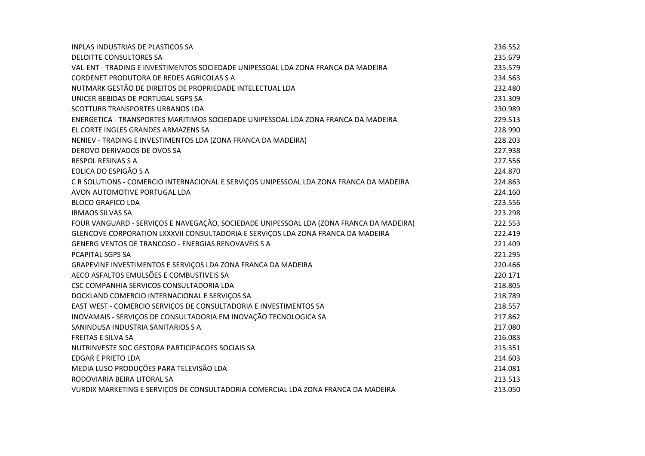| <b>INPLAS INDUSTRIAS DE PLASTICOS SA</b>                                                | 236.552 |
|-----------------------------------------------------------------------------------------|---------|
| <b>DELOITTE CONSULTORES SA</b>                                                          | 235.679 |
| VAL-ENT - TRADING E INVESTIMENTOS SOCIEDADE UNIPESSOAL LDA ZONA FRANCA DA MADEIRA       | 235.579 |
| CORDENET PRODUTORA DE REDES AGRICOLAS S A                                               | 234.563 |
| NUTMARK GESTÃO DE DIREITOS DE PROPRIEDADE INTELECTUAL LDA                               | 232.480 |
| UNICER BEBIDAS DE PORTUGAL SGPS SA                                                      | 231.309 |
| <b>SCOTTURB TRANSPORTES URBANOS LDA</b>                                                 | 230.989 |
| ENERGETICA - TRANSPORTES MARITIMOS SOCIEDADE UNIPESSOAL LDA ZONA FRANCA DA MADEIRA      | 229.513 |
| EL CORTE INGLES GRANDES ARMAZENS SA                                                     | 228.990 |
| NENIEV - TRADING E INVESTIMENTOS LDA (ZONA FRANCA DA MADEIRA)                           | 228.203 |
| DEROVO DERIVADOS DE OVOS SA                                                             | 227.938 |
| <b>RESPOL RESINAS S A</b>                                                               | 227.556 |
| EOLICA DO ESPIGÃO S A                                                                   | 224.870 |
| C R SOLUTIONS - COMERCIO INTERNACIONAL E SERVIÇOS UNIPESSOAL LDA ZONA FRANCA DA MADEIRA | 224.863 |
| AVON AUTOMOTIVE PORTUGAL LDA                                                            | 224.160 |
| <b>BLOCO GRAFICO LDA</b>                                                                | 223.556 |
| <b>IRMAOS SILVAS SA</b>                                                                 | 223.298 |
| FOUR VANGUARD - SERVIÇOS E NAVEGAÇÃO, SOCIEDADE UNIPESSOAL LDA (ZONA FRANCA DA MADEIRA) | 222.553 |
| GLENCOVE CORPORATION LXXXVII CONSULTADORIA E SERVIÇOS LDA ZONA FRANCA DA MADEIRA        | 222.419 |
| GENERG VENTOS DE TRANCOSO - ENERGIAS RENOVAVEIS S A                                     | 221.409 |
| PCAPITAL SGPS SA                                                                        | 221.295 |
| GRAPEVINE INVESTIMENTOS E SERVIÇOS LDA ZONA FRANCA DA MADEIRA                           | 220.466 |
| AECO ASFALTOS EMULSÕES E COMBUSTIVEIS SA                                                | 220.171 |
| CSC COMPANHIA SERVICOS CONSULTADORIA LDA                                                | 218.805 |
| DOCKLAND COMERCIO INTERNACIONAL E SERVIÇOS SA                                           | 218.789 |
| EAST WEST - COMERCIO SERVIÇOS DE CONSULTADORIA E INVESTIMENTOS SA                       | 218.557 |
| INOVAMAIS - SERVIÇOS DE CONSULTADORIA EM INOVAÇÃO TECNOLOGICA SA                        | 217.862 |
| SANINDUSA INDUSTRIA SANITARIOS S A                                                      | 217.080 |
| <b>FREITAS E SILVA SA</b>                                                               | 216.083 |
| NUTRINVESTE SOC GESTORA PARTICIPACOES SOCIAIS SA                                        | 215.351 |
| <b>EDGAR E PRIETO LDA</b>                                                               | 214.603 |
| MEDIA LUSO PRODUÇÕES PARA TELEVISÃO LDA                                                 | 214.081 |
| RODOVIARIA BEIRA LITORAL SA                                                             | 213.513 |
| VURDIX MARKETING E SERVIÇOS DE CONSULTADORIA COMERCIAL LDA ZONA FRANCA DA MADEIRA       | 213.050 |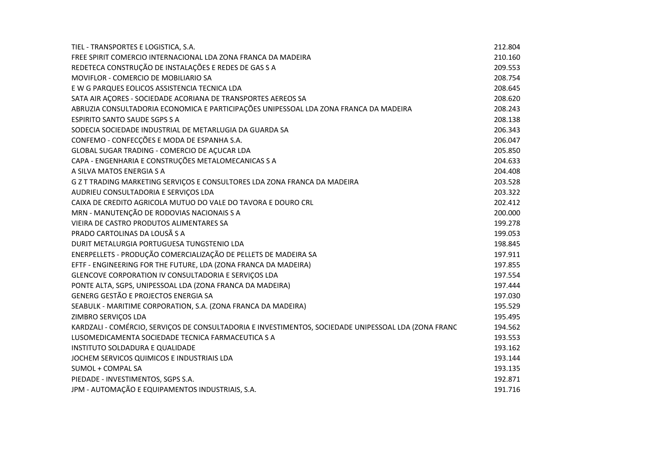| TIEL - TRANSPORTES E LOGISTICA, S.A.                                                                 | 212.804 |
|------------------------------------------------------------------------------------------------------|---------|
| FREE SPIRIT COMERCIO INTERNACIONAL LDA ZONA FRANCA DA MADEIRA                                        | 210.160 |
| REDETECA CONSTRUÇÃO DE INSTALAÇÕES E REDES DE GAS S A                                                | 209.553 |
| MOVIFLOR - COMERCIO DE MOBILIARIO SA                                                                 | 208.754 |
| E W G PARQUES EOLICOS ASSISTENCIA TECNICA LDA                                                        | 208.645 |
| SATA AIR AÇORES - SOCIEDADE ACORIANA DE TRANSPORTES AEREOS SA                                        | 208.620 |
| ABRUZIA CONSULTADORIA ECONOMICA E PARTICIPAÇÕES UNIPESSOAL LDA ZONA FRANCA DA MADEIRA                | 208.243 |
| <b>ESPIRITO SANTO SAUDE SGPS S A</b>                                                                 | 208.138 |
| SODECIA SOCIEDADE INDUSTRIAL DE METARLUGIA DA GUARDA SA                                              | 206.343 |
| CONFEMO - CONFECÇÕES E MODA DE ESPANHA S.A.                                                          | 206.047 |
| GLOBAL SUGAR TRADING - COMERCIO DE AÇUCAR LDA                                                        | 205.850 |
| CAPA - ENGENHARIA E CONSTRUÇÕES METALOMECANICAS S A                                                  | 204.633 |
| A SILVA MATOS ENERGIA S A                                                                            | 204.408 |
| G Z T TRADING MARKETING SERVIÇOS E CONSULTORES LDA ZONA FRANCA DA MADEIRA                            | 203.528 |
| AUDRIEU CONSULTADORIA E SERVIÇOS LDA                                                                 | 203.322 |
| CAIXA DE CREDITO AGRICOLA MUTUO DO VALE DO TAVORA E DOURO CRL                                        | 202.412 |
| MRN - MANUTENÇÃO DE RODOVIAS NACIONAIS S A                                                           | 200.000 |
| VIEIRA DE CASTRO PRODUTOS ALIMENTARES SA                                                             | 199.278 |
| PRADO CARTOLINAS DA LOUSÃ S A                                                                        | 199.053 |
| DURIT METALURGIA PORTUGUESA TUNGSTENIO LDA                                                           | 198.845 |
| ENERPELLETS - PRODUÇÃO COMERCIALIZAÇÃO DE PELLETS DE MADEIRA SA                                      | 197.911 |
| EFTF - ENGINEERING FOR THE FUTURE, LDA (ZONA FRANCA DA MADEIRA)                                      | 197.855 |
| GLENCOVE CORPORATION IV CONSULTADORIA E SERVIÇOS LDA                                                 | 197.554 |
| PONTE ALTA, SGPS, UNIPESSOAL LDA (ZONA FRANCA DA MADEIRA)                                            | 197.444 |
| GENERG GESTÃO E PROJECTOS ENERGIA SA                                                                 | 197.030 |
| SEABULK - MARITIME CORPORATION, S.A. (ZONA FRANCA DA MADEIRA)                                        | 195.529 |
| ZIMBRO SERVIÇOS LDA                                                                                  | 195.495 |
| KARDZALI - COMÉRCIO, SERVIÇOS DE CONSULTADORIA E INVESTIMENTOS, SOCIEDADE UNIPESSOAL LDA (ZONA FRANC | 194.562 |
| LUSOMEDICAMENTA SOCIEDADE TECNICA FARMACEUTICA S A                                                   | 193.553 |
| INSTITUTO SOLDADURA E QUALIDADE                                                                      | 193.162 |
| JOCHEM SERVICOS QUIMICOS E INDUSTRIAIS LDA                                                           | 193.144 |
| SUMOL + COMPAL SA                                                                                    | 193.135 |
| PIEDADE - INVESTIMENTOS, SGPS S.A.                                                                   | 192.871 |
| JPM - AUTOMAÇÃO E EQUIPAMENTOS INDUSTRIAIS, S.A.                                                     | 191.716 |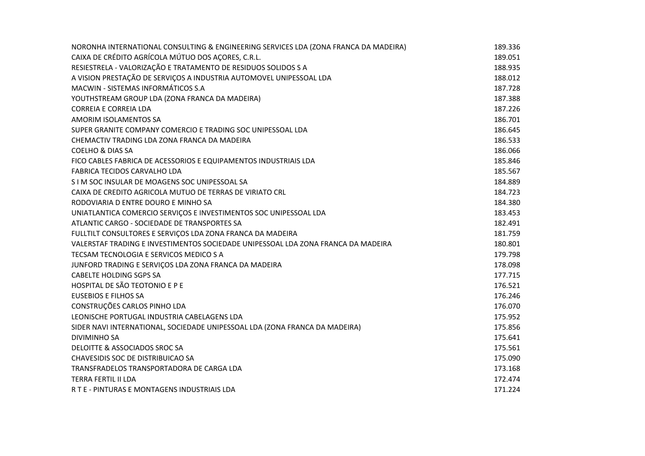| NORONHA INTERNATIONAL CONSULTING & ENGINEERING SERVICES LDA (ZONA FRANCA DA MADEIRA) | 189.336 |
|--------------------------------------------------------------------------------------|---------|
| CAIXA DE CRÉDITO AGRÍCOLA MÚTUO DOS AÇORES, C.R.L.                                   | 189.051 |
| RESIESTRELA - VALORIZAÇÃO E TRATAMENTO DE RESIDUOS SOLIDOS S A                       | 188.935 |
| A VISION PRESTAÇÃO DE SERVIÇOS A INDUSTRIA AUTOMOVEL UNIPESSOAL LDA                  | 188.012 |
| MACWIN - SISTEMAS INFORMÁTICOS S.A                                                   | 187.728 |
| YOUTHSTREAM GROUP LDA (ZONA FRANCA DA MADEIRA)                                       | 187.388 |
| <b>CORREIA E CORREIA LDA</b>                                                         | 187.226 |
| AMORIM ISOLAMENTOS SA                                                                | 186.701 |
| SUPER GRANITE COMPANY COMERCIO E TRADING SOC UNIPESSOAL LDA                          | 186.645 |
| CHEMACTIV TRADING LDA ZONA FRANCA DA MADEIRA                                         | 186.533 |
| <b>COELHO &amp; DIAS SA</b>                                                          | 186.066 |
| FICO CABLES FABRICA DE ACESSORIOS E EQUIPAMENTOS INDUSTRIAIS LDA                     | 185.846 |
| <b>FABRICA TECIDOS CARVALHO LDA</b>                                                  | 185.567 |
| S I M SOC INSULAR DE MOAGENS SOC UNIPESSOAL SA                                       | 184.889 |
| CAIXA DE CREDITO AGRICOLA MUTUO DE TERRAS DE VIRIATO CRL                             | 184.723 |
| RODOVIARIA D ENTRE DOURO E MINHO SA                                                  | 184.380 |
| UNIATLANTICA COMERCIO SERVIÇOS E INVESTIMENTOS SOC UNIPESSOAL LDA                    | 183.453 |
| ATLANTIC CARGO - SOCIEDADE DE TRANSPORTES SA                                         | 182.491 |
| FULLTILT CONSULTORES E SERVIÇOS LDA ZONA FRANCA DA MADEIRA                           | 181.759 |
| VALERSTAF TRADING E INVESTIMENTOS SOCIEDADE UNIPESSOAL LDA ZONA FRANCA DA MADEIRA    | 180.801 |
| TECSAM TECNOLOGIA E SERVICOS MEDICO S A                                              | 179.798 |
| JUNFORD TRADING E SERVIÇOS LDA ZONA FRANCA DA MADEIRA                                | 178.098 |
| <b>CABELTE HOLDING SGPS SA</b>                                                       | 177.715 |
| HOSPITAL DE SÃO TEOTONIO E P E                                                       | 176.521 |
| <b>EUSEBIOS E FILHOS SA</b>                                                          | 176.246 |
| CONSTRUÇÕES CARLOS PINHO LDA                                                         | 176.070 |
| LEONISCHE PORTUGAL INDUSTRIA CABELAGENS LDA                                          | 175.952 |
| SIDER NAVI INTERNATIONAL, SOCIEDADE UNIPESSOAL LDA (ZONA FRANCA DA MADEIRA)          | 175.856 |
| <b>DIVIMINHO SA</b>                                                                  | 175.641 |
| DELOITTE & ASSOCIADOS SROC SA                                                        | 175.561 |
| <b>CHAVESIDIS SOC DE DISTRIBUICAO SA</b>                                             | 175.090 |
| TRANSFRADELOS TRANSPORTADORA DE CARGA LDA                                            | 173.168 |
| <b>TERRA FERTIL II LDA</b>                                                           | 172.474 |
| RTE - PINTURAS E MONTAGENS INDUSTRIAIS LDA                                           | 171.224 |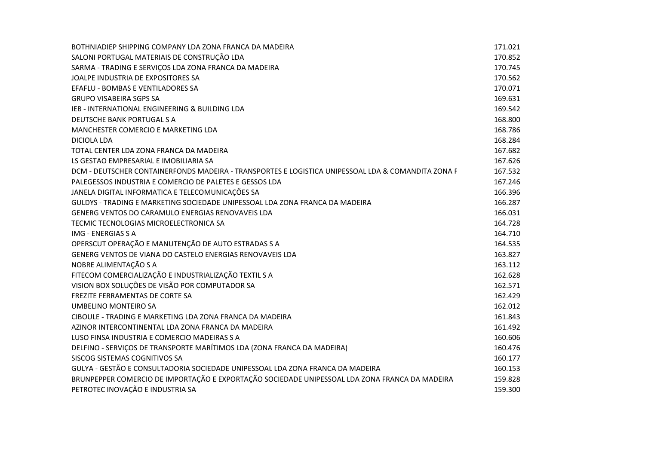| BOTHNIADIEP SHIPPING COMPANY LDA ZONA FRANCA DA MADEIRA                                            | 171.021 |
|----------------------------------------------------------------------------------------------------|---------|
| SALONI PORTUGAL MATERIAIS DE CONSTRUÇÃO LDA                                                        | 170.852 |
| SARMA - TRADING E SERVIÇOS LDA ZONA FRANCA DA MADEIRA                                              | 170.745 |
| JOALPE INDUSTRIA DE EXPOSITORES SA                                                                 | 170.562 |
| EFAFLU - BOMBAS E VENTILADORES SA                                                                  | 170.071 |
| <b>GRUPO VISABEIRA SGPS SA</b>                                                                     | 169.631 |
| <b>IEB - INTERNATIONAL ENGINEERING &amp; BUILDING LDA</b>                                          | 169.542 |
| DEUTSCHE BANK PORTUGAL S A                                                                         | 168.800 |
| MANCHESTER COMERCIO E MARKETING LDA                                                                | 168.786 |
| <b>DICIOLA LDA</b>                                                                                 | 168.284 |
| TOTAL CENTER LDA ZONA FRANCA DA MADEIRA                                                            | 167.682 |
| LS GESTAO EMPRESARIAL E IMOBILIARIA SA                                                             | 167.626 |
| DCM - DEUTSCHER CONTAINERFONDS MADEIRA - TRANSPORTES E LOGISTICA UNIPESSOAL LDA & COMANDITA ZONA F | 167.532 |
| PALEGESSOS INDUSTRIA E COMERCIO DE PALETES E GESSOS LDA                                            | 167.246 |
| JANELA DIGITAL INFORMATICA E TELECOMUNICAÇÕES SA                                                   | 166.396 |
| GULDYS - TRADING E MARKETING SOCIEDADE UNIPESSOAL LDA ZONA FRANCA DA MADEIRA                       | 166.287 |
| GENERG VENTOS DO CARAMULO ENERGIAS RENOVAVEIS LDA                                                  | 166.031 |
| TECMIC TECNOLOGIAS MICROELECTRONICA SA                                                             | 164.728 |
| IMG - ENERGIAS S A                                                                                 | 164.710 |
| OPERSCUT OPERAÇÃO E MANUTENÇÃO DE AUTO ESTRADAS S A                                                | 164.535 |
| GENERG VENTOS DE VIANA DO CASTELO ENERGIAS RENOVAVEIS LDA                                          | 163.827 |
| NOBRE ALIMENTAÇÃO S A                                                                              | 163.112 |
| FITECOM COMERCIALIZAÇÃO E INDUSTRIALIZAÇÃO TEXTIL S A                                              | 162.628 |
| VISION BOX SOLUÇÕES DE VISÃO POR COMPUTADOR SA                                                     | 162.571 |
| <b>FREZITE FERRAMENTAS DE CORTE SA</b>                                                             | 162.429 |
| UMBELINO MONTEIRO SA                                                                               | 162.012 |
| CIBOULE - TRADING E MARKETING LDA ZONA FRANCA DA MADEIRA                                           | 161.843 |
| AZINOR INTERCONTINENTAL LDA ZONA FRANCA DA MADEIRA                                                 | 161.492 |
| LUSO FINSA INDUSTRIA E COMERCIO MADEIRAS S A                                                       | 160.606 |
| DELFINO - SERVIÇOS DE TRANSPORTE MARÍTIMOS LDA (ZONA FRANCA DA MADEIRA)                            | 160.476 |
| SISCOG SISTEMAS COGNITIVOS SA                                                                      | 160.177 |
| GULYA - GESTÃO E CONSULTADORIA SOCIEDADE UNIPESSOAL LDA ZONA FRANCA DA MADEIRA                     | 160.153 |
| BRUNPEPPER COMERCIO DE IMPORTAÇÃO E EXPORTAÇÃO SOCIEDADE UNIPESSOAL LDA ZONA FRANCA DA MADEIRA     | 159.828 |
| PETROTEC INOVAÇÃO E INDUSTRIA SA                                                                   | 159.300 |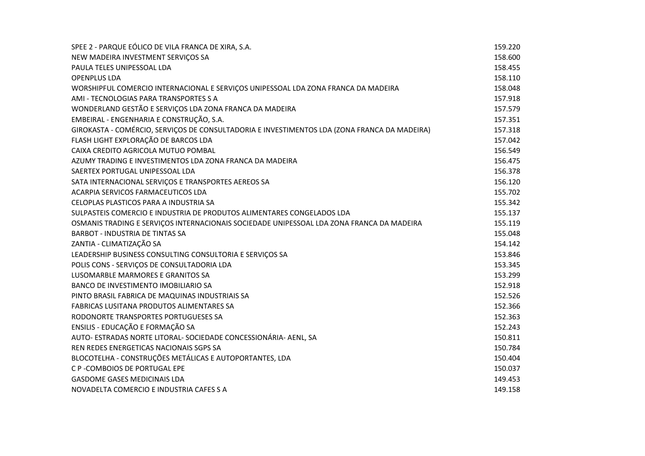| SPEE 2 - PARQUE EÓLICO DE VILA FRANCA DE XIRA, S.A.                                          | 159.220 |
|----------------------------------------------------------------------------------------------|---------|
| NEW MADEIRA INVESTMENT SERVIÇOS SA                                                           | 158.600 |
| PAULA TELES UNIPESSOAL LDA                                                                   | 158.455 |
| <b>OPENPLUS LDA</b>                                                                          | 158.110 |
| WORSHIPFUL COMERCIO INTERNACIONAL E SERVIÇOS UNIPESSOAL LDA ZONA FRANCA DA MADEIRA           | 158.048 |
| AMI - TECNOLOGIAS PARA TRANSPORTES S A                                                       | 157.918 |
| WONDERLAND GESTÃO E SERVIÇOS LDA ZONA FRANCA DA MADEIRA                                      | 157.579 |
| EMBEIRAL - ENGENHARIA E CONSTRUÇÃO, S.A.                                                     | 157.351 |
| GIROKASTA - COMÉRCIO, SERVIÇOS DE CONSULTADORIA E INVESTIMENTOS LDA (ZONA FRANCA DA MADEIRA) | 157.318 |
| FLASH LIGHT EXPLORAÇÃO DE BARCOS LDA                                                         | 157.042 |
| CAIXA CREDITO AGRICOLA MUTUO POMBAL                                                          | 156.549 |
| AZUMY TRADING E INVESTIMENTOS LDA ZONA FRANCA DA MADEIRA                                     | 156.475 |
| SAERTEX PORTUGAL UNIPESSOAL LDA                                                              | 156.378 |
| SATA INTERNACIONAL SERVIÇOS E TRANSPORTES AEREOS SA                                          | 156.120 |
| ACARPIA SERVICOS FARMACEUTICOS LDA                                                           | 155.702 |
| CELOPLAS PLASTICOS PARA A INDUSTRIA SA                                                       | 155.342 |
| SULPASTEIS COMERCIO E INDUSTRIA DE PRODUTOS ALIMENTARES CONGELADOS LDA                       | 155.137 |
| OSMANIS TRADING E SERVIÇOS INTERNACIONAIS SOCIEDADE UNIPESSOAL LDA ZONA FRANCA DA MADEIRA    | 155.119 |
| <b>BARBOT - INDUSTRIA DE TINTAS SA</b>                                                       | 155.048 |
| ZANTIA - CLIMATIZAÇÃO SA                                                                     | 154.142 |
| LEADERSHIP BUSINESS CONSULTING CONSULTORIA E SERVIÇOS SA                                     | 153.846 |
| POLIS CONS - SERVIÇOS DE CONSULTADORIA LDA                                                   | 153.345 |
| LUSOMARBLE MARMORES E GRANITOS SA                                                            | 153.299 |
| BANCO DE INVESTIMENTO IMOBILIARIO SA                                                         | 152.918 |
| PINTO BRASIL FABRICA DE MAQUINAS INDUSTRIAIS SA                                              | 152.526 |
| FABRICAS LUSITANA PRODUTOS ALIMENTARES SA                                                    | 152.366 |
| RODONORTE TRANSPORTES PORTUGUESES SA                                                         | 152.363 |
| ENSILIS - EDUCAÇÃO E FORMAÇÃO SA                                                             | 152.243 |
| AUTO- ESTRADAS NORTE LITORAL- SOCIEDADE CONCESSIONÁRIA- AENL, SA                             | 150.811 |
| REN REDES ENERGETICAS NACIONAIS SGPS SA                                                      | 150.784 |
| BLOCOTELHA - CONSTRUÇÕES METÁLICAS E AUTOPORTANTES, LDA                                      | 150.404 |
| C P - COMBOIOS DE PORTUGAL EPE                                                               | 150.037 |
| <b>GASDOME GASES MEDICINAIS LDA</b>                                                          | 149.453 |
| NOVADELTA COMERCIO E INDUSTRIA CAFES S A                                                     | 149.158 |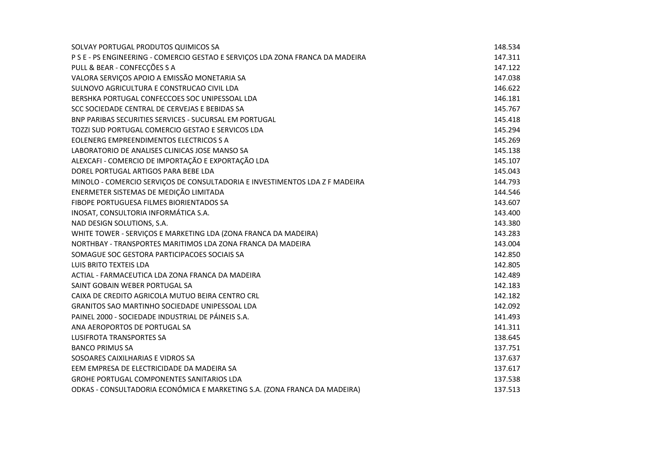| SOLVAY PORTUGAL PRODUTOS QUIMICOS SA                                           | 148.534 |
|--------------------------------------------------------------------------------|---------|
| P S E - PS ENGINEERING - COMERCIO GESTAO E SERVIÇOS LDA ZONA FRANCA DA MADEIRA | 147.311 |
| PULL & BEAR - CONFECÇÕES S A                                                   | 147.122 |
| VALORA SERVIÇOS APOIO A EMISSÃO MONETARIA SA                                   | 147.038 |
| SULNOVO AGRICULTURA E CONSTRUCAO CIVIL LDA                                     | 146.622 |
| BERSHKA PORTUGAL CONFECCOES SOC UNIPESSOAL LDA                                 | 146.181 |
| SCC SOCIEDADE CENTRAL DE CERVEJAS E BEBIDAS SA                                 | 145.767 |
| BNP PARIBAS SECURITIES SERVICES - SUCURSAL EM PORTUGAL                         | 145.418 |
| TOZZI SUD PORTUGAL COMERCIO GESTAO E SERVICOS LDA                              | 145.294 |
| EOLENERG EMPREENDIMENTOS ELECTRICOS S A                                        | 145.269 |
| LABORATORIO DE ANALISES CLINICAS JOSE MANSO SA                                 | 145.138 |
| ALEXCAFI - COMERCIO DE IMPORTAÇÃO E EXPORTAÇÃO LDA                             | 145.107 |
| DOREL PORTUGAL ARTIGOS PARA BEBE LDA                                           | 145.043 |
| MINOLO - COMERCIO SERVIÇOS DE CONSULTADORIA E INVESTIMENTOS LDA Z F MADEIRA    | 144.793 |
| ENERMETER SISTEMAS DE MEDIÇÃO LIMITADA                                         | 144.546 |
| FIBOPE PORTUGUESA FILMES BIORIENTADOS SA                                       | 143.607 |
| INOSAT, CONSULTORIA INFORMÁTICA S.A.                                           | 143.400 |
| NAD DESIGN SOLUTIONS, S.A.                                                     | 143.380 |
| WHITE TOWER - SERVIÇOS E MARKETING LDA (ZONA FRANCA DA MADEIRA)                | 143.283 |
| NORTHBAY - TRANSPORTES MARITIMOS LDA ZONA FRANCA DA MADEIRA                    | 143.004 |
| SOMAGUE SOC GESTORA PARTICIPACOES SOCIAIS SA                                   | 142.850 |
| LUIS BRITO TEXTEIS LDA                                                         | 142.805 |
| ACTIAL - FARMACEUTICA LDA ZONA FRANCA DA MADEIRA                               | 142.489 |
| SAINT GOBAIN WEBER PORTUGAL SA                                                 | 142.183 |
| CAIXA DE CREDITO AGRICOLA MUTUO BEIRA CENTRO CRL                               | 142.182 |
| <b>GRANITOS SAO MARTINHO SOCIEDADE UNIPESSOAL LDA</b>                          | 142.092 |
| PAINEL 2000 - SOCIEDADE INDUSTRIAL DE PÁINEIS S.A.                             | 141.493 |
| ANA AEROPORTOS DE PORTUGAL SA                                                  | 141.311 |
| <b>LUSIFROTA TRANSPORTES SA</b>                                                | 138.645 |
| <b>BANCO PRIMUS SA</b>                                                         | 137.751 |
| SOSOARES CAIXILHARIAS E VIDROS SA                                              | 137.637 |
| EEM EMPRESA DE ELECTRICIDADE DA MADEIRA SA                                     | 137.617 |
| GROHE PORTUGAL COMPONENTES SANITARIOS LDA                                      | 137.538 |
| ODKAS - CONSULTADORIA ECONÓMICA E MARKETING S.A. (ZONA FRANCA DA MADEIRA)      | 137.513 |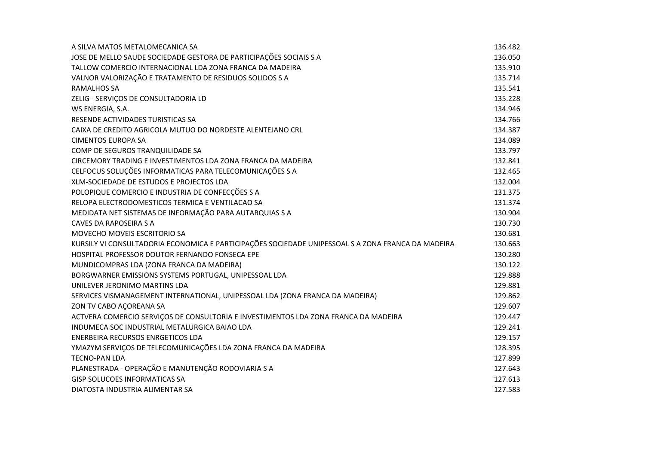| A SILVA MATOS METALOMECANICA SA                                                                    | 136.482 |
|----------------------------------------------------------------------------------------------------|---------|
| JOSE DE MELLO SAUDE SOCIEDADE GESTORA DE PARTICIPAÇÕES SOCIAIS S A                                 | 136.050 |
| TALLOW COMERCIO INTERNACIONAL LDA ZONA FRANCA DA MADEIRA                                           | 135.910 |
| VALNOR VALORIZAÇÃO E TRATAMENTO DE RESIDUOS SOLIDOS S A                                            | 135.714 |
| <b>RAMALHOS SA</b>                                                                                 | 135.541 |
| ZELIG - SERVIÇOS DE CONSULTADORIA LD                                                               | 135.228 |
| WS ENERGIA, S.A.                                                                                   | 134.946 |
| RESENDE ACTIVIDADES TURISTICAS SA                                                                  | 134.766 |
| CAIXA DE CREDITO AGRICOLA MUTUO DO NORDESTE ALENTEJANO CRL                                         | 134.387 |
| <b>CIMENTOS EUROPA SA</b>                                                                          | 134.089 |
| COMP DE SEGUROS TRANQUILIDADE SA                                                                   | 133.797 |
| CIRCEMORY TRADING E INVESTIMENTOS LDA ZONA FRANCA DA MADEIRA                                       | 132.841 |
| CELFOCUS SOLUÇÕES INFORMATICAS PARA TELECOMUNICAÇÕES S A                                           | 132.465 |
| XLM-SOCIEDADE DE ESTUDOS E PROJECTOS LDA                                                           | 132.004 |
| POLOPIQUE COMERCIO E INDUSTRIA DE CONFECÇÕES S A                                                   | 131.375 |
| RELOPA ELECTRODOMESTICOS TERMICA E VENTILACAO SA                                                   | 131.374 |
| MEDIDATA NET SISTEMAS DE INFORMAÇÃO PARA AUTARQUIAS S A                                            | 130.904 |
| <b>CAVES DA RAPOSEIRA S A</b>                                                                      | 130.730 |
| <b>MOVECHO MOVEIS ESCRITORIO SA</b>                                                                | 130.681 |
| KURSILY VI CONSULTADORIA ECONOMICA E PARTICIPAÇÕES SOCIEDADE UNIPESSOAL S A ZONA FRANCA DA MADEIRA | 130.663 |
| HOSPITAL PROFESSOR DOUTOR FERNANDO FONSECA EPE                                                     | 130.280 |
| MUNDICOMPRAS LDA (ZONA FRANCA DA MADEIRA)                                                          | 130.122 |
| BORGWARNER EMISSIONS SYSTEMS PORTUGAL, UNIPESSOAL LDA                                              | 129.888 |
| UNILEVER JERONIMO MARTINS LDA                                                                      | 129.881 |
| SERVICES VISMANAGEMENT INTERNATIONAL, UNIPESSOAL LDA (ZONA FRANCA DA MADEIRA)                      | 129.862 |
| ZON TV CABO AÇOREANA SA                                                                            | 129.607 |
| ACTVERA COMERCIO SERVIÇOS DE CONSULTORIA E INVESTIMENTOS LDA ZONA FRANCA DA MADEIRA                | 129.447 |
| INDUMECA SOC INDUSTRIAL METALURGICA BAIAO LDA                                                      | 129.241 |
| ENERBEIRA RECURSOS ENRGETICOS LDA                                                                  | 129.157 |
| YMAZYM SERVIÇOS DE TELECOMUNICAÇÕES LDA ZONA FRANCA DA MADEIRA                                     | 128.395 |
| <b>TECNO-PAN LDA</b>                                                                               | 127.899 |
| PLANESTRADA - OPERAÇÃO E MANUTENÇÃO RODOVIARIA S A                                                 | 127.643 |
| <b>GISP SOLUCOES INFORMATICAS SA</b>                                                               | 127.613 |
| DIATOSTA INDUSTRIA ALIMENTAR SA                                                                    | 127.583 |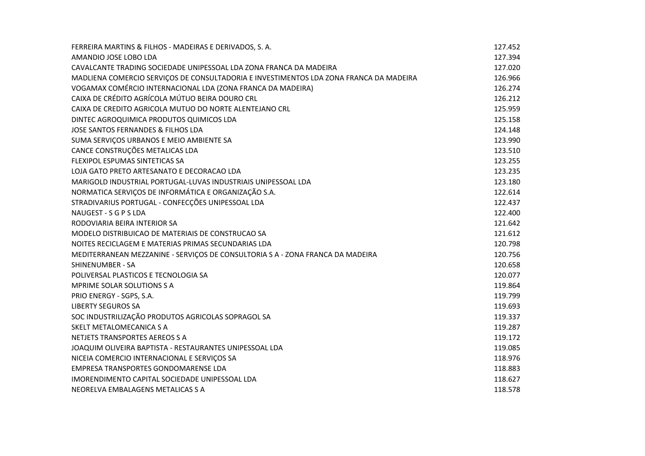| FERREIRA MARTINS & FILHOS - MADEIRAS E DERIVADOS, S. A.                                | 127.452 |
|----------------------------------------------------------------------------------------|---------|
| AMANDIO JOSE LOBO LDA                                                                  | 127.394 |
| CAVALCANTE TRADING SOCIEDADE UNIPESSOAL LDA ZONA FRANCA DA MADEIRA                     | 127.020 |
| MADLIENA COMERCIO SERVIÇOS DE CONSULTADORIA E INVESTIMENTOS LDA ZONA FRANCA DA MADEIRA | 126.966 |
| VOGAMAX COMÉRCIO INTERNACIONAL LDA (ZONA FRANCA DA MADEIRA)                            | 126.274 |
| CAIXA DE CRÉDITO AGRÍCOLA MÚTUO BEIRA DOURO CRL                                        | 126.212 |
| CAIXA DE CREDITO AGRICOLA MUTUO DO NORTE ALENTEJANO CRL                                | 125.959 |
| DINTEC AGROQUIMICA PRODUTOS QUIMICOS LDA                                               | 125.158 |
| JOSE SANTOS FERNANDES & FILHOS LDA                                                     | 124.148 |
| SUMA SERVIÇOS URBANOS E MEIO AMBIENTE SA                                               | 123.990 |
| CANCE CONSTRUÇÕES METALICAS LDA                                                        | 123.510 |
| <b>FLEXIPOL ESPUMAS SINTETICAS SA</b>                                                  | 123.255 |
| LOJA GATO PRETO ARTESANATO E DECORACAO LDA                                             | 123.235 |
| MARIGOLD INDUSTRIAL PORTUGAL-LUVAS INDUSTRIAIS UNIPESSOAL LDA                          | 123.180 |
| NORMATICA SERVIÇOS DE INFORMÁTICA E ORGANIZAÇÃO S.A.                                   | 122.614 |
| STRADIVARIUS PORTUGAL - CONFECÇÕES UNIPESSOAL LDA                                      | 122.437 |
| NAUGEST - S G P S LDA                                                                  | 122.400 |
| RODOVIARIA BEIRA INTERIOR SA                                                           | 121.642 |
| MODELO DISTRIBUICAO DE MATERIAIS DE CONSTRUCAO SA                                      | 121.612 |
| NOITES RECICLAGEM E MATERIAS PRIMAS SECUNDARIAS LDA                                    | 120.798 |
| MEDITERRANEAN MEZZANINE - SERVIÇOS DE CONSULTORIA S A - ZONA FRANCA DA MADEIRA         | 120.756 |
| SHINENUMBER - SA                                                                       | 120.658 |
| POLIVERSAL PLASTICOS E TECNOLOGIA SA                                                   | 120.077 |
| <b>MPRIME SOLAR SOLUTIONS S A</b>                                                      | 119.864 |
| PRIO ENERGY - SGPS, S.A.                                                               | 119.799 |
| LIBERTY SEGUROS SA                                                                     | 119.693 |
| SOC INDUSTRILIZAÇÃO PRODUTOS AGRICOLAS SOPRAGOL SA                                     | 119.337 |
| SKELT METALOMECANICA S A                                                               | 119.287 |
| NETJETS TRANSPORTES AEREOS S A                                                         | 119.172 |
| JOAQUIM OLIVEIRA BAPTISTA - RESTAURANTES UNIPESSOAL LDA                                | 119.085 |
| NICEIA COMERCIO INTERNACIONAL E SERVIÇOS SA                                            | 118.976 |
| EMPRESA TRANSPORTES GONDOMARENSE LDA                                                   | 118.883 |
| IMORENDIMENTO CAPITAL SOCIEDADE UNIPESSOAL LDA                                         | 118.627 |
| NEORELVA EMBALAGENS METALICAS S A                                                      | 118.578 |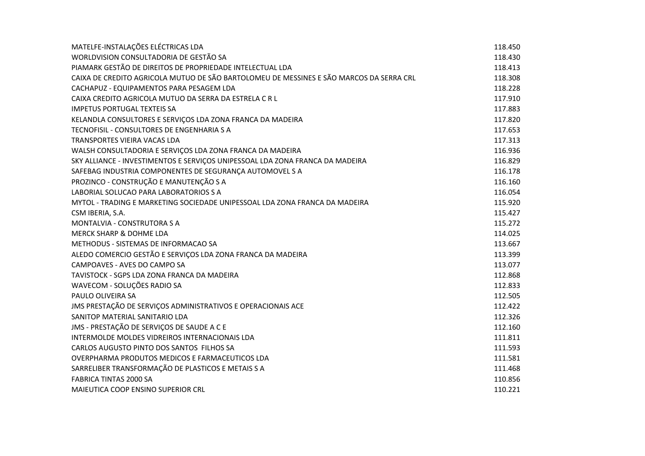| MATELFE-INSTALAÇÕES ELÉCTRICAS LDA                                                      | 118.450 |
|-----------------------------------------------------------------------------------------|---------|
| WORLDVISION CONSULTADORIA DE GESTÃO SA                                                  | 118.430 |
| PIAMARK GESTÃO DE DIREITOS DE PROPRIEDADE INTELECTUAL LDA                               | 118.413 |
| CAIXA DE CREDITO AGRICOLA MUTUO DE SÃO BARTOLOMEU DE MESSINES E SÃO MARCOS DA SERRA CRL | 118.308 |
| CACHAPUZ - EQUIPAMENTOS PARA PESAGEM LDA                                                | 118.228 |
| CAIXA CREDITO AGRICOLA MUTUO DA SERRA DA ESTRELA C R L                                  | 117.910 |
| <b>IMPETUS PORTUGAL TEXTEIS SA</b>                                                      | 117.883 |
| KELANDLA CONSULTORES E SERVIÇOS LDA ZONA FRANCA DA MADEIRA                              | 117.820 |
| TECNOFISIL - CONSULTORES DE ENGENHARIA S A                                              | 117.653 |
| TRANSPORTES VIEIRA VACAS LDA                                                            | 117.313 |
| WALSH CONSULTADORIA E SERVIÇOS LDA ZONA FRANCA DA MADEIRA                               | 116.936 |
| SKY ALLIANCE - INVESTIMENTOS E SERVIÇOS UNIPESSOAL LDA ZONA FRANCA DA MADEIRA           | 116.829 |
| SAFEBAG INDUSTRIA COMPONENTES DE SEGURANÇA AUTOMOVEL S A                                | 116.178 |
| PROZINCO - CONSTRUÇÃO E MANUTENÇÃO S A                                                  | 116.160 |
| LABORIAL SOLUCAO PARA LABORATORIOS S A                                                  | 116.054 |
| MYTOL - TRADING E MARKETING SOCIEDADE UNIPESSOAL LDA ZONA FRANCA DA MADEIRA             | 115.920 |
| CSM IBERIA, S.A.                                                                        | 115.427 |
| MONTALVIA - CONSTRUTORA S A                                                             | 115.272 |
| MERCK SHARP & DOHME LDA                                                                 | 114.025 |
| METHODUS - SISTEMAS DE INFORMACAO SA                                                    | 113.667 |
| ALEDO COMERCIO GESTÃO E SERVIÇOS LDA ZONA FRANCA DA MADEIRA                             | 113.399 |
| CAMPOAVES - AVES DO CAMPO SA                                                            | 113.077 |
| TAVISTOCK - SGPS LDA ZONA FRANCA DA MADEIRA                                             | 112.868 |
| WAVECOM - SOLUÇÕES RADIO SA                                                             | 112.833 |
| PAULO OLIVEIRA SA                                                                       | 112.505 |
| JMS PRESTAÇÃO DE SERVIÇOS ADMINISTRATIVOS E OPERACIONAIS ACE                            | 112.422 |
| SANITOP MATERIAL SANITARIO LDA                                                          | 112.326 |
| JMS - PRESTAÇÃO DE SERVIÇOS DE SAUDE A C E                                              | 112.160 |
| INTERMOLDE MOLDES VIDREIROS INTERNACIONAIS LDA                                          | 111.811 |
| CARLOS AUGUSTO PINTO DOS SANTOS FILHOS SA                                               | 111.593 |
| OVERPHARMA PRODUTOS MEDICOS E FARMACEUTICOS LDA                                         | 111.581 |
| SARRELIBER TRANSFORMAÇÃO DE PLASTICOS E METAIS S A                                      | 111.468 |
| <b>FABRICA TINTAS 2000 SA</b>                                                           | 110.856 |
| MAIEUTICA COOP ENSINO SUPERIOR CRL                                                      | 110.221 |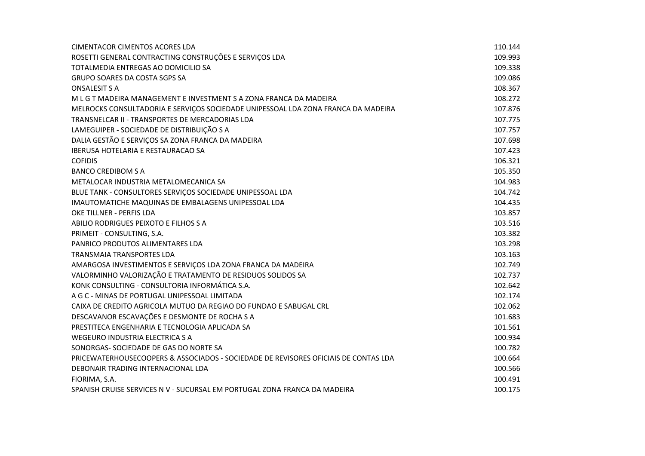| <b>CIMENTACOR CIMENTOS ACORES LDA</b>                                               | 110.144 |
|-------------------------------------------------------------------------------------|---------|
| ROSETTI GENERAL CONTRACTING CONSTRUÇÕES E SERVIÇOS LDA                              | 109.993 |
| TOTALMEDIA ENTREGAS AO DOMICILIO SA                                                 | 109.338 |
| GRUPO SOARES DA COSTA SGPS SA                                                       | 109.086 |
| <b>ONSALESIT S A</b>                                                                | 108.367 |
| M L G T MADEIRA MANAGEMENT E INVESTMENT S A ZONA FRANCA DA MADEIRA                  | 108.272 |
| MELROCKS CONSULTADORIA E SERVIÇOS SOCIEDADE UNIPESSOAL LDA ZONA FRANCA DA MADEIRA   | 107.876 |
| TRANSNELCAR II - TRANSPORTES DE MERCADORIAS LDA                                     | 107.775 |
| LAMEGUIPER - SOCIEDADE DE DISTRIBUIÇÃO S A                                          | 107.757 |
| DALIA GESTÃO E SERVIÇOS SA ZONA FRANCA DA MADEIRA                                   | 107.698 |
| <b>IBERUSA HOTELARIA E RESTAURACAO SA</b>                                           | 107.423 |
| <b>COFIDIS</b>                                                                      | 106.321 |
| <b>BANCO CREDIBOM S A</b>                                                           | 105.350 |
| METALOCAR INDUSTRIA METALOMECANICA SA                                               | 104.983 |
| BLUE TANK - CONSULTORES SERVIÇOS SOCIEDADE UNIPESSOAL LDA                           | 104.742 |
| IMAUTOMATICHE MAQUINAS DE EMBALAGENS UNIPESSOAL LDA                                 | 104.435 |
| OKE TILLNER - PERFIS LDA                                                            | 103.857 |
| ABILIO RODRIGUES PEIXOTO E FILHOS S A                                               | 103.516 |
| PRIMEIT - CONSULTING, S.A.                                                          | 103.382 |
| PANRICO PRODUTOS ALIMENTARES LDA                                                    | 103.298 |
| <b>TRANSMAIA TRANSPORTES LDA</b>                                                    | 103.163 |
| AMARGOSA INVESTIMENTOS E SERVIÇOS LDA ZONA FRANCA DA MADEIRA                        | 102.749 |
| VALORMINHO VALORIZAÇÃO E TRATAMENTO DE RESIDUOS SOLIDOS SA                          | 102.737 |
| KONK CONSULTING - CONSULTORIA INFORMÁTICA S.A.                                      | 102.642 |
| A G C - MINAS DE PORTUGAL UNIPESSOAL LIMITADA                                       | 102.174 |
| CAIXA DE CREDITO AGRICOLA MUTUO DA REGIAO DO FUNDAO E SABUGAL CRL                   | 102.062 |
| DESCAVANOR ESCAVAÇÕES E DESMONTE DE ROCHA S A                                       | 101.683 |
| PRESTITECA ENGENHARIA E TECNOLOGIA APLICADA SA                                      | 101.561 |
| <b>WEGEURO INDUSTRIA ELECTRICA S A</b>                                              | 100.934 |
| SONORGAS- SOCIEDADE DE GAS DO NORTE SA                                              | 100.782 |
| PRICEWATERHOUSECOOPERS & ASSOCIADOS - SOCIEDADE DE REVISORES OFICIAIS DE CONTAS LDA | 100.664 |
| DEBONAIR TRADING INTERNACIONAL LDA                                                  | 100.566 |
| FIORIMA, S.A.                                                                       | 100.491 |
| SPANISH CRUISE SERVICES N V - SUCURSAL EM PORTUGAL ZONA FRANCA DA MADEIRA           | 100.175 |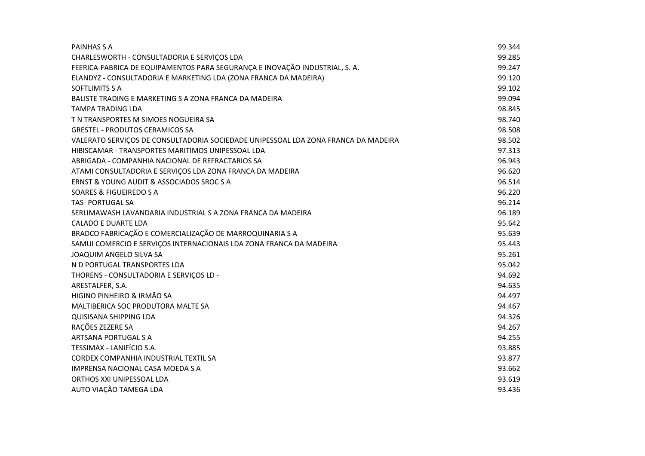| PAINHAS S A                                                                        | 99.344 |
|------------------------------------------------------------------------------------|--------|
| CHARLESWORTH - CONSULTADORIA E SERVIÇOS LDA                                        | 99.285 |
| FEERICA-FABRICA DE EQUIPAMENTOS PARA SEGURANÇA E INOVAÇÃO INDUSTRIAL, S. A.        | 99.247 |
| ELANDYZ - CONSULTADORIA E MARKETING LDA (ZONA FRANCA DA MADEIRA)                   | 99.120 |
| SOFTLIMITS S A                                                                     | 99.102 |
| BALISTE TRADING E MARKETING S A ZONA FRANCA DA MADEIRA                             | 99.094 |
| <b>TAMPA TRADING LDA</b>                                                           | 98.845 |
| T N TRANSPORTES M SIMOES NOGUEIRA SA                                               | 98.740 |
| <b>GRESTEL - PRODUTOS CERAMICOS SA</b>                                             | 98.508 |
| VALERATO SERVIÇOS DE CONSULTADORIA SOCIEDADE UNIPESSOAL LDA ZONA FRANCA DA MADEIRA | 98.502 |
| HIBISCAMAR - TRANSPORTES MARITIMOS UNIPESSOAL LDA                                  | 97.313 |
| ABRIGADA - COMPANHIA NACIONAL DE REFRACTARIOS SA                                   | 96.943 |
| ATAMI CONSULTADORIA E SERVIÇOS LDA ZONA FRANCA DA MADEIRA                          | 96.620 |
| ERNST & YOUNG AUDIT & ASSOCIADOS SROC S A                                          | 96.514 |
| SOARES & FIGUEIREDO S A                                                            | 96.220 |
| <b>TAS- PORTUGAL SA</b>                                                            | 96.214 |
| SERLIMAWASH LAVANDARIA INDUSTRIAL S A ZONA FRANCA DA MADEIRA                       | 96.189 |
| <b>CALADO E DUARTE LDA</b>                                                         | 95.642 |
| BRADCO FABRICAÇÃO E COMERCIALIZAÇÃO DE MARROQUINARIA S A                           | 95.639 |
| SAMUI COMERCIO E SERVIÇOS INTERNACIONAIS LDA ZONA FRANCA DA MADEIRA                | 95.443 |
| JOAQUIM ANGELO SILVA SA                                                            | 95.261 |
| N D PORTUGAL TRANSPORTES LDA                                                       | 95.042 |
| THORENS - CONSULTADORIA E SERVIÇOS LD -                                            | 94.692 |
| ARESTALFER, S.A.                                                                   | 94.635 |
| HIGINO PINHEIRO & IRMÃO SA                                                         | 94.497 |
| MALTIBERICA SOC PRODUTORA MALTE SA                                                 | 94.467 |
| <b>QUISISANA SHIPPING LDA</b>                                                      | 94.326 |
| RAÇÕES ZEZERE SA                                                                   | 94.267 |
| ARTSANA PORTUGAL S A                                                               | 94.255 |
| TESSIMAX - LANIFÍCIO S.A.                                                          | 93.885 |
| CORDEX COMPANHIA INDUSTRIAL TEXTIL SA                                              | 93.877 |
| <b>IMPRENSA NACIONAL CASA MOEDA S A</b>                                            | 93.662 |
| ORTHOS XXI UNIPESSOAL LDA                                                          | 93.619 |
| AUTO VIAÇÃO TAMEGA LDA                                                             | 93.436 |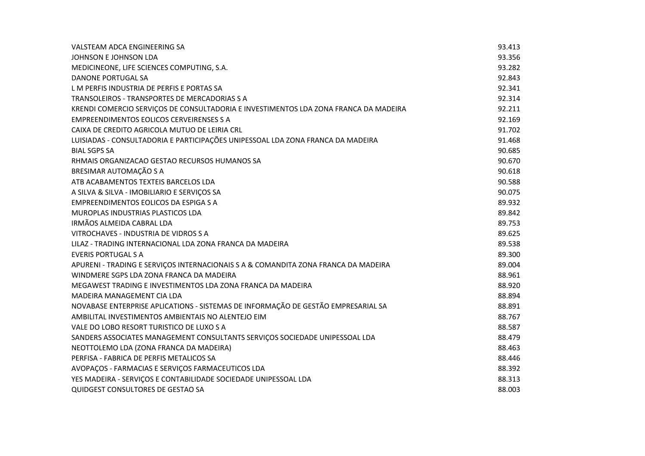| VALSTEAM ADCA ENGINEERING SA                                                         | 93.413 |
|--------------------------------------------------------------------------------------|--------|
| JOHNSON E JOHNSON LDA                                                                | 93.356 |
| MEDICINEONE, LIFE SCIENCES COMPUTING, S.A.                                           | 93.282 |
| DANONE PORTUGAL SA                                                                   | 92.843 |
| L M PERFIS INDUSTRIA DE PERFIS E PORTAS SA                                           | 92.341 |
| TRANSOLEIROS - TRANSPORTES DE MERCADORIAS S A                                        | 92.314 |
| KRENDI COMERCIO SERVIÇOS DE CONSULTADORIA E INVESTIMENTOS LDA ZONA FRANCA DA MADEIRA | 92.211 |
| <b>EMPREENDIMENTOS EOLICOS CERVEIRENSES S A</b>                                      | 92.169 |
| CAIXA DE CREDITO AGRICOLA MUTUO DE LEIRIA CRL                                        | 91.702 |
| LUISIADAS - CONSULTADORIA E PARTICIPAÇÕES UNIPESSOAL LDA ZONA FRANCA DA MADEIRA      | 91.468 |
| <b>BIAL SGPS SA</b>                                                                  | 90.685 |
| RHMAIS ORGANIZACAO GESTAO RECURSOS HUMANOS SA                                        | 90.670 |
| BRESIMAR AUTOMAÇÃO S A                                                               | 90.618 |
| ATB ACABAMENTOS TEXTEIS BARCELOS LDA                                                 | 90.588 |
| A SILVA & SILVA - IMOBILIARIO E SERVIÇOS SA                                          | 90.075 |
| EMPREENDIMENTOS EOLICOS DA ESPIGA S A                                                | 89.932 |
| MUROPLAS INDUSTRIAS PLASTICOS LDA                                                    | 89.842 |
| IRMÃOS ALMEIDA CABRAL LDA                                                            | 89.753 |
| VITROCHAVES - INDUSTRIA DE VIDROS S A                                                | 89.625 |
| LILAZ - TRADING INTERNACIONAL LDA ZONA FRANCA DA MADEIRA                             | 89.538 |
| <b>EVERIS PORTUGAL S A</b>                                                           | 89.300 |
| APURENI - TRADING E SERVIÇOS INTERNACIONAIS S A & COMANDITA ZONA FRANCA DA MADEIRA   | 89.004 |
| WINDMERE SGPS LDA ZONA FRANCA DA MADEIRA                                             | 88.961 |
| MEGAWEST TRADING E INVESTIMENTOS LDA ZONA FRANCA DA MADEIRA                          | 88.920 |
| MADEIRA MANAGEMENT CIA LDA                                                           | 88.894 |
| NOVABASE ENTERPRISE APLICATIONS - SISTEMAS DE INFORMAÇÃO DE GESTÃO EMPRESARIAL SA    | 88.891 |
| AMBILITAL INVESTIMENTOS AMBIENTAIS NO ALENTEJO EIM                                   | 88.767 |
| VALE DO LOBO RESORT TURISTICO DE LUXO S A                                            | 88.587 |
| SANDERS ASSOCIATES MANAGEMENT CONSULTANTS SERVIÇOS SOCIEDADE UNIPESSOAL LDA          | 88.479 |
| NEOTTOLEMO LDA (ZONA FRANCA DA MADEIRA)                                              | 88.463 |
| PERFISA - FABRICA DE PERFIS METALICOS SA                                             | 88.446 |
| AVOPAÇOS - FARMACIAS E SERVIÇOS FARMACEUTICOS LDA                                    | 88.392 |
| YES MADEIRA - SERVIÇOS E CONTABILIDADE SOCIEDADE UNIPESSOAL LDA                      | 88.313 |
| <b>QUIDGEST CONSULTORES DE GESTAO SA</b>                                             | 88.003 |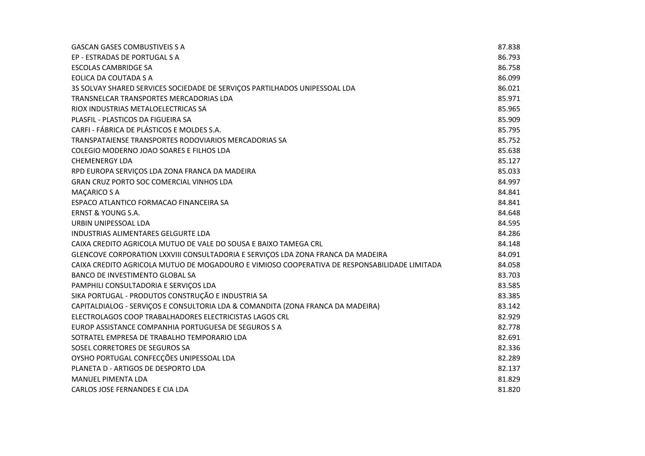| <b>GASCAN GASES COMBUSTIVEIS S A</b>                                                         | 87.838 |
|----------------------------------------------------------------------------------------------|--------|
| EP - ESTRADAS DE PORTUGAL S A                                                                | 86.793 |
| <b>ESCOLAS CAMBRIDGE SA</b>                                                                  | 86.758 |
| EOLICA DA COUTADA S A                                                                        | 86.099 |
| 3S SOLVAY SHARED SERVICES SOCIEDADE DE SERVIÇOS PARTILHADOS UNIPESSOAL LDA                   | 86.021 |
| TRANSNELCAR TRANSPORTES MERCADORIAS LDA                                                      | 85.971 |
| RIOX INDUSTRIAS METALOELECTRICAS SA                                                          | 85.965 |
| PLASFIL - PLASTICOS DA FIGUEIRA SA                                                           | 85.909 |
| CARFI - FÁBRICA DE PLÁSTICOS E MOLDES S.A.                                                   | 85.795 |
| TRANSPATAIENSE TRANSPORTES RODOVIARIOS MERCADORIAS SA                                        | 85.752 |
| COLEGIO MODERNO JOAO SOARES E FILHOS LDA                                                     | 85.638 |
| <b>CHEMENERGY LDA</b>                                                                        | 85.127 |
| RPD EUROPA SERVIÇOS LDA ZONA FRANCA DA MADEIRA                                               | 85.033 |
| GRAN CRUZ PORTO SOC COMERCIAL VINHOS LDA                                                     | 84.997 |
| <b>MAÇARICO S A</b>                                                                          | 84.841 |
| ESPACO ATLANTICO FORMACAO FINANCEIRA SA                                                      | 84.841 |
| <b>ERNST &amp; YOUNG S.A.</b>                                                                | 84.648 |
| URBIN UNIPESSOAL LDA                                                                         | 84.595 |
| INDUSTRIAS ALIMENTARES GELGURTE LDA                                                          | 84.286 |
| CAIXA CREDITO AGRICOLA MUTUO DE VALE DO SOUSA E BAIXO TAMEGA CRL                             | 84.148 |
| GLENCOVE CORPORATION LXXVIII CONSULTADORIA E SERVIÇOS LDA ZONA FRANCA DA MADEIRA             | 84.091 |
| CAIXA CREDITO AGRICOLA MUTUO DE MOGADOURO E VIMIOSO COOPERATIVA DE RESPONSABILIDADE LIMITADA | 84.058 |
| BANCO DE INVESTIMENTO GLOBAL SA                                                              | 83.703 |
| PAMPHILI CONSULTADORIA E SERVIÇOS LDA                                                        | 83.585 |
| SIKA PORTUGAL - PRODUTOS CONSTRUÇÃO E INDUSTRIA SA                                           | 83.385 |
| CAPITALDIALOG - SERVIÇOS E CONSULTORIA LDA & COMANDITA (ZONA FRANCA DA MADEIRA)              | 83.142 |
| ELECTROLAGOS COOP TRABALHADORES ELECTRICISTAS LAGOS CRL                                      | 82.929 |
| EUROP ASSISTANCE COMPANHIA PORTUGUESA DE SEGUROS S A                                         | 82.778 |
| SOTRATEL EMPRESA DE TRABALHO TEMPORARIO LDA                                                  | 82.691 |
| SOSEL CORRETORES DE SEGUROS SA                                                               | 82.336 |
| OYSHO PORTUGAL CONFECÇÕES UNIPESSOAL LDA                                                     | 82.289 |
| PLANETA D - ARTIGOS DE DESPORTO LDA                                                          | 82.137 |
| <b>MANUEL PIMENTA LDA</b>                                                                    | 81.829 |
| CARLOS JOSE FERNANDES E CIA LDA                                                              | 81.820 |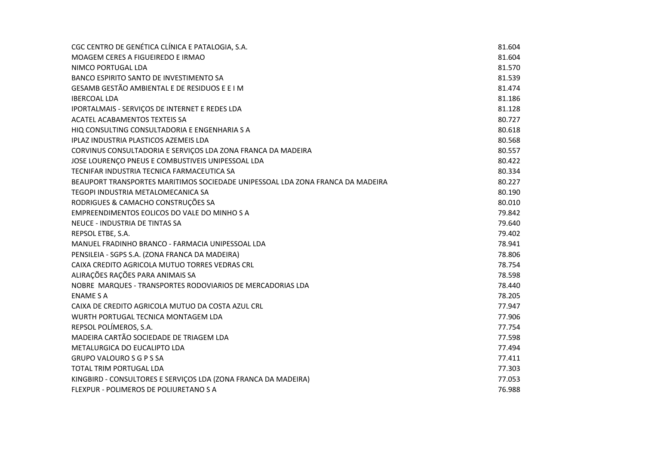| CGC CENTRO DE GENÉTICA CLÍNICA E PATALOGIA, S.A.                               | 81.604 |
|--------------------------------------------------------------------------------|--------|
| MOAGEM CERES A FIGUEIREDO E IRMAO                                              | 81.604 |
| NIMCO PORTUGAL LDA                                                             | 81.570 |
| BANCO ESPIRITO SANTO DE INVESTIMENTO SA                                        | 81.539 |
| GESAMB GESTÃO AMBIENTAL E DE RESIDUOS E E I M                                  | 81.474 |
| <b>IBERCOAL LDA</b>                                                            | 81.186 |
| IPORTALMAIS - SERVIÇOS DE INTERNET E REDES LDA                                 | 81.128 |
| ACATEL ACABAMENTOS TEXTEIS SA                                                  | 80.727 |
| HIQ CONSULTING CONSULTADORIA E ENGENHARIA S A                                  | 80.618 |
| IPLAZ INDUSTRIA PLASTICOS AZEMEIS LDA                                          | 80.568 |
| CORVINUS CONSULTADORIA E SERVIÇOS LDA ZONA FRANCA DA MADEIRA                   | 80.557 |
| JOSE LOURENÇO PNEUS E COMBUSTIVEIS UNIPESSOAL LDA                              | 80.422 |
| TECNIFAR INDUSTRIA TECNICA FARMACEUTICA SA                                     | 80.334 |
| BEAUPORT TRANSPORTES MARITIMOS SOCIEDADE UNIPESSOAL LDA ZONA FRANCA DA MADEIRA | 80.227 |
| TEGOPI INDUSTRIA METALOMECANICA SA                                             | 80.190 |
| RODRIGUES & CAMACHO CONSTRUÇÕES SA                                             | 80.010 |
| EMPREENDIMENTOS EOLICOS DO VALE DO MINHO S A                                   | 79.842 |
| NEUCE - INDUSTRIA DE TINTAS SA                                                 | 79.640 |
| REPSOL ETBE, S.A.                                                              | 79.402 |
| MANUEL FRADINHO BRANCO - FARMACIA UNIPESSOAL LDA                               | 78.941 |
| PENSILEIA - SGPS S.A. (ZONA FRANCA DA MADEIRA)                                 | 78.806 |
| CAIXA CREDITO AGRICOLA MUTUO TORRES VEDRAS CRL                                 | 78.754 |
| ALIRAÇÕES RAÇÕES PARA ANIMAIS SA                                               | 78.598 |
| NOBRE MARQUES - TRANSPORTES RODOVIARIOS DE MERCADORIAS LDA                     | 78.440 |
| <b>ENAME S A</b>                                                               | 78.205 |
| CAIXA DE CREDITO AGRICOLA MUTUO DA COSTA AZUL CRL                              | 77.947 |
| WURTH PORTUGAL TECNICA MONTAGEM LDA                                            | 77.906 |
| REPSOL POLÍMEROS, S.A.                                                         | 77.754 |
| MADEIRA CARTÃO SOCIEDADE DE TRIAGEM LDA                                        | 77.598 |
| METALURGICA DO EUCALIPTO LDA                                                   | 77.494 |
| <b>GRUPO VALOURO S G P S SA</b>                                                | 77.411 |
| TOTAL TRIM PORTUGAL LDA                                                        | 77.303 |
| KINGBIRD - CONSULTORES E SERVIÇOS LDA (ZONA FRANCA DA MADEIRA)                 | 77.053 |
| FLEXPUR - POLIMEROS DE POLIURETANO S A                                         | 76.988 |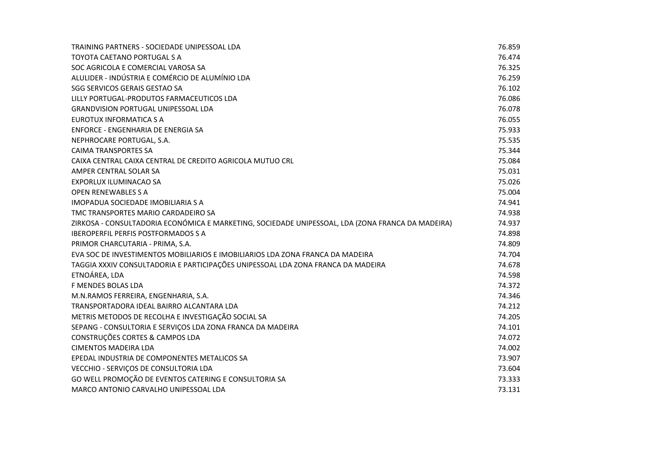| TRAINING PARTNERS - SOCIEDADE UNIPESSOAL LDA                                                      | 76.859 |
|---------------------------------------------------------------------------------------------------|--------|
| TOYOTA CAETANO PORTUGAL S A                                                                       | 76.474 |
| SOC AGRICOLA E COMERCIAL VAROSA SA                                                                | 76.325 |
| ALULIDER - INDÚSTRIA E COMÉRCIO DE ALUMÍNIO LDA                                                   | 76.259 |
| SGG SERVICOS GERAIS GESTAO SA                                                                     | 76.102 |
| LILLY PORTUGAL-PRODUTOS FARMACEUTICOS LDA                                                         | 76.086 |
| GRANDVISION PORTUGAL UNIPESSOAL LDA                                                               | 76.078 |
| EUROTUX INFORMATICA S A                                                                           | 76.055 |
| <b>ENFORCE - ENGENHARIA DE ENERGIA SA</b>                                                         | 75.933 |
| NEPHROCARE PORTUGAL, S.A.                                                                         | 75.535 |
| <b>CAIMA TRANSPORTES SA</b>                                                                       | 75.344 |
| CAIXA CENTRAL CAIXA CENTRAL DE CREDITO AGRICOLA MUTUO CRL                                         | 75.084 |
| AMPER CENTRAL SOLAR SA                                                                            | 75.031 |
| EXPORLUX ILUMINACAO SA                                                                            | 75.026 |
| <b>OPEN RENEWABLES S A</b>                                                                        | 75.004 |
| IMOPADUA SOCIEDADE IMOBILIARIA S A                                                                | 74.941 |
| TMC TRANSPORTES MARIO CARDADEIRO SA                                                               | 74.938 |
| ZIRKOSA - CONSULTADORIA ECONÓMICA E MARKETING, SOCIEDADE UNIPESSOAL, LDA (ZONA FRANCA DA MADEIRA) | 74.937 |
| <b>IBEROPERFIL PERFIS POSTFORMADOS S A</b>                                                        | 74.898 |
| PRIMOR CHARCUTARIA - PRIMA, S.A.                                                                  | 74.809 |
| EVA SOC DE INVESTIMENTOS MOBILIARIOS E IMOBILIARIOS LDA ZONA FRANCA DA MADEIRA                    | 74.704 |
| TAGGIA XXXIV CONSULTADORIA E PARTICIPAÇÕES UNIPESSOAL LDA ZONA FRANCA DA MADEIRA                  | 74.678 |
| ETNOÁREA, LDA                                                                                     | 74.598 |
| F MENDES BOLAS LDA                                                                                | 74.372 |
| M.N.RAMOS FERREIRA, ENGENHARIA, S.A.                                                              | 74.346 |
| TRANSPORTADORA IDEAL BAIRRO ALCANTARA LDA                                                         | 74.212 |
| METRIS METODOS DE RECOLHA E INVESTIGAÇÃO SOCIAL SA                                                | 74.205 |
| SEPANG - CONSULTORIA E SERVIÇOS LDA ZONA FRANCA DA MADEIRA                                        | 74.101 |
| CONSTRUÇÕES CORTES & CAMPOS LDA                                                                   | 74.072 |
| <b>CIMENTOS MADEIRA LDA</b>                                                                       | 74.002 |
| EPEDAL INDUSTRIA DE COMPONENTES METALICOS SA                                                      | 73.907 |
| VECCHIO - SERVIÇOS DE CONSULTORIA LDA                                                             | 73.604 |
| GO WELL PROMOÇÃO DE EVENTOS CATERING E CONSULTORIA SA                                             | 73.333 |
| MARCO ANTONIO CARVALHO UNIPESSOAL LDA                                                             | 73.131 |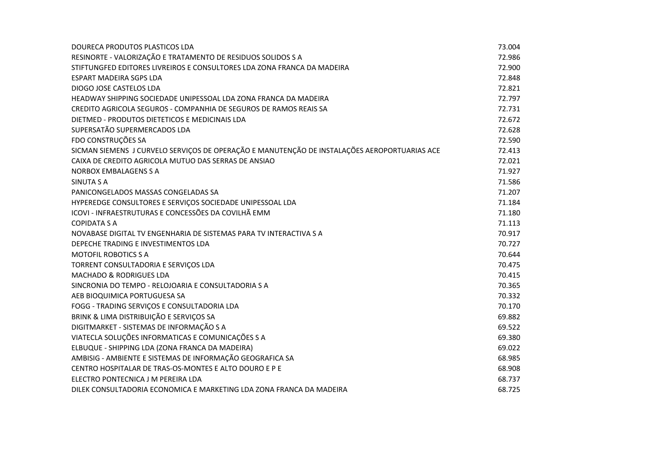| DOURECA PRODUTOS PLASTICOS LDA                                                               | 73.004 |
|----------------------------------------------------------------------------------------------|--------|
| RESINORTE - VALORIZAÇÃO E TRATAMENTO DE RESIDUOS SOLIDOS S A                                 | 72.986 |
| STIFTUNGFED EDITORES LIVREIROS E CONSULTORES LDA ZONA FRANCA DA MADEIRA                      | 72.900 |
| <b>ESPART MADEIRA SGPS LDA</b>                                                               | 72.848 |
| DIOGO JOSE CASTELOS LDA                                                                      | 72.821 |
| HEADWAY SHIPPING SOCIEDADE UNIPESSOAL LDA ZONA FRANCA DA MADEIRA                             | 72.797 |
| CREDITO AGRICOLA SEGUROS - COMPANHIA DE SEGUROS DE RAMOS REAIS SA                            | 72.731 |
| DIETMED - PRODUTOS DIETETICOS E MEDICINAIS LDA                                               | 72.672 |
| SUPERSATÃO SUPERMERCADOS LDA                                                                 | 72.628 |
| FDO CONSTRUÇÕES SA                                                                           | 72.590 |
| SICMAN SIEMENS J CURVELO SERVIÇOS DE OPERAÇÃO E MANUTENÇÃO DE INSTALAÇÕES AEROPORTUARIAS ACE | 72.413 |
| CAIXA DE CREDITO AGRICOLA MUTUO DAS SERRAS DE ANSIAO                                         | 72.021 |
| NORBOX EMBALAGENS S A                                                                        | 71.927 |
| SINUTA S A                                                                                   | 71.586 |
| PANICONGELADOS MASSAS CONGELADAS SA                                                          | 71.207 |
| HYPEREDGE CONSULTORES E SERVIÇOS SOCIEDADE UNIPESSOAL LDA                                    | 71.184 |
| ICOVI - INFRAESTRUTURAS E CONCESSÕES DA COVILHÃ EMM                                          | 71.180 |
| <b>COPIDATA S A</b>                                                                          | 71.113 |
| NOVABASE DIGITAL TV ENGENHARIA DE SISTEMAS PARA TV INTERACTIVA S A                           | 70.917 |
| DEPECHE TRADING E INVESTIMENTOS LDA                                                          | 70.727 |
| MOTOFIL ROBOTICS S A                                                                         | 70.644 |
| TORRENT CONSULTADORIA E SERVIÇOS LDA                                                         | 70.475 |
| <b>MACHADO &amp; RODRIGUES LDA</b>                                                           | 70.415 |
| SINCRONIA DO TEMPO - RELOJOARIA E CONSULTADORIA SA                                           | 70.365 |
| AEB BIOQUIMICA PORTUGUESA SA                                                                 | 70.332 |
| FOGG - TRADING SERVIÇOS E CONSULTADORIA LDA                                                  | 70.170 |
| BRINK & LIMA DISTRIBUIÇÃO E SERVIÇOS SA                                                      | 69.882 |
| DIGITMARKET - SISTEMAS DE INFORMAÇÃO S A                                                     | 69.522 |
| VIATECLA SOLUÇÕES INFORMATICAS E COMUNICAÇÕES S A                                            | 69.380 |
| ELBUQUE - SHIPPING LDA (ZONA FRANCA DA MADEIRA)                                              | 69.022 |
| AMBISIG - AMBIENTE E SISTEMAS DE INFORMAÇÃO GEOGRAFICA SA                                    | 68.985 |
| CENTRO HOSPITALAR DE TRAS-OS-MONTES E ALTO DOURO E P E                                       | 68.908 |
| ELECTRO PONTECNICA J M PEREIRA LDA                                                           | 68.737 |
| DILEK CONSULTADORIA ECONOMICA E MARKETING LDA ZONA FRANCA DA MADEIRA                         | 68.725 |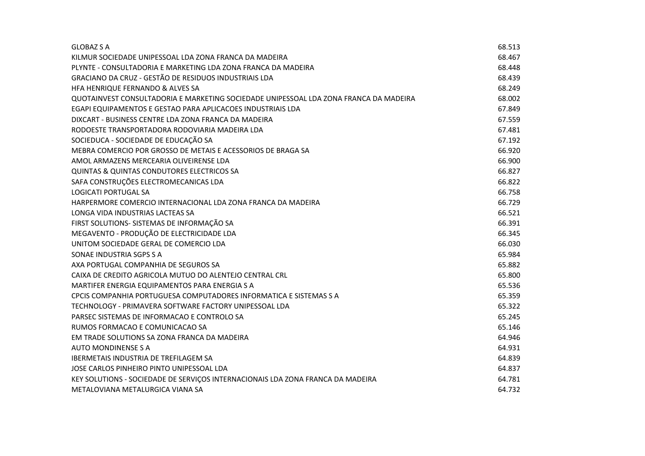| <b>GLOBAZ S A</b>                                                                     | 68.513 |
|---------------------------------------------------------------------------------------|--------|
| KILMUR SOCIEDADE UNIPESSOAL LDA ZONA FRANCA DA MADEIRA                                | 68.467 |
| PLYNTE - CONSULTADORIA E MARKETING LDA ZONA FRANCA DA MADEIRA                         | 68.448 |
| GRACIANO DA CRUZ - GESTÃO DE RESIDUOS INDUSTRIAIS LDA                                 | 68.439 |
| HFA HENRIQUE FERNANDO & ALVES SA                                                      | 68.249 |
| QUOTAINVEST CONSULTADORIA E MARKETING SOCIEDADE UNIPESSOAL LDA ZONA FRANCA DA MADEIRA | 68.002 |
| EGAPI EQUIPAMENTOS E GESTAO PARA APLICACOES INDUSTRIAIS LDA                           | 67.849 |
| DIXCART - BUSINESS CENTRE LDA ZONA FRANCA DA MADEIRA                                  | 67.559 |
| RODOESTE TRANSPORTADORA RODOVIARIA MADEIRA LDA                                        | 67.481 |
| SOCIEDUCA - SOCIEDADE DE EDUCAÇÃO SA                                                  | 67.192 |
| MEBRA COMERCIO POR GROSSO DE METAIS E ACESSORIOS DE BRAGA SA                          | 66.920 |
| AMOL ARMAZENS MERCEARIA OLIVEIRENSE LDA                                               | 66.900 |
| <b>QUINTAS &amp; QUINTAS CONDUTORES ELECTRICOS SA</b>                                 | 66.827 |
| SAFA CONSTRUÇÕES ELECTROMECANICAS LDA                                                 | 66.822 |
| <b>LOGICATI PORTUGAL SA</b>                                                           | 66.758 |
| HARPERMORE COMERCIO INTERNACIONAL LDA ZONA FRANCA DA MADEIRA                          | 66.729 |
| LONGA VIDA INDUSTRIAS LACTEAS SA                                                      | 66.521 |
| FIRST SOLUTIONS- SISTEMAS DE INFORMAÇÃO SA                                            | 66.391 |
| MEGAVENTO - PRODUÇÃO DE ELECTRICIDADE LDA                                             | 66.345 |
| UNITOM SOCIEDADE GERAL DE COMERCIO LDA                                                | 66.030 |
| SONAE INDUSTRIA SGPS S A                                                              | 65.984 |
| AXA PORTUGAL COMPANHIA DE SEGUROS SA                                                  | 65.882 |
| CAIXA DE CREDITO AGRICOLA MUTUO DO ALENTEJO CENTRAL CRL                               | 65.800 |
| MARTIFER ENERGIA EQUIPAMENTOS PARA ENERGIA S A                                        | 65.536 |
| CPCIS COMPANHIA PORTUGUESA COMPUTADORES INFORMATICA E SISTEMAS S A                    | 65.359 |
| TECHNOLOGY - PRIMAVERA SOFTWARE FACTORY UNIPESSOAL LDA                                | 65.322 |
| PARSEC SISTEMAS DE INFORMACAO E CONTROLO SA                                           | 65.245 |
| RUMOS FORMACAO E COMUNICACAO SA                                                       | 65.146 |
| EM TRADE SOLUTIONS SA ZONA FRANCA DA MADEIRA                                          | 64.946 |
| <b>AUTO MONDINENSE S A</b>                                                            | 64.931 |
| IBERMETAIS INDUSTRIA DE TREFILAGEM SA                                                 | 64.839 |
| JOSE CARLOS PINHEIRO PINTO UNIPESSOAL LDA                                             | 64.837 |
| KEY SOLUTIONS - SOCIEDADE DE SERVIÇOS INTERNACIONAIS LDA ZONA FRANCA DA MADEIRA       | 64.781 |
| METALOVIANA METALURGICA VIANA SA                                                      | 64.732 |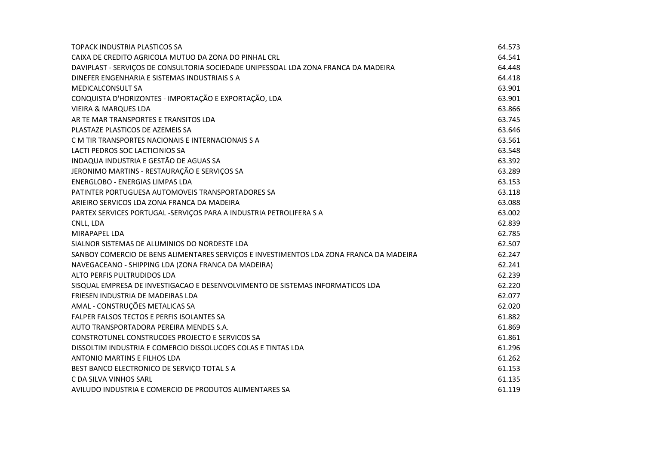| TOPACK INDUSTRIA PLASTICOS SA                                                           | 64.573 |
|-----------------------------------------------------------------------------------------|--------|
| CAIXA DE CREDITO AGRICOLA MUTUO DA ZONA DO PINHAL CRL                                   | 64.541 |
| DAVIPLAST - SERVIÇOS DE CONSULTORIA SOCIEDADE UNIPESSOAL LDA ZONA FRANCA DA MADEIRA     | 64.448 |
| DINEFER ENGENHARIA E SISTEMAS INDUSTRIAIS S A                                           | 64.418 |
| <b>MEDICALCONSULT SA</b>                                                                | 63.901 |
| CONQUISTA D'HORIZONTES - IMPORTAÇÃO E EXPORTAÇÃO, LDA                                   | 63.901 |
| <b>VIEIRA &amp; MARQUES LDA</b>                                                         | 63.866 |
| AR TE MAR TRANSPORTES E TRANSITOS LDA                                                   | 63.745 |
| PLASTAZE PLASTICOS DE AZEMEIS SA                                                        | 63.646 |
| C M TIR TRANSPORTES NACIONAIS E INTERNACIONAIS S A                                      | 63.561 |
| LACTI PEDROS SOC LACTICINIOS SA                                                         | 63.548 |
| INDAQUA INDUSTRIA E GESTÃO DE AGUAS SA                                                  | 63.392 |
| JERONIMO MARTINS - RESTAURAÇÃO E SERVIÇOS SA                                            | 63.289 |
| <b>ENERGLOBO - ENERGIAS LIMPAS LDA</b>                                                  | 63.153 |
| PATINTER PORTUGUESA AUTOMOVEIS TRANSPORTADORES SA                                       | 63.118 |
| ARIEIRO SERVICOS LDA ZONA FRANCA DA MADEIRA                                             | 63.088 |
| PARTEX SERVICES PORTUGAL -SERVIÇOS PARA A INDUSTRIA PETROLIFERA S A                     | 63.002 |
| CNLL, LDA                                                                               | 62.839 |
| MIRAPAPEL LDA                                                                           | 62.785 |
| SIALNOR SISTEMAS DE ALUMINIOS DO NORDESTE LDA                                           | 62.507 |
| SANBOY COMERCIO DE BENS ALIMENTARES SERVIÇOS E INVESTIMENTOS LDA ZONA FRANCA DA MADEIRA | 62.247 |
| NAVEGACEANO - SHIPPING LDA (ZONA FRANCA DA MADEIRA)                                     | 62.241 |
| ALTO PERFIS PULTRUDIDOS LDA                                                             | 62.239 |
| SISQUAL EMPRESA DE INVESTIGACAO E DESENVOLVIMENTO DE SISTEMAS INFORMATICOS LDA          | 62.220 |
| FRIESEN INDUSTRIA DE MADEIRAS LDA                                                       | 62.077 |
| AMAL - CONSTRUÇÕES METALICAS SA                                                         | 62.020 |
| FALPER FALSOS TECTOS E PERFIS ISOLANTES SA                                              | 61.882 |
| AUTO TRANSPORTADORA PEREIRA MENDES S.A.                                                 | 61.869 |
| CONSTROTUNEL CONSTRUCOES PROJECTO E SERVICOS SA                                         | 61.861 |
| DISSOLTIM INDUSTRIA E COMERCIO DISSOLUCOES COLAS E TINTAS LDA                           | 61.296 |
| ANTONIO MARTINS E FILHOS LDA                                                            | 61.262 |
| BEST BANCO ELECTRONICO DE SERVIÇO TOTAL S A                                             | 61.153 |
| C DA SILVA VINHOS SARL                                                                  | 61.135 |
| AVILUDO INDUSTRIA E COMERCIO DE PRODUTOS ALIMENTARES SA                                 | 61.119 |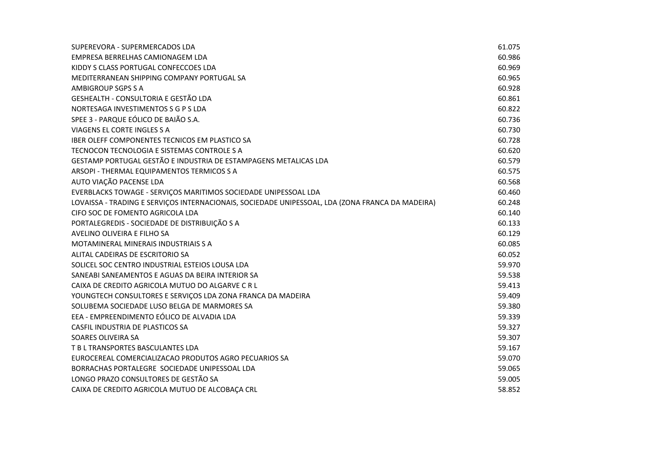| SUPEREVORA - SUPERMERCADOS LDA                                                                   | 61.075 |
|--------------------------------------------------------------------------------------------------|--------|
| EMPRESA BERRELHAS CAMIONAGEM LDA                                                                 | 60.986 |
| KIDDY S CLASS PORTUGAL CONFECCOES LDA                                                            | 60.969 |
| MEDITERRANEAN SHIPPING COMPANY PORTUGAL SA                                                       | 60.965 |
| AMBIGROUP SGPS S A                                                                               | 60.928 |
| <b>GESHEALTH - CONSULTORIA E GESTÃO LDA</b>                                                      | 60.861 |
| NORTESAGA INVESTIMENTOS S G P S LDA                                                              | 60.822 |
| SPEE 3 - PARQUE EÓLICO DE BAIÃO S.A.                                                             | 60.736 |
| VIAGENS EL CORTE INGLES S A                                                                      | 60.730 |
| IBER OLEFF COMPONENTES TECNICOS EM PLASTICO SA                                                   | 60.728 |
| TECNOCON TECNOLOGIA E SISTEMAS CONTROLE S A                                                      | 60.620 |
| GESTAMP PORTUGAL GESTÃO E INDUSTRIA DE ESTAMPAGENS METALICAS LDA                                 | 60.579 |
| ARSOPI - THERMAL EQUIPAMENTOS TERMICOS S A                                                       | 60.575 |
| AUTO VIAÇÃO PACENSE LDA                                                                          | 60.568 |
| EVERBLACKS TOWAGE - SERVIÇOS MARITIMOS SOCIEDADE UNIPESSOAL LDA                                  | 60.460 |
| LOVAISSA - TRADING E SERVIÇOS INTERNACIONAIS, SOCIEDADE UNIPESSOAL, LDA (ZONA FRANCA DA MADEIRA) | 60.248 |
| CIFO SOC DE FOMENTO AGRICOLA LDA                                                                 | 60.140 |
| PORTALEGREDIS - SOCIEDADE DE DISTRIBUIÇÃO S A                                                    | 60.133 |
| AVELINO OLIVEIRA E FILHO SA                                                                      | 60.129 |
| MOTAMINERAL MINERAIS INDUSTRIAIS S A                                                             | 60.085 |
| ALITAL CADEIRAS DE ESCRITORIO SA                                                                 | 60.052 |
| SOLICEL SOC CENTRO INDUSTRIAL ESTEIOS LOUSA LDA                                                  | 59.970 |
| SANEABI SANEAMENTOS E AGUAS DA BEIRA INTERIOR SA                                                 | 59.538 |
| CAIXA DE CREDITO AGRICOLA MUTUO DO ALGARVE C R L                                                 | 59.413 |
| YOUNGTECH CONSULTORES E SERVIÇOS LDA ZONA FRANCA DA MADEIRA                                      | 59.409 |
| SOLUBEMA SOCIEDADE LUSO BELGA DE MARMORES SA                                                     | 59.380 |
| EEA - EMPREENDIMENTO EÓLICO DE ALVADIA LDA                                                       | 59.339 |
| CASFIL INDUSTRIA DE PLASTICOS SA                                                                 | 59.327 |
| SOARES OLIVEIRA SA                                                                               | 59.307 |
| T B L TRANSPORTES BASCULANTES LDA                                                                | 59.167 |
| EUROCEREAL COMERCIALIZACAO PRODUTOS AGRO PECUARIOS SA                                            | 59.070 |
| BORRACHAS PORTALEGRE SOCIEDADE UNIPESSOAL LDA                                                    | 59.065 |
| LONGO PRAZO CONSULTORES DE GESTÃO SA                                                             | 59.005 |
| CAIXA DE CREDITO AGRICOLA MUTUO DE ALCOBAÇA CRL                                                  | 58.852 |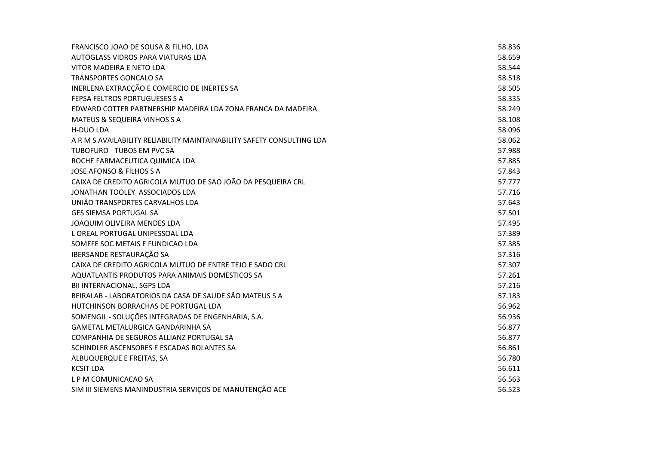| FRANCISCO JOAO DE SOUSA & FILHO, LDA                                   | 58.836 |
|------------------------------------------------------------------------|--------|
| AUTOGLASS VIDROS PARA VIATURAS LDA                                     | 58.659 |
| VITOR MADEIRA E NETO LDA                                               | 58.544 |
| <b>TRANSPORTES GONCALO SA</b>                                          | 58.518 |
| INERLENA EXTRACÇÃO E COMERCIO DE INERTES SA                            | 58.505 |
| FEPSA FELTROS PORTUGUESES S A                                          | 58.335 |
| EDWARD COTTER PARTNERSHIP MADEIRA LDA ZONA FRANCA DA MADEIRA           | 58.249 |
| MATEUS & SEQUEIRA VINHOS S A                                           | 58.108 |
| <b>H-DUO LDA</b>                                                       | 58.096 |
| A R M S AVAILABILITY RELIABILITY MAINTAINABILITY SAFETY CONSULTING LDA | 58.062 |
| TUBOFURO - TUBOS EM PVC SA                                             | 57.988 |
| ROCHE FARMACEUTICA QUIMICA LDA                                         | 57.885 |
| <b>JOSE AFONSO &amp; FILHOS S A</b>                                    | 57.843 |
| CAIXA DE CREDITO AGRICOLA MUTUO DE SAO JOÃO DA PESQUEIRA CRL           | 57.777 |
| JONATHAN TOOLEY ASSOCIADOS LDA                                         | 57.716 |
| UNIÃO TRANSPORTES CARVALHOS LDA                                        | 57.643 |
| <b>GES SIEMSA PORTUGAL SA</b>                                          | 57.501 |
| JOAQUIM OLIVEIRA MENDES LDA                                            | 57.495 |
| L OREAL PORTUGAL UNIPESSOAL LDA                                        | 57.389 |
| SOMEFE SOC METAIS E FUNDICAO LDA                                       | 57.385 |
| IBERSANDE RESTAURAÇÃO SA                                               | 57.316 |
| CAIXA DE CREDITO AGRICOLA MUTUO DE ENTRE TEJO E SADO CRL               | 57.307 |
| AQUATLANTIS PRODUTOS PARA ANIMAIS DOMESTICOS SA                        | 57.261 |
| BII INTERNACIONAL, SGPS LDA                                            | 57.216 |
| BEIRALAB - LABORATORIOS DA CASA DE SAUDE SÃO MATEUS S A                | 57.183 |
| HUTCHINSON BORRACHAS DE PORTUGAL LDA                                   | 56.962 |
| SOMENGIL - SOLUÇÕES INTEGRADAS DE ENGENHARIA, S.A.                     | 56.936 |
| <b>GAMETAL METALURGICA GANDARINHA SA</b>                               | 56.877 |
| COMPANHIA DE SEGUROS ALLIANZ PORTUGAL SA                               | 56.877 |
| SCHINDLER ASCENSORES E ESCADAS ROLANTES SA                             | 56.861 |
| ALBUQUERQUE E FREITAS, SA                                              | 56.780 |
| <b>KCSIT LDA</b>                                                       | 56.611 |
| L P M COMUNICACAO SA                                                   | 56.563 |
| SIM III SIEMENS MANINDUSTRIA SERVIÇOS DE MANUTENÇÃO ACE                | 56.523 |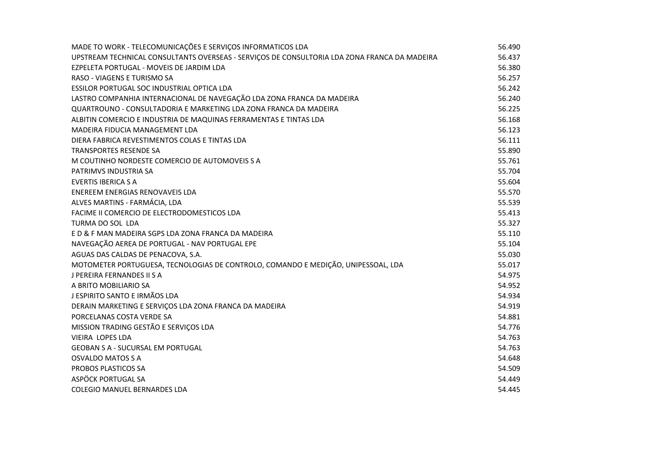| MADE TO WORK - TELECOMUNICAÇÕES E SERVIÇOS INFORMATICOS LDA                                  | 56.490 |
|----------------------------------------------------------------------------------------------|--------|
| UPSTREAM TECHNICAL CONSULTANTS OVERSEAS - SERVIÇOS DE CONSULTORIA LDA ZONA FRANCA DA MADEIRA | 56.437 |
| EZPELETA PORTUGAL - MOVEIS DE JARDIM LDA                                                     | 56.380 |
| RASO - VIAGENS E TURISMO SA                                                                  | 56.257 |
| ESSILOR PORTUGAL SOC INDUSTRIAL OPTICA LDA                                                   | 56.242 |
| LASTRO COMPANHIA INTERNACIONAL DE NAVEGAÇÃO LDA ZONA FRANCA DA MADEIRA                       | 56.240 |
| QUARTROUNO - CONSULTADORIA E MARKETING LDA ZONA FRANCA DA MADEIRA                            | 56.225 |
| ALBITIN COMERCIO E INDUSTRIA DE MAQUINAS FERRAMENTAS E TINTAS LDA                            | 56.168 |
| MADEIRA FIDUCIA MANAGEMENT LDA                                                               | 56.123 |
| DIERA FABRICA REVESTIMENTOS COLAS E TINTAS LDA                                               | 56.111 |
| <b>TRANSPORTES RESENDE SA</b>                                                                | 55.890 |
| M COUTINHO NORDESTE COMERCIO DE AUTOMOVEIS S A                                               | 55.761 |
| PATRIMVS INDUSTRIA SA                                                                        | 55.704 |
| <b>EVERTIS IBERICA S A</b>                                                                   | 55.604 |
| ENEREEM ENERGIAS RENOVAVEIS LDA                                                              | 55.570 |
| ALVES MARTINS - FARMÁCIA, LDA                                                                | 55.539 |
| FACIME II COMERCIO DE ELECTRODOMESTICOS LDA                                                  | 55.413 |
| TURMA DO SOL LDA                                                                             | 55.327 |
| E D & F MAN MADEIRA SGPS LDA ZONA FRANCA DA MADEIRA                                          | 55.110 |
| NAVEGAÇÃO AEREA DE PORTUGAL - NAV PORTUGAL EPE                                               | 55.104 |
| AGUAS DAS CALDAS DE PENACOVA, S.A.                                                           | 55.030 |
| MOTOMETER PORTUGUESA, TECNOLOGIAS DE CONTROLO, COMANDO E MEDIÇÃO, UNIPESSOAL, LDA            | 55.017 |
| J PEREIRA FERNANDES II S A                                                                   | 54.975 |
| A BRITO MOBILIARIO SA                                                                        | 54.952 |
| J ESPIRITO SANTO E IRMÃOS LDA                                                                | 54.934 |
| DERAIN MARKETING E SERVIÇOS LDA ZONA FRANCA DA MADEIRA                                       | 54.919 |
| PORCELANAS COSTA VERDE SA                                                                    | 54.881 |
| MISSION TRADING GESTÃO E SERVIÇOS LDA                                                        | 54.776 |
| <b>VIEIRA LOPES LDA</b>                                                                      | 54.763 |
| <b>GEOBAN S A - SUCURSAL EM PORTUGAL</b>                                                     | 54.763 |
| <b>OSVALDO MATOS S A</b>                                                                     | 54.648 |
| PROBOS PLASTICOS SA                                                                          | 54.509 |
| ASPÖCK PORTUGAL SA                                                                           | 54.449 |
| COLEGIO MANUEL BERNARDES LDA                                                                 | 54.445 |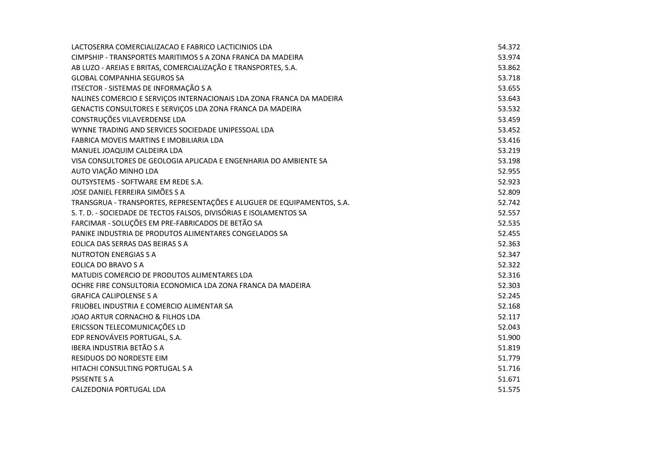| LACTOSERRA COMERCIALIZACAO E FABRICO LACTICINIOS LDA                    | 54.372 |
|-------------------------------------------------------------------------|--------|
| CIMPSHIP - TRANSPORTES MARITIMOS S A ZONA FRANCA DA MADEIRA             | 53.974 |
| AB LUZO - AREIAS E BRITAS, COMERCIALIZAÇÃO E TRANSPORTES, S.A.          | 53.862 |
| <b>GLOBAL COMPANHIA SEGUROS SA</b>                                      | 53.718 |
| ITSECTOR - SISTEMAS DE INFORMAÇÃO S A                                   | 53.655 |
| NALINES COMERCIO E SERVIÇOS INTERNACIONAIS LDA ZONA FRANCA DA MADEIRA   | 53.643 |
| GENACTIS CONSULTORES E SERVIÇOS LDA ZONA FRANCA DA MADEIRA              | 53.532 |
| CONSTRUÇÕES VILAVERDENSE LDA                                            | 53.459 |
| WYNNE TRADING AND SERVICES SOCIEDADE UNIPESSOAL LDA                     | 53.452 |
| FABRICA MOVEIS MARTINS E IMOBILIARIA LDA                                | 53.416 |
| MANUEL JOAQUIM CALDEIRA LDA                                             | 53.219 |
| VISA CONSULTORES DE GEOLOGIA APLICADA E ENGENHARIA DO AMBIENTE SA       | 53.198 |
| AUTO VIAÇÃO MINHO LDA                                                   | 52.955 |
| OUTSYSTEMS - SOFTWARE EM REDE S.A.                                      | 52.923 |
| JOSE DANIEL FERREIRA SIMÕES S A                                         | 52.809 |
| TRANSGRUA - TRANSPORTES, REPRESENTAÇÕES E ALUGUER DE EQUIPAMENTOS, S.A. | 52.742 |
| S. T. D. - SOCIEDADE DE TECTOS FALSOS, DIVISÓRIAS E ISOLAMENTOS SA      | 52.557 |
| FARCIMAR - SOLUÇÕES EM PRE-FABRICADOS DE BETÃO SA                       | 52.535 |
| PANIKE INDUSTRIA DE PRODUTOS ALIMENTARES CONGELADOS SA                  | 52.455 |
| EOLICA DAS SERRAS DAS BEIRAS S A                                        | 52.363 |
| <b>NUTROTON ENERGIAS S A</b>                                            | 52.347 |
| EOLICA DO BRAVO S A                                                     | 52.322 |
| MATUDIS COMERCIO DE PRODUTOS ALIMENTARES LDA                            | 52.316 |
| OCHRE FIRE CONSULTORIA ECONOMICA LDA ZONA FRANCA DA MADEIRA             | 52.303 |
| <b>GRAFICA CALIPOLENSE S A</b>                                          | 52.245 |
| FRIJOBEL INDUSTRIA E COMERCIO ALIMENTAR SA                              | 52.168 |
| JOAO ARTUR CORNACHO & FILHOS LDA                                        | 52.117 |
| ERICSSON TELECOMUNICAÇÕES LD                                            | 52.043 |
| EDP RENOVÁVEIS PORTUGAL, S.A.                                           | 51.900 |
| <b>IBERA INDUSTRIA BETÃO S A</b>                                        | 51.819 |
| <b>RESIDUOS DO NORDESTE EIM</b>                                         | 51.779 |
| HITACHI CONSULTING PORTUGAL S A                                         | 51.716 |
| <b>PSISENTE S A</b>                                                     | 51.671 |
| CALZEDONIA PORTUGAL LDA                                                 | 51.575 |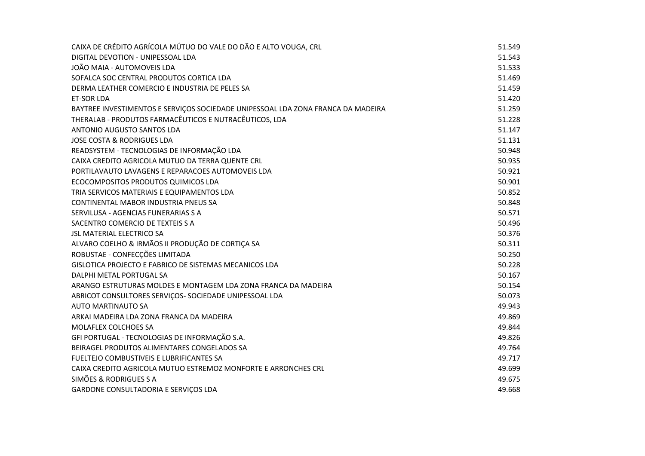| CAIXA DE CRÉDITO AGRÍCOLA MÚTUO DO VALE DO DÃO E ALTO VOUGA, CRL                 | 51.549 |
|----------------------------------------------------------------------------------|--------|
| DIGITAL DEVOTION - UNIPESSOAL LDA                                                | 51.543 |
| JOÃO MAIA - AUTOMOVEIS LDA                                                       | 51.533 |
| SOFALCA SOC CENTRAL PRODUTOS CORTICA LDA                                         | 51.469 |
| DERMA LEATHER COMERCIO E INDUSTRIA DE PELES SA                                   | 51.459 |
| <b>ET-SOR LDA</b>                                                                | 51.420 |
| BAYTREE INVESTIMENTOS E SERVIÇOS SOCIEDADE UNIPESSOAL LDA ZONA FRANCA DA MADEIRA | 51.259 |
| THERALAB - PRODUTOS FARMACÊUTICOS E NUTRACÊUTICOS, LDA                           | 51.228 |
| ANTONIO AUGUSTO SANTOS LDA                                                       | 51.147 |
| <b>JOSE COSTA &amp; RODRIGUES LDA</b>                                            | 51.131 |
| READSYSTEM - TECNOLOGIAS DE INFORMAÇÃO LDA                                       | 50.948 |
| CAIXA CREDITO AGRICOLA MUTUO DA TERRA QUENTE CRL                                 | 50.935 |
| PORTILAVAUTO LAVAGENS E REPARACOES AUTOMOVEIS LDA                                | 50.921 |
| ECOCOMPOSITOS PRODUTOS QUIMICOS LDA                                              | 50.901 |
| TRIA SERVICOS MATERIAIS E EQUIPAMENTOS LDA                                       | 50.852 |
| CONTINENTAL MABOR INDUSTRIA PNEUS SA                                             | 50.848 |
| SERVILUSA - AGENCIAS FUNERARIAS S A                                              | 50.571 |
| SACENTRO COMERCIO DE TEXTEIS S A                                                 | 50.496 |
| <b>JSL MATERIAL ELECTRICO SA</b>                                                 | 50.376 |
| ALVARO COELHO & IRMÃOS II PRODUÇÃO DE CORTIÇA SA                                 | 50.311 |
| ROBUSTAE - CONFECÇÕES LIMITADA                                                   | 50.250 |
| GISLOTICA PROJECTO E FABRICO DE SISTEMAS MECANICOS LDA                           | 50.228 |
| DALPHI METAL PORTUGAL SA                                                         | 50.167 |
| ARANGO ESTRUTURAS MOLDES E MONTAGEM LDA ZONA FRANCA DA MADEIRA                   | 50.154 |
| ABRICOT CONSULTORES SERVIÇOS- SOCIEDADE UNIPESSOAL LDA                           | 50.073 |
| <b>AUTO MARTINAUTO SA</b>                                                        | 49.943 |
| ARKAI MADEIRA LDA ZONA FRANCA DA MADEIRA                                         | 49.869 |
| MOLAFLEX COLCHOES SA                                                             | 49.844 |
| GFI PORTUGAL - TECNOLOGIAS DE INFORMAÇÃO S.A.                                    | 49.826 |
| BEIRAGEL PRODUTOS ALIMENTARES CONGELADOS SA                                      | 49.764 |
| FUELTEJO COMBUSTIVEIS E LUBRIFICANTES SA                                         | 49.717 |
| CAIXA CREDITO AGRICOLA MUTUO ESTREMOZ MONFORTE E ARRONCHES CRL                   | 49.699 |
| SIMÕES & RODRIGUES S A                                                           | 49.675 |
| GARDONE CONSULTADORIA E SERVIÇOS LDA                                             | 49.668 |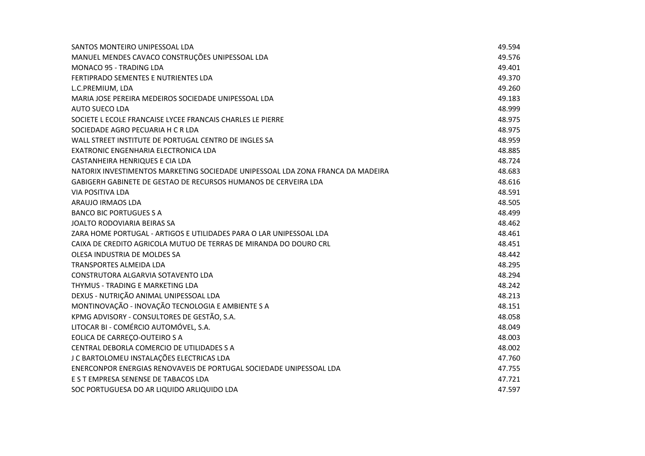| SANTOS MONTEIRO UNIPESSOAL LDA                                                  | 49.594 |
|---------------------------------------------------------------------------------|--------|
| MANUEL MENDES CAVACO CONSTRUÇÕES UNIPESSOAL LDA                                 | 49.576 |
| <b>MONACO 95 - TRADING LDA</b>                                                  | 49.401 |
| FERTIPRADO SEMENTES E NUTRIENTES LDA                                            | 49.370 |
| L.C.PREMIUM, LDA                                                                | 49.260 |
| MARIA JOSE PEREIRA MEDEIROS SOCIEDADE UNIPESSOAL LDA                            | 49.183 |
| <b>AUTO SUECO LDA</b>                                                           | 48.999 |
| SOCIETE L ECOLE FRANCAISE LYCEE FRANCAIS CHARLES LE PIERRE                      | 48.975 |
| SOCIEDADE AGRO PECUARIA H C R LDA                                               | 48.975 |
| WALL STREET INSTITUTE DE PORTUGAL CENTRO DE INGLES SA                           | 48.959 |
| EXATRONIC ENGENHARIA ELECTRONICA LDA                                            | 48.885 |
| CASTANHEIRA HENRIQUES E CIA LDA                                                 | 48.724 |
| NATORIX INVESTIMENTOS MARKETING SOCIEDADE UNIPESSOAL LDA ZONA FRANCA DA MADEIRA | 48.683 |
| GABIGERH GABINETE DE GESTAO DE RECURSOS HUMANOS DE CERVEIRA LDA                 | 48.616 |
| VIA POSITIVA LDA                                                                | 48.591 |
| ARAUJO IRMAOS LDA                                                               | 48.505 |
| <b>BANCO BIC PORTUGUES S A</b>                                                  | 48.499 |
| JOALTO RODOVIARIA BEIRAS SA                                                     | 48.462 |
| ZARA HOME PORTUGAL - ARTIGOS E UTILIDADES PARA O LAR UNIPESSOAL LDA             | 48.461 |
| CAIXA DE CREDITO AGRICOLA MUTUO DE TERRAS DE MIRANDA DO DOURO CRL               | 48.451 |
| OLESA INDUSTRIA DE MOLDES SA                                                    | 48.442 |
| <b>TRANSPORTES ALMEIDA LDA</b>                                                  | 48.295 |
| CONSTRUTORA ALGARVIA SOTAVENTO LDA                                              | 48.294 |
| THYMUS - TRADING E MARKETING LDA                                                | 48.242 |
| DEXUS - NUTRIÇÃO ANIMAL UNIPESSOAL LDA                                          | 48.213 |
| MONTINOVAÇÃO - INOVAÇÃO TECNOLOGIA E AMBIENTE S A                               | 48.151 |
| KPMG ADVISORY - CONSULTORES DE GESTÃO, S.A.                                     | 48.058 |
| LITOCAR BI - COMÉRCIO AUTOMÓVEL, S.A.                                           | 48.049 |
| EOLICA DE CARREÇO-OUTEIRO S A                                                   | 48.003 |
| CENTRAL DEBORLA COMERCIO DE UTILIDADES S A                                      | 48.002 |
| J C BARTOLOMEU INSTALAÇÕES ELECTRICAS LDA                                       | 47.760 |
| ENERCONPOR ENERGIAS RENOVAVEIS DE PORTUGAL SOCIEDADE UNIPESSOAL LDA             | 47.755 |
| E S T EMPRESA SENENSE DE TABACOS LDA                                            | 47.721 |
| SOC PORTUGUESA DO AR LIQUIDO ARLIQUIDO LDA                                      | 47.597 |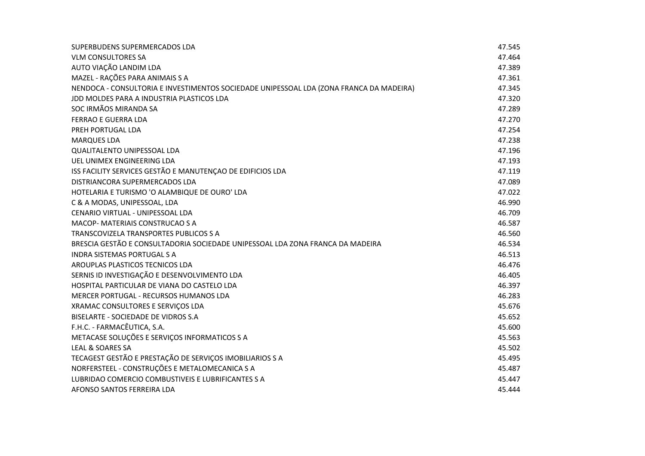| SUPERBUDENS SUPERMERCADOS LDA                                                           | 47.545 |
|-----------------------------------------------------------------------------------------|--------|
| <b>VLM CONSULTORES SA</b>                                                               | 47.464 |
| AUTO VIAÇÃO LANDIM LDA                                                                  | 47.389 |
| MAZEL - RAÇÕES PARA ANIMAIS S A                                                         | 47.361 |
| NENDOCA - CONSULTORIA E INVESTIMENTOS SOCIEDADE UNIPESSOAL LDA (ZONA FRANCA DA MADEIRA) | 47.345 |
| JDD MOLDES PARA A INDUSTRIA PLASTICOS LDA                                               | 47.320 |
| SOC IRMÃOS MIRANDA SA                                                                   | 47.289 |
| <b>FERRAO E GUERRA LDA</b>                                                              | 47.270 |
| PREH PORTUGAL LDA                                                                       | 47.254 |
| <b>MARQUES LDA</b>                                                                      | 47.238 |
| <b>QUALITALENTO UNIPESSOAL LDA</b>                                                      | 47.196 |
| UEL UNIMEX ENGINEERING LDA                                                              | 47.193 |
| ISS FACILITY SERVICES GESTÃO E MANUTENÇAO DE EDIFICIOS LDA                              | 47.119 |
| DISTRIANCORA SUPERMERCADOS LDA                                                          | 47.089 |
| HOTELARIA E TURISMO 'O ALAMBIQUE DE OURO' LDA                                           | 47.022 |
| C & A MODAS, UNIPESSOAL, LDA                                                            | 46.990 |
| CENARIO VIRTUAL - UNIPESSOAL LDA                                                        | 46.709 |
| <b>MACOP- MATERIAIS CONSTRUCAO S A</b>                                                  | 46.587 |
| TRANSCOVIZELA TRANSPORTES PUBLICOS S A                                                  | 46.560 |
| BRESCIA GESTÃO E CONSULTADORIA SOCIEDADE UNIPESSOAL LDA ZONA FRANCA DA MADEIRA          | 46.534 |
| <b>INDRA SISTEMAS PORTUGAL S A</b>                                                      | 46.513 |
| AROUPLAS PLASTICOS TECNICOS LDA                                                         | 46.476 |
| SERNIS ID INVESTIGAÇÃO E DESENVOLVIMENTO LDA                                            | 46.405 |
| HOSPITAL PARTICULAR DE VIANA DO CASTELO LDA                                             | 46.397 |
| MERCER PORTUGAL - RECURSOS HUMANOS LDA                                                  | 46.283 |
| XRAMAC CONSULTORES E SERVIÇOS LDA                                                       | 45.676 |
| BISELARTE - SOCIEDADE DE VIDROS S.A                                                     | 45.652 |
| F.H.C. - FARMACÊUTICA, S.A.                                                             | 45.600 |
| METACASE SOLUÇÕES E SERVIÇOS INFORMATICOS S A                                           | 45.563 |
| LEAL & SOARES SA                                                                        | 45.502 |
| TECAGEST GESTÃO E PRESTAÇÃO DE SERVIÇOS IMOBILIARIOS S A                                | 45.495 |
| NORFERSTEEL - CONSTRUÇÕES E METALOMECANICA S A                                          | 45.487 |
| LUBRIDAO COMERCIO COMBUSTIVEIS E LUBRIFICANTES S A                                      | 45.447 |
| AFONSO SANTOS FERREIRA LDA                                                              | 45.444 |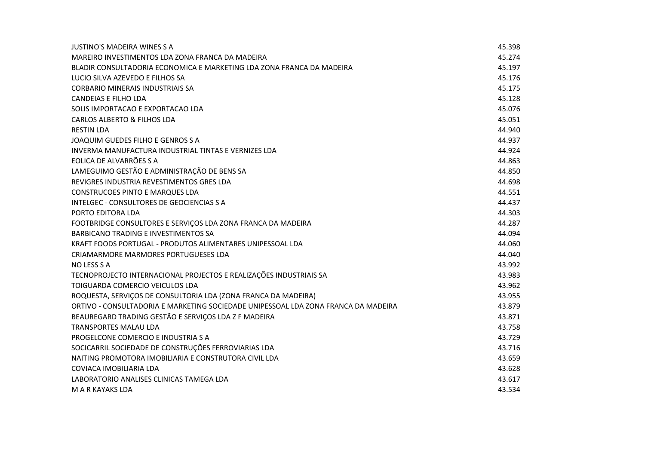| JUSTINO'S MADEIRA WINES S A                                                        | 45.398 |
|------------------------------------------------------------------------------------|--------|
| MAREIRO INVESTIMENTOS LDA ZONA FRANCA DA MADEIRA                                   | 45.274 |
| BLADIR CONSULTADORIA ECONOMICA E MARKETING LDA ZONA FRANCA DA MADEIRA              | 45.197 |
| LUCIO SILVA AZEVEDO E FILHOS SA                                                    | 45.176 |
| <b>CORBARIO MINERAIS INDUSTRIAIS SA</b>                                            | 45.175 |
| <b>CANDEIAS E FILHO LDA</b>                                                        | 45.128 |
| SOLIS IMPORTACAO E EXPORTACAO LDA                                                  | 45.076 |
| <b>CARLOS ALBERTO &amp; FILHOS LDA</b>                                             | 45.051 |
| <b>RESTIN LDA</b>                                                                  | 44.940 |
| JOAQUIM GUEDES FILHO E GENROS S A                                                  | 44.937 |
| INVERMA MANUFACTURA INDUSTRIAL TINTAS E VERNIZES LDA                               | 44.924 |
| EOLICA DE ALVARRÕES S A                                                            | 44.863 |
| LAMEGUIMO GESTÃO E ADMINISTRAÇÃO DE BENS SA                                        | 44.850 |
| REVIGRES INDUSTRIA REVESTIMENTOS GRES LDA                                          | 44.698 |
| CONSTRUCOES PINTO E MARQUES LDA                                                    | 44.551 |
| INTELGEC - CONSULTORES DE GEOCIENCIAS S A                                          | 44.437 |
| PORTO EDITORA LDA                                                                  | 44.303 |
| FOOTBRIDGE CONSULTORES E SERVIÇOS LDA ZONA FRANCA DA MADEIRA                       | 44.287 |
| <b>BARBICANO TRADING E INVESTIMENTOS SA</b>                                        | 44.094 |
| KRAFT FOODS PORTUGAL - PRODUTOS ALIMENTARES UNIPESSOAL LDA                         | 44.060 |
| CRIAMARMORE MARMORES PORTUGUESES LDA                                               | 44.040 |
| NO LESS S A                                                                        | 43.992 |
| TECNOPROJECTO INTERNACIONAL PROJECTOS E REALIZAÇÕES INDUSTRIAIS SA                 | 43.983 |
| TOIGUARDA COMERCIO VEICULOS LDA                                                    | 43.962 |
| ROQUESTA, SERVIÇOS DE CONSULTORIA LDA (ZONA FRANCA DA MADEIRA)                     | 43.955 |
| ORTIVO - CONSULTADORIA E MARKETING SOCIEDADE UNIPESSOAL LDA ZONA FRANCA DA MADEIRA | 43.879 |
| BEAUREGARD TRADING GESTÃO E SERVIÇOS LDA Z F MADEIRA                               | 43.871 |
| <b>TRANSPORTES MALAU LDA</b>                                                       | 43.758 |
| PROGELCONE COMERCIO E INDUSTRIA S A                                                | 43.729 |
| SOCICARRIL SOCIEDADE DE CONSTRUÇÕES FERROVIARIAS LDA                               | 43.716 |
| NAITING PROMOTORA IMOBILIARIA E CONSTRUTORA CIVIL LDA                              | 43.659 |
| COVIACA IMOBILIARIA LDA                                                            | 43.628 |
| LABORATORIO ANALISES CLINICAS TAMEGA LDA                                           | 43.617 |
| M A R KAYAKS LDA                                                                   | 43.534 |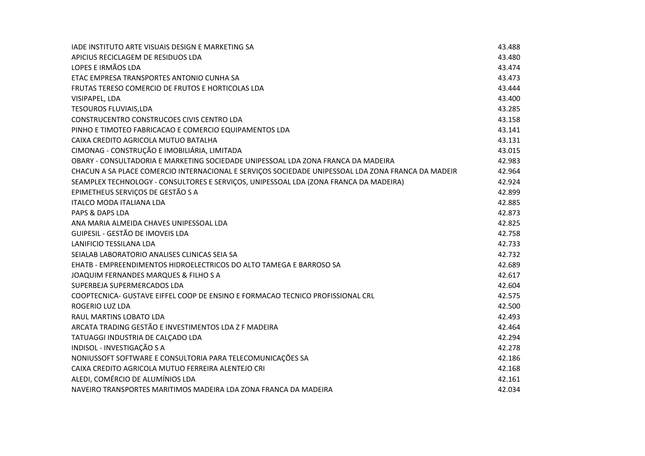| IADE INSTITUTO ARTE VISUAIS DESIGN E MARKETING SA                                                  | 43.488 |
|----------------------------------------------------------------------------------------------------|--------|
| APICIUS RECICLAGEM DE RESIDUOS LDA                                                                 | 43.480 |
| LOPES E IRMÃOS LDA                                                                                 | 43.474 |
| ETAC EMPRESA TRANSPORTES ANTONIO CUNHA SA                                                          | 43.473 |
| FRUTAS TERESO COMERCIO DE FRUTOS E HORTICOLAS LDA                                                  | 43.444 |
| VISIPAPEL, LDA                                                                                     | 43.400 |
| <b>TESOUROS FLUVIAIS, LDA</b>                                                                      | 43.285 |
| CONSTRUCENTRO CONSTRUCOES CIVIS CENTRO LDA                                                         | 43.158 |
| PINHO E TIMOTEO FABRICACAO E COMERCIO EQUIPAMENTOS LDA                                             | 43.141 |
| CAIXA CREDITO AGRICOLA MUTUO BATALHA                                                               | 43.131 |
| CIMONAG - CONSTRUÇÃO E IMOBILIÁRIA, LIMITADA                                                       | 43.015 |
| OBARY - CONSULTADORIA E MARKETING SOCIEDADE UNIPESSOAL LDA ZONA FRANCA DA MADEIRA                  | 42.983 |
| CHACUN A SA PLACE COMERCIO INTERNACIONAL E SERVIÇOS SOCIEDADE UNIPESSOAL LDA ZONA FRANCA DA MADEIR | 42.964 |
| SEAMPLEX TECHNOLOGY - CONSULTORES E SERVIÇOS, UNIPESSOAL LDA (ZONA FRANCA DA MADEIRA)              | 42.924 |
| EPIMETHEUS SERVIÇOS DE GESTÃO S A                                                                  | 42.899 |
| <b>ITALCO MODA ITALIANA LDA</b>                                                                    | 42.885 |
| PAPS & DAPS LDA                                                                                    | 42.873 |
| ANA MARIA ALMEIDA CHAVES UNIPESSOAL LDA                                                            | 42.825 |
| GUIPESIL - GESTÃO DE IMOVEIS LDA                                                                   | 42.758 |
| LANIFICIO TESSILANA LDA                                                                            | 42.733 |
| SEIALAB LABORATORIO ANALISES CLINICAS SEIA SA                                                      | 42.732 |
| EHATB - EMPREENDIMENTOS HIDROELECTRICOS DO ALTO TAMEGA E BARROSO SA                                | 42.689 |
| JOAQUIM FERNANDES MARQUES & FILHO S A                                                              | 42.617 |
| SUPERBEJA SUPERMERCADOS LDA                                                                        | 42.604 |
| COOPTECNICA- GUSTAVE EIFFEL COOP DE ENSINO E FORMACAO TECNICO PROFISSIONAL CRL                     | 42.575 |
| <b>ROGERIO LUZ LDA</b>                                                                             | 42.500 |
| RAUL MARTINS LOBATO LDA                                                                            | 42.493 |
| ARCATA TRADING GESTÃO E INVESTIMENTOS LDA Z F MADEIRA                                              | 42.464 |
| TATUAGGI INDUSTRIA DE CALÇADO LDA                                                                  | 42.294 |
| INDISOL - INVESTIGAÇÃO S A                                                                         | 42.278 |
| NONIUSSOFT SOFTWARE E CONSULTORIA PARA TELECOMUNICAÇÕES SA                                         | 42.186 |
| CAIXA CREDITO AGRICOLA MUTUO FERREIRA ALENTEJO CRI                                                 | 42.168 |
| ALEDI, COMÉRCIO DE ALUMÍNIOS LDA                                                                   | 42.161 |
| NAVEIRO TRANSPORTES MARITIMOS MADEIRA LDA ZONA FRANCA DA MADEIRA                                   | 42.034 |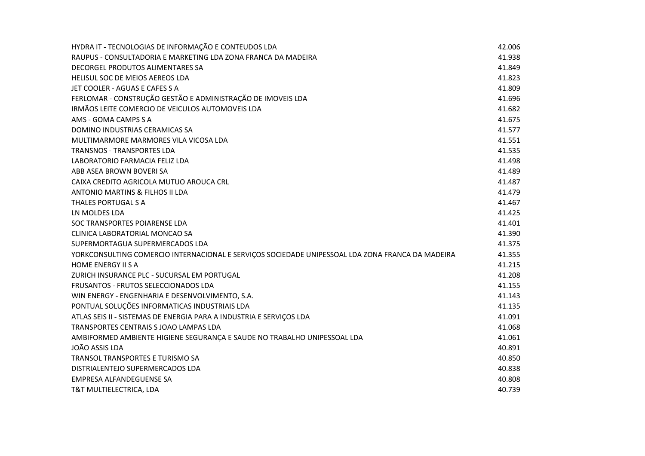| HYDRA IT - TECNOLOGIAS DE INFORMAÇÃO E CONTEUDOS LDA                                             | 42.006 |
|--------------------------------------------------------------------------------------------------|--------|
| RAUPUS - CONSULTADORIA E MARKETING LDA ZONA FRANCA DA MADEIRA                                    | 41.938 |
| DECORGEL PRODUTOS ALIMENTARES SA                                                                 | 41.849 |
| HELISUL SOC DE MEIOS AEREOS LDA                                                                  | 41.823 |
| JET COOLER - AGUAS E CAFES S A                                                                   | 41.809 |
| FERLOMAR - CONSTRUÇÃO GESTÃO E ADMINISTRAÇÃO DE IMOVEIS LDA                                      | 41.696 |
| IRMÃOS LEITE COMERCIO DE VEICULOS AUTOMOVEIS LDA                                                 | 41.682 |
| AMS - GOMA CAMPS S A                                                                             | 41.675 |
| DOMINO INDUSTRIAS CERAMICAS SA                                                                   | 41.577 |
| MULTIMARMORE MARMORES VILA VICOSA LDA                                                            | 41.551 |
| <b>TRANSNOS - TRANSPORTES LDA</b>                                                                | 41.535 |
| LABORATORIO FARMACIA FELIZ LDA                                                                   | 41.498 |
| ABB ASEA BROWN BOVERI SA                                                                         | 41.489 |
| CAIXA CREDITO AGRICOLA MUTUO AROUCA CRL                                                          | 41.487 |
| ANTONIO MARTINS & FILHOS II LDA                                                                  | 41.479 |
| THALES PORTUGAL S A                                                                              | 41.467 |
| LN MOLDES LDA                                                                                    | 41.425 |
| SOC TRANSPORTES POIARENSE LDA                                                                    | 41.401 |
| CLINICA LABORATORIAL MONCAO SA                                                                   | 41.390 |
| SUPERMORTAGUA SUPERMERCADOS LDA                                                                  | 41.375 |
| YORKCONSULTING COMERCIO INTERNACIONAL E SERVIÇOS SOCIEDADE UNIPESSOAL LDA ZONA FRANCA DA MADEIRA | 41.355 |
| <b>HOME ENERGY II S A</b>                                                                        | 41.215 |
| ZURICH INSURANCE PLC - SUCURSAL EM PORTUGAL                                                      | 41.208 |
| FRUSANTOS - FRUTOS SELECCIONADOS LDA                                                             | 41.155 |
| WIN ENERGY - ENGENHARIA E DESENVOLVIMENTO, S.A.                                                  | 41.143 |
| PONTUAL SOLUÇÕES INFORMATICAS INDUSTRIAIS LDA                                                    | 41.135 |
| ATLAS SEIS II - SISTEMAS DE ENERGIA PARA A INDUSTRIA E SERVIÇOS LDA                              | 41.091 |
| TRANSPORTES CENTRAIS S JOAO LAMPAS LDA                                                           | 41.068 |
| AMBIFORMED AMBIENTE HIGIENE SEGURANÇA E SAUDE NO TRABALHO UNIPESSOAL LDA                         | 41.061 |
| <b>JOÃO ASSIS LDA</b>                                                                            | 40.891 |
| TRANSOL TRANSPORTES E TURISMO SA                                                                 | 40.850 |
| DISTRIALENTEJO SUPERMERCADOS LDA                                                                 | 40.838 |
| <b>EMPRESA ALFANDEGUENSE SA</b>                                                                  | 40.808 |
| T&T MULTIELECTRICA, LDA                                                                          | 40.739 |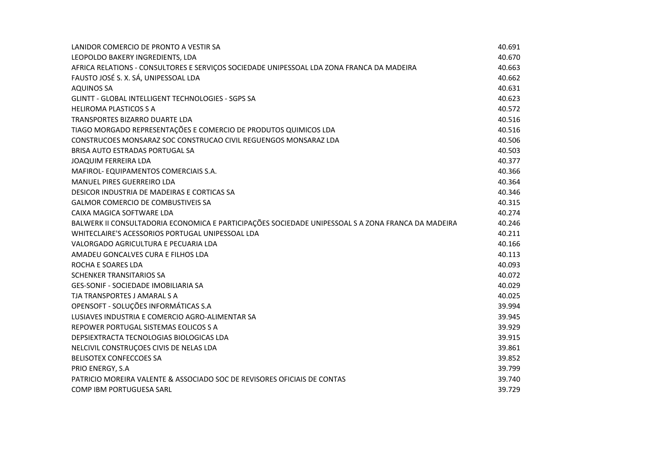| LANIDOR COMERCIO DE PRONTO A VESTIR SA                                                             | 40.691 |
|----------------------------------------------------------------------------------------------------|--------|
| LEOPOLDO BAKERY INGREDIENTS, LDA                                                                   | 40.670 |
| AFRICA RELATIONS - CONSULTORES E SERVIÇOS SOCIEDADE UNIPESSOAL LDA ZONA FRANCA DA MADEIRA          | 40.663 |
| FAUSTO JOSÉ S. X. SÁ, UNIPESSOAL LDA                                                               | 40.662 |
| <b>AQUINOS SA</b>                                                                                  | 40.631 |
| GLINTT - GLOBAL INTELLIGENT TECHNOLOGIES - SGPS SA                                                 | 40.623 |
| <b>HELIROMA PLASTICOS S A</b>                                                                      | 40.572 |
| TRANSPORTES BIZARRO DUARTE LDA                                                                     | 40.516 |
| TIAGO MORGADO REPRESENTAÇÕES E COMERCIO DE PRODUTOS QUIMICOS LDA                                   | 40.516 |
| CONSTRUCOES MONSARAZ SOC CONSTRUCAO CIVIL REGUENGOS MONSARAZ LDA                                   | 40.506 |
| BRISA AUTO ESTRADAS PORTUGAL SA                                                                    | 40.503 |
| <b>JOAQUIM FERREIRA LDA</b>                                                                        | 40.377 |
| MAFIROL-EQUIPAMENTOS COMERCIAIS S.A.                                                               | 40.366 |
| MANUEL PIRES GUERREIRO LDA                                                                         | 40.364 |
| DESICOR INDUSTRIA DE MADEIRAS E CORTICAS SA                                                        | 40.346 |
| <b>GALMOR COMERCIO DE COMBUSTIVEIS SA</b>                                                          | 40.315 |
| CAIXA MAGICA SOFTWARE LDA                                                                          | 40.274 |
| BALWERK II CONSULTADORIA ECONOMICA E PARTICIPAÇÕES SOCIEDADE UNIPESSOAL S A ZONA FRANCA DA MADEIRA | 40.246 |
| WHITECLAIRE'S ACESSORIOS PORTUGAL UNIPESSOAL LDA                                                   | 40.211 |
| VALORGADO AGRICULTURA E PECUARIA LDA                                                               | 40.166 |
| AMADEU GONCALVES CURA E FILHOS LDA                                                                 | 40.113 |
| ROCHA E SOARES LDA                                                                                 | 40.093 |
| <b>SCHENKER TRANSITARIOS SA</b>                                                                    | 40.072 |
| <b>GES-SONIF - SOCIEDADE IMOBILIARIA SA</b>                                                        | 40.029 |
| TJA TRANSPORTES J AMARAL S A                                                                       | 40.025 |
| OPENSOFT - SOLUÇÕES INFORMÁTICAS S.A                                                               | 39.994 |
| LUSIAVES INDUSTRIA E COMERCIO AGRO-ALIMENTAR SA                                                    | 39.945 |
| REPOWER PORTUGAL SISTEMAS EOLICOS S A                                                              | 39.929 |
| DEPSIEXTRACTA TECNOLOGIAS BIOLOGICAS LDA                                                           | 39.915 |
| NELCIVIL CONSTRUÇOES CIVIS DE NELAS LDA                                                            | 39.861 |
| BELISOTEX CONFECCOES SA                                                                            | 39.852 |
| PRIO ENERGY, S.A                                                                                   | 39.799 |
| PATRICIO MOREIRA VALENTE & ASSOCIADO SOC DE REVISORES OFICIAIS DE CONTAS                           | 39.740 |
| COMP IBM PORTUGUESA SARL                                                                           | 39.729 |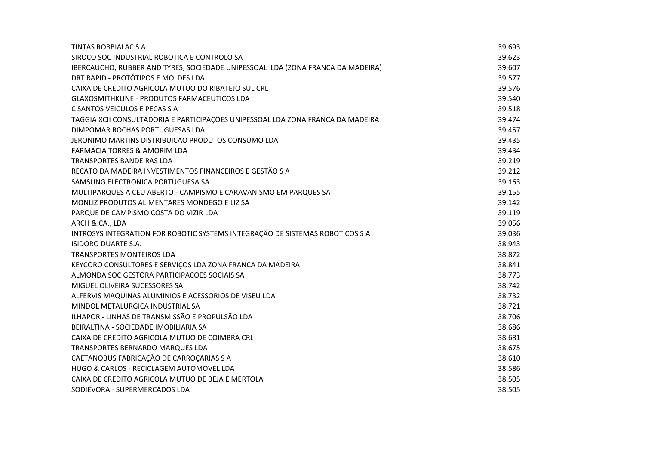| TINTAS ROBBIALAC S A                                                            | 39.693 |
|---------------------------------------------------------------------------------|--------|
| SIROCO SOC INDUSTRIAL ROBOTICA E CONTROLO SA                                    | 39.623 |
| IBERCAUCHO, RUBBER AND TYRES, SOCIEDADE UNIPESSOAL LDA (ZONA FRANCA DA MADEIRA) | 39.607 |
| DRT RAPID - PROTÓTIPOS E MOLDES LDA                                             | 39.577 |
| CAIXA DE CREDITO AGRICOLA MUTUO DO RIBATEJO SUL CRL                             | 39.576 |
| GLAXOSMITHKLINE - PRODUTOS FARMACEUTICOS LDA                                    | 39.540 |
| C SANTOS VEICULOS E PECAS S A                                                   | 39.518 |
| TAGGIA XCII CONSULTADORIA E PARTICIPAÇÕES UNIPESSOAL LDA ZONA FRANCA DA MADEIRA | 39.474 |
| DIMPOMAR ROCHAS PORTUGUESAS LDA                                                 | 39.457 |
| JERONIMO MARTINS DISTRIBUICAO PRODUTOS CONSUMO LDA                              | 39.435 |
| FARMÁCIA TORRES & AMORIM LDA                                                    | 39.434 |
| <b>TRANSPORTES BANDEIRAS LDA</b>                                                | 39.219 |
| RECATO DA MADEIRA INVESTIMENTOS FINANCEIROS E GESTÃO S A                        | 39.212 |
| SAMSUNG ELECTRONICA PORTUGUESA SA                                               | 39.163 |
| MULTIPARQUES A CEU ABERTO - CAMPISMO E CARAVANISMO EM PARQUES SA                | 39.155 |
| MONLIZ PRODUTOS ALIMENTARES MONDEGO E LIZ SA                                    | 39.142 |
| PARQUE DE CAMPISMO COSTA DO VIZIR LDA                                           | 39.119 |
| ARCH & CA., LDA                                                                 | 39.056 |
| INTROSYS INTEGRATION FOR ROBOTIC SYSTEMS INTEGRAÇÃO DE SISTEMAS ROBOTICOS S A   | 39.036 |
| <b>ISIDORO DUARTE S.A.</b>                                                      | 38.943 |
| <b>TRANSPORTES MONTEIROS LDA</b>                                                | 38.872 |
| KEYCORO CONSULTORES E SERVIÇOS LDA ZONA FRANCA DA MADEIRA                       | 38.841 |
| ALMONDA SOC GESTORA PARTICIPACOES SOCIAIS SA                                    | 38.773 |
| MIGUEL OLIVEIRA SUCESSORES SA                                                   | 38.742 |
| ALFERVIS MAQUINAS ALUMINIOS E ACESSORIOS DE VISEU LDA                           | 38.732 |
| MINDOL METALURGICA INDUSTRIAL SA                                                | 38.721 |
| ILHAPOR - LINHAS DE TRANSMISSÃO E PROPULSÃO LDA                                 | 38.706 |
| BEIRALTINA - SOCIEDADE IMOBILIARIA SA                                           | 38.686 |
| CAIXA DE CREDITO AGRICOLA MUTUO DE COIMBRA CRL                                  | 38.681 |
| TRANSPORTES BERNARDO MARQUES LDA                                                | 38.675 |
| CAETANOBUS FABRICAÇÃO DE CARROÇARIAS S A                                        | 38.610 |
| HUGO & CARLOS - RECICLAGEM AUTOMOVEL LDA                                        | 38.586 |
| CAIXA DE CREDITO AGRICOLA MUTUO DE BEJA E MERTOLA                               | 38.505 |
| SODIÉVORA - SUPERMERCADOS LDA                                                   | 38.505 |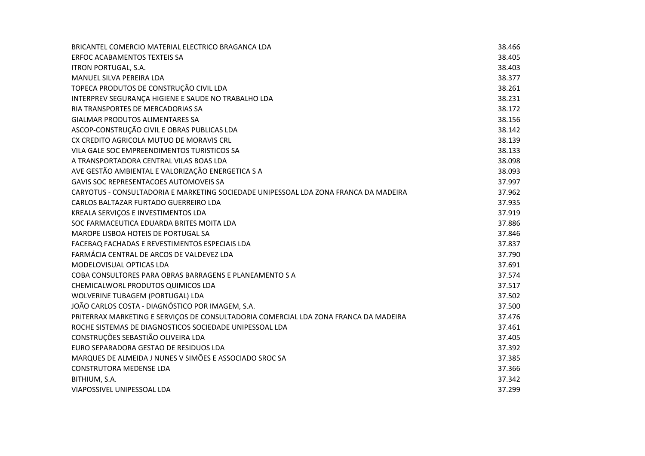| BRICANTEL COMERCIO MATERIAL ELECTRICO BRAGANCA LDA                                   | 38.466 |
|--------------------------------------------------------------------------------------|--------|
| <b>ERFOC ACABAMENTOS TEXTEIS SA</b>                                                  | 38.405 |
| <b>ITRON PORTUGAL, S.A.</b>                                                          | 38.403 |
| MANUEL SILVA PEREIRA LDA                                                             | 38.377 |
| TOPECA PRODUTOS DE CONSTRUÇÃO CIVIL LDA                                              | 38.261 |
| INTERPREV SEGURANÇA HIGIENE E SAUDE NO TRABALHO LDA                                  | 38.231 |
| RIA TRANSPORTES DE MERCADORIAS SA                                                    | 38.172 |
| <b>GIALMAR PRODUTOS ALIMENTARES SA</b>                                               | 38.156 |
| ASCOP-CONSTRUÇÃO CIVIL E OBRAS PUBLICAS LDA                                          | 38.142 |
| CX CREDITO AGRICOLA MUTUO DE MORAVIS CRL                                             | 38.139 |
| VILA GALE SOC EMPREENDIMENTOS TURISTICOS SA                                          | 38.133 |
| A TRANSPORTADORA CENTRAL VILAS BOAS LDA                                              | 38.098 |
| AVE GESTÃO AMBIENTAL E VALORIZAÇÃO ENERGETICA S A                                    | 38.093 |
| <b>GAVIS SOC REPRESENTACOES AUTOMOVEIS SA</b>                                        | 37.997 |
| CARYOTUS - CONSULTADORIA E MARKETING SOCIEDADE UNIPESSOAL LDA ZONA FRANCA DA MADEIRA | 37.962 |
| CARLOS BALTAZAR FURTADO GUERREIRO LDA                                                | 37.935 |
| KREALA SERVIÇOS E INVESTIMENTOS LDA                                                  | 37.919 |
| SOC FARMACEUTICA EDUARDA BRITES MOITA LDA                                            | 37.886 |
| MAROPE LISBOA HOTEIS DE PORTUGAL SA                                                  | 37.846 |
| FACEBAQ FACHADAS E REVESTIMENTOS ESPECIAIS LDA                                       | 37.837 |
| FARMÁCIA CENTRAL DE ARCOS DE VALDEVEZ LDA                                            | 37.790 |
| MODELOVISUAL OPTICAS LDA                                                             | 37.691 |
| COBA CONSULTORES PARA OBRAS BARRAGENS E PLANEAMENTO S A                              | 37.574 |
| CHEMICALWORL PRODUTOS QUIMICOS LDA                                                   | 37.517 |
| WOLVERINE TUBAGEM (PORTUGAL) LDA                                                     | 37.502 |
| JOÃO CARLOS COSTA - DIAGNÓSTICO POR IMAGEM, S.A.                                     | 37.500 |
| PRITERRAX MARKETING E SERVIÇOS DE CONSULTADORIA COMERCIAL LDA ZONA FRANCA DA MADEIRA | 37.476 |
| ROCHE SISTEMAS DE DIAGNOSTICOS SOCIEDADE UNIPESSOAL LDA                              | 37.461 |
| CONSTRUÇÕES SEBASTIÃO OLIVEIRA LDA                                                   | 37.405 |
| EURO SEPARADORA GESTAO DE RESIDUOS LDA                                               | 37.392 |
| MARQUES DE ALMEIDA J NUNES V SIMÕES E ASSOCIADO SROC SA                              | 37.385 |
| <b>CONSTRUTORA MEDENSE LDA</b>                                                       | 37.366 |
| BITHIUM, S.A.                                                                        | 37.342 |
| VIAPOSSIVEL UNIPESSOAL LDA                                                           | 37.299 |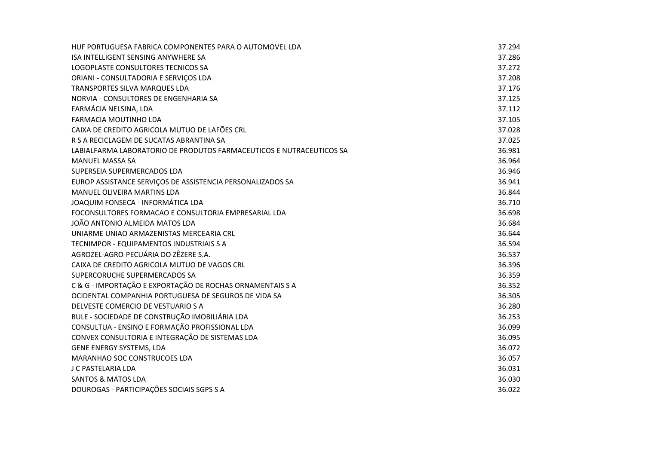| HUF PORTUGUESA FABRICA COMPONENTES PARA O AUTOMOVEL LDA              | 37.294 |
|----------------------------------------------------------------------|--------|
| ISA INTELLIGENT SENSING ANYWHERE SA                                  | 37.286 |
| LOGOPLASTE CONSULTORES TECNICOS SA                                   | 37.272 |
| ORIANI - CONSULTADORIA E SERVIÇOS LDA                                | 37.208 |
| TRANSPORTES SILVA MARQUES LDA                                        | 37.176 |
| NORVIA - CONSULTORES DE ENGENHARIA SA                                | 37.125 |
| FARMÁCIA NELSINA, LDA                                                | 37.112 |
| FARMACIA MOUTINHO LDA                                                | 37.105 |
| CAIXA DE CREDITO AGRICOLA MUTUO DE LAFÕES CRL                        | 37.028 |
| R S A RECICLAGEM DE SUCATAS ABRANTINA SA                             | 37.025 |
| LABIALFARMA LABORATORIO DE PRODUTOS FARMACEUTICOS E NUTRACEUTICOS SA | 36.981 |
| <b>MANUEL MASSA SA</b>                                               | 36.964 |
| SUPERSEIA SUPERMERCADOS LDA                                          | 36.946 |
| EUROP ASSISTANCE SERVIÇOS DE ASSISTENCIA PERSONALIZADOS SA           | 36.941 |
| <b>MANUEL OLIVEIRA MARTINS LDA</b>                                   | 36.844 |
| JOAQUIM FONSECA - INFORMÁTICA LDA                                    | 36.710 |
| FOCONSULTORES FORMACAO E CONSULTORIA EMPRESARIAL LDA                 | 36.698 |
| JOÃO ANTONIO ALMEIDA MATOS LDA                                       | 36.684 |
| UNIARME UNIAO ARMAZENISTAS MERCEARIA CRL                             | 36.644 |
| TECNIMPOR - EQUIPAMENTOS INDUSTRIAIS S A                             | 36.594 |
| AGROZEL-AGRO-PECUÁRIA DO ZÊZERE S.A.                                 | 36.537 |
| CAIXA DE CREDITO AGRICOLA MUTUO DE VAGOS CRL                         | 36.396 |
| SUPERCORUCHE SUPERMERCADOS SA                                        | 36.359 |
| C & G - IMPORTAÇÃO E EXPORTAÇÃO DE ROCHAS ORNAMENTAIS S A            | 36.352 |
| OCIDENTAL COMPANHIA PORTUGUESA DE SEGUROS DE VIDA SA                 | 36.305 |
| DELVESTE COMERCIO DE VESTUARIO S A                                   | 36.280 |
| BULE - SOCIEDADE DE CONSTRUÇÃO IMOBILIÁRIA LDA                       | 36.253 |
| CONSULTUA - ENSINO E FORMAÇÃO PROFISSIONAL LDA                       | 36.099 |
| CONVEX CONSULTORIA E INTEGRAÇÃO DE SISTEMAS LDA                      | 36.095 |
| GENE ENERGY SYSTEMS, LDA                                             | 36.072 |
| MARANHAO SOC CONSTRUCOES LDA                                         | 36.057 |
| J C PASTELARIA LDA                                                   | 36.031 |
| <b>SANTOS &amp; MATOS LDA</b>                                        | 36.030 |
| DOUROGAS - PARTICIPAÇÕES SOCIAIS SGPS S A                            | 36.022 |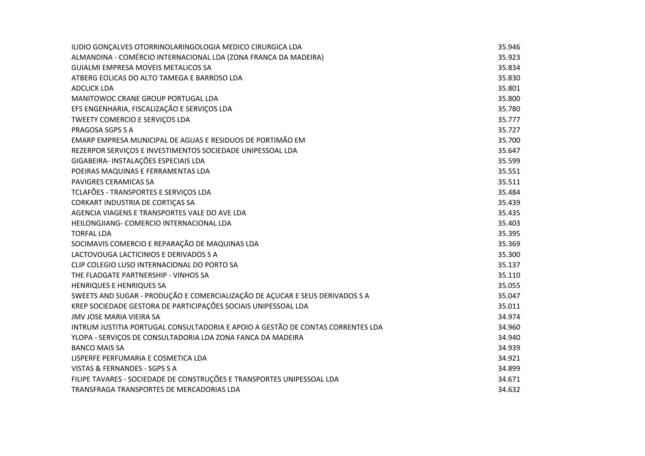| ILIDIO GONÇALVES OTORRINOLARINGOLOGIA MEDICO CIRURGICA LDA                      | 35.946 |
|---------------------------------------------------------------------------------|--------|
| ALMANDINA - COMÉRCIO INTERNACIONAL LDA (ZONA FRANCA DA MADEIRA)                 | 35.923 |
| <b>GUIALMI EMPRESA MOVEIS METALICOS SA</b>                                      | 35.834 |
| ATBERG EOLICAS DO ALTO TAMEGA E BARROSO LDA                                     | 35.830 |
| <b>ADCLICK LDA</b>                                                              | 35.801 |
| MANITOWOC CRANE GROUP PORTUGAL LDA                                              | 35.800 |
| EFS ENGENHARIA, FISCALIZAÇÃO E SERVIÇOS LDA                                     | 35.780 |
| TWEETY COMERCIO E SERVIÇOS LDA                                                  | 35.777 |
| PRAGOSA SGPS S A                                                                | 35.727 |
| EMARP EMPRESA MUNICIPAL DE AGUAS E RESIDUOS DE PORTIMÃO EM                      | 35.700 |
| REZERPOR SERVIÇOS E INVESTIMENTOS SOCIEDADE UNIPESSOAL LDA                      | 35.647 |
| GIGABEIRA- INSTALAÇÕES ESPECIAIS LDA                                            | 35.599 |
| POEIRAS MAQUINAS E FERRAMENTAS LDA                                              | 35.551 |
| PAVIGRES CERAMICAS SA                                                           | 35.511 |
| TCLAFÕES - TRANSPORTES E SERVIÇOS LDA                                           | 35.484 |
| CORKART INDUSTRIA DE CORTIÇAS SA                                                | 35.439 |
| AGENCIA VIAGENS E TRANSPORTES VALE DO AVE LDA                                   | 35.435 |
| HEILONGJIANG- COMERCIO INTERNACIONAL LDA                                        | 35.403 |
| <b>TORFAL LDA</b>                                                               | 35.395 |
| SOCIMAVIS COMERCIO E REPARAÇÃO DE MAQUINAS LDA                                  | 35.369 |
| LACTOVOUGA LACTICINIOS E DERIVADOS S A                                          | 35.300 |
| CLIP COLEGIO LUSO INTERNACIONAL DO PORTO SA                                     | 35.137 |
| THE FLADGATE PARTNERSHIP - VINHOS SA                                            | 35.110 |
| <b>HENRIQUES E HENRIQUES SA</b>                                                 | 35.055 |
| SWEETS AND SUGAR - PRODUÇÃO E COMERCIALIZAÇÃO DE AÇUCAR E SEUS DERIVADOS S A    | 35.047 |
| KREP SOCIEDADE GESTORA DE PARTICIPAÇÕES SOCIAIS UNIPESSOAL LDA                  | 35.011 |
| JMV JOSE MARIA VIEIRA SA                                                        | 34.974 |
| INTRUM JUSTITIA PORTUGAL CONSULTADORIA E APOIO A GESTÃO DE CONTAS CORRENTES LDA | 34.960 |
| YLOPA - SERVIÇOS DE CONSULTADORIA LDA ZONA FANCA DA MADEIRA                     | 34.940 |
| <b>BANCO MAIS SA</b>                                                            | 34.939 |
| LISPERFE PERFUMARIA E COSMETICA LDA                                             | 34.921 |
| VISTAS & FERNANDES - SGPS S A                                                   | 34.899 |
| FILIPE TAVARES - SOCIEDADE DE CONSTRUÇÕES E TRANSPORTES UNIPESSOAL LDA          | 34.671 |
| TRANSFRAGA TRANSPORTES DE MERCADORIAS LDA                                       | 34.632 |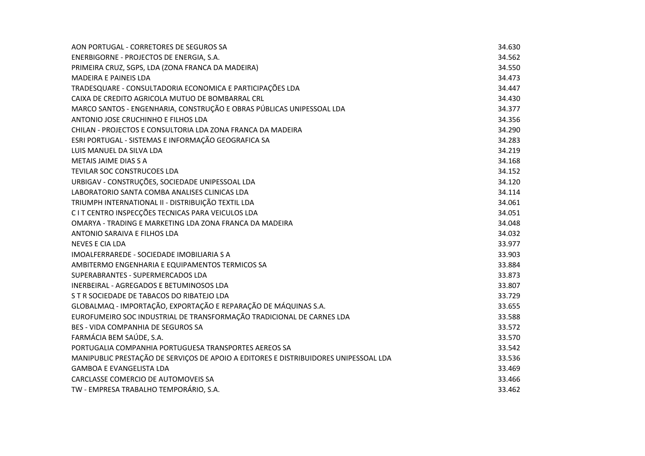| AON PORTUGAL - CORRETORES DE SEGUROS SA                                              | 34.630 |
|--------------------------------------------------------------------------------------|--------|
| ENERBIGORNE - PROJECTOS DE ENERGIA, S.A.                                             | 34.562 |
| PRIMEIRA CRUZ, SGPS, LDA (ZONA FRANCA DA MADEIRA)                                    | 34.550 |
| <b>MADEIRA E PAINEIS LDA</b>                                                         | 34.473 |
| TRADESQUARE - CONSULTADORIA ECONOMICA E PARTICIPAÇÕES LDA                            | 34.447 |
| CAIXA DE CREDITO AGRICOLA MUTUO DE BOMBARRAL CRL                                     | 34.430 |
| MARCO SANTOS - ENGENHARIA, CONSTRUÇÃO E OBRAS PÚBLICAS UNIPESSOAL LDA                | 34.377 |
| ANTONIO JOSE CRUCHINHO E FILHOS LDA                                                  | 34.356 |
| CHILAN - PROJECTOS E CONSULTORIA LDA ZONA FRANCA DA MADEIRA                          | 34.290 |
| ESRI PORTUGAL - SISTEMAS E INFORMAÇÃO GEOGRAFICA SA                                  | 34.283 |
| LUIS MANUEL DA SILVA LDA                                                             | 34.219 |
| <b>METAIS JAIME DIAS S A</b>                                                         | 34.168 |
| TEVILAR SOC CONSTRUCOES LDA                                                          | 34.152 |
| URBIGAV - CONSTRUÇÕES, SOCIEDADE UNIPESSOAL LDA                                      | 34.120 |
| LABORATORIO SANTA COMBA ANALISES CLINICAS LDA                                        | 34.114 |
| TRIUMPH INTERNATIONAL II - DISTRIBUIÇÃO TEXTIL LDA                                   | 34.061 |
| C I T CENTRO INSPECÇÕES TECNICAS PARA VEICULOS LDA                                   | 34.051 |
| OMARYA - TRADING E MARKETING LDA ZONA FRANCA DA MADEIRA                              | 34.048 |
| ANTONIO SARAIVA E FILHOS LDA                                                         | 34.032 |
| <b>NEVES E CIA LDA</b>                                                               | 33.977 |
| IMOALFERRAREDE - SOCIEDADE IMOBILIARIA S A                                           | 33.903 |
| AMBITERMO ENGENHARIA E EQUIPAMENTOS TERMICOS SA                                      | 33.884 |
| SUPERABRANTES - SUPERMERCADOS LDA                                                    | 33.873 |
| INERBEIRAL - AGREGADOS E BETUMINOSOS LDA                                             | 33.807 |
| S T R SOCIEDADE DE TABACOS DO RIBATEJO LDA                                           | 33.729 |
| GLOBALMAQ - IMPORTAÇÃO, EXPORTAÇÃO E REPARAÇÃO DE MÁQUINAS S.A.                      | 33.655 |
| EUROFUMEIRO SOC INDUSTRIAL DE TRANSFORMAÇÃO TRADICIONAL DE CARNES LDA                | 33.588 |
| <b>BES - VIDA COMPANHIA DE SEGUROS SA</b>                                            | 33.572 |
| FARMÁCIA BEM SAÚDE, S.A.                                                             | 33.570 |
| PORTUGALIA COMPANHIA PORTUGUESA TRANSPORTES AEREOS SA                                | 33.542 |
| MANIPUBLIC PRESTAÇÃO DE SERVIÇOS DE APOIO A EDITORES E DISTRIBUIDORES UNIPESSOAL LDA | 33.536 |
| <b>GAMBOA E EVANGELISTA LDA</b>                                                      | 33.469 |
| CARCLASSE COMERCIO DE AUTOMOVEIS SA                                                  | 33.466 |
| TW - EMPRESA TRABALHO TEMPORÁRIO, S.A.                                               | 33.462 |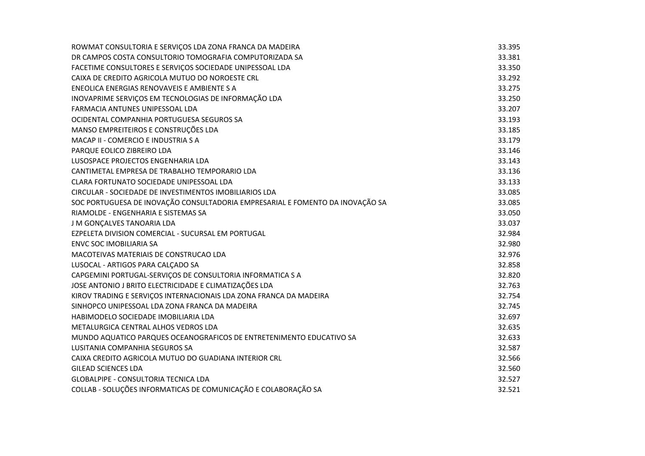| ROWMAT CONSULTORIA E SERVIÇOS LDA ZONA FRANCA DA MADEIRA                      | 33.395 |
|-------------------------------------------------------------------------------|--------|
| DR CAMPOS COSTA CONSULTORIO TOMOGRAFIA COMPUTORIZADA SA                       | 33.381 |
| FACETIME CONSULTORES E SERVIÇOS SOCIEDADE UNIPESSOAL LDA                      | 33.350 |
| CAIXA DE CREDITO AGRICOLA MUTUO DO NOROESTE CRL                               | 33.292 |
| ENEOLICA ENERGIAS RENOVAVEIS E AMBIENTE S A                                   | 33.275 |
| INOVAPRIME SERVIÇOS EM TECNOLOGIAS DE INFORMAÇÃO LDA                          | 33.250 |
| <b>FARMACIA ANTUNES UNIPESSOAL LDA</b>                                        | 33.207 |
| OCIDENTAL COMPANHIA PORTUGUESA SEGUROS SA                                     | 33.193 |
| MANSO EMPREITEIROS E CONSTRUÇÕES LDA                                          | 33.185 |
| MACAP II - COMERCIO E INDUSTRIA S A                                           | 33.179 |
| PARQUE EOLICO ZIBREIRO LDA                                                    | 33.146 |
| LUSOSPACE PROJECTOS ENGENHARIA LDA                                            | 33.143 |
| CANTIMETAL EMPRESA DE TRABALHO TEMPORARIO LDA                                 | 33.136 |
| CLARA FORTUNATO SOCIEDADE UNIPESSOAL LDA                                      | 33.133 |
| CIRCULAR - SOCIEDADE DE INVESTIMENTOS IMOBILIARIOS LDA                        | 33.085 |
| SOC PORTUGUESA DE INOVAÇÃO CONSULTADORIA EMPRESARIAL E FOMENTO DA INOVAÇÃO SA | 33.085 |
| RIAMOLDE - ENGENHARIA E SISTEMAS SA                                           | 33.050 |
| J M GONÇALVES TANOARIA LDA                                                    | 33.037 |
| EZPELETA DIVISION COMERCIAL - SUCURSAL EM PORTUGAL                            | 32.984 |
| <b>ENVC SOC IMOBILIARIA SA</b>                                                | 32.980 |
| MACOTEIVAS MATERIAIS DE CONSTRUCAO LDA                                        | 32.976 |
| LUSOCAL - ARTIGOS PARA CALÇADO SA                                             | 32.858 |
| CAPGEMINI PORTUGAL-SERVIÇOS DE CONSULTORIA INFORMATICA S A                    | 32.820 |
| JOSE ANTONIO J BRITO ELECTRICIDADE E CLIMATIZAÇÕES LDA                        | 32.763 |
| KIROV TRADING E SERVIÇOS INTERNACIONAIS LDA ZONA FRANCA DA MADEIRA            | 32.754 |
| SINHOPCO UNIPESSOAL LDA ZONA FRANCA DA MADEIRA                                | 32.745 |
| HABIMODELO SOCIEDADE IMOBILIARIA LDA                                          | 32.697 |
| METALURGICA CENTRAL ALHOS VEDROS LDA                                          | 32.635 |
| MUNDO AQUATICO PARQUES OCEANOGRAFICOS DE ENTRETENIMENTO EDUCATIVO SA          | 32.633 |
| LUSITANIA COMPANHIA SEGUROS SA                                                | 32.587 |
| CAIXA CREDITO AGRICOLA MUTUO DO GUADIANA INTERIOR CRL                         | 32.566 |
| <b>GILEAD SCIENCES LDA</b>                                                    | 32.560 |
| <b>GLOBALPIPE - CONSULTORIA TECNICA LDA</b>                                   | 32.527 |
| COLLAB - SOLUÇÕES INFORMATICAS DE COMUNICAÇÃO E COLABORAÇÃO SA                | 32.521 |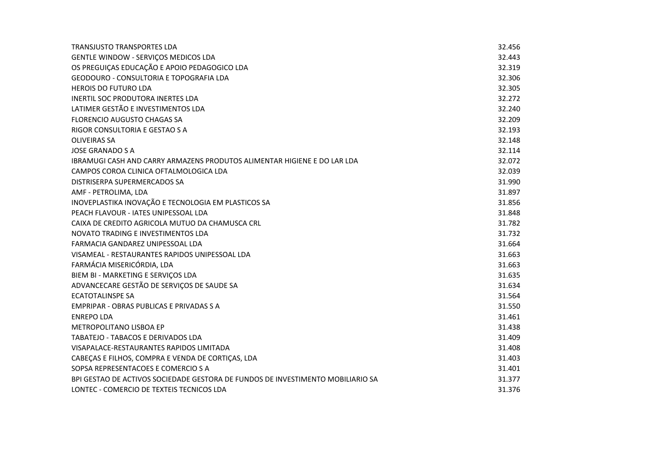| <b>TRANSJUSTO TRANSPORTES LDA</b>                                               | 32.456 |
|---------------------------------------------------------------------------------|--------|
| GENTLE WINDOW - SERVIÇOS MEDICOS LDA                                            | 32.443 |
| OS PREGUIÇAS EDUCAÇÃO E APOIO PEDAGOGICO LDA                                    | 32.319 |
| GEODOURO - CONSULTORIA E TOPOGRAFIA LDA                                         | 32.306 |
| <b>HEROIS DO FUTURO LDA</b>                                                     | 32.305 |
| <b>INERTIL SOC PRODUTORA INERTES LDA</b>                                        | 32.272 |
| LATIMER GESTÃO E INVESTIMENTOS LDA                                              | 32.240 |
| <b>FLORENCIO AUGUSTO CHAGAS SA</b>                                              | 32.209 |
| RIGOR CONSULTORIA E GESTAO S A                                                  | 32.193 |
| <b>OLIVEIRAS SA</b>                                                             | 32.148 |
| <b>JOSE GRANADO S A</b>                                                         | 32.114 |
| IBRAMUGI CASH AND CARRY ARMAZENS PRODUTOS ALIMENTAR HIGIENE E DO LAR LDA        | 32.072 |
| CAMPOS COROA CLINICA OFTALMOLOGICA LDA                                          | 32.039 |
| DISTRISERPA SUPERMERCADOS SA                                                    | 31.990 |
| AMF - PETROLIMA, LDA                                                            | 31.897 |
| INOVEPLASTIKA INOVAÇÃO E TECNOLOGIA EM PLASTICOS SA                             | 31.856 |
| PEACH FLAVOUR - IATES UNIPESSOAL LDA                                            | 31.848 |
| CAIXA DE CREDITO AGRICOLA MUTUO DA CHAMUSCA CRL                                 | 31.782 |
| NOVATO TRADING E INVESTIMENTOS LDA                                              | 31.732 |
| FARMACIA GANDAREZ UNIPESSOAL LDA                                                | 31.664 |
| VISAMEAL - RESTAURANTES RAPIDOS UNIPESSOAL LDA                                  | 31.663 |
| FARMÁCIA MISERICÓRDIA, LDA                                                      | 31.663 |
| BIEM BI - MARKETING E SERVIÇOS LDA                                              | 31.635 |
| ADVANCECARE GESTÃO DE SERVIÇOS DE SAUDE SA                                      | 31.634 |
| <b>ECATOTALINSPE SA</b>                                                         | 31.564 |
| EMPRIPAR - OBRAS PUBLICAS E PRIVADAS S A                                        | 31.550 |
| <b>ENREPO LDA</b>                                                               | 31.461 |
| METROPOLITANO LISBOA EP                                                         | 31.438 |
| TABATEJO - TABACOS E DERIVADOS LDA                                              | 31.409 |
| VISAPALACE-RESTAURANTES RAPIDOS LIMITADA                                        | 31.408 |
| CABEÇAS E FILHOS, COMPRA E VENDA DE CORTIÇAS, LDA                               | 31.403 |
| SOPSA REPRESENTACOES E COMERCIO S A                                             | 31.401 |
| BPI GESTAO DE ACTIVOS SOCIEDADE GESTORA DE FUNDOS DE INVESTIMENTO MOBILIARIO SA | 31.377 |
| LONTEC - COMERCIO DE TEXTEIS TECNICOS LDA                                       | 31.376 |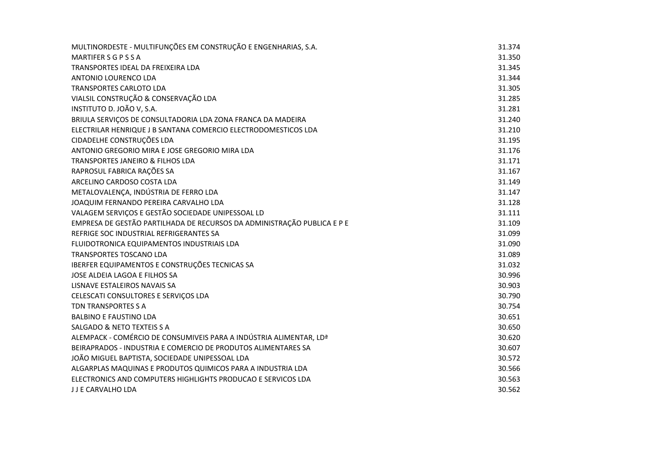| MULTINORDESTE - MULTIFUNÇÕES EM CONSTRUÇÃO E ENGENHARIAS, S.A.          | 31.374 |
|-------------------------------------------------------------------------|--------|
| MARTIFER S G P S S A                                                    | 31.350 |
| TRANSPORTES IDEAL DA FREIXEIRA LDA                                      | 31.345 |
| ANTONIO LOURENCO LDA                                                    | 31.344 |
| <b>TRANSPORTES CARLOTO LDA</b>                                          | 31.305 |
| VIALSIL CONSTRUÇÃO & CONSERVAÇÃO LDA                                    | 31.285 |
| INSTITUTO D. JOÃO V, S.A.                                               | 31.281 |
| BRIULA SERVIÇOS DE CONSULTADORIA LDA ZONA FRANCA DA MADEIRA             | 31.240 |
| ELECTRILAR HENRIQUE J B SANTANA COMERCIO ELECTRODOMESTICOS LDA          | 31.210 |
| CIDADELHE CONSTRUÇÕES LDA                                               | 31.195 |
| ANTONIO GREGORIO MIRA E JOSE GREGORIO MIRA LDA                          | 31.176 |
| TRANSPORTES JANEIRO & FILHOS LDA                                        | 31.171 |
| RAPROSUL FABRICA RAÇÕES SA                                              | 31.167 |
| ARCELINO CARDOSO COSTA LDA                                              | 31.149 |
| METALOVALENÇA, INDÚSTRIA DE FERRO LDA                                   | 31.147 |
| JOAQUIM FERNANDO PEREIRA CARVALHO LDA                                   | 31.128 |
| VALAGEM SERVIÇOS E GESTÃO SOCIEDADE UNIPESSOAL LD                       | 31.111 |
| EMPRESA DE GESTÃO PARTILHADA DE RECURSOS DA ADMINISTRAÇÃO PUBLICA E P E | 31.109 |
| REFRIGE SOC INDUSTRIAL REFRIGERANTES SA                                 | 31.099 |
| FLUIDOTRONICA EQUIPAMENTOS INDUSTRIAIS LDA                              | 31.090 |
| <b>TRANSPORTES TOSCANO LDA</b>                                          | 31.089 |
| IBERFER EQUIPAMENTOS E CONSTRUÇÕES TECNICAS SA                          | 31.032 |
| JOSE ALDEIA LAGOA E FILHOS SA                                           | 30.996 |
| LISNAVE ESTALEIROS NAVAIS SA                                            | 30.903 |
| CELESCATI CONSULTORES E SERVIÇOS LDA                                    | 30.790 |
| TDN TRANSPORTES S A                                                     | 30.754 |
| <b>BALBINO E FAUSTINO LDA</b>                                           | 30.651 |
| <b>SALGADO &amp; NETO TEXTEIS S A</b>                                   | 30.650 |
| ALEMPACK - COMÉRCIO DE CONSUMIVEIS PARA A INDÚSTRIA ALIMENTAR, LDª      | 30.620 |
| BEIRAPRADOS - INDUSTRIA E COMERCIO DE PRODUTOS ALIMENTARES SA           | 30.607 |
| JOÃO MIGUEL BAPTISTA, SOCIEDADE UNIPESSOAL LDA                          | 30.572 |
| ALGARPLAS MAQUINAS E PRODUTOS QUIMICOS PARA A INDUSTRIA LDA             | 30.566 |
| ELECTRONICS AND COMPUTERS HIGHLIGHTS PRODUCAO E SERVICOS LDA            | 30.563 |
| J J E CARVALHO LDA                                                      | 30.562 |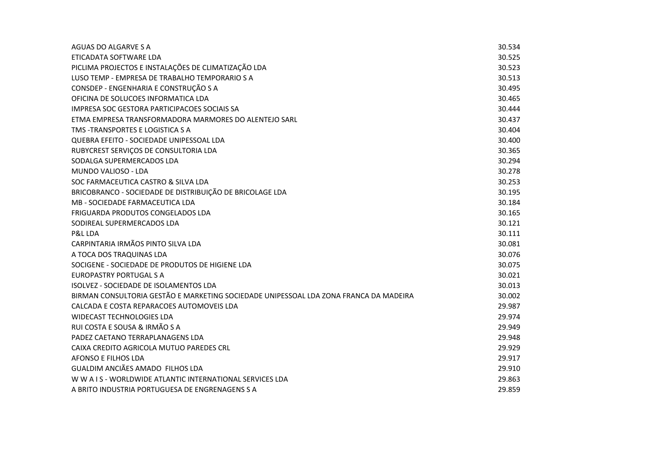| AGUAS DO ALGARVE S A                                                                  | 30.534 |
|---------------------------------------------------------------------------------------|--------|
| ETICADATA SOFTWARE LDA                                                                | 30.525 |
| PICLIMA PROJECTOS E INSTALAÇÕES DE CLIMATIZAÇÃO LDA                                   | 30.523 |
| LUSO TEMP - EMPRESA DE TRABALHO TEMPORARIO S A                                        | 30.513 |
| CONSDEP - ENGENHARIA E CONSTRUÇÃO S A                                                 | 30.495 |
| OFICINA DE SOLUCOES INFORMATICA LDA                                                   | 30.465 |
| <b>IMPRESA SOC GESTORA PARTICIPACOES SOCIAIS SA</b>                                   | 30.444 |
| ETMA EMPRESA TRANSFORMADORA MARMORES DO ALENTEJO SARL                                 | 30.437 |
| TMS - TRANSPORTES E LOGISTICA S A                                                     | 30.404 |
| QUEBRA EFEITO - SOCIEDADE UNIPESSOAL LDA                                              | 30.400 |
| RUBYCREST SERVIÇOS DE CONSULTORIA LDA                                                 | 30.365 |
| SODALGA SUPERMERCADOS LDA                                                             | 30.294 |
| MUNDO VALIOSO - LDA                                                                   | 30.278 |
| SOC FARMACEUTICA CASTRO & SILVA LDA                                                   | 30.253 |
| BRICOBRANCO - SOCIEDADE DE DISTRIBUIÇÃO DE BRICOLAGE LDA                              | 30.195 |
| MB - SOCIEDADE FARMACEUTICA LDA                                                       | 30.184 |
| FRIGUARDA PRODUTOS CONGELADOS LDA                                                     | 30.165 |
| SODIREAL SUPERMERCADOS LDA                                                            | 30.121 |
| P&L LDA                                                                               | 30.111 |
| CARPINTARIA IRMÃOS PINTO SILVA LDA                                                    | 30.081 |
| A TOCA DOS TRAQUINAS LDA                                                              | 30.076 |
| SOCIGENE - SOCIEDADE DE PRODUTOS DE HIGIENE LDA                                       | 30.075 |
| <b>EUROPASTRY PORTUGAL S A</b>                                                        | 30.021 |
| ISOLVEZ - SOCIEDADE DE ISOLAMENTOS LDA                                                | 30.013 |
| BIRMAN CONSULTORIA GESTÃO E MARKETING SOCIEDADE UNIPESSOAL LDA ZONA FRANCA DA MADEIRA | 30.002 |
| CALCADA E COSTA REPARACOES AUTOMOVEIS LDA                                             | 29.987 |
| <b>WIDECAST TECHNOLOGIES LDA</b>                                                      | 29.974 |
| RUI COSTA E SOUSA & IRMÃO S A                                                         | 29.949 |
| PADEZ CAETANO TERRAPLANAGENS LDA                                                      | 29.948 |
| CAIXA CREDITO AGRICOLA MUTUO PAREDES CRL                                              | 29.929 |
| AFONSO E FILHOS LDA                                                                   | 29.917 |
| GUALDIM ANCIÃES AMADO FILHOS LDA                                                      | 29.910 |
| WWAIS-WORLDWIDE ATLANTIC INTERNATIONAL SERVICES LDA                                   | 29.863 |
| A BRITO INDUSTRIA PORTUGUESA DE ENGRENAGENS S A                                       | 29.859 |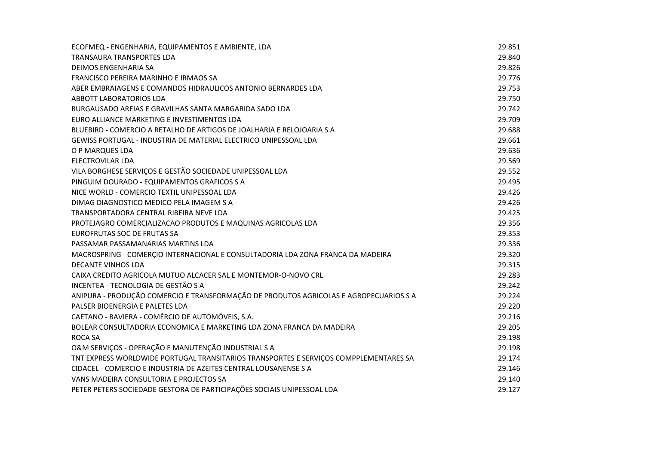| ECOFMEQ - ENGENHARIA, EQUIPAMENTOS E AMBIENTE, LDA                                    | 29.851 |
|---------------------------------------------------------------------------------------|--------|
| TRANSAURA TRANSPORTES LDA                                                             | 29.840 |
| <b>DEIMOS ENGENHARIA SA</b>                                                           | 29.826 |
| <b>FRANCISCO PEREIRA MARINHO E IRMAOS SA</b>                                          | 29.776 |
| ABER EMBRAIAGENS E COMANDOS HIDRAULICOS ANTONIO BERNARDES LDA                         | 29.753 |
| <b>ABBOTT LABORATORIOS LDA</b>                                                        | 29.750 |
| BURGAUSADO AREIAS E GRAVILHAS SANTA MARGARIDA SADO LDA                                | 29.742 |
| EURO ALLIANCE MARKETING E INVESTIMENTOS LDA                                           | 29.709 |
| BLUEBIRD - COMERCIO A RETALHO DE ARTIGOS DE JOALHARIA E RELOJOARIA S A                | 29.688 |
| GEWISS PORTUGAL - INDUSTRIA DE MATERIAL ELECTRICO UNIPESSOAL LDA                      | 29.661 |
| O P MARQUES LDA                                                                       | 29.636 |
| <b>ELECTROVILAR LDA</b>                                                               | 29.569 |
| VILA BORGHESE SERVIÇOS E GESTÃO SOCIEDADE UNIPESSOAL LDA                              | 29.552 |
| PINGUIM DOURADO - EQUIPAMENTOS GRAFICOS S A                                           | 29.495 |
| NICE WORLD - COMERCIO TEXTIL UNIPESSOAL LDA                                           | 29.426 |
| DIMAG DIAGNOSTICO MEDICO PELA IMAGEM S A                                              | 29.426 |
| TRANSPORTADORA CENTRAL RIBEIRA NEVE LDA                                               | 29.425 |
| PROTEJAGRO COMERCIALIZACAO PRODUTOS E MAQUINAS AGRICOLAS LDA                          | 29.356 |
| EUROFRUTAS SOC DE FRUTAS SA                                                           | 29.353 |
| PASSAMAR PASSAMANARIAS MARTINS LDA                                                    | 29.336 |
| MACROSPRING - COMERÇIO INTERNACIONAL E CONSULTADORIA LDA ZONA FRANCA DA MADEIRA       | 29.320 |
| <b>DECANTE VINHOS LDA</b>                                                             | 29.315 |
| CAIXA CREDITO AGRICOLA MUTUO ALCACER SAL E MONTEMOR-O-NOVO CRL                        | 29.283 |
| INCENTEA - TECNOLOGIA DE GESTÃO S A                                                   | 29.242 |
| ANIPURA - PRODUÇÃO COMERCIO E TRANSFORMAÇÃO DE PRODUTOS AGRICOLAS E AGROPECUARIOS S A | 29.224 |
| PALSER BIOENERGIA E PALETES LDA                                                       | 29.220 |
| CAETANO - BAVIERA - COMÉRCIO DE AUTOMÓVEIS, S.A.                                      | 29.216 |
| BOLEAR CONSULTADORIA ECONOMICA E MARKETING LDA ZONA FRANCA DA MADEIRA                 | 29.205 |
| <b>ROCA SA</b>                                                                        | 29.198 |
| O&M SERVIÇOS - OPERAÇÃO E MANUTENÇÃO INDUSTRIAL S A                                   | 29.198 |
| TNT EXPRESS WORLDWIDE PORTUGAL TRANSITARIOS TRANSPORTES E SERVIÇOS COMPPLEMENTARES SA | 29.174 |
| CIDACEL - COMERCIO E INDUSTRIA DE AZEITES CENTRAL LOUSANENSE S A                      | 29.146 |
| VANS MADEIRA CONSULTORIA E PROJECTOS SA                                               | 29.140 |
| PETER PETERS SOCIEDADE GESTORA DE PARTICIPAÇÕES SOCIAIS UNIPESSOAL LDA                | 29.127 |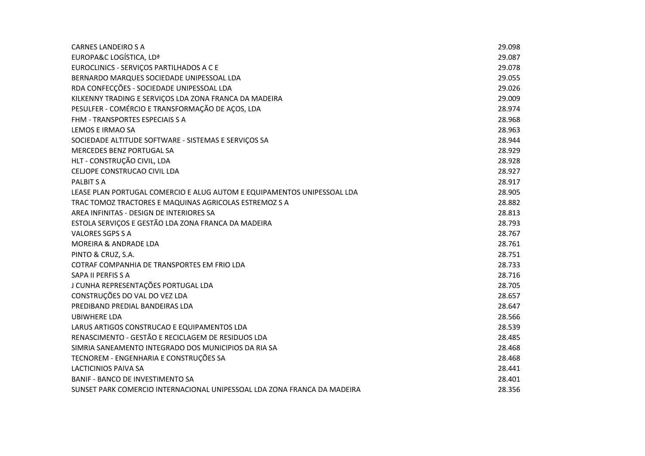| <b>CARNES LANDEIRO S A</b>                                               | 29.098 |
|--------------------------------------------------------------------------|--------|
| EUROPA&C LOGÍSTICA, LDª                                                  | 29.087 |
| EUROCLINICS - SERVIÇOS PARTILHADOS A C E                                 | 29.078 |
| BERNARDO MARQUES SOCIEDADE UNIPESSOAL LDA                                | 29.055 |
| RDA CONFECÇÕES - SOCIEDADE UNIPESSOAL LDA                                | 29.026 |
| KILKENNY TRADING E SERVIÇOS LDA ZONA FRANCA DA MADEIRA                   | 29.009 |
| PESULFER - COMÉRCIO E TRANSFORMAÇÃO DE AÇOS, LDA                         | 28.974 |
| FHM - TRANSPORTES ESPECIAIS S A                                          | 28.968 |
| LEMOS E IRMAO SA                                                         | 28.963 |
| SOCIEDADE ALTITUDE SOFTWARE - SISTEMAS E SERVIÇOS SA                     | 28.944 |
| MERCEDES BENZ PORTUGAL SA                                                | 28.929 |
| HLT - CONSTRUÇÃO CIVIL, LDA                                              | 28.928 |
| CELJOPE CONSTRUCAO CIVIL LDA                                             | 28.927 |
| <b>PALBIT S A</b>                                                        | 28.917 |
| LEASE PLAN PORTUGAL COMERCIO E ALUG AUTOM E EQUIPAMENTOS UNIPESSOAL LDA  | 28.905 |
| TRAC TOMOZ TRACTORES E MAQUINAS AGRICOLAS ESTREMOZ S A                   | 28.882 |
| AREA INFINITAS - DESIGN DE INTERIORES SA                                 | 28.813 |
| ESTOLA SERVIÇOS E GESTÃO LDA ZONA FRANCA DA MADEIRA                      | 28.793 |
| <b>VALORES SGPS S A</b>                                                  | 28.767 |
| MOREIRA & ANDRADE LDA                                                    | 28.761 |
| PINTO & CRUZ, S.A.                                                       | 28.751 |
| COTRAF COMPANHIA DE TRANSPORTES EM FRIO LDA                              | 28.733 |
| SAPA II PERFIS S A                                                       | 28.716 |
| J CUNHA REPRESENTAÇÕES PORTUGAL LDA                                      | 28.705 |
| CONSTRUÇÕES DO VAL DO VEZ LDA                                            | 28.657 |
| PREDIBAND PREDIAL BANDEIRAS LDA                                          | 28.647 |
| <b>UBIWHERE LDA</b>                                                      | 28.566 |
| LARUS ARTIGOS CONSTRUCAO E EQUIPAMENTOS LDA                              | 28.539 |
| RENASCIMENTO - GESTÃO E RECICLAGEM DE RESIDUOS LDA                       | 28.485 |
| SIMRIA SANEAMENTO INTEGRADO DOS MUNICIPIOS DA RIA SA                     | 28.468 |
| TECNOREM - ENGENHARIA E CONSTRUÇÕES SA                                   | 28.468 |
| <b>LACTICINIOS PAIVA SA</b>                                              | 28.441 |
| <b>BANIF - BANCO DE INVESTIMENTO SA</b>                                  | 28.401 |
| SUNSET PARK COMERCIO INTERNACIONAL UNIPESSOAL LDA ZONA FRANCA DA MADEIRA | 28.356 |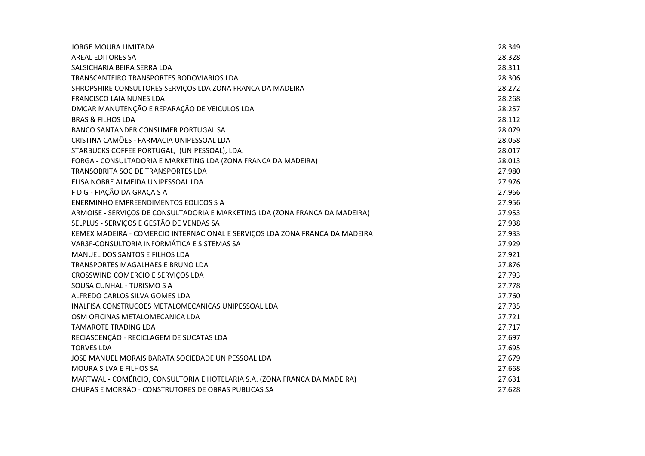| <b>JORGE MOURA LIMITADA</b>                                                  | 28.349 |
|------------------------------------------------------------------------------|--------|
| <b>AREAL EDITORES SA</b>                                                     | 28.328 |
| SALSICHARIA BEIRA SERRA LDA                                                  | 28.311 |
| TRANSCANTEIRO TRANSPORTES RODOVIARIOS LDA                                    | 28.306 |
| SHROPSHIRE CONSULTORES SERVIÇOS LDA ZONA FRANCA DA MADEIRA                   | 28.272 |
| FRANCISCO LAIA NUNES LDA                                                     | 28.268 |
| DMCAR MANUTENÇÃO E REPARAÇÃO DE VEICULOS LDA                                 | 28.257 |
| <b>BRAS &amp; FILHOS LDA</b>                                                 | 28.112 |
| BANCO SANTANDER CONSUMER PORTUGAL SA                                         | 28.079 |
| CRISTINA CAMÕES - FARMACIA UNIPESSOAL LDA                                    | 28.058 |
| STARBUCKS COFFEE PORTUGAL, (UNIPESSOAL), LDA.                                | 28.017 |
| FORGA - CONSULTADORIA E MARKETING LDA (ZONA FRANCA DA MADEIRA)               | 28.013 |
| TRANSOBRITA SOC DE TRANSPORTES LDA                                           | 27.980 |
| ELISA NOBRE ALMEIDA UNIPESSOAL LDA                                           | 27.976 |
| F D G - FIAÇÃO DA GRAÇA S A                                                  | 27.966 |
| ENERMINHO EMPREENDIMENTOS EOLICOS S A                                        | 27.956 |
| ARMOISE - SERVIÇOS DE CONSULTADORIA E MARKETING LDA (ZONA FRANCA DA MADEIRA) | 27.953 |
| SELPLUS - SERVIÇOS E GESTÃO DE VENDAS SA                                     | 27.938 |
| KEMEX MADEIRA - COMERCIO INTERNACIONAL E SERVIÇOS LDA ZONA FRANCA DA MADEIRA | 27.933 |
| VAR3F-CONSULTORIA INFORMÁTICA E SISTEMAS SA                                  | 27.929 |
| MANUEL DOS SANTOS E FILHOS LDA                                               | 27.921 |
| <b>TRANSPORTES MAGALHAES E BRUNO LDA</b>                                     | 27.876 |
| CROSSWIND COMERCIO E SERVIÇOS LDA                                            | 27.793 |
| SOUSA CUNHAL - TURISMO S A                                                   | 27.778 |
| ALFREDO CARLOS SILVA GOMES LDA                                               | 27.760 |
| INALFISA CONSTRUCOES METALOMECANICAS UNIPESSOAL LDA                          | 27.735 |
| OSM OFICINAS METALOMECANICA LDA                                              | 27.721 |
| <b>TAMAROTE TRADING LDA</b>                                                  | 27.717 |
| RECIASCENÇÃO - RECICLAGEM DE SUCATAS LDA                                     | 27.697 |
| <b>TORVES LDA</b>                                                            | 27.695 |
| JOSE MANUEL MORAIS BARATA SOCIEDADE UNIPESSOAL LDA                           | 27.679 |
| <b>MOURA SILVA E FILHOS SA</b>                                               | 27.668 |
| MARTWAL - COMÉRCIO, CONSULTORIA E HOTELARIA S.A. (ZONA FRANCA DA MADEIRA)    | 27.631 |
| CHUPAS E MORRÃO - CONSTRUTORES DE OBRAS PUBLICAS SA                          | 27.628 |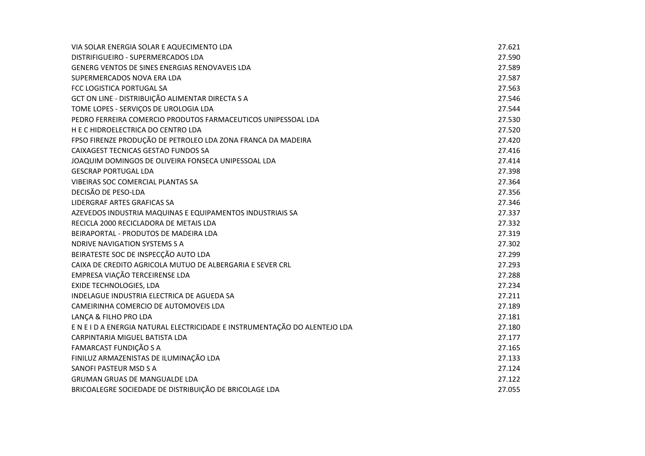| VIA SOLAR ENERGIA SOLAR E AQUECIMENTO LDA                                  | 27.621 |
|----------------------------------------------------------------------------|--------|
| DISTRIFIGUEIRO - SUPERMERCADOS LDA                                         | 27.590 |
| GENERG VENTOS DE SINES ENERGIAS RENOVAVEIS LDA                             | 27.589 |
| SUPERMERCADOS NOVA ERA LDA                                                 | 27.587 |
| FCC LOGISTICA PORTUGAL SA                                                  | 27.563 |
| GCT ON LINE - DISTRIBUIÇÃO ALIMENTAR DIRECTA S A                           | 27.546 |
| TOME LOPES - SERVIÇOS DE UROLOGIA LDA                                      | 27.544 |
| PEDRO FERREIRA COMERCIO PRODUTOS FARMACEUTICOS UNIPESSOAL LDA              | 27.530 |
| H E C HIDROELECTRICA DO CENTRO LDA                                         | 27.520 |
| FPSO FIRENZE PRODUÇÃO DE PETROLEO LDA ZONA FRANCA DA MADEIRA               | 27.420 |
| CAIXAGEST TECNICAS GESTAO FUNDOS SA                                        | 27.416 |
| JOAQUIM DOMINGOS DE OLIVEIRA FONSECA UNIPESSOAL LDA                        | 27.414 |
| <b>GESCRAP PORTUGAL LDA</b>                                                | 27.398 |
| VIBEIRAS SOC COMERCIAL PLANTAS SA                                          | 27.364 |
| DECISÃO DE PESO-LDA                                                        | 27.356 |
| LIDERGRAF ARTES GRAFICAS SA                                                | 27.346 |
| AZEVEDOS INDUSTRIA MAQUINAS E EQUIPAMENTOS INDUSTRIAIS SA                  | 27.337 |
| RECICLA 2000 RECICLADORA DE METAIS LDA                                     | 27.332 |
| BEIRAPORTAL - PRODUTOS DE MADEIRA LDA                                      | 27.319 |
| <b>NDRIVE NAVIGATION SYSTEMS S A</b>                                       | 27.302 |
| BEIRATESTE SOC DE INSPECÇÃO AUTO LDA                                       | 27.299 |
| CAIXA DE CREDITO AGRICOLA MUTUO DE ALBERGARIA E SEVER CRL                  | 27.293 |
| EMPRESA VIAÇÃO TERCEIRENSE LDA                                             | 27.288 |
| EXIDE TECHNOLOGIES, LDA                                                    | 27.234 |
| INDELAGUE INDUSTRIA ELECTRICA DE AGUEDA SA                                 | 27.211 |
| CAMEIRINHA COMERCIO DE AUTOMOVEIS LDA                                      | 27.189 |
| LANÇA & FILHO PRO LDA                                                      | 27.181 |
| E N E I D A ENERGIA NATURAL ELECTRICIDADE E INSTRUMENTAÇÃO DO ALENTEJO LDA | 27.180 |
| CARPINTARIA MIGUEL BATISTA LDA                                             | 27.177 |
| FAMARCAST FUNDIÇÃO S A                                                     | 27.165 |
| FINILUZ ARMAZENISTAS DE ILUMINAÇÃO LDA                                     | 27.133 |
| SANOFI PASTEUR MSD S A                                                     | 27.124 |
| <b>GRUMAN GRUAS DE MANGUALDE LDA</b>                                       | 27.122 |
| BRICOALEGRE SOCIEDADE DE DISTRIBUIÇÃO DE BRICOLAGE LDA                     | 27.055 |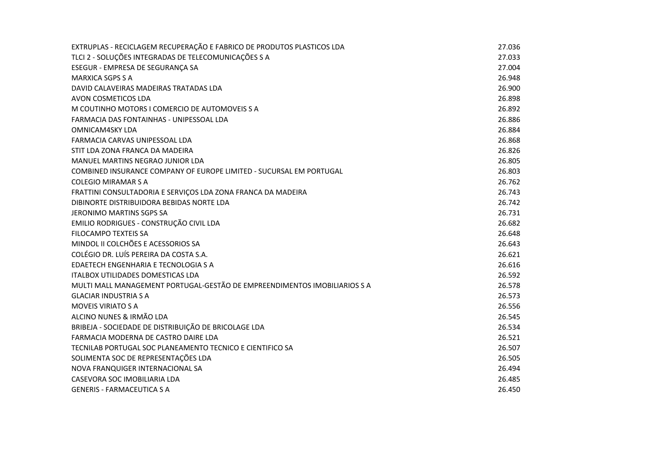| EXTRUPLAS - RECICLAGEM RECUPERAÇÃO E FABRICO DE PRODUTOS PLASTICOS LDA    | 27.036 |
|---------------------------------------------------------------------------|--------|
| TLCI 2 - SOLUÇÕES INTEGRADAS DE TELECOMUNICAÇÕES S A                      | 27.033 |
| ESEGUR - EMPRESA DE SEGURANÇA SA                                          | 27.004 |
| <b>MARXICA SGPS S A</b>                                                   | 26.948 |
| DAVID CALAVEIRAS MADEIRAS TRATADAS LDA                                    | 26.900 |
| AVON COSMETICOS LDA                                                       | 26.898 |
| M COUTINHO MOTORS I COMERCIO DE AUTOMOVEIS S A                            | 26.892 |
| FARMACIA DAS FONTAINHAS - UNIPESSOAL LDA                                  | 26.886 |
| <b>OMNICAM4SKY LDA</b>                                                    | 26.884 |
| FARMACIA CARVAS UNIPESSOAL LDA                                            | 26.868 |
| STIT LDA ZONA FRANCA DA MADEIRA                                           | 26.826 |
| MANUEL MARTINS NEGRAO JUNIOR LDA                                          | 26.805 |
| COMBINED INSURANCE COMPANY OF EUROPE LIMITED - SUCURSAL EM PORTUGAL       | 26.803 |
| <b>COLEGIO MIRAMAR S A</b>                                                | 26.762 |
| FRATTINI CONSULTADORIA E SERVIÇOS LDA ZONA FRANCA DA MADEIRA              | 26.743 |
| DIBINORTE DISTRIBUIDORA BEBIDAS NORTE LDA                                 | 26.742 |
| JERONIMO MARTINS SGPS SA                                                  | 26.731 |
| EMILIO RODRIGUES - CONSTRUÇÃO CIVIL LDA                                   | 26.682 |
| <b>FILOCAMPO TEXTEIS SA</b>                                               | 26.648 |
| MINDOL II COLCHÕES E ACESSORIOS SA                                        | 26.643 |
| COLÉGIO DR. LUÍS PEREIRA DA COSTA S.A.                                    | 26.621 |
| EDAETECH ENGENHARIA E TECNOLOGIA S A                                      | 26.616 |
| ITALBOX UTILIDADES DOMESTICAS LDA                                         | 26.592 |
| MULTI MALL MANAGEMENT PORTUGAL-GESTÃO DE EMPREENDIMENTOS IMOBILIARIOS S A | 26.578 |
| <b>GLACIAR INDUSTRIA S A</b>                                              | 26.573 |
| <b>MOVEIS VIRIATO S A</b>                                                 | 26.556 |
| ALCINO NUNES & IRMÃO LDA                                                  | 26.545 |
| BRIBEJA - SOCIEDADE DE DISTRIBUIÇÃO DE BRICOLAGE LDA                      | 26.534 |
| FARMACIA MODERNA DE CASTRO DAIRE LDA                                      | 26.521 |
| TECNILAB PORTUGAL SOC PLANEAMENTO TECNICO E CIENTIFICO SA                 | 26.507 |
| SOLIMENTA SOC DE REPRESENTAÇÕES LDA                                       | 26.505 |
| NOVA FRANQUIGER INTERNACIONAL SA                                          | 26.494 |
| CASEVORA SOC IMOBILIARIA LDA                                              | 26.485 |
| <b>GENERIS - FARMACEUTICA S A</b>                                         | 26.450 |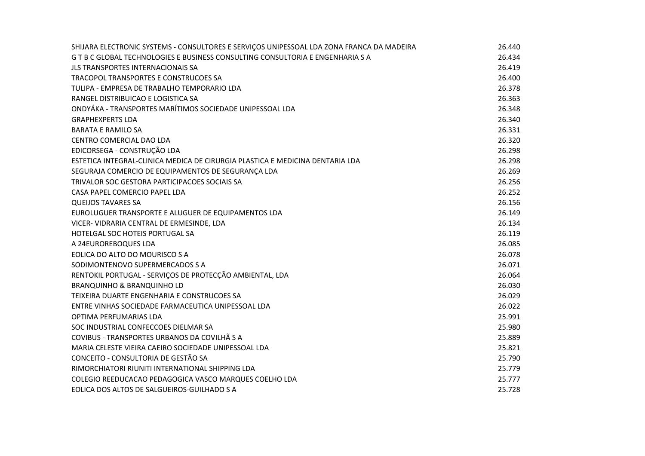| SHIJARA ELECTRONIC SYSTEMS - CONSULTORES E SERVIÇOS UNIPESSOAL LDA ZONA FRANCA DA MADEIRA | 26.440 |
|-------------------------------------------------------------------------------------------|--------|
| G T B C GLOBAL TECHNOLOGIES E BUSINESS CONSULTING CONSULTORIA E ENGENHARIA S A            | 26.434 |
| <b>JLS TRANSPORTES INTERNACIONAIS SA</b>                                                  | 26.419 |
| TRACOPOL TRANSPORTES E CONSTRUCOES SA                                                     | 26.400 |
| TULIPA - EMPRESA DE TRABALHO TEMPORARIO LDA                                               | 26.378 |
| RANGEL DISTRIBUICAO E LOGISTICA SA                                                        | 26.363 |
| ONDYÁKA - TRANSPORTES MARÍTIMOS SOCIEDADE UNIPESSOAL LDA                                  | 26.348 |
| <b>GRAPHEXPERTS LDA</b>                                                                   | 26.340 |
| <b>BARATA E RAMILO SA</b>                                                                 | 26.331 |
| CENTRO COMERCIAL DAO LDA                                                                  | 26.320 |
| EDICORSEGA - CONSTRUÇÃO LDA                                                               | 26.298 |
| ESTETICA INTEGRAL-CLINICA MEDICA DE CIRURGIA PLASTICA E MEDICINA DENTARIA LDA             | 26.298 |
| SEGURAJA COMERCIO DE EQUIPAMENTOS DE SEGURANÇA LDA                                        | 26.269 |
| TRIVALOR SOC GESTORA PARTICIPACOES SOCIAIS SA                                             | 26.256 |
| CASA PAPEL COMERCIO PAPEL LDA                                                             | 26.252 |
| <b>QUEIJOS TAVARES SA</b>                                                                 | 26.156 |
| EUROLUGUER TRANSPORTE E ALUGUER DE EQUIPAMENTOS LDA                                       | 26.149 |
| VICER- VIDRARIA CENTRAL DE ERMESINDE, LDA                                                 | 26.134 |
| HOTELGAL SOC HOTEIS PORTUGAL SA                                                           | 26.119 |
| A 24EUROREBOQUES LDA                                                                      | 26.085 |
| EOLICA DO ALTO DO MOURISCO S A                                                            | 26.078 |
| SODIMONTENOVO SUPERMERCADOS S A                                                           | 26.071 |
| RENTOKIL PORTUGAL - SERVIÇOS DE PROTECÇÃO AMBIENTAL, LDA                                  | 26.064 |
| <b>BRANQUINHO &amp; BRANQUINHO LD</b>                                                     | 26.030 |
| TEIXEIRA DUARTE ENGENHARIA E CONSTRUCOES SA                                               | 26.029 |
| ENTRE VINHAS SOCIEDADE FARMACEUTICA UNIPESSOAL LDA                                        | 26.022 |
| OPTIMA PERFUMARIAS LDA                                                                    | 25.991 |
| SOC INDUSTRIAL CONFECCOES DIELMAR SA                                                      | 25.980 |
| COVIBUS - TRANSPORTES URBANOS DA COVILHÃ S A                                              | 25.889 |
| MARIA CELESTE VIEIRA CAEIRO SOCIEDADE UNIPESSOAL LDA                                      | 25.821 |
| CONCEITO - CONSULTORIA DE GESTÃO SA                                                       | 25.790 |
| RIMORCHIATORI RIUNITI INTERNATIONAL SHIPPING LDA                                          | 25.779 |
| COLEGIO REEDUCACAO PEDAGOGICA VASCO MARQUES COELHO LDA                                    | 25.777 |
| EOLICA DOS ALTOS DE SALGUEIROS-GUILHADO S A                                               | 25.728 |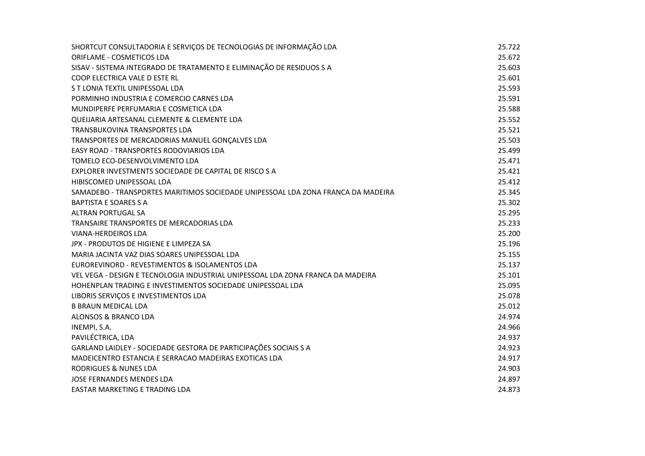| SHORTCUT CONSULTADORIA E SERVIÇOS DE TECNOLOGIAS DE INFORMAÇÃO LDA               | 25.722 |
|----------------------------------------------------------------------------------|--------|
| ORIFLAME - COSMETICOS LDA                                                        | 25.672 |
| SISAV - SISTEMA INTEGRADO DE TRATAMENTO E ELIMINAÇÃO DE RESIDUOS S A             | 25.603 |
| COOP ELECTRICA VALE D ESTE RL                                                    | 25.601 |
| S T LONIA TEXTIL UNIPESSOAL LDA                                                  | 25.593 |
| PORMINHO INDUSTRIA E COMERCIO CARNES LDA                                         | 25.591 |
| MUNDIPERFE PERFUMARIA E COSMETICA LDA                                            | 25.588 |
| QUEIJARIA ARTESANAL CLEMENTE & CLEMENTE LDA                                      | 25.552 |
| TRANSBUKOVINA TRANSPORTES LDA                                                    | 25.521 |
| TRANSPORTES DE MERCADORIAS MANUEL GONÇALVES LDA                                  | 25.503 |
| EASY ROAD - TRANSPORTES RODOVIARIOS LDA                                          | 25.499 |
| TOMELO ECO-DESENVOLVIMENTO LDA                                                   | 25.471 |
| EXPLORER INVESTMENTS SOCIEDADE DE CAPITAL DE RISCO S A                           | 25.421 |
| HIBISCOMED UNIPESSOAL LDA                                                        | 25.412 |
| SAMADEBO - TRANSPORTES MARITIMOS SOCIEDADE UNIPESSOAL LDA ZONA FRANCA DA MADEIRA | 25.345 |
| <b>BAPTISTA E SOARES S A</b>                                                     | 25.302 |
| <b>ALTRAN PORTUGAL SA</b>                                                        | 25.295 |
| TRANSAIRE TRANSPORTES DE MERCADORIAS LDA                                         | 25.233 |
| <b>VIANA-HERDEIROS LDA</b>                                                       | 25.200 |
| JPX - PRODUTOS DE HIGIENE E LIMPEZA SA                                           | 25.196 |
| MARIA JACINTA VAZ DIAS SOARES UNIPESSOAL LDA                                     | 25.155 |
| EUROREVINORD - REVESTIMENTOS & ISOLAMENTOS LDA                                   | 25.137 |
| VEL VEGA - DESIGN E TECNOLOGIA INDUSTRIAL UNIPESSOAL LDA ZONA FRANCA DA MADEIRA  | 25.101 |
| HOHENPLAN TRADING E INVESTIMENTOS SOCIEDADE UNIPESSOAL LDA                       | 25.095 |
| LIBORIS SERVIÇOS E INVESTIMENTOS LDA                                             | 25.078 |
| <b>B BRAUN MEDICAL LDA</b>                                                       | 25.012 |
| ALONSOS & BRANCO LDA                                                             | 24.974 |
| INEMPI, S.A.                                                                     | 24.966 |
| PAVILÉCTRICA, LDA                                                                | 24.937 |
| GARLAND LAIDLEY - SOCIEDADE GESTORA DE PARTICIPAÇÕES SOCIAIS S A                 | 24.923 |
| MADEICENTRO ESTANCIA E SERRACAO MADEIRAS EXOTICAS LDA                            | 24.917 |
| <b>RODRIGUES &amp; NUNES LDA</b>                                                 | 24.903 |
| JOSE FERNANDES MENDES LDA                                                        | 24.897 |
| EASTAR MARKETING E TRADING LDA                                                   | 24.873 |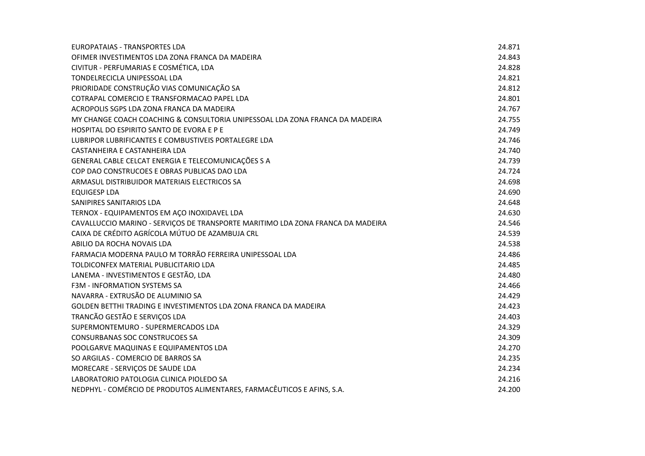| EUROPATAIAS - TRANSPORTES LDA                                                   | 24.871 |
|---------------------------------------------------------------------------------|--------|
| OFIMER INVESTIMENTOS LDA ZONA FRANCA DA MADEIRA                                 | 24.843 |
| CIVITUR - PERFUMARIAS E COSMÉTICA, LDA                                          | 24.828 |
| TONDELRECICLA UNIPESSOAL LDA                                                    | 24.821 |
| PRIORIDADE CONSTRUÇÃO VIAS COMUNICAÇÃO SA                                       | 24.812 |
| COTRAPAL COMERCIO E TRANSFORMACAO PAPEL LDA                                     | 24.801 |
| ACROPOLIS SGPS LDA ZONA FRANCA DA MADEIRA                                       | 24.767 |
| MY CHANGE COACH COACHING & CONSULTORIA UNIPESSOAL LDA ZONA FRANCA DA MADEIRA    | 24.755 |
| HOSPITAL DO ESPIRITO SANTO DE EVORA E P E                                       | 24.749 |
| LUBRIPOR LUBRIFICANTES E COMBUSTIVEIS PORTALEGRE LDA                            | 24.746 |
| CASTANHEIRA E CASTANHEIRA LDA                                                   | 24.740 |
| GENERAL CABLE CELCAT ENERGIA E TELECOMUNICAÇÕES S A                             | 24.739 |
| COP DAO CONSTRUCOES E OBRAS PUBLICAS DAO LDA                                    | 24.724 |
| ARMASUL DISTRIBUIDOR MATERIAIS ELECTRICOS SA                                    | 24.698 |
| <b>EQUIGESP LDA</b>                                                             | 24.690 |
| SANIPIRES SANITARIOS LDA                                                        | 24.648 |
| TERNOX - EQUIPAMENTOS EM AÇO INOXIDAVEL LDA                                     | 24.630 |
| CAVALLUCCIO MARINO - SERVIÇOS DE TRANSPORTE MARITIMO LDA ZONA FRANCA DA MADEIRA | 24.546 |
| CAIXA DE CRÉDITO AGRÍCOLA MÚTUO DE AZAMBUJA CRL                                 | 24.539 |
| ABILIO DA ROCHA NOVAIS LDA                                                      | 24.538 |
| FARMACIA MODERNA PAULO M TORRÃO FERREIRA UNIPESSOAL LDA                         | 24.486 |
| TOLDICONFEX MATERIAL PUBLICITARIO LDA                                           | 24.485 |
| LANEMA - INVESTIMENTOS E GESTÃO, LDA                                            | 24.480 |
| <b>F3M - INFORMATION SYSTEMS SA</b>                                             | 24.466 |
| NAVARRA - EXTRUSÃO DE ALUMINIO SA                                               | 24.429 |
| GOLDEN BETTHI TRADING E INVESTIMENTOS LDA ZONA FRANCA DA MADEIRA                | 24.423 |
| TRANCÃO GESTÃO E SERVIÇOS LDA                                                   | 24.403 |
| SUPERMONTEMURO - SUPERMERCADOS LDA                                              | 24.329 |
| <b>CONSURBANAS SOC CONSTRUCOES SA</b>                                           | 24.309 |
| POOLGARVE MAQUINAS E EQUIPAMENTOS LDA                                           | 24.270 |
| SO ARGILAS - COMERCIO DE BARROS SA                                              | 24.235 |
| MORECARE - SERVIÇOS DE SAUDE LDA                                                | 24.234 |
| LABORATORIO PATOLOGIA CLINICA PIOLEDO SA                                        | 24.216 |
| NEDPHYL - COMÉRCIO DE PRODUTOS ALIMENTARES, FARMACÊUTICOS E AFINS, S.A.         | 24.200 |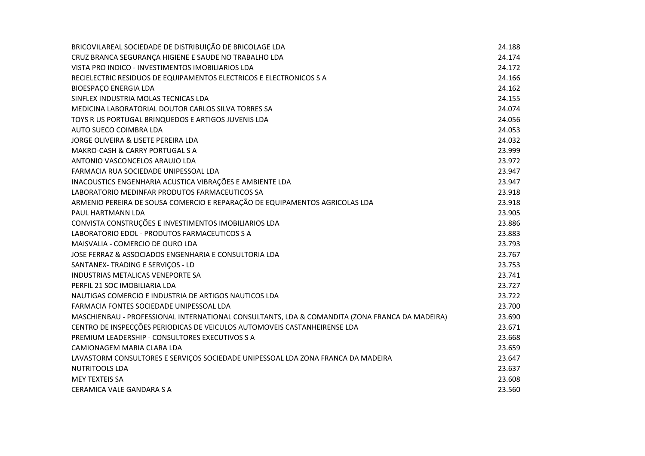| BRICOVILAREAL SOCIEDADE DE DISTRIBUIÇÃO DE BRICOLAGE LDA                                       | 24.188 |
|------------------------------------------------------------------------------------------------|--------|
| CRUZ BRANCA SEGURANÇA HIGIENE E SAUDE NO TRABALHO LDA                                          | 24.174 |
| VISTA PRO INDICO - INVESTIMENTOS IMOBILIARIOS LDA                                              | 24.172 |
| RECIELECTRIC RESIDUOS DE EQUIPAMENTOS ELECTRICOS E ELECTRONICOS S A                            | 24.166 |
| <b>BIOESPAÇO ENERGIA LDA</b>                                                                   | 24.162 |
| SINFLEX INDUSTRIA MOLAS TECNICAS LDA                                                           | 24.155 |
| MEDICINA LABORATORIAL DOUTOR CARLOS SILVA TORRES SA                                            | 24.074 |
| TOYS R US PORTUGAL BRINQUEDOS E ARTIGOS JUVENIS LDA                                            | 24.056 |
| AUTO SUECO COIMBRA LDA                                                                         | 24.053 |
| JORGE OLIVEIRA & LISETE PEREIRA LDA                                                            | 24.032 |
| MAKRO-CASH & CARRY PORTUGAL S A                                                                | 23.999 |
| ANTONIO VASCONCELOS ARAUJO LDA                                                                 | 23.972 |
| FARMACIA RUA SOCIEDADE UNIPESSOAL LDA                                                          | 23.947 |
| INACOUSTICS ENGENHARIA ACUSTICA VIBRAÇÕES E AMBIENTE LDA                                       | 23.947 |
| LABORATORIO MEDINFAR PRODUTOS FARMACEUTICOS SA                                                 | 23.918 |
| ARMENIO PEREIRA DE SOUSA COMERCIO E REPARAÇÃO DE EQUIPAMENTOS AGRICOLAS LDA                    | 23.918 |
| PAUL HARTMANN LDA                                                                              | 23.905 |
| CONVISTA CONSTRUÇÕES E INVESTIMENTOS IMOBILIARIOS LDA                                          | 23.886 |
| LABORATORIO EDOL - PRODUTOS FARMACEUTICOS S A                                                  | 23.883 |
| MAISVALIA - COMERCIO DE OURO LDA                                                               | 23.793 |
| JOSE FERRAZ & ASSOCIADOS ENGENHARIA E CONSULTORIA LDA                                          | 23.767 |
| SANTANEX- TRADING E SERVIÇOS - LD                                                              | 23.753 |
| INDUSTRIAS METALICAS VENEPORTE SA                                                              | 23.741 |
| PERFIL 21 SOC IMOBILIARIA LDA                                                                  | 23.727 |
| NAUTIGAS COMERCIO E INDUSTRIA DE ARTIGOS NAUTICOS LDA                                          | 23.722 |
| FARMACIA FONTES SOCIEDADE UNIPESSOAL LDA                                                       | 23.700 |
| MASCHIENBAU - PROFESSIONAL INTERNATIONAL CONSULTANTS, LDA & COMANDITA (ZONA FRANCA DA MADEIRA) | 23.690 |
| CENTRO DE INSPECÇÕES PERIODICAS DE VEICULOS AUTOMOVEIS CASTANHEIRENSE LDA                      | 23.671 |
| PREMIUM LEADERSHIP - CONSULTORES EXECUTIVOS S A                                                | 23.668 |
| CAMIONAGEM MARIA CLARA LDA                                                                     | 23.659 |
| LAVASTORM CONSULTORES E SERVIÇOS SOCIEDADE UNIPESSOAL LDA ZONA FRANCA DA MADEIRA               | 23.647 |
| <b>NUTRITOOLS LDA</b>                                                                          | 23.637 |
| <b>MEY TEXTEIS SA</b>                                                                          | 23.608 |
| CERAMICA VALE GANDARA S A                                                                      | 23.560 |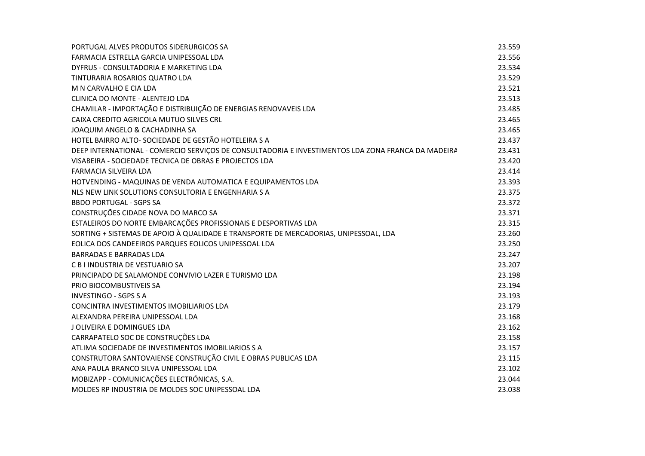| PORTUGAL ALVES PRODUTOS SIDERURGICOS SA                                                            | 23.559 |
|----------------------------------------------------------------------------------------------------|--------|
| FARMACIA ESTRELLA GARCIA UNIPESSOAL LDA                                                            | 23.556 |
| DYFRUS - CONSULTADORIA E MARKETING LDA                                                             | 23.534 |
| TINTURARIA ROSARIOS QUATRO LDA                                                                     | 23.529 |
| M N CARVALHO E CIA LDA                                                                             | 23.521 |
| CLINICA DO MONTE - ALENTEJO LDA                                                                    | 23.513 |
| CHAMILAR - IMPORTAÇÃO E DISTRIBUIÇÃO DE ENERGIAS RENOVAVEIS LDA                                    | 23.485 |
| CAIXA CREDITO AGRICOLA MUTUO SILVES CRL                                                            | 23.465 |
| JOAQUIM ANGELO & CACHADINHA SA                                                                     | 23.465 |
| HOTEL BAIRRO ALTO- SOCIEDADE DE GESTÃO HOTELEIRA S A                                               | 23.437 |
| DEEP INTERNATIONAL - COMERCIO SERVIÇOS DE CONSULTADORIA E INVESTIMENTOS LDA ZONA FRANCA DA MADEIRA | 23.431 |
| VISABEIRA - SOCIEDADE TECNICA DE OBRAS E PROJECTOS LDA                                             | 23.420 |
| FARMACIA SILVEIRA LDA                                                                              | 23.414 |
| HOTVENDING - MAQUINAS DE VENDA AUTOMATICA E EQUIPAMENTOS LDA                                       | 23.393 |
| NLS NEW LINK SOLUTIONS CONSULTORIA E ENGENHARIA S A                                                | 23.375 |
| <b>BBDO PORTUGAL - SGPS SA</b>                                                                     | 23.372 |
| CONSTRUÇÕES CIDADE NOVA DO MARCO SA                                                                | 23.371 |
| ESTALEIROS DO NORTE EMBARCAÇÕES PROFISSIONAIS E DESPORTIVAS LDA                                    | 23.315 |
| SORTING + SISTEMAS DE APOIO À QUALIDADE E TRANSPORTE DE MERCADORIAS, UNIPESSOAL, LDA               | 23.260 |
| EOLICA DOS CANDEEIROS PARQUES EOLICOS UNIPESSOAL LDA                                               | 23.250 |
| <b>BARRADAS E BARRADAS LDA</b>                                                                     | 23.247 |
| C B I INDUSTRIA DE VESTUARIO SA                                                                    | 23.207 |
| PRINCIPADO DE SALAMONDE CONVIVIO LAZER E TURISMO LDA                                               | 23.198 |
| PRIO BIOCOMBUSTIVEIS SA                                                                            | 23.194 |
| <b>INVESTINGO - SGPS S A</b>                                                                       | 23.193 |
| CONCINTRA INVESTIMENTOS IMOBILIARIOS LDA                                                           | 23.179 |
| ALEXANDRA PEREIRA UNIPESSOAL LDA                                                                   | 23.168 |
| J OLIVEIRA E DOMINGUES LDA                                                                         | 23.162 |
| CARRAPATELO SOC DE CONSTRUÇÕES LDA                                                                 | 23.158 |
| ATLIMA SOCIEDADE DE INVESTIMENTOS IMOBILIARIOS S A                                                 | 23.157 |
| CONSTRUTORA SANTOVAIENSE CONSTRUÇÃO CIVIL E OBRAS PUBLICAS LDA                                     | 23.115 |
| ANA PAULA BRANCO SILVA UNIPESSOAL LDA                                                              | 23.102 |
| MOBIZAPP - COMUNICAÇÕES ELECTRÓNICAS, S.A.                                                         | 23.044 |
| MOLDES RP INDUSTRIA DE MOLDES SOC UNIPESSOAL LDA                                                   | 23.038 |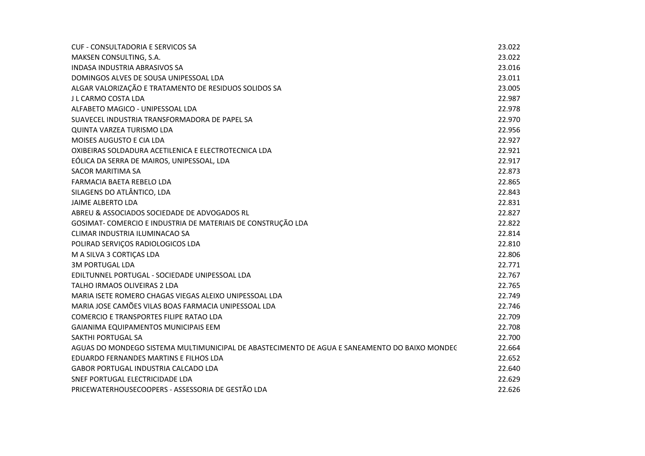| <b>CUF - CONSULTADORIA E SERVICOS SA</b>                                                      | 23.022 |
|-----------------------------------------------------------------------------------------------|--------|
| MAKSEN CONSULTING, S.A.                                                                       | 23.022 |
| <b>INDASA INDUSTRIA ABRASIVOS SA</b>                                                          | 23.016 |
| DOMINGOS ALVES DE SOUSA UNIPESSOAL LDA                                                        | 23.011 |
| ALGAR VALORIZAÇÃO E TRATAMENTO DE RESIDUOS SOLIDOS SA                                         | 23.005 |
| J L CARMO COSTA LDA                                                                           | 22.987 |
| ALFABETO MAGICO - UNIPESSOAL LDA                                                              | 22.978 |
| SUAVECEL INDUSTRIA TRANSFORMADORA DE PAPEL SA                                                 | 22.970 |
| QUINTA VARZEA TURISMO LDA                                                                     | 22.956 |
| MOISES AUGUSTO E CIA LDA                                                                      | 22.927 |
| OXIBEIRAS SOLDADURA ACETILENICA E ELECTROTECNICA LDA                                          | 22.921 |
| EÓLICA DA SERRA DE MAIROS, UNIPESSOAL, LDA                                                    | 22.917 |
| <b>SACOR MARITIMA SA</b>                                                                      | 22.873 |
| FARMACIA BAETA REBELO LDA                                                                     | 22.865 |
| SILAGENS DO ATLÂNTICO, LDA                                                                    | 22.843 |
| JAIME ALBERTO LDA                                                                             | 22.831 |
| ABREU & ASSOCIADOS SOCIEDADE DE ADVOGADOS RL                                                  | 22.827 |
| GOSIMAT- COMERCIO E INDUSTRIA DE MATERIAIS DE CONSTRUÇÃO LDA                                  | 22.822 |
| CLIMAR INDUSTRIA ILUMINACAO SA                                                                | 22.814 |
| POLIRAD SERVIÇOS RADIOLOGICOS LDA                                                             | 22.810 |
| M A SILVA 3 CORTIÇAS LDA                                                                      | 22.806 |
| <b>3M PORTUGAL LDA</b>                                                                        | 22.771 |
| EDILTUNNEL PORTUGAL - SOCIEDADE UNIPESSOAL LDA                                                | 22.767 |
| TALHO IRMAOS OLIVEIRAS 2 LDA                                                                  | 22.765 |
| MARIA ISETE ROMERO CHAGAS VIEGAS ALEIXO UNIPESSOAL LDA                                        | 22.749 |
| MARIA JOSE CAMÕES VILAS BOAS FARMACIA UNIPESSOAL LDA                                          | 22.746 |
| <b>COMERCIO E TRANSPORTES FILIPE RATAO LDA</b>                                                | 22.709 |
| <b>GAIANIMA EQUIPAMENTOS MUNICIPAIS EEM</b>                                                   | 22.708 |
| <b>SAKTHI PORTUGAL SA</b>                                                                     | 22.700 |
| AGUAS DO MONDEGO SISTEMA MULTIMUNICIPAL DE ABASTECIMENTO DE AGUA E SANEAMENTO DO BAIXO MONDEC | 22.664 |
| EDUARDO FERNANDES MARTINS E FILHOS LDA                                                        | 22.652 |
| <b>GABOR PORTUGAL INDUSTRIA CALCADO LDA</b>                                                   | 22.640 |
| SNEF PORTUGAL ELECTRICIDADE LDA                                                               | 22.629 |
| PRICEWATERHOUSECOOPERS - ASSESSORIA DE GESTÃO LDA                                             | 22.626 |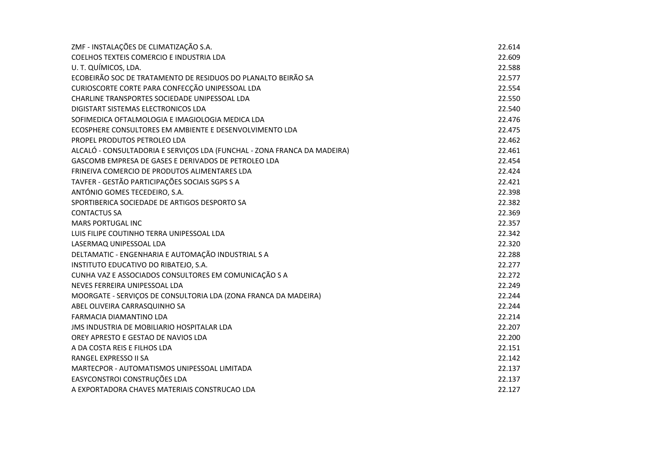| ZMF - INSTALAÇÕES DE CLIMATIZAÇÃO S.A.                                   | 22.614 |
|--------------------------------------------------------------------------|--------|
| COELHOS TEXTEIS COMERCIO E INDUSTRIA LDA                                 | 22.609 |
| U. T. QUÍMICOS, LDA.                                                     | 22.588 |
| ECOBEIRÃO SOC DE TRATAMENTO DE RESIDUOS DO PLANALTO BEIRÃO SA            | 22.577 |
| CURIOSCORTE CORTE PARA CONFECÇÃO UNIPESSOAL LDA                          | 22.554 |
| CHARLINE TRANSPORTES SOCIEDADE UNIPESSOAL LDA                            | 22.550 |
| DIGISTART SISTEMAS ELECTRONICOS LDA                                      | 22.540 |
| SOFIMEDICA OFTALMOLOGIA E IMAGIOLOGIA MEDICA LDA                         | 22.476 |
| ECOSPHERE CONSULTORES EM AMBIENTE E DESENVOLVIMENTO LDA                  | 22.475 |
| PROPEL PRODUTOS PETROLEO LDA                                             | 22.462 |
| ALCALÓ - CONSULTADORIA E SERVIÇOS LDA (FUNCHAL - ZONA FRANCA DA MADEIRA) | 22.461 |
| GASCOMB EMPRESA DE GASES E DERIVADOS DE PETROLEO LDA                     | 22.454 |
| FRINEIVA COMERCIO DE PRODUTOS ALIMENTARES LDA                            | 22.424 |
| TAVFER - GESTÃO PARTICIPAÇÕES SOCIAIS SGPS S A                           | 22.421 |
| ANTÓNIO GOMES TECEDEIRO, S.A.                                            | 22.398 |
| SPORTIBERICA SOCIEDADE DE ARTIGOS DESPORTO SA                            | 22.382 |
| <b>CONTACTUS SA</b>                                                      | 22.369 |
| <b>MARS PORTUGAL INC</b>                                                 | 22.357 |
| LUIS FILIPE COUTINHO TERRA UNIPESSOAL LDA                                | 22.342 |
| LASERMAQ UNIPESSOAL LDA                                                  | 22.320 |
| DELTAMATIC - ENGENHARIA E AUTOMAÇÃO INDUSTRIAL S A                       | 22.288 |
| INSTITUTO EDUCATIVO DO RIBATEJO, S.A.                                    | 22.277 |
| CUNHA VAZ E ASSOCIADOS CONSULTORES EM COMUNICAÇÃO S A                    | 22.272 |
| NEVES FERREIRA UNIPESSOAL LDA                                            | 22.249 |
| MOORGATE - SERVIÇOS DE CONSULTORIA LDA (ZONA FRANCA DA MADEIRA)          | 22.244 |
| ABEL OLIVEIRA CARRASQUINHO SA                                            | 22.244 |
| <b>FARMACIA DIAMANTINO LDA</b>                                           | 22.214 |
| JMS INDUSTRIA DE MOBILIARIO HOSPITALAR LDA                               | 22.207 |
| OREY APRESTO E GESTAO DE NAVIOS LDA                                      | 22.200 |
| A DA COSTA REIS E FILHOS LDA                                             | 22.151 |
| RANGEL EXPRESSO II SA                                                    | 22.142 |
| MARTECPOR - AUTOMATISMOS UNIPESSOAL LIMITADA                             | 22.137 |
| EASYCONSTROI CONSTRUÇÕES LDA                                             | 22.137 |
| A EXPORTADORA CHAVES MATERIAIS CONSTRUCAO LDA                            | 22.127 |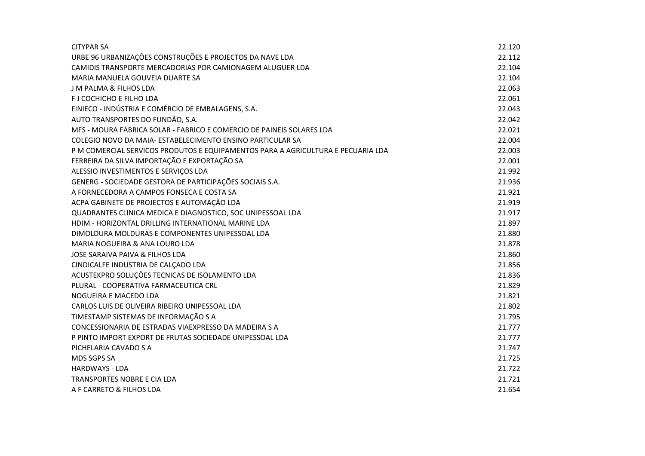| <b>CITYPAR SA</b>                                                                | 22.120 |
|----------------------------------------------------------------------------------|--------|
| URBE 96 URBANIZAÇÕES CONSTRUÇÕES E PROJECTOS DA NAVE LDA                         | 22.112 |
| CAMIDIS TRANSPORTE MERCADORIAS POR CAMIONAGEM ALUGUER LDA                        | 22.104 |
| MARIA MANUELA GOUVEIA DUARTE SA                                                  | 22.104 |
| <b>J M PALMA &amp; FILHOS LDA</b>                                                | 22.063 |
| F J COCHICHO E FILHO LDA                                                         | 22.061 |
| FINIECO - INDÚSTRIA E COMÉRCIO DE EMBALAGENS, S.A.                               | 22.043 |
| AUTO TRANSPORTES DO FUNDÃO, S.A.                                                 | 22.042 |
| MFS - MOURA FABRICA SOLAR - FABRICO E COMERCIO DE PAINEIS SOLARES LDA            | 22.021 |
| COLEGIO NOVO DA MAIA- ESTABELECIMENTO ENSINO PARTICULAR SA                       | 22.004 |
| P M COMERCIAL SERVICOS PRODUTOS E EQUIPAMENTOS PARA A AGRICULTURA E PECUARIA LDA | 22.003 |
| FERREIRA DA SILVA IMPORTAÇÃO E EXPORTAÇÃO SA                                     | 22.001 |
| ALESSIO INVESTIMENTOS E SERVIÇOS LDA                                             | 21.992 |
| GENERG - SOCIEDADE GESTORA DE PARTICIPAÇÕES SOCIAIS S.A.                         | 21.936 |
| A FORNECEDORA A CAMPOS FONSECA E COSTA SA                                        | 21.921 |
| ACPA GABINETE DE PROJECTOS E AUTOMAÇÃO LDA                                       | 21.919 |
| QUADRANTES CLINICA MEDICA E DIAGNOSTICO, SOC UNIPESSOAL LDA                      | 21.917 |
| HDIM - HORIZONTAL DRILLING INTERNATIONAL MARINE LDA                              | 21.897 |
| DIMOLDURA MOLDURAS E COMPONENTES UNIPESSOAL LDA                                  | 21.880 |
| MARIA NOGUEIRA & ANA LOURO LDA                                                   | 21.878 |
| JOSE SARAIVA PAIVA & FILHOS LDA                                                  | 21.860 |
| CINDICALFE INDUSTRIA DE CALÇADO LDA                                              | 21.856 |
| ACUSTEKPRO SOLUÇÕES TECNICAS DE ISOLAMENTO LDA                                   | 21.836 |
| PLURAL - COOPERATIVA FARMACEUTICA CRL                                            | 21.829 |
| NOGUEIRA E MACEDO LDA                                                            | 21.821 |
| CARLOS LUIS DE OLIVEIRA RIBEIRO UNIPESSOAL LDA                                   | 21.802 |
| TIMESTAMP SISTEMAS DE INFORMAÇÃO S A                                             | 21.795 |
| CONCESSIONARIA DE ESTRADAS VIAEXPRESSO DA MADEIRA S A                            | 21.777 |
| P PINTO IMPORT EXPORT DE FRUTAS SOCIEDADE UNIPESSOAL LDA                         | 21.777 |
| PICHELARIA CAVADO S A                                                            | 21.747 |
| MDS SGPS SA                                                                      | 21.725 |
| <b>HARDWAYS - LDA</b>                                                            | 21.722 |
| TRANSPORTES NOBRE E CIA LDA                                                      | 21.721 |
| A F CARRETO & FILHOS LDA                                                         | 21.654 |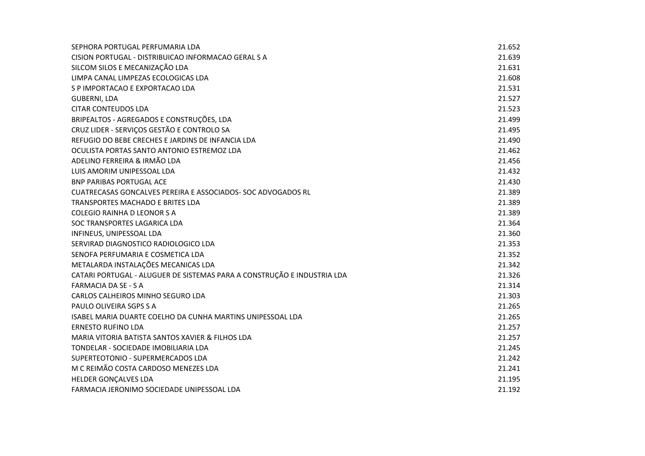| SEPHORA PORTUGAL PERFUMARIA LDA                                         | 21.652 |
|-------------------------------------------------------------------------|--------|
| CISION PORTUGAL - DISTRIBUICAO INFORMACAO GERAL S A                     | 21.639 |
| SILCOM SILOS E MECANIZAÇÃO LDA                                          | 21.631 |
| LIMPA CANAL LIMPEZAS ECOLOGICAS LDA                                     | 21.608 |
| S P IMPORTACAO E EXPORTACAO LDA                                         | 21.531 |
| <b>GUBERNI, LDA</b>                                                     | 21.527 |
| <b>CITAR CONTEUDOS LDA</b>                                              | 21.523 |
| BRIPEALTOS - AGREGADOS E CONSTRUÇÕES, LDA                               | 21.499 |
| CRUZ LIDER - SERVIÇOS GESTÃO E CONTROLO SA                              | 21.495 |
| REFUGIO DO BEBE CRECHES E JARDINS DE INFANCIA LDA                       | 21.490 |
| OCULISTA PORTAS SANTO ANTONIO ESTREMOZ LDA                              | 21.462 |
| ADELINO FERREIRA & IRMÃO LDA                                            | 21.456 |
| LUIS AMORIM UNIPESSOAL LDA                                              | 21.432 |
| <b>BNP PARIBAS PORTUGAL ACE</b>                                         | 21.430 |
| CUATRECASAS GONCALVES PEREIRA E ASSOCIADOS- SOC ADVOGADOS RL            | 21.389 |
| TRANSPORTES MACHADO E BRITES LDA                                        | 21.389 |
| <b>COLEGIO RAINHA D LEONOR S A</b>                                      | 21.389 |
| SOC TRANSPORTES LAGARICA LDA                                            | 21.364 |
| INFINEUS, UNIPESSOAL LDA                                                | 21.360 |
| SERVIRAD DIAGNOSTICO RADIOLOGICO LDA                                    | 21.353 |
| SENOFA PERFUMARIA E COSMETICA LDA                                       | 21.352 |
| METALARDA INSTALAÇÕES MECANICAS LDA                                     | 21.342 |
| CATARI PORTUGAL - ALUGUER DE SISTEMAS PARA A CONSTRUÇÃO E INDUSTRIA LDA | 21.326 |
| FARMACIA DA SE - S A                                                    | 21.314 |
| CARLOS CALHEIROS MINHO SEGURO LDA                                       | 21.303 |
| PAULO OLIVEIRA SGPS S A                                                 | 21.265 |
| ISABEL MARIA DUARTE COELHO DA CUNHA MARTINS UNIPESSOAL LDA              | 21.265 |
| <b>ERNESTO RUFINO LDA</b>                                               | 21.257 |
| MARIA VITORIA BATISTA SANTOS XAVIER & FILHOS LDA                        | 21.257 |
| TONDELAR - SOCIEDADE IMOBILIARIA LDA                                    | 21.245 |
| SUPERTEOTONIO - SUPERMERCADOS LDA                                       | 21.242 |
| M C REIMÃO COSTA CARDOSO MENEZES LDA                                    | 21.241 |
| HELDER GONÇALVES LDA                                                    | 21.195 |
| FARMACIA JERONIMO SOCIEDADE UNIPESSOAL LDA                              | 21.192 |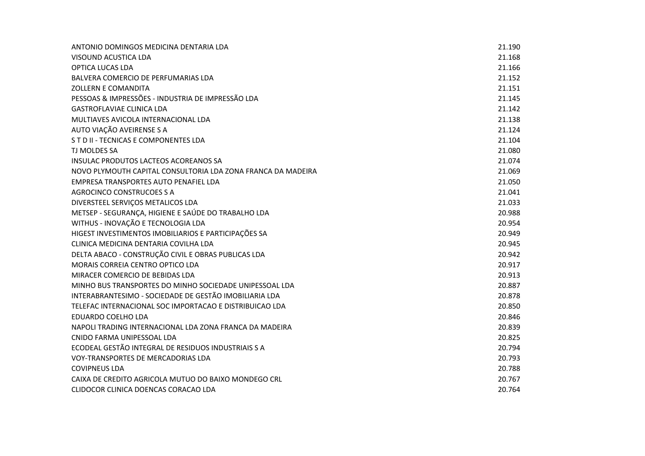| ANTONIO DOMINGOS MEDICINA DENTARIA LDA                       | 21.190 |
|--------------------------------------------------------------|--------|
| VISOUND ACUSTICA LDA                                         | 21.168 |
| <b>OPTICA LUCAS LDA</b>                                      | 21.166 |
| BALVERA COMERCIO DE PERFUMARIAS LDA                          | 21.152 |
| <b>ZOLLERN E COMANDITA</b>                                   | 21.151 |
| PESSOAS & IMPRESSÕES - INDUSTRIA DE IMPRESSÃO LDA            | 21.145 |
| <b>GASTROFLAVIAE CLINICA LDA</b>                             | 21.142 |
| MULTIAVES AVICOLA INTERNACIONAL LDA                          | 21.138 |
| AUTO VIAÇÃO AVEIRENSE S A                                    | 21.124 |
| STD II - TECNICAS E COMPONENTES LDA                          | 21.104 |
| <b>TJ MOLDES SA</b>                                          | 21.080 |
| INSULAC PRODUTOS LACTEOS ACOREANOS SA                        | 21.074 |
| NOVO PLYMOUTH CAPITAL CONSULTORIA LDA ZONA FRANCA DA MADEIRA | 21.069 |
| EMPRESA TRANSPORTES AUTO PENAFIEL LDA                        | 21.050 |
| AGROCINCO CONSTRUCOES S A                                    | 21.041 |
| DIVERSTEEL SERVIÇOS METALICOS LDA                            | 21.033 |
| METSEP - SEGURANÇA, HIGIENE E SAÚDE DO TRABALHO LDA          | 20.988 |
| WITHUS - INOVAÇÃO E TECNOLOGIA LDA                           | 20.954 |
| HIGEST INVESTIMENTOS IMOBILIARIOS E PARTICIPAÇÕES SA         | 20.949 |
| CLINICA MEDICINA DENTARIA COVILHA LDA                        | 20.945 |
| DELTA ABACO - CONSTRUÇÃO CIVIL E OBRAS PUBLICAS LDA          | 20.942 |
| MORAIS CORREIA CENTRO OPTICO LDA                             | 20.917 |
| MIRACER COMERCIO DE BEBIDAS LDA                              | 20.913 |
| MINHO BUS TRANSPORTES DO MINHO SOCIEDADE UNIPESSOAL LDA      | 20.887 |
| INTERABRANTESIMO - SOCIEDADE DE GESTÃO IMOBILIARIA LDA       | 20.878 |
| TELEFAC INTERNACIONAL SOC IMPORTACAO E DISTRIBUICAO LDA      | 20.850 |
| EDUARDO COELHO LDA                                           | 20.846 |
| NAPOLI TRADING INTERNACIONAL LDA ZONA FRANCA DA MADEIRA      | 20.839 |
| CNIDO FARMA UNIPESSOAL LDA                                   | 20.825 |
| ECODEAL GESTÃO INTEGRAL DE RESIDUOS INDUSTRIAIS S A          | 20.794 |
| VOY-TRANSPORTES DE MERCADORIAS LDA                           | 20.793 |
| <b>COVIPNEUS LDA</b>                                         | 20.788 |
| CAIXA DE CREDITO AGRICOLA MUTUO DO BAIXO MONDEGO CRL         | 20.767 |
| CLIDOCOR CLINICA DOENCAS CORACAO LDA                         | 20.764 |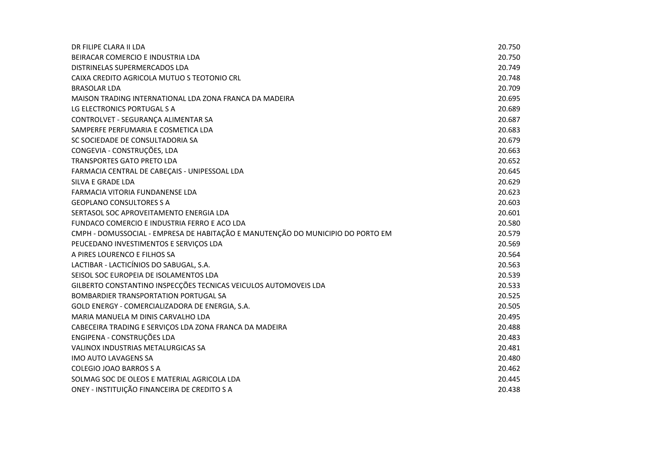| DR FILIPE CLARA II LDA                                                          | 20.750 |
|---------------------------------------------------------------------------------|--------|
| BEIRACAR COMERCIO E INDUSTRIA LDA                                               | 20.750 |
| DISTRINELAS SUPERMERCADOS LDA                                                   | 20.749 |
| CAIXA CREDITO AGRICOLA MUTUO S TEOTONIO CRL                                     | 20.748 |
| <b>BRASOLAR LDA</b>                                                             | 20.709 |
| MAISON TRADING INTERNATIONAL LDA ZONA FRANCA DA MADEIRA                         | 20.695 |
| LG ELECTRONICS PORTUGAL S A                                                     | 20.689 |
| CONTROLVET - SEGURANÇA ALIMENTAR SA                                             | 20.687 |
| SAMPERFE PERFUMARIA E COSMETICA LDA                                             | 20.683 |
| SC SOCIEDADE DE CONSULTADORIA SA                                                | 20.679 |
| CONGEVIA - CONSTRUÇÕES, LDA                                                     | 20.663 |
| TRANSPORTES GATO PRETO LDA                                                      | 20.652 |
| FARMACIA CENTRAL DE CABEÇAIS - UNIPESSOAL LDA                                   | 20.645 |
| SILVA E GRADE LDA                                                               | 20.629 |
| FARMACIA VITORIA FUNDANENSE LDA                                                 | 20.623 |
| <b>GEOPLANO CONSULTORES S A</b>                                                 | 20.603 |
| SERTASOL SOC APROVEITAMENTO ENERGIA LDA                                         | 20.601 |
| FUNDACO COMERCIO E INDUSTRIA FERRO E ACO LDA                                    | 20.580 |
| CMPH - DOMUSSOCIAL - EMPRESA DE HABITAÇÃO E MANUTENÇÃO DO MUNICIPIO DO PORTO EM | 20.579 |
| PEUCEDANO INVESTIMENTOS E SERVIÇOS LDA                                          | 20.569 |
| A PIRES LOURENCO E FILHOS SA                                                    | 20.564 |
| LACTIBAR - LACTICÍNIOS DO SABUGAL, S.A.                                         | 20.563 |
| SEISOL SOC EUROPEIA DE ISOLAMENTOS LDA                                          | 20.539 |
| GILBERTO CONSTANTINO INSPECÇÕES TECNICAS VEICULOS AUTOMOVEIS LDA                | 20.533 |
| BOMBARDIER TRANSPORTATION PORTUGAL SA                                           | 20.525 |
| GOLD ENERGY - COMERCIALIZADORA DE ENERGIA, S.A.                                 | 20.505 |
| MARIA MANUELA M DINIS CARVALHO LDA                                              | 20.495 |
| CABECEIRA TRADING E SERVIÇOS LDA ZONA FRANCA DA MADEIRA                         | 20.488 |
| ENGIPENA - CONSTRUÇÕES LDA                                                      | 20.483 |
| <b>VALINOX INDUSTRIAS METALURGICAS SA</b>                                       | 20.481 |
| IMO AUTO LAVAGENS SA                                                            | 20.480 |
| COLEGIO JOAO BARROS S A                                                         | 20.462 |
| SOLMAG SOC DE OLEOS E MATERIAL AGRICOLA LDA                                     | 20.445 |
| ONEY - INSTITUIÇÃO FINANCEIRA DE CREDITO S A                                    | 20.438 |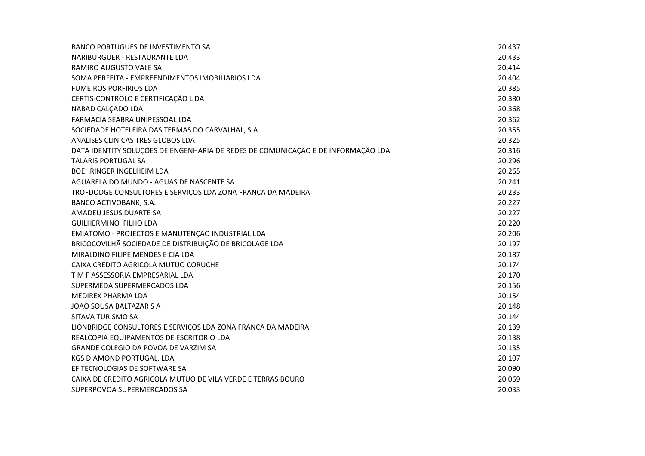| <b>BANCO PORTUGUES DE INVESTIMENTO SA</b>                                        | 20.437 |
|----------------------------------------------------------------------------------|--------|
| NARIBURGUER - RESTAURANTE LDA                                                    | 20.433 |
| <b>RAMIRO AUGUSTO VALE SA</b>                                                    | 20.414 |
| SOMA PERFEITA - EMPREENDIMENTOS IMOBILIARIOS LDA                                 | 20.404 |
| <b>FUMEIROS PORFIRIOS LDA</b>                                                    | 20.385 |
| CERTIS-CONTROLO E CERTIFICAÇÃO L DA                                              | 20.380 |
| NABAD CALÇADO LDA                                                                | 20.368 |
| FARMACIA SEABRA UNIPESSOAL LDA                                                   | 20.362 |
| SOCIEDADE HOTELEIRA DAS TERMAS DO CARVALHAL, S.A.                                | 20.355 |
| ANALISES CLINICAS TRES GLOBOS LDA                                                | 20.325 |
| DATA IDENTITY SOLUÇÕES DE ENGENHARIA DE REDES DE COMUNICAÇÃO E DE INFORMAÇÃO LDA | 20.316 |
| <b>TALARIS PORTUGAL SA</b>                                                       | 20.296 |
| <b>BOEHRINGER INGELHEIM LDA</b>                                                  | 20.265 |
| AGUARELA DO MUNDO - AGUAS DE NASCENTE SA                                         | 20.241 |
| TROFDODGE CONSULTORES E SERVIÇOS LDA ZONA FRANCA DA MADEIRA                      | 20.233 |
| BANCO ACTIVOBANK, S.A.                                                           | 20.227 |
| AMADEU JESUS DUARTE SA                                                           | 20.227 |
| <b>GUILHERMINO FILHO LDA</b>                                                     | 20.220 |
| EMIATOMO - PROJECTOS E MANUTENÇÃO INDUSTRIAL LDA                                 | 20.206 |
| BRICOCOVILHÃ SOCIEDADE DE DISTRIBUIÇÃO DE BRICOLAGE LDA                          | 20.197 |
| MIRALDINO FILIPE MENDES E CIA LDA                                                | 20.187 |
| CAIXA CREDITO AGRICOLA MUTUO CORUCHE                                             | 20.174 |
| T M F ASSESSORIA EMPRESARIAL LDA                                                 | 20.170 |
| SUPERMEDA SUPERMERCADOS LDA                                                      | 20.156 |
| MEDIREX PHARMA LDA                                                               | 20.154 |
| JOAO SOUSA BALTAZAR S A                                                          | 20.148 |
| SITAVA TURISMO SA                                                                | 20.144 |
| LIONBRIDGE CONSULTORES E SERVIÇOS LDA ZONA FRANCA DA MADEIRA                     | 20.139 |
| REALCOPIA EQUIPAMENTOS DE ESCRITORIO LDA                                         | 20.138 |
| <b>GRANDE COLEGIO DA POVOA DE VARZIM SA</b>                                      | 20.135 |
| KGS DIAMOND PORTUGAL, LDA                                                        | 20.107 |
| EF TECNOLOGIAS DE SOFTWARE SA                                                    | 20.090 |
| CAIXA DE CREDITO AGRICOLA MUTUO DE VILA VERDE E TERRAS BOURO                     | 20.069 |
| SUPERPOVOA SUPERMERCADOS SA                                                      | 20.033 |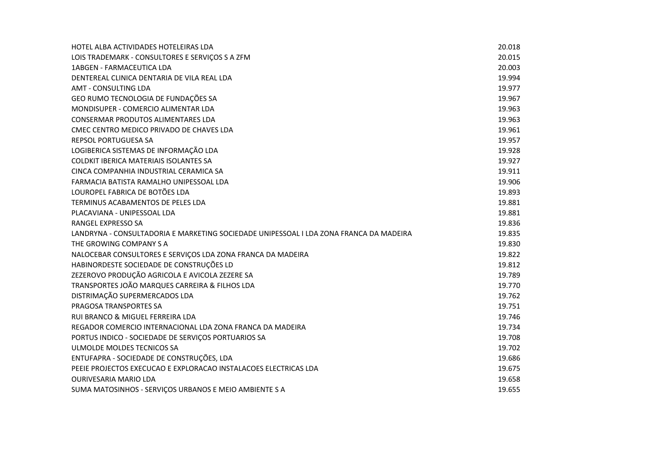| HOTEL ALBA ACTIVIDADES HOTELEIRAS LDA                                                  | 20.018 |
|----------------------------------------------------------------------------------------|--------|
| LOIS TRADEMARK - CONSULTORES E SERVIÇOS S A ZFM                                        | 20.015 |
| 1ABGEN - FARMACEUTICA LDA                                                              | 20.003 |
| DENTEREAL CLINICA DENTARIA DE VILA REAL LDA                                            | 19.994 |
| <b>AMT - CONSULTING LDA</b>                                                            | 19.977 |
| GEO RUMO TECNOLOGIA DE FUNDAÇÕES SA                                                    | 19.967 |
| MONDISUPER - COMERCIO ALIMENTAR LDA                                                    | 19.963 |
| CONSERMAR PRODUTOS ALIMENTARES LDA                                                     | 19.963 |
| CMEC CENTRO MEDICO PRIVADO DE CHAVES LDA                                               | 19.961 |
| REPSOL PORTUGUESA SA                                                                   | 19.957 |
| LOGIBERICA SISTEMAS DE INFORMAÇÃO LDA                                                  | 19.928 |
| <b>COLDKIT IBERICA MATERIAIS ISOLANTES SA</b>                                          | 19.927 |
| CINCA COMPANHIA INDUSTRIAL CERAMICA SA                                                 | 19.911 |
| FARMACIA BATISTA RAMALHO UNIPESSOAL LDA                                                | 19.906 |
| LOUROPEL FABRICA DE BOTÕES LDA                                                         | 19.893 |
| TERMINUS ACABAMENTOS DE PELES LDA                                                      | 19.881 |
| PLACAVIANA - UNIPESSOAL LDA                                                            | 19.881 |
| RANGEL EXPRESSO SA                                                                     | 19.836 |
| LANDRYNA - CONSULTADORIA E MARKETING SOCIEDADE UNIPESSOAL I LDA ZONA FRANCA DA MADEIRA | 19.835 |
| THE GROWING COMPANY S A                                                                | 19.830 |
| NALOCEBAR CONSULTORES E SERVIÇOS LDA ZONA FRANCA DA MADEIRA                            | 19.822 |
| HABINORDESTE SOCIEDADE DE CONSTRUÇÕES LD                                               | 19.812 |
| ZEZEROVO PRODUÇÃO AGRICOLA E AVICOLA ZEZERE SA                                         | 19.789 |
| TRANSPORTES JOÃO MARQUES CARREIRA & FILHOS LDA                                         | 19.770 |
| DISTRIMAÇÃO SUPERMERCADOS LDA                                                          | 19.762 |
| PRAGOSA TRANSPORTES SA                                                                 | 19.751 |
| RUI BRANCO & MIGUEL FERREIRA LDA                                                       | 19.746 |
| REGADOR COMERCIO INTERNACIONAL LDA ZONA FRANCA DA MADEIRA                              | 19.734 |
| PORTUS INDICO - SOCIEDADE DE SERVIÇOS PORTUARIOS SA                                    | 19.708 |
| ULMOLDE MOLDES TECNICOS SA                                                             | 19.702 |
| ENTUFAPRA - SOCIEDADE DE CONSTRUÇÕES, LDA                                              | 19.686 |
| PEEIE PROJECTOS EXECUCAO E EXPLORACAO INSTALACOES ELECTRICAS LDA                       | 19.675 |
| <b>OURIVESARIA MARIO LDA</b>                                                           | 19.658 |
| SUMA MATOSINHOS - SERVIÇOS URBANOS E MEIO AMBIENTE S A                                 | 19.655 |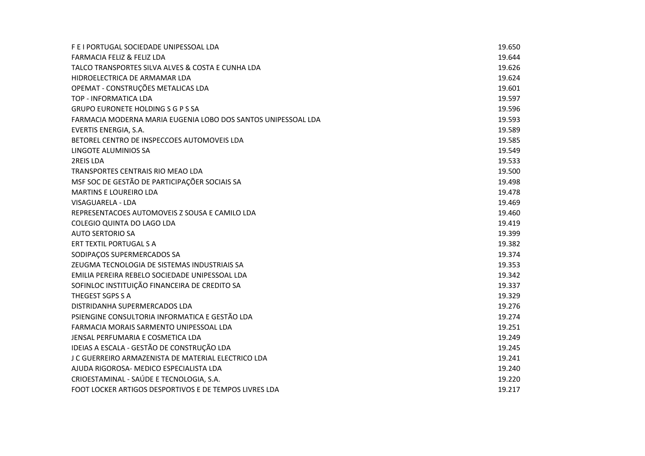| F E I PORTUGAL SOCIEDADE UNIPESSOAL LDA                       | 19.650 |
|---------------------------------------------------------------|--------|
| <b>FARMACIA FELIZ &amp; FELIZ LDA</b>                         | 19.644 |
| TALCO TRANSPORTES SILVA ALVES & COSTA E CUNHA LDA             | 19.626 |
| HIDROELECTRICA DE ARMAMAR LDA                                 | 19.624 |
| OPEMAT - CONSTRUÇÕES METALICAS LDA                            | 19.601 |
| TOP - INFORMATICA LDA                                         | 19.597 |
| <b>GRUPO EURONETE HOLDING S G P S SA</b>                      | 19.596 |
| FARMACIA MODERNA MARIA EUGENIA LOBO DOS SANTOS UNIPESSOAL LDA | 19.593 |
| EVERTIS ENERGIA, S.A.                                         | 19.589 |
| BETOREL CENTRO DE INSPECCOES AUTOMOVEIS LDA                   | 19.585 |
| LINGOTE ALUMINIOS SA                                          | 19.549 |
| 2REIS LDA                                                     | 19.533 |
| TRANSPORTES CENTRAIS RIO MEAO LDA                             | 19.500 |
| MSF SOC DE GESTÃO DE PARTICIPAÇÕER SOCIAIS SA                 | 19.498 |
| <b>MARTINS E LOUREIRO LDA</b>                                 | 19.478 |
| VISAGUARELA - LDA                                             | 19.469 |
| REPRESENTACOES AUTOMOVEIS Z SOUSA E CAMILO LDA                | 19.460 |
| COLEGIO QUINTA DO LAGO LDA                                    | 19.419 |
| <b>AUTO SERTORIO SA</b>                                       | 19.399 |
| ERT TEXTIL PORTUGAL S A                                       | 19.382 |
| SODIPAÇOS SUPERMERCADOS SA                                    | 19.374 |
| ZEUGMA TECNOLOGIA DE SISTEMAS INDUSTRIAIS SA                  | 19.353 |
| EMILIA PEREIRA REBELO SOCIEDADE UNIPESSOAL LDA                | 19.342 |
| SOFINLOC INSTITUIÇÃO FINANCEIRA DE CREDITO SA                 | 19.337 |
| THEGEST SGPS S A                                              | 19.329 |
| DISTRIDANHA SUPERMERCADOS LDA                                 | 19.276 |
| PSIENGINE CONSULTORIA INFORMATICA E GESTÃO LDA                | 19.274 |
| FARMACIA MORAIS SARMENTO UNIPESSOAL LDA                       | 19.251 |
| JENSAL PERFUMARIA E COSMETICA LDA                             | 19.249 |
| IDEIAS A ESCALA - GESTÃO DE CONSTRUÇÃO LDA                    | 19.245 |
| J C GUERREIRO ARMAZENISTA DE MATERIAL ELECTRICO LDA           | 19.241 |
| AJUDA RIGOROSA- MEDICO ESPECIALISTA LDA                       | 19.240 |
| CRIOESTAMINAL - SAÚDE E TECNOLOGIA, S.A.                      | 19.220 |
| FOOT LOCKER ARTIGOS DESPORTIVOS E DE TEMPOS LIVRES LDA        | 19.217 |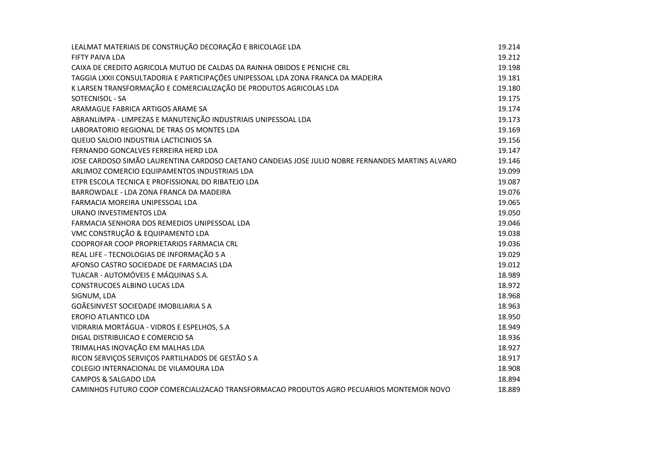| LEALMAT MATERIAIS DE CONSTRUÇÃO DECORAÇÃO E BRICOLAGE LDA                                        | 19.214 |
|--------------------------------------------------------------------------------------------------|--------|
| FIFTY PAIVA LDA                                                                                  | 19.212 |
| CAIXA DE CREDITO AGRICOLA MUTUO DE CALDAS DA RAINHA OBIDOS E PENICHE CRL                         | 19.198 |
| TAGGIA LXXII CONSULTADORIA E PARTICIPAÇÕES UNIPESSOAL LDA ZONA FRANCA DA MADEIRA                 | 19.181 |
| K LARSEN TRANSFORMAÇÃO E COMERCIALIZAÇÃO DE PRODUTOS AGRICOLAS LDA                               | 19.180 |
| SOTECNISOL - SA                                                                                  | 19.175 |
| ARAMAGUE FABRICA ARTIGOS ARAME SA                                                                | 19.174 |
| ABRANLIMPA - LIMPEZAS E MANUTENÇÃO INDUSTRIAIS UNIPESSOAL LDA                                    | 19.173 |
| LABORATORIO REGIONAL DE TRAS OS MONTES LDA                                                       | 19.169 |
| QUELIO SALOIO INDUSTRIA LACTICINIOS SA                                                           | 19.156 |
| FERNANDO GONCALVES FERREIRA HERD LDA                                                             | 19.147 |
| JOSE CARDOSO SIMÃO LAURENTINA CARDOSO CAETANO CANDEIAS JOSE JULIO NOBRE FERNANDES MARTINS ALVARO | 19.146 |
| ARLIMOZ COMERCIO EQUIPAMENTOS INDUSTRIAIS LDA                                                    | 19.099 |
| ETPR ESCOLA TECNICA E PROFISSIONAL DO RIBATEJO LDA                                               | 19.087 |
| BARROWDALE - LDA ZONA FRANCA DA MADEIRA                                                          | 19.076 |
| FARMACIA MOREIRA UNIPESSOAL LDA                                                                  | 19.065 |
| URANO INVESTIMENTOS LDA                                                                          | 19.050 |
| FARMACIA SENHORA DOS REMEDIOS UNIPESSOAL LDA                                                     | 19.046 |
| VMC CONSTRUÇÃO & EQUIPAMENTO LDA                                                                 | 19.038 |
| COOPROFAR COOP PROPRIETARIOS FARMACIA CRL                                                        | 19.036 |
| REAL LIFE - TECNOLOGIAS DE INFORMAÇÃO S A                                                        | 19.029 |
| AFONSO CASTRO SOCIEDADE DE FARMACIAS LDA                                                         | 19.012 |
| TUACAR - AUTOMÓVEIS E MÁQUINAS S.A.                                                              | 18.989 |
| <b>CONSTRUCOES ALBINO LUCAS LDA</b>                                                              | 18.972 |
| SIGNUM, LDA                                                                                      | 18.968 |
| GOÃESINVEST SOCIEDADE IMOBILIARIA S A                                                            | 18.963 |
| <b>EROFIO ATLANTICO LDA</b>                                                                      | 18.950 |
| VIDRARIA MORTÁGUA - VIDROS E ESPELHOS, S.A                                                       | 18.949 |
| DIGAL DISTRIBUICAO E COMERCIO SA                                                                 | 18.936 |
| TRIMALHAS INOVAÇÃO EM MALHAS LDA                                                                 | 18.927 |
| RICON SERVIÇOS SERVIÇOS PARTILHADOS DE GESTÃO S A                                                | 18.917 |
| COLEGIO INTERNACIONAL DE VILAMOURA LDA                                                           | 18.908 |
| <b>CAMPOS &amp; SALGADO LDA</b>                                                                  | 18.894 |
| CAMINHOS FUTURO COOP COMERCIALIZACAO TRANSFORMACAO PRODUTOS AGRO PECUARIOS MONTEMOR NOVO         | 18.889 |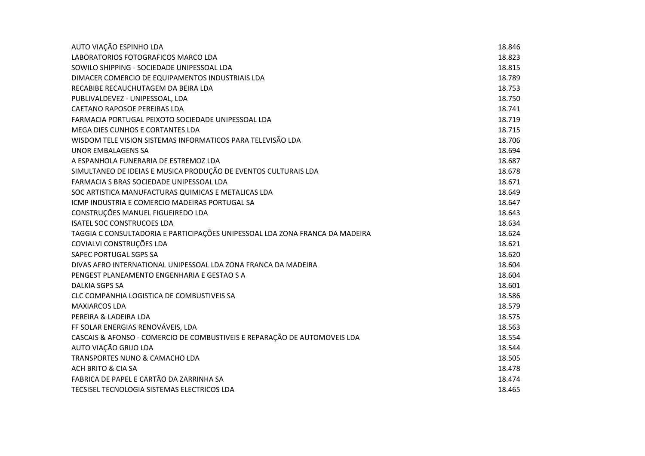| AUTO VIAÇÃO ESPINHO LDA                                                      | 18.846 |
|------------------------------------------------------------------------------|--------|
| LABORATORIOS FOTOGRAFICOS MARCO LDA                                          | 18.823 |
| SOWILO SHIPPING - SOCIEDADE UNIPESSOAL LDA                                   | 18.815 |
| DIMACER COMERCIO DE EQUIPAMENTOS INDUSTRIAIS LDA                             | 18.789 |
| RECABIBE RECAUCHUTAGEM DA BEIRA LDA                                          | 18.753 |
| PUBLIVALDEVEZ - UNIPESSOAL, LDA                                              | 18.750 |
| CAETANO RAPOSOE PEREIRAS LDA                                                 | 18.741 |
| FARMACIA PORTUGAL PEIXOTO SOCIEDADE UNIPESSOAL LDA                           | 18.719 |
| MEGA DIES CUNHOS E CORTANTES LDA                                             | 18.715 |
| WISDOM TELE VISION SISTEMAS INFORMATICOS PARA TELEVISÃO LDA                  | 18.706 |
| UNOR EMBALAGENS SA                                                           | 18.694 |
| A ESPANHOLA FUNERARIA DE ESTREMOZ LDA                                        | 18.687 |
| SIMULTANEO DE IDEIAS E MUSICA PRODUÇÃO DE EVENTOS CULTURAIS LDA              | 18.678 |
| FARMACIA S BRAS SOCIEDADE UNIPESSOAL LDA                                     | 18.671 |
| SOC ARTISTICA MANUFACTURAS QUIMICAS E METALICAS LDA                          | 18.649 |
| ICMP INDUSTRIA E COMERCIO MADEIRAS PORTUGAL SA                               | 18.647 |
| CONSTRUÇÕES MANUEL FIGUEIREDO LDA                                            | 18.643 |
| <b>ISATEL SOC CONSTRUCOES LDA</b>                                            | 18.634 |
| TAGGIA C CONSULTADORIA E PARTICIPAÇÕES UNIPESSOAL LDA ZONA FRANCA DA MADEIRA | 18.624 |
| COVIALVI CONSTRUÇÕES LDA                                                     | 18.621 |
| SAPEC PORTUGAL SGPS SA                                                       | 18.620 |
| DIVAS AFRO INTERNATIONAL UNIPESSOAL LDA ZONA FRANCA DA MADEIRA               | 18.604 |
| PENGEST PLANEAMENTO ENGENHARIA E GESTAO S A                                  | 18.604 |
| <b>DALKIA SGPS SA</b>                                                        | 18.601 |
| CLC COMPANHIA LOGISTICA DE COMBUSTIVEIS SA                                   | 18.586 |
| <b>MAXIARCOS LDA</b>                                                         | 18.579 |
| PEREIRA & LADEIRA LDA                                                        | 18.575 |
| FF SOLAR ENERGIAS RENOVÁVEIS, LDA                                            | 18.563 |
| CASCAIS & AFONSO - COMERCIO DE COMBUSTIVEIS E REPARAÇÃO DE AUTOMOVEIS LDA    | 18.554 |
| AUTO VIAÇÃO GRIJO LDA                                                        | 18.544 |
| <b>TRANSPORTES NUNO &amp; CAMACHO LDA</b>                                    | 18.505 |
| ACH BRITO & CIA SA                                                           | 18.478 |
| FABRICA DE PAPEL E CARTÃO DA ZARRINHA SA                                     | 18.474 |
| TECSISEL TECNOLOGIA SISTEMAS ELECTRICOS LDA                                  | 18.465 |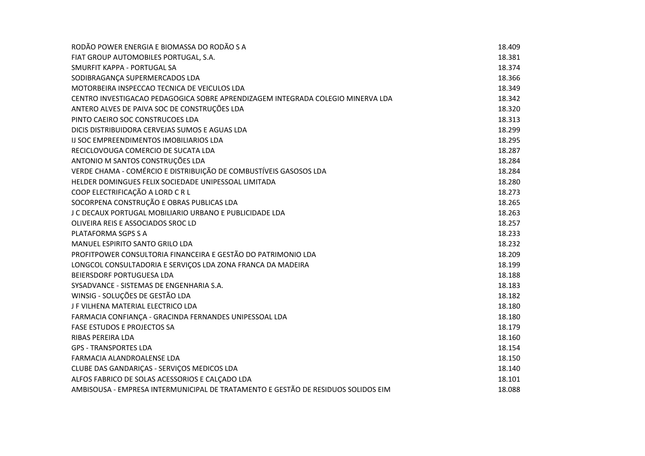| RODÃO POWER ENERGIA E BIOMASSA DO RODÃO S A                                       | 18.409 |
|-----------------------------------------------------------------------------------|--------|
| FIAT GROUP AUTOMOBILES PORTUGAL, S.A.                                             | 18.381 |
| SMURFIT KAPPA - PORTUGAL SA                                                       | 18.374 |
| SODIBRAGANÇA SUPERMERCADOS LDA                                                    | 18.366 |
| MOTORBEIRA INSPECCAO TECNICA DE VEICULOS LDA                                      | 18.349 |
| CENTRO INVESTIGACAO PEDAGOGICA SOBRE APRENDIZAGEM INTEGRADA COLEGIO MINERVA LDA   | 18.342 |
| ANTERO ALVES DE PAIVA SOC DE CONSTRUÇÕES LDA                                      | 18.320 |
| PINTO CAEIRO SOC CONSTRUCOES LDA                                                  | 18.313 |
| DICIS DISTRIBUIDORA CERVEJAS SUMOS E AGUAS LDA                                    | 18.299 |
| IJ SOC EMPREENDIMENTOS IMOBILIARIOS LDA                                           | 18.295 |
| RECICLOVOUGA COMERCIO DE SUCATA LDA                                               | 18.287 |
| ANTONIO M SANTOS CONSTRUÇÕES LDA                                                  | 18.284 |
| VERDE CHAMA - COMÉRCIO E DISTRIBUIÇÃO DE COMBUSTÍVEIS GASOSOS LDA                 | 18.284 |
| HELDER DOMINGUES FELIX SOCIEDADE UNIPESSOAL LIMITADA                              | 18.280 |
| COOP ELECTRIFICAÇÃO A LORD C R L                                                  | 18.273 |
| SOCORPENA CONSTRUÇÃO E OBRAS PUBLICAS LDA                                         | 18.265 |
| J C DECAUX PORTUGAL MOBILIARIO URBANO E PUBLICIDADE LDA                           | 18.263 |
| OLIVEIRA REIS E ASSOCIADOS SROC LD                                                | 18.257 |
| PLATAFORMA SGPS S A                                                               | 18.233 |
| <b>MANUEL ESPIRITO SANTO GRILO LDA</b>                                            | 18.232 |
| PROFITPOWER CONSULTORIA FINANCEIRA E GESTÃO DO PATRIMONIO LDA                     | 18.209 |
| LONGCOL CONSULTADORIA E SERVIÇOS LDA ZONA FRANCA DA MADEIRA                       | 18.199 |
| BEIERSDORF PORTUGUESA LDA                                                         | 18.188 |
| SYSADVANCE - SISTEMAS DE ENGENHARIA S.A.                                          | 18.183 |
| WINSIG - SOLUÇÕES DE GESTÃO LDA                                                   | 18.182 |
| J F VILHENA MATERIAL ELECTRICO LDA                                                | 18.180 |
| FARMACIA CONFIANÇA - GRACINDA FERNANDES UNIPESSOAL LDA                            | 18.180 |
| FASE ESTUDOS E PROJECTOS SA                                                       | 18.179 |
| RIBAS PEREIRA LDA                                                                 | 18.160 |
| <b>GPS - TRANSPORTES LDA</b>                                                      | 18.154 |
| FARMACIA ALANDROALENSE LDA                                                        | 18.150 |
| CLUBE DAS GANDARIÇAS - SERVIÇOS MEDICOS LDA                                       | 18.140 |
| ALFOS FABRICO DE SOLAS ACESSORIOS E CALÇADO LDA                                   | 18.101 |
| AMBISOUSA - EMPRESA INTERMUNICIPAL DE TRATAMENTO E GESTÃO DE RESIDUOS SOLIDOS EIM | 18.088 |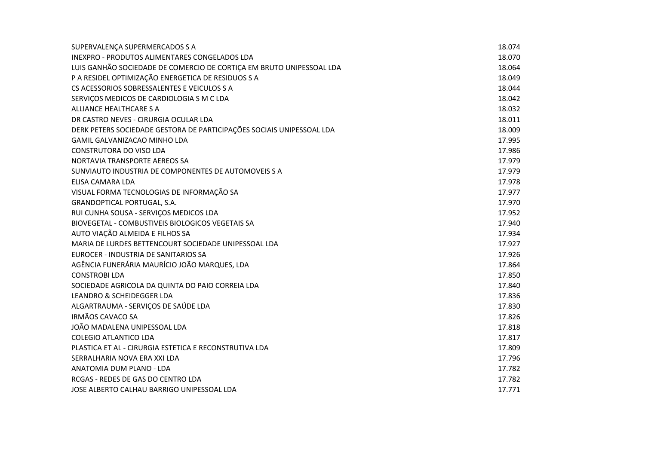| SUPERVALENÇA SUPERMERCADOS S A                                        | 18.074 |
|-----------------------------------------------------------------------|--------|
| <b>INEXPRO - PRODUTOS ALIMENTARES CONGELADOS LDA</b>                  | 18.070 |
| LUIS GANHÃO SOCIEDADE DE COMERCIO DE CORTIÇA EM BRUTO UNIPESSOAL LDA  | 18.064 |
| P A RESIDEL OPTIMIZAÇÃO ENERGETICA DE RESIDUOS S A                    | 18.049 |
| CS ACESSORIOS SOBRESSALENTES E VEICULOS S A                           | 18.044 |
| SERVIÇOS MEDICOS DE CARDIOLOGIA S M C LDA                             | 18.042 |
| ALLIANCE HEALTHCARE S A                                               | 18.032 |
| DR CASTRO NEVES - CIRURGIA OCULAR LDA                                 | 18.011 |
| DERK PETERS SOCIEDADE GESTORA DE PARTICIPAÇÕES SOCIAIS UNIPESSOAL LDA | 18.009 |
| GAMIL GALVANIZACAO MINHO LDA                                          | 17.995 |
| CONSTRUTORA DO VISO LDA                                               | 17.986 |
| NORTAVIA TRANSPORTE AEREOS SA                                         | 17.979 |
| SUNVIAUTO INDUSTRIA DE COMPONENTES DE AUTOMOVEIS S A                  | 17.979 |
| ELISA CAMARA LDA                                                      | 17.978 |
| VISUAL FORMA TECNOLOGIAS DE INFORMAÇÃO SA                             | 17.977 |
| GRANDOPTICAL PORTUGAL, S.A.                                           | 17.970 |
| RUI CUNHA SOUSA - SERVIÇOS MEDICOS LDA                                | 17.952 |
| BIOVEGETAL - COMBUSTIVEIS BIOLOGICOS VEGETAIS SA                      | 17.940 |
| AUTO VIAÇÃO ALMEIDA E FILHOS SA                                       | 17.934 |
| MARIA DE LURDES BETTENCOURT SOCIEDADE UNIPESSOAL LDA                  | 17.927 |
| EUROCER - INDUSTRIA DE SANITARIOS SA                                  | 17.926 |
| AGÊNCIA FUNERÁRIA MAURÍCIO JOÃO MARQUES, LDA                          | 17.864 |
| <b>CONSTROBILDA</b>                                                   | 17.850 |
| SOCIEDADE AGRICOLA DA QUINTA DO PAIO CORREIA LDA                      | 17.840 |
| LEANDRO & SCHEIDEGGER LDA                                             | 17.836 |
| ALGARTRAUMA - SERVIÇOS DE SAÚDE LDA                                   | 17.830 |
| <b>IRMÃOS CAVACO SA</b>                                               | 17.826 |
| JOÃO MADALENA UNIPESSOAL LDA                                          | 17.818 |
| <b>COLEGIO ATLANTICO LDA</b>                                          | 17.817 |
| PLASTICA ET AL - CIRURGIA ESTETICA E RECONSTRUTIVA LDA                | 17.809 |
| SERRALHARIA NOVA ERA XXI LDA                                          | 17.796 |
| ANATOMIA DUM PLANO - LDA                                              | 17.782 |
| RCGAS - REDES DE GAS DO CENTRO LDA                                    | 17.782 |
| JOSE ALBERTO CALHAU BARRIGO UNIPESSOAL LDA                            | 17.771 |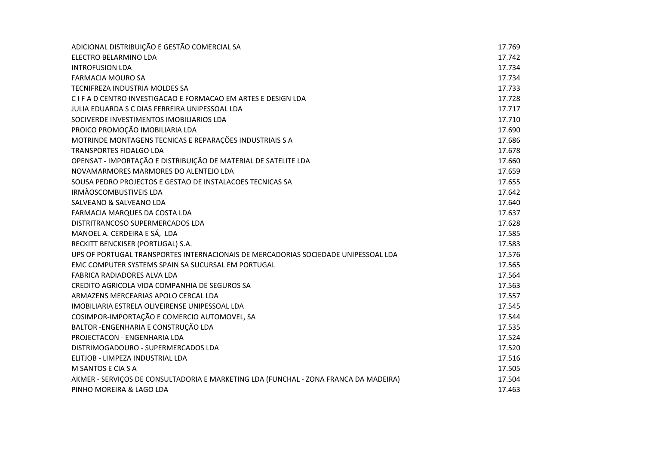| ADICIONAL DISTRIBUIÇÃO E GESTÃO COMERCIAL SA                                         | 17.769 |
|--------------------------------------------------------------------------------------|--------|
| ELECTRO BELARMINO LDA                                                                | 17.742 |
| <b>INTROFUSION LDA</b>                                                               | 17.734 |
| <b>FARMACIA MOURO SA</b>                                                             | 17.734 |
| TECNIFREZA INDUSTRIA MOLDES SA                                                       | 17.733 |
| C I F A D CENTRO INVESTIGACAO E FORMACAO EM ARTES E DESIGN LDA                       | 17.728 |
| JULIA EDUARDA S C DIAS FERREIRA UNIPESSOAL LDA                                       | 17.717 |
| SOCIVERDE INVESTIMENTOS IMOBILIARIOS LDA                                             | 17.710 |
| PROICO PROMOÇÃO IMOBILIARIA LDA                                                      | 17.690 |
| MOTRINDE MONTAGENS TECNICAS E REPARAÇÕES INDUSTRIAIS S A                             | 17.686 |
| <b>TRANSPORTES FIDALGO LDA</b>                                                       | 17.678 |
| OPENSAT - IMPORTAÇÃO E DISTRIBUIÇÃO DE MATERIAL DE SATELITE LDA                      | 17.660 |
| NOVAMARMORES MARMORES DO ALENTEJO LDA                                                | 17.659 |
| SOUSA PEDRO PROJECTOS E GESTAO DE INSTALACOES TECNICAS SA                            | 17.655 |
| IRMÃOSCOMBUSTIVEIS LDA                                                               | 17.642 |
| <b>SALVEANO &amp; SALVEANO LDA</b>                                                   | 17.640 |
| FARMACIA MARQUES DA COSTA LDA                                                        | 17.637 |
| DISTRITRANCOSO SUPERMERCADOS LDA                                                     | 17.628 |
| MANOEL A. CERDEIRA E SÁ, LDA                                                         | 17.585 |
| RECKITT BENCKISER (PORTUGAL) S.A.                                                    | 17.583 |
| UPS OF PORTUGAL TRANSPORTES INTERNACIONAIS DE MERCADORIAS SOCIEDADE UNIPESSOAL LDA   | 17.576 |
| EMC COMPUTER SYSTEMS SPAIN SA SUCURSAL EM PORTUGAL                                   | 17.565 |
| FABRICA RADIADORES ALVA LDA                                                          | 17.564 |
| CREDITO AGRICOLA VIDA COMPANHIA DE SEGUROS SA                                        | 17.563 |
| ARMAZENS MERCEARIAS APOLO CERCAL LDA                                                 | 17.557 |
| IMOBILIARIA ESTRELA OLIVEIRENSE UNIPESSOAL LDA                                       | 17.545 |
| COSIMPOR-IMPORTAÇÃO E COMERCIO AUTOMOVEL, SA                                         | 17.544 |
| BALTOR - ENGENHARIA E CONSTRUÇÃO LDA                                                 | 17.535 |
| PROJECTACON - ENGENHARIA LDA                                                         | 17.524 |
| DISTRIMOGADOURO - SUPERMERCADOS LDA                                                  | 17.520 |
| ELITJOB - LIMPEZA INDUSTRIAL LDA                                                     | 17.516 |
| M SANTOS E CIA S A                                                                   | 17.505 |
| AKMER - SERVIÇOS DE CONSULTADORIA E MARKETING LDA (FUNCHAL - ZONA FRANCA DA MADEIRA) | 17.504 |
| PINHO MOREIRA & LAGO LDA                                                             | 17.463 |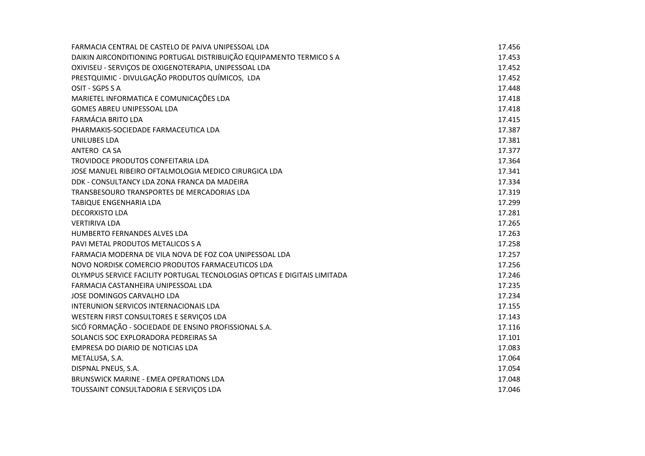| FARMACIA CENTRAL DE CASTELO DE PAIVA UNIPESSOAL LDA                       | 17.456 |
|---------------------------------------------------------------------------|--------|
| DAIKIN AIRCONDITIONING PORTUGAL DISTRIBUIÇÃO EQUIPAMENTO TERMICO S A      | 17.453 |
| OXIVISEU - SERVIÇOS DE OXIGENOTERAPIA, UNIPESSOAL LDA                     | 17.452 |
| PRESTQUIMIC - DIVULGAÇÃO PRODUTOS QUÍMICOS, LDA                           | 17.452 |
| OSIT - SGPS S A                                                           | 17.448 |
| MARIETEL INFORMATICA E COMUNICAÇÕES LDA                                   | 17.418 |
| <b>GOMES ABREU UNIPESSOAL LDA</b>                                         | 17.418 |
| <b>FARMÁCIA BRITO LDA</b>                                                 | 17.415 |
| PHARMAKIS-SOCIEDADE FARMACEUTICA LDA                                      | 17.387 |
| UNILUBES LDA                                                              | 17.381 |
| ANTERO CA SA                                                              | 17.377 |
| TROVIDOCE PRODUTOS CONFEITARIA LDA                                        | 17.364 |
| JOSE MANUEL RIBEIRO OFTALMOLOGIA MEDICO CIRURGICA LDA                     | 17.341 |
| DDK - CONSULTANCY LDA ZONA FRANCA DA MADEIRA                              | 17.334 |
| TRANSBESOURO TRANSPORTES DE MERCADORIAS LDA                               | 17.319 |
| TABIQUE ENGENHARIA LDA                                                    | 17.299 |
| <b>DECORXISTO LDA</b>                                                     | 17.281 |
| <b>VERTIRIVA LDA</b>                                                      | 17.265 |
| <b>HUMBERTO FERNANDES ALVES LDA</b>                                       | 17.263 |
| PAVI METAL PRODUTOS METALICOS S A                                         | 17.258 |
| FARMACIA MODERNA DE VILA NOVA DE FOZ COA UNIPESSOAL LDA                   | 17.257 |
| NOVO NORDISK COMERCIO PRODUTOS FARMACEUTICOS LDA                          | 17.256 |
| OLYMPUS SERVICE FACILITY PORTUGAL TECNOLOGIAS OPTICAS E DIGITAIS LIMITADA | 17.246 |
| FARMACIA CASTANHEIRA UNIPESSOAL LDA                                       | 17.235 |
| JOSE DOMINGOS CARVALHO LDA                                                | 17.234 |
| INTERUNION SERVICOS INTERNACIONAIS LDA                                    | 17.155 |
| WESTERN FIRST CONSULTORES E SERVIÇOS LDA                                  | 17.143 |
| SICÓ FORMAÇÃO - SOCIEDADE DE ENSINO PROFISSIONAL S.A.                     | 17.116 |
| SOLANCIS SOC EXPLORADORA PEDREIRAS SA                                     | 17.101 |
| EMPRESA DO DIARIO DE NOTICIAS LDA                                         | 17.083 |
| METALUSA, S.A.                                                            | 17.064 |
| DISPNAL PNEUS, S.A.                                                       | 17.054 |
| <b>BRUNSWICK MARINE - EMEA OPERATIONS LDA</b>                             | 17.048 |
| TOUSSAINT CONSULTADORIA E SERVICOS LDA                                    | 17.046 |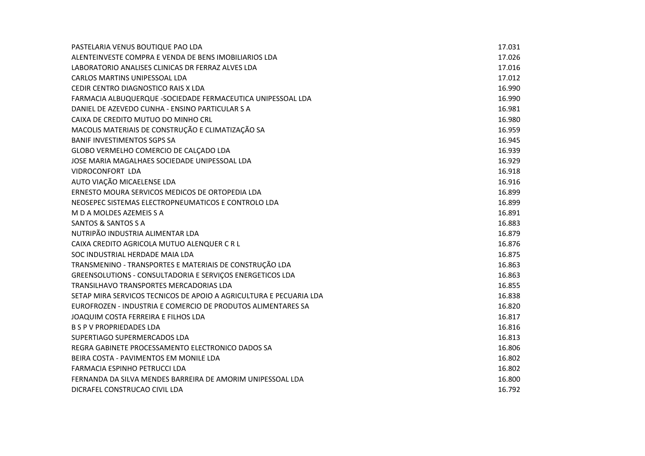| PASTELARIA VENUS BOUTIQUE PAO LDA                                  | 17.031 |
|--------------------------------------------------------------------|--------|
| ALENTEINVESTE COMPRA E VENDA DE BENS IMOBILIARIOS LDA              | 17.026 |
| LABORATORIO ANALISES CLINICAS DR FERRAZ ALVES LDA                  | 17.016 |
| CARLOS MARTINS UNIPESSOAL LDA                                      | 17.012 |
| CEDIR CENTRO DIAGNOSTICO RAIS X LDA                                | 16.990 |
| FARMACIA ALBUQUERQUE - SOCIEDADE FERMACEUTICA UNIPESSOAL LDA       | 16.990 |
| DANIEL DE AZEVEDO CUNHA - ENSINO PARTICULAR S A                    | 16.981 |
| CAIXA DE CREDITO MUTUO DO MINHO CRL                                | 16.980 |
| MACOLIS MATERIAIS DE CONSTRUÇÃO E CLIMATIZAÇÃO SA                  | 16.959 |
| <b>BANIF INVESTIMENTOS SGPS SA</b>                                 | 16.945 |
| GLOBO VERMELHO COMERCIO DE CALÇADO LDA                             | 16.939 |
| JOSE MARIA MAGALHAES SOCIEDADE UNIPESSOAL LDA                      | 16.929 |
| VIDROCONFORT LDA                                                   | 16.918 |
| AUTO VIAÇÃO MICAELENSE LDA                                         | 16.916 |
| ERNESTO MOURA SERVICOS MEDICOS DE ORTOPEDIA LDA                    | 16.899 |
| NEOSEPEC SISTEMAS ELECTROPNEUMATICOS E CONTROLO LDA                | 16.899 |
| M D A MOLDES AZEMEIS S A                                           | 16.891 |
| SANTOS & SANTOS S A                                                | 16.883 |
| NUTRIPÃO INDUSTRIA ALIMENTAR LDA                                   | 16.879 |
| CAIXA CREDITO AGRICOLA MUTUO ALENQUER C R L                        | 16.876 |
| SOC INDUSTRIAL HERDADE MAIA LDA                                    | 16.875 |
| TRANSMENINO - TRANSPORTES E MATERIAIS DE CONSTRUÇÃO LDA            | 16.863 |
| GREENSOLUTIONS - CONSULTADORIA E SERVIÇOS ENERGETICOS LDA          | 16.863 |
| TRANSILHAVO TRANSPORTES MERCADORIAS LDA                            | 16.855 |
| SETAP MIRA SERVICOS TECNICOS DE APOIO A AGRICULTURA E PECUARIA LDA | 16.838 |
| EUROFROZEN - INDUSTRIA E COMERCIO DE PRODUTOS ALIMENTARES SA       | 16.820 |
| JOAQUIM COSTA FERREIRA E FILHOS LDA                                | 16.817 |
| <b>B S P V PROPRIEDADES LDA</b>                                    | 16.816 |
| SUPERTIAGO SUPERMERCADOS LDA                                       | 16.813 |
| REGRA GABINETE PROCESSAMENTO ELECTRONICO DADOS SA                  | 16.806 |
| BEIRA COSTA - PAVIMENTOS EM MONILE LDA                             | 16.802 |
| <b>FARMACIA ESPINHO PETRUCCI LDA</b>                               | 16.802 |
| FERNANDA DA SILVA MENDES BARREIRA DE AMORIM UNIPESSOAL LDA         | 16.800 |
| DICRAFEL CONSTRUCAO CIVIL LDA                                      | 16.792 |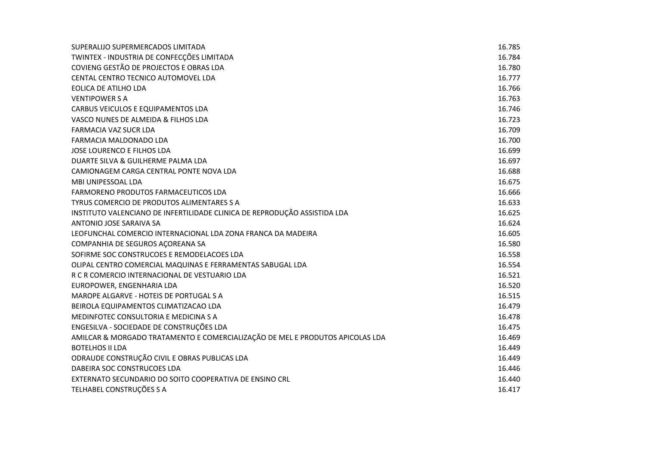| SUPERALIJO SUPERMERCADOS LIMITADA                                             | 16.785 |
|-------------------------------------------------------------------------------|--------|
| TWINTEX - INDUSTRIA DE CONFECÇÕES LIMITADA                                    | 16.784 |
| COVIENG GESTÃO DE PROJECTOS E OBRAS LDA                                       | 16.780 |
| CENTAL CENTRO TECNICO AUTOMOVEL LDA                                           | 16.777 |
| EOLICA DE ATILHO LDA                                                          | 16.766 |
| <b>VENTIPOWER S A</b>                                                         | 16.763 |
| CARBUS VEICULOS E EQUIPAMENTOS LDA                                            | 16.746 |
| VASCO NUNES DE ALMEIDA & FILHOS LDA                                           | 16.723 |
| FARMACIA VAZ SUCR LDA                                                         | 16.709 |
| FARMACIA MALDONADO LDA                                                        | 16.700 |
| JOSE LOURENCO E FILHOS LDA                                                    | 16.699 |
| DUARTE SILVA & GUILHERME PALMA LDA                                            | 16.697 |
| CAMIONAGEM CARGA CENTRAL PONTE NOVA LDA                                       | 16.688 |
| <b>MBI UNIPESSOAL LDA</b>                                                     | 16.675 |
| FARMORENO PRODUTOS FARMACEUTICOS LDA                                          | 16.666 |
| TYRUS COMERCIO DE PRODUTOS ALIMENTARES S A                                    | 16.633 |
| INSTITUTO VALENCIANO DE INFERTILIDADE CLINICA DE REPRODUÇÃO ASSISTIDA LDA     | 16.625 |
| ANTONIO JOSE SARAIVA SA                                                       | 16.624 |
| LEOFUNCHAL COMERCIO INTERNACIONAL LDA ZONA FRANCA DA MADEIRA                  | 16.605 |
| COMPANHIA DE SEGUROS AÇOREANA SA                                              | 16.580 |
| SOFIRME SOC CONSTRUCOES E REMODELACOES LDA                                    | 16.558 |
| OLIPAL CENTRO COMERCIAL MAQUINAS E FERRAMENTAS SABUGAL LDA                    | 16.554 |
| R C R COMERCIO INTERNACIONAL DE VESTUARIO LDA                                 | 16.521 |
| EUROPOWER, ENGENHARIA LDA                                                     | 16.520 |
| MAROPE ALGARVE - HOTEIS DE PORTUGAL S A                                       | 16.515 |
| BEIROLA EQUIPAMENTOS CLIMATIZACAO LDA                                         | 16.479 |
| MEDINFOTEC CONSULTORIA E MEDICINA S A                                         | 16.478 |
| ENGESILVA - SOCIEDADE DE CONSTRUÇÕES LDA                                      | 16.475 |
| AMILCAR & MORGADO TRATAMENTO E COMERCIALIZAÇÃO DE MEL E PRODUTOS APICOLAS LDA | 16.469 |
| <b>BOTELHOS II LDA</b>                                                        | 16.449 |
| ODRAUDE CONSTRUÇÃO CIVIL E OBRAS PUBLICAS LDA                                 | 16.449 |
| DABEIRA SOC CONSTRUCOES LDA                                                   | 16.446 |
| EXTERNATO SECUNDARIO DO SOITO COOPERATIVA DE ENSINO CRL                       | 16.440 |
| TELHABEL CONSTRUÇÕES S A                                                      | 16.417 |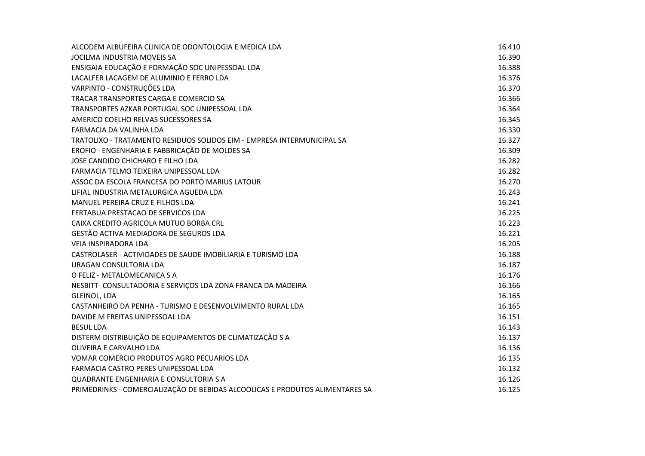| ALCODEM ALBUFEIRA CLINICA DE ODONTOLOGIA E MEDICA LDA                         | 16.410 |
|-------------------------------------------------------------------------------|--------|
| JOCILMA INDUSTRIA MOVEIS SA                                                   | 16.390 |
| ENSIGAIA EDUCAÇÃO E FORMAÇÃO SOC UNIPESSOAL LDA                               | 16.388 |
| LACALFER LACAGEM DE ALUMINIO E FERRO LDA                                      | 16.376 |
| VARPINTO - CONSTRUÇÕES LDA                                                    | 16.370 |
| TRACAR TRANSPORTES CARGA E COMERCIO SA                                        | 16.366 |
| TRANSPORTES AZKAR PORTUGAL SOC UNIPESSOAL LDA                                 | 16.364 |
| AMERICO COELHO RELVAS SUCESSORES SA                                           | 16.345 |
| FARMACIA DA VALINHA LDA                                                       | 16.330 |
| TRATOLIXO - TRATAMENTO RESIDUOS SOLIDOS EIM - EMPRESA INTERMUNICIPAL SA       | 16.327 |
| EROFIO - ENGENHARIA E FABBRICAÇÃO DE MOLDES SA                                | 16.309 |
| JOSE CANDIDO CHICHARO E FILHO LDA                                             | 16.282 |
| FARMACIA TELMO TEIXEIRA UNIPESSOAL LDA                                        | 16.282 |
| ASSOC DA ESCOLA FRANCESA DO PORTO MARIUS LATOUR                               | 16.270 |
| LIFIAL INDUSTRIA METALURGICA AGUEDA LDA                                       | 16.243 |
| MANUEL PEREIRA CRUZ E FILHOS LDA                                              | 16.241 |
| FERTABUA PRESTACAO DE SERVICOS LDA                                            | 16.225 |
| CAIXA CREDITO AGRICOLA MUTUO BORBA CRL                                        | 16.223 |
| GESTÃO ACTIVA MEDIADORA DE SEGUROS LDA                                        | 16.221 |
| VEIA INSPIRADORA LDA                                                          | 16.205 |
| CASTROLASER - ACTIVIDADES DE SAUDE IMOBILIARIA E TURISMO LDA                  | 16.188 |
| URAGAN CONSULTORIA LDA                                                        | 16.187 |
| O FELIZ - METALOMECANICA S A                                                  | 16.176 |
| NESBITT- CONSULTADORIA E SERVIÇOS LDA ZONA FRANCA DA MADEIRA                  | 16.166 |
| GLEINOL, LDA                                                                  | 16.165 |
| CASTANHEIRO DA PENHA - TURISMO E DESENVOLVIMENTO RURAL LDA                    | 16.165 |
| DAVIDE M FREITAS UNIPESSOAL LDA                                               | 16.151 |
| <b>BESUL LDA</b>                                                              | 16.143 |
| DISTERM DISTRIBUIÇÃO DE EQUIPAMENTOS DE CLIMATIZAÇÃO S A                      | 16.137 |
| OLIVEIRA E CARVALHO LDA                                                       | 16.136 |
| VOMAR COMERCIO PRODUTOS AGRO PECUARIOS LDA                                    | 16.135 |
| FARMACIA CASTRO PERES UNIPESSOAL LDA                                          | 16.132 |
| QUADRANTE ENGENHARIA E CONSULTORIA S A                                        | 16.126 |
| PRIMEDRINKS - COMERCIALIZAÇÃO DE BEBIDAS ALCOOLICAS E PRODUTOS ALIMENTARES SA | 16.125 |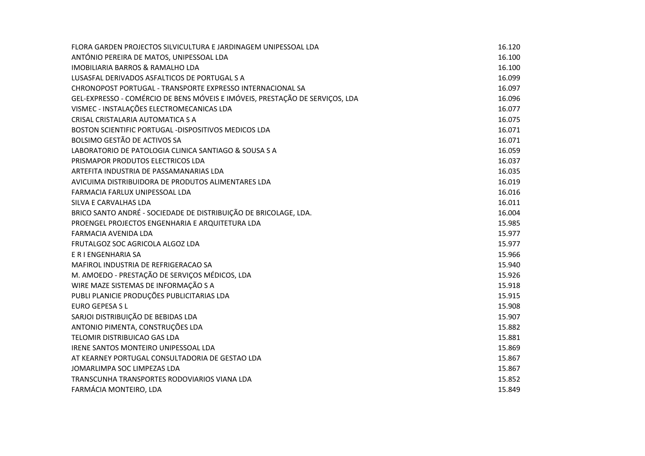| FLORA GARDEN PROJECTOS SILVICULTURA E JARDINAGEM UNIPESSOAL LDA              | 16.120 |
|------------------------------------------------------------------------------|--------|
| ANTÓNIO PEREIRA DE MATOS, UNIPESSOAL LDA                                     | 16.100 |
| <b>IMOBILIARIA BARROS &amp; RAMALHO LDA</b>                                  | 16.100 |
| LUSASFAL DERIVADOS ASFALTICOS DE PORTUGAL S A                                | 16.099 |
| CHRONOPOST PORTUGAL - TRANSPORTE EXPRESSO INTERNACIONAL SA                   | 16.097 |
| GEL-EXPRESSO - COMÉRCIO DE BENS MÓVEIS E IMÓVEIS, PRESTAÇÃO DE SERVIÇOS, LDA | 16.096 |
| VISMEC - INSTALAÇÕES ELECTROMECANICAS LDA                                    | 16.077 |
| CRISAL CRISTALARIA AUTOMATICA S A                                            | 16.075 |
| BOSTON SCIENTIFIC PORTUGAL -DISPOSITIVOS MEDICOS LDA                         | 16.071 |
| BOLSIMO GESTÃO DE ACTIVOS SA                                                 | 16.071 |
| LABORATORIO DE PATOLOGIA CLINICA SANTIAGO & SOUSA S A                        | 16.059 |
| PRISMAPOR PRODUTOS ELECTRICOS LDA                                            | 16.037 |
| ARTEFITA INDUSTRIA DE PASSAMANARIAS LDA                                      | 16.035 |
| AVICUIMA DISTRIBUIDORA DE PRODUTOS ALIMENTARES LDA                           | 16.019 |
| FARMACIA FARLUX UNIPESSOAL LDA                                               | 16.016 |
| SILVA E CARVALHAS LDA                                                        | 16.011 |
| BRICO SANTO ANDRÉ - SOCIEDADE DE DISTRIBUIÇÃO DE BRICOLAGE, LDA.             | 16.004 |
| PROENGEL PROJECTOS ENGENHARIA E ARQUITETURA LDA                              | 15.985 |
| FARMACIA AVENIDA LDA                                                         | 15.977 |
| FRUTALGOZ SOC AGRICOLA ALGOZ LDA                                             | 15.977 |
| E R I ENGENHARIA SA                                                          | 15.966 |
| MAFIROL INDUSTRIA DE REFRIGERACAO SA                                         | 15.940 |
| M. AMOEDO - PRESTAÇÃO DE SERVIÇOS MÉDICOS, LDA                               | 15.926 |
| WIRE MAZE SISTEMAS DE INFORMAÇÃO S A                                         | 15.918 |
| PUBLI PLANICIE PRODUÇÕES PUBLICITARIAS LDA                                   | 15.915 |
| <b>EURO GEPESA S L</b>                                                       | 15.908 |
| SARJOI DISTRIBUIÇÃO DE BEBIDAS LDA                                           | 15.907 |
| ANTONIO PIMENTA, CONSTRUÇÕES LDA                                             | 15.882 |
| TELOMIR DISTRIBUICAO GAS LDA                                                 | 15.881 |
| IRENE SANTOS MONTEIRO UNIPESSOAL LDA                                         | 15.869 |
| AT KEARNEY PORTUGAL CONSULTADORIA DE GESTAO LDA                              | 15.867 |
| JOMARLIMPA SOC LIMPEZAS LDA                                                  | 15.867 |
| TRANSCUNHA TRANSPORTES RODOVIARIOS VIANA LDA                                 | 15.852 |
| FARMÁCIA MONTEIRO, LDA                                                       | 15.849 |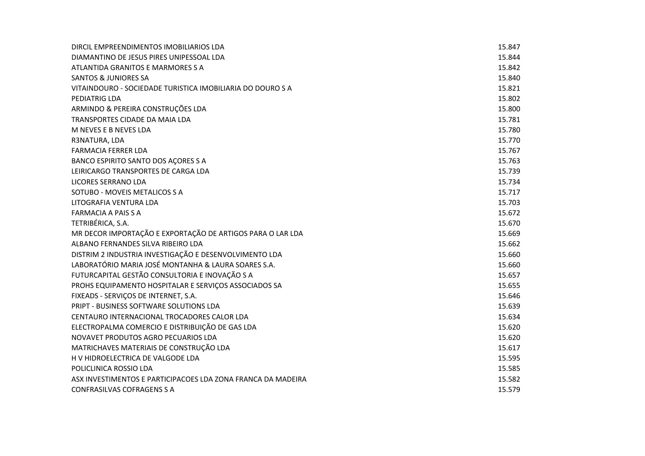| DIRCIL EMPREENDIMENTOS IMOBILIARIOS LDA                      | 15.847 |
|--------------------------------------------------------------|--------|
| DIAMANTINO DE JESUS PIRES UNIPESSOAL LDA                     | 15.844 |
| ATLANTIDA GRANITOS E MARMORES S A                            | 15.842 |
| <b>SANTOS &amp; JUNIORES SA</b>                              | 15.840 |
| VITAINDOURO - SOCIEDADE TURISTICA IMOBILIARIA DO DOURO S A   | 15.821 |
| PEDIATRIG LDA                                                | 15.802 |
| ARMINDO & PEREIRA CONSTRUÇÕES LDA                            | 15.800 |
| TRANSPORTES CIDADE DA MAIA LDA                               | 15.781 |
| M NEVES E B NEVES LDA                                        | 15.780 |
| R3NATURA, LDA                                                | 15.770 |
| <b>FARMACIA FERRER LDA</b>                                   | 15.767 |
| BANCO ESPIRITO SANTO DOS AÇORES S A                          | 15.763 |
| LEIRICARGO TRANSPORTES DE CARGA LDA                          | 15.739 |
| LICORES SERRANO LDA                                          | 15.734 |
| SOTUBO - MOVEIS METALICOS S A                                | 15.717 |
| LITOGRAFIA VENTURA LDA                                       | 15.703 |
| <b>FARMACIA A PAIS S A</b>                                   | 15.672 |
| TETRIBÉRICA, S.A.                                            | 15.670 |
| MR DECOR IMPORTAÇÃO E EXPORTAÇÃO DE ARTIGOS PARA O LAR LDA   | 15.669 |
| ALBANO FERNANDES SILVA RIBEIRO LDA                           | 15.662 |
| DISTRIM 2 INDUSTRIA INVESTIGAÇÃO E DESENVOLVIMENTO LDA       | 15.660 |
| LABORATÓRIO MARIA JOSÉ MONTANHA & LAURA SOARES S.A.          | 15.660 |
| FUTURCAPITAL GESTÃO CONSULTORIA E INOVAÇÃO S A               | 15.657 |
| PROHS EQUIPAMENTO HOSPITALAR E SERVIÇOS ASSOCIADOS SA        | 15.655 |
| FIXEADS - SERVIÇOS DE INTERNET, S.A.                         | 15.646 |
| PRIPT - BUSINESS SOFTWARE SOLUTIONS LDA                      | 15.639 |
| CENTAURO INTERNACIONAL TROCADORES CALOR LDA                  | 15.634 |
| ELECTROPALMA COMERCIO E DISTRIBUIÇÃO DE GAS LDA              | 15.620 |
| NOVAVET PRODUTOS AGRO PECUARIOS LDA                          | 15.620 |
| MATRICHAVES MATERIAIS DE CONSTRUÇÃO LDA                      | 15.617 |
| H V HIDROELECTRICA DE VALGODE LDA                            | 15.595 |
| POLICLINICA ROSSIO LDA                                       | 15.585 |
| ASX INVESTIMENTOS E PARTICIPACOES LDA ZONA FRANCA DA MADEIRA | 15.582 |
| <b>CONFRASILVAS COFRAGENS S A</b>                            | 15.579 |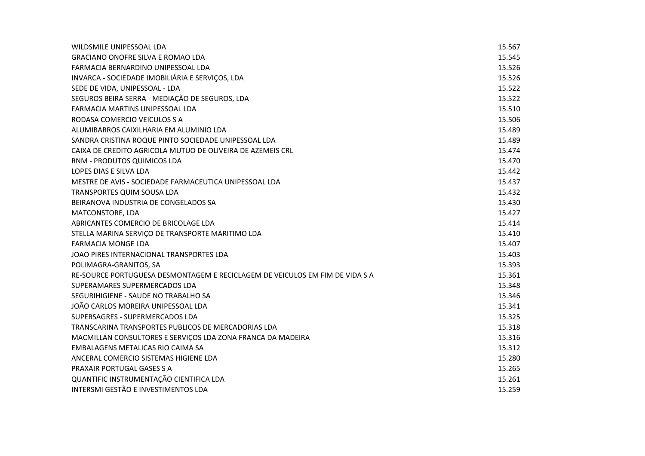| WILDSMILE UNIPESSOAL LDA                                                     | 15.567 |
|------------------------------------------------------------------------------|--------|
| <b>GRACIANO ONOFRE SILVA E ROMAO LDA</b>                                     | 15.545 |
| FARMACIA BERNARDINO UNIPESSOAL LDA                                           | 15.526 |
| INVARCA - SOCIEDADE IMOBILIÁRIA E SERVIÇOS, LDA                              | 15.526 |
| SEDE DE VIDA, UNIPESSOAL - LDA                                               | 15.522 |
| SEGUROS BEIRA SERRA - MEDIAÇÃO DE SEGUROS, LDA                               | 15.522 |
| FARMACIA MARTINS UNIPESSOAL LDA                                              | 15.510 |
| RODASA COMERCIO VEICULOS S A                                                 | 15.506 |
| ALUMIBARROS CAIXILHARIA EM ALUMINIO LDA                                      | 15.489 |
| SANDRA CRISTINA ROQUE PINTO SOCIEDADE UNIPESSOAL LDA                         | 15.489 |
| CAIXA DE CREDITO AGRICOLA MUTUO DE OLIVEIRA DE AZEMEIS CRL                   | 15.474 |
| RNM - PRODUTOS QUIMICOS LDA                                                  | 15.470 |
| LOPES DIAS E SILVA LDA                                                       | 15.442 |
| MESTRE DE AVIS - SOCIEDADE FARMACEUTICA UNIPESSOAL LDA                       | 15.437 |
| TRANSPORTES QUIM SOUSA LDA                                                   | 15.432 |
| BEIRANOVA INDUSTRIA DE CONGELADOS SA                                         | 15.430 |
| MATCONSTORE, LDA                                                             | 15.427 |
| ABRICANTES COMERCIO DE BRICOLAGE LDA                                         | 15.414 |
| STELLA MARINA SERVIÇO DE TRANSPORTE MARITIMO LDA                             | 15.410 |
| <b>FARMACIA MONGE LDA</b>                                                    | 15.407 |
| JOAO PIRES INTERNACIONAL TRANSPORTES LDA                                     | 15.403 |
| POLIMAGRA-GRANITOS, SA                                                       | 15.393 |
| RE-SOURCE PORTUGUESA DESMONTAGEM E RECICLAGEM DE VEICULOS EM FIM DE VIDA S A | 15.361 |
| SUPERAMARES SUPERMERCADOS LDA                                                | 15.348 |
| SEGURIHIGIENE - SAUDE NO TRABALHO SA                                         | 15.346 |
| JOÃO CARLOS MOREIRA UNIPESSOAL LDA                                           | 15.341 |
| SUPERSAGRES - SUPERMERCADOS LDA                                              | 15.325 |
| TRANSCARINA TRANSPORTES PUBLICOS DE MERCADORIAS LDA                          | 15.318 |
| MACMILLAN CONSULTORES E SERVIÇOS LDA ZONA FRANCA DA MADEIRA                  | 15.316 |
| <b>EMBALAGENS METALICAS RIO CAIMA SA</b>                                     | 15.312 |
| ANCERAL COMERCIO SISTEMAS HIGIENE LDA                                        | 15.280 |
| PRAXAIR PORTUGAL GASES S A                                                   | 15.265 |
| QUANTIFIC INSTRUMENTAÇÃO CIENTIFICA LDA                                      | 15.261 |
| INTERSMI GESTÃO E INVESTIMENTOS LDA                                          | 15.259 |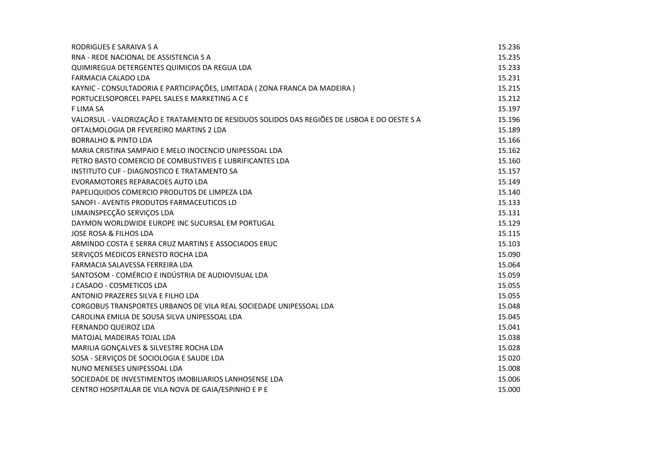| RODRIGUES E SARAIVA S A                                                                      | 15.236 |
|----------------------------------------------------------------------------------------------|--------|
| RNA - REDE NACIONAL DE ASSISTENCIA S A                                                       | 15.235 |
| QUIMIREGUA DETERGENTES QUIMICOS DA REGUA LDA                                                 | 15.233 |
| FARMACIA CALADO LDA                                                                          | 15.231 |
| KAYNIC - CONSULTADORIA E PARTICIPAÇÕES, LIMITADA (ZONA FRANCA DA MADEIRA)                    | 15.215 |
| PORTUCELSOPORCEL PAPEL SALES E MARKETING A C E                                               | 15.212 |
| <b>FLIMA SA</b>                                                                              | 15.197 |
| VALORSUL - VALORIZAÇÃO E TRATAMENTO DE RESIDUOS SOLIDOS DAS REGIÕES DE LISBOA E DO OESTE S A | 15.196 |
| OFTALMOLOGIA DR FEVEREIRO MARTINS 2 LDA                                                      | 15.189 |
| <b>BORRALHO &amp; PINTO LDA</b>                                                              | 15.166 |
| MARIA CRISTINA SAMPAIO E MELO INOCENCIO UNIPESSOAL LDA                                       | 15.162 |
| PETRO BASTO COMERCIO DE COMBUSTIVEIS E LUBRIFICANTES LDA                                     | 15.160 |
| INSTITUTO CUF - DIAGNOSTICO E TRATAMENTO SA                                                  | 15.157 |
| EVORAMOTORES REPARACOES AUTO LDA                                                             | 15.149 |
| PAPELIQUIDOS COMERCIO PRODUTOS DE LIMPEZA LDA                                                | 15.140 |
| SANOFI - AVENTIS PRODUTOS FARMACEUTICOS LD                                                   | 15.133 |
| LIMAINSPECÇÃO SERVIÇOS LDA                                                                   | 15.131 |
| DAYMON WORLDWIDE EUROPE INC SUCURSAL EM PORTUGAL                                             | 15.129 |
| <b>JOSE ROSA &amp; FILHOS LDA</b>                                                            | 15.115 |
| ARMINDO COSTA E SERRA CRUZ MARTINS E ASSOCIADOS ERUC                                         | 15.103 |
| SERVIÇOS MEDICOS ERNESTO ROCHA LDA                                                           | 15.090 |
| FARMACIA SALAVESSA FERREIRA LDA                                                              | 15.064 |
| SANTOSOM - COMÉRCIO E INDÚSTRIA DE AUDIOVISUAL LDA                                           | 15.059 |
| J CASADO - COSMETICOS LDA                                                                    | 15.055 |
| ANTONIO PRAZERES SILVA E FILHO LDA                                                           | 15.055 |
| CORGOBUS TRANSPORTES URBANOS DE VILA REAL SOCIEDADE UNIPESSOAL LDA                           | 15.048 |
| CAROLINA EMILIA DE SOUSA SILVA UNIPESSOAL LDA                                                | 15.045 |
| FERNANDO QUEIROZ LDA                                                                         | 15.041 |
| MATOJAL MADEIRAS TOJAL LDA                                                                   | 15.038 |
| MARILIA GONÇALVES & SILVESTRE ROCHA LDA                                                      | 15.028 |
| SOSA - SERVIÇOS DE SOCIOLOGIA E SAUDE LDA                                                    | 15.020 |
| NUNO MENESES UNIPESSOAL LDA                                                                  | 15.008 |
| SOCIEDADE DE INVESTIMENTOS IMOBILIARIOS LANHOSENSE LDA                                       | 15.006 |
| CENTRO HOSPITALAR DE VILA NOVA DE GAIA/ESPINHO E P E                                         | 15.000 |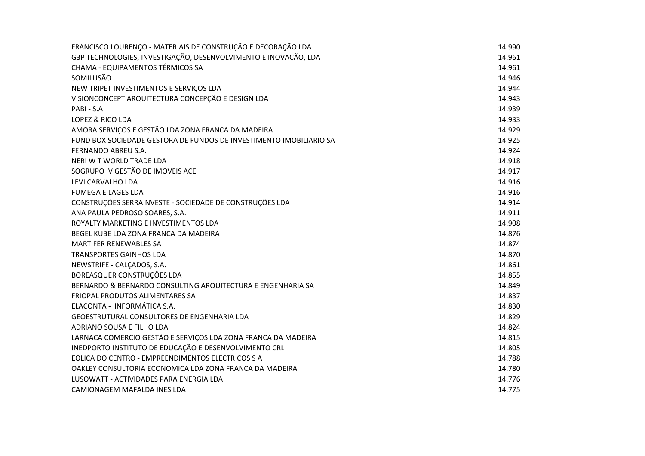| FRANCISCO LOURENÇO - MATERIAIS DE CONSTRUÇÃO E DECORAÇÃO LDA        | 14.990 |
|---------------------------------------------------------------------|--------|
| G3P TECHNOLOGIES, INVESTIGAÇÃO, DESENVOLVIMENTO E INOVAÇÃO, LDA     | 14.961 |
| CHAMA - EQUIPAMENTOS TÉRMICOS SA                                    | 14.961 |
| SOMILUSÃO                                                           | 14.946 |
| NEW TRIPET INVESTIMENTOS E SERVIÇOS LDA                             | 14.944 |
| VISIONCONCEPT ARQUITECTURA CONCEPÇÃO E DESIGN LDA                   | 14.943 |
| PABI - S.A                                                          | 14.939 |
| LOPEZ & RICO LDA                                                    | 14.933 |
| AMORA SERVIÇOS E GESTÃO LDA ZONA FRANCA DA MADEIRA                  | 14.929 |
| FUND BOX SOCIEDADE GESTORA DE FUNDOS DE INVESTIMENTO IMOBILIARIO SA | 14.925 |
| FERNANDO ABREU S.A.                                                 | 14.924 |
| NERI W T WORLD TRADE LDA                                            | 14.918 |
| SOGRUPO IV GESTÃO DE IMOVEIS ACE                                    | 14.917 |
| LEVI CARVALHO LDA                                                   | 14.916 |
| <b>FUMEGA E LAGES LDA</b>                                           | 14.916 |
| CONSTRUÇÕES SERRAINVESTE - SOCIEDADE DE CONSTRUÇÕES LDA             | 14.914 |
| ANA PAULA PEDROSO SOARES, S.A.                                      | 14.911 |
| ROYALTY MARKETING E INVESTIMENTOS LDA                               | 14.908 |
| BEGEL KUBE LDA ZONA FRANCA DA MADEIRA                               | 14.876 |
| <b>MARTIFER RENEWABLES SA</b>                                       | 14.874 |
| <b>TRANSPORTES GAINHOS LDA</b>                                      | 14.870 |
| NEWSTRIFE - CALÇADOS, S.A.                                          | 14.861 |
| BOREASQUER CONSTRUÇÕES LDA                                          | 14.855 |
| BERNARDO & BERNARDO CONSULTING ARQUITECTURA E ENGENHARIA SA         | 14.849 |
| FRIOPAL PRODUTOS ALIMENTARES SA                                     | 14.837 |
| ELACONTA - INFORMÁTICA S.A.                                         | 14.830 |
| GEOESTRUTURAL CONSULTORES DE ENGENHARIA LDA                         | 14.829 |
| ADRIANO SOUSA E FILHO LDA                                           | 14.824 |
| LARNACA COMERCIO GESTÃO E SERVIÇOS LDA ZONA FRANCA DA MADEIRA       | 14.815 |
| INEDPORTO INSTITUTO DE EDUCAÇÃO E DESENVOLVIMENTO CRL               | 14.805 |
| EOLICA DO CENTRO - EMPREENDIMENTOS ELECTRICOS S A                   | 14.788 |
| OAKLEY CONSULTORIA ECONOMICA LDA ZONA FRANCA DA MADEIRA             | 14.780 |
| LUSOWATT - ACTIVIDADES PARA ENERGIA LDA                             | 14.776 |
| CAMIONAGEM MAFALDA INES LDA                                         | 14.775 |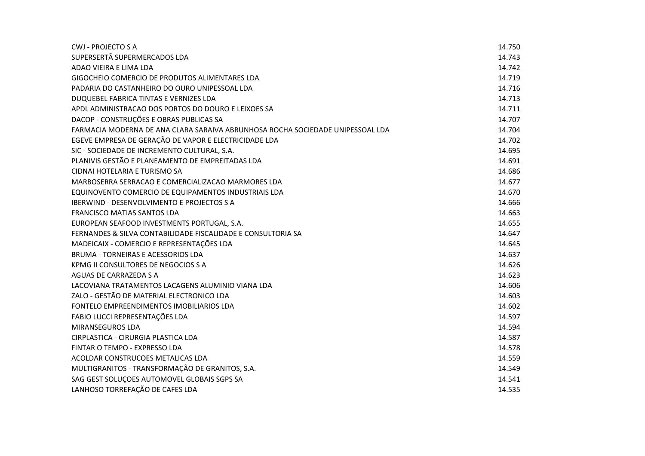| <b>CWJ - PROJECTO S A</b>                                                      | 14.750 |
|--------------------------------------------------------------------------------|--------|
| SUPERSERTÃ SUPERMERCADOS LDA                                                   | 14.743 |
| ADAO VIEIRA E LIMA LDA                                                         | 14.742 |
| GIGOCHEIO COMERCIO DE PRODUTOS ALIMENTARES LDA                                 | 14.719 |
| PADARIA DO CASTANHEIRO DO OURO UNIPESSOAL LDA                                  | 14.716 |
| DUQUEBEL FABRICA TINTAS E VERNIZES LDA                                         | 14.713 |
| APDL ADMINISTRACAO DOS PORTOS DO DOURO E LEIXOES SA                            | 14.711 |
| DACOP - CONSTRUÇÕES E OBRAS PUBLICAS SA                                        | 14.707 |
| FARMACIA MODERNA DE ANA CLARA SARAIVA ABRUNHOSA ROCHA SOCIEDADE UNIPESSOAL LDA | 14.704 |
| EGEVE EMPRESA DE GERAÇÃO DE VAPOR E ELECTRICIDADE LDA                          | 14.702 |
| SIC - SOCIEDADE DE INCREMENTO CULTURAL, S.A.                                   | 14.695 |
| PLANIVIS GESTÃO E PLANEAMENTO DE EMPREITADAS LDA                               | 14.691 |
| CIDNAI HOTELARIA E TURISMO SA                                                  | 14.686 |
| MARBOSERRA SERRACAO E COMERCIALIZACAO MARMORES LDA                             | 14.677 |
| EQUINOVENTO COMERCIO DE EQUIPAMENTOS INDUSTRIAIS LDA                           | 14.670 |
| <b>IBERWIND - DESENVOLVIMENTO E PROJECTOS S A</b>                              | 14.666 |
| FRANCISCO MATIAS SANTOS LDA                                                    | 14.663 |
| EUROPEAN SEAFOOD INVESTMENTS PORTUGAL, S.A.                                    | 14.655 |
| FERNANDES & SILVA CONTABILIDADE FISCALIDADE E CONSULTORIA SA                   | 14.647 |
| MADEICAIX - COMERCIO E REPRESENTAÇÕES LDA                                      | 14.645 |
| BRUMA - TORNEIRAS E ACESSORIOS LDA                                             | 14.637 |
| KPMG II CONSULTORES DE NEGOCIOS S A                                            | 14.626 |
| AGUAS DE CARRAZEDA S A                                                         | 14.623 |
| LACOVIANA TRATAMENTOS LACAGENS ALUMINIO VIANA LDA                              | 14.606 |
| ZALO - GESTÃO DE MATERIAL ELECTRONICO LDA                                      | 14.603 |
| FONTELO EMPREENDIMENTOS IMOBILIARIOS LDA                                       | 14.602 |
| FABIO LUCCI REPRESENTAÇÕES LDA                                                 | 14.597 |
| <b>MIRANSEGUROS LDA</b>                                                        | 14.594 |
| CIRPLASTICA - CIRURGIA PLASTICA LDA                                            | 14.587 |
| FINTAR O TEMPO - EXPRESSO LDA                                                  | 14.578 |
| ACOLDAR CONSTRUCOES METALICAS LDA                                              | 14.559 |
| MULTIGRANITOS - TRANSFORMAÇÃO DE GRANITOS, S.A.                                | 14.549 |
| SAG GEST SOLUÇOES AUTOMOVEL GLOBAIS SGPS SA                                    | 14.541 |
| LANHOSO TORREFAÇÃO DE CAFES LDA                                                | 14.535 |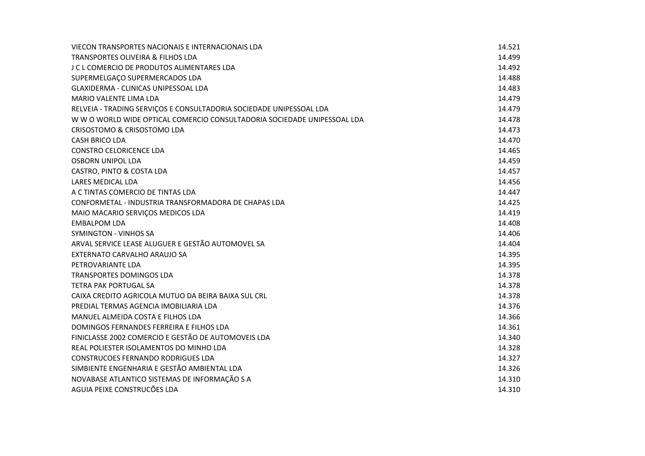| VIECON TRANSPORTES NACIONAIS E INTERNACIONAIS LDA                        | 14.521 |
|--------------------------------------------------------------------------|--------|
| TRANSPORTES OLIVEIRA & FILHOS LDA                                        | 14.499 |
| <b>J C L COMERCIO DE PRODUTOS ALIMENTARES LDA</b>                        | 14.492 |
| SUPERMELGAÇO SUPERMERCADOS LDA                                           | 14.488 |
| <b>GLAXIDERMA - CLINICAS UNIPESSOAL LDA</b>                              | 14.483 |
| MARIO VALENTE LIMA LDA                                                   | 14.479 |
| RELVEIA - TRADING SERVIÇOS E CONSULTADORIA SOCIEDADE UNIPESSOAL LDA      | 14.479 |
| W W O WORLD WIDE OPTICAL COMERCIO CONSULTADORIA SOCIEDADE UNIPESSOAL LDA | 14.478 |
| CRISOSTOMO & CRISOSTOMO LDA                                              | 14.473 |
| <b>CASH BRICO LDA</b>                                                    | 14.470 |
| <b>CONSTRO CELORICENCE LDA</b>                                           | 14.465 |
| <b>OSBORN UNIPOL LDA</b>                                                 | 14.459 |
| CASTRO, PINTO & COSTA LDA                                                | 14.457 |
| LARES MEDICAL LDA                                                        | 14.456 |
| A C TINTAS COMERCIO DE TINTAS LDA                                        | 14.447 |
| CONFORMETAL - INDUSTRIA TRANSFORMADORA DE CHAPAS LDA                     | 14.425 |
| MAIO MACARIO SERVIÇOS MEDICOS LDA                                        | 14.419 |
| <b>EMBALPOM LDA</b>                                                      | 14.408 |
| SYMINGTON - VINHOS SA                                                    | 14.406 |
| ARVAL SERVICE LEASE ALUGUER E GESTÃO AUTOMOVEL SA                        | 14.404 |
| EXTERNATO CARVALHO ARAUJO SA                                             | 14.395 |
| PETROVARIANTE LDA                                                        | 14.395 |
| <b>TRANSPORTES DOMINGOS LDA</b>                                          | 14.378 |
| <b>TETRA PAK PORTUGAL SA</b>                                             | 14.378 |
| CAIXA CREDITO AGRICOLA MUTUO DA BEIRA BAIXA SUL CRL                      | 14.378 |
| PREDIAL TERMAS AGENCIA IMOBILIARIA LDA                                   | 14.376 |
| MANUEL ALMEIDA COSTA E FILHOS LDA                                        | 14.366 |
| DOMINGOS FERNANDES FERREIRA E FILHOS LDA                                 | 14.361 |
| FINICLASSE 2002 COMERCIO E GESTÃO DE AUTOMOVEIS LDA                      | 14.340 |
| REAL POLIESTER ISOLAMENTOS DO MINHO LDA                                  | 14.328 |
| <b>CONSTRUCOES FERNANDO RODRIGUES LDA</b>                                | 14.327 |
| SIMBIENTE ENGENHARIA E GESTÃO AMBIENTAL LDA                              | 14.326 |
| NOVABASE ATLANTICO SISTEMAS DE INFORMAÇÃO S A                            | 14.310 |
| AGUIA PEIXE CONSTRUCÕES LDA                                              | 14.310 |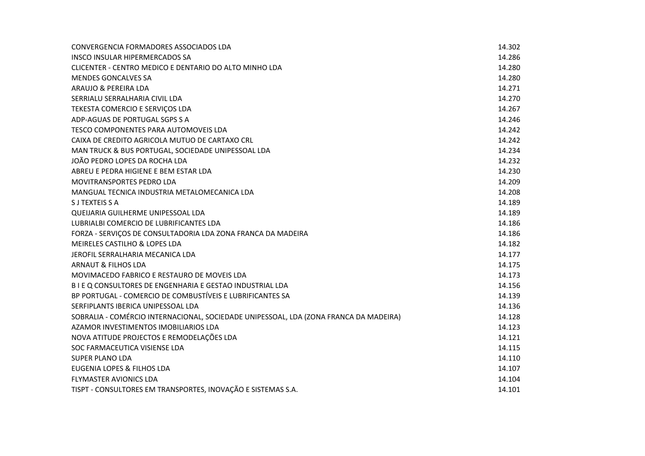| CONVERGENCIA FORMADORES ASSOCIADOS LDA                                                | 14.302 |
|---------------------------------------------------------------------------------------|--------|
| INSCO INSULAR HIPERMERCADOS SA                                                        | 14.286 |
| CLICENTER - CENTRO MEDICO E DENTARIO DO ALTO MINHO LDA                                | 14.280 |
| <b>MENDES GONCALVES SA</b>                                                            | 14.280 |
| ARAUJO & PEREIRA LDA                                                                  | 14.271 |
| SERRIALU SERRALHARIA CIVIL LDA                                                        | 14.270 |
| TEKESTA COMERCIO E SERVIÇOS LDA                                                       | 14.267 |
| ADP-AGUAS DE PORTUGAL SGPS S A                                                        | 14.246 |
| TESCO COMPONENTES PARA AUTOMOVEIS LDA                                                 | 14.242 |
| CAIXA DE CREDITO AGRICOLA MUTUO DE CARTAXO CRL                                        | 14.242 |
| MAN TRUCK & BUS PORTUGAL, SOCIEDADE UNIPESSOAL LDA                                    | 14.234 |
| JOÃO PEDRO LOPES DA ROCHA LDA                                                         | 14.232 |
| ABREU E PEDRA HIGIENE E BEM ESTAR LDA                                                 | 14.230 |
| <b>MOVITRANSPORTES PEDRO LDA</b>                                                      | 14.209 |
| MANGUAL TECNICA INDUSTRIA METALOMECANICA LDA                                          | 14.208 |
| S J TEXTEIS S A                                                                       | 14.189 |
| QUEIJARIA GUILHERME UNIPESSOAL LDA                                                    | 14.189 |
| LUBRIALBI COMERCIO DE LUBRIFICANTES LDA                                               | 14.186 |
| FORZA - SERVIÇOS DE CONSULTADORIA LDA ZONA FRANCA DA MADEIRA                          | 14.186 |
| MEIRELES CASTILHO & LOPES LDA                                                         | 14.182 |
| JEROFIL SERRALHARIA MECANICA LDA                                                      | 14.177 |
| ARNAUT & FILHOS LDA                                                                   | 14.175 |
| MOVIMACEDO FABRICO E RESTAURO DE MOVEIS LDA                                           | 14.173 |
| B I E Q CONSULTORES DE ENGENHARIA E GESTAO INDUSTRIAL LDA                             | 14.156 |
| BP PORTUGAL - COMERCIO DE COMBUSTÍVEIS E LUBRIFICANTES SA                             | 14.139 |
| SERFIPLANTS IBERICA UNIPESSOAL LDA                                                    | 14.136 |
| SOBRALIA - COMÉRCIO INTERNACIONAL, SOCIEDADE UNIPESSOAL, LDA (ZONA FRANCA DA MADEIRA) | 14.128 |
| AZAMOR INVESTIMENTOS IMOBILIARIOS LDA                                                 | 14.123 |
| NOVA ATITUDE PROJECTOS E REMODELAÇÕES LDA                                             | 14.121 |
| SOC FARMACEUTICA VISIENSE LDA                                                         | 14.115 |
| <b>SUPER PLANO LDA</b>                                                                | 14.110 |
| EUGENIA LOPES & FILHOS LDA                                                            | 14.107 |
| <b>FLYMASTER AVIONICS LDA</b>                                                         | 14.104 |
| TISPT - CONSULTORES EM TRANSPORTES, INOVAÇÃO E SISTEMAS S.A.                          | 14.101 |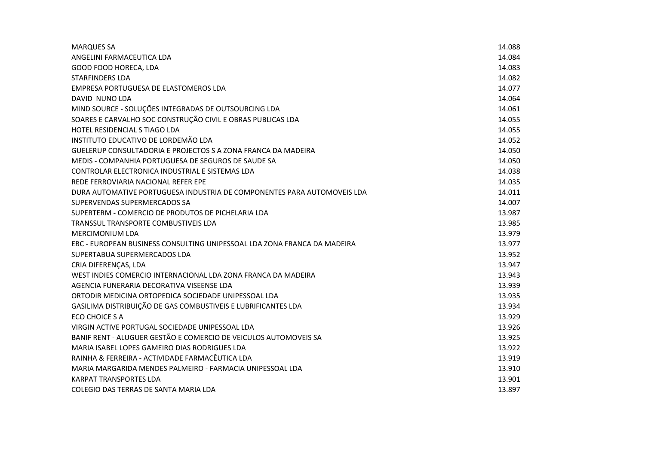| <b>MARQUES SA</b>                                                        | 14.088 |
|--------------------------------------------------------------------------|--------|
| ANGELINI FARMACEUTICA LDA                                                | 14.084 |
| GOOD FOOD HORECA, LDA                                                    | 14.083 |
| <b>STARFINDERS LDA</b>                                                   | 14.082 |
| EMPRESA PORTUGUESA DE ELASTOMEROS LDA                                    | 14.077 |
| DAVID NUNO LDA                                                           | 14.064 |
| MIND SOURCE - SOLUÇÕES INTEGRADAS DE OUTSOURCING LDA                     | 14.061 |
| SOARES E CARVALHO SOC CONSTRUÇÃO CIVIL E OBRAS PUBLICAS LDA              | 14.055 |
| HOTEL RESIDENCIAL S TIAGO LDA                                            | 14.055 |
| INSTITUTO EDUCATIVO DE LORDEMÃO LDA                                      | 14.052 |
| GUELERUP CONSULTADORIA E PROJECTOS S A ZONA FRANCA DA MADEIRA            | 14.050 |
| MEDIS - COMPANHIA PORTUGUESA DE SEGUROS DE SAUDE SA                      | 14.050 |
| CONTROLAR ELECTRONICA INDUSTRIAL E SISTEMAS LDA                          | 14.038 |
| REDE FERROVIARIA NACIONAL REFER EPE                                      | 14.035 |
| DURA AUTOMATIVE PORTUGUESA INDUSTRIA DE COMPONENTES PARA AUTOMOVEIS LDA  | 14.011 |
| SUPERVENDAS SUPERMERCADOS SA                                             | 14.007 |
| SUPERTERM - COMERCIO DE PRODUTOS DE PICHELARIA LDA                       | 13.987 |
| TRANSSUL TRANSPORTE COMBUSTIVEIS LDA                                     | 13.985 |
| <b>MERCIMONIUM LDA</b>                                                   | 13.979 |
| EBC - EUROPEAN BUSINESS CONSULTING UNIPESSOAL LDA ZONA FRANCA DA MADEIRA | 13.977 |
| SUPERTABUA SUPERMERCADOS LDA                                             | 13.952 |
| CRIA DIFERENÇAS, LDA                                                     | 13.947 |
| WEST INDIES COMERCIO INTERNACIONAL LDA ZONA FRANCA DA MADEIRA            | 13.943 |
| AGENCIA FUNERARIA DECORATIVA VISEENSE LDA                                | 13.939 |
| ORTODIR MEDICINA ORTOPEDICA SOCIEDADE UNIPESSOAL LDA                     | 13.935 |
| GASILIMA DISTRIBUIÇÃO DE GAS COMBUSTIVEIS E LUBRIFICANTES LDA            | 13.934 |
| <b>ECO CHOICE S A</b>                                                    | 13.929 |
| VIRGIN ACTIVE PORTUGAL SOCIEDADE UNIPESSOAL LDA                          | 13.926 |
| BANIF RENT - ALUGUER GESTÃO E COMERCIO DE VEICULOS AUTOMOVEIS SA         | 13.925 |
| MARIA ISABEL LOPES GAMEIRO DIAS RODRIGUES LDA                            | 13.922 |
| RAINHA & FERREIRA - ACTIVIDADE FARMACÊUTICA LDA                          | 13.919 |
| MARIA MARGARIDA MENDES PALMEIRO - FARMACIA UNIPESSOAL LDA                | 13.910 |
| <b>KARPAT TRANSPORTES LDA</b>                                            | 13.901 |
| COLEGIO DAS TERRAS DE SANTA MARIA LDA                                    | 13.897 |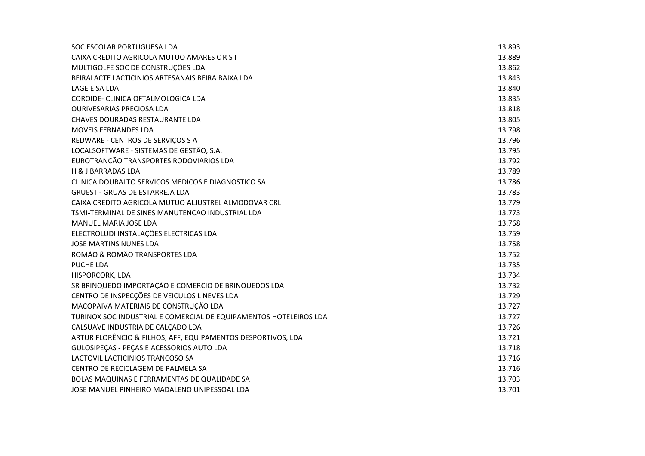| SOC ESCOLAR PORTUGUESA LDA                                        | 13.893 |
|-------------------------------------------------------------------|--------|
| CAIXA CREDITO AGRICOLA MUTUO AMARES C R S I                       | 13.889 |
| MULTIGOLFE SOC DE CONSTRUÇÕES LDA                                 | 13.862 |
| BEIRALACTE LACTICINIOS ARTESANAIS BEIRA BAIXA LDA                 | 13.843 |
| LAGE E SA LDA                                                     | 13.840 |
| COROIDE- CLINICA OFTALMOLOGICA LDA                                | 13.835 |
| <b>OURIVESARIAS PRECIOSA LDA</b>                                  | 13.818 |
| CHAVES DOURADAS RESTAURANTE LDA                                   | 13.805 |
| MOVEIS FERNANDES LDA                                              | 13.798 |
| REDWARE - CENTROS DE SERVIÇOS S A                                 | 13.796 |
| LOCALSOFTWARE - SISTEMAS DE GESTÃO, S.A.                          | 13.795 |
| EUROTRANCÃO TRANSPORTES RODOVIARIOS LDA                           | 13.792 |
| H & J BARRADAS LDA                                                | 13.789 |
| CLINICA DOURALTO SERVICOS MEDICOS E DIAGNOSTICO SA                | 13.786 |
| <b>GRUEST - GRUAS DE ESTARREJA LDA</b>                            | 13.783 |
| CAIXA CREDITO AGRICOLA MUTUO ALJUSTREL ALMODOVAR CRL              | 13.779 |
| TSMI-TERMINAL DE SINES MANUTENCAO INDUSTRIAL LDA                  | 13.773 |
| MANUEL MARIA JOSE LDA                                             | 13.768 |
| ELECTROLUDI INSTALAÇÕES ELECTRICAS LDA                            | 13.759 |
| <b>JOSE MARTINS NUNES LDA</b>                                     | 13.758 |
| ROMÃO & ROMÃO TRANSPORTES LDA                                     | 13.752 |
| PUCHE LDA                                                         | 13.735 |
| HISPORCORK, LDA                                                   | 13.734 |
| SR BRINQUEDO IMPORTAÇÃO E COMERCIO DE BRINQUEDOS LDA              | 13.732 |
| CENTRO DE INSPECÇÕES DE VEICULOS L NEVES LDA                      | 13.729 |
| MACOPAIVA MATERIAIS DE CONSTRUÇÃO LDA                             | 13.727 |
| TURINOX SOC INDUSTRIAL E COMERCIAL DE EQUIPAMENTOS HOTELEIROS LDA | 13.727 |
| CALSUAVE INDUSTRIA DE CALÇADO LDA                                 | 13.726 |
| ARTUR FLORÊNCIO & FILHOS, AFF, EQUIPAMENTOS DESPORTIVOS, LDA      | 13.721 |
| GULOSIPEÇAS - PEÇAS E ACESSORIOS AUTO LDA                         | 13.718 |
| LACTOVIL LACTICINIOS TRANCOSO SA                                  | 13.716 |
| CENTRO DE RECICLAGEM DE PALMELA SA                                | 13.716 |
| BOLAS MAQUINAS E FERRAMENTAS DE QUALIDADE SA                      | 13.703 |
| JOSE MANUEL PINHEIRO MADALENO UNIPESSOAL LDA                      | 13.701 |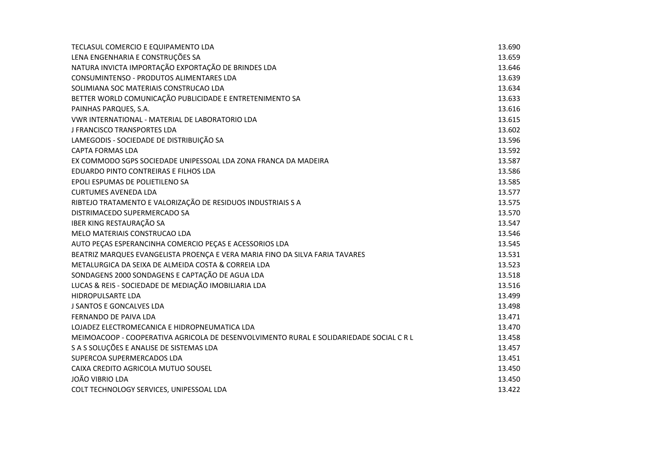| TECLASUL COMERCIO E EQUIPAMENTO LDA                                                     | 13.690 |
|-----------------------------------------------------------------------------------------|--------|
| LENA ENGENHARIA E CONSTRUÇÕES SA                                                        | 13.659 |
| NATURA INVICTA IMPORTAÇÃO EXPORTAÇÃO DE BRINDES LDA                                     | 13.646 |
| CONSUMINTENSO - PRODUTOS ALIMENTARES LDA                                                | 13.639 |
| SOLIMIANA SOC MATERIAIS CONSTRUCAO LDA                                                  | 13.634 |
| BETTER WORLD COMUNICAÇÃO PUBLICIDADE E ENTRETENIMENTO SA                                | 13.633 |
| PAINHAS PARQUES, S.A.                                                                   | 13.616 |
| VWR INTERNATIONAL - MATERIAL DE LABORATORIO LDA                                         | 13.615 |
| J FRANCISCO TRANSPORTES LDA                                                             | 13.602 |
| LAMEGODIS - SOCIEDADE DE DISTRIBUIÇÃO SA                                                | 13.596 |
| <b>CAPTA FORMAS LDA</b>                                                                 | 13.592 |
| EX COMMODO SGPS SOCIEDADE UNIPESSOAL LDA ZONA FRANCA DA MADEIRA                         | 13.587 |
| EDUARDO PINTO CONTREIRAS E FILHOS LDA                                                   | 13.586 |
| EPOLI ESPUMAS DE POLIETILENO SA                                                         | 13.585 |
| <b>CURTUMES AVENEDA LDA</b>                                                             | 13.577 |
| RIBTEJO TRATAMENTO E VALORIZAÇÃO DE RESIDUOS INDUSTRIAIS S A                            | 13.575 |
| DISTRIMACEDO SUPERMERCADO SA                                                            | 13.570 |
| IBER KING RESTAURAÇÃO SA                                                                | 13.547 |
| MELO MATERIAIS CONSTRUCAO LDA                                                           | 13.546 |
| AUTO PEÇAS ESPERANCINHA COMERCIO PEÇAS E ACESSORIOS LDA                                 | 13.545 |
| BEATRIZ MARQUES EVANGELISTA PROENÇA E VERA MARIA FINO DA SILVA FARIA TAVARES            | 13.531 |
| METALURGICA DA SEIXA DE ALMEIDA COSTA & CORREIA LDA                                     | 13.523 |
| SONDAGENS 2000 SONDAGENS E CAPTAÇÃO DE AGUA LDA                                         | 13.518 |
| LUCAS & REIS - SOCIEDADE DE MEDIAÇÃO IMOBILIARIA LDA                                    | 13.516 |
| HIDROPULSARTE LDA                                                                       | 13.499 |
| J SANTOS E GONCALVES LDA                                                                | 13.498 |
| FERNANDO DE PAIVA LDA                                                                   | 13.471 |
| LOJADEZ ELECTROMECANICA E HIDROPNEUMATICA LDA                                           | 13.470 |
| MEIMOACOOP - COOPERATIVA AGRICOLA DE DESENVOLVIMENTO RURAL E SOLIDARIEDADE SOCIAL C R L | 13.458 |
| S A S SOLUÇÕES E ANALISE DE SISTEMAS LDA                                                | 13.457 |
| SUPERCOA SUPERMERCADOS LDA                                                              | 13.451 |
| CAIXA CREDITO AGRICOLA MUTUO SOUSEL                                                     | 13.450 |
| <b>JOÃO VIBRIO LDA</b>                                                                  | 13.450 |
| COLT TECHNOLOGY SERVICES, UNIPESSOAL LDA                                                | 13.422 |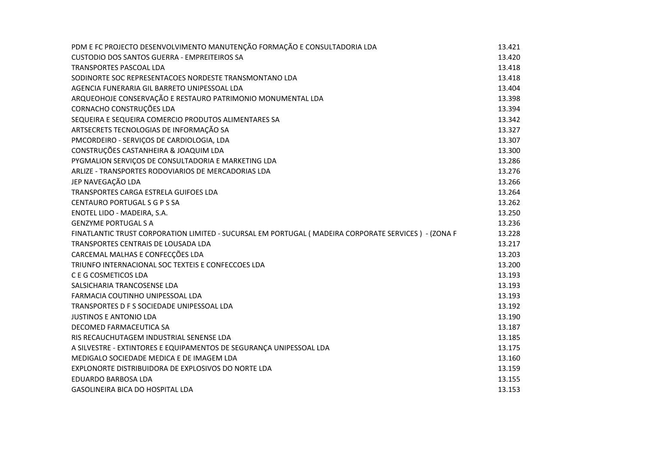| PDM E FC PROJECTO DESENVOLVIMENTO MANUTENÇÃO FORMAÇÃO E CONSULTADORIA LDA                             | 13.421 |
|-------------------------------------------------------------------------------------------------------|--------|
| CUSTODIO DOS SANTOS GUERRA - EMPREITEIROS SA                                                          | 13.420 |
| <b>TRANSPORTES PASCOAL LDA</b>                                                                        | 13.418 |
| SODINORTE SOC REPRESENTACOES NORDESTE TRANSMONTANO LDA                                                | 13.418 |
| AGENCIA FUNERARIA GIL BARRETO UNIPESSOAL LDA                                                          | 13.404 |
| ARQUEOHOJE CONSERVAÇÃO E RESTAURO PATRIMONIO MONUMENTAL LDA                                           | 13.398 |
| CORNACHO CONSTRUÇÕES LDA                                                                              | 13.394 |
| SEQUEIRA E SEQUEIRA COMERCIO PRODUTOS ALIMENTARES SA                                                  | 13.342 |
| ARTSECRETS TECNOLOGIAS DE INFORMAÇÃO SA                                                               | 13.327 |
| PMCORDEIRO - SERVIÇOS DE CARDIOLOGIA, LDA                                                             | 13.307 |
| CONSTRUÇÕES CASTANHEIRA & JOAQUIM LDA                                                                 | 13.300 |
| PYGMALION SERVIÇOS DE CONSULTADORIA E MARKETING LDA                                                   | 13.286 |
| ARLIZE - TRANSPORTES RODOVIARIOS DE MERCADORIAS LDA                                                   | 13.276 |
| JEP NAVEGAÇÃO LDA                                                                                     | 13.266 |
| TRANSPORTES CARGA ESTRELA GUIFOES LDA                                                                 | 13.264 |
| CENTAURO PORTUGAL S G P S SA                                                                          | 13.262 |
| ENOTEL LIDO - MADEIRA, S.A.                                                                           | 13.250 |
| <b>GENZYME PORTUGAL S A</b>                                                                           | 13.236 |
| FINATLANTIC TRUST CORPORATION LIMITED - SUCURSAL EM PORTUGAL ( MADEIRA CORPORATE SERVICES ) - (ZONA F | 13.228 |
| TRANSPORTES CENTRAIS DE LOUSADA LDA                                                                   | 13.217 |
| CARCEMAL MALHAS E CONFECÇÕES LDA                                                                      | 13.203 |
| TRIUNFO INTERNACIONAL SOC TEXTEIS E CONFECCOES LDA                                                    | 13.200 |
| C E G COSMETICOS LDA                                                                                  | 13.193 |
| SALSICHARIA TRANCOSENSE LDA                                                                           | 13.193 |
| FARMACIA COUTINHO UNIPESSOAL LDA                                                                      | 13.193 |
| TRANSPORTES D F S SOCIEDADE UNIPESSOAL LDA                                                            | 13.192 |
| <b>JUSTINOS E ANTONIO LDA</b>                                                                         | 13.190 |
| DECOMED FARMACEUTICA SA                                                                               | 13.187 |
| RIS RECAUCHUTAGEM INDUSTRIAL SENENSE LDA                                                              | 13.185 |
| A SILVESTRE - EXTINTORES E EQUIPAMENTOS DE SEGURANÇA UNIPESSOAL LDA                                   | 13.175 |
| MEDIGALO SOCIEDADE MEDICA E DE IMAGEM LDA                                                             | 13.160 |
| EXPLONORTE DISTRIBUIDORA DE EXPLOSIVOS DO NORTE LDA                                                   | 13.159 |
| EDUARDO BARBOSA LDA                                                                                   | 13.155 |
| <b>GASOLINEIRA BICA DO HOSPITAL LDA</b>                                                               | 13.153 |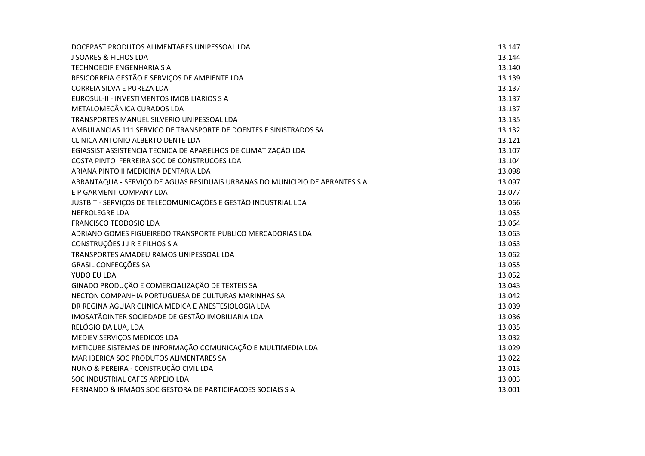| DOCEPAST PRODUTOS ALIMENTARES UNIPESSOAL LDA                                 | 13.147 |
|------------------------------------------------------------------------------|--------|
| <b>J SOARES &amp; FILHOS LDA</b>                                             | 13.144 |
| <b>TECHNOEDIF ENGENHARIA S A</b>                                             | 13.140 |
| RESICORREIA GESTÃO E SERVIÇOS DE AMBIENTE LDA                                | 13.139 |
| CORREIA SILVA E PUREZA LDA                                                   | 13.137 |
| EUROSUL-II - INVESTIMENTOS IMOBILIARIOS S A                                  | 13.137 |
| METALOMECÂNICA CURADOS LDA                                                   | 13.137 |
| TRANSPORTES MANUEL SILVERIO UNIPESSOAL LDA                                   | 13.135 |
| AMBULANCIAS 111 SERVICO DE TRANSPORTE DE DOENTES E SINISTRADOS SA            | 13.132 |
| CLINICA ANTONIO ALBERTO DENTE LDA                                            | 13.121 |
| EGIASSIST ASSISTENCIA TECNICA DE APARELHOS DE CLIMATIZAÇÃO LDA               | 13.107 |
| COSTA PINTO FERREIRA SOC DE CONSTRUCOES LDA                                  | 13.104 |
| ARIANA PINTO II MEDICINA DENTARIA LDA                                        | 13.098 |
| ABRANTAQUA - SERVIÇO DE AGUAS RESIDUAIS URBANAS DO MUNICIPIO DE ABRANTES S A | 13.097 |
| E P GARMENT COMPANY LDA                                                      | 13.077 |
| JUSTBIT - SERVIÇOS DE TELECOMUNICAÇÕES E GESTÃO INDUSTRIAL LDA               | 13.066 |
| NEFROLEGRE LDA                                                               | 13.065 |
| <b>FRANCISCO TEODOSIO LDA</b>                                                | 13.064 |
| ADRIANO GOMES FIGUEIREDO TRANSPORTE PUBLICO MERCADORIAS LDA                  | 13.063 |
| CONSTRUÇÕES J J R E FILHOS S A                                               | 13.063 |
| TRANSPORTES AMADEU RAMOS UNIPESSOAL LDA                                      | 13.062 |
| <b>GRASIL CONFECÇÕES SA</b>                                                  | 13.055 |
| YUDO EU LDA                                                                  | 13.052 |
| GINADO PRODUÇÃO E COMERCIALIZAÇÃO DE TEXTEIS SA                              | 13.043 |
| NECTON COMPANHIA PORTUGUESA DE CULTURAS MARINHAS SA                          | 13.042 |
| DR REGINA AGUIAR CLINICA MEDICA E ANESTESIOLOGIA LDA                         | 13.039 |
| IMOSATÃOINTER SOCIEDADE DE GESTÃO IMOBILIARIA LDA                            | 13.036 |
| RELÓGIO DA LUA, LDA                                                          | 13.035 |
| MEDIEV SERVIÇOS MEDICOS LDA                                                  | 13.032 |
| METICUBE SISTEMAS DE INFORMAÇÃO COMUNICAÇÃO E MULTIMEDIA LDA                 | 13.029 |
| MAR IBERICA SOC PRODUTOS ALIMENTARES SA                                      | 13.022 |
| NUNO & PEREIRA - CONSTRUÇÃO CIVIL LDA                                        | 13.013 |
| SOC INDUSTRIAL CAFES ARPEJO LDA                                              | 13.003 |
| FERNANDO & IRMÃOS SOC GESTORA DE PARTICIPACOES SOCIAIS S A                   | 13.001 |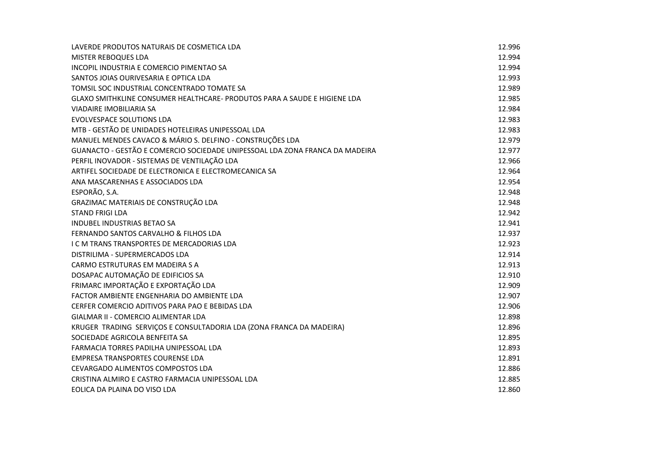| LAVERDE PRODUTOS NATURAIS DE COSMETICA LDA                                   | 12.996 |
|------------------------------------------------------------------------------|--------|
| <b>MISTER REBOQUES LDA</b>                                                   | 12.994 |
| INCOPIL INDUSTRIA E COMERCIO PIMENTAO SA                                     | 12.994 |
| SANTOS JOIAS OURIVESARIA E OPTICA LDA                                        | 12.993 |
| TOMSIL SOC INDUSTRIAL CONCENTRADO TOMATE SA                                  | 12.989 |
| GLAXO SMITHKLINE CONSUMER HEALTHCARE- PRODUTOS PARA A SAUDE E HIGIENE LDA    | 12.985 |
| VIADAIRE IMOBILIARIA SA                                                      | 12.984 |
| <b>EVOLVESPACE SOLUTIONS LDA</b>                                             | 12.983 |
| MTB - GESTÃO DE UNIDADES HOTELEIRAS UNIPESSOAL LDA                           | 12.983 |
| MANUEL MENDES CAVACO & MÁRIO S. DELFINO - CONSTRUÇÕES LDA                    | 12.979 |
| GUANACTO - GESTÃO E COMERCIO SOCIEDADE UNIPESSOAL LDA ZONA FRANCA DA MADEIRA | 12.977 |
| PERFIL INOVADOR - SISTEMAS DE VENTILAÇÃO LDA                                 | 12.966 |
| ARTIFEL SOCIEDADE DE ELECTRONICA E ELECTROMECANICA SA                        | 12.964 |
| ANA MASCARENHAS E ASSOCIADOS LDA                                             | 12.954 |
| ESPORÃO, S.A.                                                                | 12.948 |
| GRAZIMAC MATERIAIS DE CONSTRUÇÃO LDA                                         | 12.948 |
| <b>STAND FRIGI LDA</b>                                                       | 12.942 |
| <b>INDUBEL INDUSTRIAS BETAO SA</b>                                           | 12.941 |
| FERNANDO SANTOS CARVALHO & FILHOS LDA                                        | 12.937 |
| I C M TRANS TRANSPORTES DE MERCADORIAS LDA                                   | 12.923 |
| DISTRILIMA - SUPERMERCADOS LDA                                               | 12.914 |
| CARMO ESTRUTURAS EM MADEIRA S A                                              | 12.913 |
| DOSAPAC AUTOMAÇÃO DE EDIFICIOS SA                                            | 12.910 |
| FRIMARC IMPORTAÇÃO E EXPORTAÇÃO LDA                                          | 12.909 |
| FACTOR AMBIENTE ENGENHARIA DO AMBIENTE LDA                                   | 12.907 |
| CERFER COMERCIO ADITIVOS PARA PAO E BEBIDAS LDA                              | 12.906 |
| GIALMAR II - COMERCIO ALIMENTAR LDA                                          | 12.898 |
| KRUGER TRADING SERVIÇOS E CONSULTADORIA LDA (ZONA FRANCA DA MADEIRA)         | 12.896 |
| SOCIEDADE AGRICOLA BENFEITA SA                                               | 12.895 |
| FARMACIA TORRES PADILHA UNIPESSOAL LDA                                       | 12.893 |
| <b>EMPRESA TRANSPORTES COURENSE LDA</b>                                      | 12.891 |
| CEVARGADO ALIMENTOS COMPOSTOS LDA                                            | 12.886 |
| CRISTINA ALMIRO E CASTRO FARMACIA UNIPESSOAL LDA                             | 12.885 |
| EOLICA DA PLAINA DO VISO LDA                                                 | 12.860 |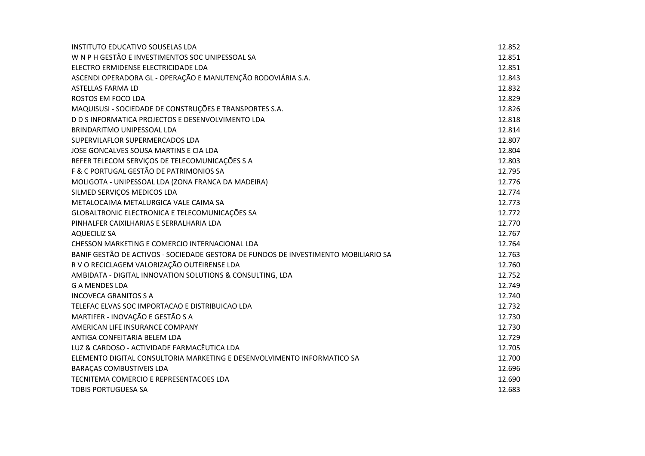| <b>INSTITUTO EDUCATIVO SOUSELAS LDA</b>                                             | 12.852 |
|-------------------------------------------------------------------------------------|--------|
| W N P H GESTÃO E INVESTIMENTOS SOC UNIPESSOAL SA                                    | 12.851 |
| ELECTRO ERMIDENSE ELECTRICIDADE LDA                                                 | 12.851 |
| ASCENDI OPERADORA GL - OPERAÇÃO E MANUTENÇÃO RODOVIÁRIA S.A.                        | 12.843 |
| <b>ASTELLAS FARMA LD</b>                                                            | 12.832 |
| ROSTOS EM FOCO LDA                                                                  | 12.829 |
| MAQUISUSI - SOCIEDADE DE CONSTRUÇÕES E TRANSPORTES S.A.                             | 12.826 |
| D D S INFORMATICA PROJECTOS E DESENVOLVIMENTO LDA                                   | 12.818 |
| BRINDARITMO UNIPESSOAL LDA                                                          | 12.814 |
| SUPERVILAFLOR SUPERMERCADOS LDA                                                     | 12.807 |
| JOSE GONCALVES SOUSA MARTINS E CIA LDA                                              | 12.804 |
| REFER TELECOM SERVIÇOS DE TELECOMUNICAÇÕES S A                                      | 12.803 |
| F & C PORTUGAL GESTÃO DE PATRIMONIOS SA                                             | 12.795 |
| MOLIGOTA - UNIPESSOAL LDA (ZONA FRANCA DA MADEIRA)                                  | 12.776 |
| SILMED SERVIÇOS MEDICOS LDA                                                         | 12.774 |
| METALOCAIMA METALURGICA VALE CAIMA SA                                               | 12.773 |
| GLOBALTRONIC ELECTRONICA E TELECOMUNICAÇÕES SA                                      | 12.772 |
| PINHALFER CAIXILHARIAS E SERRALHARIA LDA                                            | 12.770 |
| <b>AQUECILIZ SA</b>                                                                 | 12.767 |
| CHESSON MARKETING E COMERCIO INTERNACIONAL LDA                                      | 12.764 |
| BANIF GESTÃO DE ACTIVOS - SOCIEDADE GESTORA DE FUNDOS DE INVESTIMENTO MOBILIARIO SA | 12.763 |
| R V O RECICLAGEM VALORIZAÇÃO OUTEIRENSE LDA                                         | 12.760 |
| AMBIDATA - DIGITAL INNOVATION SOLUTIONS & CONSULTING, LDA                           | 12.752 |
| <b>G A MENDES LDA</b>                                                               | 12.749 |
| <b>INCOVECA GRANITOS S A</b>                                                        | 12.740 |
| TELEFAC ELVAS SOC IMPORTACAO E DISTRIBUICAO LDA                                     | 12.732 |
| MARTIFER - INOVAÇÃO E GESTÃO S A                                                    | 12.730 |
| AMERICAN LIFE INSURANCE COMPANY                                                     | 12.730 |
| ANTIGA CONFEITARIA BELEM LDA                                                        | 12.729 |
| LUZ & CARDOSO - ACTIVIDADE FARMACÊUTICA LDA                                         | 12.705 |
| ELEMENTO DIGITAL CONSULTORIA MARKETING E DESENVOLVIMENTO INFORMATICO SA             | 12.700 |
| BARAÇAS COMBUSTIVEIS LDA                                                            | 12.696 |
| TECNITEMA COMERCIO E REPRESENTACOES LDA                                             | 12.690 |
| <b>TOBIS PORTUGUESA SA</b>                                                          | 12.683 |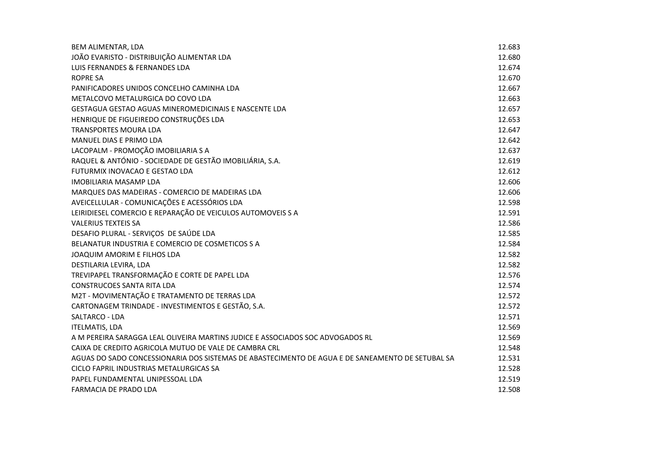| <b>BEM ALIMENTAR, LDA</b>                                                                        | 12.683 |
|--------------------------------------------------------------------------------------------------|--------|
| JOÃO EVARISTO - DISTRIBUIÇÃO ALIMENTAR LDA                                                       | 12.680 |
| LUIS FERNANDES & FERNANDES LDA                                                                   | 12.674 |
| <b>ROPRE SA</b>                                                                                  | 12.670 |
| PANIFICADORES UNIDOS CONCELHO CAMINHA LDA                                                        | 12.667 |
| METALCOVO METALURGICA DO COVO LDA                                                                | 12.663 |
| GESTAGUA GESTAO AGUAS MINEROMEDICINAIS E NASCENTE LDA                                            | 12.657 |
| HENRIQUE DE FIGUEIREDO CONSTRUÇÕES LDA                                                           | 12.653 |
| <b>TRANSPORTES MOURA LDA</b>                                                                     | 12.647 |
| MANUEL DIAS E PRIMO LDA                                                                          | 12.642 |
| LACOPALM - PROMOÇÃO IMOBILIARIA S A                                                              | 12.637 |
| RAQUEL & ANTÓNIO - SOCIEDADE DE GESTÃO IMOBILIÁRIA, S.A.                                         | 12.619 |
| FUTURMIX INOVACAO E GESTAO LDA                                                                   | 12.612 |
| <b>IMOBILIARIA MASAMP LDA</b>                                                                    | 12.606 |
| MARQUES DAS MADEIRAS - COMERCIO DE MADEIRAS LDA                                                  | 12.606 |
| AVEICELLULAR - COMUNICAÇÕES E ACESSÓRIOS LDA                                                     | 12.598 |
| LEIRIDIESEL COMERCIO E REPARAÇÃO DE VEICULOS AUTOMOVEIS S A                                      | 12.591 |
| <b>VALERIUS TEXTEIS SA</b>                                                                       | 12.586 |
| DESAFIO PLURAL - SERVIÇOS DE SAÚDE LDA                                                           | 12.585 |
| BELANATUR INDUSTRIA E COMERCIO DE COSMETICOS S A                                                 | 12.584 |
| JOAQUIM AMORIM E FILHOS LDA                                                                      | 12.582 |
| DESTILARIA LEVIRA, LDA                                                                           | 12.582 |
| TREVIPAPEL TRANSFORMAÇÃO E CORTE DE PAPEL LDA                                                    | 12.576 |
| <b>CONSTRUCOES SANTA RITA LDA</b>                                                                | 12.574 |
| M2T - MOVIMENTAÇÃO E TRATAMENTO DE TERRAS LDA                                                    | 12.572 |
| CARTONAGEM TRINDADE - INVESTIMENTOS E GESTÃO, S.A.                                               | 12.572 |
| SALTARCO - LDA                                                                                   | 12.571 |
| <b>ITELMATIS, LDA</b>                                                                            | 12.569 |
| A M PEREIRA SARAGGA LEAL OLIVEIRA MARTINS JUDICE E ASSOCIADOS SOC ADVOGADOS RL                   | 12.569 |
| CAIXA DE CREDITO AGRICOLA MUTUO DE VALE DE CAMBRA CRL                                            | 12.548 |
| AGUAS DO SADO CONCESSIONARIA DOS SISTEMAS DE ABASTECIMENTO DE AGUA E DE SANEAMENTO DE SETUBAL SA | 12.531 |
| CICLO FAPRIL INDUSTRIAS METALURGICAS SA                                                          | 12.528 |
| PAPEL FUNDAMENTAL UNIPESSOAL LDA                                                                 | 12.519 |
| FARMACIA DE PRADO LDA                                                                            | 12.508 |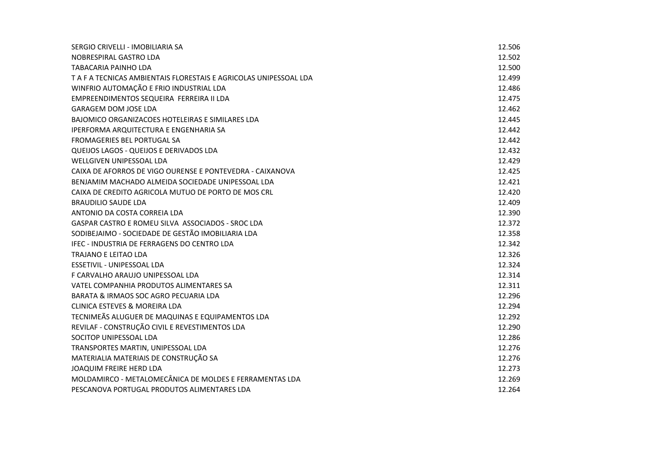| SERGIO CRIVELLI - IMOBILIARIA SA                                  | 12.506 |
|-------------------------------------------------------------------|--------|
| NOBRESPIRAL GASTRO LDA                                            | 12.502 |
| <b>TABACARIA PAINHO LDA</b>                                       | 12.500 |
| T A F A TECNICAS AMBIENTAIS FLORESTAIS E AGRICOLAS UNIPESSOAL LDA | 12.499 |
| WINFRIO AUTOMAÇÃO E FRIO INDUSTRIAL LDA                           | 12.486 |
| EMPREENDIMENTOS SEQUEIRA FERREIRA II LDA                          | 12.475 |
| <b>GARAGEM DOM JOSE LDA</b>                                       | 12.462 |
| BAJOMICO ORGANIZACOES HOTELEIRAS E SIMILARES LDA                  | 12.445 |
| IPERFORMA ARQUITECTURA E ENGENHARIA SA                            | 12.442 |
| FROMAGERIES BEL PORTUGAL SA                                       | 12.442 |
| QUEIJOS LAGOS - QUEIJOS E DERIVADOS LDA                           | 12.432 |
| WELLGIVEN UNIPESSOAL LDA                                          | 12.429 |
| CAIXA DE AFORROS DE VIGO OURENSE E PONTEVEDRA - CAIXANOVA         | 12.425 |
| BENJAMIM MACHADO ALMEIDA SOCIEDADE UNIPESSOAL LDA                 | 12.421 |
| CAIXA DE CREDITO AGRICOLA MUTUO DE PORTO DE MOS CRL               | 12.420 |
| <b>BRAUDILIO SAUDE LDA</b>                                        | 12.409 |
| ANTONIO DA COSTA CORREIA LDA                                      | 12.390 |
| GASPAR CASTRO E ROMEU SILVA ASSOCIADOS - SROC LDA                 | 12.372 |
| SODIBEJAIMO - SOCIEDADE DE GESTÃO IMOBILIARIA LDA                 | 12.358 |
| IFEC - INDUSTRIA DE FERRAGENS DO CENTRO LDA                       | 12.342 |
| <b>TRAJANO E LEITAO LDA</b>                                       | 12.326 |
| ESSETIVIL - UNIPESSOAL LDA                                        | 12.324 |
| F CARVALHO ARAUJO UNIPESSOAL LDA                                  | 12.314 |
| VATEL COMPANHIA PRODUTOS ALIMENTARES SA                           | 12.311 |
| BARATA & IRMAOS SOC AGRO PECUARIA LDA                             | 12.296 |
| <b>CLINICA ESTEVES &amp; MOREIRA LDA</b>                          | 12.294 |
| TECNIMEÃS ALUGUER DE MAQUINAS E EQUIPAMENTOS LDA                  | 12.292 |
| REVILAF - CONSTRUÇÃO CIVIL E REVESTIMENTOS LDA                    | 12.290 |
| SOCITOP UNIPESSOAL LDA                                            | 12.286 |
| TRANSPORTES MARTIN, UNIPESSOAL LDA                                | 12.276 |
| MATERIALIA MATERIAIS DE CONSTRUÇÃO SA                             | 12.276 |
| <b>JOAQUIM FREIRE HERD LDA</b>                                    | 12.273 |
| MOLDAMIRCO - METALOMECÂNICA DE MOLDES E FERRAMENTAS LDA           | 12.269 |
| PESCANOVA PORTUGAL PRODUTOS ALIMENTARES LDA                       | 12.264 |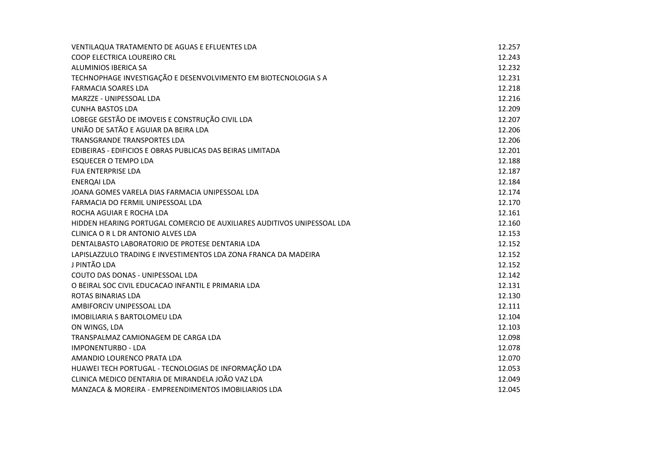| VENTILAQUA TRATAMENTO DE AGUAS E EFLUENTES LDA                          | 12.257 |
|-------------------------------------------------------------------------|--------|
| COOP ELECTRICA LOUREIRO CRL                                             | 12.243 |
| ALUMINIOS IBERICA SA                                                    | 12.232 |
| TECHNOPHAGE INVESTIGAÇÃO E DESENVOLVIMENTO EM BIOTECNOLOGIA S A         | 12.231 |
| <b>FARMACIA SOARES LDA</b>                                              | 12.218 |
| MARZZE - UNIPESSOAL LDA                                                 | 12.216 |
| <b>CUNHA BASTOS LDA</b>                                                 | 12.209 |
| LOBEGE GESTÃO DE IMOVEIS E CONSTRUÇÃO CIVIL LDA                         | 12.207 |
| UNIÃO DE SATÃO E AGUIAR DA BEIRA LDA                                    | 12.206 |
| TRANSGRANDE TRANSPORTES LDA                                             | 12.206 |
| EDIBEIRAS - EDIFICIOS E OBRAS PUBLICAS DAS BEIRAS LIMITADA              | 12.201 |
| <b>ESQUECER O TEMPO LDA</b>                                             | 12.188 |
| <b>FUA ENTERPRISE LDA</b>                                               | 12.187 |
| <b>ENERQAI LDA</b>                                                      | 12.184 |
| JOANA GOMES VARELA DIAS FARMACIA UNIPESSOAL LDA                         | 12.174 |
| FARMACIA DO FERMIL UNIPESSOAL LDA                                       | 12.170 |
| ROCHA AGUIAR E ROCHA LDA                                                | 12.161 |
| HIDDEN HEARING PORTUGAL COMERCIO DE AUXILIARES AUDITIVOS UNIPESSOAL LDA | 12.160 |
| CLINICA O R L DR ANTONIO ALVES LDA                                      | 12.153 |
| DENTALBASTO LABORATORIO DE PROTESE DENTARIA LDA                         | 12.152 |
| LAPISLAZZULO TRADING E INVESTIMENTOS LDA ZONA FRANCA DA MADEIRA         | 12.152 |
| J PINTÃO LDA                                                            | 12.152 |
| COUTO DAS DONAS - UNIPESSOAL LDA                                        | 12.142 |
| O BEIRAL SOC CIVIL EDUCACAO INFANTIL E PRIMARIA LDA                     | 12.131 |
| ROTAS BINARIAS LDA                                                      | 12.130 |
| AMBIFORCIV UNIPESSOAL LDA                                               | 12.111 |
| IMOBILIARIA S BARTOLOMEU LDA                                            | 12.104 |
| ON WINGS, LDA                                                           | 12.103 |
| TRANSPALMAZ CAMIONAGEM DE CARGA LDA                                     | 12.098 |
| <b>IMPONENTURBO - LDA</b>                                               | 12.078 |
| AMANDIO LOURENCO PRATA LDA                                              | 12.070 |
| HUAWEI TECH PORTUGAL - TECNOLOGIAS DE INFORMAÇÃO LDA                    | 12.053 |
| CLINICA MEDICO DENTARIA DE MIRANDELA JOÃO VAZ LDA                       | 12.049 |
| MANZACA & MOREIRA - EMPREENDIMENTOS IMOBILIARIOS LDA                    | 12.045 |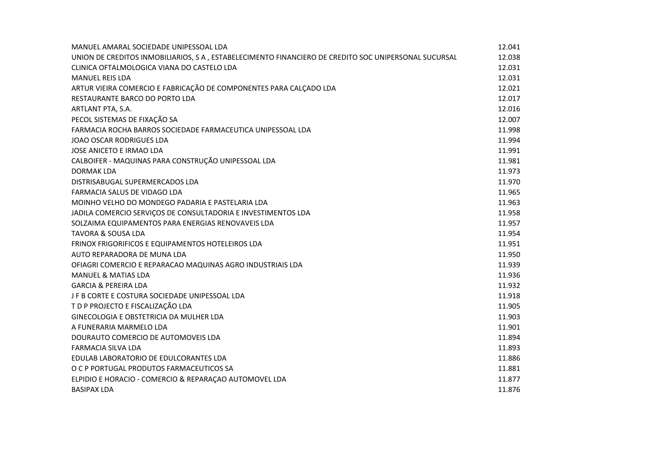| MANUEL AMARAL SOCIEDADE UNIPESSOAL LDA                                                               | 12.041 |
|------------------------------------------------------------------------------------------------------|--------|
| UNION DE CREDITOS INMOBILIARIOS, S A, ESTABELECIMENTO FINANCIERO DE CREDITO SOC UNIPERSONAL SUCURSAL | 12.038 |
| CLINICA OFTALMOLOGICA VIANA DO CASTELO LDA                                                           | 12.031 |
| <b>MANUEL REIS LDA</b>                                                                               | 12.031 |
| ARTUR VIEIRA COMERCIO E FABRICAÇÃO DE COMPONENTES PARA CALÇADO LDA                                   | 12.021 |
| RESTAURANTE BARCO DO PORTO LDA                                                                       | 12.017 |
| ARTLANT PTA, S.A.                                                                                    | 12.016 |
| PECOL SISTEMAS DE FIXAÇÃO SA                                                                         | 12.007 |
| FARMACIA ROCHA BARROS SOCIEDADE FARMACEUTICA UNIPESSOAL LDA                                          | 11.998 |
| <b>JOAO OSCAR RODRIGUES LDA</b>                                                                      | 11.994 |
| JOSE ANICETO E IRMAO LDA                                                                             | 11.991 |
| CALBOIFER - MAQUINAS PARA CONSTRUÇÃO UNIPESSOAL LDA                                                  | 11.981 |
| DORMAK LDA                                                                                           | 11.973 |
| DISTRISABUGAL SUPERMERCADOS LDA                                                                      | 11.970 |
| FARMACIA SALUS DE VIDAGO LDA                                                                         | 11.965 |
| MOINHO VELHO DO MONDEGO PADARIA E PASTELARIA LDA                                                     | 11.963 |
| JADILA COMERCIO SERVIÇOS DE CONSULTADORIA E INVESTIMENTOS LDA                                        | 11.958 |
| SOLZAIMA EQUIPAMENTOS PARA ENERGIAS RENOVAVEIS LDA                                                   | 11.957 |
| <b>TAVORA &amp; SOUSA LDA</b>                                                                        | 11.954 |
| FRINOX FRIGORIFICOS E EQUIPAMENTOS HOTELEIROS LDA                                                    | 11.951 |
| AUTO REPARADORA DE MUNA LDA                                                                          | 11.950 |
| OFIAGRI COMERCIO E REPARACAO MAQUINAS AGRO INDUSTRIAIS LDA                                           | 11.939 |
| MANUEL & MATIAS LDA                                                                                  | 11.936 |
| <b>GARCIA &amp; PEREIRA LDA</b>                                                                      | 11.932 |
| J F B CORTE E COSTURA SOCIEDADE UNIPESSOAL LDA                                                       | 11.918 |
| T D P PROJECTO E FISCALIZAÇÃO LDA                                                                    | 11.905 |
| GINECOLOGIA E OBSTETRICIA DA MULHER LDA                                                              | 11.903 |
| A FUNERARIA MARMELO LDA                                                                              | 11.901 |
| DOURAUTO COMERCIO DE AUTOMOVEIS LDA                                                                  | 11.894 |
| <b>FARMACIA SILVA LDA</b>                                                                            | 11.893 |
| EDULAB LABORATORIO DE EDULCORANTES LDA                                                               | 11.886 |
| O C P PORTUGAL PRODUTOS FARMACEUTICOS SA                                                             | 11.881 |
| ELPIDIO E HORACIO - COMERCIO & REPARAÇÃO AUTOMOVEL LDA                                               | 11.877 |
| <b>BASIPAX LDA</b>                                                                                   | 11.876 |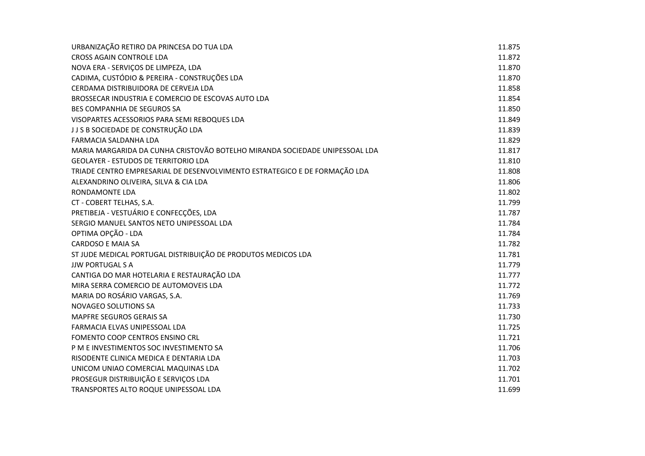| URBANIZAÇÃO RETIRO DA PRINCESA DO TUA LDA                                   | 11.875 |
|-----------------------------------------------------------------------------|--------|
| <b>CROSS AGAIN CONTROLE LDA</b>                                             | 11.872 |
| NOVA ERA - SERVIÇOS DE LIMPEZA, LDA                                         | 11.870 |
| CADIMA, CUSTÓDIO & PEREIRA - CONSTRUÇÕES LDA                                | 11.870 |
| CERDAMA DISTRIBUIDORA DE CERVEJA LDA                                        | 11.858 |
| BROSSECAR INDUSTRIA E COMERCIO DE ESCOVAS AUTO LDA                          | 11.854 |
| <b>BES COMPANHIA DE SEGUROS SA</b>                                          | 11.850 |
| VISOPARTES ACESSORIOS PARA SEMI REBOQUES LDA                                | 11.849 |
| J J S B SOCIEDADE DE CONSTRUÇÃO LDA                                         | 11.839 |
| FARMACIA SALDANHA LDA                                                       | 11.829 |
| MARIA MARGARIDA DA CUNHA CRISTOVÃO BOTELHO MIRANDA SOCIEDADE UNIPESSOAL LDA | 11.817 |
| <b>GEOLAYER - ESTUDOS DE TERRITORIO LDA</b>                                 | 11.810 |
| TRIADE CENTRO EMPRESARIAL DE DESENVOLVIMENTO ESTRATEGICO E DE FORMAÇÃO LDA  | 11.808 |
| ALEXANDRINO OLIVEIRA, SILVA & CIA LDA                                       | 11.806 |
| RONDAMONTE LDA                                                              | 11.802 |
| CT - COBERT TELHAS, S.A.                                                    | 11.799 |
| PRETIBEJA - VESTUÁRIO E CONFECÇÕES, LDA                                     | 11.787 |
| SERGIO MANUEL SANTOS NETO UNIPESSOAL LDA                                    | 11.784 |
| OPTIMA OPÇÃO - LDA                                                          | 11.784 |
| <b>CARDOSO E MAIA SA</b>                                                    | 11.782 |
| ST JUDE MEDICAL PORTUGAL DISTRIBUIÇÃO DE PRODUTOS MEDICOS LDA               | 11.781 |
| <b>JJW PORTUGAL S A</b>                                                     | 11.779 |
| CANTIGA DO MAR HOTELARIA E RESTAURAÇÃO LDA                                  | 11.777 |
| MIRA SERRA COMERCIO DE AUTOMOVEIS LDA                                       | 11.772 |
| MARIA DO ROSÁRIO VARGAS, S.A.                                               | 11.769 |
| <b>NOVAGEO SOLUTIONS SA</b>                                                 | 11.733 |
| MAPFRE SEGUROS GERAIS SA                                                    | 11.730 |
| FARMACIA ELVAS UNIPESSOAL LDA                                               | 11.725 |
| FOMENTO COOP CENTROS ENSINO CRL                                             | 11.721 |
| P M E INVESTIMENTOS SOC INVESTIMENTO SA                                     | 11.706 |
| RISODENTE CLINICA MEDICA E DENTARIA LDA                                     | 11.703 |
| UNICOM UNIAO COMERCIAL MAQUINAS LDA                                         | 11.702 |
| PROSEGUR DISTRIBUIÇÃO E SERVIÇOS LDA                                        | 11.701 |
| TRANSPORTES ALTO ROQUE UNIPESSOAL LDA                                       | 11.699 |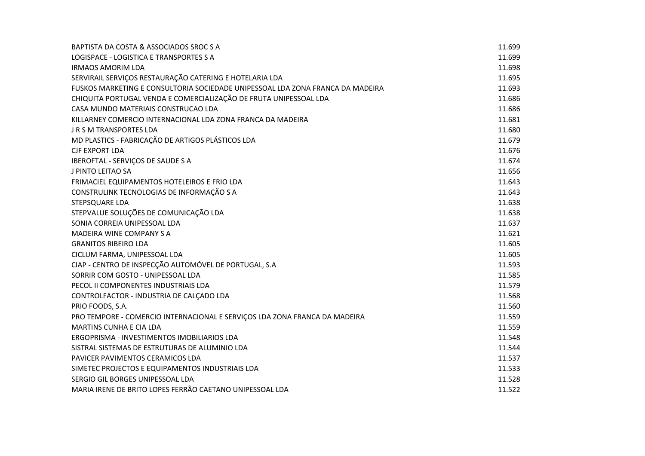| BAPTISTA DA COSTA & ASSOCIADOS SROC S A                                        | 11.699 |
|--------------------------------------------------------------------------------|--------|
| LOGISPACE - LOGISTICA E TRANSPORTES S A                                        | 11.699 |
| <b>IRMAOS AMORIM LDA</b>                                                       | 11.698 |
| SERVIRAIL SERVIÇOS RESTAURAÇÃO CATERING E HOTELARIA LDA                        | 11.695 |
| FUSKOS MARKETING E CONSULTORIA SOCIEDADE UNIPESSOAL LDA ZONA FRANCA DA MADEIRA | 11.693 |
| CHIQUITA PORTUGAL VENDA E COMERCIALIZAÇÃO DE FRUTA UNIPESSOAL LDA              | 11.686 |
| CASA MUNDO MATERIAIS CONSTRUCAO LDA                                            | 11.686 |
| KILLARNEY COMERCIO INTERNACIONAL LDA ZONA FRANCA DA MADEIRA                    | 11.681 |
| J R S M TRANSPORTES LDA                                                        | 11.680 |
| MD PLASTICS - FABRICAÇÃO DE ARTIGOS PLÁSTICOS LDA                              | 11.679 |
| <b>CJF EXPORT LDA</b>                                                          | 11.676 |
| IBEROFTAL - SERVIÇOS DE SAUDE S A                                              | 11.674 |
| J PINTO LEITAO SA                                                              | 11.656 |
| FRIMACIEL EQUIPAMENTOS HOTELEIROS E FRIO LDA                                   | 11.643 |
| CONSTRULINK TECNOLOGIAS DE INFORMAÇÃO S A                                      | 11.643 |
| STEPSQUARE LDA                                                                 | 11.638 |
| STEPVALUE SOLUÇÕES DE COMUNICAÇÃO LDA                                          | 11.638 |
| SONIA CORREIA UNIPESSOAL LDA                                                   | 11.637 |
| <b>MADEIRA WINE COMPANY S A</b>                                                | 11.621 |
| <b>GRANITOS RIBEIRO LDA</b>                                                    | 11.605 |
| CICLUM FARMA, UNIPESSOAL LDA                                                   | 11.605 |
| CIAP - CENTRO DE INSPECÇÃO AUTOMÓVEL DE PORTUGAL, S.A                          | 11.593 |
| SORRIR COM GOSTO - UNIPESSOAL LDA                                              | 11.585 |
| PECOL II COMPONENTES INDUSTRIAIS LDA                                           | 11.579 |
| CONTROLFACTOR - INDUSTRIA DE CALÇADO LDA                                       | 11.568 |
| PRIO FOODS, S.A.                                                               | 11.560 |
| PRO TEMPORE - COMERCIO INTERNACIONAL E SERVIÇOS LDA ZONA FRANCA DA MADEIRA     | 11.559 |
| <b>MARTINS CUNHA E CIA LDA</b>                                                 | 11.559 |
| ERGOPRISMA - INVESTIMENTOS IMOBILIARIOS LDA                                    | 11.548 |
| SISTRAL SISTEMAS DE ESTRUTURAS DE ALUMINIO LDA                                 | 11.544 |
| PAVICER PAVIMENTOS CERAMICOS LDA                                               | 11.537 |
| SIMETEC PROJECTOS E EQUIPAMENTOS INDUSTRIAIS LDA                               | 11.533 |
| SERGIO GIL BORGES UNIPESSOAL LDA                                               | 11.528 |
| MARIA IRENE DE BRITO LOPES FERRÃO CAETANO UNIPESSOAL LDA                       | 11.522 |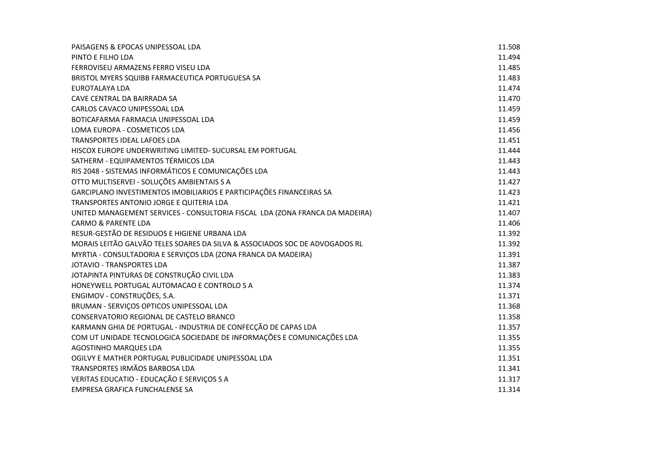| PAISAGENS & EPOCAS UNIPESSOAL LDA                                            | 11.508 |
|------------------------------------------------------------------------------|--------|
| PINTO E FILHO LDA                                                            | 11.494 |
| FERROVISEU ARMAZENS FERRO VISEU LDA                                          | 11.485 |
| BRISTOL MYERS SQUIBB FARMACEUTICA PORTUGUESA SA                              | 11.483 |
| EUROTALAYA LDA                                                               | 11.474 |
| CAVE CENTRAL DA BAIRRADA SA                                                  | 11.470 |
| CARLOS CAVACO UNIPESSOAL LDA                                                 | 11.459 |
| BOTICAFARMA FARMACIA UNIPESSOAL LDA                                          | 11.459 |
| LOMA EUROPA - COSMETICOS LDA                                                 | 11.456 |
| TRANSPORTES IDEAL LAFOES LDA                                                 | 11.451 |
| HISCOX EUROPE UNDERWRITING LIMITED- SUCURSAL EM PORTUGAL                     | 11.444 |
| SATHERM - EQUIPAMENTOS TÉRMICOS LDA                                          | 11.443 |
| RIS 2048 - SISTEMAS INFORMÁTICOS E COMUNICAÇÕES LDA                          | 11.443 |
| OTTO MULTISERVEI - SOLUÇÕES AMBIENTAIS S A                                   | 11.427 |
| GARCIPLANO INVESTIMENTOS IMOBILIARIOS E PARTICIPAÇÕES FINANCEIRAS SA         | 11.423 |
| TRANSPORTES ANTONIO JORGE E QUITERIA LDA                                     | 11.421 |
| UNITED MANAGEMENT SERVICES - CONSULTORIA FISCAL LDA (ZONA FRANCA DA MADEIRA) | 11.407 |
| <b>CARMO &amp; PARENTE LDA</b>                                               | 11.406 |
| RESUR-GESTÃO DE RESIDUOS E HIGIENE URBANA LDA                                | 11.392 |
| MORAIS LEITÃO GALVÃO TELES SOARES DA SILVA & ASSOCIADOS SOC DE ADVOGADOS RL  | 11.392 |
| MYRTIA - CONSULTADORIA E SERVIÇOS LDA (ZONA FRANCA DA MADEIRA)               | 11.391 |
| <b>JOTAVIO - TRANSPORTES LDA</b>                                             | 11.387 |
| JOTAPINTA PINTURAS DE CONSTRUÇÃO CIVIL LDA                                   | 11.383 |
| HONEYWELL PORTUGAL AUTOMACAO E CONTROLO S A                                  | 11.374 |
| ENGIMOV - CONSTRUÇÕES, S.A.                                                  | 11.371 |
| BRUMAN - SERVIÇOS OPTICOS UNIPESSOAL LDA                                     | 11.368 |
| CONSERVATORIO REGIONAL DE CASTELO BRANCO                                     | 11.358 |
| KARMANN GHIA DE PORTUGAL - INDUSTRIA DE CONFECÇÃO DE CAPAS LDA               | 11.357 |
| COM UT UNIDADE TECNOLOGICA SOCIEDADE DE INFORMAÇÕES E COMUNICAÇÕES LDA       | 11.355 |
| AGOSTINHO MARQUES LDA                                                        | 11.355 |
| OGILVY E MATHER PORTUGAL PUBLICIDADE UNIPESSOAL LDA                          | 11.351 |
| TRANSPORTES IRMÃOS BARBOSA LDA                                               | 11.341 |
| VERITAS EDUCATIO - EDUCAÇÃO E SERVIÇOS S A                                   | 11.317 |
| EMPRESA GRAFICA FUNCHALENSE SA                                               | 11.314 |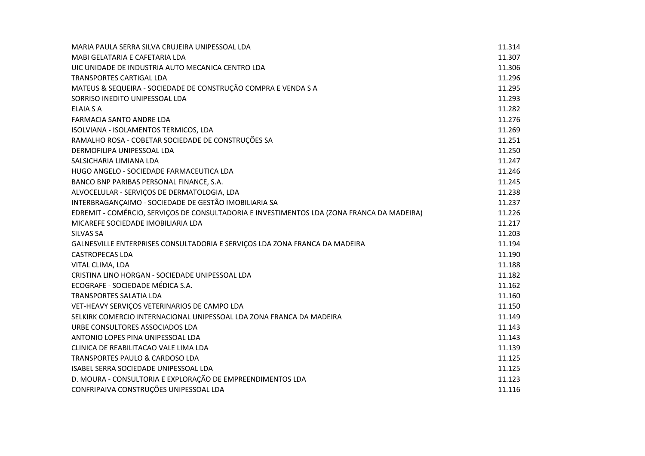| MARIA PAULA SERRA SILVA CRUJEIRA UNIPESSOAL LDA                                            | 11.314 |
|--------------------------------------------------------------------------------------------|--------|
| MABI GELATARIA E CAFETARIA LDA                                                             | 11.307 |
| UIC UNIDADE DE INDUSTRIA AUTO MECANICA CENTRO LDA                                          | 11.306 |
| TRANSPORTES CARTIGAL LDA                                                                   | 11.296 |
| MATEUS & SEQUEIRA - SOCIEDADE DE CONSTRUÇÃO COMPRA E VENDA S A                             | 11.295 |
| SORRISO INEDITO UNIPESSOAL LDA                                                             | 11.293 |
| <b>ELAIA S A</b>                                                                           | 11.282 |
| <b>FARMACIA SANTO ANDRE LDA</b>                                                            | 11.276 |
| ISOLVIANA - ISOLAMENTOS TERMICOS, LDA                                                      | 11.269 |
| RAMALHO ROSA - COBETAR SOCIEDADE DE CONSTRUÇÕES SA                                         | 11.251 |
| DERMOFILIPA UNIPESSOAL LDA                                                                 | 11.250 |
| SALSICHARIA LIMIANA LDA                                                                    | 11.247 |
| HUGO ANGELO - SOCIEDADE FARMACEUTICA LDA                                                   | 11.246 |
| BANCO BNP PARIBAS PERSONAL FINANCE, S.A.                                                   | 11.245 |
| ALVOCELULAR - SERVIÇOS DE DERMATOLOGIA, LDA                                                | 11.238 |
| INTERBRAGANÇAIMO - SOCIEDADE DE GESTÃO IMOBILIARIA SA                                      | 11.237 |
| EDREMIT - COMÉRCIO, SERVIÇOS DE CONSULTADORIA E INVESTIMENTOS LDA (ZONA FRANCA DA MADEIRA) | 11.226 |
| MICAREFE SOCIEDADE IMOBILIARIA LDA                                                         | 11.217 |
| <b>SILVAS SA</b>                                                                           | 11.203 |
| GALNESVILLE ENTERPRISES CONSULTADORIA E SERVIÇOS LDA ZONA FRANCA DA MADEIRA                | 11.194 |
| <b>CASTROPECAS LDA</b>                                                                     | 11.190 |
| VITAL CLIMA, LDA                                                                           | 11.188 |
| CRISTINA LINO HORGAN - SOCIEDADE UNIPESSOAL LDA                                            | 11.182 |
| ECOGRAFE - SOCIEDADE MÉDICA S.A.                                                           | 11.162 |
| <b>TRANSPORTES SALATIA LDA</b>                                                             | 11.160 |
| VET-HEAVY SERVIÇOS VETERINARIOS DE CAMPO LDA                                               | 11.150 |
| SELKIRK COMERCIO INTERNACIONAL UNIPESSOAL LDA ZONA FRANCA DA MADEIRA                       | 11.149 |
| URBE CONSULTORES ASSOCIADOS LDA                                                            | 11.143 |
| ANTONIO LOPES PINA UNIPESSOAL LDA                                                          | 11.143 |
| CLINICA DE REABILITACAO VALE LIMA LDA                                                      | 11.139 |
| <b>TRANSPORTES PAULO &amp; CARDOSO LDA</b>                                                 | 11.125 |
| ISABEL SERRA SOCIEDADE UNIPESSOAL LDA                                                      | 11.125 |
| D. MOURA - CONSULTORIA E EXPLORAÇÃO DE EMPREENDIMENTOS LDA                                 | 11.123 |
| CONFRIPAIVA CONSTRUÇÕES UNIPESSOAL LDA                                                     | 11.116 |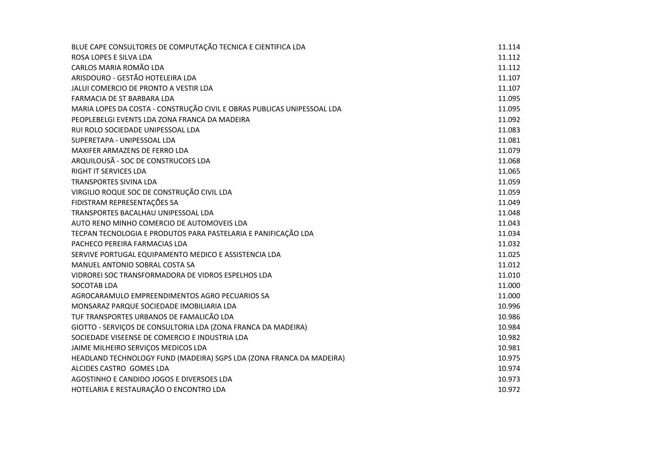| BLUE CAPE CONSULTORES DE COMPUTAÇÃO TECNICA E CIENTIFICA LDA            | 11.114 |
|-------------------------------------------------------------------------|--------|
| ROSA LOPES E SILVA LDA                                                  | 11.112 |
| CARLOS MARIA ROMÃO LDA                                                  | 11.112 |
| ARISDOURO - GESTÃO HOTELEIRA LDA                                        | 11.107 |
| JALUI COMERCIO DE PRONTO A VESTIR LDA                                   | 11.107 |
| FARMACIA DE ST BARBARA LDA                                              | 11.095 |
| MARIA LOPES DA COSTA - CONSTRUÇÃO CIVIL E OBRAS PUBLICAS UNIPESSOAL LDA | 11.095 |
| PEOPLEBELGI EVENTS LDA ZONA FRANCA DA MADEIRA                           | 11.092 |
| RUI ROLO SOCIEDADE UNIPESSOAL LDA                                       | 11.083 |
| SUPERETAPA - UNIPESSOAL LDA                                             | 11.081 |
| MAXIFER ARMAZENS DE FERRO LDA                                           | 11.079 |
| ARQUILOUSÃ - SOC DE CONSTRUCOES LDA                                     | 11.068 |
| <b>RIGHT IT SERVICES LDA</b>                                            | 11.065 |
| <b>TRANSPORTES SIVINA LDA</b>                                           | 11.059 |
| VIRGILIO ROQUE SOC DE CONSTRUÇÃO CIVIL LDA                              | 11.059 |
| FIDISTRAM REPRESENTAÇÕES SA                                             | 11.049 |
| TRANSPORTES BACALHAU UNIPESSOAL LDA                                     | 11.048 |
| AUTO RENO MINHO COMERCIO DE AUTOMOVEIS LDA                              | 11.043 |
| TECPAN TECNOLOGIA E PRODUTOS PARA PASTELARIA E PANIFICAÇÃO LDA          | 11.034 |
| PACHECO PEREIRA FARMACIAS LDA                                           | 11.032 |
| SERVIVE PORTUGAL EQUIPAMENTO MEDICO E ASSISTENCIA LDA                   | 11.025 |
| MANUEL ANTONIO SOBRAL COSTA SA                                          | 11.012 |
| VIDROREI SOC TRANSFORMADORA DE VIDROS ESPELHOS LDA                      | 11.010 |
| <b>SOCOTAB LDA</b>                                                      | 11.000 |
| AGROCARAMULO EMPREENDIMENTOS AGRO PECUARIOS SA                          | 11.000 |
| MONSARAZ PARQUE SOCIEDADE IMOBILIARIA LDA                               | 10.996 |
| TUF TRANSPORTES URBANOS DE FAMALICÃO LDA                                | 10.986 |
| GIOTTO - SERVIÇOS DE CONSULTORIA LDA (ZONA FRANCA DA MADEIRA)           | 10.984 |
| SOCIEDADE VISEENSE DE COMERCIO E INDUSTRIA LDA                          | 10.982 |
| JAIME MILHEIRO SERVIÇOS MEDICOS LDA                                     | 10.981 |
| HEADLAND TECHNOLOGY FUND (MADEIRA) SGPS LDA (ZONA FRANCA DA MADEIRA)    | 10.975 |
| ALCIDES CASTRO GOMES LDA                                                | 10.974 |
| AGOSTINHO E CANDIDO JOGOS E DIVERSOES LDA                               | 10.973 |
| HOTELARIA E RESTAURAÇÃO O ENCONTRO LDA                                  | 10.972 |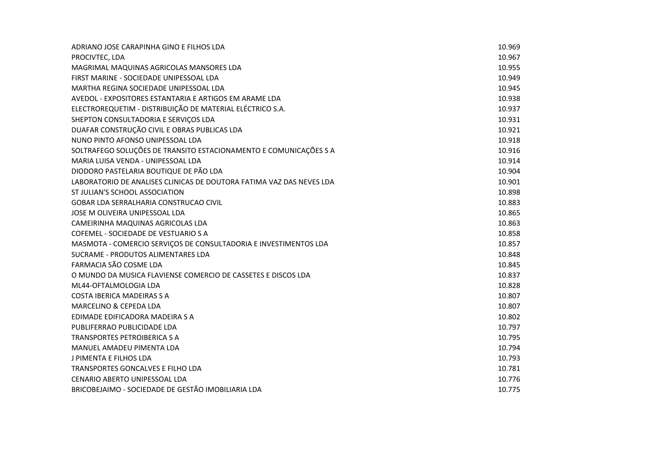| ADRIANO JOSE CARAPINHA GINO E FILHOS LDA                             | 10.969 |
|----------------------------------------------------------------------|--------|
| PROCIVTEC, LDA                                                       | 10.967 |
| MAGRIMAL MAQUINAS AGRICOLAS MANSORES LDA                             | 10.955 |
| FIRST MARINE - SOCIEDADE UNIPESSOAL LDA                              | 10.949 |
| MARTHA REGINA SOCIEDADE UNIPESSOAL LDA                               | 10.945 |
| AVEDOL - EXPOSITORES ESTANTARIA E ARTIGOS EM ARAME LDA               | 10.938 |
| ELECTROREQUETIM - DISTRIBUIÇÃO DE MATERIAL ELÉCTRICO S.A.            | 10.937 |
| SHEPTON CONSULTADORIA E SERVIÇOS LDA                                 | 10.931 |
| DUAFAR CONSTRUÇÃO CIVIL E OBRAS PUBLICAS LDA                         | 10.921 |
| NUNO PINTO AFONSO UNIPESSOAL LDA                                     | 10.918 |
| SOLTRAFEGO SOLUÇÕES DE TRANSITO ESTACIONAMENTO E COMUNICAÇÕES S A    | 10.916 |
| MARIA LUISA VENDA - UNIPESSOAL LDA                                   | 10.914 |
| DIODORO PASTELARIA BOUTIQUE DE PÃO LDA                               | 10.904 |
| LABORATORIO DE ANALISES CLINICAS DE DOUTORA FATIMA VAZ DAS NEVES LDA | 10.901 |
| ST JULIAN'S SCHOOL ASSOCIATION                                       | 10.898 |
| GOBAR LDA SERRALHARIA CONSTRUCAO CIVIL                               | 10.883 |
| JOSE M OLIVEIRA UNIPESSOAL LDA                                       | 10.865 |
| CAMEIRINHA MAQUINAS AGRICOLAS LDA                                    | 10.863 |
| COFEMEL - SOCIEDADE DE VESTUARIO S A                                 | 10.858 |
| MASMOTA - COMERCIO SERVIÇOS DE CONSULTADORIA E INVESTIMENTOS LDA     | 10.857 |
| SUCRAME - PRODUTOS ALIMENTARES LDA                                   | 10.848 |
| FARMACIA SÃO COSME LDA                                               | 10.845 |
| O MUNDO DA MUSICA FLAVIENSE COMERCIO DE CASSETES E DISCOS LDA        | 10.837 |
| ML44-OFTALMOLOGIA LDA                                                | 10.828 |
| COSTA IBERICA MADEIRAS S A                                           | 10.807 |
| MARCELINO & CEPEDA LDA                                               | 10.807 |
| EDIMADE EDIFICADORA MADEIRA S A                                      | 10.802 |
| PUBLIFERRAO PUBLICIDADE LDA                                          | 10.797 |
| <b>TRANSPORTES PETROIBERICA S A</b>                                  | 10.795 |
| MANUEL AMADEU PIMENTA LDA                                            | 10.794 |
| J PIMENTA E FILHOS LDA                                               | 10.793 |
| TRANSPORTES GONCALVES E FILHO LDA                                    | 10.781 |
| CENARIO ABERTO UNIPESSOAL LDA                                        | 10.776 |
| BRICOBEJAIMO - SOCIEDADE DE GESTÃO IMOBILIARIA LDA                   | 10.775 |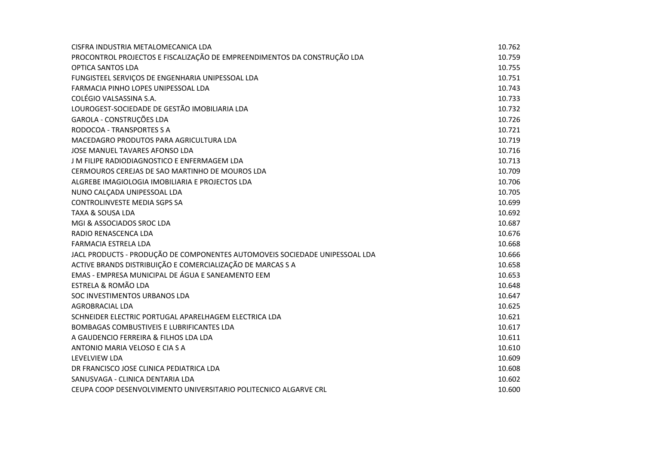| CISFRA INDUSTRIA METALOMECANICA LDA                                         | 10.762 |
|-----------------------------------------------------------------------------|--------|
| PROCONTROL PROJECTOS E FISCALIZAÇÃO DE EMPREENDIMENTOS DA CONSTRUÇÃO LDA    | 10.759 |
| <b>OPTICA SANTOS LDA</b>                                                    | 10.755 |
| FUNGISTEEL SERVIÇOS DE ENGENHARIA UNIPESSOAL LDA                            | 10.751 |
| FARMACIA PINHO LOPES UNIPESSOAL LDA                                         | 10.743 |
| COLÉGIO VALSASSINA S.A.                                                     | 10.733 |
| LOUROGEST-SOCIEDADE DE GESTÃO IMOBILIARIA LDA                               | 10.732 |
| GAROLA - CONSTRUÇÕES LDA                                                    | 10.726 |
| RODOCOA - TRANSPORTES S A                                                   | 10.721 |
| MACEDAGRO PRODUTOS PARA AGRICULTURA LDA                                     | 10.719 |
| JOSE MANUEL TAVARES AFONSO LDA                                              | 10.716 |
| J M FILIPE RADIODIAGNOSTICO E ENFERMAGEM LDA                                | 10.713 |
| CERMOUROS CEREJAS DE SAO MARTINHO DE MOUROS LDA                             | 10.709 |
| ALGREBE IMAGIOLOGIA IMOBILIARIA E PROJECTOS LDA                             | 10.706 |
| NUNO CALÇADA UNIPESSOAL LDA                                                 | 10.705 |
| CONTROLINVESTE MEDIA SGPS SA                                                | 10.699 |
| <b>TAXA &amp; SOUSA LDA</b>                                                 | 10.692 |
| MGI & ASSOCIADOS SROC LDA                                                   | 10.687 |
| RADIO RENASCENCA LDA                                                        | 10.676 |
| FARMACIA ESTRELA LDA                                                        | 10.668 |
| JACL PRODUCTS - PRODUÇÃO DE COMPONENTES AUTOMOVEIS SOCIEDADE UNIPESSOAL LDA | 10.666 |
| ACTIVE BRANDS DISTRIBUIÇÃO E COMERCIALIZAÇÃO DE MARCAS S A                  | 10.658 |
| EMAS - EMPRESA MUNICIPAL DE ÁGUA E SANEAMENTO EEM                           | 10.653 |
| ESTRELA & ROMÃO LDA                                                         | 10.648 |
| SOC INVESTIMENTOS URBANOS LDA                                               | 10.647 |
| <b>AGROBRACIAL LDA</b>                                                      | 10.625 |
| SCHNEIDER ELECTRIC PORTUGAL APARELHAGEM ELECTRICA LDA                       | 10.621 |
| BOMBAGAS COMBUSTIVEIS E LUBRIFICANTES LDA                                   | 10.617 |
| A GAUDENCIO FERREIRA & FILHOS LDA LDA                                       | 10.611 |
| ANTONIO MARIA VELOSO E CIA S A                                              | 10.610 |
| LEVELVIEW LDA                                                               | 10.609 |
| DR FRANCISCO JOSE CLINICA PEDIATRICA LDA                                    | 10.608 |
| SANUSVAGA - CLINICA DENTARIA LDA                                            | 10.602 |
| CEUPA COOP DESENVOLVIMENTO UNIVERSITARIO POLITECNICO ALGARVE CRL            | 10.600 |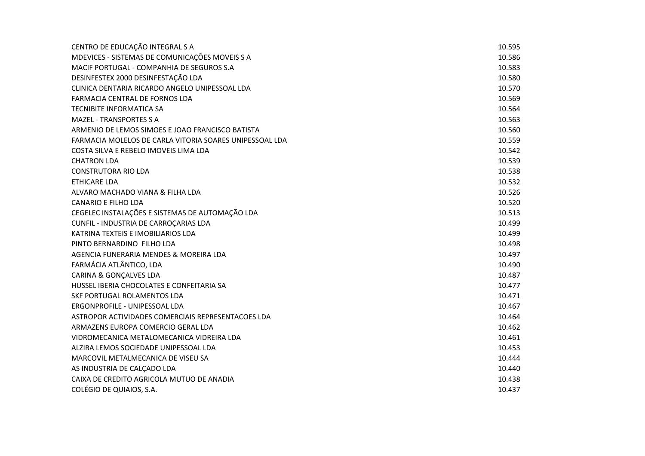| CENTRO DE EDUCAÇÃO INTEGRAL S A                         | 10.595 |
|---------------------------------------------------------|--------|
| MDEVICES - SISTEMAS DE COMUNICAÇÕES MOVEIS S A          | 10.586 |
| MACIF PORTUGAL - COMPANHIA DE SEGUROS S.A               | 10.583 |
| DESINFESTEX 2000 DESINFESTAÇÃO LDA                      | 10.580 |
| CLINICA DENTARIA RICARDO ANGELO UNIPESSOAL LDA          | 10.570 |
| FARMACIA CENTRAL DE FORNOS LDA                          | 10.569 |
| <b>TECNIBITE INFORMATICA SA</b>                         | 10.564 |
| <b>MAZEL - TRANSPORTES S A</b>                          | 10.563 |
| ARMENIO DE LEMOS SIMOES E JOAO FRANCISCO BATISTA        | 10.560 |
| FARMACIA MOLELOS DE CARLA VITORIA SOARES UNIPESSOAL LDA | 10.559 |
| COSTA SILVA E REBELO IMOVEIS LIMA LDA                   | 10.542 |
| <b>CHATRON LDA</b>                                      | 10.539 |
| <b>CONSTRUTORA RIO LDA</b>                              | 10.538 |
| <b>ETHICARE LDA</b>                                     | 10.532 |
| ALVARO MACHADO VIANA & FILHA LDA                        | 10.526 |
| <b>CANARIO E FILHO LDA</b>                              | 10.520 |
| CEGELEC INSTALAÇÕES E SISTEMAS DE AUTOMAÇÃO LDA         | 10.513 |
| CUNFIL - INDUSTRIA DE CARROÇARIAS LDA                   | 10.499 |
| KATRINA TEXTEIS E IMOBILIARIOS LDA                      | 10.499 |
| PINTO BERNARDINO FILHO LDA                              | 10.498 |
| AGENCIA FUNERARIA MENDES & MOREIRA LDA                  | 10.497 |
| FARMÁCIA ATLÂNTICO, LDA                                 | 10.490 |
| <b>CARINA &amp; GONÇALVES LDA</b>                       | 10.487 |
| HUSSEL IBERIA CHOCOLATES E CONFEITARIA SA               | 10.477 |
| SKF PORTUGAL ROLAMENTOS LDA                             | 10.471 |
| ERGONPROFILE - UNIPESSOAL LDA                           | 10.467 |
| ASTROPOR ACTIVIDADES COMERCIAIS REPRESENTACOES LDA      | 10.464 |
| ARMAZENS EUROPA COMERCIO GERAL LDA                      | 10.462 |
| VIDROMECANICA METALOMECANICA VIDREIRA LDA               | 10.461 |
| ALZIRA LEMOS SOCIEDADE UNIPESSOAL LDA                   | 10.453 |
| MARCOVIL METALMECANICA DE VISEU SA                      | 10.444 |
| AS INDUSTRIA DE CALÇADO LDA                             | 10.440 |
| CAIXA DE CREDITO AGRICOLA MUTUO DE ANADIA               | 10.438 |
| COLÉGIO DE QUIAIOS, S.A.                                | 10.437 |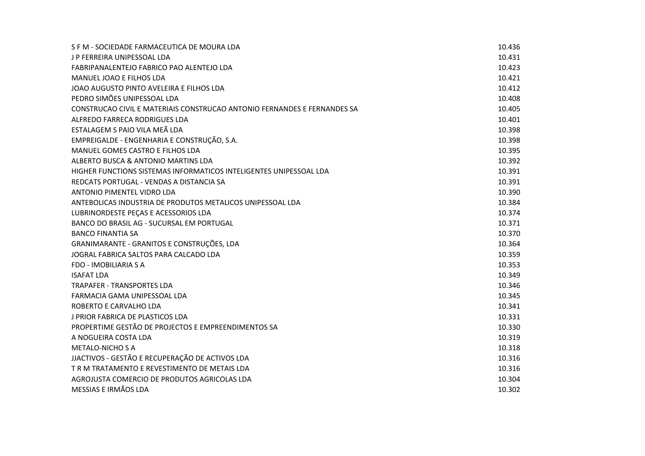| S F M - SOCIEDADE FARMACEUTICA DE MOURA LDA                              | 10.436 |
|--------------------------------------------------------------------------|--------|
| J P FERREIRA UNIPESSOAL LDA                                              | 10.431 |
| FABRIPANALENTEJO FABRICO PAO ALENTEJO LDA                                | 10.423 |
| MANUEL JOAO E FILHOS LDA                                                 | 10.421 |
| JOAO AUGUSTO PINTO AVELEIRA E FILHOS LDA                                 | 10.412 |
| PEDRO SIMÕES UNIPESSOAL LDA                                              | 10.408 |
| CONSTRUCAO CIVIL E MATERIAIS CONSTRUCAO ANTONIO FERNANDES E FERNANDES SA | 10.405 |
| ALFREDO FARRECA RODRIGUES LDA                                            | 10.401 |
| ESTALAGEM S PAIO VILA MEÃ LDA                                            | 10.398 |
| EMPREIGALDE - ENGENHARIA E CONSTRUÇÃO, S.A.                              | 10.398 |
| MANUEL GOMES CASTRO E FILHOS LDA                                         | 10.395 |
| ALBERTO BUSCA & ANTONIO MARTINS LDA                                      | 10.392 |
| HIGHER FUNCTIONS SISTEMAS INFORMATICOS INTELIGENTES UNIPESSOAL LDA       | 10.391 |
| REDCATS PORTUGAL - VENDAS A DISTANCIA SA                                 | 10.391 |
| ANTONIO PIMENTEL VIDRO LDA                                               | 10.390 |
| ANTEBOLICAS INDUSTRIA DE PRODUTOS METALICOS UNIPESSOAL LDA               | 10.384 |
| LUBRINORDESTE PEÇAS E ACESSORIOS LDA                                     | 10.374 |
| BANCO DO BRASIL AG - SUCURSAL EM PORTUGAL                                | 10.371 |
| <b>BANCO FINANTIA SA</b>                                                 | 10.370 |
| GRANIMARANTE - GRANITOS E CONSTRUÇÕES, LDA                               | 10.364 |
| JOGRAL FABRICA SALTOS PARA CALCADO LDA                                   | 10.359 |
| FDO - IMOBILIARIA S A                                                    | 10.353 |
| <b>ISAFAT LDA</b>                                                        | 10.349 |
| <b>TRAPAFER - TRANSPORTES LDA</b>                                        | 10.346 |
| FARMACIA GAMA UNIPESSOAL LDA                                             | 10.345 |
| ROBERTO E CARVALHO LDA                                                   | 10.341 |
| <b>J PRIOR FABRICA DE PLASTICOS LDA</b>                                  | 10.331 |
| PROPERTIME GESTÃO DE PROJECTOS E EMPREENDIMENTOS SA                      | 10.330 |
| A NOGUEIRA COSTA LDA                                                     | 10.319 |
| <b>METALO-NICHO S A</b>                                                  | 10.318 |
| JJACTIVOS - GESTÃO E RECUPERAÇÃO DE ACTIVOS LDA                          | 10.316 |
| T R M TRATAMENTO E REVESTIMENTO DE METAIS LDA                            | 10.316 |
| AGROJUSTA COMERCIO DE PRODUTOS AGRICOLAS LDA                             | 10.304 |
| MESSIAS E IRMÃOS LDA                                                     | 10.302 |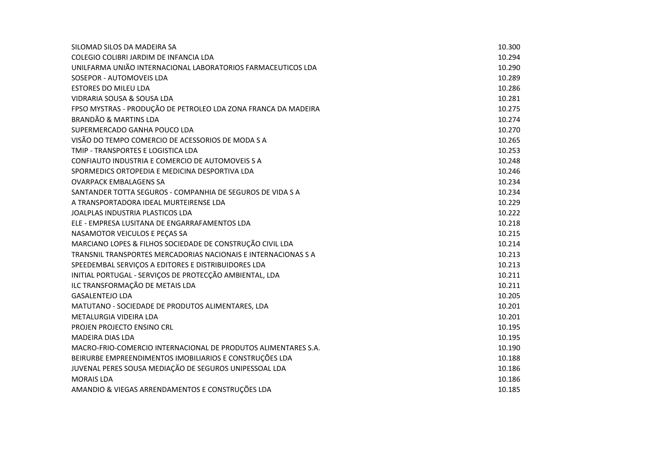| SILOMAD SILOS DA MADEIRA SA                                    | 10.300 |
|----------------------------------------------------------------|--------|
| COLEGIO COLIBRI JARDIM DE INFANCIA LDA                         | 10.294 |
| UNILFARMA UNIÃO INTERNACIONAL LABORATORIOS FARMACEUTICOS LDA   | 10.290 |
| SOSEPOR - AUTOMOVEIS LDA                                       | 10.289 |
| <b>ESTORES DO MILEU LDA</b>                                    | 10.286 |
| <b>VIDRARIA SOUSA &amp; SOUSA LDA</b>                          | 10.281 |
| FPSO MYSTRAS - PRODUÇÃO DE PETROLEO LDA ZONA FRANCA DA MADEIRA | 10.275 |
| <b>BRANDÃO &amp; MARTINS LDA</b>                               | 10.274 |
| SUPERMERCADO GANHA POUCO LDA                                   | 10.270 |
| VISÃO DO TEMPO COMERCIO DE ACESSORIOS DE MODA S A              | 10.265 |
| TMIP - TRANSPORTES E LOGISTICA LDA                             | 10.253 |
| CONFIAUTO INDUSTRIA E COMERCIO DE AUTOMOVEIS S A               | 10.248 |
| SPORMEDICS ORTOPEDIA E MEDICINA DESPORTIVA LDA                 | 10.246 |
| <b>OVARPACK EMBALAGENS SA</b>                                  | 10.234 |
| SANTANDER TOTTA SEGUROS - COMPANHIA DE SEGUROS DE VIDA S A     | 10.234 |
| A TRANSPORTADORA IDEAL MURTEIRENSE LDA                         | 10.229 |
| JOALPLAS INDUSTRIA PLASTICOS LDA                               | 10.222 |
| ELE - EMPRESA LUSITANA DE ENGARRAFAMENTOS LDA                  | 10.218 |
| NASAMOTOR VEICULOS E PEÇAS SA                                  | 10.215 |
| MARCIANO LOPES & FILHOS SOCIEDADE DE CONSTRUÇÃO CIVIL LDA      | 10.214 |
| TRANSNIL TRANSPORTES MERCADORIAS NACIONAIS E INTERNACIONAS S A | 10.213 |
| SPEEDEMBAL SERVIÇOS A EDITORES E DISTRIBUIDORES LDA            | 10.213 |
| INITIAL PORTUGAL - SERVIÇOS DE PROTECÇÃO AMBIENTAL, LDA        | 10.211 |
| ILC TRANSFORMAÇÃO DE METAIS LDA                                | 10.211 |
| <b>GASALENTEJO LDA</b>                                         | 10.205 |
| MATUTANO - SOCIEDADE DE PRODUTOS ALIMENTARES, LDA              | 10.201 |
| METALURGIA VIDEIRA LDA                                         | 10.201 |
| PROJEN PROJECTO ENSINO CRL                                     | 10.195 |
| <b>MADEIRA DIAS LDA</b>                                        | 10.195 |
| MACRO-FRIO-COMERCIO INTERNACIONAL DE PRODUTOS ALIMENTARES S.A. | 10.190 |
| BEIRURBE EMPREENDIMENTOS IMOBILIARIOS E CONSTRUÇÕES LDA        | 10.188 |
| JUVENAL PERES SOUSA MEDIAÇÃO DE SEGUROS UNIPESSOAL LDA         | 10.186 |
| <b>MORAIS LDA</b>                                              | 10.186 |
| AMANDIO & VIEGAS ARRENDAMENTOS E CONSTRUÇÕES LDA               | 10.185 |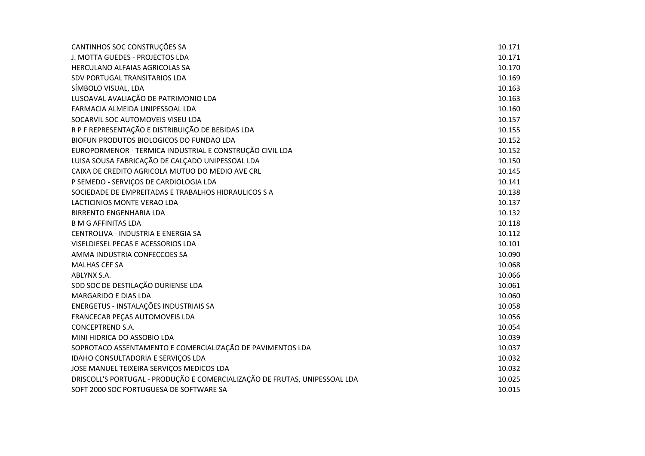| CANTINHOS SOC CONSTRUÇÕES SA                                               | 10.171 |
|----------------------------------------------------------------------------|--------|
| J. MOTTA GUEDES - PROJECTOS LDA                                            | 10.171 |
| HERCULANO ALFAIAS AGRICOLAS SA                                             | 10.170 |
| SDV PORTUGAL TRANSITARIOS LDA                                              | 10.169 |
| SÍMBOLO VISUAL, LDA                                                        | 10.163 |
| LUSOAVAL AVALIAÇÃO DE PATRIMONIO LDA                                       | 10.163 |
| FARMACIA ALMEIDA UNIPESSOAL LDA                                            | 10.160 |
| SOCARVIL SOC AUTOMOVEIS VISEU LDA                                          | 10.157 |
| R P F REPRESENTAÇÃO E DISTRIBUIÇÃO DE BEBIDAS LDA                          | 10.155 |
| BIOFUN PRODUTOS BIOLOGICOS DO FUNDAO LDA                                   | 10.152 |
| EUROPORMENOR - TERMICA INDUSTRIAL E CONSTRUÇÃO CIVIL LDA                   | 10.152 |
| LUISA SOUSA FABRICAÇÃO DE CALÇADO UNIPESSOAL LDA                           | 10.150 |
| CAIXA DE CREDITO AGRICOLA MUTUO DO MEDIO AVE CRL                           | 10.145 |
| P SEMEDO - SERVIÇOS DE CARDIOLOGIA LDA                                     | 10.141 |
| SOCIEDADE DE EMPREITADAS E TRABALHOS HIDRAULICOS S A                       | 10.138 |
| LACTICINIOS MONTE VERAO LDA                                                | 10.137 |
| <b>BIRRENTO ENGENHARIA LDA</b>                                             | 10.132 |
| <b>B M G AFFINITAS LDA</b>                                                 | 10.118 |
| CENTROLIVA - INDUSTRIA E ENERGIA SA                                        | 10.112 |
| VISELDIESEL PECAS E ACESSORIOS LDA                                         | 10.101 |
| AMMA INDUSTRIA CONFECCOES SA                                               | 10.090 |
| <b>MALHAS CEF SA</b>                                                       | 10.068 |
| ABLYNX S.A.                                                                | 10.066 |
| SDD SOC DE DESTILAÇÃO DURIENSE LDA                                         | 10.061 |
| <b>MARGARIDO E DIAS LDA</b>                                                | 10.060 |
| ENERGETUS - INSTALAÇÕES INDUSTRIAIS SA                                     | 10.058 |
| FRANCECAR PEÇAS AUTOMOVEIS LDA                                             | 10.056 |
| <b>CONCEPTREND S.A.</b>                                                    | 10.054 |
| MINI HIDRICA DO ASSOBIO LDA                                                | 10.039 |
| SOPROTACO ASSENTAMENTO E COMERCIALIZAÇÃO DE PAVIMENTOS LDA                 | 10.037 |
| IDAHO CONSULTADORIA E SERVIÇOS LDA                                         | 10.032 |
| JOSE MANUEL TEIXEIRA SERVIÇOS MEDICOS LDA                                  | 10.032 |
| DRISCOLL'S PORTUGAL - PRODUÇÃO E COMERCIALIZAÇÃO DE FRUTAS, UNIPESSOAL LDA | 10.025 |
| SOFT 2000 SOC PORTUGUESA DE SOFTWARE SA                                    | 10.015 |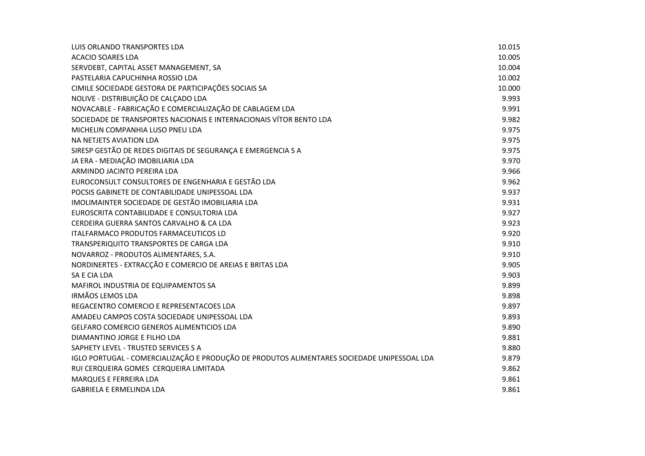| LUIS ORLANDO TRANSPORTES LDA                                                                | 10.015 |
|---------------------------------------------------------------------------------------------|--------|
| <b>ACACIO SOARES LDA</b>                                                                    | 10.005 |
| SERVDEBT, CAPITAL ASSET MANAGEMENT, SA                                                      | 10.004 |
| PASTELARIA CAPUCHINHA ROSSIO LDA                                                            | 10.002 |
| CIMILE SOCIEDADE GESTORA DE PARTICIPAÇÕES SOCIAIS SA                                        | 10.000 |
| NOLIVE - DISTRIBUIÇÃO DE CALÇADO LDA                                                        | 9.993  |
| NOVACABLE - FABRICAÇÃO E COMERCIALIZAÇÃO DE CABLAGEM LDA                                    | 9.991  |
| SOCIEDADE DE TRANSPORTES NACIONAIS E INTERNACIONAIS VÍTOR BENTO LDA                         | 9.982  |
| MICHELIN COMPANHIA LUSO PNEU LDA                                                            | 9.975  |
| NA NETJETS AVIATION LDA                                                                     | 9.975  |
| SIRESP GESTÃO DE REDES DIGITAIS DE SEGURANÇA E EMERGENCIA S A                               | 9.975  |
| JA ERA - MEDIAÇÃO IMOBILIARIA LDA                                                           | 9.970  |
| ARMINDO JACINTO PEREIRA LDA                                                                 | 9.966  |
| EUROCONSULT CONSULTORES DE ENGENHARIA E GESTÃO LDA                                          | 9.962  |
| POCSIS GABINETE DE CONTABILIDADE UNIPESSOAL LDA                                             | 9.937  |
| IMOLIMAINTER SOCIEDADE DE GESTÃO IMOBILIARIA LDA                                            | 9.931  |
| EUROSCRITA CONTABILIDADE E CONSULTORIA LDA                                                  | 9.927  |
| CERDEIRA GUERRA SANTOS CARVALHO & CA LDA                                                    | 9.923  |
| ITALFARMACO PRODUTOS FARMACEUTICOS LD                                                       | 9.920  |
| TRANSPERIQUITO TRANSPORTES DE CARGA LDA                                                     | 9.910  |
| NOVARROZ - PRODUTOS ALIMENTARES, S.A.                                                       | 9.910  |
| NORDINERTES - EXTRACÇÃO E COMERCIO DE AREIAS E BRITAS LDA                                   | 9.905  |
| SA E CIA LDA                                                                                | 9.903  |
| MAFIROL INDUSTRIA DE EQUIPAMENTOS SA                                                        | 9.899  |
| <b>IRMÃOS LEMOS LDA</b>                                                                     | 9.898  |
| REGACENTRO COMERCIO E REPRESENTACOES LDA                                                    | 9.897  |
| AMADEU CAMPOS COSTA SOCIEDADE UNIPESSOAL LDA                                                | 9.893  |
| GELFARO COMERCIO GENEROS ALIMENTICIOS LDA                                                   | 9.890  |
| DIAMANTINO JORGE E FILHO LDA                                                                | 9.881  |
| SAPHETY LEVEL - TRUSTED SERVICES S A                                                        | 9.880  |
| IGLO PORTUGAL - COMERCIALIZAÇÃO E PRODUÇÃO DE PRODUTOS ALIMENTARES SOCIEDADE UNIPESSOAL LDA | 9.879  |
| RUI CERQUEIRA GOMES CERQUEIRA LIMITADA                                                      | 9.862  |
| MARQUES E FERREIRA LDA                                                                      | 9.861  |
| <b>GABRIELA E ERMELINDA LDA</b>                                                             | 9.861  |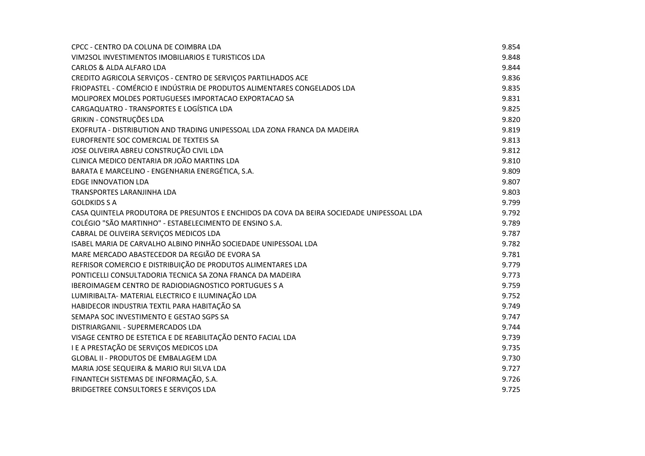| CPCC - CENTRO DA COLUNA DE COIMBRA LDA                                                    | 9.854 |
|-------------------------------------------------------------------------------------------|-------|
| VIM2SOL INVESTIMENTOS IMOBILIARIOS E TURISTICOS LDA                                       | 9.848 |
| CARLOS & ALDA ALFARO LDA                                                                  | 9.844 |
| CREDITO AGRICOLA SERVIÇOS - CENTRO DE SERVIÇOS PARTILHADOS ACE                            | 9.836 |
| FRIOPASTEL - COMÉRCIO E INDÚSTRIA DE PRODUTOS ALIMENTARES CONGELADOS LDA                  | 9.835 |
| MOLIPOREX MOLDES PORTUGUESES IMPORTACAO EXPORTACAO SA                                     | 9.831 |
| CARGAQUATRO - TRANSPORTES E LOGÍSTICA LDA                                                 | 9.825 |
| <b>GRIKIN - CONSTRUÇÕES LDA</b>                                                           | 9.820 |
| EXOFRUTA - DISTRIBUTION AND TRADING UNIPESSOAL LDA ZONA FRANCA DA MADEIRA                 | 9.819 |
| EUROFRENTE SOC COMERCIAL DE TEXTEIS SA                                                    | 9.813 |
| JOSE OLIVEIRA ABREU CONSTRUÇÃO CIVIL LDA                                                  | 9.812 |
| CLINICA MEDICO DENTARIA DR JOÃO MARTINS LDA                                               | 9.810 |
| BARATA E MARCELINO - ENGENHARIA ENERGÉTICA, S.A.                                          | 9.809 |
| <b>EDGE INNOVATION LDA</b>                                                                | 9.807 |
| TRANSPORTES LARANJINHA LDA                                                                | 9.803 |
| <b>GOLDKIDS S A</b>                                                                       | 9.799 |
| CASA QUINTELA PRODUTORA DE PRESUNTOS E ENCHIDOS DA COVA DA BEIRA SOCIEDADE UNIPESSOAL LDA | 9.792 |
| COLÉGIO "SÃO MARTINHO" - ESTABELECIMENTO DE ENSINO S.A.                                   | 9.789 |
| CABRAL DE OLIVEIRA SERVIÇOS MEDICOS LDA                                                   | 9.787 |
| ISABEL MARIA DE CARVALHO ALBINO PINHÃO SOCIEDADE UNIPESSOAL LDA                           | 9.782 |
| MARE MERCADO ABASTECEDOR DA REGIÃO DE EVORA SA                                            | 9.781 |
| REFRISOR COMERCIO E DISTRIBUIÇÃO DE PRODUTOS ALIMENTARES LDA                              | 9.779 |
| PONTICELLI CONSULTADORIA TECNICA SA ZONA FRANCA DA MADEIRA                                | 9.773 |
| IBEROIMAGEM CENTRO DE RADIODIAGNOSTICO PORTUGUES S A                                      | 9.759 |
| LUMIRIBALTA- MATERIAL ELECTRICO E ILUMINAÇÃO LDA                                          | 9.752 |
| HABIDECOR INDUSTRIA TEXTIL PARA HABITAÇÃO SA                                              | 9.749 |
| SEMAPA SOC INVESTIMENTO E GESTAO SGPS SA                                                  | 9.747 |
| DISTRIARGANIL - SUPERMERCADOS LDA                                                         | 9.744 |
| VISAGE CENTRO DE ESTETICA E DE REABILITAÇÃO DENTO FACIAL LDA                              | 9.739 |
| I E A PRESTAÇÃO DE SERVIÇOS MEDICOS LDA                                                   | 9.735 |
| <b>GLOBAL II - PRODUTOS DE EMBALAGEM LDA</b>                                              | 9.730 |
| MARIA JOSE SEQUEIRA & MARIO RUI SILVA LDA                                                 | 9.727 |
| FINANTECH SISTEMAS DE INFORMAÇÃO, S.A.                                                    | 9.726 |
| BRIDGETREE CONSULTORES E SERVIÇOS LDA                                                     | 9.725 |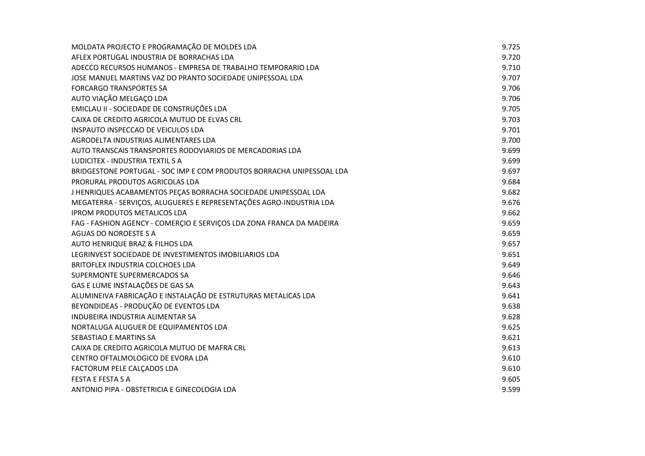| MOLDATA PROJECTO E PROGRAMAÇÃO DE MOLDES LDA                          | 9.725 |
|-----------------------------------------------------------------------|-------|
| AFLEX PORTUGAL INDUSTRIA DE BORRACHAS LDA                             | 9.720 |
| ADECCO RECURSOS HUMANOS - EMPRESA DE TRABALHO TEMPORARIO LDA          | 9.710 |
| JOSE MANUEL MARTINS VAZ DO PRANTO SOCIEDADE UNIPESSOAL LDA            | 9.707 |
| <b>FORCARGO TRANSPORTES SA</b>                                        | 9.706 |
| AUTO VIAÇÃO MELGAÇO LDA                                               | 9.706 |
| EMICLAU II - SOCIEDADE DE CONSTRUÇÕES LDA                             | 9.705 |
| CAIXA DE CREDITO AGRICOLA MUTUO DE ELVAS CRL                          | 9.703 |
| INSPAUTO INSPECCAO DE VEICULOS LDA                                    | 9.701 |
| AGRODELTA INDUSTRIAS ALIMENTARES LDA                                  | 9.700 |
| AUTO TRANSCAIS TRANSPORTES RODOVIARIOS DE MERCADORIAS LDA             | 9.699 |
| LUDICITEX - INDUSTRIA TEXTIL S A                                      | 9.699 |
| BRIDGESTONE PORTUGAL - SOC IMP E COM PRODUTOS BORRACHA UNIPESSOAL LDA | 9.697 |
| PRORURAL PRODUTOS AGRICOLAS LDA                                       | 9.684 |
| J HENRIQUES ACABAMENTOS PEÇAS BORRACHA SOCIEDADE UNIPESSOAL LDA       | 9.682 |
| MEGATERRA - SERVIÇOS, ALUGUERES E REPRESENTAÇÕES AGRO-INDUSTRIA LDA   | 9.676 |
| <b>IPROM PRODUTOS METALICOS LDA</b>                                   | 9.662 |
| FAG - FASHION AGENCY - COMERÇIO E SERVIÇOS LDA ZONA FRANCA DA MADEIRA | 9.659 |
| AGUAS DO NOROESTE S A                                                 | 9.659 |
| AUTO HENRIQUE BRAZ & FILHOS LDA                                       | 9.657 |
| LEGRINVEST SOCIEDADE DE INVESTIMENTOS IMOBILIARIOS LDA                | 9.651 |
| BRITOFLEX INDUSTRIA COLCHOES LDA                                      | 9.649 |
| SUPERMONTE SUPERMERCADOS SA                                           | 9.646 |
| GAS E LUME INSTALAÇÕES DE GAS SA                                      | 9.643 |
| ALUMINEIVA FABRICAÇÃO E INSTALAÇÃO DE ESTRUTURAS METALICAS LDA        | 9.641 |
| BEYONDIDEAS - PRODUÇÃO DE EVENTOS LDA                                 | 9.638 |
| INDUBEIRA INDUSTRIA ALIMENTAR SA                                      | 9.628 |
| NORTALUGA ALUGUER DE EQUIPAMENTOS LDA                                 | 9.625 |
| SEBASTIAO E MARTINS SA                                                | 9.621 |
| CAIXA DE CREDITO AGRICOLA MUTUO DE MAFRA CRL                          | 9.613 |
| CENTRO OFTALMOLOGICO DE EVORA LDA                                     | 9.610 |
| FACTORUM PELE CALCADOS LDA                                            | 9.610 |
| <b>FESTA E FESTA S A</b>                                              | 9.605 |
| ANTONIO PIPA - OBSTETRICIA E GINECOLOGIA LDA                          | 9.599 |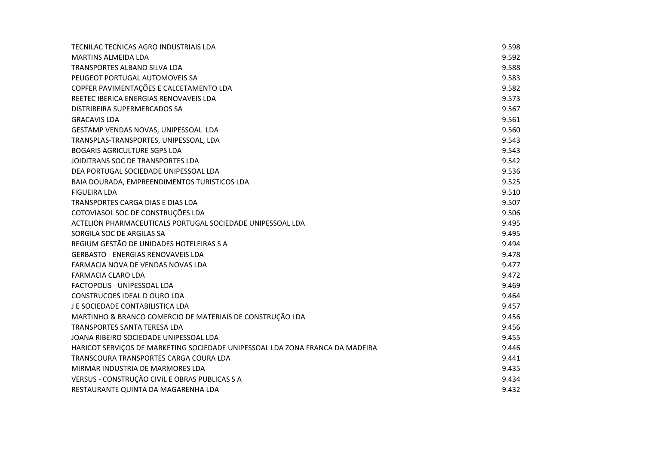| TECNILAC TECNICAS AGRO INDUSTRIAIS LDA                                        | 9.598 |
|-------------------------------------------------------------------------------|-------|
| <b>MARTINS ALMEIDA LDA</b>                                                    | 9.592 |
| <b>TRANSPORTES ALBANO SILVA LDA</b>                                           | 9.588 |
| PEUGEOT PORTUGAL AUTOMOVEIS SA                                                | 9.583 |
| COPFER PAVIMENTAÇÕES E CALCETAMENTO LDA                                       | 9.582 |
| REETEC IBERICA ENERGIAS RENOVAVEIS LDA                                        | 9.573 |
| DISTRIBEIRA SUPERMERCADOS SA                                                  | 9.567 |
| <b>GRACAVIS LDA</b>                                                           | 9.561 |
| GESTAMP VENDAS NOVAS, UNIPESSOAL LDA                                          | 9.560 |
| TRANSPLAS-TRANSPORTES, UNIPESSOAL, LDA                                        | 9.543 |
| <b>BOGARIS AGRICULTURE SGPS LDA</b>                                           | 9.543 |
| JOIDITRANS SOC DE TRANSPORTES LDA                                             | 9.542 |
| DEA PORTUGAL SOCIEDADE UNIPESSOAL LDA                                         | 9.536 |
| BAIA DOURADA, EMPREENDIMENTOS TURISTICOS LDA                                  | 9.525 |
| <b>FIGUEIRA LDA</b>                                                           | 9.510 |
| TRANSPORTES CARGA DIAS E DIAS LDA                                             | 9.507 |
| COTOVIASOL SOC DE CONSTRUÇÕES LDA                                             | 9.506 |
| ACTELION PHARMACEUTICALS PORTUGAL SOCIEDADE UNIPESSOAL LDA                    | 9.495 |
| SORGILA SOC DE ARGILAS SA                                                     | 9.495 |
| REGIUM GESTÃO DE UNIDADES HOTELEIRAS S A                                      | 9.494 |
| <b>GERBASTO - ENERGIAS RENOVAVEIS LDA</b>                                     | 9.478 |
| FARMACIA NOVA DE VENDAS NOVAS LDA                                             | 9.477 |
| <b>FARMACIA CLARO LDA</b>                                                     | 9.472 |
| FACTOPOLIS - UNIPESSOAL LDA                                                   | 9.469 |
| CONSTRUCOES IDEAL D OURO LDA                                                  | 9.464 |
| J E SOCIEDADE CONTABILISTICA LDA                                              | 9.457 |
| MARTINHO & BRANCO COMERCIO DE MATERIAIS DE CONSTRUÇÃO LDA                     | 9.456 |
| <b>TRANSPORTES SANTA TERESA LDA</b>                                           | 9.456 |
| JOANA RIBEIRO SOCIEDADE UNIPESSOAL LDA                                        | 9.455 |
| HARICOT SERVIÇOS DE MARKETING SOCIEDADE UNIPESSOAL LDA ZONA FRANCA DA MADEIRA | 9.446 |
| TRANSCOURA TRANSPORTES CARGA COURA LDA                                        | 9.441 |
| MIRMAR INDUSTRIA DE MARMORES LDA                                              | 9.435 |
| VERSUS - CONSTRUÇÃO CIVIL E OBRAS PUBLICAS S A                                | 9.434 |
| RESTAURANTE QUINTA DA MAGARENHA LDA                                           | 9.432 |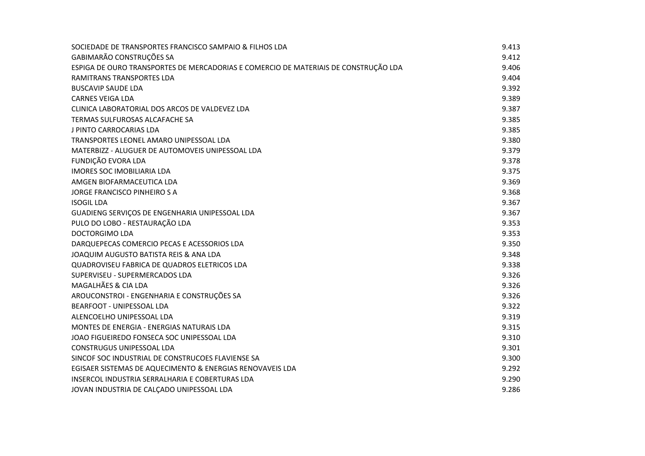| SOCIEDADE DE TRANSPORTES FRANCISCO SAMPAIO & FILHOS LDA                             | 9.413 |
|-------------------------------------------------------------------------------------|-------|
| GABIMARÃO CONSTRUÇÕES SA                                                            | 9.412 |
| ESPIGA DE OURO TRANSPORTES DE MERCADORIAS E COMERCIO DE MATERIAIS DE CONSTRUÇÃO LDA | 9.406 |
| <b>RAMITRANS TRANSPORTES LDA</b>                                                    | 9.404 |
| <b>BUSCAVIP SAUDE LDA</b>                                                           | 9.392 |
| <b>CARNES VEIGA LDA</b>                                                             | 9.389 |
| CLINICA LABORATORIAL DOS ARCOS DE VALDEVEZ LDA                                      | 9.387 |
| TERMAS SULFUROSAS ALCAFACHE SA                                                      | 9.385 |
| J PINTO CARROCARIAS LDA                                                             | 9.385 |
| TRANSPORTES LEONEL AMARO UNIPESSOAL LDA                                             | 9.380 |
| MATERBIZZ - ALUGUER DE AUTOMOVEIS UNIPESSOAL LDA                                    | 9.379 |
| FUNDIÇÃO EVORA LDA                                                                  | 9.378 |
| <b>IMORES SOC IMOBILIARIA LDA</b>                                                   | 9.375 |
| AMGEN BIOFARMACEUTICA LDA                                                           | 9.369 |
| JORGE FRANCISCO PINHEIRO S A                                                        | 9.368 |
| <b>ISOGIL LDA</b>                                                                   | 9.367 |
| GUADIENG SERVIÇOS DE ENGENHARIA UNIPESSOAL LDA                                      | 9.367 |
| PULO DO LOBO - RESTAURAÇÃO LDA                                                      | 9.353 |
| <b>DOCTORGIMO LDA</b>                                                               | 9.353 |
| DARQUEPECAS COMERCIO PECAS E ACESSORIOS LDA                                         | 9.350 |
| JOAQUIM AUGUSTO BATISTA REIS & ANA LDA                                              | 9.348 |
| QUADROVISEU FABRICA DE QUADROS ELETRICOS LDA                                        | 9.338 |
| SUPERVISEU - SUPERMERCADOS LDA                                                      | 9.326 |
| MAGALHÃES & CIA LDA                                                                 | 9.326 |
| AROUCONSTROI - ENGENHARIA E CONSTRUÇÕES SA                                          | 9.326 |
| <b>BEARFOOT - UNIPESSOAL LDA</b>                                                    | 9.322 |
| ALENCOELHO UNIPESSOAL LDA                                                           | 9.319 |
| MONTES DE ENERGIA - ENERGIAS NATURAIS LDA                                           | 9.315 |
| JOAO FIGUEIREDO FONSECA SOC UNIPESSOAL LDA                                          | 9.310 |
| CONSTRUGUS UNIPESSOAL LDA                                                           | 9.301 |
| SINCOF SOC INDUSTRIAL DE CONSTRUCOES FLAVIENSE SA                                   | 9.300 |
| EGISAER SISTEMAS DE AQUECIMENTO & ENERGIAS RENOVAVEIS LDA                           | 9.292 |
| INSERCOL INDUSTRIA SERRALHARIA E COBERTURAS LDA                                     | 9.290 |
| JOVAN INDUSTRIA DE CALÇADO UNIPESSOAL LDA                                           | 9.286 |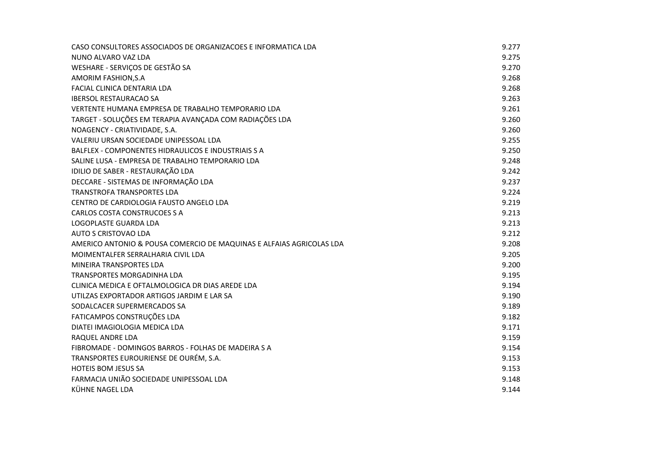| CASO CONSULTORES ASSOCIADOS DE ORGANIZACOES E INFORMATICA LDA        | 9.277 |
|----------------------------------------------------------------------|-------|
| NUNO ALVARO VAZ LDA                                                  | 9.275 |
| WESHARE - SERVIÇOS DE GESTÃO SA                                      | 9.270 |
| AMORIM FASHION, S.A.                                                 | 9.268 |
| FACIAL CLINICA DENTARIA LDA                                          | 9.268 |
| <b>IBERSOL RESTAURACAO SA</b>                                        | 9.263 |
| VERTENTE HUMANA EMPRESA DE TRABALHO TEMPORARIO LDA                   | 9.261 |
| TARGET - SOLUÇÕES EM TERAPIA AVANÇADA COM RADIAÇÕES LDA              | 9.260 |
| NOAGENCY - CRIATIVIDADE, S.A.                                        | 9.260 |
| VALERIU URSAN SOCIEDADE UNIPESSOAL LDA                               | 9.255 |
| BALFLEX - COMPONENTES HIDRAULICOS E INDUSTRIAIS S A                  | 9.250 |
| SALINE LUSA - EMPRESA DE TRABALHO TEMPORARIO LDA                     | 9.248 |
| IDILIO DE SABER - RESTAURAÇÃO LDA                                    | 9.242 |
| DECCARE - SISTEMAS DE INFORMAÇÃO LDA                                 | 9.237 |
| TRANSTROFA TRANSPORTES LDA                                           | 9.224 |
| CENTRO DE CARDIOLOGIA FAUSTO ANGELO LDA                              | 9.219 |
| <b>CARLOS COSTA CONSTRUCOES S A</b>                                  | 9.213 |
| LOGOPLASTE GUARDA LDA                                                | 9.213 |
| AUTO S CRISTOVAO LDA                                                 | 9.212 |
| AMERICO ANTONIO & POUSA COMERCIO DE MAQUINAS E ALFAIAS AGRICOLAS LDA | 9.208 |
| MOIMENTALFER SERRALHARIA CIVIL LDA                                   | 9.205 |
| MINEIRA TRANSPORTES LDA                                              | 9.200 |
| <b>TRANSPORTES MORGADINHA LDA</b>                                    | 9.195 |
| CLINICA MEDICA E OFTALMOLOGICA DR DIAS AREDE LDA                     | 9.194 |
| UTILZAS EXPORTADOR ARTIGOS JARDIM E LAR SA                           | 9.190 |
| SODALCACER SUPERMERCADOS SA                                          | 9.189 |
| FATICAMPOS CONSTRUÇÕES LDA                                           | 9.182 |
| DIATEI IMAGIOLOGIA MEDICA LDA                                        | 9.171 |
| RAQUEL ANDRE LDA                                                     | 9.159 |
| FIBROMADE - DOMINGOS BARROS - FOLHAS DE MADEIRA S A                  | 9.154 |
| TRANSPORTES EUROURIENSE DE OURÉM, S.A.                               | 9.153 |
| <b>HOTEIS BOM JESUS SA</b>                                           | 9.153 |
| FARMACIA UNIÃO SOCIEDADE UNIPESSOAL LDA                              | 9.148 |
| KÜHNE NAGEL LDA                                                      | 9.144 |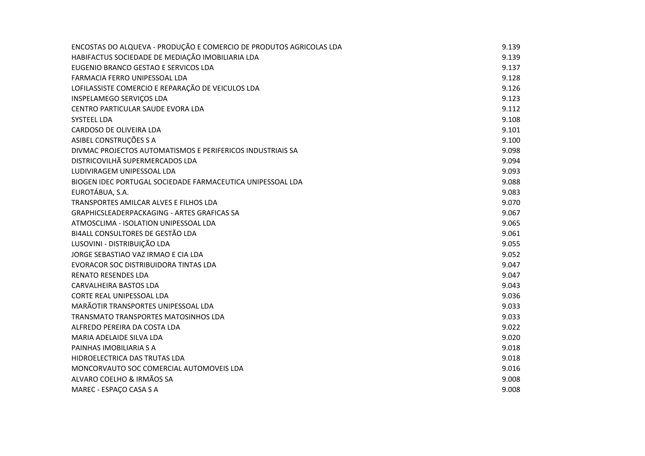| ENCOSTAS DO ALQUEVA - PRODUÇÃO E COMERCIO DE PRODUTOS AGRICOLAS LDA | 9.139 |
|---------------------------------------------------------------------|-------|
| HABIFACTUS SOCIEDADE DE MEDIAÇÃO IMOBILIARIA LDA                    | 9.139 |
| EUGENIO BRANCO GESTAO E SERVICOS LDA                                | 9.137 |
| FARMACIA FERRO UNIPESSOAL LDA                                       | 9.128 |
| LOFILASSISTE COMERCIO E REPARAÇÃO DE VEICULOS LDA                   | 9.126 |
| INSPELAMEGO SERVIÇOS LDA                                            | 9.123 |
| CENTRO PARTICULAR SAUDE EVORA LDA                                   | 9.112 |
| <b>SYSTEEL LDA</b>                                                  | 9.108 |
| CARDOSO DE OLIVEIRA LDA                                             | 9.101 |
| ASIBEL CONSTRUÇÕES S A                                              | 9.100 |
| DIVMAC PROJECTOS AUTOMATISMOS E PERIFERICOS INDUSTRIAIS SA          | 9.098 |
| DISTRICOVILHÃ SUPERMERCADOS LDA                                     | 9.094 |
| LUDIVIRAGEM UNIPESSOAL LDA                                          | 9.093 |
| BIOGEN IDEC PORTUGAL SOCIEDADE FARMACEUTICA UNIPESSOAL LDA          | 9.088 |
| EUROTÁBUA, S.A.                                                     | 9.083 |
| TRANSPORTES AMILCAR ALVES E FILHOS LDA                              | 9.070 |
| <b>GRAPHICSLEADERPACKAGING - ARTES GRAFICAS SA</b>                  | 9.067 |
| ATMOSCLIMA - ISOLATION UNIPESSOAL LDA                               | 9.065 |
| BI4ALL CONSULTORES DE GESTÃO LDA                                    | 9.061 |
| LUSOVINI - DISTRIBUIÇÃO LDA                                         | 9.055 |
| JORGE SEBASTIAO VAZ IRMAO E CIA LDA                                 | 9.052 |
| EVORACOR SOC DISTRIBUIDORA TINTAS LDA                               | 9.047 |
| <b>RENATO RESENDES LDA</b>                                          | 9.047 |
| <b>CARVALHEIRA BASTOS LDA</b>                                       | 9.043 |
| CORTE REAL UNIPESSOAL LDA                                           | 9.036 |
| MARÃOTIR TRANSPORTES UNIPESSOAL LDA                                 | 9.033 |
| TRANSMATO TRANSPORTES MATOSINHOS LDA                                | 9.033 |
| ALFREDO PEREIRA DA COSTA LDA                                        | 9.022 |
| MARIA ADELAIDE SILVA LDA                                            | 9.020 |
| PAINHAS IMOBILIARIA S A                                             | 9.018 |
| HIDROELECTRICA DAS TRUTAS LDA                                       | 9.018 |
| MONCORVAUTO SOC COMERCIAL AUTOMOVEIS LDA                            | 9.016 |
| ALVARO COELHO & IRMÃOS SA                                           | 9.008 |
| MAREC - ESPAÇO CASA S A                                             | 9.008 |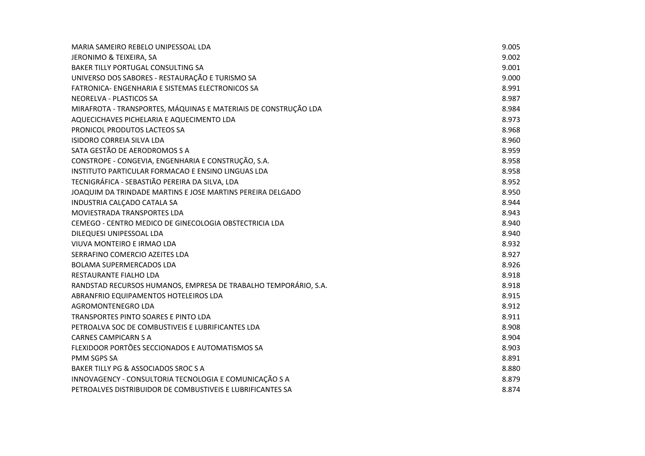| MARIA SAMEIRO REBELO UNIPESSOAL LDA                             | 9.005 |
|-----------------------------------------------------------------|-------|
| JERONIMO & TEIXEIRA, SA                                         | 9.002 |
| BAKER TILLY PORTUGAL CONSULTING SA                              | 9.001 |
| UNIVERSO DOS SABORES - RESTAURAÇÃO E TURISMO SA                 | 9.000 |
| FATRONICA- ENGENHARIA E SISTEMAS ELECTRONICOS SA                | 8.991 |
| NEORELVA - PLASTICOS SA                                         | 8.987 |
| MIRAFROTA - TRANSPORTES, MÁQUINAS E MATERIAIS DE CONSTRUÇÃO LDA | 8.984 |
| AQUECICHAVES PICHELARIA E AQUECIMENTO LDA                       | 8.973 |
| PRONICOL PRODUTOS LACTEOS SA                                    | 8.968 |
| <b>ISIDORO CORREIA SILVA LDA</b>                                | 8.960 |
| SATA GESTÃO DE AERODROMOS S A                                   | 8.959 |
| CONSTROPE - CONGEVIA, ENGENHARIA E CONSTRUÇÃO, S.A.             | 8.958 |
| INSTITUTO PARTICULAR FORMACAO E ENSINO LINGUAS LDA              | 8.958 |
| TECNIGRÁFICA - SEBASTIÃO PEREIRA DA SILVA, LDA                  | 8.952 |
| JOAQUIM DA TRINDADE MARTINS E JOSE MARTINS PEREIRA DELGADO      | 8.950 |
| INDUSTRIA CALÇADO CATALA SA                                     | 8.944 |
| MOVIESTRADA TRANSPORTES LDA                                     | 8.943 |
| CEMEGO - CENTRO MEDICO DE GINECOLOGIA OBSTECTRICIA LDA          | 8.940 |
| DILEQUESI UNIPESSOAL LDA                                        | 8.940 |
| VIUVA MONTEIRO E IRMAO LDA                                      | 8.932 |
| SERRAFINO COMERCIO AZEITES LDA                                  | 8.927 |
| <b>BOLAMA SUPERMERCADOS LDA</b>                                 | 8.926 |
| RESTAURANTE FIALHO LDA                                          | 8.918 |
| RANDSTAD RECURSOS HUMANOS, EMPRESA DE TRABALHO TEMPORÁRIO, S.A. | 8.918 |
| ABRANFRIO EQUIPAMENTOS HOTELEIROS LDA                           | 8.915 |
| AGROMONTENEGRO LDA                                              | 8.912 |
| TRANSPORTES PINTO SOARES E PINTO LDA                            | 8.911 |
| PETROALVA SOC DE COMBUSTIVEIS E LUBRIFICANTES LDA               | 8.908 |
| <b>CARNES CAMPICARN S A</b>                                     | 8.904 |
| FLEXIDOOR PORTÕES SECCIONADOS E AUTOMATISMOS SA                 | 8.903 |
| PMM SGPS SA                                                     | 8.891 |
| BAKER TILLY PG & ASSOCIADOS SROC S A                            | 8.880 |
| INNOVAGENCY - CONSULTORIA TECNOLOGIA E COMUNICAÇÃO S A          | 8.879 |
| PETROALVES DISTRIBUIDOR DE COMBUSTIVEIS E LUBRIFICANTES SA      | 8.874 |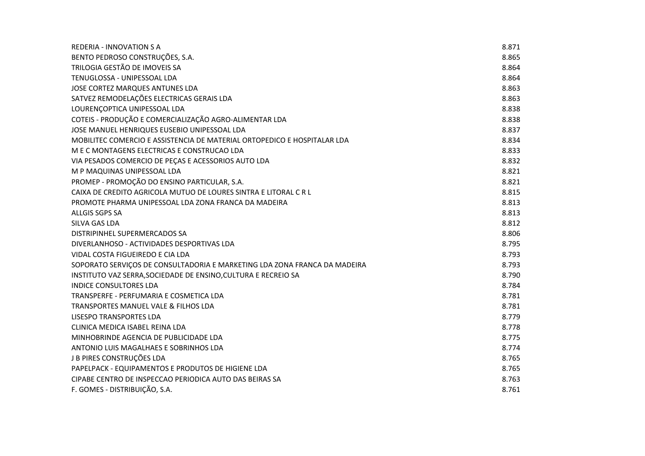| REDERIA - INNOVATION S A                                                  | 8.871 |
|---------------------------------------------------------------------------|-------|
| BENTO PEDROSO CONSTRUÇÕES, S.A.                                           | 8.865 |
| TRILOGIA GESTÃO DE IMOVEIS SA                                             | 8.864 |
| TENUGLOSSA - UNIPESSOAL LDA                                               | 8.864 |
| JOSE CORTEZ MARQUES ANTUNES LDA                                           | 8.863 |
| SATVEZ REMODELAÇÕES ELECTRICAS GERAIS LDA                                 | 8.863 |
| LOURENÇOPTICA UNIPESSOAL LDA                                              | 8.838 |
| COTEIS - PRODUÇÃO E COMERCIALIZAÇÃO AGRO-ALIMENTAR LDA                    | 8.838 |
| JOSE MANUEL HENRIQUES EUSEBIO UNIPESSOAL LDA                              | 8.837 |
| MOBILITEC COMERCIO E ASSISTENCIA DE MATERIAL ORTOPEDICO E HOSPITALAR LDA  | 8.834 |
| M E C MONTAGENS ELECTRICAS E CONSTRUCAO LDA                               | 8.833 |
| VIA PESADOS COMERCIO DE PEÇAS E ACESSORIOS AUTO LDA                       | 8.832 |
| M P MAQUINAS UNIPESSOAL LDA                                               | 8.821 |
| PROMEP - PROMOÇÃO DO ENSINO PARTICULAR, S.A.                              | 8.821 |
| CAIXA DE CREDITO AGRICOLA MUTUO DE LOURES SINTRA E LITORAL C R L          | 8.815 |
| PROMOTE PHARMA UNIPESSOAL LDA ZONA FRANCA DA MADEIRA                      | 8.813 |
| ALLGIS SGPS SA                                                            | 8.813 |
| <b>SILVA GAS LDA</b>                                                      | 8.812 |
| DISTRIPINHEL SUPERMERCADOS SA                                             | 8.806 |
| DIVERLANHOSO - ACTIVIDADES DESPORTIVAS LDA                                | 8.795 |
| VIDAL COSTA FIGUEIREDO E CIA LDA                                          | 8.793 |
| SOPORATO SERVIÇOS DE CONSULTADORIA E MARKETING LDA ZONA FRANCA DA MADEIRA | 8.793 |
| INSTITUTO VAZ SERRA, SOCIEDADE DE ENSINO, CULTURA E RECREIO SA            | 8.790 |
| <b>INDICE CONSULTORES LDA</b>                                             | 8.784 |
| TRANSPERFE - PERFUMARIA E COSMETICA LDA                                   | 8.781 |
| TRANSPORTES MANUEL VALE & FILHOS LDA                                      | 8.781 |
| <b>LISESPO TRANSPORTES LDA</b>                                            | 8.779 |
| CLINICA MEDICA ISABEL REINA LDA                                           | 8.778 |
| MINHOBRINDE AGENCIA DE PUBLICIDADE LDA                                    | 8.775 |
| ANTONIO LUIS MAGALHAES E SOBRINHOS LDA                                    | 8.774 |
| J B PIRES CONSTRUÇÕES LDA                                                 | 8.765 |
| PAPELPACK - EQUIPAMENTOS E PRODUTOS DE HIGIENE LDA                        | 8.765 |
| CIPABE CENTRO DE INSPECCAO PERIODICA AUTO DAS BEIRAS SA                   | 8.763 |
| F. GOMES - DISTRIBUIÇÃO, S.A.                                             | 8.761 |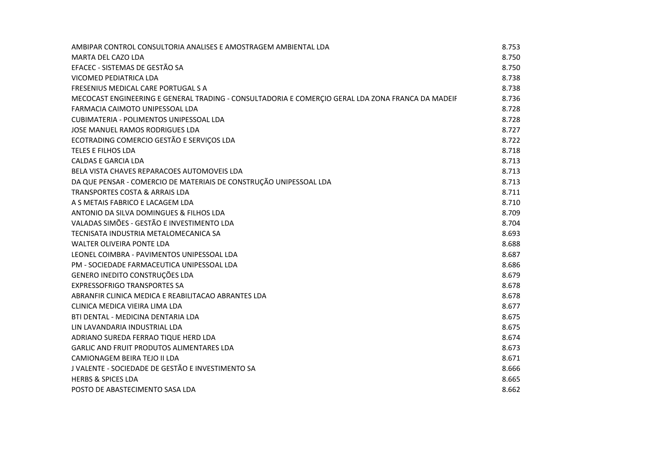| AMBIPAR CONTROL CONSULTORIA ANALISES E AMOSTRAGEM AMBIENTAL LDA                                   | 8.753 |
|---------------------------------------------------------------------------------------------------|-------|
| <b>MARTA DEL CAZO LDA</b>                                                                         | 8.750 |
| EFACEC - SISTEMAS DE GESTÃO SA                                                                    | 8.750 |
| VICOMED PEDIATRICA LDA                                                                            | 8.738 |
| FRESENIUS MEDICAL CARE PORTUGAL S A                                                               | 8.738 |
| MECOCAST ENGINEERING E GENERAL TRADING - CONSULTADORIA E COMERÇIO GERAL LDA ZONA FRANCA DA MADEIF | 8.736 |
| FARMACIA CAIMOTO UNIPESSOAL LDA                                                                   | 8.728 |
| <b>CUBIMATERIA - POLIMENTOS UNIPESSOAL LDA</b>                                                    | 8.728 |
| JOSE MANUEL RAMOS RODRIGUES LDA                                                                   | 8.727 |
| ECOTRADING COMERCIO GESTÃO E SERVIÇOS LDA                                                         | 8.722 |
| <b>TELES E FILHOS LDA</b>                                                                         | 8.718 |
| <b>CALDAS E GARCIA LDA</b>                                                                        | 8.713 |
| BELA VISTA CHAVES REPARACOES AUTOMOVEIS LDA                                                       | 8.713 |
| DA QUE PENSAR - COMERCIO DE MATERIAIS DE CONSTRUÇÃO UNIPESSOAL LDA                                | 8.713 |
| TRANSPORTES COSTA & ARRAIS LDA                                                                    | 8.711 |
| A S METAIS FABRICO E LACAGEM LDA                                                                  | 8.710 |
| ANTONIO DA SILVA DOMINGUES & FILHOS LDA                                                           | 8.709 |
| VALADAS SIMÕES - GESTÃO E INVESTIMENTO LDA                                                        | 8.704 |
| TECNISATA INDUSTRIA METALOMECANICA SA                                                             | 8.693 |
| <b>WALTER OLIVEIRA PONTE LDA</b>                                                                  | 8.688 |
| LEONEL COIMBRA - PAVIMENTOS UNIPESSOAL LDA                                                        | 8.687 |
| PM - SOCIEDADE FARMACEUTICA UNIPESSOAL LDA                                                        | 8.686 |
| GENERO INEDITO CONSTRUÇÕES LDA                                                                    | 8.679 |
| <b>EXPRESSOFRIGO TRANSPORTES SA</b>                                                               | 8.678 |
| ABRANFIR CLINICA MEDICA E REABILITACAO ABRANTES LDA                                               | 8.678 |
| CLINICA MEDICA VIEIRA LIMA LDA                                                                    | 8.677 |
| BTI DENTAL - MEDICINA DENTARIA LDA                                                                | 8.675 |
| LIN LAVANDARIA INDUSTRIAL LDA                                                                     | 8.675 |
| ADRIANO SUREDA FERRAO TIQUE HERD LDA                                                              | 8.674 |
| GARLIC AND FRUIT PRODUTOS ALIMENTARES LDA                                                         | 8.673 |
| CAMIONAGEM BEIRA TEJO II LDA                                                                      | 8.671 |
| J VALENTE - SOCIEDADE DE GESTÃO E INVESTIMENTO SA                                                 | 8.666 |
| <b>HERBS &amp; SPICES LDA</b>                                                                     | 8.665 |
| POSTO DE ABASTECIMENTO SASA LDA                                                                   | 8.662 |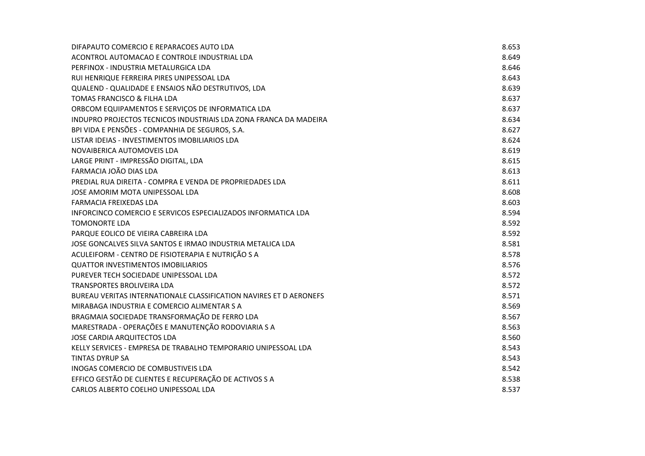| DIFAPAUTO COMERCIO E REPARACOES AUTO LDA                           | 8.653 |
|--------------------------------------------------------------------|-------|
| ACONTROL AUTOMACAO E CONTROLE INDUSTRIAL LDA                       | 8.649 |
| PERFINOX - INDUSTRIA METALURGICA LDA                               | 8.646 |
| RUI HENRIQUE FERREIRA PIRES UNIPESSOAL LDA                         | 8.643 |
| QUALEND - QUALIDADE E ENSAIOS NÃO DESTRUTIVOS, LDA                 | 8.639 |
| TOMAS FRANCISCO & FILHA LDA                                        | 8.637 |
| ORBCOM EQUIPAMENTOS E SERVIÇOS DE INFORMATICA LDA                  | 8.637 |
| INDUPRO PROJECTOS TECNICOS INDUSTRIAIS LDA ZONA FRANCA DA MADEIRA  | 8.634 |
| BPI VIDA E PENSÕES - COMPANHIA DE SEGUROS, S.A.                    | 8.627 |
| LISTAR IDEIAS - INVESTIMENTOS IMOBILIARIOS LDA                     | 8.624 |
| NOVAIBERICA AUTOMOVEIS LDA                                         | 8.619 |
| LARGE PRINT - IMPRESSÃO DIGITAL, LDA                               | 8.615 |
| FARMACIA JOÃO DIAS LDA                                             | 8.613 |
| PREDIAL RUA DIREITA - COMPRA E VENDA DE PROPRIEDADES LDA           | 8.611 |
| JOSE AMORIM MOTA UNIPESSOAL LDA                                    | 8.608 |
| <b>FARMACIA FREIXEDAS LDA</b>                                      | 8.603 |
| INFORCINCO COMERCIO E SERVICOS ESPECIALIZADOS INFORMATICA LDA      | 8.594 |
| <b>TOMONORTE LDA</b>                                               | 8.592 |
| PARQUE EOLICO DE VIEIRA CABREIRA LDA                               | 8.592 |
| JOSE GONCALVES SILVA SANTOS E IRMAO INDUSTRIA METALICA LDA         | 8.581 |
| ACULEIFORM - CENTRO DE FISIOTERAPIA E NUTRIÇÃO S A                 | 8.578 |
| <b>OUATTOR INVESTIMENTOS IMOBILIARIOS</b>                          | 8.576 |
| PUREVER TECH SOCIEDADE UNIPESSOAL LDA                              | 8.572 |
| <b>TRANSPORTES BROLIVEIRA LDA</b>                                  | 8.572 |
| BUREAU VERITAS INTERNATIONALE CLASSIFICATION NAVIRES ET D AERONEFS | 8.571 |
| MIRABAGA INDUSTRIA E COMERCIO ALIMENTAR S A                        | 8.569 |
| BRAGMAIA SOCIEDADE TRANSFORMAÇÃO DE FERRO LDA                      | 8.567 |
| MARESTRADA - OPERAÇÕES E MANUTENÇÃO RODOVIARIA S A                 | 8.563 |
| <b>JOSE CARDIA ARQUITECTOS LDA</b>                                 | 8.560 |
| KELLY SERVICES - EMPRESA DE TRABALHO TEMPORARIO UNIPESSOAL LDA     | 8.543 |
| <b>TINTAS DYRUP SA</b>                                             | 8.543 |
| INOGAS COMERCIO DE COMBUSTIVEIS LDA                                | 8.542 |
| EFFICO GESTÃO DE CLIENTES E RECUPERAÇÃO DE ACTIVOS S A             | 8.538 |
| CARLOS ALBERTO COELHO UNIPESSOAL LDA                               | 8.537 |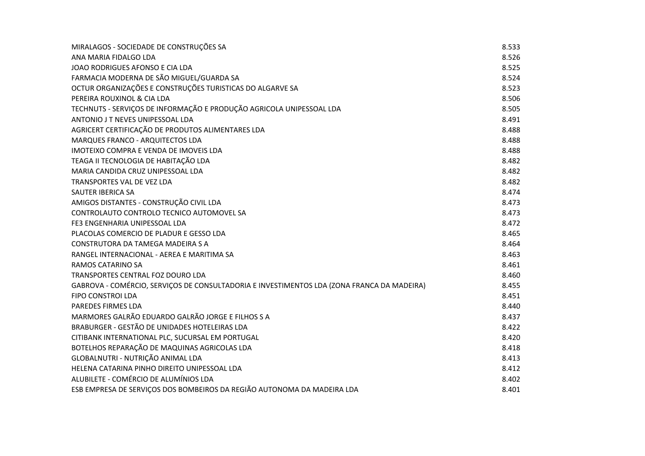| MIRALAGOS - SOCIEDADE DE CONSTRUÇÕES SA                                                    | 8.533 |
|--------------------------------------------------------------------------------------------|-------|
| ANA MARIA FIDALGO LDA                                                                      | 8.526 |
| JOAO RODRIGUES AFONSO E CIA LDA                                                            | 8.525 |
| FARMACIA MODERNA DE SÃO MIGUEL/GUARDA SA                                                   | 8.524 |
| OCTUR ORGANIZAÇÕES E CONSTRUÇÕES TURISTICAS DO ALGARVE SA                                  | 8.523 |
| PEREIRA ROUXINOL & CIA LDA                                                                 | 8.506 |
| TECHNUTS - SERVIÇOS DE INFORMAÇÃO E PRODUÇÃO AGRICOLA UNIPESSOAL LDA                       | 8.505 |
| ANTONIO J T NEVES UNIPESSOAL LDA                                                           | 8.491 |
| AGRICERT CERTIFICAÇÃO DE PRODUTOS ALIMENTARES LDA                                          | 8.488 |
| MARQUES FRANCO - ARQUITECTOS LDA                                                           | 8.488 |
| IMOTEIXO COMPRA E VENDA DE IMOVEIS LDA                                                     | 8.488 |
| TEAGA II TECNOLOGIA DE HABITAÇÃO LDA                                                       | 8.482 |
| MARIA CANDIDA CRUZ UNIPESSOAL LDA                                                          | 8.482 |
| TRANSPORTES VAL DE VEZ LDA                                                                 | 8.482 |
| SAUTER IBERICA SA                                                                          | 8.474 |
| AMIGOS DISTANTES - CONSTRUÇÃO CIVIL LDA                                                    | 8.473 |
| CONTROLAUTO CONTROLO TECNICO AUTOMOVEL SA                                                  | 8.473 |
| FE3 ENGENHARIA UNIPESSOAL LDA                                                              | 8.472 |
| PLACOLAS COMERCIO DE PLADUR E GESSO LDA                                                    | 8.465 |
| CONSTRUTORA DA TAMEGA MADEIRA S A                                                          | 8.464 |
| RANGEL INTERNACIONAL - AEREA E MARITIMA SA                                                 | 8.463 |
| RAMOS CATARINO SA                                                                          | 8.461 |
| TRANSPORTES CENTRAL FOZ DOURO LDA                                                          | 8.460 |
| GABROVA - COMÉRCIO, SERVIÇOS DE CONSULTADORIA E INVESTIMENTOS LDA (ZONA FRANCA DA MADEIRA) | 8.455 |
| FIPO CONSTROI LDA                                                                          | 8.451 |
| PAREDES FIRMES LDA                                                                         | 8.440 |
| MARMORES GALRÃO EDUARDO GALRÃO JORGE E FILHOS S A                                          | 8.437 |
| BRABURGER - GESTÃO DE UNIDADES HOTELEIRAS LDA                                              | 8.422 |
| CITIBANK INTERNATIONAL PLC, SUCURSAL EM PORTUGAL                                           | 8.420 |
| BOTELHOS REPARAÇÃO DE MAQUINAS AGRICOLAS LDA                                               | 8.418 |
| GLOBALNUTRI - NUTRIÇÃO ANIMAL LDA                                                          | 8.413 |
| HELENA CATARINA PINHO DIREITO UNIPESSOAL LDA                                               | 8.412 |
| ALUBILETE - COMÉRCIO DE ALUMÍNIOS LDA                                                      | 8.402 |
| ESB EMPRESA DE SERVIÇOS DOS BOMBEIROS DA REGIÃO AUTONOMA DA MADEIRA LDA                    | 8.401 |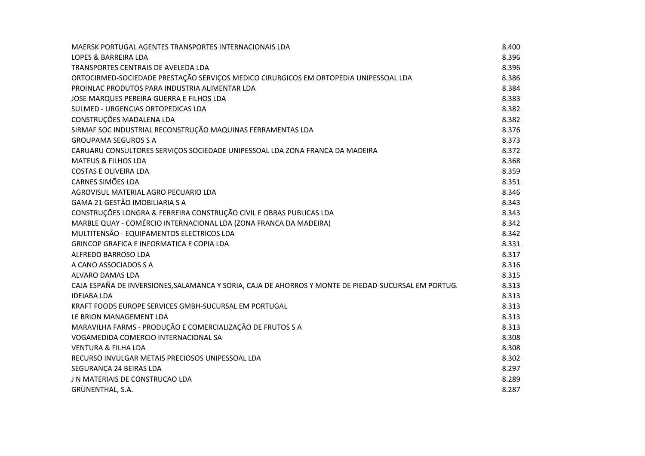| MAERSK PORTUGAL AGENTES TRANSPORTES INTERNACIONAIS LDA                                              | 8.400 |
|-----------------------------------------------------------------------------------------------------|-------|
| LOPES & BARREIRA LDA                                                                                | 8.396 |
| TRANSPORTES CENTRAIS DE AVELEDA LDA                                                                 | 8.396 |
| ORTOCIRMED-SOCIEDADE PRESTAÇÃO SERVIÇOS MEDICO CIRURGICOS EM ORTOPEDIA UNIPESSOAL LDA               | 8.386 |
| PROINLAC PRODUTOS PARA INDUSTRIA ALIMENTAR LDA                                                      | 8.384 |
| JOSE MARQUES PEREIRA GUERRA E FILHOS LDA                                                            | 8.383 |
| SULMED - URGENCIAS ORTOPEDICAS LDA                                                                  | 8.382 |
| CONSTRUÇÕES MADALENA LDA                                                                            | 8.382 |
| SIRMAF SOC INDUSTRIAL RECONSTRUÇÃO MAQUINAS FERRAMENTAS LDA                                         | 8.376 |
| <b>GROUPAMA SEGUROS S A</b>                                                                         | 8.373 |
| CARUARU CONSULTORES SERVIÇOS SOCIEDADE UNIPESSOAL LDA ZONA FRANCA DA MADEIRA                        | 8.372 |
| <b>MATEUS &amp; FILHOS LDA</b>                                                                      | 8.368 |
| <b>COSTAS E OLIVEIRA LDA</b>                                                                        | 8.359 |
| <b>CARNES SIMÕES LDA</b>                                                                            | 8.351 |
| AGROVISUL MATERIAL AGRO PECUARIO LDA                                                                | 8.346 |
| GAMA 21 GESTÃO IMOBILIARIA S A                                                                      | 8.343 |
| CONSTRUÇÕES LONGRA & FERREIRA CONSTRUÇÃO CIVIL E OBRAS PUBLICAS LDA                                 | 8.343 |
| MARBLE QUAY - COMÉRCIO INTERNACIONAL LDA (ZONA FRANCA DA MADEIRA)                                   | 8.342 |
| MULTITENSÃO - EQUIPAMENTOS ELECTRICOS LDA                                                           | 8.342 |
| <b>GRINCOP GRAFICA E INFORMATICA E COPIA LDA</b>                                                    | 8.331 |
| ALFREDO BARROSO LDA                                                                                 | 8.317 |
| A CANO ASSOCIADOS S A                                                                               | 8.316 |
| ALVARO DAMAS LDA                                                                                    | 8.315 |
| CAJA ESPAÑA DE INVERSIONES, SALAMANCA Y SORIA, CAJA DE AHORROS Y MONTE DE PIEDAD-SUCURSAL EM PORTUG | 8.313 |
| <b>IDEIABA LDA</b>                                                                                  | 8.313 |
| KRAFT FOODS EUROPE SERVICES GMBH-SUCURSAL EM PORTUGAL                                               | 8.313 |
| LE BRION MANAGEMENT LDA                                                                             | 8.313 |
| MARAVILHA FARMS - PRODUÇÃO E COMERCIALIZAÇÃO DE FRUTOS S A                                          | 8.313 |
| VOGAMEDIDA COMERCIO INTERNACIONAL SA                                                                | 8.308 |
| <b>VENTURA &amp; FILHA LDA</b>                                                                      | 8.308 |
| RECURSO INVULGAR METAIS PRECIOSOS UNIPESSOAL LDA                                                    | 8.302 |
| SEGURANÇA 24 BEIRAS LDA                                                                             | 8.297 |
| J N MATERIAIS DE CONSTRUCAO LDA                                                                     | 8.289 |
| GRÜNENTHAL, S.A.                                                                                    | 8.287 |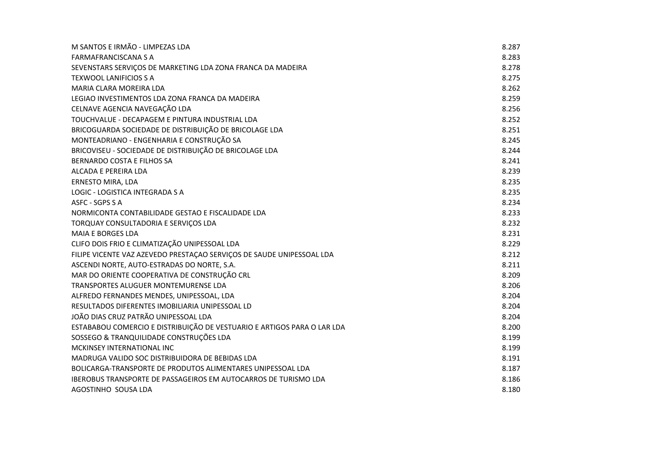| M SANTOS E IRMÃO - LIMPEZAS LDA                                         | 8.287 |
|-------------------------------------------------------------------------|-------|
| <b>FARMAFRANCISCANA S A</b>                                             | 8.283 |
| SEVENSTARS SERVIÇOS DE MARKETING LDA ZONA FRANCA DA MADEIRA             | 8.278 |
| <b>TEXWOOL LANIFICIOS S A</b>                                           | 8.275 |
| <b>MARIA CLARA MOREIRA LDA</b>                                          | 8.262 |
| LEGIAO INVESTIMENTOS LDA ZONA FRANCA DA MADEIRA                         | 8.259 |
| CELNAVE AGENCIA NAVEGAÇÃO LDA                                           | 8.256 |
| TOUCHVALUE - DECAPAGEM E PINTURA INDUSTRIAL LDA                         | 8.252 |
| BRICOGUARDA SOCIEDADE DE DISTRIBUIÇÃO DE BRICOLAGE LDA                  | 8.251 |
| MONTEADRIANO - ENGENHARIA E CONSTRUÇÃO SA                               | 8.245 |
| BRICOVISEU - SOCIEDADE DE DISTRIBUIÇÃO DE BRICOLAGE LDA                 | 8.244 |
| BERNARDO COSTA E FILHOS SA                                              | 8.241 |
| ALCADA E PEREIRA LDA                                                    | 8.239 |
| ERNESTO MIRA, LDA                                                       | 8.235 |
| LOGIC - LOGISTICA INTEGRADA S A                                         | 8.235 |
| ASFC - SGPS S A                                                         | 8.234 |
| NORMICONTA CONTABILIDADE GESTAO E FISCALIDADE LDA                       | 8.233 |
| TORQUAY CONSULTADORIA E SERVIÇOS LDA                                    | 8.232 |
| <b>MAIA E BORGES LDA</b>                                                | 8.231 |
| CLIFO DOIS FRIO E CLIMATIZAÇÃO UNIPESSOAL LDA                           | 8.229 |
| FILIPE VICENTE VAZ AZEVEDO PRESTAÇÃO SERVIÇOS DE SAUDE UNIPESSOAL LDA   | 8.212 |
| ASCENDI NORTE, AUTO-ESTRADAS DO NORTE, S.A.                             | 8.211 |
| MAR DO ORIENTE COOPERATIVA DE CONSTRUÇÃO CRL                            | 8.209 |
| TRANSPORTES ALUGUER MONTEMURENSE LDA                                    | 8.206 |
| ALFREDO FERNANDES MENDES, UNIPESSOAL, LDA                               | 8.204 |
| RESULTADOS DIFERENTES IMOBILIARIA UNIPESSOAL LD                         | 8.204 |
| JOÃO DIAS CRUZ PATRÃO UNIPESSOAL LDA                                    | 8.204 |
| ESTABABOU COMERCIO E DISTRIBUIÇÃO DE VESTUARIO E ARTIGOS PARA O LAR LDA | 8.200 |
| SOSSEGO & TRANQUILIDADE CONSTRUÇÕES LDA                                 | 8.199 |
| MCKINSEY INTERNATIONAL INC                                              | 8.199 |
| MADRUGA VALIDO SOC DISTRIBUIDORA DE BEBIDAS LDA                         | 8.191 |
| BOLICARGA-TRANSPORTE DE PRODUTOS ALIMENTARES UNIPESSOAL LDA             | 8.187 |
| <b>IBEROBUS TRANSPORTE DE PASSAGEIROS EM AUTOCARROS DE TURISMO LDA</b>  | 8.186 |
| AGOSTINHO SOUSA LDA                                                     | 8.180 |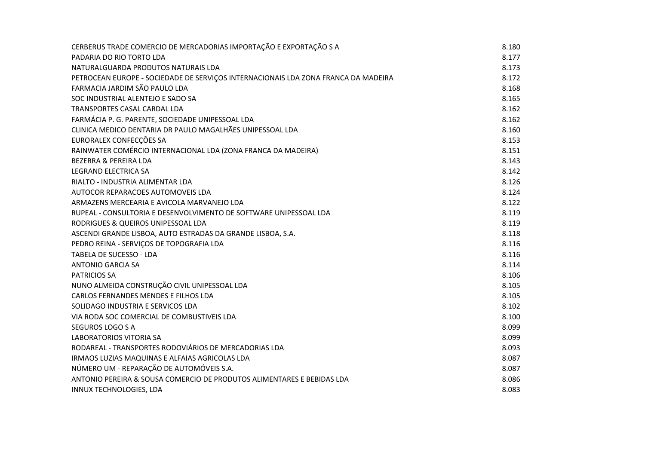| CERBERUS TRADE COMERCIO DE MERCADORIAS IMPORTAÇÃO E EXPORTAÇÃO S A                 | 8.180 |
|------------------------------------------------------------------------------------|-------|
| PADARIA DO RIO TORTO LDA                                                           | 8.177 |
| NATURALGUARDA PRODUTOS NATURAIS LDA                                                | 8.173 |
| PETROCEAN EUROPE - SOCIEDADE DE SERVIÇOS INTERNACIONAIS LDA ZONA FRANCA DA MADEIRA | 8.172 |
| FARMACIA JARDIM SÃO PAULO LDA                                                      | 8.168 |
| SOC INDUSTRIAL ALENTEJO E SADO SA                                                  | 8.165 |
| <b>TRANSPORTES CASAL CARDAL LDA</b>                                                | 8.162 |
| FARMÁCIA P. G. PARENTE, SOCIEDADE UNIPESSOAL LDA                                   | 8.162 |
| CLINICA MEDICO DENTARIA DR PAULO MAGALHÃES UNIPESSOAL LDA                          | 8.160 |
| EURORALEX CONFECÇÕES SA                                                            | 8.153 |
| RAINWATER COMÉRCIO INTERNACIONAL LDA (ZONA FRANCA DA MADEIRA)                      | 8.151 |
| <b>BEZERRA &amp; PEREIRA LDA</b>                                                   | 8.143 |
| <b>LEGRAND ELECTRICA SA</b>                                                        | 8.142 |
| RIALTO - INDUSTRIA ALIMENTAR LDA                                                   | 8.126 |
| AUTOCOR REPARACOES AUTOMOVEIS LDA                                                  | 8.124 |
| ARMAZENS MERCEARIA E AVICOLA MARVANEJO LDA                                         | 8.122 |
| RUPEAL - CONSULTORIA E DESENVOLVIMENTO DE SOFTWARE UNIPESSOAL LDA                  | 8.119 |
| RODRIGUES & QUEIROS UNIPESSOAL LDA                                                 | 8.119 |
| ASCENDI GRANDE LISBOA, AUTO ESTRADAS DA GRANDE LISBOA, S.A.                        | 8.118 |
| PEDRO REINA - SERVIÇOS DE TOPOGRAFIA LDA                                           | 8.116 |
| TABELA DE SUCESSO - LDA                                                            | 8.116 |
| <b>ANTONIO GARCIA SA</b>                                                           | 8.114 |
| <b>PATRICIOS SA</b>                                                                | 8.106 |
| NUNO ALMEIDA CONSTRUÇÃO CIVIL UNIPESSOAL LDA                                       | 8.105 |
| CARLOS FERNANDES MENDES E FILHOS LDA                                               | 8.105 |
| SOLIDAGO INDUSTRIA E SERVICOS LDA                                                  | 8.102 |
| VIA RODA SOC COMERCIAL DE COMBUSTIVEIS LDA                                         | 8.100 |
| SEGUROS LOGO S A                                                                   | 8.099 |
| <b>LABORATORIOS VITORIA SA</b>                                                     | 8.099 |
| RODAREAL - TRANSPORTES RODOVIÁRIOS DE MERCADORIAS LDA                              | 8.093 |
| IRMAOS LUZIAS MAQUINAS E ALFAIAS AGRICOLAS LDA                                     | 8.087 |
| NÚMERO UM - REPARAÇÃO DE AUTOMÓVEIS S.A.                                           | 8.087 |
| ANTONIO PEREIRA & SOUSA COMERCIO DE PRODUTOS ALIMENTARES E BEBIDAS LDA             | 8.086 |
| INNUX TECHNOLOGIES, LDA                                                            | 8.083 |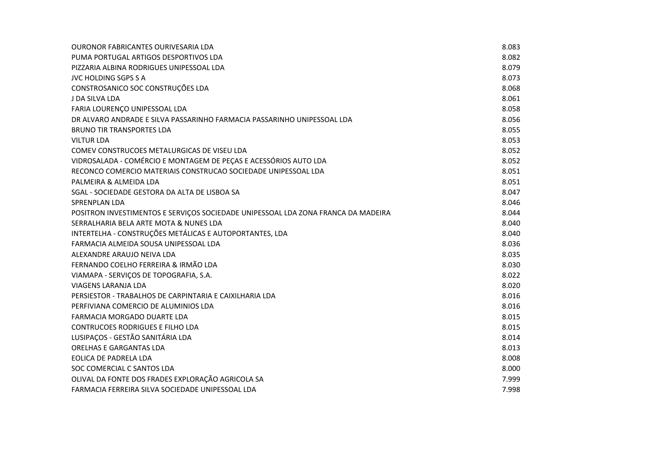| <b>OURONOR FABRICANTES OURIVESARIA LDA</b>                                        | 8.083 |
|-----------------------------------------------------------------------------------|-------|
| PUMA PORTUGAL ARTIGOS DESPORTIVOS LDA                                             | 8.082 |
| PIZZARIA ALBINA RODRIGUES UNIPESSOAL LDA                                          | 8.079 |
| <b>JVC HOLDING SGPS S A</b>                                                       | 8.073 |
| CONSTROSANICO SOC CONSTRUÇÕES LDA                                                 | 8.068 |
| J DA SILVA LDA                                                                    | 8.061 |
| FARIA LOURENÇO UNIPESSOAL LDA                                                     | 8.058 |
| DR ALVARO ANDRADE E SILVA PASSARINHO FARMACIA PASSARINHO UNIPESSOAL LDA           | 8.056 |
| <b>BRUNO TIR TRANSPORTES LDA</b>                                                  | 8.055 |
| <b>VILTUR LDA</b>                                                                 | 8.053 |
| COMEV CONSTRUCOES METALURGICAS DE VISEU LDA                                       | 8.052 |
| VIDROSALADA - COMÉRCIO E MONTAGEM DE PEÇAS E ACESSÓRIOS AUTO LDA                  | 8.052 |
| RECONCO COMERCIO MATERIAIS CONSTRUCAO SOCIEDADE UNIPESSOAL LDA                    | 8.051 |
| PALMEIRA & ALMEIDA LDA                                                            | 8.051 |
| SGAL - SOCIEDADE GESTORA DA ALTA DE LISBOA SA                                     | 8.047 |
| <b>SPRENPLAN LDA</b>                                                              | 8.046 |
| POSITRON INVESTIMENTOS E SERVIÇOS SOCIEDADE UNIPESSOAL LDA ZONA FRANCA DA MADEIRA | 8.044 |
| SERRALHARIA BELA ARTE MOTA & NUNES LDA                                            | 8.040 |
| INTERTELHA - CONSTRUÇÕES METÁLICAS E AUTOPORTANTES, LDA                           | 8.040 |
| FARMACIA ALMEIDA SOUSA UNIPESSOAL LDA                                             | 8.036 |
| ALEXANDRE ARAUJO NEIVA LDA                                                        | 8.035 |
| FERNANDO COELHO FERREIRA & IRMÃO LDA                                              | 8.030 |
| VIAMAPA - SERVIÇOS DE TOPOGRAFIA, S.A.                                            | 8.022 |
| VIAGENS LARANJA LDA                                                               | 8.020 |
| PERSIESTOR - TRABALHOS DE CARPINTARIA E CAIXILHARIA LDA                           | 8.016 |
| PERFIVIANA COMERCIO DE ALUMINIOS LDA                                              | 8.016 |
| <b>FARMACIA MORGADO DUARTE LDA</b>                                                | 8.015 |
| <b>CONTRUCOES RODRIGUES E FILHO LDA</b>                                           | 8.015 |
| LUSIPAÇOS - GESTÃO SANITÁRIA LDA                                                  | 8.014 |
| <b>ORELHAS E GARGANTAS LDA</b>                                                    | 8.013 |
| EOLICA DE PADRELA LDA                                                             | 8.008 |
| SOC COMERCIAL C SANTOS LDA                                                        | 8.000 |
| OLIVAL DA FONTE DOS FRADES EXPLORAÇÃO AGRICOLA SA                                 | 7.999 |
| FARMACIA FERREIRA SILVA SOCIEDADE UNIPESSOAL LDA                                  | 7.998 |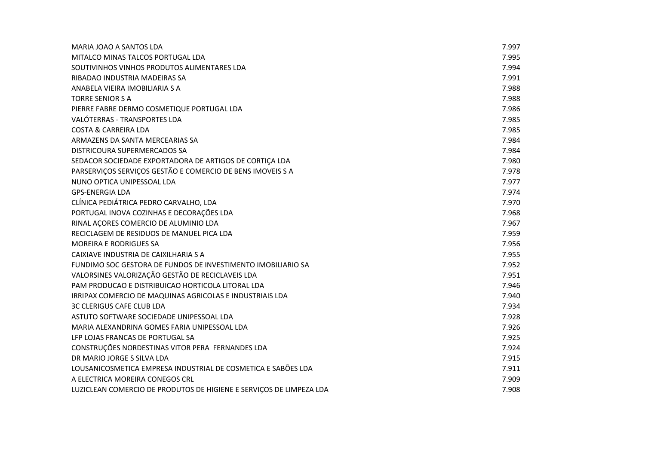| MARIA JOAO A SANTOS LDA                                             | 7.997 |
|---------------------------------------------------------------------|-------|
| MITALCO MINAS TALCOS PORTUGAL LDA                                   | 7.995 |
| SOUTIVINHOS VINHOS PRODUTOS ALIMENTARES LDA                         | 7.994 |
| RIBADAO INDUSTRIA MADEIRAS SA                                       | 7.991 |
| ANABELA VIEIRA IMOBILIARIA S A                                      | 7.988 |
| <b>TORRE SENIOR S A</b>                                             | 7.988 |
| PIERRE FABRE DERMO COSMETIQUE PORTUGAL LDA                          | 7.986 |
| VALÓTERRAS - TRANSPORTES LDA                                        | 7.985 |
| <b>COSTA &amp; CARREIRA LDA</b>                                     | 7.985 |
| ARMAZENS DA SANTA MERCEARIAS SA                                     | 7.984 |
| DISTRICOURA SUPERMERCADOS SA                                        | 7.984 |
| SEDACOR SOCIEDADE EXPORTADORA DE ARTIGOS DE CORTIÇA LDA             | 7.980 |
| PARSERVIÇOS SERVIÇOS GESTÃO E COMERCIO DE BENS IMOVEIS S A          | 7.978 |
| NUNO OPTICA UNIPESSOAL LDA                                          | 7.977 |
| <b>GPS-ENERGIA LDA</b>                                              | 7.974 |
| CLÍNICA PEDIÁTRICA PEDRO CARVALHO, LDA                              | 7.970 |
| PORTUGAL INOVA COZINHAS E DECORAÇÕES LDA                            | 7.968 |
| RINAL AÇORES COMERCIO DE ALUMINIO LDA                               | 7.967 |
| RECICLAGEM DE RESIDUOS DE MANUEL PICA LDA                           | 7.959 |
| <b>MOREIRA E RODRIGUES SA</b>                                       | 7.956 |
| CAIXIAVE INDUSTRIA DE CAIXILHARIA S A                               | 7.955 |
| FUNDIMO SOC GESTORA DE FUNDOS DE INVESTIMENTO IMOBILIARIO SA        | 7.952 |
| VALORSINES VALORIZAÇÃO GESTÃO DE RECICLAVEIS LDA                    | 7.951 |
| PAM PRODUCAO E DISTRIBUICAO HORTICOLA LITORAL LDA                   | 7.946 |
| IRRIPAX COMERCIO DE MAQUINAS AGRICOLAS E INDUSTRIAIS LDA            | 7.940 |
| <b>3C CLERIGUS CAFE CLUB LDA</b>                                    | 7.934 |
| ASTUTO SOFTWARE SOCIEDADE UNIPESSOAL LDA                            | 7.928 |
| MARIA ALEXANDRINA GOMES FARIA UNIPESSOAL LDA                        | 7.926 |
| LFP LOJAS FRANCAS DE PORTUGAL SA                                    | 7.925 |
| CONSTRUÇÕES NORDESTINAS VITOR PERA FERNANDES LDA                    | 7.924 |
| DR MARIO JORGE S SILVA LDA                                          | 7.915 |
| LOUSANICOSMETICA EMPRESA INDUSTRIAL DE COSMETICA E SABÕES LDA       | 7.911 |
| A ELECTRICA MOREIRA CONEGOS CRL                                     | 7.909 |
| LUZICLEAN COMERCIO DE PRODUTOS DE HIGIENE E SERVIÇOS DE LIMPEZA LDA | 7.908 |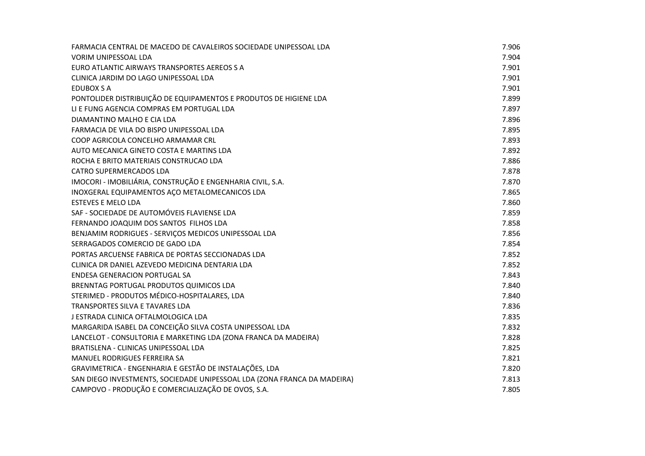| FARMACIA CENTRAL DE MACEDO DE CAVALEIROS SOCIEDADE UNIPESSOAL LDA        | 7.906 |
|--------------------------------------------------------------------------|-------|
| <b>VORIM UNIPESSOAL LDA</b>                                              | 7.904 |
| EURO ATLANTIC AIRWAYS TRANSPORTES AEREOS S A                             | 7.901 |
| CLINICA JARDIM DO LAGO UNIPESSOAL LDA                                    | 7.901 |
| EDUBOX S A                                                               | 7.901 |
| PONTOLIDER DISTRIBUIÇÃO DE EQUIPAMENTOS E PRODUTOS DE HIGIENE LDA        | 7.899 |
| LI E FUNG AGENCIA COMPRAS EM PORTUGAL LDA                                | 7.897 |
| DIAMANTINO MALHO E CIA LDA                                               | 7.896 |
| FARMACIA DE VILA DO BISPO UNIPESSOAL LDA                                 | 7.895 |
| COOP AGRICOLA CONCELHO ARMAMAR CRL                                       | 7.893 |
| AUTO MECANICA GINETO COSTA E MARTINS LDA                                 | 7.892 |
| ROCHA E BRITO MATERIAIS CONSTRUCAO LDA                                   | 7.886 |
| <b>CATRO SUPERMERCADOS LDA</b>                                           | 7.878 |
| IMOCORI - IMOBILIÁRIA, CONSTRUÇÃO E ENGENHARIA CIVIL, S.A.               | 7.870 |
| INOXGERAL EQUIPAMENTOS AÇO METALOMECANICOS LDA                           | 7.865 |
| <b>ESTEVES E MELO LDA</b>                                                | 7.860 |
| SAF - SOCIEDADE DE AUTOMÓVEIS FLAVIENSE LDA                              | 7.859 |
| FERNANDO JOAQUIM DOS SANTOS FILHOS LDA                                   | 7.858 |
| BENJAMIM RODRIGUES - SERVIÇOS MEDICOS UNIPESSOAL LDA                     | 7.856 |
| SERRAGADOS COMERCIO DE GADO LDA                                          | 7.854 |
| PORTAS ARCUENSE FABRICA DE PORTAS SECCIONADAS LDA                        | 7.852 |
| CLINICA DR DANIEL AZEVEDO MEDICINA DENTARIA LDA                          | 7.852 |
| <b>ENDESA GENERACION PORTUGAL SA</b>                                     | 7.843 |
| BRENNTAG PORTUGAL PRODUTOS QUIMICOS LDA                                  | 7.840 |
| STERIMED - PRODUTOS MÉDICO-HOSPITALARES, LDA                             | 7.840 |
| TRANSPORTES SILVA E TAVARES LDA                                          | 7.836 |
| J ESTRADA CLINICA OFTALMOLOGICA LDA                                      | 7.835 |
| MARGARIDA ISABEL DA CONCEIÇÃO SILVA COSTA UNIPESSOAL LDA                 | 7.832 |
| LANCELOT - CONSULTORIA E MARKETING LDA (ZONA FRANCA DA MADEIRA)          | 7.828 |
| BRATISLENA - CLINICAS UNIPESSOAL LDA                                     | 7.825 |
| MANUEL RODRIGUES FERREIRA SA                                             | 7.821 |
| GRAVIMETRICA - ENGENHARIA E GESTÃO DE INSTALAÇÕES, LDA                   | 7.820 |
| SAN DIEGO INVESTMENTS, SOCIEDADE UNIPESSOAL LDA (ZONA FRANCA DA MADEIRA) | 7.813 |
| CAMPOVO - PRODUÇÃO E COMERCIALIZAÇÃO DE OVOS, S.A.                       | 7.805 |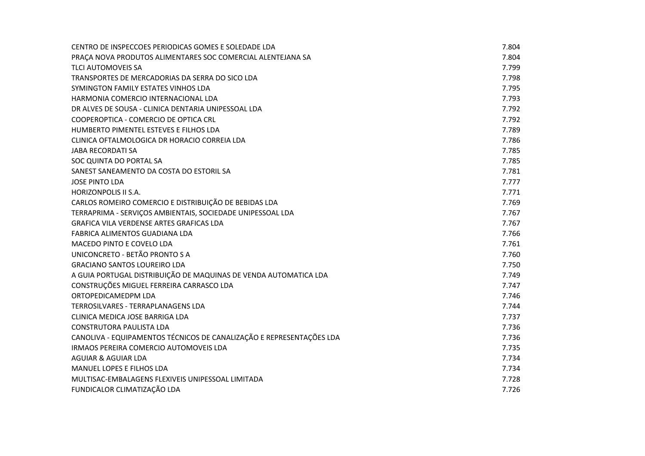| CENTRO DE INSPECCOES PERIODICAS GOMES E SOLEDADE LDA                 | 7.804 |
|----------------------------------------------------------------------|-------|
| PRAÇA NOVA PRODUTOS ALIMENTARES SOC COMERCIAL ALENTEJANA SA          | 7.804 |
| <b>TLCI AUTOMOVEIS SA</b>                                            | 7.799 |
| TRANSPORTES DE MERCADORIAS DA SERRA DO SICO LDA                      | 7.798 |
| SYMINGTON FAMILY ESTATES VINHOS LDA                                  | 7.795 |
| HARMONIA COMERCIO INTERNACIONAL LDA                                  | 7.793 |
| DR ALVES DE SOUSA - CLINICA DENTARIA UNIPESSOAL LDA                  | 7.792 |
| COOPEROPTICA - COMERCIO DE OPTICA CRL                                | 7.792 |
| HUMBERTO PIMENTEL ESTEVES E FILHOS LDA                               | 7.789 |
| CLINICA OFTALMOLOGICA DR HORACIO CORREIA LDA                         | 7.786 |
| <b>JABA RECORDATI SA</b>                                             | 7.785 |
| SOC QUINTA DO PORTAL SA                                              | 7.785 |
| SANEST SANEAMENTO DA COSTA DO ESTORIL SA                             | 7.781 |
| <b>JOSE PINTO LDA</b>                                                | 7.777 |
| <b>HORIZONPOLIS II S.A.</b>                                          | 7.771 |
| CARLOS ROMEIRO COMERCIO E DISTRIBUIÇÃO DE BEBIDAS LDA                | 7.769 |
| TERRAPRIMA - SERVIÇOS AMBIENTAIS, SOCIEDADE UNIPESSOAL LDA           | 7.767 |
| <b>GRAFICA VILA VERDENSE ARTES GRAFICAS LDA</b>                      | 7.767 |
| FABRICA ALIMENTOS GUADIANA LDA                                       | 7.766 |
| MACEDO PINTO E COVELO LDA                                            | 7.761 |
| UNICONCRETO - BETÃO PRONTO S A                                       | 7.760 |
| <b>GRACIANO SANTOS LOUREIRO LDA</b>                                  | 7.750 |
| A GUIA PORTUGAL DISTRIBUIÇÃO DE MAQUINAS DE VENDA AUTOMATICA LDA     | 7.749 |
| CONSTRUÇÕES MIGUEL FERREIRA CARRASCO LDA                             | 7.747 |
| ORTOPEDICAMEDPM LDA                                                  | 7.746 |
| TERROSILVARES - TERRAPLANAGENS LDA                                   | 7.744 |
| CLINICA MEDICA JOSE BARRIGA LDA                                      | 7.737 |
| CONSTRUTORA PAULISTA LDA                                             | 7.736 |
| CANOLIVA - EQUIPAMENTOS TÉCNICOS DE CANALIZAÇÃO E REPRESENTAÇÕES LDA | 7.736 |
| IRMAOS PEREIRA COMERCIO AUTOMOVEIS LDA                               | 7.735 |
| <b>AGUIAR &amp; AGUIAR LDA</b>                                       | 7.734 |
| MANUEL LOPES E FILHOS LDA                                            | 7.734 |
| MULTISAC-EMBALAGENS FLEXIVEIS UNIPESSOAL LIMITADA                    | 7.728 |
| FUNDICALOR CLIMATIZAÇÃO LDA                                          | 7.726 |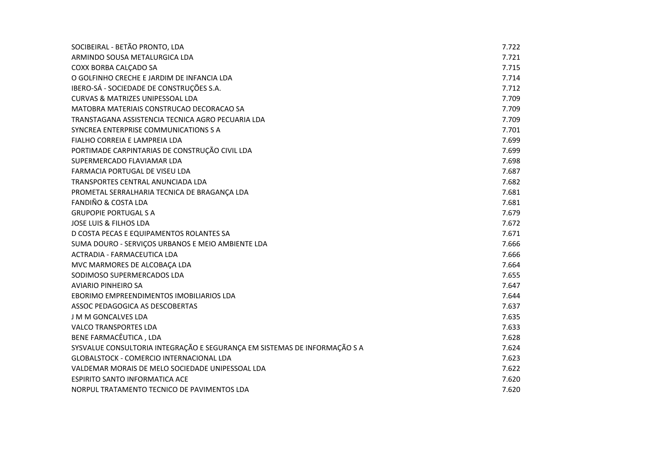| SOCIBEIRAL - BETÃO PRONTO, LDA                                            | 7.722 |
|---------------------------------------------------------------------------|-------|
| ARMINDO SOUSA METALURGICA LDA                                             | 7.721 |
| COXX BORBA CALCADO SA                                                     | 7.715 |
| O GOLFINHO CRECHE E JARDIM DE INFANCIA LDA                                | 7.714 |
| IBERO-SÁ - SOCIEDADE DE CONSTRUÇÕES S.A.                                  | 7.712 |
| <b>CURVAS &amp; MATRIZES UNIPESSOAL LDA</b>                               | 7.709 |
| MATOBRA MATERIAIS CONSTRUCAO DECORACAO SA                                 | 7.709 |
| TRANSTAGANA ASSISTENCIA TECNICA AGRO PECUARIA LDA                         | 7.709 |
| SYNCREA ENTERPRISE COMMUNICATIONS S A                                     | 7.701 |
| FIALHO CORREIA E LAMPREIA LDA                                             | 7.699 |
| PORTIMADE CARPINTARIAS DE CONSTRUÇÃO CIVIL LDA                            | 7.699 |
| SUPERMERCADO FLAVIAMAR LDA                                                | 7.698 |
| FARMACIA PORTUGAL DE VISEU LDA                                            | 7.687 |
| TRANSPORTES CENTRAL ANUNCIADA LDA                                         | 7.682 |
| PROMETAL SERRALHARIA TECNICA DE BRAGANÇA LDA                              | 7.681 |
| <b>FANDIÑO &amp; COSTA LDA</b>                                            | 7.681 |
| <b>GRUPOPIE PORTUGAL S A</b>                                              | 7.679 |
| <b>JOSE LUIS &amp; FILHOS LDA</b>                                         | 7.672 |
| D COSTA PECAS E EQUIPAMENTOS ROLANTES SA                                  | 7.671 |
| SUMA DOURO - SERVIÇOS URBANOS E MEIO AMBIENTE LDA                         | 7.666 |
| ACTRADIA - FARMACEUTICA LDA                                               | 7.666 |
| MVC MARMORES DE ALCOBAÇA LDA                                              | 7.664 |
| SODIMOSO SUPERMERCADOS LDA                                                | 7.655 |
| <b>AVIARIO PINHEIRO SA</b>                                                | 7.647 |
| EBORIMO EMPREENDIMENTOS IMOBILIARIOS LDA                                  | 7.644 |
| ASSOC PEDAGOGICA AS DESCOBERTAS                                           | 7.637 |
| J M M GONCALVES LDA                                                       | 7.635 |
| <b>VALCO TRANSPORTES LDA</b>                                              | 7.633 |
| BENE FARMACÊUTICA, LDA                                                    | 7.628 |
| SYSVALUE CONSULTORIA INTEGRAÇÃO E SEGURANÇA EM SISTEMAS DE INFORMAÇÃO S A | 7.624 |
| <b>GLOBALSTOCK - COMERCIO INTERNACIONAL LDA</b>                           | 7.623 |
| VALDEMAR MORAIS DE MELO SOCIEDADE UNIPESSOAL LDA                          | 7.622 |
| <b>ESPIRITO SANTO INFORMATICA ACE</b>                                     | 7.620 |
| NORPUL TRATAMENTO TECNICO DE PAVIMENTOS LDA                               | 7.620 |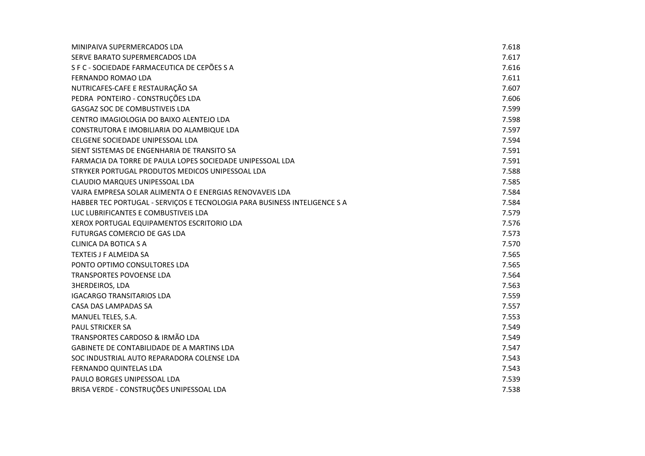| MINIPAIVA SUPERMERCADOS LDA                                               | 7.618 |
|---------------------------------------------------------------------------|-------|
| SERVE BARATO SUPERMERCADOS LDA                                            | 7.617 |
| S F C - SOCIEDADE FARMACEUTICA DE CEPÕES S A                              | 7.616 |
| FERNANDO ROMAO LDA                                                        | 7.611 |
| NUTRICAFES-CAFE E RESTAURAÇÃO SA                                          | 7.607 |
| PEDRA PONTEIRO - CONSTRUÇÕES LDA                                          | 7.606 |
| <b>GASGAZ SOC DE COMBUSTIVEIS LDA</b>                                     | 7.599 |
| CENTRO IMAGIOLOGIA DO BAIXO ALENTEJO LDA                                  | 7.598 |
| CONSTRUTORA E IMOBILIARIA DO ALAMBIQUE LDA                                | 7.597 |
| CELGENE SOCIEDADE UNIPESSOAL LDA                                          | 7.594 |
| SIENT SISTEMAS DE ENGENHARIA DE TRANSITO SA                               | 7.591 |
| FARMACIA DA TORRE DE PAULA LOPES SOCIEDADE UNIPESSOAL LDA                 | 7.591 |
| STRYKER PORTUGAL PRODUTOS MEDICOS UNIPESSOAL LDA                          | 7.588 |
| CLAUDIO MARQUES UNIPESSOAL LDA                                            | 7.585 |
| VAJRA EMPRESA SOLAR ALIMENTA O E ENERGIAS RENOVAVEIS LDA                  | 7.584 |
| HABBER TEC PORTUGAL - SERVIÇOS E TECNOLOGIA PARA BUSINESS INTELIGENCE S A | 7.584 |
| LUC LUBRIFICANTES E COMBUSTIVEIS LDA                                      | 7.579 |
| XEROX PORTUGAL EQUIPAMENTOS ESCRITORIO LDA                                | 7.576 |
| FUTURGAS COMERCIO DE GAS LDA                                              | 7.573 |
| <b>CLINICA DA BOTICA S A</b>                                              | 7.570 |
| TEXTEIS J F ALMEIDA SA                                                    | 7.565 |
| PONTO OPTIMO CONSULTORES LDA                                              | 7.565 |
| <b>TRANSPORTES POVOENSE LDA</b>                                           | 7.564 |
| <b>3HERDEIROS, LDA</b>                                                    | 7.563 |
| <b>IGACARGO TRANSITARIOS LDA</b>                                          | 7.559 |
| CASA DAS LAMPADAS SA                                                      | 7.557 |
| MANUEL TELES, S.A.                                                        | 7.553 |
| <b>PAUL STRICKER SA</b>                                                   | 7.549 |
| TRANSPORTES CARDOSO & IRMÃO LDA                                           | 7.549 |
| <b>GABINETE DE CONTABILIDADE DE A MARTINS LDA</b>                         | 7.547 |
| SOC INDUSTRIAL AUTO REPARADORA COLENSE LDA                                | 7.543 |
| FERNANDO QUINTELAS LDA                                                    | 7.543 |
| PAULO BORGES UNIPESSOAL LDA                                               | 7.539 |
| BRISA VERDE - CONSTRUÇÕES UNIPESSOAL LDA                                  | 7.538 |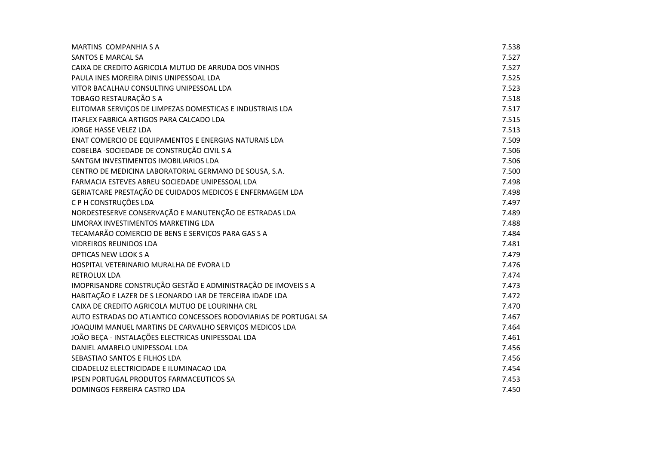| <b>MARTINS COMPANHIA S A</b>                                     | 7.538 |
|------------------------------------------------------------------|-------|
| SANTOS E MARCAL SA                                               | 7.527 |
| CAIXA DE CREDITO AGRICOLA MUTUO DE ARRUDA DOS VINHOS             | 7.527 |
| PAULA INES MOREIRA DINIS UNIPESSOAL LDA                          | 7.525 |
| VITOR BACALHAU CONSULTING UNIPESSOAL LDA                         | 7.523 |
| TOBAGO RESTAURAÇÃO S A                                           | 7.518 |
| ELITOMAR SERVIÇOS DE LIMPEZAS DOMESTICAS E INDUSTRIAIS LDA       | 7.517 |
| ITAFLEX FABRICA ARTIGOS PARA CALCADO LDA                         | 7.515 |
| <b>JORGE HASSE VELEZ LDA</b>                                     | 7.513 |
| ENAT COMERCIO DE EQUIPAMENTOS E ENERGIAS NATURAIS LDA            | 7.509 |
| COBELBA - SOCIEDADE DE CONSTRUÇÃO CIVIL S A                      | 7.506 |
| SANTGM INVESTIMENTOS IMOBILIARIOS LDA                            | 7.506 |
| CENTRO DE MEDICINA LABORATORIAL GERMANO DE SOUSA, S.A.           | 7.500 |
| FARMACIA ESTEVES ABREU SOCIEDADE UNIPESSOAL LDA                  | 7.498 |
| GERIATCARE PRESTAÇÃO DE CUIDADOS MEDICOS E ENFERMAGEM LDA        | 7.498 |
| C P H CONSTRUÇÕES LDA                                            | 7.497 |
| NORDESTESERVE CONSERVAÇÃO E MANUTENÇÃO DE ESTRADAS LDA           | 7.489 |
| LIMORAX INVESTIMENTOS MARKETING LDA                              | 7.488 |
| TECAMARÃO COMERCIO DE BENS E SERVIÇOS PARA GAS S A               | 7.484 |
| <b>VIDREIROS REUNIDOS LDA</b>                                    | 7.481 |
| OPTICAS NEW LOOK S A                                             | 7.479 |
| HOSPITAL VETERINARIO MURALHA DE EVORA LD                         | 7.476 |
| RETROLUX LDA                                                     | 7.474 |
| IMOPRISANDRE CONSTRUÇÃO GESTÃO E ADMINISTRAÇÃO DE IMOVEIS S A    | 7.473 |
| HABITAÇÃO E LAZER DE S LEONARDO LAR DE TERCEIRA IDADE LDA        | 7.472 |
| CAIXA DE CREDITO AGRICOLA MUTUO DE LOURINHA CRL                  | 7.470 |
| AUTO ESTRADAS DO ATLANTICO CONCESSOES RODOVIARIAS DE PORTUGAL SA | 7.467 |
| JOAQUIM MANUEL MARTINS DE CARVALHO SERVIÇOS MEDICOS LDA          | 7.464 |
| JOÃO BEÇA - INSTALAÇÕES ELECTRICAS UNIPESSOAL LDA                | 7.461 |
| DANIEL AMARELO UNIPESSOAL LDA                                    | 7.456 |
| SEBASTIAO SANTOS E FILHOS LDA                                    | 7.456 |
| CIDADELUZ ELECTRICIDADE E ILUMINACAO LDA                         | 7.454 |
| <b>IPSEN PORTUGAL PRODUTOS FARMACEUTICOS SA</b>                  | 7.453 |
| DOMINGOS FERREIRA CASTRO LDA                                     | 7.450 |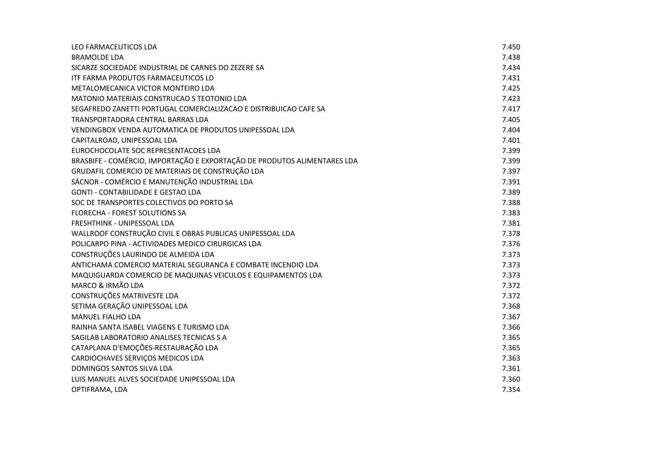| LEO FARMACEUTICOS LDA                                                    | 7.450 |
|--------------------------------------------------------------------------|-------|
| <b>BRAMOLDE LDA</b>                                                      | 7.438 |
| SICARZE SOCIEDADE INDUSTRIAL DE CARNES DO ZEZERE SA                      | 7.434 |
| <b>ITF FARMA PRODUTOS FARMACEUTICOS LD</b>                               | 7.431 |
| METALOMECANICA VICTOR MONTEIRO LDA                                       | 7.425 |
| MATONIO MATERIAIS CONSTRUCAO S TEOTONIO LDA                              | 7.423 |
| SEGAFREDO ZANETTI PORTUGAL COMERCIALIZACAO E DISTRIBUICAO CAFE SA        | 7.417 |
| TRANSPORTADORA CENTRAL BARRAS LDA                                        | 7.405 |
| VENDINGBOX VENDA AUTOMATICA DE PRODUTOS UNIPESSOAL LDA                   | 7.404 |
| CAPITALROAD, UNIPESSOAL LDA                                              | 7.401 |
| EUROCHOCOLATE SOC REPRESENTACOES LDA                                     | 7.399 |
| BRASBIFE - COMÉRCIO, IMPORTAÇÃO E EXPORTAÇÃO DE PRODUTOS ALIMENTARES LDA | 7.399 |
| GRUDAFIL COMERCIO DE MATERIAIS DE CONSTRUÇÃO LDA                         | 7.397 |
| SÁCNOR - COMÉRCIO E MANUTENÇÃO INDUSTRIAL LDA                            | 7.391 |
| <b>GONTI - CONTABILIDADE E GESTAO LDA</b>                                | 7.389 |
| SOC DE TRANSPORTES COLECTIVOS DO PORTO SA                                | 7.388 |
| FLORECHA - FOREST SOLUTIONS SA                                           | 7.383 |
| FRESHTHINK - UNIPESSOAL LDA                                              | 7.381 |
| WALLROOF CONSTRUÇÃO CIVIL E OBRAS PUBLICAS UNIPESSOAL LDA                | 7.378 |
| POLICARPO PINA - ACTIVIDADES MEDICO CIRURGICAS LDA                       | 7.376 |
| CONSTRUÇÕES LAURINDO DE ALMEIDA LDA                                      | 7.373 |
| ANTICHAMA COMERCIO MATERIAL SEGURANCA E COMBATE INCENDIO LDA             | 7.373 |
| MAQUIGUARDA COMERCIO DE MAQUINAS VEICULOS E EQUIPAMENTOS LDA             | 7.373 |
| MARCO & IRMÃO LDA                                                        | 7.372 |
| CONSTRUÇÕES MATRIVESTE LDA                                               | 7.372 |
| SETIMA GERAÇÃO UNIPESSOAL LDA                                            | 7.368 |
| <b>MANUEL FIALHO LDA</b>                                                 | 7.367 |
| RAINHA SANTA ISABEL VIAGENS E TURISMO LDA                                | 7.366 |
| SAGILAB LABORATORIO ANALISES TECNICAS S A                                | 7.365 |
| CATAPLANA D'EMOÇÕES-RESTAURAÇÃO LDA                                      | 7.365 |
| CARDIOCHAVES SERVIÇOS MEDICOS LDA                                        | 7.363 |
| <b>DOMINGOS SANTOS SILVA LDA</b>                                         | 7.361 |
| LUIS MANUEL ALVES SOCIEDADE UNIPESSOAL LDA                               | 7.360 |
| OPTIFRAMA, LDA                                                           | 7.354 |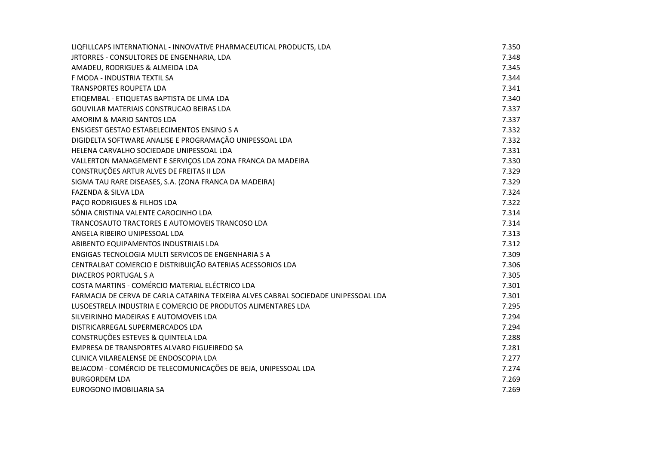| LIQFILLCAPS INTERNATIONAL - INNOVATIVE PHARMACEUTICAL PRODUCTS, LDA                | 7.350 |
|------------------------------------------------------------------------------------|-------|
| JRTORRES - CONSULTORES DE ENGENHARIA, LDA                                          | 7.348 |
| AMADEU, RODRIGUES & ALMEIDA LDA                                                    | 7.345 |
| F MODA - INDUSTRIA TEXTIL SA                                                       | 7.344 |
| <b>TRANSPORTES ROUPETA LDA</b>                                                     | 7.341 |
| ETIQEMBAL - ETIQUETAS BAPTISTA DE LIMA LDA                                         | 7.340 |
| GOUVILAR MATERIAIS CONSTRUCAO BEIRAS LDA                                           | 7.337 |
| AMORIM & MARIO SANTOS LDA                                                          | 7.337 |
| ENSIGEST GESTAO ESTABELECIMENTOS ENSINO S A                                        | 7.332 |
| DIGIDELTA SOFTWARE ANALISE E PROGRAMAÇÃO UNIPESSOAL LDA                            | 7.332 |
| HELENA CARVALHO SOCIEDADE UNIPESSOAL LDA                                           | 7.331 |
| VALLERTON MANAGEMENT E SERVIÇOS LDA ZONA FRANCA DA MADEIRA                         | 7.330 |
| CONSTRUÇÕES ARTUR ALVES DE FREITAS II LDA                                          | 7.329 |
| SIGMA TAU RARE DISEASES, S.A. (ZONA FRANCA DA MADEIRA)                             | 7.329 |
| <b>FAZENDA &amp; SILVA LDA</b>                                                     | 7.324 |
| PAÇO RODRIGUES & FILHOS LDA                                                        | 7.322 |
| SÓNIA CRISTINA VALENTE CAROCINHO LDA                                               | 7.314 |
| TRANCOSAUTO TRACTORES E AUTOMOVEIS TRANCOSO LDA                                    | 7.314 |
| ANGELA RIBEIRO UNIPESSOAL LDA                                                      | 7.313 |
| ABIBENTO EQUIPAMENTOS INDUSTRIAIS LDA                                              | 7.312 |
| ENGIGAS TECNOLOGIA MULTI SERVICOS DE ENGENHARIA S A                                | 7.309 |
| CENTRALBAT COMERCIO E DISTRIBUIÇÃO BATERIAS ACESSORIOS LDA                         | 7.306 |
| <b>DIACEROS PORTUGAL S A</b>                                                       | 7.305 |
| COSTA MARTINS - COMÉRCIO MATERIAL ELÉCTRICO LDA                                    | 7.301 |
| FARMACIA DE CERVA DE CARLA CATARINA TEIXEIRA ALVES CABRAL SOCIEDADE UNIPESSOAL LDA | 7.301 |
| LUSOESTRELA INDUSTRIA E COMERCIO DE PRODUTOS ALIMENTARES LDA                       | 7.295 |
| SILVEIRINHO MADEIRAS E AUTOMOVEIS LDA                                              | 7.294 |
| DISTRICARREGAL SUPERMERCADOS LDA                                                   | 7.294 |
| CONSTRUÇÕES ESTEVES & QUINTELA LDA                                                 | 7.288 |
| EMPRESA DE TRANSPORTES ALVARO FIGUEIREDO SA                                        | 7.281 |
| CLINICA VILAREALENSE DE ENDOSCOPIA LDA                                             | 7.277 |
| BEJACOM - COMÉRCIO DE TELECOMUNICAÇÕES DE BEJA, UNIPESSOAL LDA                     | 7.274 |
| <b>BURGORDEM LDA</b>                                                               | 7.269 |
| EUROGONO IMOBILIARIA SA                                                            | 7.269 |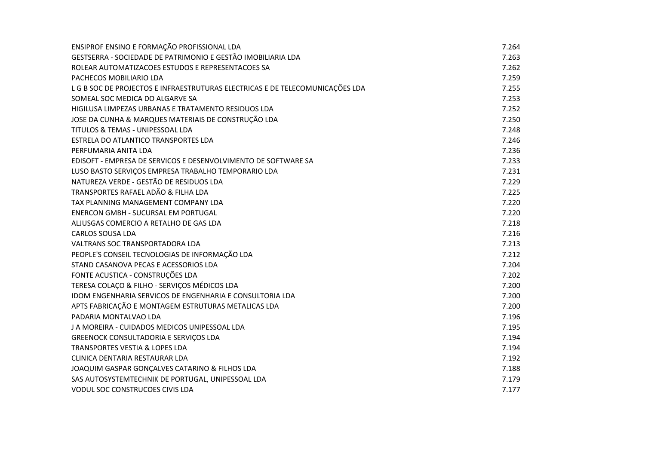| ENSIPROF ENSINO E FORMAÇÃO PROFISSIONAL LDA                                   | 7.264 |
|-------------------------------------------------------------------------------|-------|
| GESTSERRA - SOCIEDADE DE PATRIMONIO E GESTÃO IMOBILIARIA LDA                  | 7.263 |
| ROLEAR AUTOMATIZACOES ESTUDOS E REPRESENTACOES SA                             | 7.262 |
| PACHECOS MOBILIARIO LDA                                                       | 7.259 |
| L G B SOC DE PROJECTOS E INFRAESTRUTURAS ELECTRICAS E DE TELECOMUNICAÇÕES LDA | 7.255 |
| SOMEAL SOC MEDICA DO ALGARVE SA                                               | 7.253 |
| HIGILUSA LIMPEZAS URBANAS E TRATAMENTO RESIDUOS LDA                           | 7.252 |
| JOSE DA CUNHA & MARQUES MATERIAIS DE CONSTRUÇÃO LDA                           | 7.250 |
| TITULOS & TEMAS - UNIPESSOAL LDA                                              | 7.248 |
| ESTRELA DO ATLANTICO TRANSPORTES LDA                                          | 7.246 |
| PERFUMARIA ANITA LDA                                                          | 7.236 |
| EDISOFT - EMPRESA DE SERVICOS E DESENVOLVIMENTO DE SOFTWARE SA                | 7.233 |
| LUSO BASTO SERVIÇOS EMPRESA TRABALHO TEMPORARIO LDA                           | 7.231 |
| NATUREZA VERDE - GESTÃO DE RESIDUOS LDA                                       | 7.229 |
| TRANSPORTES RAFAEL ADÃO & FILHA LDA                                           | 7.225 |
| TAX PLANNING MANAGEMENT COMPANY LDA                                           | 7.220 |
| <b>ENERCON GMBH - SUCURSAL EM PORTUGAL</b>                                    | 7.220 |
| ALJUSGAS COMERCIO A RETALHO DE GAS LDA                                        | 7.218 |
| <b>CARLOS SOUSA LDA</b>                                                       | 7.216 |
| VALTRANS SOC TRANSPORTADORA LDA                                               | 7.213 |
| PEOPLE'S CONSEIL TECNOLOGIAS DE INFORMAÇÃO LDA                                | 7.212 |
| STAND CASANOVA PECAS E ACESSORIOS LDA                                         | 7.204 |
| FONTE ACUSTICA - CONSTRUÇÕES LDA                                              | 7.202 |
| TERESA COLAÇO & FILHO - SERVIÇOS MÉDICOS LDA                                  | 7.200 |
| IDOM ENGENHARIA SERVICOS DE ENGENHARIA E CONSULTORIA LDA                      | 7.200 |
| APTS FABRICAÇÃO E MONTAGEM ESTRUTURAS METALICAS LDA                           | 7.200 |
| PADARIA MONTALVAO LDA                                                         | 7.196 |
| J A MOREIRA - CUIDADOS MEDICOS UNIPESSOAL LDA                                 | 7.195 |
| <b>GREENOCK CONSULTADORIA E SERVIÇOS LDA</b>                                  | 7.194 |
| TRANSPORTES VESTIA & LOPES LDA                                                | 7.194 |
| CLINICA DENTARIA RESTAURAR LDA                                                | 7.192 |
| JOAQUIM GASPAR GONÇALVES CATARINO & FILHOS LDA                                | 7.188 |
| SAS AUTOSYSTEMTECHNIK DE PORTUGAL, UNIPESSOAL LDA                             | 7.179 |
| <b>VODUL SOC CONSTRUCOES CIVIS LDA</b>                                        | 7.177 |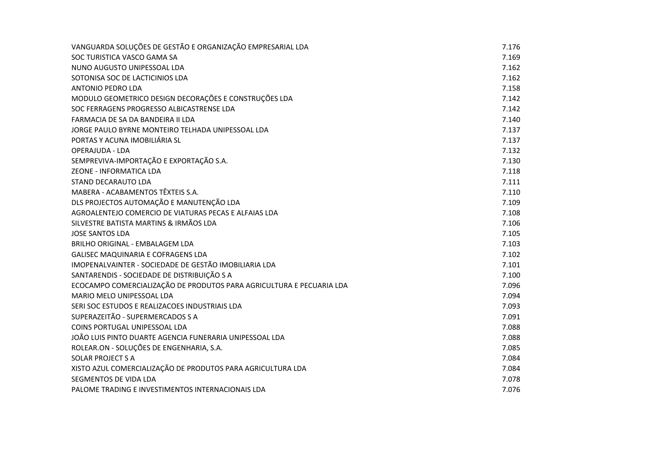| VANGUARDA SOLUÇÕES DE GESTÃO E ORGANIZAÇÃO EMPRESARIAL LDA           | 7.176 |
|----------------------------------------------------------------------|-------|
| SOC TURISTICA VASCO GAMA SA                                          | 7.169 |
| NUNO AUGUSTO UNIPESSOAL LDA                                          | 7.162 |
| SOTONISA SOC DE LACTICINIOS LDA                                      | 7.162 |
| ANTONIO PEDRO LDA                                                    | 7.158 |
| MODULO GEOMETRICO DESIGN DECORAÇÕES E CONSTRUÇÕES LDA                | 7.142 |
| SOC FERRAGENS PROGRESSO ALBICASTRENSE LDA                            | 7.142 |
| FARMACIA DE SA DA BANDEIRA II LDA                                    | 7.140 |
| JORGE PAULO BYRNE MONTEIRO TELHADA UNIPESSOAL LDA                    | 7.137 |
| PORTAS Y ACUNA IMOBILIÁRIA SL                                        | 7.137 |
| OPERAJUDA - LDA                                                      | 7.132 |
| SEMPREVIVA-IMPORTAÇÃO E EXPORTAÇÃO S.A.                              | 7.130 |
| ZEONE - INFORMATICA LDA                                              | 7.118 |
| STAND DECARAUTO LDA                                                  | 7.111 |
| MABERA - ACABAMENTOS TÊXTEIS S.A.                                    | 7.110 |
| DLS PROJECTOS AUTOMAÇÃO E MANUTENÇÃO LDA                             | 7.109 |
| AGROALENTEJO COMERCIO DE VIATURAS PECAS E ALFAIAS LDA                | 7.108 |
| SILVESTRE BATISTA MARTINS & IRMÃOS LDA                               | 7.106 |
| <b>JOSE SANTOS LDA</b>                                               | 7.105 |
| <b>BRILHO ORIGINAL - EMBALAGEM LDA</b>                               | 7.103 |
| <b>GALISEC MAQUINARIA E COFRAGENS LDA</b>                            | 7.102 |
| IMOPENALVAINTER - SOCIEDADE DE GESTÃO IMOBILIARIA LDA                | 7.101 |
| SANTARENDIS - SOCIEDADE DE DISTRIBUIÇÃO S A                          | 7.100 |
| ECOCAMPO COMERCIALIZAÇÃO DE PRODUTOS PARA AGRICULTURA E PECUARIA LDA | 7.096 |
| MARIO MELO UNIPESSOAL LDA                                            | 7.094 |
| SERI SOC ESTUDOS E REALIZACOES INDUSTRIAIS LDA                       | 7.093 |
| SUPERAZEITÃO - SUPERMERCADOS S A                                     | 7.091 |
| COINS PORTUGAL UNIPESSOAL LDA                                        | 7.088 |
| JOÃO LUIS PINTO DUARTE AGENCIA FUNERARIA UNIPESSOAL LDA              | 7.088 |
| ROLEAR.ON - SOLUÇÕES DE ENGENHARIA, S.A.                             | 7.085 |
| <b>SOLAR PROJECT S A</b>                                             | 7.084 |
| XISTO AZUL COMERCIALIZAÇÃO DE PRODUTOS PARA AGRICULTURA LDA          | 7.084 |
| SEGMENTOS DE VIDA LDA                                                | 7.078 |
| PALOME TRADING E INVESTIMENTOS INTERNACIONAIS LDA                    | 7.076 |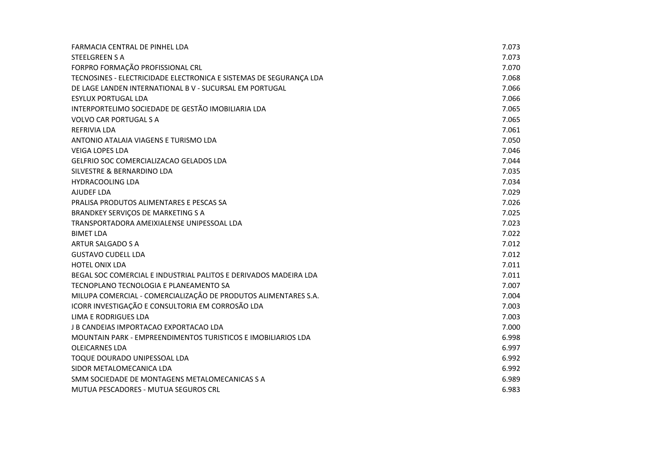| FARMACIA CENTRAL DE PINHEL LDA                                     | 7.073 |
|--------------------------------------------------------------------|-------|
| <b>STEELGREEN S A</b>                                              | 7.073 |
| FORPRO FORMAÇÃO PROFISSIONAL CRL                                   | 7.070 |
| TECNOSINES - ELECTRICIDADE ELECTRONICA E SISTEMAS DE SEGURANÇA LDA | 7.068 |
| DE LAGE LANDEN INTERNATIONAL B V - SUCURSAL EM PORTUGAL            | 7.066 |
| <b>ESYLUX PORTUGAL LDA</b>                                         | 7.066 |
| INTERPORTELIMO SOCIEDADE DE GESTÃO IMOBILIARIA LDA                 | 7.065 |
| <b>VOLVO CAR PORTUGAL S A</b>                                      | 7.065 |
| <b>REFRIVIA LDA</b>                                                | 7.061 |
| ANTONIO ATALAIA VIAGENS E TURISMO LDA                              | 7.050 |
| <b>VEIGA LOPES LDA</b>                                             | 7.046 |
| GELFRIO SOC COMERCIALIZACAO GELADOS LDA                            | 7.044 |
| SILVESTRE & BERNARDINO LDA                                         | 7.035 |
| <b>HYDRACOOLING LDA</b>                                            | 7.034 |
| AJUDEF LDA                                                         | 7.029 |
| PRALISA PRODUTOS ALIMENTARES E PESCAS SA                           | 7.026 |
| BRANDKEY SERVIÇOS DE MARKETING S A                                 | 7.025 |
| TRANSPORTADORA AMEIXIALENSE UNIPESSOAL LDA                         | 7.023 |
| <b>BIMET LDA</b>                                                   | 7.022 |
| ARTUR SALGADO S A                                                  | 7.012 |
| <b>GUSTAVO CUDELL LDA</b>                                          | 7.012 |
| <b>HOTEL ONIX LDA</b>                                              | 7.011 |
| BEGAL SOC COMERCIAL E INDUSTRIAL PALITOS E DERIVADOS MADEIRA LDA   | 7.011 |
| TECNOPLANO TECNOLOGIA E PLANEAMENTO SA                             | 7.007 |
| MILUPA COMERCIAL - COMERCIALIZAÇÃO DE PRODUTOS ALIMENTARES S.A.    | 7.004 |
| ICORR INVESTIGAÇÃO E CONSULTORIA EM CORROSÃO LDA                   | 7.003 |
| <b>LIMA E RODRIGUES LDA</b>                                        | 7.003 |
| J B CANDEIAS IMPORTACAO EXPORTACAO LDA                             | 7.000 |
| MOUNTAIN PARK - EMPREENDIMENTOS TURISTICOS E IMOBILIARIOS LDA      | 6.998 |
| <b>OLEICARNES LDA</b>                                              | 6.997 |
| TOQUE DOURADO UNIPESSOAL LDA                                       | 6.992 |
| SIDOR METALOMECANICA LDA                                           | 6.992 |
| SMM SOCIEDADE DE MONTAGENS METALOMECANICAS S A                     | 6.989 |
| MUTUA PESCADORES - MUTUA SEGUROS CRL                               | 6.983 |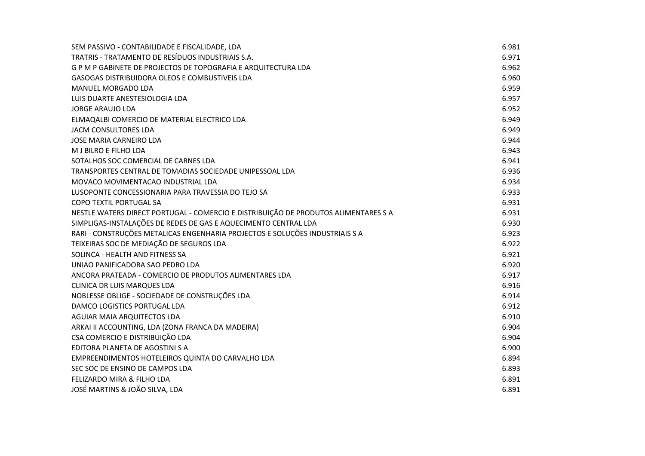| SEM PASSIVO - CONTABILIDADE E FISCALIDADE, LDA                                      | 6.981 |
|-------------------------------------------------------------------------------------|-------|
| TRATRIS - TRATAMENTO DE RESÍDUOS INDUSTRIAIS S.A.                                   | 6.971 |
| G P M P GABINETE DE PROJECTOS DE TOPOGRAFIA E ARQUITECTURA LDA                      | 6.962 |
| GASOGAS DISTRIBUIDORA OLEOS E COMBUSTIVEIS LDA                                      | 6.960 |
| <b>MANUEL MORGADO LDA</b>                                                           | 6.959 |
| LUIS DUARTE ANESTESIOLOGIA LDA                                                      | 6.957 |
| <b>JORGE ARAUJO LDA</b>                                                             | 6.952 |
| ELMAQALBI COMERCIO DE MATERIAL ELECTRICO LDA                                        | 6.949 |
| JACM CONSULTORES LDA                                                                | 6.949 |
| <b>JOSE MARIA CARNEIRO LDA</b>                                                      | 6.944 |
| M J BILRO E FILHO LDA                                                               | 6.943 |
| SOTALHOS SOC COMERCIAL DE CARNES LDA                                                | 6.941 |
| TRANSPORTES CENTRAL DE TOMADIAS SOCIEDADE UNIPESSOAL LDA                            | 6.936 |
| MOVACO MOVIMENTACAO INDUSTRIAL LDA                                                  | 6.934 |
| LUSOPONTE CONCESSIONARIA PARA TRAVESSIA DO TEJO SA                                  | 6.933 |
| <b>COPO TEXTIL PORTUGAL SA</b>                                                      | 6.931 |
| NESTLE WATERS DIRECT PORTUGAL - COMERCIO E DISTRIBUIÇÃO DE PRODUTOS ALIMENTARES S A | 6.931 |
| SIMPLIGAS-INSTALAÇÕES DE REDES DE GAS E AQUECIMENTO CENTRAL LDA                     | 6.930 |
| RARI - CONSTRUÇÕES METALICAS ENGENHARIA PROJECTOS E SOLUÇÕES INDUSTRIAIS S A        | 6.923 |
| TEIXEIRAS SOC DE MEDIAÇÃO DE SEGUROS LDA                                            | 6.922 |
| SOLINCA - HEALTH AND FITNESS SA                                                     | 6.921 |
| UNIAO PANIFICADORA SAO PEDRO LDA                                                    | 6.920 |
| ANCORA PRATEADA - COMERCIO DE PRODUTOS ALIMENTARES LDA                              | 6.917 |
| CLINICA DR LUIS MARQUES LDA                                                         | 6.916 |
| NOBLESSE OBLIGE - SOCIEDADE DE CONSTRUÇÕES LDA                                      | 6.914 |
| DAMCO LOGISTICS PORTUGAL LDA                                                        | 6.912 |
| AGUIAR MAIA ARQUITECTOS LDA                                                         | 6.910 |
| ARKAI II ACCOUNTING, LDA (ZONA FRANCA DA MADEIRA)                                   | 6.904 |
| CSA COMERCIO E DISTRIBUIÇÃO LDA                                                     | 6.904 |
| EDITORA PLANETA DE AGOSTINI S A                                                     | 6.900 |
| EMPREENDIMENTOS HOTELEIROS QUINTA DO CARVALHO LDA                                   | 6.894 |
| SEC SOC DE ENSINO DE CAMPOS LDA                                                     | 6.893 |
| FELIZARDO MIRA & FILHO LDA                                                          | 6.891 |
| JOSÉ MARTINS & JOÃO SILVA, LDA                                                      | 6.891 |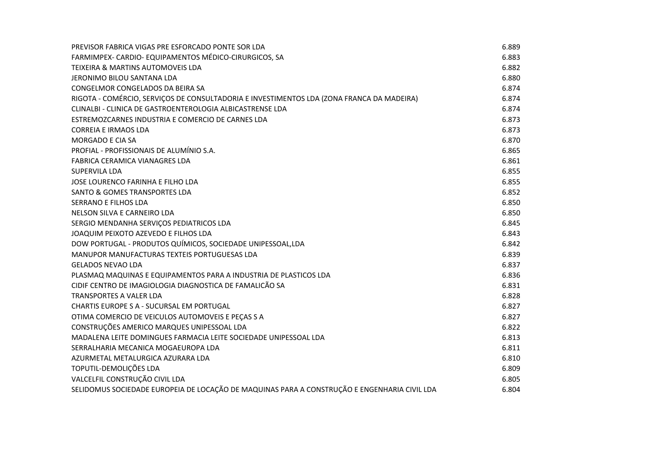| PREVISOR FABRICA VIGAS PRE ESFORCADO PONTE SOR LDA                                           | 6.889 |
|----------------------------------------------------------------------------------------------|-------|
| FARMIMPEX- CARDIO- EQUIPAMENTOS MÉDICO-CIRURGICOS, SA                                        | 6.883 |
| <b>TEIXEIRA &amp; MARTINS AUTOMOVEIS LDA</b>                                                 | 6.882 |
| JERONIMO BILOU SANTANA LDA                                                                   | 6.880 |
| CONGELMOR CONGELADOS DA BEIRA SA                                                             | 6.874 |
| RIGOTA - COMÉRCIO, SERVIÇOS DE CONSULTADORIA E INVESTIMENTOS LDA (ZONA FRANCA DA MADEIRA)    | 6.874 |
| CLINALBI - CLINICA DE GASTROENTEROLOGIA ALBICASTRENSE LDA                                    | 6.874 |
| ESTREMOZCARNES INDUSTRIA E COMERCIO DE CARNES LDA                                            | 6.873 |
| <b>CORREIA E IRMAOS LDA</b>                                                                  | 6.873 |
| <b>MORGADO E CIA SA</b>                                                                      | 6.870 |
| PROFIAL - PROFISSIONAIS DE ALUMÍNIO S.A.                                                     | 6.865 |
| <b>FABRICA CERAMICA VIANAGRES LDA</b>                                                        | 6.861 |
| SUPERVILA LDA                                                                                | 6.855 |
| JOSE LOURENCO FARINHA E FILHO LDA                                                            | 6.855 |
| SANTO & GOMES TRANSPORTES LDA                                                                | 6.852 |
| SERRANO E FILHOS LDA                                                                         | 6.850 |
| NELSON SILVA E CARNEIRO LDA                                                                  | 6.850 |
| SERGIO MENDANHA SERVIÇOS PEDIATRICOS LDA                                                     | 6.845 |
| JOAQUIM PEIXOTO AZEVEDO E FILHOS LDA                                                         | 6.843 |
| DOW PORTUGAL - PRODUTOS QUÍMICOS, SOCIEDADE UNIPESSOAL, LDA                                  | 6.842 |
| MANUPOR MANUFACTURAS TEXTEIS PORTUGUESAS LDA                                                 | 6.839 |
| <b>GELADOS NEVAO LDA</b>                                                                     | 6.837 |
| PLASMAQ MAQUINAS E EQUIPAMENTOS PARA A INDUSTRIA DE PLASTICOS LDA                            | 6.836 |
| CIDIF CENTRO DE IMAGIOLOGIA DIAGNOSTICA DE FAMALICÃO SA                                      | 6.831 |
| <b>TRANSPORTES A VALER LDA</b>                                                               | 6.828 |
| <b>CHARTIS EUROPE S A - SUCURSAL EM PORTUGAL</b>                                             | 6.827 |
| OTIMA COMERCIO DE VEICULOS AUTOMOVEIS E PEÇAS S A                                            | 6.827 |
| CONSTRUÇÕES AMERICO MARQUES UNIPESSOAL LDA                                                   | 6.822 |
| MADALENA LEITE DOMINGUES FARMACIA LEITE SOCIEDADE UNIPESSOAL LDA                             | 6.813 |
| SERRALHARIA MECANICA MOGAEUROPA LDA                                                          | 6.811 |
| AZURMETAL METALURGICA AZURARA LDA                                                            | 6.810 |
| TOPUTIL-DEMOLIÇÕES LDA                                                                       | 6.809 |
| VALCELFIL CONSTRUÇÃO CIVIL LDA                                                               | 6.805 |
| SELIDOMUS SOCIEDADE EUROPEIA DE LOCAÇÃO DE MAQUINAS PARA A CONSTRUÇÃO E ENGENHARIA CIVIL LDA | 6.804 |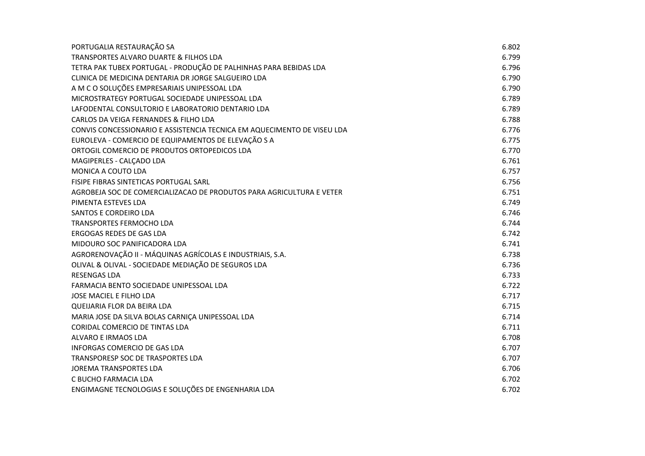| PORTUGALIA RESTAURAÇÃO SA                                               | 6.802 |
|-------------------------------------------------------------------------|-------|
| <b>TRANSPORTES ALVARO DUARTE &amp; FILHOS LDA</b>                       | 6.799 |
| TETRA PAK TUBEX PORTUGAL - PRODUÇÃO DE PALHINHAS PARA BEBIDAS LDA       | 6.796 |
| CLINICA DE MEDICINA DENTARIA DR JORGE SALGUEIRO LDA                     | 6.790 |
| A M C O SOLUÇÕES EMPRESARIAIS UNIPESSOAL LDA                            | 6.790 |
| MICROSTRATEGY PORTUGAL SOCIEDADE UNIPESSOAL LDA                         | 6.789 |
| LAFODENTAL CONSULTORIO E LABORATORIO DENTARIO LDA                       | 6.789 |
| CARLOS DA VEIGA FERNANDES & FILHO LDA                                   | 6.788 |
| CONVIS CONCESSIONARIO E ASSISTENCIA TECNICA EM AQUECIMENTO DE VISEU LDA | 6.776 |
| EUROLEVA - COMERCIO DE EQUIPAMENTOS DE ELEVAÇÃO S A                     | 6.775 |
| ORTOGIL COMERCIO DE PRODUTOS ORTOPEDICOS LDA                            | 6.770 |
| MAGIPERLES - CALÇADO LDA                                                | 6.761 |
| MONICA A COUTO LDA                                                      | 6.757 |
| FISIPE FIBRAS SINTETICAS PORTUGAL SARL                                  | 6.756 |
| AGROBEJA SOC DE COMERCIALIZACAO DE PRODUTOS PARA AGRICULTURA E VETER    | 6.751 |
| PIMENTA ESTEVES LDA                                                     | 6.749 |
| SANTOS E CORDEIRO LDA                                                   | 6.746 |
| <b>TRANSPORTES FERMOCHO LDA</b>                                         | 6.744 |
| ERGOGAS REDES DE GAS LDA                                                | 6.742 |
| MIDOURO SOC PANIFICADORA LDA                                            | 6.741 |
| AGRORENOVAÇÃO II - MÁQUINAS AGRÍCOLAS E INDUSTRIAIS, S.A.               | 6.738 |
| OLIVAL & OLIVAL - SOCIEDADE MEDIAÇÃO DE SEGUROS LDA                     | 6.736 |
| <b>RESENGAS LDA</b>                                                     | 6.733 |
| FARMACIA BENTO SOCIEDADE UNIPESSOAL LDA                                 | 6.722 |
| JOSE MACIEL E FILHO LDA                                                 | 6.717 |
| QUEIJARIA FLOR DA BEIRA LDA                                             | 6.715 |
| MARIA JOSE DA SILVA BOLAS CARNIÇA UNIPESSOAL LDA                        | 6.714 |
| <b>CORIDAL COMERCIO DE TINTAS LDA</b>                                   | 6.711 |
| ALVARO E IRMAOS LDA                                                     | 6.708 |
| INFORGAS COMERCIO DE GAS LDA                                            | 6.707 |
| <b>TRANSPORESP SOC DE TRASPORTES LDA</b>                                | 6.707 |
| JOREMA TRANSPORTES LDA                                                  | 6.706 |
| C BUCHO FARMACIA LDA                                                    | 6.702 |
| ENGIMAGNE TECNOLOGIAS E SOLUÇÕES DE ENGENHARIA LDA                      | 6.702 |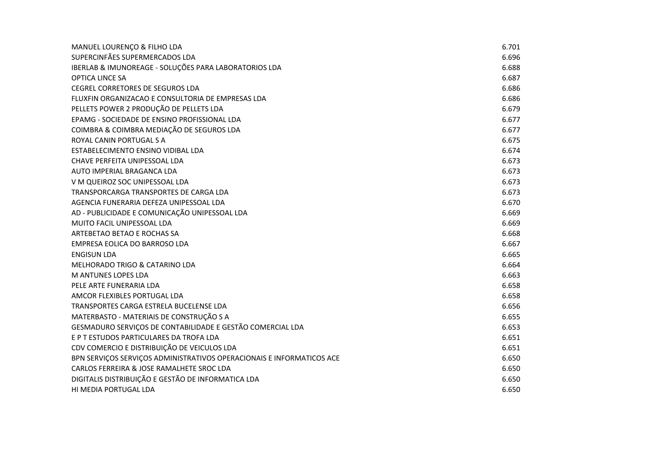| MANUEL LOURENÇO & FILHO LDA                                           | 6.701 |
|-----------------------------------------------------------------------|-------|
| SUPERCINFÃES SUPERMERCADOS LDA                                        | 6.696 |
| IBERLAB & IMUNOREAGE - SOLUÇÕES PARA LABORATORIOS LDA                 | 6.688 |
| <b>OPTICA LINCE SA</b>                                                | 6.687 |
| <b>CEGREL CORRETORES DE SEGUROS LDA</b>                               | 6.686 |
| FLUXFIN ORGANIZACAO E CONSULTORIA DE EMPRESAS LDA                     | 6.686 |
| PELLETS POWER 2 PRODUÇÃO DE PELLETS LDA                               | 6.679 |
| EPAMG - SOCIEDADE DE ENSINO PROFISSIONAL LDA                          | 6.677 |
| COIMBRA & COIMBRA MEDIAÇÃO DE SEGUROS LDA                             | 6.677 |
| ROYAL CANIN PORTUGAL S A                                              | 6.675 |
| ESTABELECIMENTO ENSINO VIDIBAL LDA                                    | 6.674 |
| CHAVE PERFEITA UNIPESSOAL LDA                                         | 6.673 |
| AUTO IMPERIAL BRAGANCA LDA                                            | 6.673 |
| V M QUEIROZ SOC UNIPESSOAL LDA                                        | 6.673 |
| TRANSPORCARGA TRANSPORTES DE CARGA LDA                                | 6.673 |
| AGENCIA FUNERARIA DEFEZA UNIPESSOAL LDA                               | 6.670 |
| AD - PUBLICIDADE E COMUNICAÇÃO UNIPESSOAL LDA                         | 6.669 |
| MUITO FACIL UNIPESSOAL LDA                                            | 6.669 |
| ARTEBETAO BETAO E ROCHAS SA                                           | 6.668 |
| EMPRESA EOLICA DO BARROSO LDA                                         | 6.667 |
| <b>ENGISUN LDA</b>                                                    | 6.665 |
| MELHORADO TRIGO & CATARINO LDA                                        | 6.664 |
| M ANTUNES LOPES LDA                                                   | 6.663 |
| PELE ARTE FUNERARIA LDA                                               | 6.658 |
| AMCOR FLEXIBLES PORTUGAL LDA                                          | 6.658 |
| TRANSPORTES CARGA ESTRELA BUCELENSE LDA                               | 6.656 |
| MATERBASTO - MATERIAIS DE CONSTRUÇÃO S A                              | 6.655 |
| GESMADURO SERVIÇOS DE CONTABILIDADE E GESTÃO COMERCIAL LDA            | 6.653 |
| E P T ESTUDOS PARTICULARES DA TROFA LDA                               | 6.651 |
| CDV COMERCIO E DISTRIBUIÇÃO DE VEICULOS LDA                           | 6.651 |
| BPN SERVIÇOS SERVIÇOS ADMINISTRATIVOS OPERACIONAIS E INFORMATICOS ACE | 6.650 |
| CARLOS FERREIRA & JOSE RAMALHETE SROC LDA                             | 6.650 |
| DIGITALIS DISTRIBUIÇÃO E GESTÃO DE INFORMATICA LDA                    | 6.650 |
| HI MEDIA PORTUGAL LDA                                                 | 6.650 |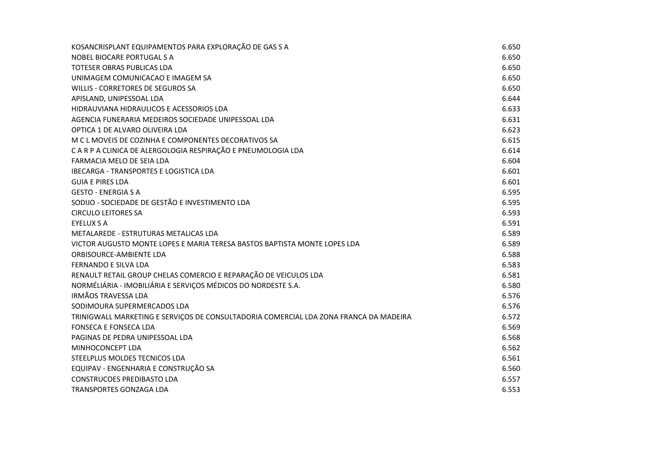| KOSANCRISPLANT EQUIPAMENTOS PARA EXPLORAÇÃO DE GAS S A                                | 6.650 |
|---------------------------------------------------------------------------------------|-------|
| NOBEL BIOCARE PORTUGAL S A                                                            | 6.650 |
| <b>TOTESER OBRAS PUBLICAS LDA</b>                                                     | 6.650 |
| UNIMAGEM COMUNICACAO E IMAGEM SA                                                      | 6.650 |
| WILLIS - CORRETORES DE SEGUROS SA                                                     | 6.650 |
| APISLAND, UNIPESSOAL LDA                                                              | 6.644 |
| HIDRAUVIANA HIDRAULICOS E ACESSORIOS LDA                                              | 6.633 |
| AGENCIA FUNERARIA MEDEIROS SOCIEDADE UNIPESSOAL LDA                                   | 6.631 |
| OPTICA 1 DE ALVARO OLIVEIRA LDA                                                       | 6.623 |
| M C L MOVEIS DE COZINHA E COMPONENTES DECORATIVOS SA                                  | 6.615 |
| C A R P A CLINICA DE ALERGOLOGIA RESPIRAÇÃO E PNEUMOLOGIA LDA                         | 6.614 |
| FARMACIA MELO DE SEIA LDA                                                             | 6.604 |
| IBECARGA - TRANSPORTES E LOGISTICA LDA                                                | 6.601 |
| <b>GUIA E PIRES LDA</b>                                                               | 6.601 |
| <b>GESTO - ENERGIA S A</b>                                                            | 6.595 |
| SODIJO - SOCIEDADE DE GESTÃO E INVESTIMENTO LDA                                       | 6.595 |
| <b>CIRCULO LEITORES SA</b>                                                            | 6.593 |
| <b>EYELUX S A</b>                                                                     | 6.591 |
| METALAREDE - ESTRUTURAS METALICAS LDA                                                 | 6.589 |
| VICTOR AUGUSTO MONTE LOPES E MARIA TERESA BASTOS BAPTISTA MONTE LOPES LDA             | 6.589 |
| <b>ORBISOURCE-AMBIENTE LDA</b>                                                        | 6.588 |
| FERNANDO E SILVA LDA                                                                  | 6.583 |
| RENAULT RETAIL GROUP CHELAS COMERCIO E REPARAÇÃO DE VEICULOS LDA                      | 6.581 |
| NORMÉLIÁRIA - IMOBILIÁRIA E SERVIÇOS MÉDICOS DO NORDESTE S.A.                         | 6.580 |
| <b>IRMÃOS TRAVESSA LDA</b>                                                            | 6.576 |
| SODIMOURA SUPERMERCADOS LDA                                                           | 6.576 |
| TRINIGWALL MARKETING E SERVIÇOS DE CONSULTADORIA COMERCIAL LDA ZONA FRANCA DA MADEIRA | 6.572 |
| <b>FONSECA E FONSECA LDA</b>                                                          | 6.569 |
| PAGINAS DE PEDRA UNIPESSOAL LDA                                                       | 6.568 |
| MINHOCONCEPT LDA                                                                      | 6.562 |
| STEELPLUS MOLDES TECNICOS LDA                                                         | 6.561 |
| EQUIPAV - ENGENHARIA E CONSTRUÇÃO SA                                                  | 6.560 |
| <b>CONSTRUCOES PREDIBASTO LDA</b>                                                     | 6.557 |
| TRANSPORTES GONZAGA LDA                                                               | 6.553 |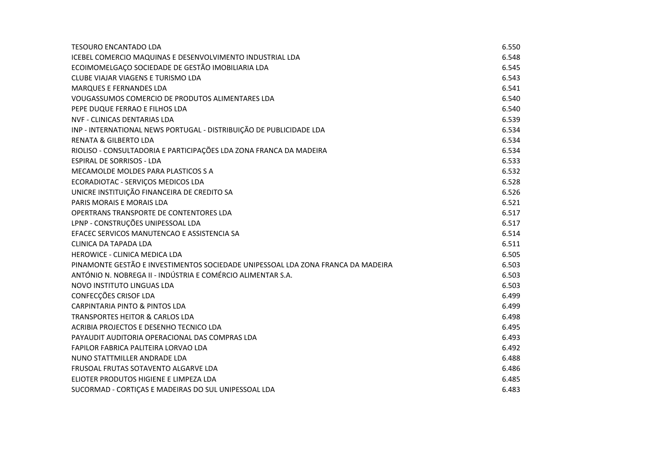| <b>TESOURO ENCANTADO LDA</b>                                                     | 6.550 |
|----------------------------------------------------------------------------------|-------|
| ICEBEL COMERCIO MAQUINAS E DESENVOLVIMENTO INDUSTRIAL LDA                        | 6.548 |
| ECOIMOMELGAÇO SOCIEDADE DE GESTÃO IMOBILIARIA LDA                                | 6.545 |
| CLUBE VIAJAR VIAGENS E TURISMO LDA                                               | 6.543 |
| <b>MARQUES E FERNANDES LDA</b>                                                   | 6.541 |
| VOUGASSUMOS COMERCIO DE PRODUTOS ALIMENTARES LDA                                 | 6.540 |
| PEPE DUQUE FERRAO E FILHOS LDA                                                   | 6.540 |
| NVF - CLINICAS DENTARIAS LDA                                                     | 6.539 |
| INP - INTERNATIONAL NEWS PORTUGAL - DISTRIBUIÇÃO DE PUBLICIDADE LDA              | 6.534 |
| <b>RENATA &amp; GILBERTO LDA</b>                                                 | 6.534 |
| RIOLISO - CONSULTADORIA E PARTICIPAÇÕES LDA ZONA FRANCA DA MADEIRA               | 6.534 |
| <b>ESPIRAL DE SORRISOS - LDA</b>                                                 | 6.533 |
| MECAMOLDE MOLDES PARA PLASTICOS S A                                              | 6.532 |
| ECORADIOTAC - SERVIÇOS MEDICOS LDA                                               | 6.528 |
| UNICRE INSTITUIÇÃO FINANCEIRA DE CREDITO SA                                      | 6.526 |
| PARIS MORAIS E MORAIS LDA                                                        | 6.521 |
| OPERTRANS TRANSPORTE DE CONTENTORES LDA                                          | 6.517 |
| LPNP - CONSTRUÇÕES UNIPESSOAL LDA                                                | 6.517 |
| EFACEC SERVICOS MANUTENCAO E ASSISTENCIA SA                                      | 6.514 |
| CLINICA DA TAPADA LDA                                                            | 6.511 |
| HEROWICE - CLINICA MEDICA LDA                                                    | 6.505 |
| PINAMONTE GESTÃO E INVESTIMENTOS SOCIEDADE UNIPESSOAL LDA ZONA FRANCA DA MADEIRA | 6.503 |
| ANTÓNIO N. NOBREGA II - INDÚSTRIA E COMÉRCIO ALIMENTAR S.A.                      | 6.503 |
| NOVO INSTITUTO LINGUAS LDA                                                       | 6.503 |
| CONFECÇÕES CRISOF LDA                                                            | 6.499 |
| <b>CARPINTARIA PINTO &amp; PINTOS LDA</b>                                        | 6.499 |
| <b>TRANSPORTES HEITOR &amp; CARLOS LDA</b>                                       | 6.498 |
| ACRIBIA PROJECTOS E DESENHO TECNICO LDA                                          | 6.495 |
| PAYAUDIT AUDITORIA OPERACIONAL DAS COMPRAS LDA                                   | 6.493 |
| FAPILOR FABRICA PALITEIRA LORVAO LDA                                             | 6.492 |
| NUNO STATTMILLER ANDRADE LDA                                                     | 6.488 |
| FRUSOAL FRUTAS SOTAVENTO ALGARVE LDA                                             | 6.486 |
| ELIOTER PRODUTOS HIGIENE E LIMPEZA LDA                                           | 6.485 |
| SUCORMAD - CORTIÇAS E MADEIRAS DO SUL UNIPESSOAL LDA                             | 6.483 |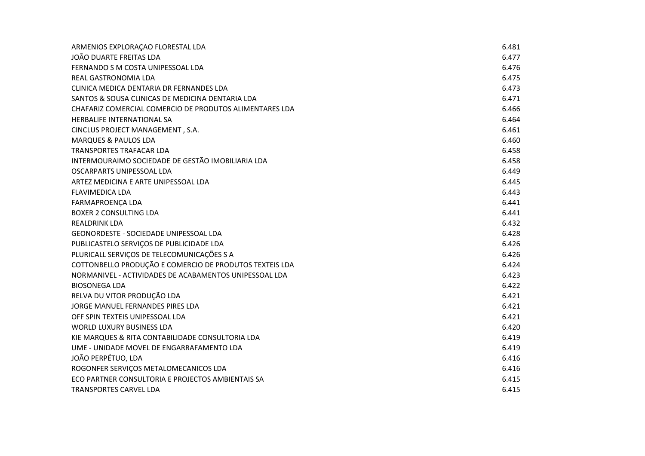| ARMENIOS EXPLORAÇÃO FLORESTAL LDA                       | 6.481 |
|---------------------------------------------------------|-------|
| JOÃO DUARTE FREITAS LDA                                 | 6.477 |
| FERNANDO S M COSTA UNIPESSOAL LDA                       | 6.476 |
| REAL GASTRONOMIA LDA                                    | 6.475 |
| CLINICA MEDICA DENTARIA DR FERNANDES LDA                | 6.473 |
| SANTOS & SOUSA CLINICAS DE MEDICINA DENTARIA LDA        | 6.471 |
| CHAFARIZ COMERCIAL COMERCIO DE PRODUTOS ALIMENTARES LDA | 6.466 |
| HERBALIFE INTERNATIONAL SA                              | 6.464 |
| CINCLUS PROJECT MANAGEMENT, S.A.                        | 6.461 |
| <b>MARQUES &amp; PAULOS LDA</b>                         | 6.460 |
| TRANSPORTES TRAFACAR LDA                                | 6.458 |
| INTERMOURAIMO SOCIEDADE DE GESTÃO IMOBILIARIA LDA       | 6.458 |
| OSCARPARTS UNIPESSOAL LDA                               | 6.449 |
| ARTEZ MEDICINA E ARTE UNIPESSOAL LDA                    | 6.445 |
| <b>FLAVIMEDICA LDA</b>                                  | 6.443 |
| FARMAPROENÇA LDA                                        | 6.441 |
| <b>BOXER 2 CONSULTING LDA</b>                           | 6.441 |
| <b>REALDRINK LDA</b>                                    | 6.432 |
| GEONORDESTE - SOCIEDADE UNIPESSOAL LDA                  | 6.428 |
| PUBLICASTELO SERVIÇOS DE PUBLICIDADE LDA                | 6.426 |
| PLURICALL SERVIÇOS DE TELECOMUNICAÇÕES S A              | 6.426 |
| COTTONBELLO PRODUÇÃO E COMERCIO DE PRODUTOS TEXTEIS LDA | 6.424 |
| NORMANIVEL - ACTIVIDADES DE ACABAMENTOS UNIPESSOAL LDA  | 6.423 |
| <b>BIOSONEGA LDA</b>                                    | 6.422 |
| RELVA DU VITOR PRODUÇÃO LDA                             | 6.421 |
| JORGE MANUEL FERNANDES PIRES LDA                        | 6.421 |
| OFF SPIN TEXTEIS UNIPESSOAL LDA                         | 6.421 |
| <b>WORLD LUXURY BUSINESS LDA</b>                        | 6.420 |
| KIE MARQUES & RITA CONTABILIDADE CONSULTORIA LDA        | 6.419 |
| UME - UNIDADE MOVEL DE ENGARRAFAMENTO LDA               | 6.419 |
| JOÃO PERPÉTUO, LDA                                      | 6.416 |
| ROGONFER SERVIÇOS METALOMECANICOS LDA                   | 6.416 |
| ECO PARTNER CONSULTORIA E PROJECTOS AMBIENTAIS SA       | 6.415 |
| TRANSPORTES CARVEL LDA                                  | 6.415 |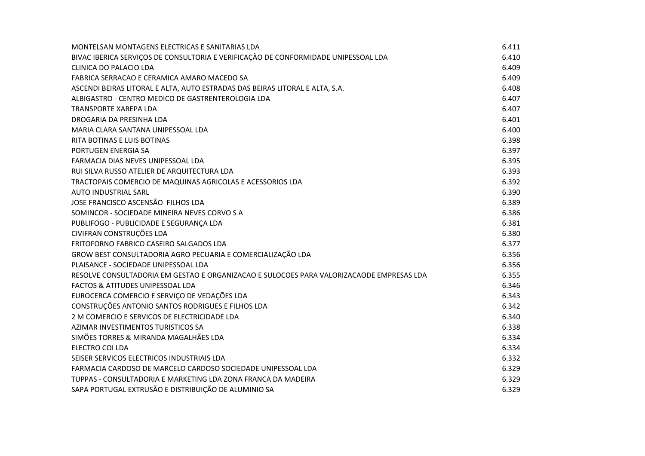| MONTELSAN MONTAGENS ELECTRICAS E SANITARIAS LDA                                          | 6.411 |
|------------------------------------------------------------------------------------------|-------|
| BIVAC IBERICA SERVIÇOS DE CONSULTORIA E VERIFICAÇÃO DE CONFORMIDADE UNIPESSOAL LDA       | 6.410 |
| CLINICA DO PALACIO LDA                                                                   | 6.409 |
| FABRICA SERRACAO E CERAMICA AMARO MACEDO SA                                              | 6.409 |
| ASCENDI BEIRAS LITORAL E ALTA, AUTO ESTRADAS DAS BEIRAS LITORAL E ALTA, S.A.             | 6.408 |
| ALBIGASTRO - CENTRO MEDICO DE GASTRENTEROLOGIA LDA                                       | 6.407 |
| TRANSPORTE XAREPA LDA                                                                    | 6.407 |
| DROGARIA DA PRESINHA LDA                                                                 | 6.401 |
| MARIA CLARA SANTANA UNIPESSOAL LDA                                                       | 6.400 |
| RITA BOTINAS E LUIS BOTINAS                                                              | 6.398 |
| PORTUGEN ENERGIA SA                                                                      | 6.397 |
| FARMACIA DIAS NEVES UNIPESSOAL LDA                                                       | 6.395 |
| RUI SILVA RUSSO ATELIER DE ARQUITECTURA LDA                                              | 6.393 |
| TRACTOPAIS COMERCIO DE MAQUINAS AGRICOLAS E ACESSORIOS LDA                               | 6.392 |
| <b>AUTO INDUSTRIAL SARL</b>                                                              | 6.390 |
| JOSE FRANCISCO ASCENSÃO FILHOS LDA                                                       | 6.389 |
| SOMINCOR - SOCIEDADE MINEIRA NEVES CORVO S A                                             | 6.386 |
| PUBLIFOGO - PUBLICIDADE E SEGURANÇA LDA                                                  | 6.381 |
| CIVIFRAN CONSTRUÇÕES LDA                                                                 | 6.380 |
| FRITOFORNO FABRICO CASEIRO SALGADOS LDA                                                  | 6.377 |
| GROW BEST CONSULTADORIA AGRO PECUARIA E COMERCIALIZAÇÃO LDA                              | 6.356 |
| PLAISANCE - SOCIEDADE UNIPESSOAL LDA                                                     | 6.356 |
| RESOLVE CONSULTADORIA EM GESTAO E ORGANIZACAO E SULOCOES PARA VALORIZACAODE EMPRESAS LDA | 6.355 |
| <b>FACTOS &amp; ATITUDES UNIPESSOAL LDA</b>                                              | 6.346 |
| EUROCERCA COMERCIO E SERVIÇO DE VEDAÇÕES LDA                                             | 6.343 |
| CONSTRUÇÕES ANTONIO SANTOS RODRIGUES E FILHOS LDA                                        | 6.342 |
| 2 M COMERCIO E SERVICOS DE ELECTRICIDADE LDA                                             | 6.340 |
| AZIMAR INVESTIMENTOS TURISTICOS SA                                                       | 6.338 |
| SIMÕES TORRES & MIRANDA MAGALHÃES LDA                                                    | 6.334 |
| ELECTRO COI LDA                                                                          | 6.334 |
| SEISER SERVICOS ELECTRICOS INDUSTRIAIS LDA                                               | 6.332 |
| FARMACIA CARDOSO DE MARCELO CARDOSO SOCIEDADE UNIPESSOAL LDA                             | 6.329 |
| TUPPAS - CONSULTADORIA E MARKETING LDA ZONA FRANCA DA MADEIRA                            | 6.329 |
| SAPA PORTUGAL EXTRUSÃO E DISTRIBUIÇÃO DE ALUMINIO SA                                     | 6.329 |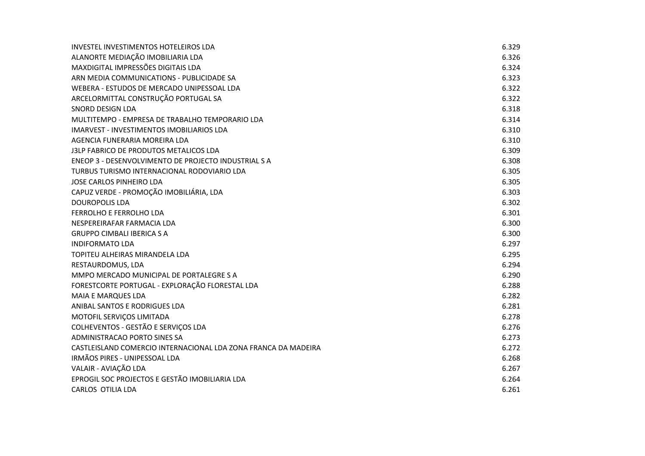| INVESTEL INVESTIMENTOS HOTELEIROS LDA                          | 6.329 |
|----------------------------------------------------------------|-------|
| ALANORTE MEDIAÇÃO IMOBILIARIA LDA                              | 6.326 |
| MAXDIGITAL IMPRESSÕES DIGITAIS LDA                             | 6.324 |
| ARN MEDIA COMMUNICATIONS - PUBLICIDADE SA                      | 6.323 |
| WEBERA - ESTUDOS DE MERCADO UNIPESSOAL LDA                     | 6.322 |
| ARCELORMITTAL CONSTRUÇÃO PORTUGAL SA                           | 6.322 |
| SNORD DESIGN LDA                                               | 6.318 |
| MULTITEMPO - EMPRESA DE TRABALHO TEMPORARIO LDA                | 6.314 |
| <b>IMARVEST - INVESTIMENTOS IMOBILIARIOS LDA</b>               | 6.310 |
| AGENCIA FUNERARIA MOREIRA LDA                                  | 6.310 |
| J3LP FABRICO DE PRODUTOS METALICOS LDA                         | 6.309 |
| ENEOP 3 - DESENVOLVIMENTO DE PROJECTO INDUSTRIAL S A           | 6.308 |
| TURBUS TURISMO INTERNACIONAL RODOVIARIO LDA                    | 6.305 |
| JOSE CARLOS PINHEIRO LDA                                       | 6.305 |
| CAPUZ VERDE - PROMOÇÃO IMOBILIÁRIA, LDA                        | 6.303 |
| <b>DOUROPOLIS LDA</b>                                          | 6.302 |
| FERROLHO E FERROLHO LDA                                        | 6.301 |
| NESPEREIRAFAR FARMACIA LDA                                     | 6.300 |
| <b>GRUPPO CIMBALI IBERICA S A</b>                              | 6.300 |
| <b>INDIFORMATO LDA</b>                                         | 6.297 |
| TOPITEU ALHEIRAS MIRANDELA LDA                                 | 6.295 |
| RESTAURDOMUS, LDA                                              | 6.294 |
| MMPO MERCADO MUNICIPAL DE PORTALEGRE S A                       | 6.290 |
| FORESTCORTE PORTUGAL - EXPLORAÇÃO FLORESTAL LDA                | 6.288 |
| MAIA E MARQUES LDA                                             | 6.282 |
| ANIBAL SANTOS E RODRIGUES LDA                                  | 6.281 |
| MOTOFIL SERVIÇOS LIMITADA                                      | 6.278 |
| COLHEVENTOS - GESTÃO E SERVIÇOS LDA                            | 6.276 |
| ADMINISTRACAO PORTO SINES SA                                   | 6.273 |
| CASTLEISLAND COMERCIO INTERNACIONAL LDA ZONA FRANCA DA MADEIRA | 6.272 |
| IRMÃOS PIRES - UNIPESSOAL LDA                                  | 6.268 |
| VALAIR - AVIAÇÃO LDA                                           | 6.267 |
| EPROGIL SOC PROJECTOS E GESTÃO IMOBILIARIA LDA                 | 6.264 |
| <b>CARLOS OTILIA LDA</b>                                       | 6.261 |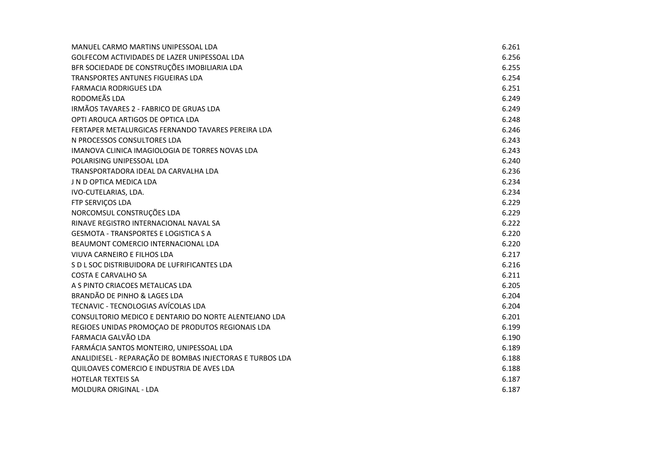| MANUEL CARMO MARTINS UNIPESSOAL LDA                       | 6.261 |
|-----------------------------------------------------------|-------|
| GOLFECOM ACTIVIDADES DE LAZER UNIPESSOAL LDA              | 6.256 |
| BFR SOCIEDADE DE CONSTRUÇÕES IMOBILIARIA LDA              | 6.255 |
| TRANSPORTES ANTUNES FIGUEIRAS LDA                         | 6.254 |
| <b>FARMACIA RODRIGUES LDA</b>                             | 6.251 |
| RODOMEÃS LDA                                              | 6.249 |
| IRMÃOS TAVARES 2 - FABRICO DE GRUAS LDA                   | 6.249 |
| OPTI AROUCA ARTIGOS DE OPTICA LDA                         | 6.248 |
| FERTAPER METALURGICAS FERNANDO TAVARES PEREIRA LDA        | 6.246 |
| N PROCESSOS CONSULTORES LDA                               | 6.243 |
| IMANOVA CLINICA IMAGIOLOGIA DE TORRES NOVAS LDA           | 6.243 |
| POLARISING UNIPESSOAL LDA                                 | 6.240 |
| TRANSPORTADORA IDEAL DA CARVALHA LDA                      | 6.236 |
| J N D OPTICA MEDICA LDA                                   | 6.234 |
| IVO-CUTELARIAS, LDA.                                      | 6.234 |
| FTP SERVIÇOS LDA                                          | 6.229 |
| NORCOMSUL CONSTRUÇÕES LDA                                 | 6.229 |
| RINAVE REGISTRO INTERNACIONAL NAVAL SA                    | 6.222 |
| <b>GESMOTA - TRANSPORTES E LOGISTICA S A</b>              | 6.220 |
| BEAUMONT COMERCIO INTERNACIONAL LDA                       | 6.220 |
| VIUVA CARNEIRO E FILHOS LDA                               | 6.217 |
| S D L SOC DISTRIBUIDORA DE LUFRIFICANTES LDA              | 6.216 |
| <b>COSTA E CARVALHO SA</b>                                | 6.211 |
| A S PINTO CRIACOES METALICAS LDA                          | 6.205 |
| BRANDÃO DE PINHO & LAGES LDA                              | 6.204 |
| TECNAVIC - TECNOLOGIAS AVÍCOLAS LDA                       | 6.204 |
| CONSULTORIO MEDICO E DENTARIO DO NORTE ALENTEJANO LDA     | 6.201 |
| REGIOES UNIDAS PROMOÇÃO DE PRODUTOS REGIONAIS LDA         | 6.199 |
| FARMACIA GALVÃO LDA                                       | 6.190 |
| FARMÁCIA SANTOS MONTEIRO, UNIPESSOAL LDA                  | 6.189 |
| ANALIDIESEL - REPARAÇÃO DE BOMBAS INJECTORAS E TURBOS LDA | 6.188 |
| QUILOAVES COMERCIO E INDUSTRIA DE AVES LDA                | 6.188 |
| <b>HOTELAR TEXTEIS SA</b>                                 | 6.187 |
| MOLDURA ORIGINAL - LDA                                    | 6.187 |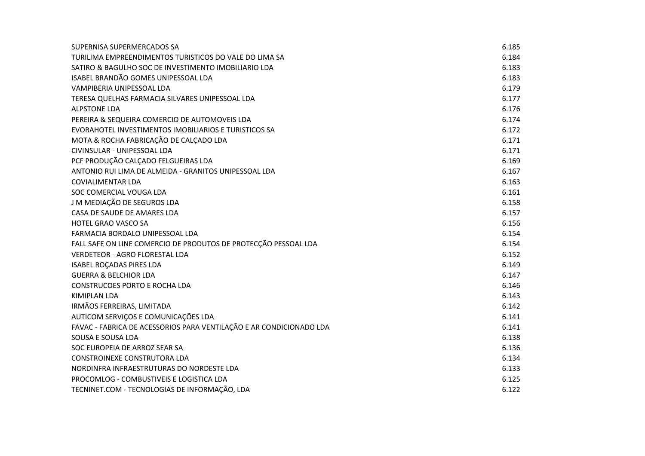| SUPERNISA SUPERMERCADOS SA                                          | 6.185 |
|---------------------------------------------------------------------|-------|
| TURILIMA EMPREENDIMENTOS TURISTICOS DO VALE DO LIMA SA              | 6.184 |
| SATIRO & BAGULHO SOC DE INVESTIMENTO IMOBILIARIO LDA                | 6.183 |
| ISABEL BRANDÃO GOMES UNIPESSOAL LDA                                 | 6.183 |
| VAMPIBERIA UNIPESSOAL LDA                                           | 6.179 |
| TERESA QUELHAS FARMACIA SILVARES UNIPESSOAL LDA                     | 6.177 |
| <b>ALPSTONE LDA</b>                                                 | 6.176 |
| PEREIRA & SEQUEIRA COMERCIO DE AUTOMOVEIS LDA                       | 6.174 |
| EVORAHOTEL INVESTIMENTOS IMOBILIARIOS E TURISTICOS SA               | 6.172 |
| MOTA & ROCHA FABRICAÇÃO DE CALÇADO LDA                              | 6.171 |
| CIVINSULAR - UNIPESSOAL LDA                                         | 6.171 |
| PCF PRODUÇÃO CALÇADO FELGUEIRAS LDA                                 | 6.169 |
| ANTONIO RUI LIMA DE ALMEIDA - GRANITOS UNIPESSOAL LDA               | 6.167 |
| <b>COVIALIMENTAR LDA</b>                                            | 6.163 |
| SOC COMERCIAL VOUGA LDA                                             | 6.161 |
| J M MEDIAÇÃO DE SEGUROS LDA                                         | 6.158 |
| CASA DE SAUDE DE AMARES LDA                                         | 6.157 |
| <b>HOTEL GRAO VASCO SA</b>                                          | 6.156 |
| FARMACIA BORDALO UNIPESSOAL LDA                                     | 6.154 |
| FALL SAFE ON LINE COMERCIO DE PRODUTOS DE PROTECÇÃO PESSOAL LDA     | 6.154 |
| <b>VERDETEOR - AGRO FLORESTAL LDA</b>                               | 6.152 |
| <b>ISABEL ROCADAS PIRES LDA</b>                                     | 6.149 |
| <b>GUERRA &amp; BELCHIOR LDA</b>                                    | 6.147 |
| <b>CONSTRUCOES PORTO E ROCHA LDA</b>                                | 6.146 |
| <b>KIMIPLAN LDA</b>                                                 | 6.143 |
| IRMÃOS FERREIRAS, LIMITADA                                          | 6.142 |
| AUTICOM SERVIÇOS E COMUNICAÇÕES LDA                                 | 6.141 |
| FAVAC - FABRICA DE ACESSORIOS PARA VENTILAÇÃO E AR CONDICIONADO LDA | 6.141 |
| SOUSA E SOUSA LDA                                                   | 6.138 |
| SOC EUROPEIA DE ARROZ SEAR SA                                       | 6.136 |
| CONSTROINEXE CONSTRUTORA LDA                                        | 6.134 |
| NORDINFRA INFRAESTRUTURAS DO NORDESTE LDA                           | 6.133 |
| PROCOMLOG - COMBUSTIVEIS E LOGISTICA LDA                            | 6.125 |
| TECNINET.COM - TECNOLOGIAS DE INFORMAÇÃO, LDA                       | 6.122 |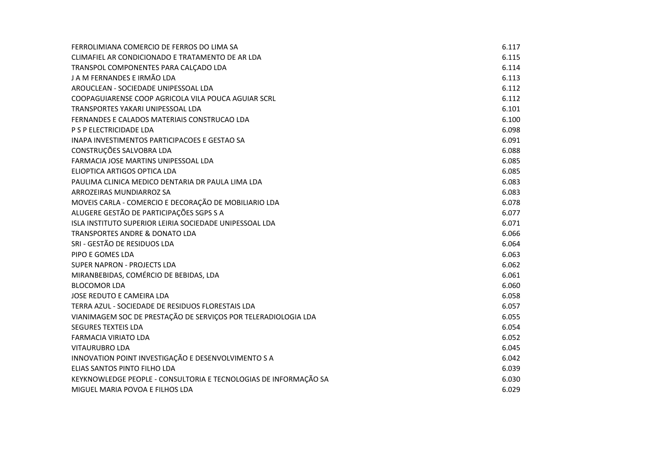| FERROLIMIANA COMERCIO DE FERROS DO LIMA SA                       | 6.117 |
|------------------------------------------------------------------|-------|
| CLIMAFIEL AR CONDICIONADO E TRATAMENTO DE AR LDA                 | 6.115 |
| TRANSPOL COMPONENTES PARA CALÇADO LDA                            | 6.114 |
| J A M FERNANDES E IRMÃO LDA                                      | 6.113 |
| AROUCLEAN - SOCIEDADE UNIPESSOAL LDA                             | 6.112 |
| COOPAGUIARENSE COOP AGRICOLA VILA POUCA AGUIAR SCRL              | 6.112 |
| TRANSPORTES YAKARI UNIPESSOAL LDA                                | 6.101 |
| FERNANDES E CALADOS MATERIAIS CONSTRUCAO LDA                     | 6.100 |
| P S P ELECTRICIDADE LDA                                          | 6.098 |
| INAPA INVESTIMENTOS PARTICIPACOES E GESTAO SA                    | 6.091 |
| CONSTRUÇÕES SALVOBRA LDA                                         | 6.088 |
| FARMACIA JOSE MARTINS UNIPESSOAL LDA                             | 6.085 |
| ELIOPTICA ARTIGOS OPTICA LDA                                     | 6.085 |
| PAULIMA CLINICA MEDICO DENTARIA DR PAULA LIMA LDA                | 6.083 |
| ARROZEIRAS MUNDIARROZ SA                                         | 6.083 |
| MOVEIS CARLA - COMERCIO E DECORAÇÃO DE MOBILIARIO LDA            | 6.078 |
| ALUGERE GESTÃO DE PARTICIPAÇÕES SGPS S A                         | 6.077 |
| ISLA INSTITUTO SUPERIOR LEIRIA SOCIEDADE UNIPESSOAL LDA          | 6.071 |
| <b>TRANSPORTES ANDRE &amp; DONATO LDA</b>                        | 6.066 |
| SRI - GESTÃO DE RESIDUOS LDA                                     | 6.064 |
| PIPO E GOMES LDA                                                 | 6.063 |
| <b>SUPER NAPRON - PROJECTS LDA</b>                               | 6.062 |
| MIRANBEBIDAS, COMÉRCIO DE BEBIDAS, LDA                           | 6.061 |
| <b>BLOCOMOR LDA</b>                                              | 6.060 |
| JOSE REDUTO E CAMEIRA LDA                                        | 6.058 |
| TERRA AZUL - SOCIEDADE DE RESIDUOS FLORESTAIS LDA                | 6.057 |
| VIANIMAGEM SOC DE PRESTAÇÃO DE SERVIÇOS POR TELERADIOLOGIA LDA   | 6.055 |
| <b>SEGURES TEXTEIS LDA</b>                                       | 6.054 |
| <b>FARMACIA VIRIATO LDA</b>                                      | 6.052 |
| <b>VITAURUBRO LDA</b>                                            | 6.045 |
| INNOVATION POINT INVESTIGAÇÃO E DESENVOLVIMENTO S A              | 6.042 |
| ELIAS SANTOS PINTO FILHO LDA                                     | 6.039 |
| KEYKNOWLEDGE PEOPLE - CONSULTORIA E TECNOLOGIAS DE INFORMAÇÃO SA | 6.030 |
| MIGUEL MARIA POVOA E FILHOS LDA                                  | 6.029 |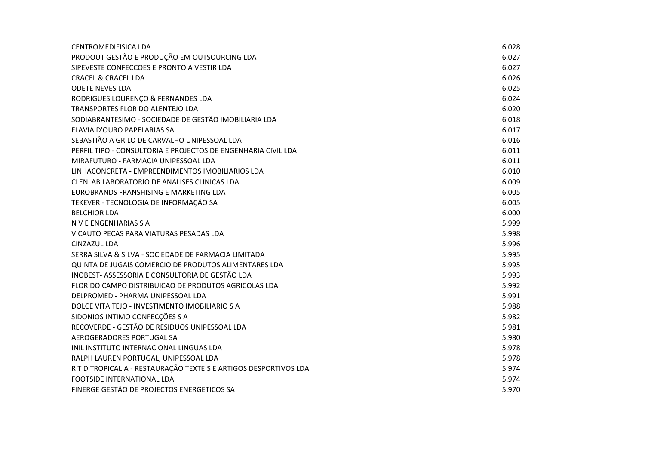| CENTROMEDIFISICA LDA                                             | 6.028 |
|------------------------------------------------------------------|-------|
| PRODOUT GESTÃO E PRODUÇÃO EM OUTSOURCING LDA                     | 6.027 |
| SIPEVESTE CONFECCOES E PRONTO A VESTIR LDA                       | 6.027 |
| <b>CRACEL &amp; CRACEL LDA</b>                                   | 6.026 |
| <b>ODETE NEVES LDA</b>                                           | 6.025 |
| RODRIGUES LOURENÇO & FERNANDES LDA                               | 6.024 |
| TRANSPORTES FLOR DO ALENTEJO LDA                                 | 6.020 |
| SODIABRANTESIMO - SOCIEDADE DE GESTÃO IMOBILIARIA LDA            | 6.018 |
| FLAVIA D'OURO PAPELARIAS SA                                      | 6.017 |
| SEBASTIÃO A GRILO DE CARVALHO UNIPESSOAL LDA                     | 6.016 |
| PERFIL TIPO - CONSULTORIA E PROJECTOS DE ENGENHARIA CIVIL LDA    | 6.011 |
| MIRAFUTURO - FARMACIA UNIPESSOAL LDA                             | 6.011 |
| LINHACONCRETA - EMPREENDIMENTOS IMOBILIARIOS LDA                 | 6.010 |
| CLENLAB LABORATORIO DE ANALISES CLINICAS LDA                     | 6.009 |
| EUROBRANDS FRANSHISING E MARKETING LDA                           | 6.005 |
| TEKEVER - TECNOLOGIA DE INFORMAÇÃO SA                            | 6.005 |
| <b>BELCHIOR LDA</b>                                              | 6.000 |
| N V E ENGENHARIAS S A                                            | 5.999 |
| VICAUTO PECAS PARA VIATURAS PESADAS LDA                          | 5.998 |
| <b>CINZAZUL LDA</b>                                              | 5.996 |
| SERRA SILVA & SILVA - SOCIEDADE DE FARMACIA LIMITADA             | 5.995 |
| QUINTA DE JUGAIS COMERCIO DE PRODUTOS ALIMENTARES LDA            | 5.995 |
| INOBEST- ASSESSORIA E CONSULTORIA DE GESTÃO LDA                  | 5.993 |
| FLOR DO CAMPO DISTRIBUICAO DE PRODUTOS AGRICOLAS LDA             | 5.992 |
| DELPROMED - PHARMA UNIPESSOAL LDA                                | 5.991 |
| DOLCE VITA TEJO - INVESTIMENTO IMOBILIARIO S A                   | 5.988 |
| SIDONIOS INTIMO CONFECÇÕES S A                                   | 5.982 |
| RECOVERDE - GESTÃO DE RESIDUOS UNIPESSOAL LDA                    | 5.981 |
| AEROGERADORES PORTUGAL SA                                        | 5.980 |
| INIL INSTITUTO INTERNACIONAL LINGUAS LDA                         | 5.978 |
| RALPH LAUREN PORTUGAL, UNIPESSOAL LDA                            | 5.978 |
| R T D TROPICALIA - RESTAURAÇÃO TEXTEIS E ARTIGOS DESPORTIVOS LDA | 5.974 |
| <b>FOOTSIDE INTERNATIONAL LDA</b>                                | 5.974 |
| FINERGE GESTÃO DE PROJECTOS ENERGETICOS SA                       | 5.970 |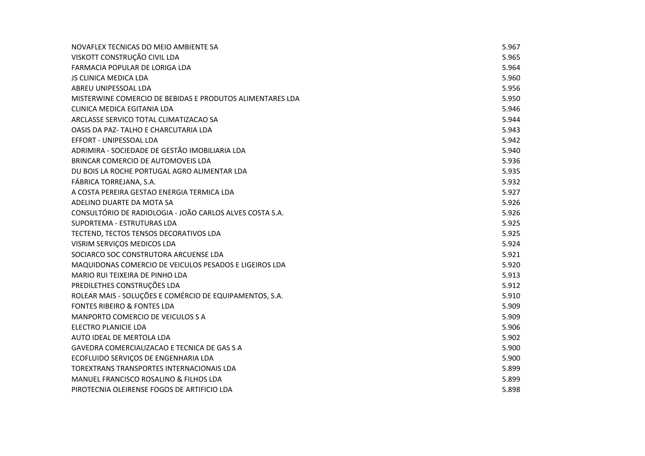| NOVAFLEX TECNICAS DO MEIO AMBIENTE SA                     | 5.967 |
|-----------------------------------------------------------|-------|
| VISKOTT CONSTRUÇÃO CIVIL LDA                              | 5.965 |
| FARMACIA POPULAR DE LORIGA LDA                            | 5.964 |
| <b>JS CLINICA MEDICA LDA</b>                              | 5.960 |
| ABREU UNIPESSOAL LDA                                      | 5.956 |
| MISTERWINE COMERCIO DE BEBIDAS E PRODUTOS ALIMENTARES LDA | 5.950 |
| CLINICA MEDICA EGITANIA LDA                               | 5.946 |
| ARCLASSE SERVICO TOTAL CLIMATIZACAO SA                    | 5.944 |
| OASIS DA PAZ- TALHO E CHARCUTARIA LDA                     | 5.943 |
| EFFORT - UNIPESSOAL LDA                                   | 5.942 |
| ADRIMIRA - SOCIEDADE DE GESTÃO IMOBILIARIA LDA            | 5.940 |
| BRINCAR COMERCIO DE AUTOMOVEIS LDA                        | 5.936 |
| DU BOIS LA ROCHE PORTUGAL AGRO ALIMENTAR LDA              | 5.935 |
| FÁBRICA TORREJANA, S.A.                                   | 5.932 |
| A COSTA PEREIRA GESTAO ENERGIA TERMICA LDA                | 5.927 |
| ADELINO DUARTE DA MOTA SA                                 | 5.926 |
| CONSULTÓRIO DE RADIOLOGIA - JOÃO CARLOS ALVES COSTA S.A.  | 5.926 |
| SUPORTEMA - ESTRUTURAS LDA                                | 5.925 |
| TECTEND, TECTOS TENSOS DECORATIVOS LDA                    | 5.925 |
| VISRIM SERVIÇOS MEDICOS LDA                               | 5.924 |
| SOCIARCO SOC CONSTRUTORA ARCUENSE LDA                     | 5.921 |
| MAQUIDONAS COMERCIO DE VEICULOS PESADOS E LIGEIROS LDA    | 5.920 |
| MARIO RUI TEIXEIRA DE PINHO LDA                           | 5.913 |
| PREDILETHES CONSTRUÇÕES LDA                               | 5.912 |
| ROLEAR MAIS - SOLUÇÕES E COMÉRCIO DE EQUIPAMENTOS, S.A.   | 5.910 |
| FONTES RIBEIRO & FONTES LDA                               | 5.909 |
| MANPORTO COMERCIO DE VEICULOS S A                         | 5.909 |
| <b>ELECTRO PLANICIE LDA</b>                               | 5.906 |
| AUTO IDEAL DE MERTOLA LDA                                 | 5.902 |
| GAVEDRA COMERCIALIZACAO E TECNICA DE GAS S A              | 5.900 |
| ECOFLUIDO SERVIÇOS DE ENGENHARIA LDA                      | 5.900 |
| TOREXTRANS TRANSPORTES INTERNACIONAIS LDA                 | 5.899 |
| MANUEL FRANCISCO ROSALINO & FILHOS LDA                    | 5.899 |
| PIROTECNIA OLEIRENSE FOGOS DE ARTIFICIO LDA               | 5.898 |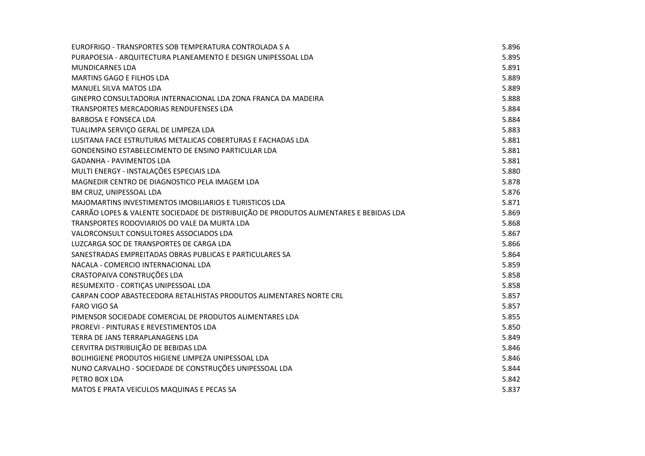| EUROFRIGO - TRANSPORTES SOB TEMPERATURA CONTROLADA S A                                 | 5.896 |
|----------------------------------------------------------------------------------------|-------|
| PURAPOESIA - ARQUITECTURA PLANEAMENTO E DESIGN UNIPESSOAL LDA                          | 5.895 |
| <b>MUNDICARNES LDA</b>                                                                 | 5.891 |
| <b>MARTINS GAGO E FILHOS LDA</b>                                                       | 5.889 |
| MANUEL SILVA MATOS LDA                                                                 | 5.889 |
| GINEPRO CONSULTADORIA INTERNACIONAL LDA ZONA FRANCA DA MADEIRA                         | 5.888 |
| TRANSPORTES MERCADORIAS RENDUFENSES LDA                                                | 5.884 |
| <b>BARBOSA E FONSECA LDA</b>                                                           | 5.884 |
| TUALIMPA SERVIÇO GERAL DE LIMPEZA LDA                                                  | 5.883 |
| LUSITANA FACE ESTRUTURAS METALICAS COBERTURAS E FACHADAS LDA                           | 5.881 |
| GONDENSINO ESTABELECIMENTO DE ENSINO PARTICULAR LDA                                    | 5.881 |
| <b>GADANHA - PAVIMENTOS LDA</b>                                                        | 5.881 |
| MULTI ENERGY - INSTALAÇÕES ESPECIAIS LDA                                               | 5.880 |
| MAGNEDIR CENTRO DE DIAGNOSTICO PELA IMAGEM LDA                                         | 5.878 |
| BM CRUZ, UNIPESSOAL LDA                                                                | 5.876 |
| MAJOMARTINS INVESTIMENTOS IMOBILIARIOS E TURISTICOS LDA                                | 5.871 |
| CARRÃO LOPES & VALENTE SOCIEDADE DE DISTRIBUIÇÃO DE PRODUTOS ALIMENTARES E BEBIDAS LDA | 5.869 |
| TRANSPORTES RODOVIARIOS DO VALE DA MURTA LDA                                           | 5.868 |
| VALORCONSULT CONSULTORES ASSOCIADOS LDA                                                | 5.867 |
| LUZCARGA SOC DE TRANSPORTES DE CARGA LDA                                               | 5.866 |
| SANESTRADAS EMPREITADAS OBRAS PUBLICAS E PARTICULARES SA                               | 5.864 |
| NACALA - COMERCIO INTERNACIONAL LDA                                                    | 5.859 |
| CRASTOPAIVA CONSTRUÇÕES LDA                                                            | 5.858 |
| RESUMEXITO - CORTIÇAS UNIPESSOAL LDA                                                   | 5.858 |
| CARPAN COOP ABASTECEDORA RETALHISTAS PRODUTOS ALIMENTARES NORTE CRL                    | 5.857 |
| <b>FARO VIGO SA</b>                                                                    | 5.857 |
| PIMENSOR SOCIEDADE COMERCIAL DE PRODUTOS ALIMENTARES LDA                               | 5.855 |
| PROREVI - PINTURAS E REVESTIMENTOS LDA                                                 | 5.850 |
| TERRA DE JANS TERRAPLANAGENS LDA                                                       | 5.849 |
| CERVITRA DISTRIBUIÇÃO DE BEBIDAS LDA                                                   | 5.846 |
| BOLIHIGIENE PRODUTOS HIGIENE LIMPEZA UNIPESSOAL LDA                                    | 5.846 |
| NUNO CARVALHO - SOCIEDADE DE CONSTRUÇÕES UNIPESSOAL LDA                                | 5.844 |
| PETRO BOX LDA                                                                          | 5.842 |
| MATOS E PRATA VEICULOS MAQUINAS E PECAS SA                                             | 5.837 |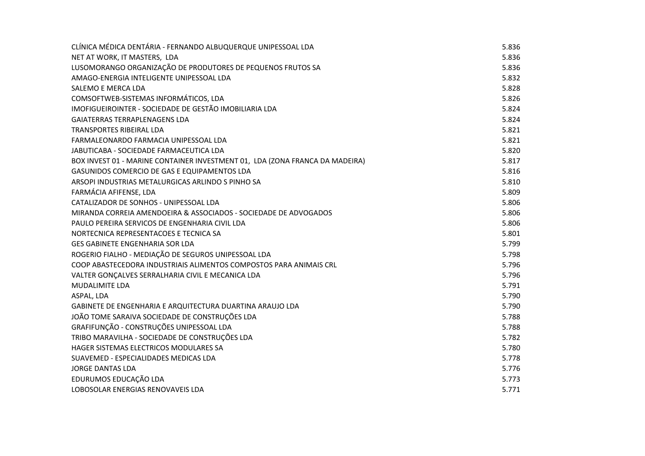| CLÍNICA MÉDICA DENTÁRIA - FERNANDO ALBUQUERQUE UNIPESSOAL LDA                | 5.836 |
|------------------------------------------------------------------------------|-------|
| NET AT WORK, IT MASTERS, LDA                                                 | 5.836 |
| LUSOMORANGO ORGANIZAÇÃO DE PRODUTORES DE PEQUENOS FRUTOS SA                  | 5.836 |
| AMAGO-ENERGIA INTELIGENTE UNIPESSOAL LDA                                     | 5.832 |
| SALEMO E MERCA LDA                                                           | 5.828 |
| COMSOFTWEB-SISTEMAS INFORMÁTICOS, LDA                                        | 5.826 |
| IMOFIGUEIROINTER - SOCIEDADE DE GESTÃO IMOBILIARIA LDA                       | 5.824 |
| <b>GAIATERRAS TERRAPLENAGENS LDA</b>                                         | 5.824 |
| TRANSPORTES RIBEIRAL LDA                                                     | 5.821 |
| FARMALEONARDO FARMACIA UNIPESSOAL LDA                                        | 5.821 |
| JABUTICABA - SOCIEDADE FARMACEUTICA LDA                                      | 5.820 |
| BOX INVEST 01 - MARINE CONTAINER INVESTMENT 01, LDA (ZONA FRANCA DA MADEIRA) | 5.817 |
| GASUNIDOS COMERCIO DE GAS E EQUIPAMENTOS LDA                                 | 5.816 |
| ARSOPI INDUSTRIAS METALURGICAS ARLINDO S PINHO SA                            | 5.810 |
| FARMÁCIA AFIFENSE, LDA                                                       | 5.809 |
| CATALIZADOR DE SONHOS - UNIPESSOAL LDA                                       | 5.806 |
| MIRANDA CORREIA AMENDOEIRA & ASSOCIADOS - SOCIEDADE DE ADVOGADOS             | 5.806 |
| PAULO PEREIRA SERVICOS DE ENGENHARIA CIVIL LDA                               | 5.806 |
| NORTECNICA REPRESENTACOES E TECNICA SA                                       | 5.801 |
| <b>GES GABINETE ENGENHARIA SOR LDA</b>                                       | 5.799 |
| ROGERIO FIALHO - MEDIAÇÃO DE SEGUROS UNIPESSOAL LDA                          | 5.798 |
| COOP ABASTECEDORA INDUSTRIAIS ALIMENTOS COMPOSTOS PARA ANIMAIS CRL           | 5.796 |
| VALTER GONÇALVES SERRALHARIA CIVIL E MECANICA LDA                            | 5.796 |
| <b>MUDALIMITE LDA</b>                                                        | 5.791 |
| ASPAL, LDA                                                                   | 5.790 |
| GABINETE DE ENGENHARIA E ARQUITECTURA DUARTINA ARAUJO LDA                    | 5.790 |
| JOÃO TOME SARAIVA SOCIEDADE DE CONSTRUÇÕES LDA                               | 5.788 |
| GRAFIFUNÇÃO - CONSTRUÇÕES UNIPESSOAL LDA                                     | 5.788 |
| TRIBO MARAVILHA - SOCIEDADE DE CONSTRUÇÕES LDA                               | 5.782 |
| HAGER SISTEMAS ELECTRICOS MODULARES SA                                       | 5.780 |
| SUAVEMED - ESPECIALIDADES MEDICAS LDA                                        | 5.778 |
| <b>JORGE DANTAS LDA</b>                                                      | 5.776 |
| EDURUMOS EDUCAÇÃO LDA                                                        | 5.773 |
| LOBOSOLAR ENERGIAS RENOVAVEIS LDA                                            | 5.771 |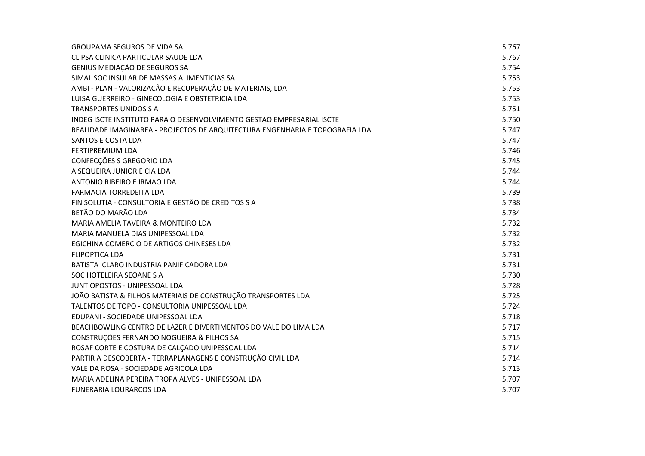| <b>GROUPAMA SEGUROS DE VIDA SA</b>                                           | 5.767 |
|------------------------------------------------------------------------------|-------|
| CLIPSA CLINICA PARTICULAR SAUDE LDA                                          | 5.767 |
| GENIUS MEDIAÇÃO DE SEGUROS SA                                                | 5.754 |
| SIMAL SOC INSULAR DE MASSAS ALIMENTICIAS SA                                  | 5.753 |
| AMBI - PLAN - VALORIZAÇÃO E RECUPERAÇÃO DE MATERIAIS, LDA                    | 5.753 |
| LUISA GUERREIRO - GINECOLOGIA E OBSTETRICIA LDA                              | 5.753 |
| <b>TRANSPORTES UNIDOS S A</b>                                                | 5.751 |
| INDEG ISCTE INSTITUTO PARA O DESENVOLVIMENTO GESTAO EMPRESARIAL ISCTE        | 5.750 |
| REALIDADE IMAGINAREA - PROJECTOS DE ARQUITECTURA ENGENHARIA E TOPOGRAFIA LDA | 5.747 |
| SANTOS E COSTA LDA                                                           | 5.747 |
| FERTIPREMIUM LDA                                                             | 5.746 |
| CONFECÇÕES S GREGORIO LDA                                                    | 5.745 |
| A SEQUEIRA JUNIOR E CIA LDA                                                  | 5.744 |
| ANTONIO RIBEIRO E IRMAO LDA                                                  | 5.744 |
| <b>FARMACIA TORREDEITA LDA</b>                                               | 5.739 |
| FIN SOLUTIA - CONSULTORIA E GESTÃO DE CREDITOS S A                           | 5.738 |
| BETÃO DO MARÃO LDA                                                           | 5.734 |
| MARIA AMELIA TAVEIRA & MONTEIRO LDA                                          | 5.732 |
| MARIA MANUELA DIAS UNIPESSOAL LDA                                            | 5.732 |
| EGICHINA COMERCIO DE ARTIGOS CHINESES LDA                                    | 5.732 |
| <b>FLIPOPTICA LDA</b>                                                        | 5.731 |
| BATISTA CLARO INDUSTRIA PANIFICADORA LDA                                     | 5.731 |
| SOC HOTELEIRA SEOANE S A                                                     | 5.730 |
| JUNT'OPOSTOS - UNIPESSOAL LDA                                                | 5.728 |
| JOÃO BATISTA & FILHOS MATERIAIS DE CONSTRUÇÃO TRANSPORTES LDA                | 5.725 |
| TALENTOS DE TOPO - CONSULTORIA UNIPESSOAL LDA                                | 5.724 |
| EDUPANI - SOCIEDADE UNIPESSOAL LDA                                           | 5.718 |
| BEACHBOWLING CENTRO DE LAZER E DIVERTIMENTOS DO VALE DO LIMA LDA             | 5.717 |
| CONSTRUÇÕES FERNANDO NOGUEIRA & FILHOS SA                                    | 5.715 |
| ROSAF CORTE E COSTURA DE CALÇADO UNIPESSOAL LDA                              | 5.714 |
| PARTIR A DESCOBERTA - TERRAPLANAGENS E CONSTRUÇÃO CIVIL LDA                  | 5.714 |
| VALE DA ROSA - SOCIEDADE AGRICOLA LDA                                        | 5.713 |
| MARIA ADELINA PEREIRA TROPA ALVES - UNIPESSOAL LDA                           | 5.707 |
| <b>FUNERARIA LOURARCOS LDA</b>                                               | 5.707 |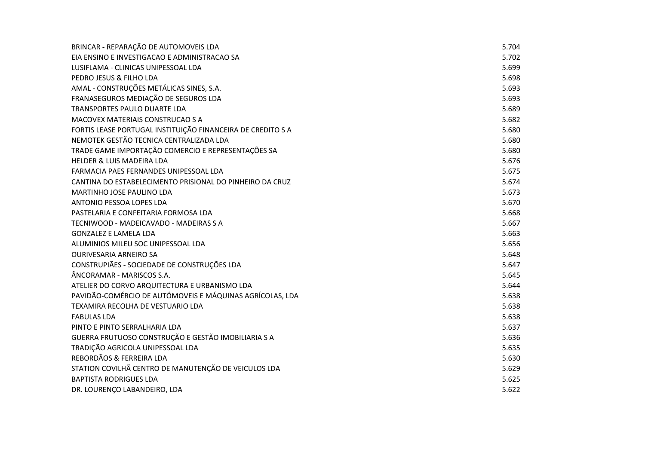| BRINCAR - REPARAÇÃO DE AUTOMOVEIS LDA                       | 5.704 |
|-------------------------------------------------------------|-------|
| EIA ENSINO E INVESTIGACAO E ADMINISTRACAO SA                | 5.702 |
| LUSIFLAMA - CLINICAS UNIPESSOAL LDA                         | 5.699 |
| PEDRO JESUS & FILHO LDA                                     | 5.698 |
| AMAL - CONSTRUÇÕES METÁLICAS SINES, S.A.                    | 5.693 |
| FRANASEGUROS MEDIAÇÃO DE SEGUROS LDA                        | 5.693 |
| TRANSPORTES PAULO DUARTE LDA                                | 5.689 |
| MACOVEX MATERIAIS CONSTRUCAO S A                            | 5.682 |
| FORTIS LEASE PORTUGAL INSTITUIÇÃO FINANCEIRA DE CREDITO S A | 5.680 |
| NEMOTEK GESTÃO TECNICA CENTRALIZADA LDA                     | 5.680 |
| TRADE GAME IMPORTAÇÃO COMERCIO E REPRESENTAÇÕES SA          | 5.680 |
| <b>HELDER &amp; LUIS MADEIRA LDA</b>                        | 5.676 |
| FARMACIA PAES FERNANDES UNIPESSOAL LDA                      | 5.675 |
| CANTINA DO ESTABELECIMENTO PRISIONAL DO PINHEIRO DA CRUZ    | 5.674 |
| MARTINHO JOSE PAULINO LDA                                   | 5.673 |
| ANTONIO PESSOA LOPES LDA                                    | 5.670 |
| PASTELARIA E CONFEITARIA FORMOSA LDA                        | 5.668 |
| TECNIWOOD - MADEICAVADO - MADEIRAS S A                      | 5.667 |
| <b>GONZALEZ E LAMELA LDA</b>                                | 5.663 |
| ALUMINIOS MILEU SOC UNIPESSOAL LDA                          | 5.656 |
| OURIVESARIA ARNEIRO SA                                      | 5.648 |
| CONSTRUPIÃES - SOCIEDADE DE CONSTRUÇÕES LDA                 | 5.647 |
| ÂNCORAMAR - MARISCOS S.A.                                   | 5.645 |
| ATELIER DO CORVO ARQUITECTURA E URBANISMO LDA               | 5.644 |
| PAVIDÃO-COMÉRCIO DE AUTÓMOVEIS E MÁQUINAS AGRÍCOLAS, LDA    | 5.638 |
| TEXAMIRA RECOLHA DE VESTUARIO LDA                           | 5.638 |
| <b>FABULAS LDA</b>                                          | 5.638 |
| PINTO E PINTO SERRALHARIA LDA                               | 5.637 |
| GUERRA FRUTUOSO CONSTRUÇÃO E GESTÃO IMOBILIARIA S A         | 5.636 |
| TRADIÇÃO AGRICOLA UNIPESSOAL LDA                            | 5.635 |
| REBORDÃOS & FERREIRA LDA                                    | 5.630 |
| STATION COVILHÃ CENTRO DE MANUTENÇÃO DE VEICULOS LDA        | 5.629 |
| <b>BAPTISTA RODRIGUES LDA</b>                               | 5.625 |
| DR. LOURENÇO LABANDEIRO, LDA                                | 5.622 |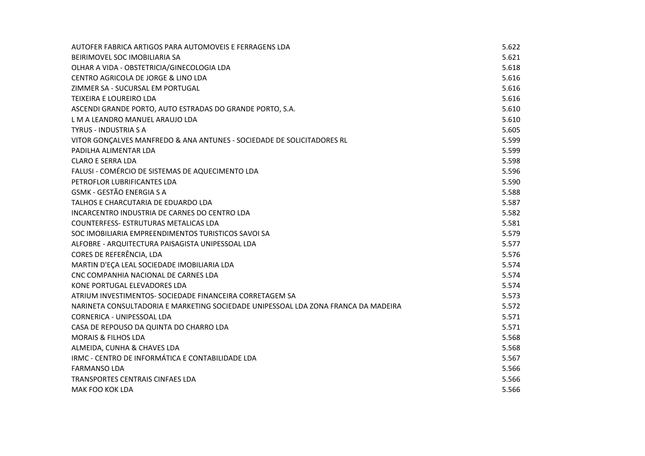| AUTOFER FABRICA ARTIGOS PARA AUTOMOVEIS E FERRAGENS LDA                            | 5.622 |
|------------------------------------------------------------------------------------|-------|
| BEIRIMOVEL SOC IMOBILIARIA SA                                                      | 5.621 |
| OLHAR A VIDA - OBSTETRICIA/GINECOLOGIA LDA                                         | 5.618 |
| CENTRO AGRICOLA DE JORGE & LINO LDA                                                | 5.616 |
| ZIMMER SA - SUCURSAL EM PORTUGAL                                                   | 5.616 |
| TEIXEIRA E LOUREIRO LDA                                                            | 5.616 |
| ASCENDI GRANDE PORTO, AUTO ESTRADAS DO GRANDE PORTO, S.A.                          | 5.610 |
| L M A LEANDRO MANUEL ARAUJO LDA                                                    | 5.610 |
| <b>TYRUS - INDUSTRIA S A</b>                                                       | 5.605 |
| VITOR GONÇALVES MANFREDO & ANA ANTUNES - SOCIEDADE DE SOLICITADORES RL             | 5.599 |
| PADILHA ALIMENTAR LDA                                                              | 5.599 |
| <b>CLARO E SERRA LDA</b>                                                           | 5.598 |
| FALUSI - COMÉRCIO DE SISTEMAS DE AQUECIMENTO LDA                                   | 5.596 |
| PETROFLOR LUBRIFICANTES LDA                                                        | 5.590 |
| <b>GSMK - GESTÃO ENERGIA S A</b>                                                   | 5.588 |
| TALHOS E CHARCUTARIA DE EDUARDO LDA                                                | 5.587 |
| INCARCENTRO INDUSTRIA DE CARNES DO CENTRO LDA                                      | 5.582 |
| COUNTERFESS- ESTRUTURAS METALICAS LDA                                              | 5.581 |
| SOC IMOBILIARIA EMPREENDIMENTOS TURISTICOS SAVOI SA                                | 5.579 |
| ALFOBRE - ARQUITECTURA PAISAGISTA UNIPESSOAL LDA                                   | 5.577 |
| CORES DE REFERÊNCIA, LDA                                                           | 5.576 |
| MARTIN D'EÇA LEAL SOCIEDADE IMOBILIARIA LDA                                        | 5.574 |
| CNC COMPANHIA NACIONAL DE CARNES LDA                                               | 5.574 |
| KONE PORTUGAL ELEVADORES LDA                                                       | 5.574 |
| ATRIUM INVESTIMENTOS- SOCIEDADE FINANCEIRA CORRETAGEM SA                           | 5.573 |
| NARINETA CONSULTADORIA E MARKETING SOCIEDADE UNIPESSOAL LDA ZONA FRANCA DA MADEIRA | 5.572 |
| <b>CORNERICA - UNIPESSOAL LDA</b>                                                  | 5.571 |
| CASA DE REPOUSO DA QUINTA DO CHARRO LDA                                            | 5.571 |
| <b>MORAIS &amp; FILHOS LDA</b>                                                     | 5.568 |
| ALMEIDA, CUNHA & CHAVES LDA                                                        | 5.568 |
| IRMC - CENTRO DE INFORMÁTICA E CONTABILIDADE LDA                                   | 5.567 |
| <b>FARMANSO LDA</b>                                                                | 5.566 |
| <b>TRANSPORTES CENTRAIS CINFAES LDA</b>                                            | 5.566 |
| MAK FOO KOK LDA                                                                    | 5.566 |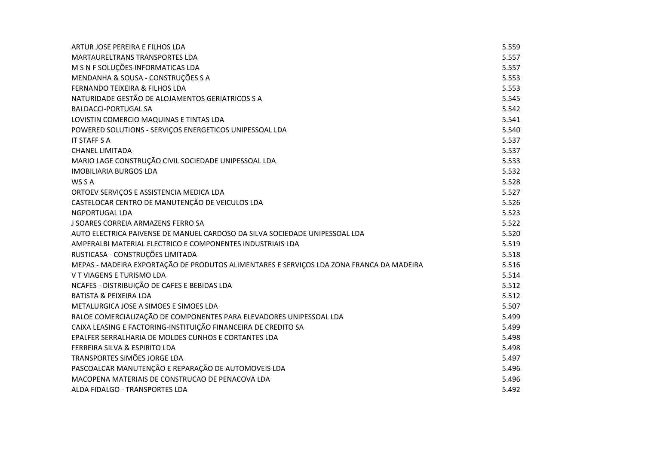| ARTUR JOSE PEREIRA E FILHOS LDA                                                          | 5.559 |
|------------------------------------------------------------------------------------------|-------|
| <b>MARTAURELTRANS TRANSPORTES LDA</b>                                                    | 5.557 |
| M S N F SOLUÇÕES INFORMATICAS LDA                                                        | 5.557 |
| MENDANHA & SOUSA - CONSTRUÇÕES S A                                                       | 5.553 |
| FERNANDO TEIXEIRA & FILHOS LDA                                                           | 5.553 |
| NATURIDADE GESTÃO DE ALOJAMENTOS GERIATRICOS S A                                         | 5.545 |
| <b>BALDACCI-PORTUGAL SA</b>                                                              | 5.542 |
| LOVISTIN COMERCIO MAQUINAS E TINTAS LDA                                                  | 5.541 |
| POWERED SOLUTIONS - SERVIÇOS ENERGETICOS UNIPESSOAL LDA                                  | 5.540 |
| <b>IT STAFF S A</b>                                                                      | 5.537 |
| <b>CHANEL LIMITADA</b>                                                                   | 5.537 |
| MARIO LAGE CONSTRUÇÃO CIVIL SOCIEDADE UNIPESSOAL LDA                                     | 5.533 |
| <b>IMOBILIARIA BURGOS LDA</b>                                                            | 5.532 |
| WS S A                                                                                   | 5.528 |
| ORTOEV SERVIÇOS E ASSISTENCIA MEDICA LDA                                                 | 5.527 |
| CASTELOCAR CENTRO DE MANUTENÇÃO DE VEICULOS LDA                                          | 5.526 |
| <b>NGPORTUGAL LDA</b>                                                                    | 5.523 |
| J SOARES CORREIA ARMAZENS FERRO SA                                                       | 5.522 |
| AUTO ELECTRICA PAIVENSE DE MANUEL CARDOSO DA SILVA SOCIEDADE UNIPESSOAL LDA              | 5.520 |
| AMPERALBI MATERIAL ELECTRICO E COMPONENTES INDUSTRIAIS LDA                               | 5.519 |
| RUSTICASA - CONSTRUÇÕES LIMITADA                                                         | 5.518 |
| MEPAS - MADEIRA EXPORTAÇÃO DE PRODUTOS ALIMENTARES E SERVIÇOS LDA ZONA FRANCA DA MADEIRA | 5.516 |
| V T VIAGENS E TURISMO LDA                                                                | 5.514 |
| NCAFES - DISTRIBUIÇÃO DE CAFES E BEBIDAS LDA                                             | 5.512 |
| <b>BATISTA &amp; PEIXEIRA LDA</b>                                                        | 5.512 |
| METALURGICA JOSE A SIMOES E SIMOES LDA                                                   | 5.507 |
| RALOE COMERCIALIZAÇÃO DE COMPONENTES PARA ELEVADORES UNIPESSOAL LDA                      | 5.499 |
| CAIXA LEASING E FACTORING-INSTITUIÇÃO FINANCEIRA DE CREDITO SA                           | 5.499 |
| EPALFER SERRALHARIA DE MOLDES CUNHOS E CORTANTES LDA                                     | 5.498 |
| FERREIRA SILVA & ESPIRITO LDA                                                            | 5.498 |
| TRANSPORTES SIMÕES JORGE LDA                                                             | 5.497 |
| PASCOALCAR MANUTENÇÃO E REPARAÇÃO DE AUTOMOVEIS LDA                                      | 5.496 |
| MACOPENA MATERIAIS DE CONSTRUCAO DE PENACOVA LDA                                         | 5.496 |
| ALDA FIDALGO - TRANSPORTES LDA                                                           | 5.492 |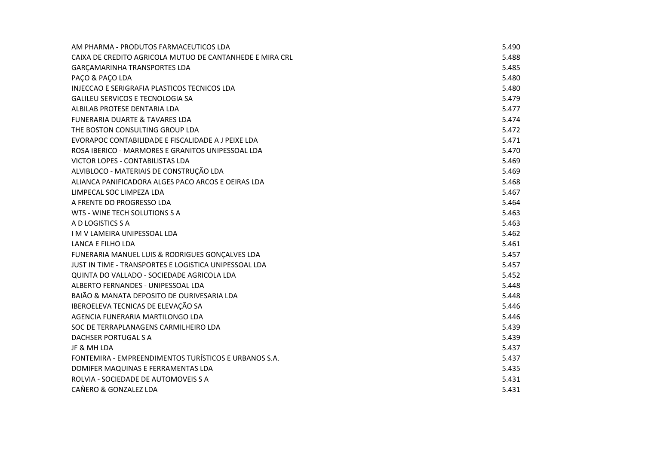| AM PHARMA - PRODUTOS FARMACEUTICOS LDA                   | 5.490 |
|----------------------------------------------------------|-------|
| CAIXA DE CREDITO AGRICOLA MUTUO DE CANTANHEDE E MIRA CRL | 5.488 |
| <b>GARCAMARINHA TRANSPORTES LDA</b>                      | 5.485 |
| PAÇO & PAÇO LDA                                          | 5.480 |
| INJECCAO E SERIGRAFIA PLASTICOS TECNICOS LDA             | 5.480 |
| <b>GALILEU SERVICOS E TECNOLOGIA SA</b>                  | 5.479 |
| ALBILAB PROTESE DENTARIA LDA                             | 5.477 |
| <b>FUNERARIA DUARTE &amp; TAVARES LDA</b>                | 5.474 |
| THE BOSTON CONSULTING GROUP LDA                          | 5.472 |
| EVORAPOC CONTABILIDADE E FISCALIDADE A J PEIXE LDA       | 5.471 |
| ROSA IBERICO - MARMORES E GRANITOS UNIPESSOAL LDA        | 5.470 |
| VICTOR LOPES - CONTABILISTAS LDA                         | 5.469 |
| ALVIBLOCO - MATERIAIS DE CONSTRUÇÃO LDA                  | 5.469 |
| ALIANCA PANIFICADORA ALGES PACO ARCOS E OEIRAS LDA       | 5.468 |
| LIMPECAL SOC LIMPEZA LDA                                 | 5.467 |
| A FRENTE DO PROGRESSO LDA                                | 5.464 |
| WTS - WINE TECH SOLUTIONS S A                            | 5.463 |
| A D LOGISTICS S A                                        | 5.463 |
| I M V LAMEIRA UNIPESSOAL LDA                             | 5.462 |
| LANCA E FILHO LDA                                        | 5.461 |
| FUNERARIA MANUEL LUIS & RODRIGUES GONÇALVES LDA          | 5.457 |
| JUST IN TIME - TRANSPORTES E LOGISTICA UNIPESSOAL LDA    | 5.457 |
| QUINTA DO VALLADO - SOCIEDADE AGRICOLA LDA               | 5.452 |
| ALBERTO FERNANDES - UNIPESSOAL LDA                       | 5.448 |
| BAIÃO & MANATA DEPOSITO DE OURIVESARIA LDA               | 5.448 |
| IBEROELEVA TECNICAS DE ELEVAÇÃO SA                       | 5.446 |
| AGENCIA FUNERARIA MARTILONGO LDA                         | 5.446 |
| SOC DE TERRAPLANAGENS CARMILHEIRO LDA                    | 5.439 |
| DACHSER PORTUGAL S A                                     | 5.439 |
| JF & MH LDA                                              | 5.437 |
| FONTEMIRA - EMPREENDIMENTOS TURÍSTICOS E URBANOS S.A.    | 5.437 |
| DOMIFER MAQUINAS E FERRAMENTAS LDA                       | 5.435 |
| ROLVIA - SOCIEDADE DE AUTOMOVEIS S A                     | 5.431 |
| CAÑERO & GONZALEZ LDA                                    | 5.431 |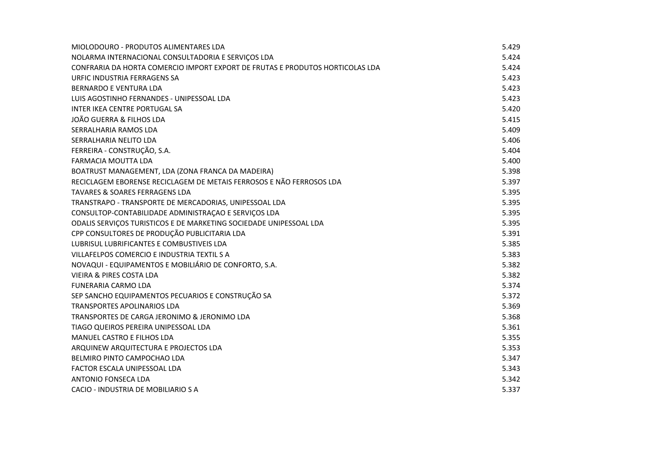| MIOLODOURO - PRODUTOS ALIMENTARES LDA                                         | 5.429 |
|-------------------------------------------------------------------------------|-------|
| NOLARMA INTERNACIONAL CONSULTADORIA E SERVIÇOS LDA                            | 5.424 |
| CONFRARIA DA HORTA COMERCIO IMPORT EXPORT DE FRUTAS E PRODUTOS HORTICOLAS LDA | 5.424 |
| URFIC INDUSTRIA FERRAGENS SA                                                  | 5.423 |
| <b>BERNARDO E VENTURA LDA</b>                                                 | 5.423 |
| LUIS AGOSTINHO FERNANDES - UNIPESSOAL LDA                                     | 5.423 |
| INTER IKEA CENTRE PORTUGAL SA                                                 | 5.420 |
| JOÃO GUERRA & FILHOS LDA                                                      | 5.415 |
| SERRALHARIA RAMOS LDA                                                         | 5.409 |
| SERRALHARIA NELITO LDA                                                        | 5.406 |
| FERREIRA - CONSTRUÇÃO, S.A.                                                   | 5.404 |
| FARMACIA MOUTTA LDA                                                           | 5.400 |
| BOATRUST MANAGEMENT, LDA (ZONA FRANCA DA MADEIRA)                             | 5.398 |
| RECICLAGEM EBORENSE RECICLAGEM DE METAIS FERROSOS E NÃO FERROSOS LDA          | 5.397 |
| <b>TAVARES &amp; SOARES FERRAGENS LDA</b>                                     | 5.395 |
| TRANSTRAPO - TRANSPORTE DE MERCADORIAS, UNIPESSOAL LDA                        | 5.395 |
| CONSULTOP-CONTABILIDADE ADMINISTRAÇÃO E SERVIÇOS LDA                          | 5.395 |
| ODALIS SERVIÇOS TURISTICOS E DE MARKETING SOCIEDADE UNIPESSOAL LDA            | 5.395 |
| CPP CONSULTORES DE PRODUÇÃO PUBLICITARIA LDA                                  | 5.391 |
| LUBRISUL LUBRIFICANTES E COMBUSTIVEIS LDA                                     | 5.385 |
| VILLAFELPOS COMERCIO E INDUSTRIA TEXTIL S A                                   | 5.383 |
| NOVAQUI - EQUIPAMENTOS E MOBILIÁRIO DE CONFORTO, S.A.                         | 5.382 |
| <b>VIEIRA &amp; PIRES COSTA LDA</b>                                           | 5.382 |
| <b>FUNERARIA CARMO LDA</b>                                                    | 5.374 |
| SEP SANCHO EQUIPAMENTOS PECUARIOS E CONSTRUÇÃO SA                             | 5.372 |
| <b>TRANSPORTES APOLINARIOS LDA</b>                                            | 5.369 |
| TRANSPORTES DE CARGA JERONIMO & JERONIMO LDA                                  | 5.368 |
| TIAGO QUEIROS PEREIRA UNIPESSOAL LDA                                          | 5.361 |
| MANUEL CASTRO E FILHOS LDA                                                    | 5.355 |
| ARQUINEW ARQUITECTURA E PROJECTOS LDA                                         | 5.353 |
| BELMIRO PINTO CAMPOCHAO LDA                                                   | 5.347 |
| FACTOR ESCALA UNIPESSOAL LDA                                                  | 5.343 |
| ANTONIO FONSECA LDA                                                           | 5.342 |
| CACIO - INDUSTRIA DE MOBILIARIO SA                                            | 5.337 |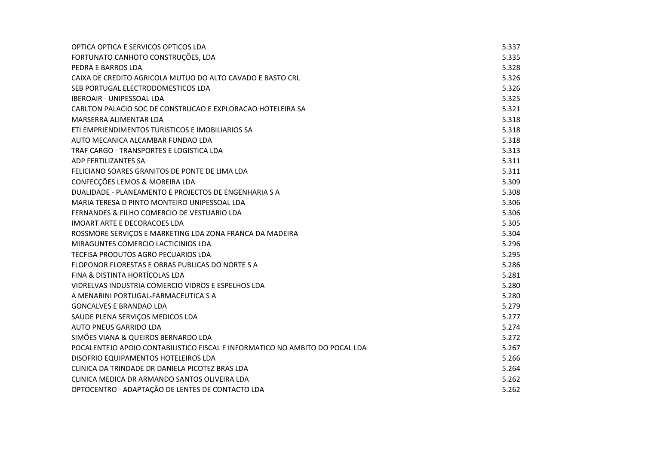| OPTICA OPTICA E SERVICOS OPTICOS LDA                                         | 5.337 |
|------------------------------------------------------------------------------|-------|
| FORTUNATO CANHOTO CONSTRUÇÕES, LDA                                           | 5.335 |
| PEDRA E BARROS LDA                                                           | 5.328 |
| CAIXA DE CREDITO AGRICOLA MUTUO DO ALTO CAVADO E BASTO CRL                   | 5.326 |
| SEB PORTUGAL ELECTRODOMESTICOS LDA                                           | 5.326 |
| <b>IBEROAIR - UNIPESSOAL LDA</b>                                             | 5.325 |
| CARLTON PALACIO SOC DE CONSTRUCAO E EXPLORACAO HOTELEIRA SA                  | 5.321 |
| MARSERRA ALIMENTAR LDA                                                       | 5.318 |
| ETI EMPRIENDIMENTOS TURISTICOS E IMOBILIARIOS SA                             | 5.318 |
| AUTO MECANICA ALCAMBAR FUNDAO LDA                                            | 5.318 |
| TRAF CARGO - TRANSPORTES E LOGISTICA LDA                                     | 5.313 |
| ADP FERTILIZANTES SA                                                         | 5.311 |
| FELICIANO SOARES GRANITOS DE PONTE DE LIMA LDA                               | 5.311 |
| CONFECÇÕES LEMOS & MOREIRA LDA                                               | 5.309 |
| DUALIDADE - PLANEAMENTO E PROJECTOS DE ENGENHARIA S A                        | 5.308 |
| MARIA TERESA D PINTO MONTEIRO UNIPESSOAL LDA                                 | 5.306 |
| FERNANDES & FILHO COMERCIO DE VESTUARIO LDA                                  | 5.306 |
| IMOART ARTE E DECORACOES LDA                                                 | 5.305 |
| ROSSMORE SERVIÇOS E MARKETING LDA ZONA FRANCA DA MADEIRA                     | 5.304 |
| MIRAGUNTES COMERCIO LACTICINIOS LDA                                          | 5.296 |
| TECFISA PRODUTOS AGRO PECUARIOS LDA                                          | 5.295 |
| FLOPONOR FLORESTAS E OBRAS PUBLICAS DO NORTE S A                             | 5.286 |
| FINA & DISTINTA HORTÍCOLAS LDA                                               | 5.281 |
| VIDRELVAS INDUSTRIA COMERCIO VIDROS E ESPELHOS LDA                           | 5.280 |
| A MENARINI PORTUGAL-FARMACEUTICA S A                                         | 5.280 |
| <b>GONCALVES E BRANDAO LDA</b>                                               | 5.279 |
| SAUDE PLENA SERVIÇOS MEDICOS LDA                                             | 5.277 |
| AUTO PNEUS GARRIDO LDA                                                       | 5.274 |
| SIMÕES VIANA & QUEIROS BERNARDO LDA                                          | 5.272 |
| POCALENTEJO APOIO CONTABILISTICO FISCAL E INFORMATICO NO AMBITO DO POCAL LDA | 5.267 |
| DISOFRIO EQUIPAMENTOS HOTELEIROS LDA                                         | 5.266 |
| CLINICA DA TRINDADE DR DANIELA PICOTEZ BRAS LDA                              | 5.264 |
| CLINICA MEDICA DR ARMANDO SANTOS OLIVEIRA LDA                                | 5.262 |
| OPTOCENTRO - ADAPTAÇÃO DE LENTES DE CONTACTO LDA                             | 5.262 |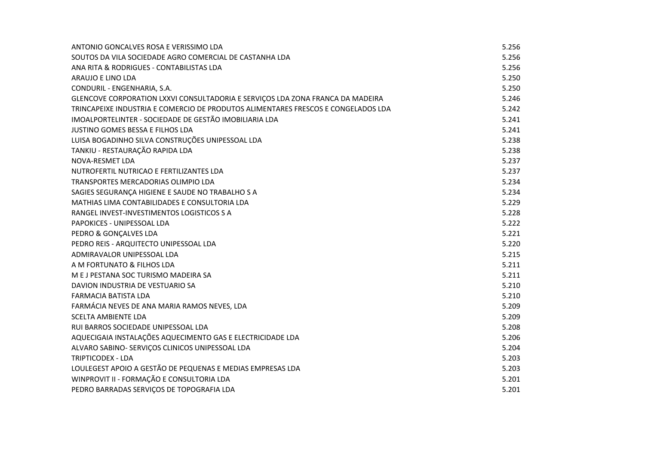| ANTONIO GONCALVES ROSA E VERISSIMO LDA                                            | 5.256 |
|-----------------------------------------------------------------------------------|-------|
| SOUTOS DA VILA SOCIEDADE AGRO COMERCIAL DE CASTANHA LDA                           | 5.256 |
| ANA RITA & RODRIGUES - CONTABILISTAS LDA                                          | 5.256 |
| ARAUJO E LINO LDA                                                                 | 5.250 |
| CONDURIL - ENGENHARIA, S.A.                                                       | 5.250 |
| GLENCOVE CORPORATION LXXVI CONSULTADORIA E SERVIÇOS LDA ZONA FRANCA DA MADEIRA    | 5.246 |
| TRINCAPEIXE INDUSTRIA E COMERCIO DE PRODUTOS ALIMENTARES FRESCOS E CONGELADOS LDA | 5.242 |
| IMOALPORTELINTER - SOCIEDADE DE GESTÃO IMOBILIARIA LDA                            | 5.241 |
| JUSTINO GOMES BESSA E FILHOS LDA                                                  | 5.241 |
| LUISA BOGADINHO SILVA CONSTRUÇÕES UNIPESSOAL LDA                                  | 5.238 |
| TANKIU - RESTAURAÇÃO RAPIDA LDA                                                   | 5.238 |
| NOVA-RESMET LDA                                                                   | 5.237 |
| NUTROFERTIL NUTRICAO E FERTILIZANTES LDA                                          | 5.237 |
| TRANSPORTES MERCADORIAS OLIMPIO LDA                                               | 5.234 |
| SAGIES SEGURANÇA HIGIENE E SAUDE NO TRABALHO S A                                  | 5.234 |
| MATHIAS LIMA CONTABILIDADES E CONSULTORIA LDA                                     | 5.229 |
| RANGEL INVEST-INVESTIMENTOS LOGISTICOS S A                                        | 5.228 |
| PAPOKICES - UNIPESSOAL LDA                                                        | 5.222 |
| PEDRO & GONÇALVES LDA                                                             | 5.221 |
| PEDRO REIS - ARQUITECTO UNIPESSOAL LDA                                            | 5.220 |
| ADMIRAVALOR UNIPESSOAL LDA                                                        | 5.215 |
| A M FORTUNATO & FILHOS LDA                                                        | 5.211 |
| M E J PESTANA SOC TURISMO MADEIRA SA                                              | 5.211 |
| DAVION INDUSTRIA DE VESTUARIO SA                                                  | 5.210 |
| <b>FARMACIA BATISTA LDA</b>                                                       | 5.210 |
| FARMÁCIA NEVES DE ANA MARIA RAMOS NEVES, LDA                                      | 5.209 |
| <b>SCELTA AMBIENTE LDA</b>                                                        | 5.209 |
| RUI BARROS SOCIEDADE UNIPESSOAL LDA                                               | 5.208 |
| AQUECIGAIA INSTALAÇÕES AQUECIMENTO GAS E ELECTRICIDADE LDA                        | 5.206 |
| ALVARO SABINO- SERVIÇOS CLINICOS UNIPESSOAL LDA                                   | 5.204 |
| <b>TRIPTICODEX - LDA</b>                                                          | 5.203 |
| LOULEGEST APOIO A GESTÃO DE PEQUENAS E MEDIAS EMPRESAS LDA                        | 5.203 |
| WINPROVIT II - FORMAÇÃO E CONSULTORIA LDA                                         | 5.201 |
| PEDRO BARRADAS SERVIÇOS DE TOPOGRAFIA LDA                                         | 5.201 |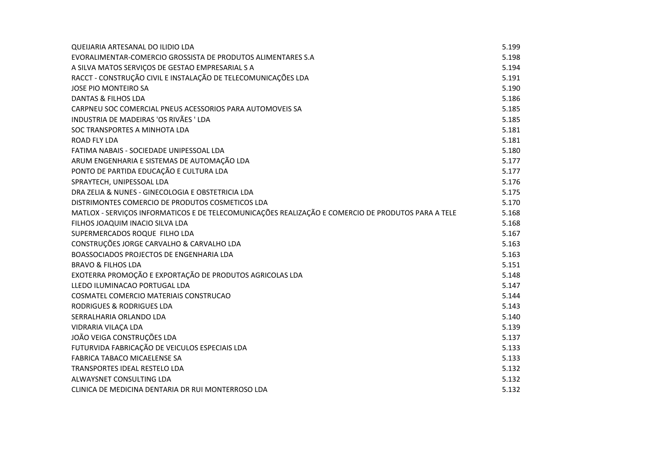| QUEIJARIA ARTESANAL DO ILIDIO LDA                                                                  | 5.199 |
|----------------------------------------------------------------------------------------------------|-------|
| EVORALIMENTAR-COMERCIO GROSSISTA DE PRODUTOS ALIMENTARES S.A                                       | 5.198 |
| A SILVA MATOS SERVIÇOS DE GESTAO EMPRESARIAL S A                                                   | 5.194 |
| RACCT - CONSTRUÇÃO CIVIL E INSTALAÇÃO DE TELECOMUNICAÇÕES LDA                                      | 5.191 |
| JOSE PIO MONTEIRO SA                                                                               | 5.190 |
| DANTAS & FILHOS LDA                                                                                | 5.186 |
| CARPNEU SOC COMERCIAL PNEUS ACESSORIOS PARA AUTOMOVEIS SA                                          | 5.185 |
| INDUSTRIA DE MADEIRAS 'OS RIVÃES ' LDA                                                             | 5.185 |
| SOC TRANSPORTES A MINHOTA LDA                                                                      | 5.181 |
| <b>ROAD FLY LDA</b>                                                                                | 5.181 |
| FATIMA NABAIS - SOCIEDADE UNIPESSOAL LDA                                                           | 5.180 |
| ARUM ENGENHARIA E SISTEMAS DE AUTOMAÇÃO LDA                                                        | 5.177 |
| PONTO DE PARTIDA EDUCAÇÃO E CULTURA LDA                                                            | 5.177 |
| SPRAYTECH, UNIPESSOAL LDA                                                                          | 5.176 |
| DRA ZELIA & NUNES - GINECOLOGIA E OBSTETRICIA LDA                                                  | 5.175 |
| DISTRIMONTES COMERCIO DE PRODUTOS COSMETICOS LDA                                                   | 5.170 |
| MATLOX - SERVIÇOS INFORMATICOS E DE TELECOMUNICAÇÕES REALIZAÇÃO E COMERCIO DE PRODUTOS PARA A TELE | 5.168 |
| FILHOS JOAQUIM INACIO SILVA LDA                                                                    | 5.168 |
| SUPERMERCADOS ROQUE FILHO LDA                                                                      | 5.167 |
| CONSTRUÇÕES JORGE CARVALHO & CARVALHO LDA                                                          | 5.163 |
| BOASSOCIADOS PROJECTOS DE ENGENHARIA LDA                                                           | 5.163 |
| <b>BRAVO &amp; FILHOS LDA</b>                                                                      | 5.151 |
| EXOTERRA PROMOÇÃO E EXPORTAÇÃO DE PRODUTOS AGRICOLAS LDA                                           | 5.148 |
| LLEDO ILUMINACAO PORTUGAL LDA                                                                      | 5.147 |
| COSMATEL COMERCIO MATERIAIS CONSTRUCAO                                                             | 5.144 |
| RODRIGUES & RODRIGUES LDA                                                                          | 5.143 |
| SERRALHARIA ORLANDO LDA                                                                            | 5.140 |
| VIDRARIA VILAÇA LDA                                                                                | 5.139 |
| JOÃO VEIGA CONSTRUÇÕES LDA                                                                         | 5.137 |
| FUTURVIDA FABRICAÇÃO DE VEICULOS ESPECIAIS LDA                                                     | 5.133 |
| FABRICA TABACO MICAELENSE SA                                                                       | 5.133 |
| <b>TRANSPORTES IDEAL RESTELO LDA</b>                                                               | 5.132 |
| ALWAYSNET CONSULTING LDA                                                                           | 5.132 |
| CLINICA DE MEDICINA DENTARIA DR RUI MONTERROSO LDA                                                 | 5.132 |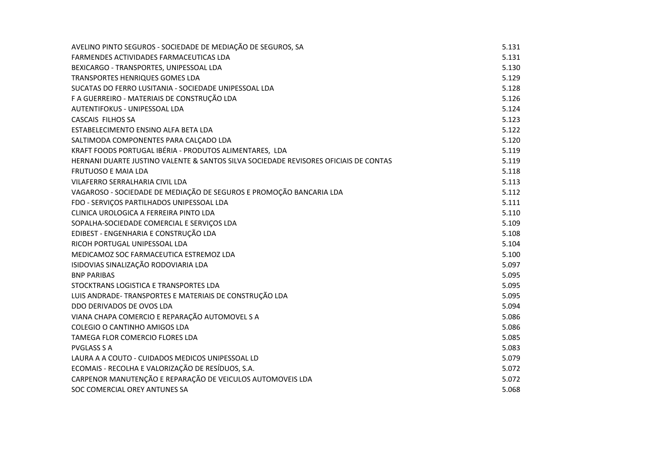| AVELINO PINTO SEGUROS - SOCIEDADE DE MEDIAÇÃO DE SEGUROS, SA                         | 5.131 |
|--------------------------------------------------------------------------------------|-------|
| FARMENDES ACTIVIDADES FARMACEUTICAS LDA                                              | 5.131 |
| BEXICARGO - TRANSPORTES, UNIPESSOAL LDA                                              | 5.130 |
| TRANSPORTES HENRIQUES GOMES LDA                                                      | 5.129 |
| SUCATAS DO FERRO LUSITANIA - SOCIEDADE UNIPESSOAL LDA                                | 5.128 |
| F A GUERREIRO - MATERIAIS DE CONSTRUÇÃO LDA                                          | 5.126 |
| AUTENTIFOKUS - UNIPESSOAL LDA                                                        | 5.124 |
| <b>CASCAIS FILHOS SA</b>                                                             | 5.123 |
| ESTABELECIMENTO ENSINO ALFA BETA LDA                                                 | 5.122 |
| SALTIMODA COMPONENTES PARA CALÇADO LDA                                               | 5.120 |
| KRAFT FOODS PORTUGAL IBÉRIA - PRODUTOS ALIMENTARES, LDA                              | 5.119 |
| HERNANI DUARTE JUSTINO VALENTE & SANTOS SILVA SOCIEDADE REVISORES OFICIAIS DE CONTAS | 5.119 |
| <b>FRUTUOSO E MAIA LDA</b>                                                           | 5.118 |
| VILAFERRO SERRALHARIA CIVIL LDA                                                      | 5.113 |
| VAGAROSO - SOCIEDADE DE MEDIAÇÃO DE SEGUROS E PROMOÇÃO BANCARIA LDA                  | 5.112 |
| FDO - SERVIÇOS PARTILHADOS UNIPESSOAL LDA                                            | 5.111 |
| CLINICA UROLOGICA A FERREIRA PINTO LDA                                               | 5.110 |
| SOPALHA-SOCIEDADE COMERCIAL E SERVIÇOS LDA                                           | 5.109 |
| EDIBEST - ENGENHARIA E CONSTRUÇÃO LDA                                                | 5.108 |
| RICOH PORTUGAL UNIPESSOAL LDA                                                        | 5.104 |
| MEDICAMOZ SOC FARMACEUTICA ESTREMOZ LDA                                              | 5.100 |
| ISIDOVIAS SINALIZAÇÃO RODOVIARIA LDA                                                 | 5.097 |
| <b>BNP PARIBAS</b>                                                                   | 5.095 |
| STOCKTRANS LOGISTICA E TRANSPORTES LDA                                               | 5.095 |
| LUIS ANDRADE- TRANSPORTES E MATERIAIS DE CONSTRUÇÃO LDA                              | 5.095 |
| DDO DERIVADOS DE OVOS LDA                                                            | 5.094 |
| VIANA CHAPA COMERCIO E REPARAÇÃO AUTOMOVEL S A                                       | 5.086 |
| COLEGIO O CANTINHO AMIGOS LDA                                                        | 5.086 |
| TAMEGA FLOR COMERCIO FLORES LDA                                                      | 5.085 |
| <b>PVGLASS S A</b>                                                                   | 5.083 |
| LAURA A A COUTO - CUIDADOS MEDICOS UNIPESSOAL LD                                     | 5.079 |
| ECOMAIS - RECOLHA E VALORIZAÇÃO DE RESÍDUOS, S.A.                                    | 5.072 |
| CARPENOR MANUTENÇÃO E REPARAÇÃO DE VEICULOS AUTOMOVEIS LDA                           | 5.072 |
| SOC COMERCIAL OREY ANTUNES SA                                                        | 5.068 |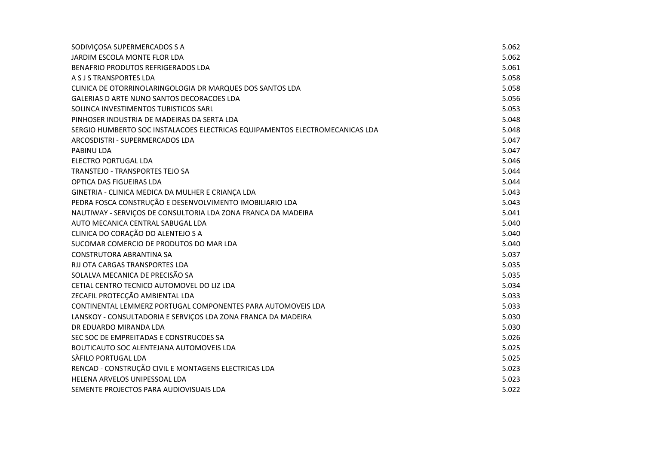| SODIVIÇOSA SUPERMERCADOS S A                                                 | 5.062 |
|------------------------------------------------------------------------------|-------|
| JARDIM ESCOLA MONTE FLOR LDA                                                 | 5.062 |
| BENAFRIO PRODUTOS REFRIGERADOS LDA                                           | 5.061 |
| A S J S TRANSPORTES LDA                                                      | 5.058 |
| CLINICA DE OTORRINOLARINGOLOGIA DR MARQUES DOS SANTOS LDA                    | 5.058 |
| GALERIAS D ARTE NUNO SANTOS DECORACOES LDA                                   | 5.056 |
| SOLINCA INVESTIMENTOS TURISTICOS SARL                                        | 5.053 |
| PINHOSER INDUSTRIA DE MADEIRAS DA SERTA LDA                                  | 5.048 |
| SERGIO HUMBERTO SOC INSTALACOES ELECTRICAS EQUIPAMENTOS ELECTROMECANICAS LDA | 5.048 |
| ARCOSDISTRI - SUPERMERCADOS LDA                                              | 5.047 |
| PABINU LDA                                                                   | 5.047 |
| ELECTRO PORTUGAL LDA                                                         | 5.046 |
| <b>TRANSTEJO - TRANSPORTES TEJO SA</b>                                       | 5.044 |
| OPTICA DAS FIGUEIRAS LDA                                                     | 5.044 |
| GINETRIA - CLINICA MEDICA DA MULHER E CRIANÇA LDA                            | 5.043 |
| PEDRA FOSCA CONSTRUÇÃO E DESENVOLVIMENTO IMOBILIARIO LDA                     | 5.043 |
| NAUTIWAY - SERVIÇOS DE CONSULTORIA LDA ZONA FRANCA DA MADEIRA                | 5.041 |
| AUTO MECANICA CENTRAL SABUGAL LDA                                            | 5.040 |
| CLINICA DO CORAÇÃO DO ALENTEJO S A                                           | 5.040 |
| SUCOMAR COMERCIO DE PRODUTOS DO MAR LDA                                      | 5.040 |
| <b>CONSTRUTORA ABRANTINA SA</b>                                              | 5.037 |
| RJJ OTA CARGAS TRANSPORTES LDA                                               | 5.035 |
| SOLALVA MECANICA DE PRECISÃO SA                                              | 5.035 |
| CETIAL CENTRO TECNICO AUTOMOVEL DO LIZ LDA                                   | 5.034 |
| ZECAFIL PROTECÇÃO AMBIENTAL LDA                                              | 5.033 |
| CONTINENTAL LEMMERZ PORTUGAL COMPONENTES PARA AUTOMOVEIS LDA                 | 5.033 |
| LANSKOY - CONSULTADORIA E SERVIÇOS LDA ZONA FRANCA DA MADEIRA                | 5.030 |
| DR EDUARDO MIRANDA LDA                                                       | 5.030 |
| SEC SOC DE EMPREITADAS E CONSTRUCOES SA                                      | 5.026 |
| BOUTICAUTO SOC ALENTEJANA AUTOMOVEIS LDA                                     | 5.025 |
| SÀFILO PORTUGAL LDA                                                          | 5.025 |
| RENCAD - CONSTRUÇÃO CIVIL E MONTAGENS ELECTRICAS LDA                         | 5.023 |
| HELENA ARVELOS UNIPESSOAL LDA                                                | 5.023 |
| SEMENTE PROJECTOS PARA AUDIOVISUAIS LDA                                      | 5.022 |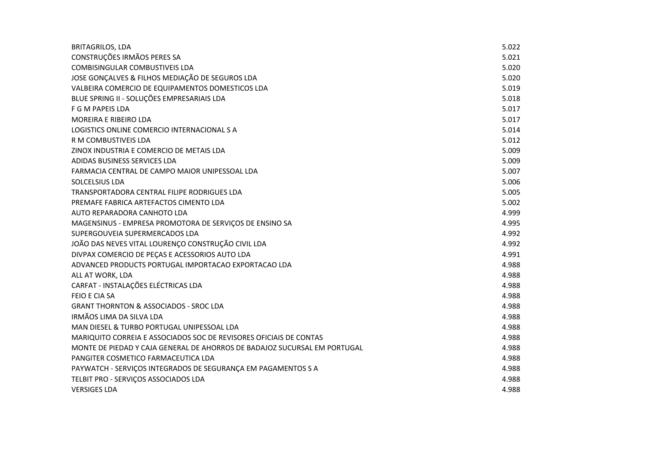| <b>BRITAGRILOS, LDA</b>                                                   | 5.022 |
|---------------------------------------------------------------------------|-------|
| CONSTRUÇÕES IRMÃOS PERES SA                                               | 5.021 |
| <b>COMBISINGULAR COMBUSTIVEIS LDA</b>                                     | 5.020 |
| JOSE GONÇALVES & FILHOS MEDIAÇÃO DE SEGUROS LDA                           | 5.020 |
| VALBEIRA COMERCIO DE EQUIPAMENTOS DOMESTICOS LDA                          | 5.019 |
| BLUE SPRING II - SOLUÇÕES EMPRESARIAIS LDA                                | 5.018 |
| F G M PAPEIS LDA                                                          | 5.017 |
| <b>MOREIRA E RIBEIRO LDA</b>                                              | 5.017 |
| LOGISTICS ONLINE COMERCIO INTERNACIONAL S A                               | 5.014 |
| R M COMBUSTIVEIS LDA                                                      | 5.012 |
| ZINOX INDUSTRIA E COMERCIO DE METAIS LDA                                  | 5.009 |
| ADIDAS BUSINESS SERVICES LDA                                              | 5.009 |
| FARMACIA CENTRAL DE CAMPO MAIOR UNIPESSOAL LDA                            | 5.007 |
| SOLCELSIUS LDA                                                            | 5.006 |
| TRANSPORTADORA CENTRAL FILIPE RODRIGUES LDA                               | 5.005 |
| PREMAFE FABRICA ARTEFACTOS CIMENTO LDA                                    | 5.002 |
| AUTO REPARADORA CANHOTO LDA                                               | 4.999 |
| MAGENSINUS - EMPRESA PROMOTORA DE SERVIÇOS DE ENSINO SA                   | 4.995 |
| SUPERGOUVEIA SUPERMERCADOS LDA                                            | 4.992 |
| JOÃO DAS NEVES VITAL LOURENÇO CONSTRUÇÃO CIVIL LDA                        | 4.992 |
| DIVPAX COMERCIO DE PEÇAS E ACESSORIOS AUTO LDA                            | 4.991 |
| ADVANCED PRODUCTS PORTUGAL IMPORTACAO EXPORTACAO LDA                      | 4.988 |
| ALL AT WORK, LDA                                                          | 4.988 |
| CARFAT - INSTALAÇÕES ELÉCTRICAS LDA                                       | 4.988 |
| <b>FEIO E CIA SA</b>                                                      | 4.988 |
| <b>GRANT THORNTON &amp; ASSOCIADOS - SROC LDA</b>                         | 4.988 |
| IRMÃOS LIMA DA SILVA LDA                                                  | 4.988 |
| MAN DIESEL & TURBO PORTUGAL UNIPESSOAL LDA                                | 4.988 |
| MARIQUITO CORREIA E ASSOCIADOS SOC DE REVISORES OFICIAIS DE CONTAS        | 4.988 |
| MONTE DE PIEDAD Y CAJA GENERAL DE AHORROS DE BADAJOZ SUCURSAL EM PORTUGAL | 4.988 |
| PANGITER COSMETICO FARMACEUTICA LDA                                       | 4.988 |
| PAYWATCH - SERVIÇOS INTEGRADOS DE SEGURANÇA EM PAGAMENTOS S A             | 4.988 |
| TELBIT PRO - SERVIÇOS ASSOCIADOS LDA                                      | 4.988 |
| <b>VERSIGES LDA</b>                                                       | 4.988 |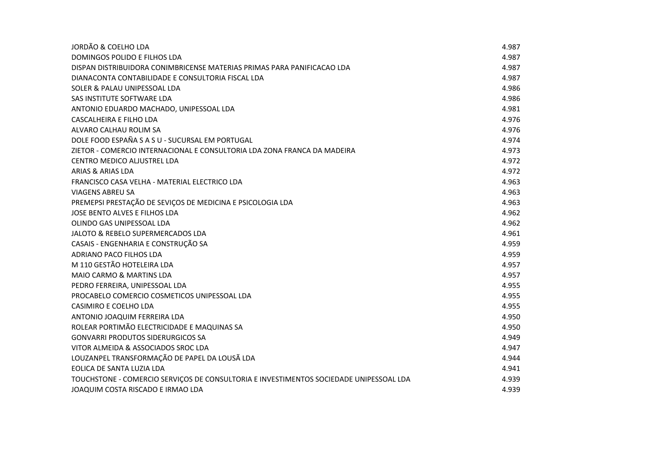| <b>JORDÃO &amp; COELHO LDA</b>                                                         | 4.987 |
|----------------------------------------------------------------------------------------|-------|
| DOMINGOS POLIDO E FILHOS LDA                                                           | 4.987 |
| DISPAN DISTRIBUIDORA CONIMBRICENSE MATERIAS PRIMAS PARA PANIFICACAO LDA                | 4.987 |
| DIANACONTA CONTABILIDADE E CONSULTORIA FISCAL LDA                                      | 4.987 |
| SOLER & PALAU UNIPESSOAL LDA                                                           | 4.986 |
| SAS INSTITUTE SOFTWARE LDA                                                             | 4.986 |
| ANTONIO EDUARDO MACHADO, UNIPESSOAL LDA                                                | 4.981 |
| CASCALHEIRA E FILHO LDA                                                                | 4.976 |
| ALVARO CALHAU ROLIM SA                                                                 | 4.976 |
| DOLE FOOD ESPAÑA S A S U - SUCURSAL EM PORTUGAL                                        | 4.974 |
| ZIETOR - COMERCIO INTERNACIONAL E CONSULTORIA LDA ZONA FRANCA DA MADEIRA               | 4.973 |
| CENTRO MEDICO ALJUSTREL LDA                                                            | 4.972 |
| <b>ARIAS &amp; ARIAS LDA</b>                                                           | 4.972 |
| FRANCISCO CASA VELHA - MATERIAL ELECTRICO LDA                                          | 4.963 |
| <b>VIAGENS ABREU SA</b>                                                                | 4.963 |
| PREMEPSI PRESTAÇÃO DE SEVIÇOS DE MEDICINA E PSICOLOGIA LDA                             | 4.963 |
| JOSE BENTO ALVES E FILHOS LDA                                                          | 4.962 |
| OLINDO GAS UNIPESSOAL LDA                                                              | 4.962 |
| JALOTO & REBELO SUPERMERCADOS LDA                                                      | 4.961 |
| CASAIS - ENGENHARIA E CONSTRUÇÃO SA                                                    | 4.959 |
| ADRIANO PACO FILHOS LDA                                                                | 4.959 |
| M 110 GESTÃO HOTELEIRA LDA                                                             | 4.957 |
| MAIO CARMO & MARTINS LDA                                                               | 4.957 |
| PEDRO FERREIRA, UNIPESSOAL LDA                                                         | 4.955 |
| PROCABELO COMERCIO COSMETICOS UNIPESSOAL LDA                                           | 4.955 |
| <b>CASIMIRO E COELHO LDA</b>                                                           | 4.955 |
| ANTONIO JOAQUIM FERREIRA LDA                                                           | 4.950 |
| ROLEAR PORTIMÃO ELECTRICIDADE E MAQUINAS SA                                            | 4.950 |
| <b>GONVARRI PRODUTOS SIDERURGICOS SA</b>                                               | 4.949 |
| VITOR ALMEIDA & ASSOCIADOS SROC LDA                                                    | 4.947 |
| LOUZANPEL TRANSFORMAÇÃO DE PAPEL DA LOUSÃ LDA                                          | 4.944 |
| EOLICA DE SANTA LUZIA LDA                                                              | 4.941 |
| TOUCHSTONE - COMERCIO SERVIÇOS DE CONSULTORIA E INVESTIMENTOS SOCIEDADE UNIPESSOAL LDA | 4.939 |
| JOAQUIM COSTA RISCADO E IRMAO LDA                                                      | 4.939 |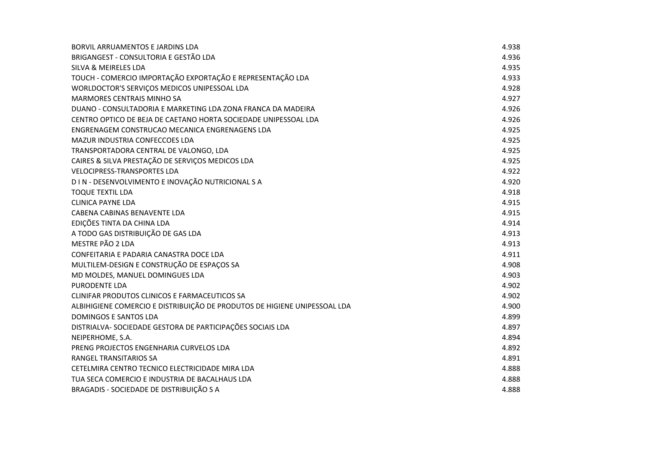| BORVIL ARRUAMENTOS E JARDINS LDA                                          | 4.938 |
|---------------------------------------------------------------------------|-------|
| BRIGANGEST - CONSULTORIA E GESTÃO LDA                                     | 4.936 |
| <b>SILVA &amp; MEIRELES LDA</b>                                           | 4.935 |
| TOUCH - COMERCIO IMPORTAÇÃO EXPORTAÇÃO E REPRESENTAÇÃO LDA                | 4.933 |
| WORLDOCTOR'S SERVIÇOS MEDICOS UNIPESSOAL LDA                              | 4.928 |
| <b>MARMORES CENTRAIS MINHO SA</b>                                         | 4.927 |
| DUANO - CONSULTADORIA E MARKETING LDA ZONA FRANCA DA MADEIRA              | 4.926 |
| CENTRO OPTICO DE BEJA DE CAETANO HORTA SOCIEDADE UNIPESSOAL LDA           | 4.926 |
| ENGRENAGEM CONSTRUCAO MECANICA ENGRENAGENS LDA                            | 4.925 |
| <b>MAZUR INDUSTRIA CONFECCOES LDA</b>                                     | 4.925 |
| TRANSPORTADORA CENTRAL DE VALONGO, LDA                                    | 4.925 |
| CAIRES & SILVA PRESTAÇÃO DE SERVIÇOS MEDICOS LDA                          | 4.925 |
| <b>VELOCIPRESS-TRANSPORTES LDA</b>                                        | 4.922 |
| D I N - DESENVOLVIMENTO E INOVAÇÃO NUTRICIONAL S A                        | 4.920 |
| <b>TOQUE TEXTIL LDA</b>                                                   | 4.918 |
| <b>CLINICA PAYNE LDA</b>                                                  | 4.915 |
| CABENA CABINAS BENAVENTE LDA                                              | 4.915 |
| EDIÇÕES TINTA DA CHINA LDA                                                | 4.914 |
| A TODO GAS DISTRIBUIÇÃO DE GAS LDA                                        | 4.913 |
| MESTRE PÃO 2 LDA                                                          | 4.913 |
| CONFEITARIA E PADARIA CANASTRA DOCE LDA                                   | 4.911 |
| MULTILEM-DESIGN E CONSTRUÇÃO DE ESPAÇOS SA                                | 4.908 |
| MD MOLDES, MANUEL DOMINGUES LDA                                           | 4.903 |
| PURODENTE LDA                                                             | 4.902 |
| CLINIFAR PRODUTOS CLINICOS E FARMACEUTICOS SA                             | 4.902 |
| ALBIHIGIENE COMERCIO E DISTRIBUIÇÃO DE PRODUTOS DE HIGIENE UNIPESSOAL LDA | 4.900 |
| <b>DOMINGOS E SANTOS LDA</b>                                              | 4.899 |
| DISTRIALVA- SOCIEDADE GESTORA DE PARTICIPAÇÕES SOCIAIS LDA                | 4.897 |
| NEIPERHOME, S.A.                                                          | 4.894 |
| PRENG PROJECTOS ENGENHARIA CURVELOS LDA                                   | 4.892 |
| RANGEL TRANSITARIOS SA                                                    | 4.891 |
| CETELMIRA CENTRO TECNICO ELECTRICIDADE MIRA LDA                           | 4.888 |
| TUA SECA COMERCIO E INDUSTRIA DE BACALHAUS LDA                            | 4.888 |
| BRAGADIS - SOCIEDADE DE DISTRIBUIÇÃO S A                                  | 4.888 |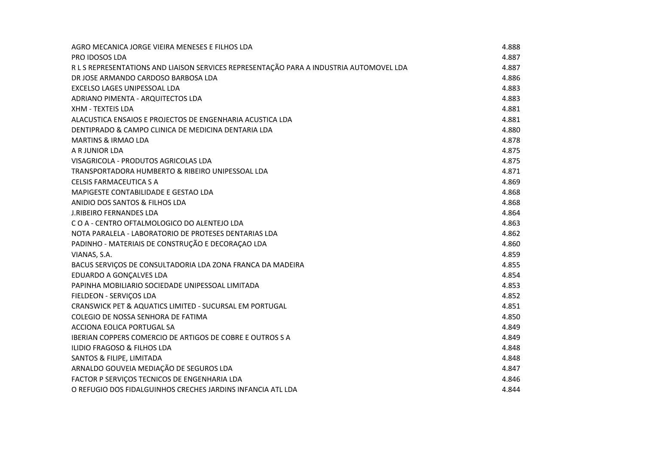| AGRO MECANICA JORGE VIEIRA MENESES E FILHOS LDA                                         | 4.888 |
|-----------------------------------------------------------------------------------------|-------|
| <b>PRO IDOSOS LDA</b>                                                                   | 4.887 |
| R L S REPRESENTATIONS AND LIAISON SERVICES REPRESENTAÇÃO PARA A INDUSTRIA AUTOMOVEL LDA | 4.887 |
| DR JOSE ARMANDO CARDOSO BARBOSA LDA                                                     | 4.886 |
| EXCELSO LAGES UNIPESSOAL LDA                                                            | 4.883 |
| ADRIANO PIMENTA - ARQUITECTOS LDA                                                       | 4.883 |
| XHM - TEXTEIS LDA                                                                       | 4.881 |
| ALACUSTICA ENSAIOS E PROJECTOS DE ENGENHARIA ACUSTICA LDA                               | 4.881 |
| DENTIPRADO & CAMPO CLINICA DE MEDICINA DENTARIA LDA                                     | 4.880 |
| <b>MARTINS &amp; IRMAO LDA</b>                                                          | 4.878 |
| A R JUNIOR LDA                                                                          | 4.875 |
| VISAGRICOLA - PRODUTOS AGRICOLAS LDA                                                    | 4.875 |
| TRANSPORTADORA HUMBERTO & RIBEIRO UNIPESSOAL LDA                                        | 4.871 |
| <b>CELSIS FARMACEUTICA S A</b>                                                          | 4.869 |
| MAPIGESTE CONTABILIDADE E GESTAO LDA                                                    | 4.868 |
| ANIDIO DOS SANTOS & FILHOS LDA                                                          | 4.868 |
| <b>J.RIBEIRO FERNANDES LDA</b>                                                          | 4.864 |
| COA - CENTRO OFTALMOLOGICO DO ALENTEJO LDA                                              | 4.863 |
| NOTA PARALELA - LABORATORIO DE PROTESES DENTARIAS LDA                                   | 4.862 |
| PADINHO - MATERIAIS DE CONSTRUÇÃO E DECORAÇÃO LDA                                       | 4.860 |
| VIANAS, S.A.                                                                            | 4.859 |
| BACUS SERVIÇOS DE CONSULTADORIA LDA ZONA FRANCA DA MADEIRA                              | 4.855 |
| EDUARDO A GONÇALVES LDA                                                                 | 4.854 |
| PAPINHA MOBILIARIO SOCIEDADE UNIPESSOAL LIMITADA                                        | 4.853 |
| FIELDEON - SERVIÇOS LDA                                                                 | 4.852 |
| CRANSWICK PET & AQUATICS LIMITED - SUCURSAL EM PORTUGAL                                 | 4.851 |
| COLEGIO DE NOSSA SENHORA DE FATIMA                                                      | 4.850 |
| ACCIONA EOLICA PORTUGAL SA                                                              | 4.849 |
| IBERIAN COPPERS COMERCIO DE ARTIGOS DE COBRE E OUTROS S A                               | 4.849 |
| ILIDIO FRAGOSO & FILHOS LDA                                                             | 4.848 |
| SANTOS & FILIPE, LIMITADA                                                               | 4.848 |
| ARNALDO GOUVEIA MEDIAÇÃO DE SEGUROS LDA                                                 | 4.847 |
| FACTOR P SERVIÇOS TECNICOS DE ENGENHARIA LDA                                            | 4.846 |
| O REFUGIO DOS FIDALGUINHOS CRECHES JARDINS INFANCIA ATL LDA                             | 4.844 |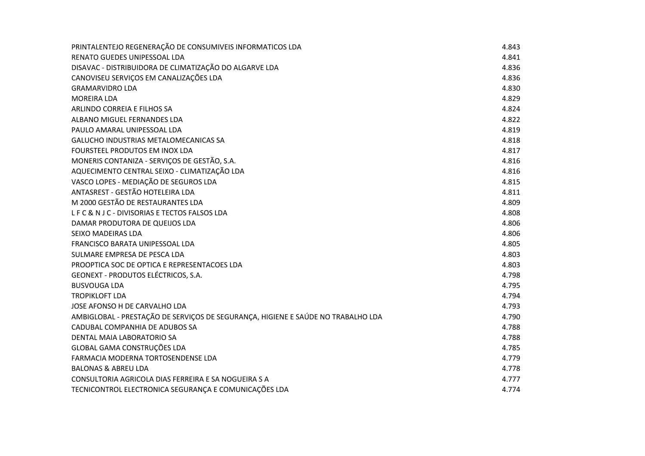| PRINTALENTEJO REGENERAÇÃO DE CONSUMIVEIS INFORMATICOS LDA                        | 4.843 |
|----------------------------------------------------------------------------------|-------|
| RENATO GUEDES UNIPESSOAL LDA                                                     | 4.841 |
| DISAVAC - DISTRIBUIDORA DE CLIMATIZAÇÃO DO ALGARVE LDA                           | 4.836 |
| CANOVISEU SERVIÇOS EM CANALIZAÇÕES LDA                                           | 4.836 |
| <b>GRAMARVIDRO LDA</b>                                                           | 4.830 |
| <b>MOREIRA LDA</b>                                                               | 4.829 |
| ARLINDO CORREIA E FILHOS SA                                                      | 4.824 |
| ALBANO MIGUEL FERNANDES LDA                                                      | 4.822 |
| PAULO AMARAL UNIPESSOAL LDA                                                      | 4.819 |
| GALUCHO INDUSTRIAS METALOMECANICAS SA                                            | 4.818 |
| FOURSTEEL PRODUTOS EM INOX LDA                                                   | 4.817 |
| MONERIS CONTANIZA - SERVIÇOS DE GESTÃO, S.A.                                     | 4.816 |
| AQUECIMENTO CENTRAL SEIXO - CLIMATIZAÇÃO LDA                                     | 4.816 |
| VASCO LOPES - MEDIAÇÃO DE SEGUROS LDA                                            | 4.815 |
| ANTASREST - GESTÃO HOTELEIRA LDA                                                 | 4.811 |
| M 2000 GESTÃO DE RESTAURANTES LDA                                                | 4.809 |
| LFC& NJC - DIVISORIAS E TECTOS FALSOS LDA                                        | 4.808 |
| DAMAR PRODUTORA DE QUEIJOS LDA                                                   | 4.806 |
| SEIXO MADEIRAS LDA                                                               | 4.806 |
| <b>FRANCISCO BARATA UNIPESSOAL LDA</b>                                           | 4.805 |
| SULMARE EMPRESA DE PESCA LDA                                                     | 4.803 |
| PROOPTICA SOC DE OPTICA E REPRESENTACOES LDA                                     | 4.803 |
| GEONEXT - PRODUTOS ELÉCTRICOS, S.A.                                              | 4.798 |
| <b>BUSVOUGA LDA</b>                                                              | 4.795 |
| <b>TROPIKLOFT LDA</b>                                                            | 4.794 |
| JOSE AFONSO H DE CARVALHO LDA                                                    | 4.793 |
| AMBIGLOBAL - PRESTAÇÃO DE SERVIÇOS DE SEGURANÇA, HIGIENE E SAÚDE NO TRABALHO LDA | 4.790 |
| CADUBAL COMPANHIA DE ADUBOS SA                                                   | 4.788 |
| DENTAL MAIA LABORATORIO SA                                                       | 4.788 |
| GLOBAL GAMA CONSTRUÇÕES LDA                                                      | 4.785 |
| FARMACIA MODERNA TORTOSENDENSE LDA                                               | 4.779 |
| <b>BALONAS &amp; ABREU LDA</b>                                                   | 4.778 |
| CONSULTORIA AGRICOLA DIAS FERREIRA E SA NOGUEIRA S A                             | 4.777 |
| TECNICONTROL ELECTRONICA SEGURANÇA E COMUNICAÇÕES LDA                            | 4.774 |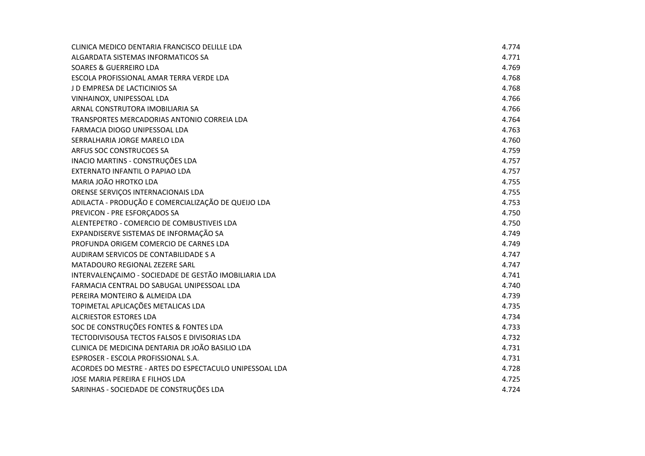| CLINICA MEDICO DENTARIA FRANCISCO DELILLE LDA           | 4.774 |
|---------------------------------------------------------|-------|
| ALGARDATA SISTEMAS INFORMATICOS SA                      | 4.771 |
| <b>SOARES &amp; GUERREIRO LDA</b>                       | 4.769 |
| ESCOLA PROFISSIONAL AMAR TERRA VERDE LDA                | 4.768 |
| J D EMPRESA DE LACTICINIOS SA                           | 4.768 |
| VINHAINOX, UNIPESSOAL LDA                               | 4.766 |
| ARNAL CONSTRUTORA IMOBILIARIA SA                        | 4.766 |
| TRANSPORTES MERCADORIAS ANTONIO CORREIA LDA             | 4.764 |
| FARMACIA DIOGO UNIPESSOAL LDA                           | 4.763 |
| SERRALHARIA JORGE MARELO LDA                            | 4.760 |
| ARFUS SOC CONSTRUCOES SA                                | 4.759 |
| INACIO MARTINS - CONSTRUÇÕES LDA                        | 4.757 |
| EXTERNATO INFANTIL O PAPIAO LDA                         | 4.757 |
| MARIA JOÃO HROTKO LDA                                   | 4.755 |
| ORENSE SERVIÇOS INTERNACIONAIS LDA                      | 4.755 |
| ADILACTA - PRODUÇÃO E COMERCIALIZAÇÃO DE QUEIJO LDA     | 4.753 |
| PREVICON - PRE ESFORÇADOS SA                            | 4.750 |
| ALENTEPETRO - COMERCIO DE COMBUSTIVEIS LDA              | 4.750 |
| EXPANDISERVE SISTEMAS DE INFORMAÇÃO SA                  | 4.749 |
| PROFUNDA ORIGEM COMERCIO DE CARNES LDA                  | 4.749 |
| AUDIRAM SERVICOS DE CONTABILIDADE S A                   | 4.747 |
| MATADOURO REGIONAL ZEZERE SARL                          | 4.747 |
| INTERVALENÇAIMO - SOCIEDADE DE GESTÃO IMOBILIARIA LDA   | 4.741 |
| FARMACIA CENTRAL DO SABUGAL UNIPESSOAL LDA              | 4.740 |
| PEREIRA MONTEIRO & ALMEIDA LDA                          | 4.739 |
| TOPIMETAL APLICAÇÕES METALICAS LDA                      | 4.735 |
| <b>ALCRIESTOR ESTORES LDA</b>                           | 4.734 |
| SOC DE CONSTRUÇÕES FONTES & FONTES LDA                  | 4.733 |
| TECTODIVISOUSA TECTOS FALSOS E DIVISORIAS LDA           | 4.732 |
| CLINICA DE MEDICINA DENTARIA DR JOÃO BASILIO LDA        | 4.731 |
| ESPROSER - ESCOLA PROFISSIONAL S.A.                     | 4.731 |
| ACORDES DO MESTRE - ARTES DO ESPECTACULO UNIPESSOAL LDA | 4.728 |
| JOSE MARIA PEREIRA E FILHOS LDA                         | 4.725 |
| SARINHAS - SOCIEDADE DE CONSTRUÇÕES LDA                 | 4.724 |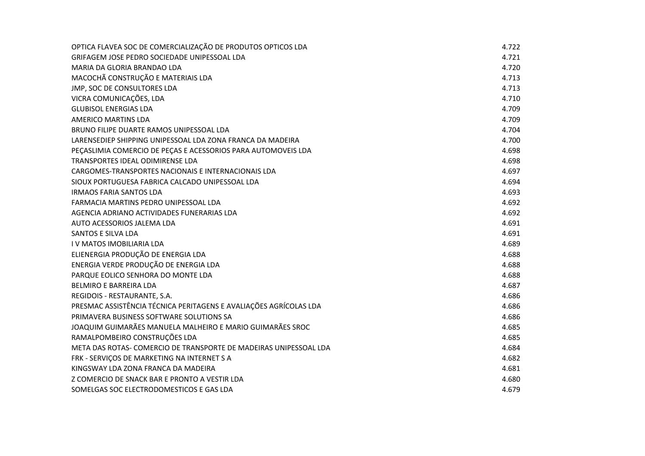| OPTICA FLAVEA SOC DE COMERCIALIZAÇÃO DE PRODUTOS OPTICOS LDA      | 4.722 |
|-------------------------------------------------------------------|-------|
| GRIFAGEM JOSE PEDRO SOCIEDADE UNIPESSOAL LDA                      | 4.721 |
| MARIA DA GLORIA BRANDAO LDA                                       | 4.720 |
| MACOCHÃ CONSTRUÇÃO E MATERIAIS LDA                                | 4.713 |
| JMP, SOC DE CONSULTORES LDA                                       | 4.713 |
| VICRA COMUNICAÇÕES, LDA                                           | 4.710 |
| <b>GLUBISOL ENERGIAS LDA</b>                                      | 4.709 |
| <b>AMERICO MARTINS LDA</b>                                        | 4.709 |
| BRUNO FILIPE DUARTE RAMOS UNIPESSOAL LDA                          | 4.704 |
| LARENSEDIEP SHIPPING UNIPESSOAL LDA ZONA FRANCA DA MADEIRA        | 4.700 |
| PEÇASLIMIA COMERCIO DE PEÇAS E ACESSORIOS PARA AUTOMOVEIS LDA     | 4.698 |
| TRANSPORTES IDEAL ODIMIRENSE LDA                                  | 4.698 |
| CARGOMES-TRANSPORTES NACIONAIS E INTERNACIONAIS LDA               | 4.697 |
| SIOUX PORTUGUESA FABRICA CALCADO UNIPESSOAL LDA                   | 4.694 |
| <b>IRMAOS FARIA SANTOS LDA</b>                                    | 4.693 |
| FARMACIA MARTINS PEDRO UNIPESSOAL LDA                             | 4.692 |
| AGENCIA ADRIANO ACTIVIDADES FUNERARIAS LDA                        | 4.692 |
| AUTO ACESSORIOS JALEMA LDA                                        | 4.691 |
| <b>SANTOS E SILVA LDA</b>                                         | 4.691 |
| <b>IV MATOS IMOBILIARIA LDA</b>                                   | 4.689 |
| ELIENERGIA PRODUÇÃO DE ENERGIA LDA                                | 4.688 |
| ENERGIA VERDE PRODUÇÃO DE ENERGIA LDA                             | 4.688 |
| PARQUE EOLICO SENHORA DO MONTE LDA                                | 4.688 |
| BELMIRO E BARREIRA LDA                                            | 4.687 |
| REGIDOIS - RESTAURANTE, S.A.                                      | 4.686 |
| PRESMAC ASSISTÊNCIA TÉCNICA PERITAGENS E AVALIAÇÕES AGRÍCOLAS LDA | 4.686 |
| PRIMAVERA BUSINESS SOFTWARE SOLUTIONS SA                          | 4.686 |
| JOAQUIM GUIMARÃES MANUELA MALHEIRO E MARIO GUIMARÃES SROC         | 4.685 |
| RAMALPOMBEIRO CONSTRUÇÕES LDA                                     | 4.685 |
| META DAS ROTAS- COMERCIO DE TRANSPORTE DE MADEIRAS UNIPESSOAL LDA | 4.684 |
| FRK - SERVIÇOS DE MARKETING NA INTERNET S A                       | 4.682 |
| KINGSWAY LDA ZONA FRANCA DA MADEIRA                               | 4.681 |
| Z COMERCIO DE SNACK BAR E PRONTO A VESTIR LDA                     | 4.680 |
| SOMELGAS SOC ELECTRODOMESTICOS E GAS LDA                          | 4.679 |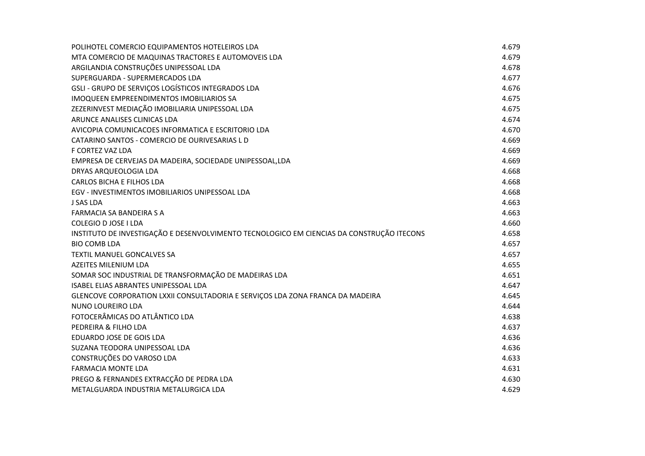| POLIHOTEL COMERCIO EQUIPAMENTOS HOTELEIROS LDA                                            | 4.679 |
|-------------------------------------------------------------------------------------------|-------|
| MTA COMERCIO DE MAQUINAS TRACTORES E AUTOMOVEIS LDA                                       | 4.679 |
| ARGILANDIA CONSTRUÇÕES UNIPESSOAL LDA                                                     | 4.678 |
| SUPERGUARDA - SUPERMERCADOS LDA                                                           | 4.677 |
| GSLI - GRUPO DE SERVIÇOS LOGÍSTICOS INTEGRADOS LDA                                        | 4.676 |
| IMOQUEEN EMPREENDIMENTOS IMOBILIARIOS SA                                                  | 4.675 |
| ZEZERINVEST MEDIAÇÃO IMOBILIARIA UNIPESSOAL LDA                                           | 4.675 |
| ARUNCE ANALISES CLINICAS LDA                                                              | 4.674 |
| AVICOPIA COMUNICACOES INFORMATICA E ESCRITORIO LDA                                        | 4.670 |
| CATARINO SANTOS - COMERCIO DE OURIVESARIAS L D                                            | 4.669 |
| F CORTEZ VAZ LDA                                                                          | 4.669 |
| EMPRESA DE CERVEJAS DA MADEIRA, SOCIEDADE UNIPESSOAL, LDA                                 | 4.669 |
| DRYAS ARQUEOLOGIA LDA                                                                     | 4.668 |
| <b>CARLOS BICHA E FILHOS LDA</b>                                                          | 4.668 |
| EGV - INVESTIMENTOS IMOBILIARIOS UNIPESSOAL LDA                                           | 4.668 |
| <b>J SAS LDA</b>                                                                          | 4.663 |
| <b>FARMACIA SA BANDEIRA S A</b>                                                           | 4.663 |
| COLEGIO D JOSE I LDA                                                                      | 4.660 |
| INSTITUTO DE INVESTIGAÇÃO E DESENVOLVIMENTO TECNOLOGICO EM CIENCIAS DA CONSTRUÇÃO ITECONS | 4.658 |
| <b>BIO COMB LDA</b>                                                                       | 4.657 |
| TEXTIL MANUEL GONCALVES SA                                                                | 4.657 |
| AZEITES MILENIUM LDA                                                                      | 4.655 |
| SOMAR SOC INDUSTRIAL DE TRANSFORMAÇÃO DE MADEIRAS LDA                                     | 4.651 |
| ISABEL ELIAS ABRANTES UNIPESSOAL LDA                                                      | 4.647 |
| GLENCOVE CORPORATION LXXII CONSULTADORIA E SERVIÇOS LDA ZONA FRANCA DA MADEIRA            | 4.645 |
| NUNO LOUREIRO LDA                                                                         | 4.644 |
| FOTOCERÂMICAS DO ATLÂNTICO LDA                                                            | 4.638 |
| PEDREIRA & FILHO LDA                                                                      | 4.637 |
| EDUARDO JOSE DE GOIS LDA                                                                  | 4.636 |
| SUZANA TEODORA UNIPESSOAL LDA                                                             | 4.636 |
| CONSTRUÇÕES DO VAROSO LDA                                                                 | 4.633 |
| <b>FARMACIA MONTE LDA</b>                                                                 | 4.631 |
| PREGO & FERNANDES EXTRACÇÃO DE PEDRA LDA                                                  | 4.630 |
| METALGUARDA INDUSTRIA METALURGICA LDA                                                     | 4.629 |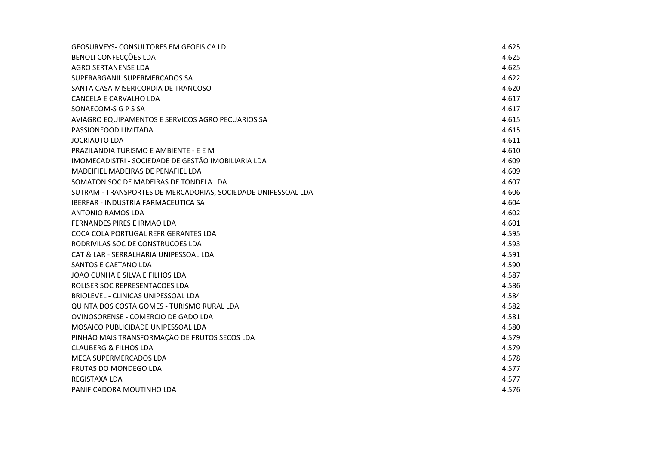| <b>GEOSURVEYS- CONSULTORES EM GEOFISICA LD</b>                | 4.625 |
|---------------------------------------------------------------|-------|
| BENOLI CONFECÇÕES LDA                                         | 4.625 |
| <b>AGRO SERTANENSE LDA</b>                                    | 4.625 |
| SUPERARGANIL SUPERMERCADOS SA                                 | 4.622 |
| SANTA CASA MISERICORDIA DE TRANCOSO                           | 4.620 |
| CANCELA E CARVALHO LDA                                        | 4.617 |
| SONAECOM-S G P S SA                                           | 4.617 |
| AVIAGRO EQUIPAMENTOS E SERVICOS AGRO PECUARIOS SA             | 4.615 |
| PASSIONFOOD LIMITADA                                          | 4.615 |
| <b>JOCRIAUTO LDA</b>                                          | 4.611 |
| PRAZILANDIA TURISMO E AMBIENTE - E E M                        | 4.610 |
| IMOMECADISTRI - SOCIEDADE DE GESTÃO IMOBILIARIA LDA           | 4.609 |
| MADEIFIEL MADEIRAS DE PENAFIEL LDA                            | 4.609 |
| SOMATON SOC DE MADEIRAS DE TONDELA LDA                        | 4.607 |
| SUTRAM - TRANSPORTES DE MERCADORIAS, SOCIEDADE UNIPESSOAL LDA | 4.606 |
| <b>IBERFAR - INDUSTRIA FARMACEUTICA SA</b>                    | 4.604 |
| ANTONIO RAMOS LDA                                             | 4.602 |
| FERNANDES PIRES E IRMAO LDA                                   | 4.601 |
| COCA COLA PORTUGAL REFRIGERANTES LDA                          | 4.595 |
| RODRIVILAS SOC DE CONSTRUCOES LDA                             | 4.593 |
| CAT & LAR - SERRALHARIA UNIPESSOAL LDA                        | 4.591 |
| SANTOS E CAETANO LDA                                          | 4.590 |
| JOAO CUNHA E SILVA E FILHOS LDA                               | 4.587 |
| ROLISER SOC REPRESENTACOES LDA                                | 4.586 |
| BRIOLEVEL - CLINICAS UNIPESSOAL LDA                           | 4.584 |
| QUINTA DOS COSTA GOMES - TURISMO RURAL LDA                    | 4.582 |
| OVINOSORENSE - COMERCIO DE GADO LDA                           | 4.581 |
| MOSAICO PUBLICIDADE UNIPESSOAL LDA                            | 4.580 |
| PINHÃO MAIS TRANSFORMAÇÃO DE FRUTOS SECOS LDA                 | 4.579 |
| <b>CLAUBERG &amp; FILHOS LDA</b>                              | 4.579 |
| MECA SUPERMERCADOS LDA                                        | 4.578 |
| <b>FRUTAS DO MONDEGO LDA</b>                                  | 4.577 |
| <b>REGISTAXA LDA</b>                                          | 4.577 |
| PANIFICADORA MOUTINHO LDA                                     | 4.576 |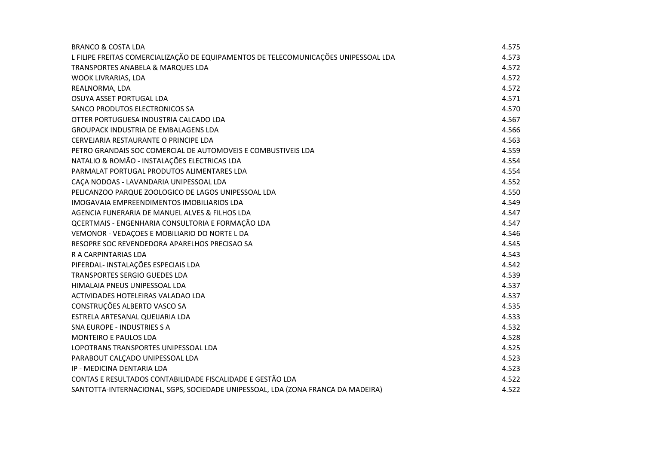| <b>BRANCO &amp; COSTA LDA</b>                                                       | 4.575 |
|-------------------------------------------------------------------------------------|-------|
| L FILIPE FREITAS COMERCIALIZAÇÃO DE EQUIPAMENTOS DE TELECOMUNICAÇÕES UNIPESSOAL LDA | 4.573 |
| TRANSPORTES ANABELA & MARQUES LDA                                                   | 4.572 |
| <b>WOOK LIVRARIAS, LDA</b>                                                          | 4.572 |
| REALNORMA, LDA                                                                      | 4.572 |
| OSUYA ASSET PORTUGAL LDA                                                            | 4.571 |
| SANCO PRODUTOS ELECTRONICOS SA                                                      | 4.570 |
| OTTER PORTUGUESA INDUSTRIA CALCADO LDA                                              | 4.567 |
| <b>GROUPACK INDUSTRIA DE EMBALAGENS LDA</b>                                         | 4.566 |
| CERVEJARIA RESTAURANTE O PRINCIPE LDA                                               | 4.563 |
| PETRO GRANDAIS SOC COMERCIAL DE AUTOMOVEIS E COMBUSTIVEIS LDA                       | 4.559 |
| NATALIO & ROMÃO - INSTALAÇÕES ELECTRICAS LDA                                        | 4.554 |
| PARMALAT PORTUGAL PRODUTOS ALIMENTARES LDA                                          | 4.554 |
| CAÇA NODOAS - LAVANDARIA UNIPESSOAL LDA                                             | 4.552 |
| PELICANZOO PARQUE ZOOLOGICO DE LAGOS UNIPESSOAL LDA                                 | 4.550 |
| IMOGAVAIA EMPREENDIMENTOS IMOBILIARIOS LDA                                          | 4.549 |
| AGENCIA FUNERARIA DE MANUEL ALVES & FILHOS LDA                                      | 4.547 |
| QCERTMAIS - ENGENHARIA CONSULTORIA E FORMAÇÃO LDA                                   | 4.547 |
| VEMONOR - VEDAÇOES E MOBILIARIO DO NORTE L DA                                       | 4.546 |
| RESOPRE SOC REVENDEDORA APARELHOS PRECISAO SA                                       | 4.545 |
| R A CARPINTARIAS LDA                                                                | 4.543 |
| PIFERDAL- INSTALAÇÕES ESPECIAIS LDA                                                 | 4.542 |
| TRANSPORTES SERGIO GUEDES LDA                                                       | 4.539 |
| HIMALAIA PNEUS UNIPESSOAL LDA                                                       | 4.537 |
| ACTIVIDADES HOTELEIRAS VALADAO LDA                                                  | 4.537 |
| CONSTRUÇÕES ALBERTO VASCO SA                                                        | 4.535 |
| ESTRELA ARTESANAL QUEIJARIA LDA                                                     | 4.533 |
| <b>SNA EUROPE - INDUSTRIES S A</b>                                                  | 4.532 |
| <b>MONTEIRO E PAULOS LDA</b>                                                        | 4.528 |
| LOPOTRANS TRANSPORTES UNIPESSOAL LDA                                                | 4.525 |
| PARABOUT CALCADO UNIPESSOAL LDA                                                     | 4.523 |
| IP - MEDICINA DENTARIA LDA                                                          | 4.523 |
| CONTAS E RESULTADOS CONTABILIDADE FISCALIDADE E GESTÃO LDA                          | 4.522 |
| SANTOTTA-INTERNACIONAL, SGPS, SOCIEDADE UNIPESSOAL, LDA (ZONA FRANCA DA MADEIRA)    | 4.522 |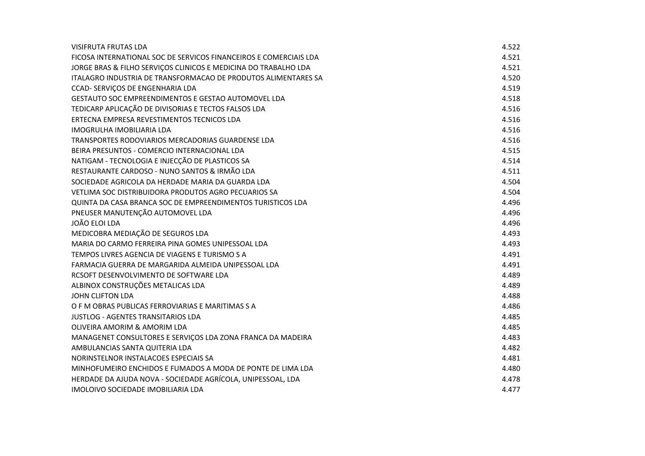| VISIFRUTA FRUTAS LDA                                               | 4.522 |
|--------------------------------------------------------------------|-------|
| FICOSA INTERNATIONAL SOC DE SERVICOS FINANCEIROS E COMERCIAIS LDA  | 4.521 |
| JORGE BRAS & FILHO SERVIÇOS CLINICOS E MEDICINA DO TRABALHO LDA    | 4.521 |
| ITALAGRO INDUSTRIA DE TRANSFORMACAO DE PRODUTOS ALIMENTARES SA     | 4.520 |
| CCAD- SERVIÇOS DE ENGENHARIA LDA                                   | 4.519 |
| <b>GESTAUTO SOC EMPREENDIMENTOS E GESTAO AUTOMOVEL LDA</b>         | 4.518 |
| TEDICARP APLICAÇÃO DE DIVISORIAS E TECTOS FALSOS LDA               | 4.516 |
| ERTECNA EMPRESA REVESTIMENTOS TECNICOS LDA                         | 4.516 |
| <b>IMOGRULHA IMOBILIARIA LDA</b>                                   | 4.516 |
| TRANSPORTES RODOVIARIOS MERCADORIAS GUARDENSE LDA                  | 4.516 |
| BEIRA PRESUNTOS - COMERCIO INTERNACIONAL LDA                       | 4.515 |
| NATIGAM - TECNOLOGIA E INJECÇÃO DE PLASTICOS SA                    | 4.514 |
| RESTAURANTE CARDOSO - NUNO SANTOS & IRMÃO LDA                      | 4.511 |
| SOCIEDADE AGRICOLA DA HERDADE MARIA DA GUARDA LDA                  | 4.504 |
| VETLIMA SOC DISTRIBUIDORA PRODUTOS AGRO PECUARIOS SA               | 4.504 |
| <b>OUINTA DA CASA BRANCA SOC DE EMPREENDIMENTOS TURISTICOS LDA</b> | 4.496 |
| PNEUSER MANUTENÇÃO AUTOMOVEL LDA                                   | 4.496 |
| JOÃO ELOI LDA                                                      | 4.496 |
| MEDICOBRA MEDIAÇÃO DE SEGUROS LDA                                  | 4.493 |
| MARIA DO CARMO FERREIRA PINA GOMES UNIPESSOAL LDA                  | 4.493 |
| TEMPOS LIVRES AGENCIA DE VIAGENS E TURISMO S A                     | 4.491 |
| FARMACIA GUERRA DE MARGARIDA ALMEIDA UNIPESSOAL LDA                | 4.491 |
| RCSOFT DESENVOLVIMENTO DE SOFTWARE LDA                             | 4.489 |
| ALBINOX CONSTRUÇÕES METALICAS LDA                                  | 4.489 |
| <b>JOHN CLIFTON LDA</b>                                            | 4.488 |
| O F M OBRAS PUBLICAS FERROVIARIAS E MARITIMAS S A                  | 4.486 |
| <b>JUSTLOG - AGENTES TRANSITARIOS LDA</b>                          | 4.485 |
| OLIVEIRA AMORIM & AMORIM LDA                                       | 4.485 |
| MANAGENET CONSULTORES E SERVIÇOS LDA ZONA FRANCA DA MADEIRA        | 4.483 |
| AMBULANCIAS SANTA QUITERIA LDA                                     | 4.482 |
| NORINSTELNOR INSTALACOES ESPECIAIS SA                              | 4.481 |
| MINHOFUMEIRO ENCHIDOS E FUMADOS A MODA DE PONTE DE LIMA LDA        | 4.480 |
| HERDADE DA AJUDA NOVA - SOCIEDADE AGRÍCOLA, UNIPESSOAL, LDA        | 4.478 |
| IMOLOIVO SOCIEDADE IMOBILIARIA LDA                                 | 4.477 |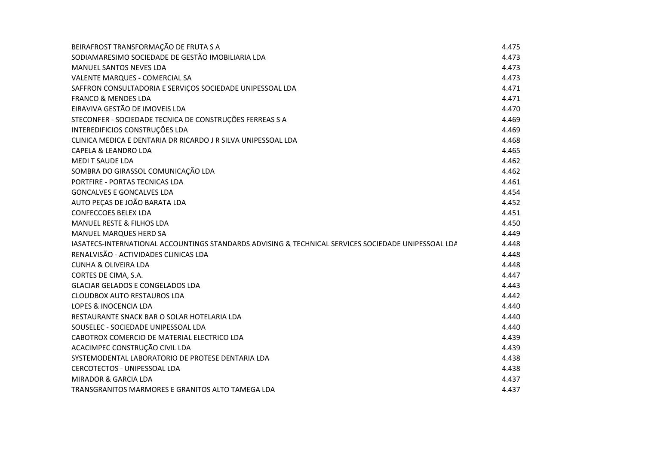| BEIRAFROST TRANSFORMAÇÃO DE FRUTA S A                                                               | 4.475 |
|-----------------------------------------------------------------------------------------------------|-------|
| SODIAMARESIMO SOCIEDADE DE GESTÃO IMOBILIARIA LDA                                                   | 4.473 |
| <b>MANUEL SANTOS NEVES LDA</b>                                                                      | 4.473 |
| <b>VALENTE MARQUES - COMERCIAL SA</b>                                                               | 4.473 |
| SAFFRON CONSULTADORIA E SERVIÇOS SOCIEDADE UNIPESSOAL LDA                                           | 4.471 |
| <b>FRANCO &amp; MENDES LDA</b>                                                                      | 4.471 |
| EIRAVIVA GESTÃO DE IMOVEIS LDA                                                                      | 4.470 |
| STECONFER - SOCIEDADE TECNICA DE CONSTRUÇÕES FERREAS S A                                            | 4.469 |
| INTEREDIFICIOS CONSTRUÇÕES LDA                                                                      | 4.469 |
| CLINICA MEDICA E DENTARIA DR RICARDO J R SILVA UNIPESSOAL LDA                                       | 4.468 |
| <b>CAPELA &amp; LEANDRO LDA</b>                                                                     | 4.465 |
| <b>MEDIT SAUDE LDA</b>                                                                              | 4.462 |
| SOMBRA DO GIRASSOL COMUNICAÇÃO LDA                                                                  | 4.462 |
| PORTFIRE - PORTAS TECNICAS LDA                                                                      | 4.461 |
| <b>GONCALVES E GONCALVES LDA</b>                                                                    | 4.454 |
| AUTO PEÇAS DE JOÃO BARATA LDA                                                                       | 4.452 |
| <b>CONFECCOES BELEX LDA</b>                                                                         | 4.451 |
| <b>MANUEL RESTE &amp; FILHOS LDA</b>                                                                | 4.450 |
| <b>MANUEL MARQUES HERD SA</b>                                                                       | 4.449 |
| IASATECS-INTERNATIONAL ACCOUNTINGS STANDARDS ADVISING & TECHNICAL SERVICES SOCIEDADE UNIPESSOAL LDA | 4.448 |
| RENALVISÃO - ACTIVIDADES CLINICAS LDA                                                               | 4.448 |
| <b>CUNHA &amp; OLIVEIRA LDA</b>                                                                     | 4.448 |
| CORTES DE CIMA, S.A.                                                                                | 4.447 |
| <b>GLACIAR GELADOS E CONGELADOS LDA</b>                                                             | 4.443 |
| <b>CLOUDBOX AUTO RESTAUROS LDA</b>                                                                  | 4.442 |
| <b>LOPES &amp; INOCENCIA LDA</b>                                                                    | 4.440 |
| RESTAURANTE SNACK BAR O SOLAR HOTELARIA LDA                                                         | 4.440 |
| SOUSELEC - SOCIEDADE UNIPESSOAL LDA                                                                 | 4.440 |
| CABOTROX COMERCIO DE MATERIAL ELECTRICO LDA                                                         | 4.439 |
| ACACIMPEC CONSTRUÇÃO CIVIL LDA                                                                      | 4.439 |
| SYSTEMODENTAL LABORATORIO DE PROTESE DENTARIA LDA                                                   | 4.438 |
| CERCOTECTOS - UNIPESSOAL LDA                                                                        | 4.438 |
| <b>MIRADOR &amp; GARCIA LDA</b>                                                                     | 4.437 |
| TRANSGRANITOS MARMORES E GRANITOS ALTO TAMEGA LDA                                                   | 4.437 |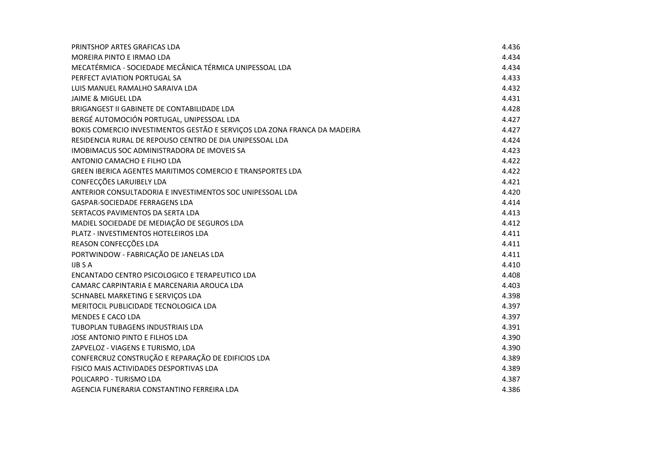| PRINTSHOP ARTES GRAFICAS LDA                                              | 4.436 |
|---------------------------------------------------------------------------|-------|
| MOREIRA PINTO E IRMAO LDA                                                 | 4.434 |
| MECATÉRMICA - SOCIEDADE MECÂNICA TÉRMICA UNIPESSOAL LDA                   | 4.434 |
| PERFECT AVIATION PORTUGAL SA                                              | 4.433 |
| LUIS MANUEL RAMALHO SARAIVA LDA                                           | 4.432 |
| <b>JAIME &amp; MIGUEL LDA</b>                                             | 4.431 |
| BRIGANGEST II GABINETE DE CONTABILIDADE LDA                               | 4.428 |
| BERGÉ AUTOMOCIÓN PORTUGAL, UNIPESSOAL LDA                                 | 4.427 |
| BOKIS COMERCIO INVESTIMENTOS GESTÃO E SERVIÇOS LDA ZONA FRANCA DA MADEIRA | 4.427 |
| RESIDENCIA RURAL DE REPOUSO CENTRO DE DIA UNIPESSOAL LDA                  | 4.424 |
| IMOBIMACUS SOC ADMINISTRADORA DE IMOVEIS SA                               | 4.423 |
| ANTONIO CAMACHO E FILHO LDA                                               | 4.422 |
| GREEN IBERICA AGENTES MARITIMOS COMERCIO E TRANSPORTES LDA                | 4.422 |
| CONFECÇÕES LARUIBELY LDA                                                  | 4.421 |
| ANTERIOR CONSULTADORIA E INVESTIMENTOS SOC UNIPESSOAL LDA                 | 4.420 |
| GASPAR-SOCIEDADE FERRAGENS LDA                                            | 4.414 |
| SERTACOS PAVIMENTOS DA SERTA LDA                                          | 4.413 |
| MADIEL SOCIEDADE DE MEDIAÇÃO DE SEGUROS LDA                               | 4.412 |
| PLATZ - INVESTIMENTOS HOTELEIROS LDA                                      | 4.411 |
| REASON CONFECÇÕES LDA                                                     | 4.411 |
| PORTWINDOW - FABRICAÇÃO DE JANELAS LDA                                    | 4.411 |
| <b>IJB S A</b>                                                            | 4.410 |
| ENCANTADO CENTRO PSICOLOGICO E TERAPEUTICO LDA                            | 4.408 |
| CAMARC CARPINTARIA E MARCENARIA AROUCA LDA                                | 4.403 |
| SCHNABEL MARKETING E SERVIÇOS LDA                                         | 4.398 |
| MERITOCIL PUBLICIDADE TECNOLOGICA LDA                                     | 4.397 |
| <b>MENDES E CACO LDA</b>                                                  | 4.397 |
| <b>TUBOPLAN TUBAGENS INDUSTRIAIS LDA</b>                                  | 4.391 |
| JOSE ANTONIO PINTO E FILHOS LDA                                           | 4.390 |
| ZAPVELOZ - VIAGENS E TURISMO, LDA                                         | 4.390 |
| CONFERCRUZ CONSTRUÇÃO E REPARAÇÃO DE EDIFICIOS LDA                        | 4.389 |
| FISICO MAIS ACTIVIDADES DESPORTIVAS LDA                                   | 4.389 |
| POLICARPO - TURISMO LDA                                                   | 4.387 |
| AGENCIA FUNERARIA CONSTANTINO FERREIRA LDA                                | 4.386 |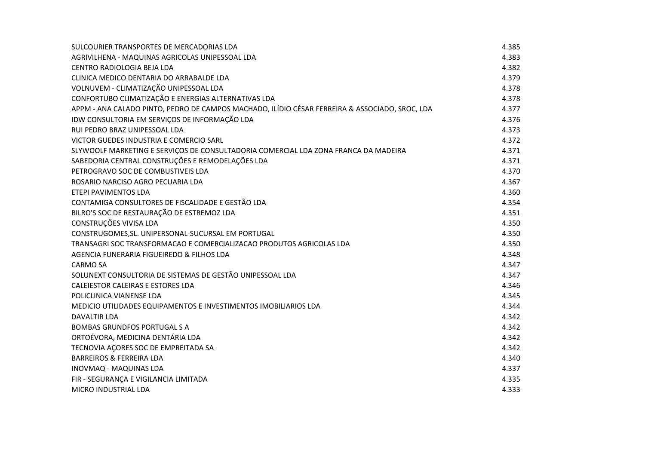| SULCOURIER TRANSPORTES DE MERCADORIAS LDA                                                      | 4.385 |
|------------------------------------------------------------------------------------------------|-------|
| AGRIVILHENA - MAQUINAS AGRICOLAS UNIPESSOAL LDA                                                | 4.383 |
| CENTRO RADIOLOGIA BEJA LDA                                                                     | 4.382 |
| CLINICA MEDICO DENTARIA DO ARRABALDE LDA                                                       | 4.379 |
| VOLNUVEM - CLIMATIZAÇÃO UNIPESSOAL LDA                                                         | 4.378 |
| CONFORTUBO CLIMATIZAÇÃO E ENERGIAS ALTERNATIVAS LDA                                            | 4.378 |
| APPM - ANA CALADO PINTO, PEDRO DE CAMPOS MACHADO, ILÍDIO CÉSAR FERREIRA & ASSOCIADO, SROC, LDA | 4.377 |
| IDW CONSULTORIA EM SERVIÇOS DE INFORMAÇÃO LDA                                                  | 4.376 |
| RUI PEDRO BRAZ UNIPESSOAL LDA                                                                  | 4.373 |
| VICTOR GUEDES INDUSTRIA E COMERCIO SARL                                                        | 4.372 |
| SLYWOOLF MARKETING E SERVIÇOS DE CONSULTADORIA COMERCIAL LDA ZONA FRANCA DA MADEIRA            | 4.371 |
| SABEDORIA CENTRAL CONSTRUÇÕES E REMODELAÇÕES LDA                                               | 4.371 |
| PETROGRAVO SOC DE COMBUSTIVEIS LDA                                                             | 4.370 |
| ROSARIO NARCISO AGRO PECUARIA LDA                                                              | 4.367 |
| ETEPI PAVIMENTOS LDA                                                                           | 4.360 |
| CONTAMIGA CONSULTORES DE FISCALIDADE E GESTÃO LDA                                              | 4.354 |
| BILRO'S SOC DE RESTAURAÇÃO DE ESTREMOZ LDA                                                     | 4.351 |
| CONSTRUÇÕES VIVISA LDA                                                                         | 4.350 |
| CONSTRUGOMES, SL. UNIPERSONAL-SUCURSAL EM PORTUGAL                                             | 4.350 |
| TRANSAGRI SOC TRANSFORMACAO E COMERCIALIZACAO PRODUTOS AGRICOLAS LDA                           | 4.350 |
| AGENCIA FUNERARIA FIGUEIREDO & FILHOS LDA                                                      | 4.348 |
| <b>CARMO SA</b>                                                                                | 4.347 |
| SOLUNEXT CONSULTORIA DE SISTEMAS DE GESTÃO UNIPESSOAL LDA                                      | 4.347 |
| CALEIESTOR CALEIRAS E ESTORES LDA                                                              | 4.346 |
| POLICLINICA VIANENSE LDA                                                                       | 4.345 |
| MEDICIO UTILIDADES EQUIPAMENTOS E INVESTIMENTOS IMOBILIARIOS LDA                               | 4.344 |
| <b>DAVALTIR LDA</b>                                                                            | 4.342 |
| <b>BOMBAS GRUNDFOS PORTUGAL S A</b>                                                            | 4.342 |
| ORTOÉVORA, MEDICINA DENTÁRIA LDA                                                               | 4.342 |
| TECNOVIA AÇORES SOC DE EMPREITADA SA                                                           | 4.342 |
| <b>BARREIROS &amp; FERREIRA LDA</b>                                                            | 4.340 |
| <b>INOVMAQ - MAQUINAS LDA</b>                                                                  | 4.337 |
| FIR - SEGURANÇA E VIGILANCIA LIMITADA                                                          | 4.335 |
| <b>MICRO INDUSTRIAL LDA</b>                                                                    | 4.333 |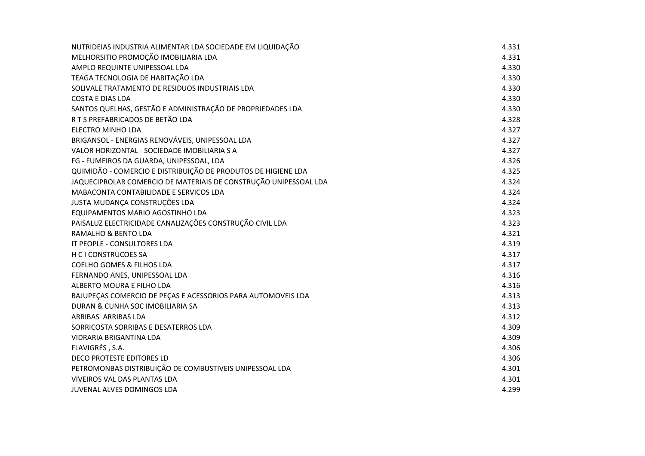| NUTRIDEIAS INDUSTRIA ALIMENTAR LDA SOCIEDADE EM LIQUIDAÇÃO       | 4.331 |
|------------------------------------------------------------------|-------|
| MELHORSITIO PROMOÇÃO IMOBILIARIA LDA                             | 4.331 |
| AMPLO REQUINTE UNIPESSOAL LDA                                    | 4.330 |
| TEAGA TECNOLOGIA DE HABITAÇÃO LDA                                | 4.330 |
| SOLIVALE TRATAMENTO DE RESIDUOS INDUSTRIAIS LDA                  | 4.330 |
| <b>COSTA E DIAS LDA</b>                                          | 4.330 |
| SANTOS QUELHAS, GESTÃO E ADMINISTRAÇÃO DE PROPRIEDADES LDA       | 4.330 |
| R T S PREFABRICADOS DE BETÃO LDA                                 | 4.328 |
| <b>ELECTRO MINHO LDA</b>                                         | 4.327 |
| BRIGANSOL - ENERGIAS RENOVÁVEIS, UNIPESSOAL LDA                  | 4.327 |
| VALOR HORIZONTAL - SOCIEDADE IMOBILIARIA S A                     | 4.327 |
| FG - FUMEIROS DA GUARDA, UNIPESSOAL, LDA                         | 4.326 |
| QUIMIDÃO - COMERCIO E DISTRIBUIÇÃO DE PRODUTOS DE HIGIENE LDA    | 4.325 |
| JAQUECIPROLAR COMERCIO DE MATERIAIS DE CONSTRUÇÃO UNIPESSOAL LDA | 4.324 |
| MABACONTA CONTABILIDADE E SERVICOS LDA                           | 4.324 |
| JUSTA MUDANÇA CONSTRUÇÕES LDA                                    | 4.324 |
| EQUIPAMENTOS MARIO AGOSTINHO LDA                                 | 4.323 |
| PAISALUZ ELECTRICIDADE CANALIZAÇÕES CONSTRUÇÃO CIVIL LDA         | 4.323 |
| RAMALHO & BENTO LDA                                              | 4.321 |
| IT PEOPLE - CONSULTORES LDA                                      | 4.319 |
| H C I CONSTRUCOES SA                                             | 4.317 |
| <b>COELHO GOMES &amp; FILHOS LDA</b>                             | 4.317 |
| FERNANDO ANES, UNIPESSOAL LDA                                    | 4.316 |
| ALBERTO MOURA E FILHO LDA                                        | 4.316 |
| BAJUPEÇAS COMERCIO DE PEÇAS E ACESSORIOS PARA AUTOMOVEIS LDA     | 4.313 |
| DURAN & CUNHA SOC IMOBILIARIA SA                                 | 4.313 |
| ARRIBAS ARRIBAS LDA                                              | 4.312 |
| SORRICOSTA SORRIBAS E DESATERROS LDA                             | 4.309 |
| VIDRARIA BRIGANTINA LDA                                          | 4.309 |
| FLAVIGRÉS, S.A.                                                  | 4.306 |
| DECO PROTESTE EDITORES LD                                        | 4.306 |
| PETROMONBAS DISTRIBUIÇÃO DE COMBUSTIVEIS UNIPESSOAL LDA          | 4.301 |
| <b>VIVEIROS VAL DAS PLANTAS LDA</b>                              | 4.301 |
| JUVENAL ALVES DOMINGOS LDA                                       | 4.299 |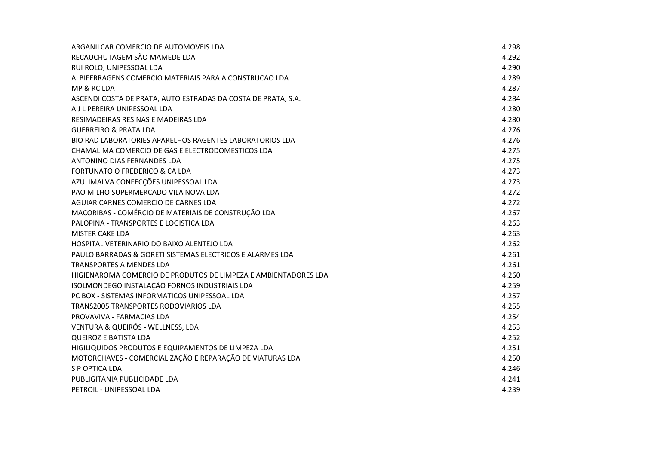| ARGANILCAR COMERCIO DE AUTOMOVEIS LDA                           | 4.298 |
|-----------------------------------------------------------------|-------|
| RECAUCHUTAGEM SÃO MAMEDE LDA                                    | 4.292 |
| RUI ROLO, UNIPESSOAL LDA                                        | 4.290 |
| ALBIFERRAGENS COMERCIO MATERIAIS PARA A CONSTRUCAO LDA          | 4.289 |
| MP & RC LDA                                                     | 4.287 |
| ASCENDI COSTA DE PRATA, AUTO ESTRADAS DA COSTA DE PRATA, S.A.   | 4.284 |
| A J L PEREIRA UNIPESSOAL LDA                                    | 4.280 |
| RESIMADEIRAS RESINAS E MADEIRAS LDA                             | 4.280 |
| <b>GUERREIRO &amp; PRATA LDA</b>                                | 4.276 |
| BIO RAD LABORATORIES APARELHOS RAGENTES LABORATORIOS LDA        | 4.276 |
| CHAMALIMA COMERCIO DE GAS E ELECTRODOMESTICOS LDA               | 4.275 |
| ANTONINO DIAS FERNANDES LDA                                     | 4.275 |
| FORTUNATO O FREDERICO & CA LDA                                  | 4.273 |
| AZULIMALVA CONFECÇÕES UNIPESSOAL LDA                            | 4.273 |
| PAO MILHO SUPERMERCADO VILA NOVA LDA                            | 4.272 |
| AGUIAR CARNES COMERCIO DE CARNES LDA                            | 4.272 |
| MACORIBAS - COMÉRCIO DE MATERIAIS DE CONSTRUÇÃO LDA             | 4.267 |
| PALOPINA - TRANSPORTES E LOGISTICA LDA                          | 4.263 |
| <b>MISTER CAKE LDA</b>                                          | 4.263 |
| HOSPITAL VETERINARIO DO BAIXO ALENTEJO LDA                      | 4.262 |
| PAULO BARRADAS & GORETI SISTEMAS ELECTRICOS E ALARMES LDA       | 4.261 |
| <b>TRANSPORTES A MENDES LDA</b>                                 | 4.261 |
| HIGIENAROMA COMERCIO DE PRODUTOS DE LIMPEZA E AMBIENTADORES LDA | 4.260 |
| ISOLMONDEGO INSTALAÇÃO FORNOS INDUSTRIAIS LDA                   | 4.259 |
| PC BOX - SISTEMAS INFORMATICOS UNIPESSOAL LDA                   | 4.257 |
| <b>TRANS2005 TRANSPORTES RODOVIARIOS LDA</b>                    | 4.255 |
| PROVAVIVA - FARMACIAS LDA                                       | 4.254 |
| VENTURA & QUEIRÓS - WELLNESS, LDA                               | 4.253 |
| <b>QUEIROZ E BATISTA LDA</b>                                    | 4.252 |
| HIGILIQUIDOS PRODUTOS E EQUIPAMENTOS DE LIMPEZA LDA             | 4.251 |
| MOTORCHAVES - COMERCIALIZAÇÃO E REPARAÇÃO DE VIATURAS LDA       | 4.250 |
| S P OPTICA LDA                                                  | 4.246 |
| PUBLIGITANIA PUBLICIDADE LDA                                    | 4.241 |
| PETROIL - UNIPESSOAL LDA                                        | 4.239 |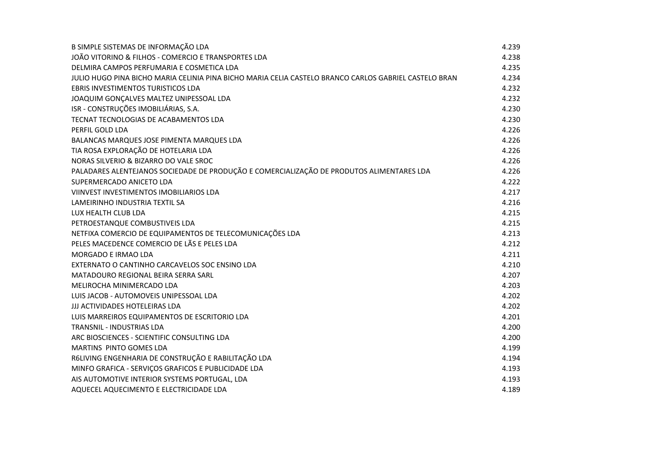| B SIMPLE SISTEMAS DE INFORMAÇÃO LDA                                                                   | 4.239 |
|-------------------------------------------------------------------------------------------------------|-------|
| JOÃO VITORINO & FILHOS - COMERCIO E TRANSPORTES LDA                                                   | 4.238 |
| DELMIRA CAMPOS PERFUMARIA E COSMETICA LDA                                                             | 4.235 |
| JULIO HUGO PINA BICHO MARIA CELINIA PINA BICHO MARIA CELIA CASTELO BRANCO CARLOS GABRIEL CASTELO BRAN | 4.234 |
| EBRIS INVESTIMENTOS TURISTICOS LDA                                                                    | 4.232 |
| JOAQUIM GONÇALVES MALTEZ UNIPESSOAL LDA                                                               | 4.232 |
| ISR - CONSTRUÇÕES IMOBILIÁRIAS, S.A.                                                                  | 4.230 |
| TECNAT TECNOLOGIAS DE ACABAMENTOS LDA                                                                 | 4.230 |
| PERFIL GOLD LDA                                                                                       | 4.226 |
| BALANCAS MARQUES JOSE PIMENTA MARQUES LDA                                                             | 4.226 |
| TIA ROSA EXPLORAÇÃO DE HOTELARIA LDA                                                                  | 4.226 |
| NORAS SILVERIO & BIZARRO DO VALE SROC                                                                 | 4.226 |
| PALADARES ALENTEJANOS SOCIEDADE DE PRODUÇÃO E COMERCIALIZAÇÃO DE PRODUTOS ALIMENTARES LDA             | 4.226 |
| SUPERMERCADO ANICETO LDA                                                                              | 4.222 |
| VIINVEST INVESTIMENTOS IMOBILIARIOS LDA                                                               | 4.217 |
| LAMEIRINHO INDUSTRIA TEXTIL SA                                                                        | 4.216 |
| LUX HEALTH CLUB LDA                                                                                   | 4.215 |
| PETROESTANQUE COMBUSTIVEIS LDA                                                                        | 4.215 |
| NETFIXA COMERCIO DE EQUIPAMENTOS DE TELECOMUNICAÇÕES LDA                                              | 4.213 |
| PELES MACEDENCE COMERCIO DE LÃS E PELES LDA                                                           | 4.212 |
| <b>MORGADO E IRMAO LDA</b>                                                                            | 4.211 |
| EXTERNATO O CANTINHO CARCAVELOS SOC ENSINO LDA                                                        | 4.210 |
| MATADOURO REGIONAL BEIRA SERRA SARL                                                                   | 4.207 |
| MELIROCHA MINIMERCADO LDA                                                                             | 4.203 |
| LUIS JACOB - AUTOMOVEIS UNIPESSOAL LDA                                                                | 4.202 |
| JJJ ACTIVIDADES HOTELEIRAS LDA                                                                        | 4.202 |
| LUIS MARREIROS EQUIPAMENTOS DE ESCRITORIO LDA                                                         | 4.201 |
| TRANSNIL - INDUSTRIAS LDA                                                                             | 4.200 |
| ARC BIOSCIENCES - SCIENTIFIC CONSULTING LDA                                                           | 4.200 |
| MARTINS PINTO GOMES LDA                                                                               | 4.199 |
| R6LIVING ENGENHARIA DE CONSTRUÇÃO E RABILITAÇÃO LDA                                                   | 4.194 |
| MINFO GRAFICA - SERVIÇOS GRAFICOS E PUBLICIDADE LDA                                                   | 4.193 |
| AIS AUTOMOTIVE INTERIOR SYSTEMS PORTUGAL, LDA                                                         | 4.193 |
| AQUECEL AQUECIMENTO E ELECTRICIDADE LDA                                                               | 4.189 |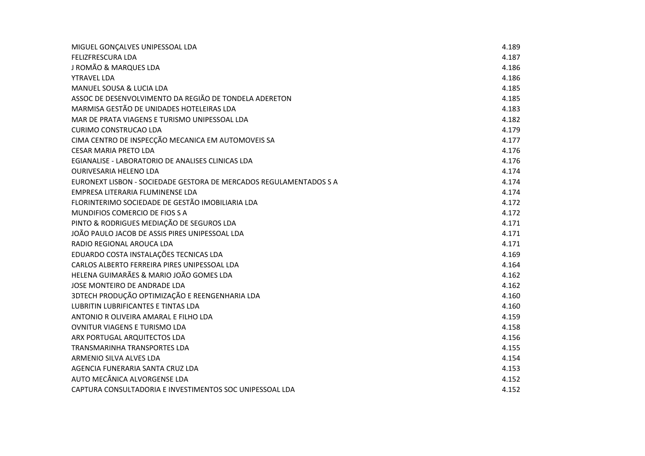| MIGUEL GONÇALVES UNIPESSOAL LDA                                    | 4.189 |
|--------------------------------------------------------------------|-------|
| <b>FELIZFRESCURA LDA</b>                                           | 4.187 |
| J ROMÃO & MARQUES LDA                                              | 4.186 |
| YTRAVEL LDA                                                        | 4.186 |
| MANUEL SOUSA & LUCIA LDA                                           | 4.185 |
| ASSOC DE DESENVOLVIMENTO DA REGIÃO DE TONDELA ADERETON             | 4.185 |
| MARMISA GESTÃO DE UNIDADES HOTELEIRAS LDA                          | 4.183 |
| MAR DE PRATA VIAGENS E TURISMO UNIPESSOAL LDA                      | 4.182 |
| <b>CURIMO CONSTRUCAO LDA</b>                                       | 4.179 |
| CIMA CENTRO DE INSPECÇÃO MECANICA EM AUTOMOVEIS SA                 | 4.177 |
| <b>CESAR MARIA PRETO LDA</b>                                       | 4.176 |
| EGIANALISE - LABORATORIO DE ANALISES CLINICAS LDA                  | 4.176 |
| <b>OURIVESARIA HELENO LDA</b>                                      | 4.174 |
| EURONEXT LISBON - SOCIEDADE GESTORA DE MERCADOS REGULAMENTADOS S A | 4.174 |
| EMPRESA LITERARIA FLUMINENSE LDA                                   | 4.174 |
| FLORINTERIMO SOCIEDADE DE GESTÃO IMOBILIARIA LDA                   | 4.172 |
| MUNDIFIOS COMERCIO DE FIOS S A                                     | 4.172 |
| PINTO & RODRIGUES MEDIAÇÃO DE SEGUROS LDA                          | 4.171 |
| JOÃO PAULO JACOB DE ASSIS PIRES UNIPESSOAL LDA                     | 4.171 |
| RADIO REGIONAL AROUCA LDA                                          | 4.171 |
| EDUARDO COSTA INSTALAÇÕES TECNICAS LDA                             | 4.169 |
| CARLOS ALBERTO FERREIRA PIRES UNIPESSOAL LDA                       | 4.164 |
| HELENA GUIMARÃES & MARIO JOÃO GOMES LDA                            | 4.162 |
| JOSE MONTEIRO DE ANDRADE LDA                                       | 4.162 |
| 3DTECH PRODUÇÃO OPTIMIZAÇÃO E REENGENHARIA LDA                     | 4.160 |
| <b>LUBRITIN LUBRIFICANTES E TINTAS LDA</b>                         | 4.160 |
| ANTONIO R OLIVEIRA AMARAL E FILHO LDA                              | 4.159 |
| <b>OVNITUR VIAGENS E TURISMO LDA</b>                               | 4.158 |
| ARX PORTUGAL ARQUITECTOS LDA                                       | 4.156 |
| <b>TRANSMARINHA TRANSPORTES LDA</b>                                | 4.155 |
| ARMENIO SILVA ALVES LDA                                            | 4.154 |
| AGENCIA FUNERARIA SANTA CRUZ LDA                                   | 4.153 |
| AUTO MECÂNICA ALVORGENSE LDA                                       | 4.152 |
| CAPTURA CONSULTADORIA E INVESTIMENTOS SOC UNIPESSOAL LDA           | 4.152 |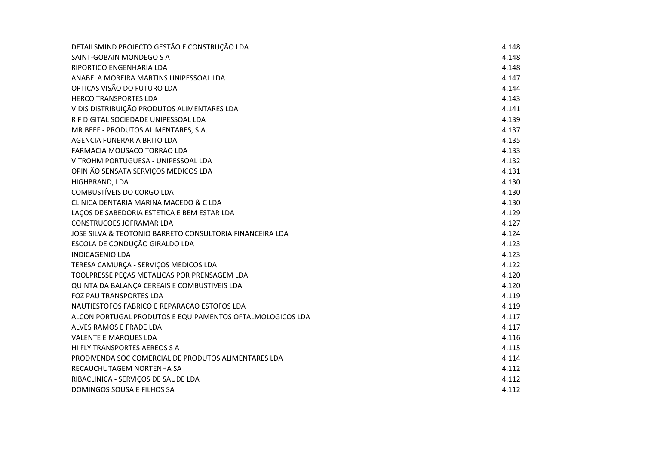| DETAILSMIND PROJECTO GESTÃO E CONSTRUÇÃO LDA              | 4.148 |
|-----------------------------------------------------------|-------|
| SAINT-GOBAIN MONDEGO S A                                  | 4.148 |
| RIPORTICO ENGENHARIA LDA                                  | 4.148 |
| ANABELA MOREIRA MARTINS UNIPESSOAL LDA                    | 4.147 |
| OPTICAS VISÃO DO FUTURO LDA                               | 4.144 |
| <b>HERCO TRANSPORTES LDA</b>                              | 4.143 |
| VIDIS DISTRIBUIÇÃO PRODUTOS ALIMENTARES LDA               | 4.141 |
| R F DIGITAL SOCIEDADE UNIPESSOAL LDA                      | 4.139 |
| MR.BEEF - PRODUTOS ALIMENTARES, S.A.                      | 4.137 |
| AGENCIA FUNERARIA BRITO LDA                               | 4.135 |
| FARMACIA MOUSACO TORRÃO LDA                               | 4.133 |
| VITROHM PORTUGUESA - UNIPESSOAL LDA                       | 4.132 |
| OPINIÃO SENSATA SERVIÇOS MEDICOS LDA                      | 4.131 |
| HIGHBRAND, LDA                                            | 4.130 |
| <b>COMBUSTÍVEIS DO CORGO LDA</b>                          | 4.130 |
| CLINICA DENTARIA MARINA MACEDO & C LDA                    | 4.130 |
| LAÇOS DE SABEDORIA ESTETICA E BEM ESTAR LDA               | 4.129 |
| <b>CONSTRUCOES JOFRAMAR LDA</b>                           | 4.127 |
| JOSE SILVA & TEOTONIO BARRETO CONSULTORIA FINANCEIRA LDA  | 4.124 |
| ESCOLA DE CONDUÇÃO GIRALDO LDA                            | 4.123 |
| <b>INDICAGENIO LDA</b>                                    | 4.123 |
| TERESA CAMURÇA - SERVIÇOS MEDICOS LDA                     | 4.122 |
| TOOLPRESSE PEÇAS METALICAS POR PRENSAGEM LDA              | 4.120 |
| QUINTA DA BALANÇA CEREAIS E COMBUSTIVEIS LDA              | 4.120 |
| FOZ PAU TRANSPORTES LDA                                   | 4.119 |
| NAUTIESTOFOS FABRICO E REPARACAO ESTOFOS LDA              | 4.119 |
| ALCON PORTUGAL PRODUTOS E EQUIPAMENTOS OFTALMOLOGICOS LDA | 4.117 |
| ALVES RAMOS E FRADE LDA                                   | 4.117 |
| <b>VALENTE E MARQUES LDA</b>                              | 4.116 |
| HI FLY TRANSPORTES AEREOS S A                             | 4.115 |
| PRODIVENDA SOC COMERCIAL DE PRODUTOS ALIMENTARES LDA      | 4.114 |
| RECAUCHUTAGEM NORTENHA SA                                 | 4.112 |
| RIBACLINICA - SERVIÇOS DE SAUDE LDA                       | 4.112 |
| DOMINGOS SOUSA E FILHOS SA                                | 4.112 |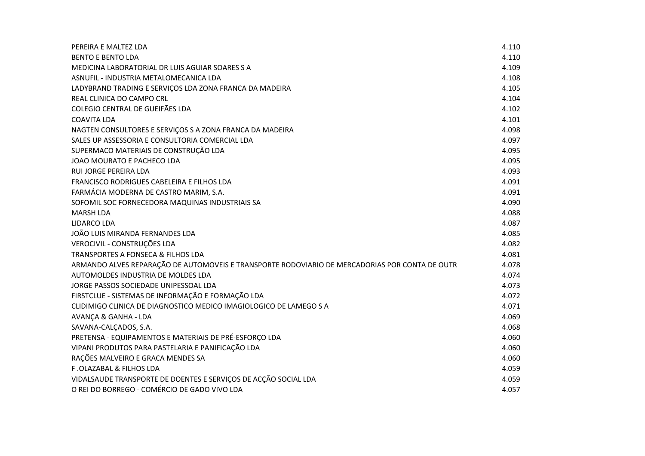| PEREIRA E MALTEZ LDA                                                                           | 4.110 |
|------------------------------------------------------------------------------------------------|-------|
| <b>BENTO E BENTO LDA</b>                                                                       | 4.110 |
| MEDICINA LABORATORIAL DR LUIS AGUIAR SOARES S A                                                | 4.109 |
| ASNUFIL - INDUSTRIA METALOMECANICA LDA                                                         | 4.108 |
| LADYBRAND TRADING E SERVIÇOS LDA ZONA FRANCA DA MADEIRA                                        | 4.105 |
| REAL CLINICA DO CAMPO CRL                                                                      | 4.104 |
| COLEGIO CENTRAL DE GUEIFÃES LDA                                                                | 4.102 |
| <b>COAVITA LDA</b>                                                                             | 4.101 |
| NAGTEN CONSULTORES E SERVIÇOS S A ZONA FRANCA DA MADEIRA                                       | 4.098 |
| SALES UP ASSESSORIA E CONSULTORIA COMERCIAL LDA                                                | 4.097 |
| SUPERMACO MATERIAIS DE CONSTRUÇÃO LDA                                                          | 4.095 |
| JOAO MOURATO E PACHECO LDA                                                                     | 4.095 |
| RUI JORGE PEREIRA LDA                                                                          | 4.093 |
| FRANCISCO RODRIGUES CABELEIRA E FILHOS LDA                                                     | 4.091 |
| FARMÁCIA MODERNA DE CASTRO MARIM, S.A.                                                         | 4.091 |
| SOFOMIL SOC FORNECEDORA MAQUINAS INDUSTRIAIS SA                                                | 4.090 |
| <b>MARSH LDA</b>                                                                               | 4.088 |
| <b>LIDARCO LDA</b>                                                                             | 4.087 |
| JOÃO LUIS MIRANDA FERNANDES LDA                                                                | 4.085 |
| VEROCIVIL - CONSTRUÇÕES LDA                                                                    | 4.082 |
| TRANSPORTES A FONSECA & FILHOS LDA                                                             | 4.081 |
| ARMANDO ALVES REPARAÇÃO DE AUTOMOVEIS E TRANSPORTE RODOVIARIO DE MERCADORIAS POR CONTA DE OUTR | 4.078 |
| AUTOMOLDES INDUSTRIA DE MOLDES LDA                                                             | 4.074 |
| JORGE PASSOS SOCIEDADE UNIPESSOAL LDA                                                          | 4.073 |
| FIRSTCLUE - SISTEMAS DE INFORMAÇÃO E FORMAÇÃO LDA                                              | 4.072 |
| CLIDIMIGO CLINICA DE DIAGNOSTICO MEDICO IMAGIOLOGICO DE LAMEGO S A                             | 4.071 |
| <b>AVANÇA &amp; GANHA - LDA</b>                                                                | 4.069 |
| SAVANA-CALÇADOS, S.A.                                                                          | 4.068 |
| PRETENSA - EQUIPAMENTOS E MATERIAIS DE PRÉ-ESFORÇO LDA                                         | 4.060 |
| VIPANI PRODUTOS PARA PASTELARIA E PANIFICAÇÃO LDA                                              | 4.060 |
| RAÇÕES MALVEIRO E GRACA MENDES SA                                                              | 4.060 |
| F.OLAZABAL & FILHOS LDA                                                                        | 4.059 |
| VIDALSAUDE TRANSPORTE DE DOENTES E SERVIÇOS DE ACÇÃO SOCIAL LDA                                | 4.059 |
| O REI DO BORREGO - COMÉRCIO DE GADO VIVO LDA                                                   | 4.057 |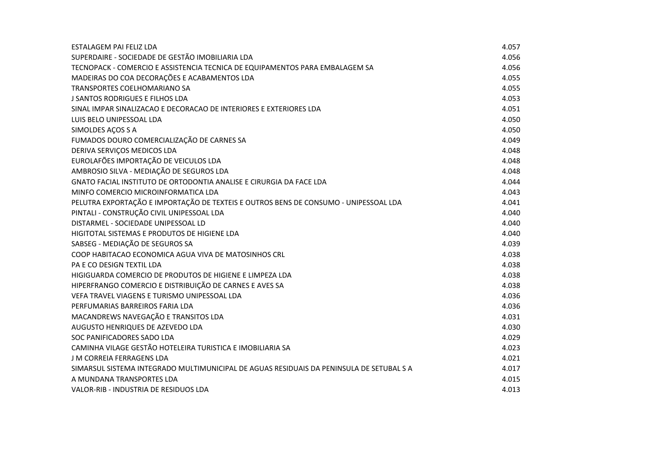| ESTALAGEM PAI FELIZ LDA                                                                  | 4.057 |
|------------------------------------------------------------------------------------------|-------|
| SUPERDAIRE - SOCIEDADE DE GESTÃO IMOBILIARIA LDA                                         | 4.056 |
| TECNOPACK - COMERCIO E ASSISTENCIA TECNICA DE EQUIPAMENTOS PARA EMBALAGEM SA             | 4.056 |
| MADEIRAS DO COA DECORAÇÕES E ACABAMENTOS LDA                                             | 4.055 |
| TRANSPORTES COELHOMARIANO SA                                                             | 4.055 |
| J SANTOS RODRIGUES E FILHOS LDA                                                          | 4.053 |
| SINAL IMPAR SINALIZACAO E DECORACAO DE INTERIORES E EXTERIORES LDA                       | 4.051 |
| LUIS BELO UNIPESSOAL LDA                                                                 | 4.050 |
| SIMOLDES AÇOS S A                                                                        | 4.050 |
| FUMADOS DOURO COMERCIALIZAÇÃO DE CARNES SA                                               | 4.049 |
| DERIVA SERVIÇOS MEDICOS LDA                                                              | 4.048 |
| EUROLAFÕES IMPORTAÇÃO DE VEICULOS LDA                                                    | 4.048 |
| AMBROSIO SILVA - MEDIAÇÃO DE SEGUROS LDA                                                 | 4.048 |
| GNATO FACIAL INSTITUTO DE ORTODONTIA ANALISE E CIRURGIA DA FACE LDA                      | 4.044 |
| MINFO COMERCIO MICROINFORMATICA LDA                                                      | 4.043 |
| PELUTRA EXPORTAÇÃO E IMPORTAÇÃO DE TEXTEIS E OUTROS BENS DE CONSUMO - UNIPESSOAL LDA     | 4.041 |
| PINTALI - CONSTRUÇÃO CIVIL UNIPESSOAL LDA                                                | 4.040 |
| DISTARMEL - SOCIEDADE UNIPESSOAL LD                                                      | 4.040 |
| HIGITOTAL SISTEMAS E PRODUTOS DE HIGIENE LDA                                             | 4.040 |
| SABSEG - MEDIAÇÃO DE SEGUROS SA                                                          | 4.039 |
| COOP HABITACAO ECONOMICA AGUA VIVA DE MATOSINHOS CRL                                     | 4.038 |
| PA E CO DESIGN TEXTIL LDA                                                                | 4.038 |
| HIGIGUARDA COMERCIO DE PRODUTOS DE HIGIENE E LIMPEZA LDA                                 | 4.038 |
| HIPERFRANGO COMERCIO E DISTRIBUIÇÃO DE CARNES E AVES SA                                  | 4.038 |
| VEFA TRAVEL VIAGENS E TURISMO UNIPESSOAL LDA                                             | 4.036 |
| PERFUMARIAS BARREIROS FARIA LDA                                                          | 4.036 |
| MACANDREWS NAVEGAÇÃO E TRANSITOS LDA                                                     | 4.031 |
| AUGUSTO HENRIQUES DE AZEVEDO LDA                                                         | 4.030 |
| SOC PANIFICADORES SADO LDA                                                               | 4.029 |
| CAMINHA VILAGE GESTÃO HOTELEIRA TURISTICA E IMOBILIARIA SA                               | 4.023 |
| J M CORREIA FERRAGENS LDA                                                                | 4.021 |
| SIMARSUL SISTEMA INTEGRADO MULTIMUNICIPAL DE AGUAS RESIDUAIS DA PENINSULA DE SETUBAL S A | 4.017 |
| A MUNDANA TRANSPORTES LDA                                                                | 4.015 |
| VALOR-RIB - INDUSTRIA DE RESIDUOS LDA                                                    | 4.013 |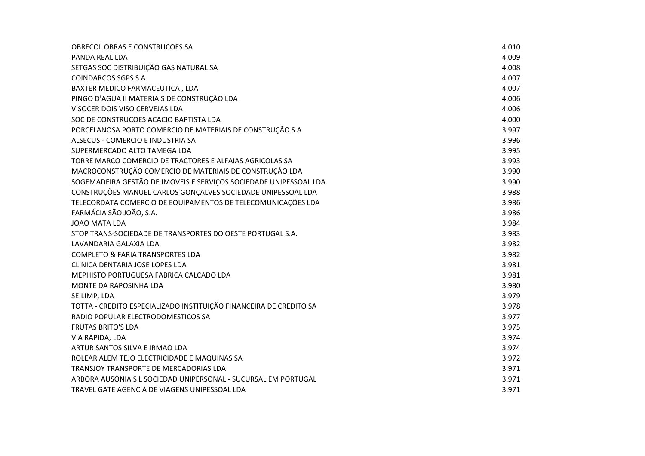| OBRECOL OBRAS E CONSTRUCOES SA                                     | 4.010 |
|--------------------------------------------------------------------|-------|
| PANDA REAL LDA                                                     | 4.009 |
| SETGAS SOC DISTRIBUIÇÃO GAS NATURAL SA                             | 4.008 |
| <b>COINDARCOS SGPS S A</b>                                         | 4.007 |
| BAXTER MEDICO FARMACEUTICA, LDA                                    | 4.007 |
| PINGO D'AGUA II MATERIAIS DE CONSTRUÇÃO LDA                        | 4.006 |
| VISOCER DOIS VISO CERVEJAS LDA                                     | 4.006 |
| SOC DE CONSTRUCOES ACACIO BAPTISTA LDA                             | 4.000 |
| PORCELANOSA PORTO COMERCIO DE MATERIAIS DE CONSTRUÇÃO S A          | 3.997 |
| ALSECUS - COMERCIO E INDUSTRIA SA                                  | 3.996 |
| SUPERMERCADO ALTO TAMEGA LDA                                       | 3.995 |
| TORRE MARCO COMERCIO DE TRACTORES E ALFAIAS AGRICOLAS SA           | 3.993 |
| MACROCONSTRUÇÃO COMERCIO DE MATERIAIS DE CONSTRUÇÃO LDA            | 3.990 |
| SOGEMADEIRA GESTÃO DE IMOVEIS E SERVIÇOS SOCIEDADE UNIPESSOAL LDA  | 3.990 |
| CONSTRUÇÕES MANUEL CARLOS GONÇALVES SOCIEDADE UNIPESSOAL LDA       | 3.988 |
| TELECORDATA COMERCIO DE EQUIPAMENTOS DE TELECOMUNICAÇÕES LDA       | 3.986 |
| FARMÁCIA SÃO JOÃO, S.A.                                            | 3.986 |
| <b>JOAO MATA LDA</b>                                               | 3.984 |
| STOP TRANS-SOCIEDADE DE TRANSPORTES DO OESTE PORTUGAL S.A.         | 3.983 |
| LAVANDARIA GALAXIA LDA                                             | 3.982 |
| <b>COMPLETO &amp; FARIA TRANSPORTES LDA</b>                        | 3.982 |
| CLINICA DENTARIA JOSE LOPES LDA                                    | 3.981 |
| MEPHISTO PORTUGUESA FABRICA CALCADO LDA                            | 3.981 |
| MONTE DA RAPOSINHA LDA                                             | 3.980 |
| SEILIMP, LDA                                                       | 3.979 |
| TOTTA - CREDITO ESPECIALIZADO INSTITUIÇÃO FINANCEIRA DE CREDITO SA | 3.978 |
| RADIO POPULAR ELECTRODOMESTICOS SA                                 | 3.977 |
| <b>FRUTAS BRITO'S LDA</b>                                          | 3.975 |
| VIA RÁPIDA, LDA                                                    | 3.974 |
| ARTUR SANTOS SILVA E IRMAO LDA                                     | 3.974 |
| ROLEAR ALEM TEJO ELECTRICIDADE E MAQUINAS SA                       | 3.972 |
| TRANSJOY TRANSPORTE DE MERCADORIAS LDA                             | 3.971 |
| ARBORA AUSONIA S L SOCIEDAD UNIPERSONAL - SUCURSAL EM PORTUGAL     | 3.971 |
| TRAVEL GATE AGENCIA DE VIAGENS UNIPESSOAL LDA                      | 3.971 |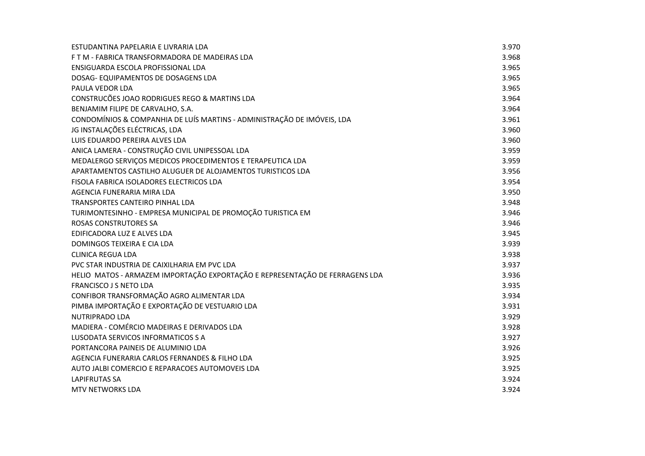| ESTUDANTINA PAPELARIA E LIVRARIA LDA                                         | 3.970 |
|------------------------------------------------------------------------------|-------|
| F T M - FABRICA TRANSFORMADORA DE MADEIRAS LDA                               | 3.968 |
| ENSIGUARDA ESCOLA PROFISSIONAL LDA                                           | 3.965 |
| DOSAG- EQUIPAMENTOS DE DOSAGENS LDA                                          | 3.965 |
| PAULA VEDOR LDA                                                              | 3.965 |
| CONSTRUCÕES JOAO RODRIGUES REGO & MARTINS LDA                                | 3.964 |
| BENJAMIM FILIPE DE CARVALHO, S.A.                                            | 3.964 |
| CONDOMÍNIOS & COMPANHIA DE LUÍS MARTINS - ADMINISTRAÇÃO DE IMÓVEIS, LDA      | 3.961 |
| JG INSTALAÇÕES ELÉCTRICAS, LDA                                               | 3.960 |
| LUIS EDUARDO PEREIRA ALVES LDA                                               | 3.960 |
| ANICA LAMERA - CONSTRUÇÃO CIVIL UNIPESSOAL LDA                               | 3.959 |
| MEDALERGO SERVIÇOS MEDICOS PROCEDIMENTOS E TERAPEUTICA LDA                   | 3.959 |
| APARTAMENTOS CASTILHO ALUGUER DE ALOJAMENTOS TURISTICOS LDA                  | 3.956 |
| FISOLA FABRICA ISOLADORES ELECTRICOS LDA                                     | 3.954 |
| AGENCIA FUNERARIA MIRA LDA                                                   | 3.950 |
| TRANSPORTES CANTEIRO PINHAL LDA                                              | 3.948 |
| TURIMONTESINHO - EMPRESA MUNICIPAL DE PROMOÇÃO TURISTICA EM                  | 3.946 |
| <b>ROSAS CONSTRUTORES SA</b>                                                 | 3.946 |
| EDIFICADORA LUZ E ALVES LDA                                                  | 3.945 |
| DOMINGOS TEIXEIRA E CIA LDA                                                  | 3.939 |
| <b>CLINICA REGUA LDA</b>                                                     | 3.938 |
| PVC STAR INDUSTRIA DE CAIXILHARIA EM PVC LDA                                 | 3.937 |
| HELIO MATOS - ARMAZEM IMPORTAÇÃO EXPORTAÇÃO E REPRESENTAÇÃO DE FERRAGENS LDA | 3.936 |
| FRANCISCO J S NETO LDA                                                       | 3.935 |
| CONFIBOR TRANSFORMAÇÃO AGRO ALIMENTAR LDA                                    | 3.934 |
| PIMBA IMPORTAÇÃO E EXPORTAÇÃO DE VESTUARIO LDA                               | 3.931 |
| NUTRIPRADO LDA                                                               | 3.929 |
| MADIERA - COMÉRCIO MADEIRAS E DERIVADOS LDA                                  | 3.928 |
| LUSODATA SERVICOS INFORMATICOS S A                                           | 3.927 |
| PORTANCORA PAINEIS DE ALUMINIO LDA                                           | 3.926 |
| AGENCIA FUNERARIA CARLOS FERNANDES & FILHO LDA                               | 3.925 |
| AUTO JALBI COMERCIO E REPARACOES AUTOMOVEIS LDA                              | 3.925 |
| <b>LAPIFRUTAS SA</b>                                                         | 3.924 |
| <b>MTV NETWORKS LDA</b>                                                      | 3.924 |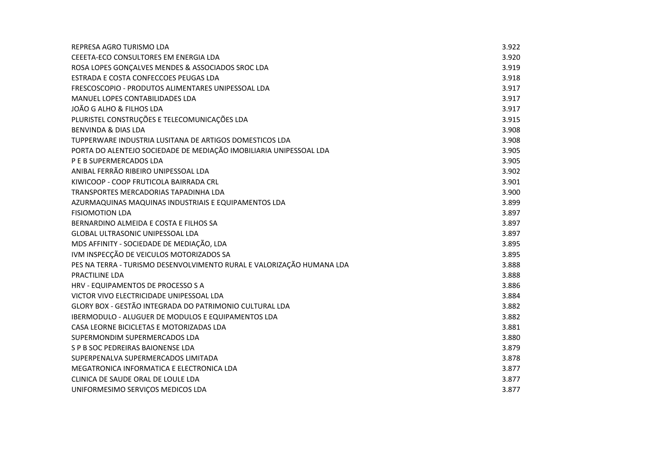| REPRESA AGRO TURISMO LDA                                              | 3.922 |
|-----------------------------------------------------------------------|-------|
| CEEETA-ECO CONSULTORES EM ENERGIA LDA                                 | 3.920 |
| ROSA LOPES GONCALVES MENDES & ASSOCIADOS SROC LDA                     | 3.919 |
| ESTRADA E COSTA CONFECCOES PEUGAS LDA                                 | 3.918 |
| FRESCOSCOPIO - PRODUTOS ALIMENTARES UNIPESSOAL LDA                    | 3.917 |
| MANUEL LOPES CONTABILIDADES LDA                                       | 3.917 |
| JOÃO G ALHO & FILHOS LDA                                              | 3.917 |
| PLURISTEL CONSTRUÇÕES E TELECOMUNICAÇÕES LDA                          | 3.915 |
| <b>BENVINDA &amp; DIAS LDA</b>                                        | 3.908 |
| TUPPERWARE INDUSTRIA LUSITANA DE ARTIGOS DOMESTICOS LDA               | 3.908 |
| PORTA DO ALENTEJO SOCIEDADE DE MEDIAÇÃO IMOBILIARIA UNIPESSOAL LDA    | 3.905 |
| P E B SUPERMERCADOS LDA                                               | 3.905 |
| ANIBAL FERRÃO RIBEIRO UNIPESSOAL LDA                                  | 3.902 |
| KIWICOOP - COOP FRUTICOLA BAIRRADA CRL                                | 3.901 |
| TRANSPORTES MERCADORIAS TAPADINHA LDA                                 | 3.900 |
| AZURMAQUINAS MAQUINAS INDUSTRIAIS E EQUIPAMENTOS LDA                  | 3.899 |
| <b>FISIOMOTION LDA</b>                                                | 3.897 |
| BERNARDINO ALMEIDA E COSTA E FILHOS SA                                | 3.897 |
| <b>GLOBAL ULTRASONIC UNIPESSOAL LDA</b>                               | 3.897 |
| MDS AFFINITY - SOCIEDADE DE MEDIAÇÃO, LDA                             | 3.895 |
| IVM INSPECÇÃO DE VEICULOS MOTORIZADOS SA                              | 3.895 |
| PES NA TERRA - TURISMO DESENVOLVIMENTO RURAL E VALORIZAÇÃO HUMANA LDA | 3.888 |
| PRACTILINE LDA                                                        | 3.888 |
| HRV - EQUIPAMENTOS DE PROCESSO S A                                    | 3.886 |
| VICTOR VIVO ELECTRICIDADE UNIPESSOAL LDA                              | 3.884 |
| GLORY BOX - GESTÃO INTEGRADA DO PATRIMONIO CULTURAL LDA               | 3.882 |
| IBERMODULO - ALUGUER DE MODULOS E EQUIPAMENTOS LDA                    | 3.882 |
| CASA LEORNE BICICLETAS E MOTORIZADAS LDA                              | 3.881 |
| SUPERMONDIM SUPERMERCADOS LDA                                         | 3.880 |
| S P B SOC PEDREIRAS BAIONENSE LDA                                     | 3.879 |
| SUPERPENALVA SUPERMERCADOS LIMITADA                                   | 3.878 |
| MEGATRONICA INFORMATICA E ELECTRONICA LDA                             | 3.877 |
| CLINICA DE SAUDE ORAL DE LOULE LDA                                    | 3.877 |
| UNIFORMESIMO SERVIÇOS MEDICOS LDA                                     | 3.877 |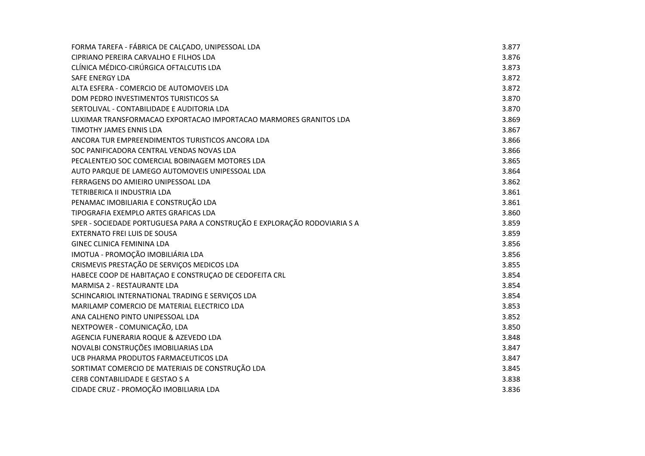| FORMA TAREFA - FÁBRICA DE CALÇADO, UNIPESSOAL LDA                         | 3.877 |
|---------------------------------------------------------------------------|-------|
| CIPRIANO PEREIRA CARVALHO E FILHOS LDA                                    | 3.876 |
| CLÍNICA MÉDICO-CIRÚRGICA OFTALCUTIS LDA                                   | 3.873 |
| <b>SAFE ENERGY LDA</b>                                                    | 3.872 |
| ALTA ESFERA - COMERCIO DE AUTOMOVEIS LDA                                  | 3.872 |
| DOM PEDRO INVESTIMENTOS TURISTICOS SA                                     | 3.870 |
| SERTOLIVAL - CONTABILIDADE E AUDITORIA LDA                                | 3.870 |
| LUXIMAR TRANSFORMACAO EXPORTACAO IMPORTACAO MARMORES GRANITOS LDA         | 3.869 |
| TIMOTHY JAMES ENNIS LDA                                                   | 3.867 |
| ANCORA TUR EMPREENDIMENTOS TURISTICOS ANCORA LDA                          | 3.866 |
| SOC PANIFICADORA CENTRAL VENDAS NOVAS LDA                                 | 3.866 |
| PECALENTEJO SOC COMERCIAL BOBINAGEM MOTORES LDA                           | 3.865 |
| AUTO PARQUE DE LAMEGO AUTOMOVEIS UNIPESSOAL LDA                           | 3.864 |
| FERRAGENS DO AMIEIRO UNIPESSOAL LDA                                       | 3.862 |
| TETRIBERICA II INDUSTRIA LDA                                              | 3.861 |
| PENAMAC IMOBILIARIA E CONSTRUÇÃO LDA                                      | 3.861 |
| TIPOGRAFIA EXEMPLO ARTES GRAFICAS LDA                                     | 3.860 |
| SPER - SOCIEDADE PORTUGUESA PARA A CONSTRUÇÃO E EXPLORAÇÃO RODOVIARIA S A | 3.859 |
| <b>EXTERNATO FREI LUIS DE SOUSA</b>                                       | 3.859 |
| <b>GINEC CLINICA FEMININA LDA</b>                                         | 3.856 |
| IMOTUA - PROMOÇÃO IMOBILIÁRIA LDA                                         | 3.856 |
| CRISMEVIS PRESTAÇÃO DE SERVIÇOS MEDICOS LDA                               | 3.855 |
| HABECE COOP DE HABITAÇÃO E CONSTRUÇÃO DE CEDOFEITA CRL                    | 3.854 |
| MARMISA 2 - RESTAURANTE LDA                                               | 3.854 |
| SCHINCARIOL INTERNATIONAL TRADING E SERVIÇOS LDA                          | 3.854 |
| MARILAMP COMERCIO DE MATERIAL ELECTRICO LDA                               | 3.853 |
| ANA CALHENO PINTO UNIPESSOAL LDA                                          | 3.852 |
| NEXTPOWER - COMUNICAÇÃO, LDA                                              | 3.850 |
| AGENCIA FUNERARIA ROQUE & AZEVEDO LDA                                     | 3.848 |
| NOVALBI CONSTRUÇÕES IMOBILIARIAS LDA                                      | 3.847 |
| UCB PHARMA PRODUTOS FARMACEUTICOS LDA                                     | 3.847 |
| SORTIMAT COMERCIO DE MATERIAIS DE CONSTRUÇÃO LDA                          | 3.845 |
| CERB CONTABILIDADE E GESTAO S A                                           | 3.838 |
| CIDADE CRUZ - PROMOÇÃO IMOBILIARIA LDA                                    | 3.836 |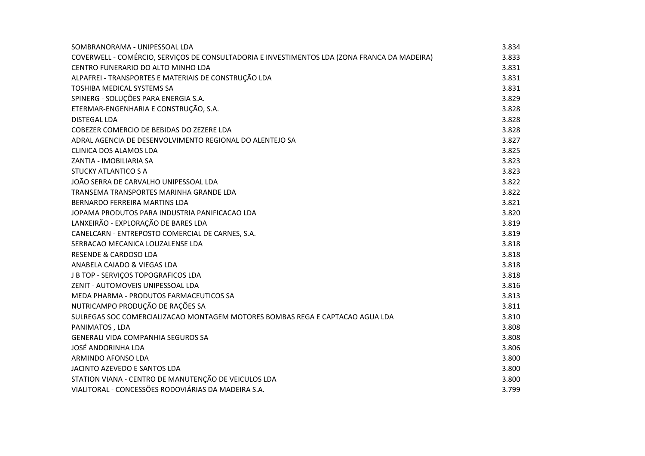| SOMBRANORAMA - UNIPESSOAL LDA                                                                | 3.834 |
|----------------------------------------------------------------------------------------------|-------|
| COVERWELL - COMÉRCIO, SERVIÇOS DE CONSULTADORIA E INVESTIMENTOS LDA (ZONA FRANCA DA MADEIRA) | 3.833 |
| CENTRO FUNERARIO DO ALTO MINHO LDA                                                           | 3.831 |
| ALPAFREI - TRANSPORTES E MATERIAIS DE CONSTRUÇÃO LDA                                         | 3.831 |
| TOSHIBA MEDICAL SYSTEMS SA                                                                   | 3.831 |
| SPINERG - SOLUÇÕES PARA ENERGIA S.A.                                                         | 3.829 |
| ETERMAR-ENGENHARIA E CONSTRUÇÃO, S.A.                                                        | 3.828 |
| <b>DISTEGAL LDA</b>                                                                          | 3.828 |
| COBEZER COMERCIO DE BEBIDAS DO ZEZERE LDA                                                    | 3.828 |
| ADRAL AGENCIA DE DESENVOLVIMENTO REGIONAL DO ALENTEJO SA                                     | 3.827 |
| CLINICA DOS ALAMOS LDA                                                                       | 3.825 |
| ZANTIA - IMOBILIARIA SA                                                                      | 3.823 |
| <b>STUCKY ATLANTICO S A</b>                                                                  | 3.823 |
| JOÃO SERRA DE CARVALHO UNIPESSOAL LDA                                                        | 3.822 |
| TRANSEMA TRANSPORTES MARINHA GRANDE LDA                                                      | 3.822 |
| BERNARDO FERREIRA MARTINS LDA                                                                | 3.821 |
| JOPAMA PRODUTOS PARA INDUSTRIA PANIFICACAO LDA                                               | 3.820 |
| LANXEIRÃO - EXPLORAÇÃO DE BARES LDA                                                          | 3.819 |
| CANELCARN - ENTREPOSTO COMERCIAL DE CARNES, S.A.                                             | 3.819 |
| SERRACAO MECANICA LOUZALENSE LDA                                                             | 3.818 |
| <b>RESENDE &amp; CARDOSO LDA</b>                                                             | 3.818 |
| ANABELA CAIADO & VIEGAS LDA                                                                  | 3.818 |
| J B TOP - SERVIÇOS TOPOGRAFICOS LDA                                                          | 3.818 |
| ZENIT - AUTOMOVEIS UNIPESSOAL LDA                                                            | 3.816 |
| MEDA PHARMA - PRODUTOS FARMACEUTICOS SA                                                      | 3.813 |
| NUTRICAMPO PRODUÇÃO DE RAÇÕES SA                                                             | 3.811 |
| SULREGAS SOC COMERCIALIZACAO MONTAGEM MOTORES BOMBAS REGA E CAPTACAO AGUA LDA                | 3.810 |
| PANIMATOS, LDA                                                                               | 3.808 |
| <b>GENERALI VIDA COMPANHIA SEGUROS SA</b>                                                    | 3.808 |
| JOSÉ ANDORINHA LDA                                                                           | 3.806 |
| ARMINDO AFONSO LDA                                                                           | 3.800 |
| JACINTO AZEVEDO E SANTOS LDA                                                                 | 3.800 |
| STATION VIANA - CENTRO DE MANUTENÇÃO DE VEICULOS LDA                                         | 3.800 |
| VIALITORAL - CONCESSÕES RODOVIÁRIAS DA MADEIRA S.A.                                          | 3.799 |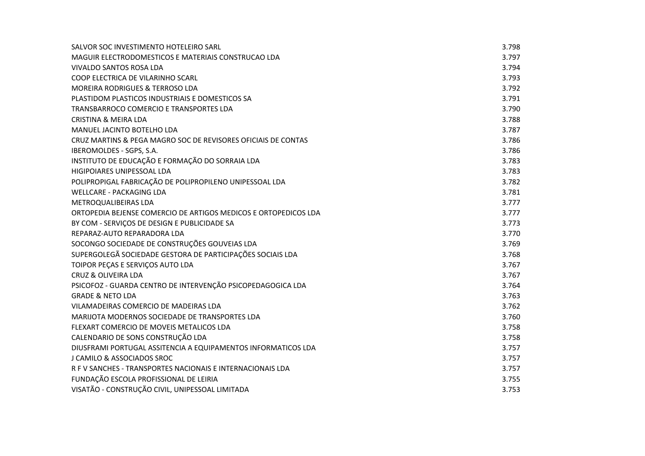| SALVOR SOC INVESTIMENTO HOTELEIRO SARL                          | 3.798 |
|-----------------------------------------------------------------|-------|
| MAGUIR ELECTRODOMESTICOS E MATERIAIS CONSTRUCAO LDA             | 3.797 |
| VIVALDO SANTOS ROSA LDA                                         | 3.794 |
| COOP ELECTRICA DE VILARINHO SCARL                               | 3.793 |
| MOREIRA RODRIGUES & TERROSO LDA                                 | 3.792 |
| PLASTIDOM PLASTICOS INDUSTRIAIS E DOMESTICOS SA                 | 3.791 |
| TRANSBARROCO COMERCIO E TRANSPORTES LDA                         | 3.790 |
| <b>CRISTINA &amp; MEIRA LDA</b>                                 | 3.788 |
| MANUEL JACINTO BOTELHO LDA                                      | 3.787 |
| CRUZ MARTINS & PEGA MAGRO SOC DE REVISORES OFICIAIS DE CONTAS   | 3.786 |
| IBEROMOLDES - SGPS, S.A.                                        | 3.786 |
| INSTITUTO DE EDUCAÇÃO E FORMAÇÃO DO SORRAIA LDA                 | 3.783 |
| HIGIPOIARES UNIPESSOAL LDA                                      | 3.783 |
| POLIPROPIGAL FABRICAÇÃO DE POLIPROPILENO UNIPESSOAL LDA         | 3.782 |
| <b>WELLCARE - PACKAGING LDA</b>                                 | 3.781 |
| METROQUALIBEIRAS LDA                                            | 3.777 |
| ORTOPEDIA BEJENSE COMERCIO DE ARTIGOS MEDICOS E ORTOPEDICOS LDA | 3.777 |
| BY COM - SERVIÇOS DE DESIGN E PUBLICIDADE SA                    | 3.773 |
| REPARAZ-AUTO REPARADORA LDA                                     | 3.770 |
| SOCONGO SOCIEDADE DE CONSTRUÇÕES GOUVEIAS LDA                   | 3.769 |
| SUPERGOLEGÃ SOCIEDADE GESTORA DE PARTICIPAÇÕES SOCIAIS LDA      | 3.768 |
| TOIPOR PEÇAS E SERVIÇOS AUTO LDA                                | 3.767 |
| <b>CRUZ &amp; OLIVEIRA LDA</b>                                  | 3.767 |
| PSICOFOZ - GUARDA CENTRO DE INTERVENÇÃO PSICOPEDAGOGICA LDA     | 3.764 |
| <b>GRADE &amp; NETO LDA</b>                                     | 3.763 |
| VILAMADEIRAS COMERCIO DE MADEIRAS LDA                           | 3.762 |
| MARIJOTA MODERNOS SOCIEDADE DE TRANSPORTES LDA                  | 3.760 |
| FLEXART COMERCIO DE MOVEIS METALICOS LDA                        | 3.758 |
| CALENDARIO DE SONS CONSTRUÇÃO LDA                               | 3.758 |
| DIUSFRAMI PORTUGAL ASSITENCIA A EQUIPAMENTOS INFORMATICOS LDA   | 3.757 |
| J CAMILO & ASSOCIADOS SROC                                      | 3.757 |
| R F V SANCHES - TRANSPORTES NACIONAIS E INTERNACIONAIS LDA      | 3.757 |
| FUNDAÇÃO ESCOLA PROFISSIONAL DE LEIRIA                          | 3.755 |
| VISATÃO - CONSTRUÇÃO CIVIL, UNIPESSOAL LIMITADA                 | 3.753 |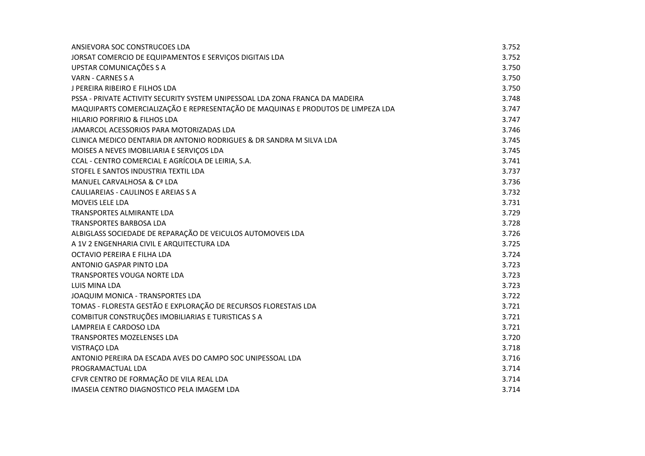| ANSIEVORA SOC CONSTRUCOES LDA                                                    | 3.752 |
|----------------------------------------------------------------------------------|-------|
| JORSAT COMERCIO DE EQUIPAMENTOS E SERVIÇOS DIGITAIS LDA                          | 3.752 |
| UPSTAR COMUNICAÇÕES S A                                                          | 3.750 |
| VARN - CARNES S A                                                                | 3.750 |
| J PEREIRA RIBEIRO E FILHOS LDA                                                   | 3.750 |
| PSSA - PRIVATE ACTIVITY SECURITY SYSTEM UNIPESSOAL LDA ZONA FRANCA DA MADEIRA    | 3.748 |
| MAQUIPARTS COMERCIALIZAÇÃO E REPRESENTAÇÃO DE MAQUINAS E PRODUTOS DE LIMPEZA LDA | 3.747 |
| HILARIO PORFIRIO & FILHOS LDA                                                    | 3.747 |
| JAMARCOL ACESSORIOS PARA MOTORIZADAS LDA                                         | 3.746 |
| CLINICA MEDICO DENTARIA DR ANTONIO RODRIGUES & DR SANDRA M SILVA LDA             | 3.745 |
| MOISES A NEVES IMOBILIARIA E SERVIÇOS LDA                                        | 3.745 |
| CCAL - CENTRO COMERCIAL E AGRÍCOLA DE LEIRIA, S.A.                               | 3.741 |
| STOFEL E SANTOS INDUSTRIA TEXTIL LDA                                             | 3.737 |
| MANUEL CARVALHOSA & Cª LDA                                                       | 3.736 |
| CAULIAREIAS - CAULINOS E AREIAS S A                                              | 3.732 |
| MOVEIS LELE LDA                                                                  | 3.731 |
| TRANSPORTES ALMIRANTE LDA                                                        | 3.729 |
| <b>TRANSPORTES BARBOSA LDA</b>                                                   | 3.728 |
| ALBIGLASS SOCIEDADE DE REPARAÇÃO DE VEICULOS AUTOMOVEIS LDA                      | 3.726 |
| A 1V 2 ENGENHARIA CIVIL E ARQUITECTURA LDA                                       | 3.725 |
| OCTAVIO PEREIRA E FILHA LDA                                                      | 3.724 |
| ANTONIO GASPAR PINTO LDA                                                         | 3.723 |
| TRANSPORTES VOUGA NORTE LDA                                                      | 3.723 |
| LUIS MINA LDA                                                                    | 3.723 |
| JOAQUIM MONICA - TRANSPORTES LDA                                                 | 3.722 |
| TOMAS - FLORESTA GESTÃO E EXPLORAÇÃO DE RECURSOS FLORESTAIS LDA                  | 3.721 |
| COMBITUR CONSTRUÇÕES IMOBILIARIAS E TURISTICAS S A                               | 3.721 |
| LAMPREIA E CARDOSO LDA                                                           | 3.721 |
| TRANSPORTES MOZELENSES LDA                                                       | 3.720 |
| <b>VISTRAÇO LDA</b>                                                              | 3.718 |
| ANTONIO PEREIRA DA ESCADA AVES DO CAMPO SOC UNIPESSOAL LDA                       | 3.716 |
| PROGRAMACTUAL LDA                                                                | 3.714 |
| CFVR CENTRO DE FORMAÇÃO DE VILA REAL LDA                                         | 3.714 |
| IMASEIA CENTRO DIAGNOSTICO PELA IMAGEM LDA                                       | 3.714 |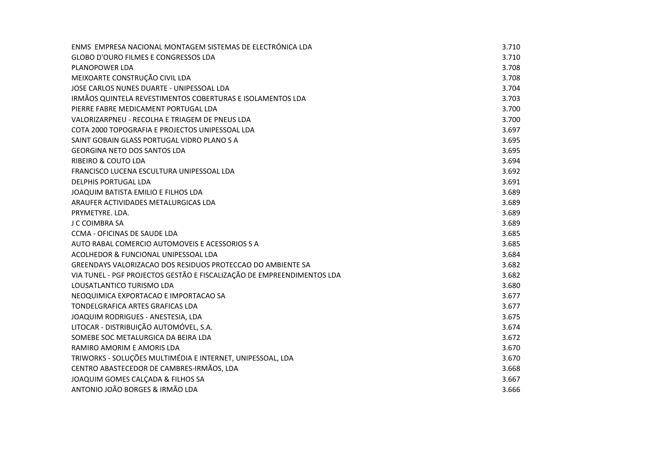| ENMS EMPRESA NACIONAL MONTAGEM SISTEMAS DE ELECTRÓNICA LDA             | 3.710 |
|------------------------------------------------------------------------|-------|
| <b>GLOBO D'OURO FILMES E CONGRESSOS LDA</b>                            | 3.710 |
| PLANOPOWER LDA                                                         | 3.708 |
| MEIXOARTE CONSTRUÇÃO CIVIL LDA                                         | 3.708 |
| JOSE CARLOS NUNES DUARTE - UNIPESSOAL LDA                              | 3.704 |
| IRMÃOS QUINTELA REVESTIMENTOS COBERTURAS E ISOLAMENTOS LDA             | 3.703 |
| PIERRE FABRE MEDICAMENT PORTUGAL LDA                                   | 3.700 |
| VALORIZARPNEU - RECOLHA E TRIAGEM DE PNEUS LDA                         | 3.700 |
| COTA 2000 TOPOGRAFIA E PROJECTOS UNIPESSOAL LDA                        | 3.697 |
| SAINT GOBAIN GLASS PORTUGAL VIDRO PLANO S A                            | 3.695 |
| <b>GEORGINA NETO DOS SANTOS LDA</b>                                    | 3.695 |
| <b>RIBEIRO &amp; COUTO LDA</b>                                         | 3.694 |
| FRANCISCO LUCENA ESCULTURA UNIPESSOAL LDA                              | 3.692 |
| <b>DELPHIS PORTUGAL LDA</b>                                            | 3.691 |
| JOAQUIM BATISTA EMILIO E FILHOS LDA                                    | 3.689 |
| ARAUFER ACTIVIDADES METALURGICAS LDA                                   | 3.689 |
| PRYMETYRE. LDA.                                                        | 3.689 |
| J C COIMBRA SA                                                         | 3.689 |
| CCMA - OFICINAS DE SAUDE LDA                                           | 3.685 |
| AUTO RABAL COMERCIO AUTOMOVEIS E ACESSORIOS S A                        | 3.685 |
| ACOLHEDOR & FUNCIONAL UNIPESSOAL LDA                                   | 3.684 |
| GREENDAYS VALORIZACAO DOS RESIDUOS PROTECCAO DO AMBIENTE SA            | 3.682 |
| VIA TUNEL - PGF PROJECTOS GESTÃO E FISCALIZAÇÃO DE EMPREENDIMENTOS LDA | 3.682 |
| LOUSATLANTICO TURISMO LDA                                              | 3.680 |
| NEOQUIMICA EXPORTACAO E IMPORTACAO SA                                  | 3.677 |
| TONDELGRAFICA ARTES GRAFICAS LDA                                       | 3.677 |
| JOAQUIM RODRIGUES - ANESTESIA, LDA                                     | 3.675 |
| LITOCAR - DISTRIBUIÇÃO AUTOMÓVEL, S.A.                                 | 3.674 |
| SOMEBE SOC METALURGICA DA BEIRA LDA                                    | 3.672 |
| RAMIRO AMORIM E AMORIS LDA                                             | 3.670 |
| TRIWORKS - SOLUÇÕES MULTIMÉDIA E INTERNET, UNIPESSOAL, LDA             | 3.670 |
| CENTRO ABASTECEDOR DE CAMBRES-IRMÃOS, LDA                              | 3.668 |
| JOAQUIM GOMES CALCADA & FILHOS SA                                      | 3.667 |
| ANTONIO JOÃO BORGES & IRMÃO LDA                                        | 3.666 |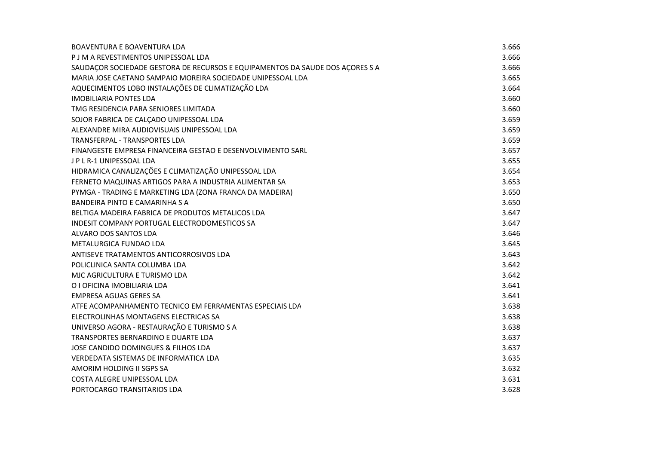| BOAVENTURA E BOAVENTURA LDA                                                   | 3.666 |
|-------------------------------------------------------------------------------|-------|
| P J M A REVESTIMENTOS UNIPESSOAL LDA                                          | 3.666 |
| SAUDAÇOR SOCIEDADE GESTORA DE RECURSOS E EQUIPAMENTOS DA SAUDE DOS AÇORES S A | 3.666 |
| MARIA JOSE CAETANO SAMPAIO MOREIRA SOCIEDADE UNIPESSOAL LDA                   | 3.665 |
| AQUECIMENTOS LOBO INSTALAÇÕES DE CLIMATIZAÇÃO LDA                             | 3.664 |
| <b>IMOBILIARIA PONTES LDA</b>                                                 | 3.660 |
| TMG RESIDENCIA PARA SENIORES LIMITADA                                         | 3.660 |
| SOJOR FABRICA DE CALÇADO UNIPESSOAL LDA                                       | 3.659 |
| ALEXANDRE MIRA AUDIOVISUAIS UNIPESSOAL LDA                                    | 3.659 |
| TRANSFERPAL - TRANSPORTES LDA                                                 | 3.659 |
| FINANGESTE EMPRESA FINANCEIRA GESTAO E DESENVOLVIMENTO SARL                   | 3.657 |
| J P L R-1 UNIPESSOAL LDA                                                      | 3.655 |
| HIDRAMICA CANALIZAÇÕES E CLIMATIZAÇÃO UNIPESSOAL LDA                          | 3.654 |
| FERNETO MAQUINAS ARTIGOS PARA A INDUSTRIA ALIMENTAR SA                        | 3.653 |
| PYMGA - TRADING E MARKETING LDA (ZONA FRANCA DA MADEIRA)                      | 3.650 |
| <b>BANDEIRA PINTO E CAMARINHA S A</b>                                         | 3.650 |
| BELTIGA MADEIRA FABRICA DE PRODUTOS METALICOS LDA                             | 3.647 |
| INDESIT COMPANY PORTUGAL ELECTRODOMESTICOS SA                                 | 3.647 |
| ALVARO DOS SANTOS LDA                                                         | 3.646 |
| METALURGICA FUNDAO LDA                                                        | 3.645 |
| ANTISEVE TRATAMENTOS ANTICORROSIVOS LDA                                       | 3.643 |
| POLICLINICA SANTA COLUMBA LDA                                                 | 3.642 |
| MJC AGRICULTURA E TURISMO LDA                                                 | 3.642 |
| O I OFICINA IMOBILIARIA LDA                                                   | 3.641 |
| EMPRESA AGUAS GERES SA                                                        | 3.641 |
| ATFE ACOMPANHAMENTO TECNICO EM FERRAMENTAS ESPECIAIS LDA                      | 3.638 |
| ELECTROLINHAS MONTAGENS ELECTRICAS SA                                         | 3.638 |
| UNIVERSO AGORA - RESTAURAÇÃO E TURISMO S A                                    | 3.638 |
| TRANSPORTES BERNARDINO E DUARTE LDA                                           | 3.637 |
| JOSE CANDIDO DOMINGUES & FILHOS LDA                                           | 3.637 |
| VERDEDATA SISTEMAS DE INFORMATICA LDA                                         | 3.635 |
| AMORIM HOLDING II SGPS SA                                                     | 3.632 |
| COSTA ALEGRE UNIPESSOAL LDA                                                   | 3.631 |
| PORTOCARGO TRANSITARIOS LDA                                                   | 3.628 |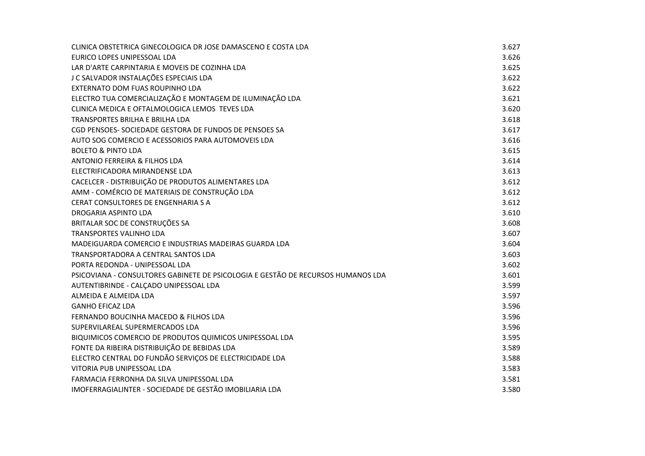| CLINICA OBSTETRICA GINECOLOGICA DR JOSE DAMASCENO E COSTA LDA                    | 3.627 |
|----------------------------------------------------------------------------------|-------|
| EURICO LOPES UNIPESSOAL LDA                                                      | 3.626 |
| LAR D'ARTE CARPINTARIA E MOVEIS DE COZINHA LDA                                   | 3.625 |
| J C SALVADOR INSTALAÇÕES ESPECIAIS LDA                                           | 3.622 |
| EXTERNATO DOM FUAS ROUPINHO LDA                                                  | 3.622 |
| ELECTRO TUA COMERCIALIZAÇÃO E MONTAGEM DE ILUMINAÇÃO LDA                         | 3.621 |
| CLINICA MEDICA E OFTALMOLOGICA LEMOS TEVES LDA                                   | 3.620 |
| <b>TRANSPORTES BRILHA E BRILHA LDA</b>                                           | 3.618 |
| CGD PENSOES- SOCIEDADE GESTORA DE FUNDOS DE PENSOES SA                           | 3.617 |
| AUTO SOG COMERCIO E ACESSORIOS PARA AUTOMOVEIS LDA                               | 3.616 |
| <b>BOLETO &amp; PINTO LDA</b>                                                    | 3.615 |
| <b>ANTONIO FERREIRA &amp; FILHOS LDA</b>                                         | 3.614 |
| ELECTRIFICADORA MIRANDENSE LDA                                                   | 3.613 |
| CACELCER - DISTRIBUIÇÃO DE PRODUTOS ALIMENTARES LDA                              | 3.612 |
| AMM - COMÉRCIO DE MATERIAIS DE CONSTRUÇÃO LDA                                    | 3.612 |
| CERAT CONSULTORES DE ENGENHARIA S A                                              | 3.612 |
| DROGARIA ASPINTO LDA                                                             | 3.610 |
| BRITALAR SOC DE CONSTRUÇÕES SA                                                   | 3.608 |
| TRANSPORTES VALINHO LDA                                                          | 3.607 |
| MADEIGUARDA COMERCIO E INDUSTRIAS MADEIRAS GUARDA LDA                            | 3.604 |
| TRANSPORTADORA A CENTRAL SANTOS LDA                                              | 3.603 |
| PORTA REDONDA - UNIPESSOAL LDA                                                   | 3.602 |
| PSICOVIANA - CONSULTORES GABINETE DE PSICOLOGIA E GESTÃO DE RECURSOS HUMANOS LDA | 3.601 |
| AUTENTIBRINDE - CALÇADO UNIPESSOAL LDA                                           | 3.599 |
| ALMEIDA E ALMEIDA LDA                                                            | 3.597 |
| <b>GANHO EFICAZ LDA</b>                                                          | 3.596 |
| FERNANDO BOUCINHA MACEDO & FILHOS LDA                                            | 3.596 |
| SUPERVILAREAL SUPERMERCADOS LDA                                                  | 3.596 |
| BIQUIMICOS COMERCIO DE PRODUTOS QUIMICOS UNIPESSOAL LDA                          | 3.595 |
| FONTE DA RIBEIRA DISTRIBUIÇÃO DE BEBIDAS LDA                                     | 3.589 |
| ELECTRO CENTRAL DO FUNDÃO SERVIÇOS DE ELECTRICIDADE LDA                          | 3.588 |
| VITORIA PUB UNIPESSOAL LDA                                                       | 3.583 |
| FARMACIA FERRONHA DA SILVA UNIPESSOAL LDA                                        | 3.581 |
| IMOFERRAGIALINTER - SOCIEDADE DE GESTÃO IMOBILIARIA LDA                          | 3.580 |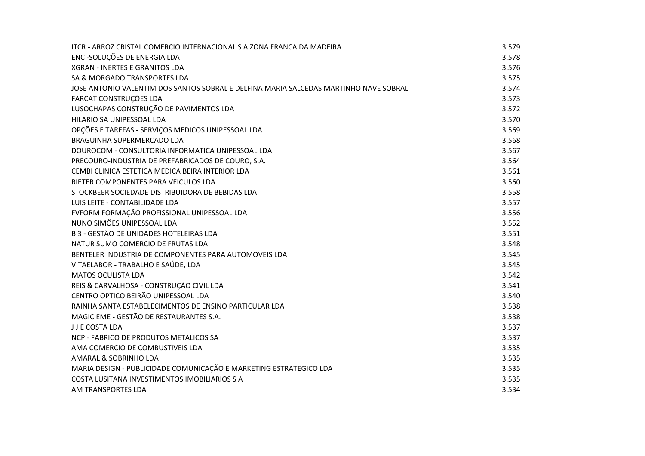| ITCR - ARROZ CRISTAL COMERCIO INTERNACIONAL S A ZONA FRANCA DA MADEIRA                | 3.579 |
|---------------------------------------------------------------------------------------|-------|
| ENC-SOLUÇÕES DE ENERGIA LDA                                                           | 3.578 |
| <b>XGRAN - INERTES E GRANITOS LDA</b>                                                 | 3.576 |
| SA & MORGADO TRANSPORTES LDA                                                          | 3.575 |
| JOSE ANTONIO VALENTIM DOS SANTOS SOBRAL E DELFINA MARIA SALCEDAS MARTINHO NAVE SOBRAL | 3.574 |
| FARCAT CONSTRUÇÕES LDA                                                                | 3.573 |
| LUSOCHAPAS CONSTRUÇÃO DE PAVIMENTOS LDA                                               | 3.572 |
| HILARIO SA UNIPESSOAL LDA                                                             | 3.570 |
| OPÇÕES E TAREFAS - SERVIÇOS MEDICOS UNIPESSOAL LDA                                    | 3.569 |
| BRAGUINHA SUPERMERCADO LDA                                                            | 3.568 |
| DOUROCOM - CONSULTORIA INFORMATICA UNIPESSOAL LDA                                     | 3.567 |
| PRECOURO-INDUSTRIA DE PREFABRICADOS DE COURO, S.A.                                    | 3.564 |
| CEMBI CLINICA ESTETICA MEDICA BEIRA INTERIOR LDA                                      | 3.561 |
| RIETER COMPONENTES PARA VEICULOS LDA                                                  | 3.560 |
| STOCKBEER SOCIEDADE DISTRIBUIDORA DE BEBIDAS LDA                                      | 3.558 |
| LUIS LEITE - CONTABILIDADE LDA                                                        | 3.557 |
| FVFORM FORMAÇÃO PROFISSIONAL UNIPESSOAL LDA                                           | 3.556 |
| NUNO SIMÕES UNIPESSOAL LDA                                                            | 3.552 |
| B 3 - GESTÃO DE UNIDADES HOTELEIRAS LDA                                               | 3.551 |
| NATUR SUMO COMERCIO DE FRUTAS LDA                                                     | 3.548 |
| BENTELER INDUSTRIA DE COMPONENTES PARA AUTOMOVEIS LDA                                 | 3.545 |
| VITAELABOR - TRABALHO E SAÚDE, LDA                                                    | 3.545 |
| <b>MATOS OCULISTA LDA</b>                                                             | 3.542 |
| REIS & CARVALHOSA - CONSTRUÇÃO CIVIL LDA                                              | 3.541 |
| CENTRO OPTICO BEIRÃO UNIPESSOAL LDA                                                   | 3.540 |
| RAINHA SANTA ESTABELECIMENTOS DE ENSINO PARTICULAR LDA                                | 3.538 |
| MAGIC EME - GESTÃO DE RESTAURANTES S.A.                                               | 3.538 |
| J J E COSTA LDA                                                                       | 3.537 |
| NCP - FABRICO DE PRODUTOS METALICOS SA                                                | 3.537 |
| AMA COMERCIO DE COMBUSTIVEIS LDA                                                      | 3.535 |
| AMARAL & SOBRINHO LDA                                                                 | 3.535 |
| MARIA DESIGN - PUBLICIDADE COMUNICAÇÃO E MARKETING ESTRATEGICO LDA                    | 3.535 |
| COSTA LUSITANA INVESTIMENTOS IMOBILIARIOS S A                                         | 3.535 |
| AM TRANSPORTES LDA                                                                    | 3.534 |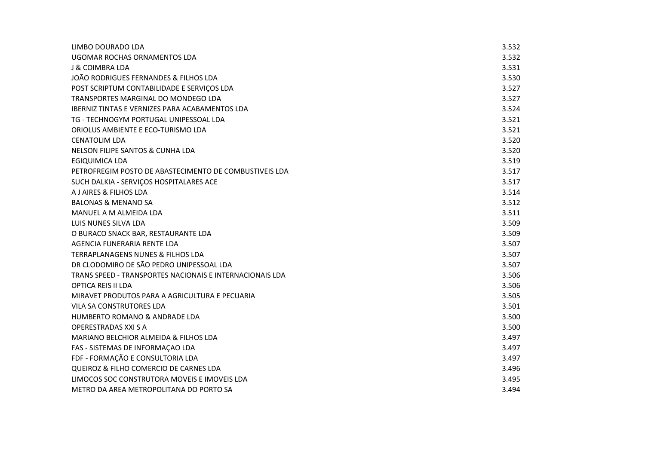| LIMBO DOURADO LDA                                        | 3.532 |
|----------------------------------------------------------|-------|
| UGOMAR ROCHAS ORNAMENTOS LDA                             | 3.532 |
| J & COIMBRA LDA                                          | 3.531 |
| JOÃO RODRIGUES FERNANDES & FILHOS LDA                    | 3.530 |
| POST SCRIPTUM CONTABILIDADE E SERVIÇOS LDA               | 3.527 |
| TRANSPORTES MARGINAL DO MONDEGO LDA                      | 3.527 |
| <b>IBERNIZ TINTAS E VERNIZES PARA ACABAMENTOS LDA</b>    | 3.524 |
| TG - TECHNOGYM PORTUGAL UNIPESSOAL LDA                   | 3.521 |
| ORIOLUS AMBIENTE E ECO-TURISMO LDA                       | 3.521 |
| <b>CENATOLIM LDA</b>                                     | 3.520 |
| NELSON FILIPE SANTOS & CUNHA LDA                         | 3.520 |
| EGIQUIMICA LDA                                           | 3.519 |
| PETROFREGIM POSTO DE ABASTECIMENTO DE COMBUSTIVEIS LDA   | 3.517 |
| SUCH DALKIA - SERVIÇOS HOSPITALARES ACE                  | 3.517 |
| A J AIRES & FILHOS LDA                                   | 3.514 |
| <b>BALONAS &amp; MENANO SA</b>                           | 3.512 |
| MANUEL A M ALMEIDA LDA                                   | 3.511 |
| LUIS NUNES SILVA LDA                                     | 3.509 |
| O BURACO SNACK BAR, RESTAURANTE LDA                      | 3.509 |
| AGENCIA FUNERARIA RENTE LDA                              | 3.507 |
| TERRAPLANAGENS NUNES & FILHOS LDA                        | 3.507 |
| DR CLODOMIRO DE SÃO PEDRO UNIPESSOAL LDA                 | 3.507 |
| TRANS SPEED - TRANSPORTES NACIONAIS E INTERNACIONAIS LDA | 3.506 |
| OPTICA REIS II LDA                                       | 3.506 |
| MIRAVET PRODUTOS PARA A AGRICULTURA E PECUARIA           | 3.505 |
| VILA SA CONSTRUTORES LDA                                 | 3.501 |
| HUMBERTO ROMANO & ANDRADE LDA                            | 3.500 |
| <b>OPERESTRADAS XXI S A</b>                              | 3.500 |
| MARIANO BELCHIOR ALMEIDA & FILHOS LDA                    | 3.497 |
| FAS - SISTEMAS DE INFORMAÇÃO LDA                         | 3.497 |
| FDF - FORMAÇÃO E CONSULTORIA LDA                         | 3.497 |
| QUEIROZ & FILHO COMERCIO DE CARNES LDA                   | 3.496 |
| LIMOCOS SOC CONSTRUTORA MOVEIS E IMOVEIS LDA             | 3.495 |
| METRO DA AREA METROPOLITANA DO PORTO SA                  | 3.494 |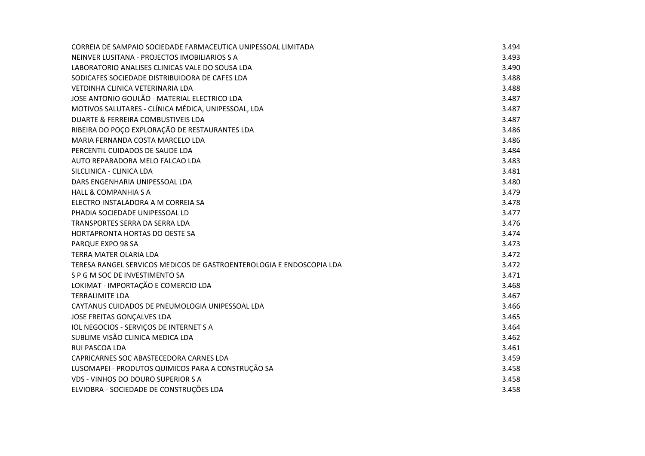| CORREIA DE SAMPAIO SOCIEDADE FARMACEUTICA UNIPESSOAL LIMITADA        | 3.494 |
|----------------------------------------------------------------------|-------|
| NEINVER LUSITANA - PROJECTOS IMOBILIARIOS S A                        | 3.493 |
| LABORATORIO ANALISES CLINICAS VALE DO SOUSA LDA                      | 3.490 |
| SODICAFES SOCIEDADE DISTRIBUIDORA DE CAFES LDA                       | 3.488 |
| VETDINHA CLINICA VETERINARIA LDA                                     | 3.488 |
| JOSE ANTONIO GOULÃO - MATERIAL ELECTRICO LDA                         | 3.487 |
| MOTIVOS SALUTARES - CLÍNICA MÉDICA, UNIPESSOAL, LDA                  | 3.487 |
| DUARTE & FERREIRA COMBUSTIVEIS LDA                                   | 3.487 |
| RIBEIRA DO POÇO EXPLORAÇÃO DE RESTAURANTES LDA                       | 3.486 |
| MARIA FERNANDA COSTA MARCELO LDA                                     | 3.486 |
| PERCENTIL CUIDADOS DE SAUDE LDA                                      | 3.484 |
| AUTO REPARADORA MELO FALCAO LDA                                      | 3.483 |
| SILCLINICA - CLINICA LDA                                             | 3.481 |
| DARS ENGENHARIA UNIPESSOAL LDA                                       | 3.480 |
| <b>HALL &amp; COMPANHIA S A</b>                                      | 3.479 |
| ELECTRO INSTALADORA A M CORREIA SA                                   | 3.478 |
| PHADIA SOCIEDADE UNIPESSOAL LD                                       | 3.477 |
| TRANSPORTES SERRA DA SERRA LDA                                       | 3.476 |
| HORTAPRONTA HORTAS DO OESTE SA                                       | 3.474 |
| PARQUE EXPO 98 SA                                                    | 3.473 |
| TERRA MATER OLARIA LDA                                               | 3.472 |
| TERESA RANGEL SERVICOS MEDICOS DE GASTROENTEROLOGIA E ENDOSCOPIA LDA | 3.472 |
| S P G M SOC DE INVESTIMENTO SA                                       | 3.471 |
| LOKIMAT - IMPORTAÇÃO E COMERCIO LDA                                  | 3.468 |
| <b>TERRALIMITE LDA</b>                                               | 3.467 |
| CAYTANUS CUIDADOS DE PNEUMOLOGIA UNIPESSOAL LDA                      | 3.466 |
| JOSE FREITAS GONÇALVES LDA                                           | 3.465 |
| IOL NEGOCIOS - SERVIÇOS DE INTERNET S A                              | 3.464 |
| SUBLIME VISÃO CLINICA MEDICA LDA                                     | 3.462 |
| RUI PASCOA LDA                                                       | 3.461 |
| CAPRICARNES SOC ABASTECEDORA CARNES LDA                              | 3.459 |
| LUSOMAPEI - PRODUTOS QUIMICOS PARA A CONSTRUÇÃO SA                   | 3.458 |
| <b>VDS - VINHOS DO DOURO SUPERIOR S A</b>                            | 3.458 |
| ELVIOBRA - SOCIEDADE DE CONSTRUÇÕES LDA                              | 3.458 |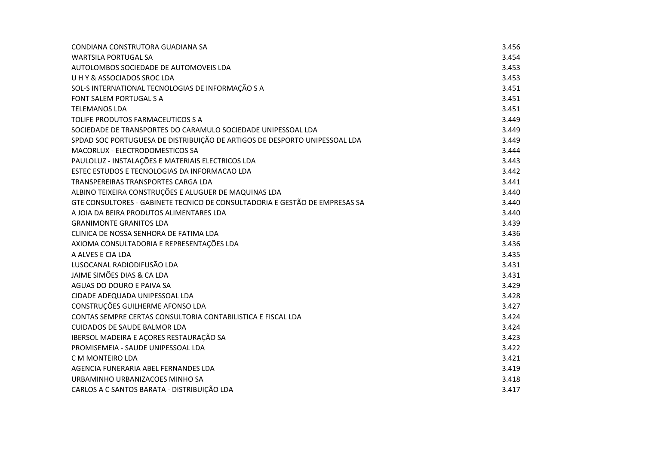| CONDIANA CONSTRUTORA GUADIANA SA                                            | 3.456 |
|-----------------------------------------------------------------------------|-------|
| WARTSILA PORTUGAL SA                                                        | 3.454 |
| AUTOLOMBOS SOCIEDADE DE AUTOMOVEIS LDA                                      | 3.453 |
| UHY& ASSOCIADOS SROC LDA                                                    | 3.453 |
| SOL-S INTERNATIONAL TECNOLOGIAS DE INFORMAÇÃO S A                           | 3.451 |
| <b>FONT SALEM PORTUGAL S A</b>                                              | 3.451 |
| <b>TELEMANOS LDA</b>                                                        | 3.451 |
| TOLIFE PRODUTOS FARMACEUTICOS S A                                           | 3.449 |
| SOCIEDADE DE TRANSPORTES DO CARAMULO SOCIEDADE UNIPESSOAL LDA               | 3.449 |
| SPDAD SOC PORTUGUESA DE DISTRIBUIÇÃO DE ARTIGOS DE DESPORTO UNIPESSOAL LDA  | 3.449 |
| MACORLUX - ELECTRODOMESTICOS SA                                             | 3.444 |
| PAULOLUZ - INSTALAÇÕES E MATERIAIS ELECTRICOS LDA                           | 3.443 |
| ESTEC ESTUDOS E TECNOLOGIAS DA INFORMACAO LDA                               | 3.442 |
| TRANSPEREIRAS TRANSPORTES CARGA LDA                                         | 3.441 |
| ALBINO TEIXEIRA CONSTRUÇÕES E ALUGUER DE MAQUINAS LDA                       | 3.440 |
| GTE CONSULTORES - GABINETE TECNICO DE CONSULTADORIA E GESTÃO DE EMPRESAS SA | 3.440 |
| A JOIA DA BEIRA PRODUTOS ALIMENTARES LDA                                    | 3.440 |
| <b>GRANIMONTE GRANITOS LDA</b>                                              | 3.439 |
| CLINICA DE NOSSA SENHORA DE FATIMA LDA                                      | 3.436 |
| AXIOMA CONSULTADORIA E REPRESENTAÇÕES LDA                                   | 3.436 |
| A ALVES E CIA LDA                                                           | 3.435 |
| LUSOCANAL RADIODIFUSÃO LDA                                                  | 3.431 |
| JAIME SIMÕES DIAS & CA LDA                                                  | 3.431 |
| AGUAS DO DOURO E PAIVA SA                                                   | 3.429 |
| CIDADE ADEQUADA UNIPESSOAL LDA                                              | 3.428 |
| CONSTRUÇÕES GUILHERME AFONSO LDA                                            | 3.427 |
| CONTAS SEMPRE CERTAS CONSULTORIA CONTABILISTICA E FISCAL LDA                | 3.424 |
| <b>CUIDADOS DE SAUDE BALMOR LDA</b>                                         | 3.424 |
| IBERSOL MADEIRA E AÇORES RESTAURAÇÃO SA                                     | 3.423 |
| PROMISEMEIA - SAUDE UNIPESSOAL LDA                                          | 3.422 |
| C M MONTEIRO LDA                                                            | 3.421 |
| AGENCIA FUNERARIA ABEL FERNANDES LDA                                        | 3.419 |
| URBAMINHO URBANIZACOES MINHO SA                                             | 3.418 |
| CARLOS A C SANTOS BARATA - DISTRIBUIÇÃO LDA                                 | 3.417 |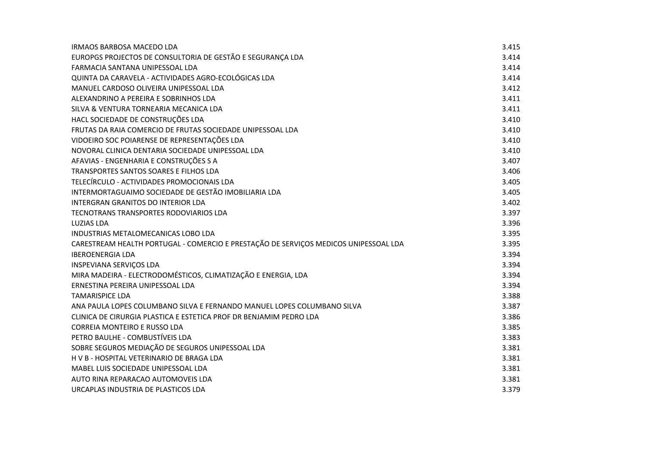| <b>IRMAOS BARBOSA MACEDO LDA</b>                                                     | 3.415 |
|--------------------------------------------------------------------------------------|-------|
| EUROPGS PROJECTOS DE CONSULTORIA DE GESTÃO E SEGURANÇA LDA                           | 3.414 |
| FARMACIA SANTANA UNIPESSOAL LDA                                                      | 3.414 |
| QUINTA DA CARAVELA - ACTIVIDADES AGRO-ECOLÓGICAS LDA                                 | 3.414 |
| MANUEL CARDOSO OLIVEIRA UNIPESSOAL LDA                                               | 3.412 |
| ALEXANDRINO A PEREIRA E SOBRINHOS LDA                                                | 3.411 |
| SILVA & VENTURA TORNEARIA MECANICA LDA                                               | 3.411 |
| HACL SOCIEDADE DE CONSTRUÇÕES LDA                                                    | 3.410 |
| FRUTAS DA RAIA COMERCIO DE FRUTAS SOCIEDADE UNIPESSOAL LDA                           | 3.410 |
| VIDOEIRO SOC POIARENSE DE REPRESENTAÇÕES LDA                                         | 3.410 |
| NOVORAL CLINICA DENTARIA SOCIEDADE UNIPESSOAL LDA                                    | 3.410 |
| AFAVIAS - ENGENHARIA E CONSTRUÇÕES S A                                               | 3.407 |
| TRANSPORTES SANTOS SOARES E FILHOS LDA                                               | 3.406 |
| TELECÍRCULO - ACTIVIDADES PROMOCIONAIS LDA                                           | 3.405 |
| INTERMORTAGUAIMO SOCIEDADE DE GESTÃO IMOBILIARIA LDA                                 | 3.405 |
| INTERGRAN GRANITOS DO INTERIOR LDA                                                   | 3.402 |
| TECNOTRANS TRANSPORTES RODOVIARIOS LDA                                               | 3.397 |
| <b>LUZIAS LDA</b>                                                                    | 3.396 |
| INDUSTRIAS METALOMECANICAS LOBO LDA                                                  | 3.395 |
| CARESTREAM HEALTH PORTUGAL - COMERCIO E PRESTAÇÃO DE SERVIÇOS MEDICOS UNIPESSOAL LDA | 3.395 |
| <b>IBEROENERGIA LDA</b>                                                              | 3.394 |
| INSPEVIANA SERVIÇOS LDA                                                              | 3.394 |
| MIRA MADEIRA - ELECTRODOMÉSTICOS, CLIMATIZAÇÃO E ENERGIA, LDA                        | 3.394 |
| ERNESTINA PEREIRA UNIPESSOAL LDA                                                     | 3.394 |
| <b>TAMARISPICE LDA</b>                                                               | 3.388 |
| ANA PAULA LOPES COLUMBANO SILVA E FERNANDO MANUEL LOPES COLUMBANO SILVA              | 3.387 |
| CLINICA DE CIRURGIA PLASTICA E ESTETICA PROF DR BENJAMIM PEDRO LDA                   | 3.386 |
| <b>CORREIA MONTEIRO E RUSSO LDA</b>                                                  | 3.385 |
| PETRO BAULHE - COMBUSTÍVEIS LDA                                                      | 3.383 |
| SOBRE SEGUROS MEDIAÇÃO DE SEGUROS UNIPESSOAL LDA                                     | 3.381 |
| H V B - HOSPITAL VETERINARIO DE BRAGA LDA                                            | 3.381 |
| MABEL LUIS SOCIEDADE UNIPESSOAL LDA                                                  | 3.381 |
| AUTO RINA REPARACAO AUTOMOVEIS LDA                                                   | 3.381 |
| URCAPLAS INDUSTRIA DE PLASTICOS LDA                                                  | 3.379 |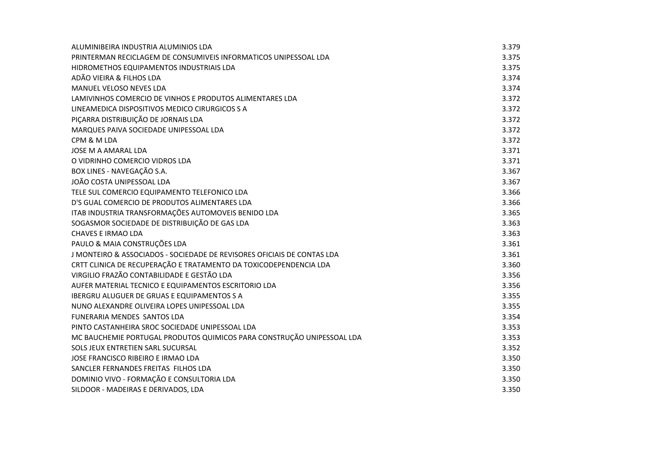| ALUMINIBEIRA INDUSTRIA ALUMINIOS LDA                                    | 3.379 |
|-------------------------------------------------------------------------|-------|
| PRINTERMAN RECICLAGEM DE CONSUMIVEIS INFORMATICOS UNIPESSOAL LDA        | 3.375 |
| HIDROMETHOS EQUIPAMENTOS INDUSTRIAIS LDA                                | 3.375 |
| ADÃO VIEIRA & FILHOS LDA                                                | 3.374 |
| MANUEL VELOSO NEVES LDA                                                 | 3.374 |
| LAMIVINHOS COMERCIO DE VINHOS E PRODUTOS ALIMENTARES LDA                | 3.372 |
| LINEAMEDICA DISPOSITIVOS MEDICO CIRURGICOS S A                          | 3.372 |
| PIÇARRA DISTRIBUIÇÃO DE JORNAIS LDA                                     | 3.372 |
| MARQUES PAIVA SOCIEDADE UNIPESSOAL LDA                                  | 3.372 |
| CPM & M LDA                                                             | 3.372 |
| JOSE M A AMARAL LDA                                                     | 3.371 |
| O VIDRINHO COMERCIO VIDROS LDA                                          | 3.371 |
| BOX LINES - NAVEGAÇÃO S.A.                                              | 3.367 |
| JOÃO COSTA UNIPESSOAL LDA                                               | 3.367 |
| TELE SUL COMERCIO EQUIPAMENTO TELEFONICO LDA                            | 3.366 |
| D'S GUAL COMERCIO DE PRODUTOS ALIMENTARES LDA                           | 3.366 |
| ITAB INDUSTRIA TRANSFORMAÇÕES AUTOMOVEIS BENIDO LDA                     | 3.365 |
| SOGASMOR SOCIEDADE DE DISTRIBUIÇÃO DE GAS LDA                           | 3.363 |
| <b>CHAVES E IRMAO LDA</b>                                               | 3.363 |
| PAULO & MAIA CONSTRUÇÕES LDA                                            | 3.361 |
| J MONTEIRO & ASSOCIADOS - SOCIEDADE DE REVISORES OFICIAIS DE CONTAS LDA | 3.361 |
| CRTT CLINICA DE RECUPERAÇÃO E TRATAMENTO DA TOXICODEPENDENCIA LDA       | 3.360 |
| VIRGILIO FRAZÃO CONTABILIDADE E GESTÃO LDA                              | 3.356 |
| AUFER MATERIAL TECNICO E EQUIPAMENTOS ESCRITORIO LDA                    | 3.356 |
| <b>IBERGRU ALUGUER DE GRUAS E EQUIPAMENTOS S A</b>                      | 3.355 |
| NUNO ALEXANDRE OLIVEIRA LOPES UNIPESSOAL LDA                            | 3.355 |
| <b>FUNERARIA MENDES SANTOS LDA</b>                                      | 3.354 |
| PINTO CASTANHEIRA SROC SOCIEDADE UNIPESSOAL LDA                         | 3.353 |
| MC BAUCHEMIE PORTUGAL PRODUTOS QUIMICOS PARA CONSTRUÇÃO UNIPESSOAL LDA  | 3.353 |
| SOLS JEUX ENTRETIEN SARL SUCURSAL                                       | 3.352 |
| JOSE FRANCISCO RIBEIRO E IRMAO LDA                                      | 3.350 |
| SANCLER FERNANDES FREITAS FILHOS LDA                                    | 3.350 |
| DOMINIO VIVO - FORMAÇÃO E CONSULTORIA LDA                               | 3.350 |
| SILDOOR - MADEIRAS E DERIVADOS, LDA                                     | 3.350 |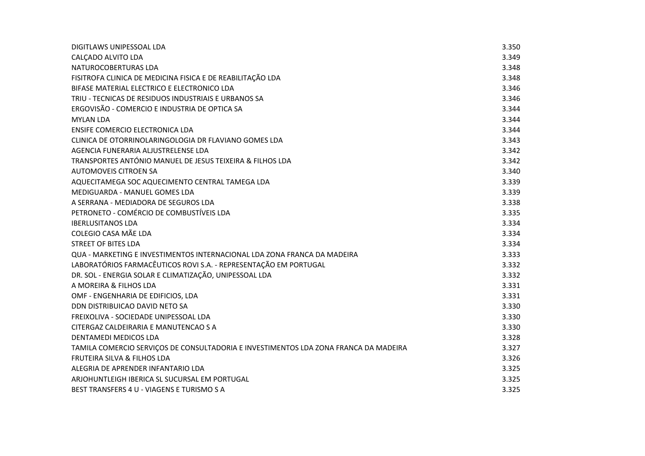| DIGITLAWS UNIPESSOAL LDA                                                             | 3.350 |
|--------------------------------------------------------------------------------------|-------|
| CALCADO ALVITO LDA                                                                   | 3.349 |
| NATUROCOBERTURAS LDA                                                                 | 3.348 |
| FISITROFA CLINICA DE MEDICINA FISICA E DE REABILITAÇÃO LDA                           | 3.348 |
| BIFASE MATERIAL ELECTRICO E ELECTRONICO LDA                                          | 3.346 |
| TRIU - TECNICAS DE RESIDUOS INDUSTRIAIS E URBANOS SA                                 | 3.346 |
| ERGOVISÃO - COMERCIO E INDUSTRIA DE OPTICA SA                                        | 3.344 |
| <b>MYLAN LDA</b>                                                                     | 3.344 |
| ENSIFE COMERCIO ELECTRONICA LDA                                                      | 3.344 |
| CLINICA DE OTORRINOLARINGOLOGIA DR FLAVIANO GOMES LDA                                | 3.343 |
| AGENCIA FUNERARIA ALJUSTRELENSE LDA                                                  | 3.342 |
| TRANSPORTES ANTÓNIO MANUEL DE JESUS TEIXEIRA & FILHOS LDA                            | 3.342 |
| <b>AUTOMOVEIS CITROEN SA</b>                                                         | 3.340 |
| AQUECITAMEGA SOC AQUECIMENTO CENTRAL TAMEGA LDA                                      | 3.339 |
| MEDIGUARDA - MANUEL GOMES LDA                                                        | 3.339 |
| A SERRANA - MEDIADORA DE SEGUROS LDA                                                 | 3.338 |
| PETRONETO - COMÉRCIO DE COMBUSTÍVEIS LDA                                             | 3.335 |
| <b>IBERLUSITANOS LDA</b>                                                             | 3.334 |
| COLEGIO CASA MÃE LDA                                                                 | 3.334 |
| <b>STREET OF BITES LDA</b>                                                           | 3.334 |
| QUA - MARKETING E INVESTIMENTOS INTERNACIONAL LDA ZONA FRANCA DA MADEIRA             | 3.333 |
| LABORATÓRIOS FARMACÊUTICOS ROVI S.A. - REPRESENTAÇÃO EM PORTUGAL                     | 3.332 |
| DR. SOL - ENERGIA SOLAR E CLIMATIZAÇÃO, UNIPESSOAL LDA                               | 3.332 |
| A MOREIRA & FILHOS LDA                                                               | 3.331 |
| OMF - ENGENHARIA DE EDIFICIOS, LDA                                                   | 3.331 |
| DDN DISTRIBUICAO DAVID NETO SA                                                       | 3.330 |
| FREIXOLIVA - SOCIEDADE UNIPESSOAL LDA                                                | 3.330 |
| CITERGAZ CALDEIRARIA E MANUTENCAO S A                                                | 3.330 |
| DENTAMEDI MEDICOS LDA                                                                | 3.328 |
| TAMILA COMERCIO SERVIÇOS DE CONSULTADORIA E INVESTIMENTOS LDA ZONA FRANCA DA MADEIRA | 3.327 |
| FRUTEIRA SILVA & FILHOS LDA                                                          | 3.326 |
| ALEGRIA DE APRENDER INFANTARIO LDA                                                   | 3.325 |
| ARJOHUNTLEIGH IBERICA SL SUCURSAL EM PORTUGAL                                        | 3.325 |
| BEST TRANSFERS 4 U - VIAGENS E TURISMO S A                                           | 3.325 |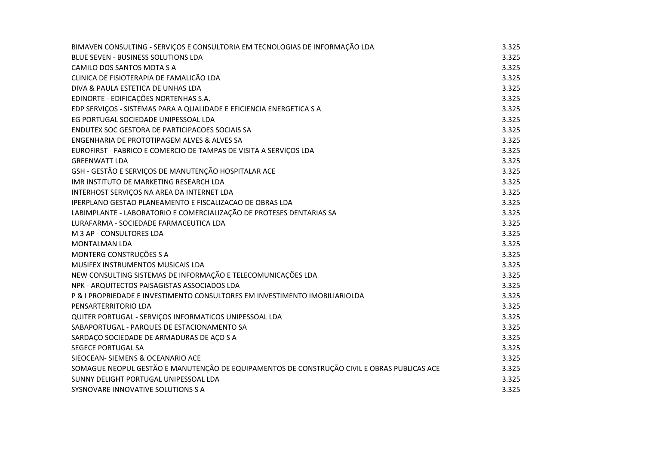| BIMAVEN CONSULTING - SERVIÇOS E CONSULTORIA EM TECNOLOGIAS DE INFORMAÇÃO LDA                | 3.325 |
|---------------------------------------------------------------------------------------------|-------|
| BLUE SEVEN - BUSINESS SOLUTIONS LDA                                                         | 3.325 |
| CAMILO DOS SANTOS MOTA S A                                                                  | 3.325 |
| CLINICA DE FISIOTERAPIA DE FAMALICÃO LDA                                                    | 3.325 |
| DIVA & PAULA ESTETICA DE UNHAS LDA                                                          | 3.325 |
| EDINORTE - EDIFICAÇÕES NORTENHAS S.A.                                                       | 3.325 |
| EDP SERVIÇOS - SISTEMAS PARA A QUALIDADE E EFICIENCIA ENERGETICA S A                        | 3.325 |
| EG PORTUGAL SOCIEDADE UNIPESSOAL LDA                                                        | 3.325 |
| ENDUTEX SOC GESTORA DE PARTICIPACOES SOCIAIS SA                                             | 3.325 |
| ENGENHARIA DE PROTOTIPAGEM ALVES & ALVES SA                                                 | 3.325 |
| EUROFIRST - FABRICO E COMERCIO DE TAMPAS DE VISITA A SERVIÇOS LDA                           | 3.325 |
| <b>GREENWATT LDA</b>                                                                        | 3.325 |
| GSH - GESTÃO E SERVIÇOS DE MANUTENÇÃO HOSPITALAR ACE                                        | 3.325 |
| IMR INSTITUTO DE MARKETING RESEARCH LDA                                                     | 3.325 |
| INTERHOST SERVIÇOS NA AREA DA INTERNET LDA                                                  | 3.325 |
| IPERPLANO GESTAO PLANEAMENTO E FISCALIZACAO DE OBRAS LDA                                    | 3.325 |
| LABIMPLANTE - LABORATORIO E COMERCIALIZAÇÃO DE PROTESES DENTARIAS SA                        | 3.325 |
| LURAFARMA - SOCIEDADE FARMACEUTICA LDA                                                      | 3.325 |
| M 3 AP - CONSULTORES LDA                                                                    | 3.325 |
| <b>MONTALMAN LDA</b>                                                                        | 3.325 |
| MONTERG CONSTRUÇÕES S A                                                                     | 3.325 |
| MUSIFEX INSTRUMENTOS MUSICAIS LDA                                                           | 3.325 |
| NEW CONSULTING SISTEMAS DE INFORMAÇÃO E TELECOMUNICAÇÕES LDA                                | 3.325 |
| NPK - ARQUITECTOS PAISAGISTAS ASSOCIADOS LDA                                                | 3.325 |
| P & I PROPRIEDADE E INVESTIMENTO CONSULTORES EM INVESTIMENTO IMOBILIARIOLDA                 | 3.325 |
| PENSARTERRITORIO LDA                                                                        | 3.325 |
| QUITER PORTUGAL - SERVIÇOS INFORMATICOS UNIPESSOAL LDA                                      | 3.325 |
| SABAPORTUGAL - PARQUES DE ESTACIONAMENTO SA                                                 | 3.325 |
| SARDAÇO SOCIEDADE DE ARMADURAS DE AÇO S A                                                   | 3.325 |
| <b>SEGECE PORTUGAL SA</b>                                                                   | 3.325 |
| SIEOCEAN- SIEMENS & OCEANARIO ACE                                                           | 3.325 |
| SOMAGUE NEOPUL GESTÃO E MANUTENÇÃO DE EQUIPAMENTOS DE CONSTRUÇÃO CIVIL E OBRAS PUBLICAS ACE | 3.325 |
| SUNNY DELIGHT PORTUGAL UNIPESSOAL LDA                                                       | 3.325 |
| SYSNOVARE INNOVATIVE SOLUTIONS S A                                                          | 3.325 |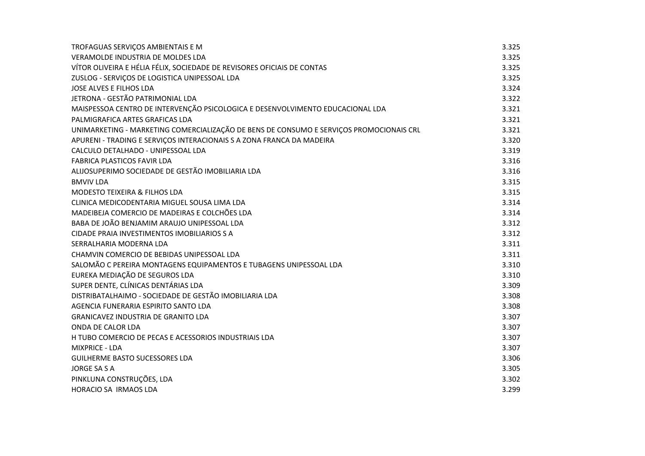| TROFAGUAS SERVIÇOS AMBIENTAIS E M                                                       | 3.325 |
|-----------------------------------------------------------------------------------------|-------|
| VERAMOLDE INDUSTRIA DE MOLDES LDA                                                       | 3.325 |
| VÍTOR OLIVEIRA E HÉLIA FÉLIX, SOCIEDADE DE REVISORES OFICIAIS DE CONTAS                 | 3.325 |
| ZUSLOG - SERVIÇOS DE LOGISTICA UNIPESSOAL LDA                                           | 3.325 |
| JOSE ALVES E FILHOS LDA                                                                 | 3.324 |
| JETRONA - GESTÃO PATRIMONIAL LDA                                                        | 3.322 |
| MAISPESSOA CENTRO DE INTERVENÇÃO PSICOLOGICA E DESENVOLVIMENTO EDUCACIONAL LDA          | 3.321 |
| PALMIGRAFICA ARTES GRAFICAS LDA                                                         | 3.321 |
| UNIMARKETING - MARKETING COMERCIALIZAÇÃO DE BENS DE CONSUMO E SERVIÇOS PROMOCIONAIS CRL | 3.321 |
| APURENI - TRADING E SERVIÇOS INTERACIONAIS S A ZONA FRANCA DA MADEIRA                   | 3.320 |
| CALCULO DETALHADO - UNIPESSOAL LDA                                                      | 3.319 |
| <b>FABRICA PLASTICOS FAVIR LDA</b>                                                      | 3.316 |
| ALIJOSUPERIMO SOCIEDADE DE GESTÃO IMOBILIARIA LDA                                       | 3.316 |
| <b>BMVIV LDA</b>                                                                        | 3.315 |
| MODESTO TEIXEIRA & FILHOS LDA                                                           | 3.315 |
| CLINICA MEDICODENTARIA MIGUEL SOUSA LIMA LDA                                            | 3.314 |
| MADEIBEJA COMERCIO DE MADEIRAS E COLCHÕES LDA                                           | 3.314 |
| BABA DE JOÃO BENJAMIM ARAUJO UNIPESSOAL LDA                                             | 3.312 |
| CIDADE PRAIA INVESTIMENTOS IMOBILIARIOS S A                                             | 3.312 |
| SERRALHARIA MODERNA LDA                                                                 | 3.311 |
| CHAMVIN COMERCIO DE BEBIDAS UNIPESSOAL LDA                                              | 3.311 |
| SALOMÃO C PEREIRA MONTAGENS EQUIPAMENTOS E TUBAGENS UNIPESSOAL LDA                      | 3.310 |
| EUREKA MEDIAÇÃO DE SEGUROS LDA                                                          | 3.310 |
| SUPER DENTE, CLÍNICAS DENTÁRIAS LDA                                                     | 3.309 |
| DISTRIBATALHAIMO - SOCIEDADE DE GESTÃO IMOBILIARIA LDA                                  | 3.308 |
| AGENCIA FUNERARIA ESPIRITO SANTO LDA                                                    | 3.308 |
| GRANICAVEZ INDUSTRIA DE GRANITO LDA                                                     | 3.307 |
| ONDA DE CALOR LDA                                                                       | 3.307 |
| H TUBO COMERCIO DE PECAS E ACESSORIOS INDUSTRIAIS LDA                                   | 3.307 |
| <b>MIXPRICE - LDA</b>                                                                   | 3.307 |
| <b>GUILHERME BASTO SUCESSORES LDA</b>                                                   | 3.306 |
| <b>JORGE SA S A</b>                                                                     | 3.305 |
| PINKLUNA CONSTRUÇÕES, LDA                                                               | 3.302 |
| <b>HORACIO SA IRMAOS LDA</b>                                                            | 3.299 |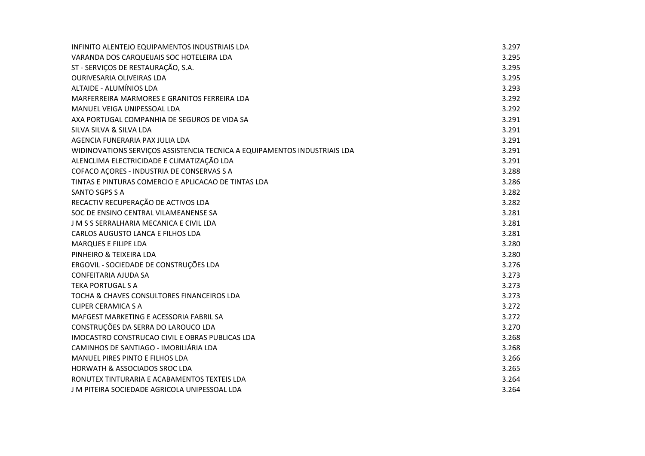| INFINITO ALENTEJO EQUIPAMENTOS INDUSTRIAIS LDA                            | 3.297 |
|---------------------------------------------------------------------------|-------|
| VARANDA DOS CARQUEIJAIS SOC HOTELEIRA LDA                                 | 3.295 |
| ST - SERVIÇOS DE RESTAURAÇÃO, S.A.                                        | 3.295 |
| OURIVESARIA OLIVEIRAS LDA                                                 | 3.295 |
| <b>ALTAIDE - ALUMÍNIOS LDA</b>                                            | 3.293 |
| MARFERREIRA MARMORES E GRANITOS FERREIRA LDA                              | 3.292 |
| MANUEL VEIGA UNIPESSOAL LDA                                               | 3.292 |
| AXA PORTUGAL COMPANHIA DE SEGUROS DE VIDA SA                              | 3.291 |
| SILVA SILVA & SILVA LDA                                                   | 3.291 |
| AGENCIA FUNERARIA PAX JULIA LDA                                           | 3.291 |
| WIDINOVATIONS SERVIÇOS ASSISTENCIA TECNICA A EQUIPAMENTOS INDUSTRIAIS LDA | 3.291 |
| ALENCLIMA ELECTRICIDADE E CLIMATIZAÇÃO LDA                                | 3.291 |
| COFACO AÇORES - INDUSTRIA DE CONSERVAS S A                                | 3.288 |
| TINTAS E PINTURAS COMERCIO E APLICACAO DE TINTAS LDA                      | 3.286 |
| SANTO SGPS S A                                                            | 3.282 |
| RECACTIV RECUPERAÇÃO DE ACTIVOS LDA                                       | 3.282 |
| SOC DE ENSINO CENTRAL VILAMEANENSE SA                                     | 3.281 |
| J M S S SERRALHARIA MECANICA E CIVIL LDA                                  | 3.281 |
| CARLOS AUGUSTO LANCA E FILHOS LDA                                         | 3.281 |
| <b>MARQUES E FILIPE LDA</b>                                               | 3.280 |
| PINHEIRO & TEIXEIRA LDA                                                   | 3.280 |
| ERGOVIL - SOCIEDADE DE CONSTRUÇÕES LDA                                    | 3.276 |
| <b>CONFEITARIA AJUDA SA</b>                                               | 3.273 |
| <b>TEKA PORTUGAL S A</b>                                                  | 3.273 |
| TOCHA & CHAVES CONSULTORES FINANCEIROS LDA                                | 3.273 |
| <b>CLIPER CERAMICA S A</b>                                                | 3.272 |
| MAFGEST MARKETING E ACESSORIA FABRIL SA                                   | 3.272 |
| CONSTRUÇÕES DA SERRA DO LAROUCO LDA                                       | 3.270 |
| IMOCASTRO CONSTRUCAO CIVIL E OBRAS PUBLICAS LDA                           | 3.268 |
| CAMINHOS DE SANTIAGO - IMOBILIÁRIA LDA                                    | 3.268 |
| MANUEL PIRES PINTO E FILHOS LDA                                           | 3.266 |
| <b>HORWATH &amp; ASSOCIADOS SROC LDA</b>                                  | 3.265 |
| RONUTEX TINTURARIA E ACABAMENTOS TEXTEIS LDA                              | 3.264 |
| J M PITEIRA SOCIEDADE AGRICOLA UNIPESSOAL LDA                             | 3.264 |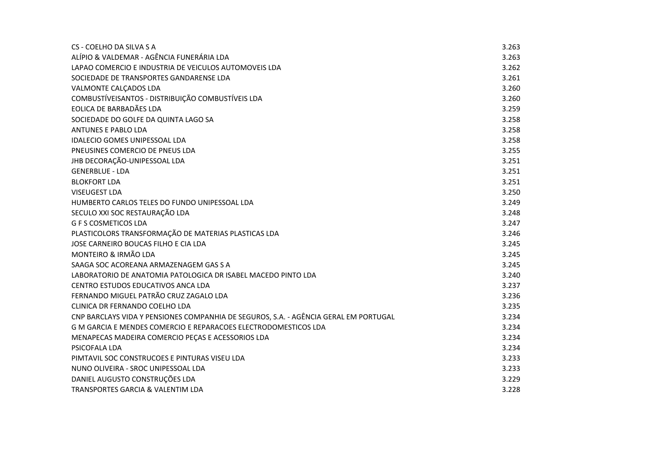| CS - COELHO DA SILVA S A                                                             | 3.263 |
|--------------------------------------------------------------------------------------|-------|
| ALÍPIO & VALDEMAR - AGÊNCIA FUNERÁRIA LDA                                            | 3.263 |
| LAPAO COMERCIO E INDUSTRIA DE VEICULOS AUTOMOVEIS LDA                                | 3.262 |
| SOCIEDADE DE TRANSPORTES GANDARENSE LDA                                              | 3.261 |
| VALMONTE CALÇADOS LDA                                                                | 3.260 |
| COMBUSTÍVEISANTOS - DISTRIBUIÇÃO COMBUSTÍVEIS LDA                                    | 3.260 |
| EOLICA DE BARBADÃES LDA                                                              | 3.259 |
| SOCIEDADE DO GOLFE DA QUINTA LAGO SA                                                 | 3.258 |
| <b>ANTUNES E PABLO LDA</b>                                                           | 3.258 |
| <b>IDALECIO GOMES UNIPESSOAL LDA</b>                                                 | 3.258 |
| PNEUSINES COMERCIO DE PNEUS LDA                                                      | 3.255 |
| JHB DECORAÇÃO-UNIPESSOAL LDA                                                         | 3.251 |
| <b>GENERBLUE - LDA</b>                                                               | 3.251 |
| <b>BLOKFORT LDA</b>                                                                  | 3.251 |
| <b>VISEUGEST LDA</b>                                                                 | 3.250 |
| HUMBERTO CARLOS TELES DO FUNDO UNIPESSOAL LDA                                        | 3.249 |
| SECULO XXI SOC RESTAURAÇÃO LDA                                                       | 3.248 |
| <b>G F S COSMETICOS LDA</b>                                                          | 3.247 |
| PLASTICOLORS TRANSFORMAÇÃO DE MATERIAS PLASTICAS LDA                                 | 3.246 |
| JOSE CARNEIRO BOUCAS FILHO E CIA LDA                                                 | 3.245 |
| MONTEIRO & IRMÃO LDA                                                                 | 3.245 |
| SAAGA SOC ACOREANA ARMAZENAGEM GAS S A                                               | 3.245 |
| LABORATORIO DE ANATOMIA PATOLOGICA DR ISABEL MACEDO PINTO LDA                        | 3.240 |
| CENTRO ESTUDOS EDUCATIVOS ANCA LDA                                                   | 3.237 |
| FERNANDO MIGUEL PATRÃO CRUZ ZAGALO LDA                                               | 3.236 |
| CLINICA DR FERNANDO COELHO LDA                                                       | 3.235 |
| CNP BARCLAYS VIDA Y PENSIONES COMPANHIA DE SEGUROS, S.A. - AGÊNCIA GERAL EM PORTUGAL | 3.234 |
| G M GARCIA E MENDES COMERCIO E REPARACOES ELECTRODOMESTICOS LDA                      | 3.234 |
| MENAPECAS MADEIRA COMERCIO PEÇAS E ACESSORIOS LDA                                    | 3.234 |
| PSICOFALA LDA                                                                        | 3.234 |
| PIMTAVIL SOC CONSTRUCOES E PINTURAS VISEU LDA                                        | 3.233 |
| NUNO OLIVEIRA - SROC UNIPESSOAL LDA                                                  | 3.233 |
| DANIEL AUGUSTO CONSTRUÇÕES LDA                                                       | 3.229 |
| TRANSPORTES GARCIA & VALENTIM LDA                                                    | 3.228 |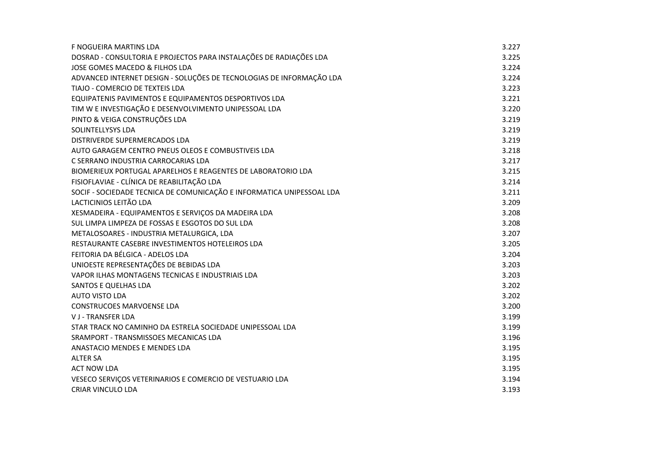| F NOGUEIRA MARTINS LDA                                                | 3.227 |
|-----------------------------------------------------------------------|-------|
| DOSRAD - CONSULTORIA E PROJECTOS PARA INSTALAÇÕES DE RADIAÇÕES LDA    | 3.225 |
| JOSE GOMES MACEDO & FILHOS LDA                                        | 3.224 |
| ADVANCED INTERNET DESIGN - SOLUÇÕES DE TECNOLOGIAS DE INFORMAÇÃO LDA  | 3.224 |
| TIAJO - COMERCIO DE TEXTEIS LDA                                       | 3.223 |
| EQUIPATENIS PAVIMENTOS E EQUIPAMENTOS DESPORTIVOS LDA                 | 3.221 |
| TIM W E INVESTIGAÇÃO E DESENVOLVIMENTO UNIPESSOAL LDA                 | 3.220 |
| PINTO & VEIGA CONSTRUÇÕES LDA                                         | 3.219 |
| <b>SOLINTELLYSYS LDA</b>                                              | 3.219 |
| DISTRIVERDE SUPERMERCADOS LDA                                         | 3.219 |
| AUTO GARAGEM CENTRO PNEUS OLEOS E COMBUSTIVEIS LDA                    | 3.218 |
| C SERRANO INDUSTRIA CARROCARIAS LDA                                   | 3.217 |
| BIOMERIEUX PORTUGAL APARELHOS E REAGENTES DE LABORATORIO LDA          | 3.215 |
| FISIOFLAVIAE - CLÍNICA DE REABILITAÇÃO LDA                            | 3.214 |
| SOCIF - SOCIEDADE TECNICA DE COMUNICAÇÃO E INFORMATICA UNIPESSOAL LDA | 3.211 |
| LACTICINIOS LEITÃO LDA                                                | 3.209 |
| XESMADEIRA - EQUIPAMENTOS E SERVIÇOS DA MADEIRA LDA                   | 3.208 |
| SUL LIMPA LIMPEZA DE FOSSAS E ESGOTOS DO SUL LDA                      | 3.208 |
| METALOSOARES - INDUSTRIA METALURGICA, LDA                             | 3.207 |
| RESTAURANTE CASEBRE INVESTIMENTOS HOTELEIROS LDA                      | 3.205 |
| FEITORIA DA BÉLGICA - ADELOS LDA                                      | 3.204 |
| UNIOESTE REPRESENTAÇÕES DE BEBIDAS LDA                                | 3.203 |
| VAPOR ILHAS MONTAGENS TECNICAS E INDUSTRIAIS LDA                      | 3.203 |
| SANTOS E QUELHAS LDA                                                  | 3.202 |
| <b>AUTO VISTO LDA</b>                                                 | 3.202 |
| <b>CONSTRUCOES MARVOENSE LDA</b>                                      | 3.200 |
| <b>VJ-TRANSFER LDA</b>                                                | 3.199 |
| STAR TRACK NO CAMINHO DA ESTRELA SOCIEDADE UNIPESSOAL LDA             | 3.199 |
| SRAMPORT - TRANSMISSOES MECANICAS LDA                                 | 3.196 |
| ANASTACIO MENDES E MENDES LDA                                         | 3.195 |
| <b>ALTER SA</b>                                                       | 3.195 |
| <b>ACT NOW LDA</b>                                                    | 3.195 |
| VESECO SERVIÇOS VETERINARIOS E COMERCIO DE VESTUARIO LDA              | 3.194 |
| <b>CRIAR VINCULO LDA</b>                                              | 3.193 |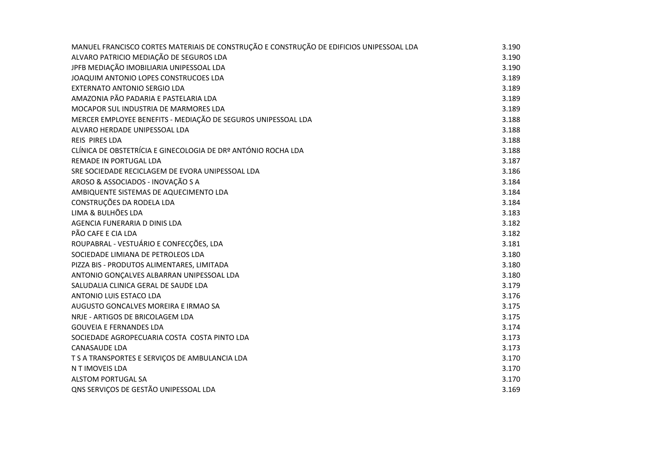| MANUEL FRANCISCO CORTES MATERIAIS DE CONSTRUÇÃO E CONSTRUÇÃO DE EDIFICIOS UNIPESSOAL LDA | 3.190 |
|------------------------------------------------------------------------------------------|-------|
| ALVARO PATRICIO MEDIAÇÃO DE SEGUROS LDA                                                  | 3.190 |
| JPFB MEDIAÇÃO IMOBILIARIA UNIPESSOAL LDA                                                 | 3.190 |
| JOAQUIM ANTONIO LOPES CONSTRUCOES LDA                                                    | 3.189 |
| <b>EXTERNATO ANTONIO SERGIO LDA</b>                                                      | 3.189 |
| AMAZONIA PÃO PADARIA E PASTELARIA LDA                                                    | 3.189 |
| MOCAPOR SUL INDUSTRIA DE MARMORES LDA                                                    | 3.189 |
| MERCER EMPLOYEE BENEFITS - MEDIAÇÃO DE SEGUROS UNIPESSOAL LDA                            | 3.188 |
| ALVARO HERDADE UNIPESSOAL LDA                                                            | 3.188 |
| REIS PIRES LDA                                                                           | 3.188 |
| CLÍNICA DE OBSTETRÍCIA E GINECOLOGIA DE DRº ANTÓNIO ROCHA LDA                            | 3.188 |
| REMADE IN PORTUGAL LDA                                                                   | 3.187 |
| SRE SOCIEDADE RECICLAGEM DE EVORA UNIPESSOAL LDA                                         | 3.186 |
| AROSO & ASSOCIADOS - INOVAÇÃO S A                                                        | 3.184 |
| AMBIQUENTE SISTEMAS DE AQUECIMENTO LDA                                                   | 3.184 |
| CONSTRUÇÕES DA RODELA LDA                                                                | 3.184 |
| LIMA & BULHÕES LDA                                                                       | 3.183 |
| AGENCIA FUNERARIA D DINIS LDA                                                            | 3.182 |
| PÃO CAFE E CIA LDA                                                                       | 3.182 |
| ROUPABRAL - VESTUÁRIO E CONFECÇÕES, LDA                                                  | 3.181 |
| SOCIEDADE LIMIANA DE PETROLEOS LDA                                                       | 3.180 |
| PIZZA BIS - PRODUTOS ALIMENTARES, LIMITADA                                               | 3.180 |
| ANTONIO GONÇALVES ALBARRAN UNIPESSOAL LDA                                                | 3.180 |
| SALUDALIA CLINICA GERAL DE SAUDE LDA                                                     | 3.179 |
| ANTONIO LUIS ESTACO LDA                                                                  | 3.176 |
| AUGUSTO GONCALVES MOREIRA E IRMAO SA                                                     | 3.175 |
| NRJE - ARTIGOS DE BRICOLAGEM LDA                                                         | 3.175 |
| <b>GOUVEIA E FERNANDES LDA</b>                                                           | 3.174 |
| SOCIEDADE AGROPECUARIA COSTA COSTA PINTO LDA                                             | 3.173 |
| <b>CANASAUDE LDA</b>                                                                     | 3.173 |
| T S A TRANSPORTES E SERVIÇOS DE AMBULANCIA LDA                                           | 3.170 |
| N T IMOVEIS LDA                                                                          | 3.170 |
| <b>ALSTOM PORTUGAL SA</b>                                                                | 3.170 |
| QNS SERVIÇOS DE GESTÃO UNIPESSOAL LDA                                                    | 3.169 |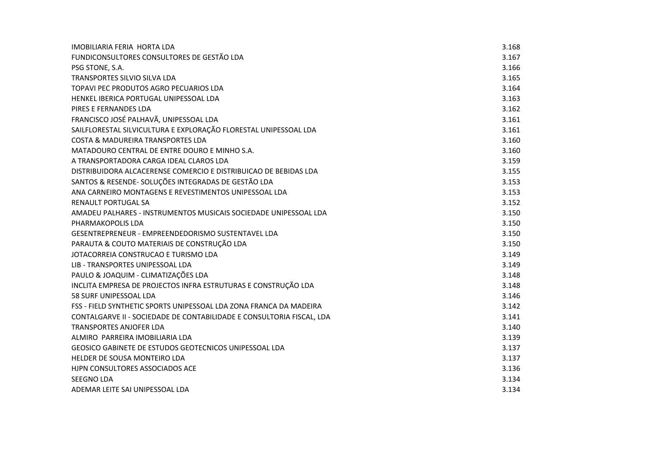| IMOBILIARIA FERIA HORTA LDA                                           | 3.168 |
|-----------------------------------------------------------------------|-------|
| FUNDICONSULTORES CONSULTORES DE GESTÃO LDA                            | 3.167 |
| PSG STONE, S.A.                                                       | 3.166 |
| <b>TRANSPORTES SILVIO SILVA LDA</b>                                   | 3.165 |
| TOPAVI PEC PRODUTOS AGRO PECUARIOS LDA                                | 3.164 |
| HENKEL IBERICA PORTUGAL UNIPESSOAL LDA                                | 3.163 |
| PIRES E FERNANDES LDA                                                 | 3.162 |
| FRANCISCO JOSÉ PALHAVÃ, UNIPESSOAL LDA                                | 3.161 |
| SAILFLORESTAL SILVICULTURA E EXPLORAÇÃO FLORESTAL UNIPESSOAL LDA      | 3.161 |
| <b>COSTA &amp; MADUREIRA TRANSPORTES LDA</b>                          | 3.160 |
| MATADOURO CENTRAL DE ENTRE DOURO E MINHO S.A.                         | 3.160 |
| A TRANSPORTADORA CARGA IDEAL CLAROS LDA                               | 3.159 |
| DISTRIBUIDORA ALCACERENSE COMERCIO E DISTRIBUICAO DE BEBIDAS LDA      | 3.155 |
| SANTOS & RESENDE- SOLUÇÕES INTEGRADAS DE GESTÃO LDA                   | 3.153 |
| ANA CARNEIRO MONTAGENS E REVESTIMENTOS UNIPESSOAL LDA                 | 3.153 |
| <b>RENAULT PORTUGAL SA</b>                                            | 3.152 |
| AMADEU PALHARES - INSTRUMENTOS MUSICAIS SOCIEDADE UNIPESSOAL LDA      | 3.150 |
| PHARMAKOPOLIS LDA                                                     | 3.150 |
| GESENTREPRENEUR - EMPREENDEDORISMO SUSTENTAVEL LDA                    | 3.150 |
| PARAUTA & COUTO MATERIAIS DE CONSTRUÇÃO LDA                           | 3.150 |
| JOTACORREIA CONSTRUCAO E TURISMO LDA                                  | 3.149 |
| LIB - TRANSPORTES UNIPESSOAL LDA                                      | 3.149 |
| PAULO & JOAQUIM - CLIMATIZAÇÕES LDA                                   | 3.148 |
| INCLITA EMPRESA DE PROJECTOS INFRA ESTRUTURAS E CONSTRUÇÃO LDA        | 3.148 |
| 58 SURF UNIPESSOAL LDA                                                | 3.146 |
| FSS - FIELD SYNTHETIC SPORTS UNIPESSOAL LDA ZONA FRANCA DA MADEIRA    | 3.142 |
| CONTALGARVE II - SOCIEDADE DE CONTABILIDADE E CONSULTORIA FISCAL, LDA | 3.141 |
| <b>TRANSPORTES ANJOFER LDA</b>                                        | 3.140 |
| ALMIRO PARREIRA IMOBILIARIA LDA                                       | 3.139 |
| GEOSICO GABINETE DE ESTUDOS GEOTECNICOS UNIPESSOAL LDA                | 3.137 |
| HELDER DE SOUSA MONTEIRO LDA                                          | 3.137 |
| HJPN CONSULTORES ASSOCIADOS ACE                                       | 3.136 |
| <b>SEEGNO LDA</b>                                                     | 3.134 |
| ADEMAR LEITE SAI UNIPESSOAL LDA                                       | 3.134 |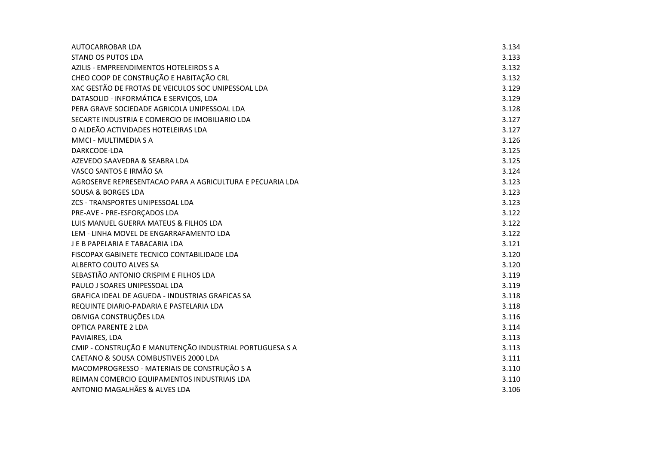| AUTOCARROBAR LDA                                          | 3.134 |
|-----------------------------------------------------------|-------|
| <b>STAND OS PUTOS LDA</b>                                 | 3.133 |
| AZILIS - EMPREENDIMENTOS HOTELEIROS S A                   | 3.132 |
| CHEO COOP DE CONSTRUÇÃO E HABITAÇÃO CRL                   | 3.132 |
| XAC GESTÃO DE FROTAS DE VEICULOS SOC UNIPESSOAL LDA       | 3.129 |
| DATASOLID - INFORMÁTICA E SERVIÇOS, LDA                   | 3.129 |
| PERA GRAVE SOCIEDADE AGRICOLA UNIPESSOAL LDA              | 3.128 |
| SECARTE INDUSTRIA E COMERCIO DE IMOBILIARIO LDA           | 3.127 |
| O ALDEÃO ACTIVIDADES HOTELEIRAS LDA                       | 3.127 |
| MMCI - MULTIMEDIA S A                                     | 3.126 |
| DARKCODE-LDA                                              | 3.125 |
| AZEVEDO SAAVEDRA & SEABRA LDA                             | 3.125 |
| VASCO SANTOS E IRMÃO SA                                   | 3.124 |
| AGROSERVE REPRESENTACAO PARA A AGRICULTURA E PECUARIA LDA | 3.123 |
| <b>SOUSA &amp; BORGES LDA</b>                             | 3.123 |
| ZCS - TRANSPORTES UNIPESSOAL LDA                          | 3.123 |
| PRE-AVE - PRE-ESFORÇADOS LDA                              | 3.122 |
| LUIS MANUEL GUERRA MATEUS & FILHOS LDA                    | 3.122 |
| LEM - LINHA MOVEL DE ENGARRAFAMENTO LDA                   | 3.122 |
| J E B PAPELARIA E TABACARIA LDA                           | 3.121 |
| FISCOPAX GABINETE TECNICO CONTABILIDADE LDA               | 3.120 |
| ALBERTO COUTO ALVES SA                                    | 3.120 |
| SEBASTIÃO ANTONIO CRISPIM E FILHOS LDA                    | 3.119 |
| PAULO J SOARES UNIPESSOAL LDA                             | 3.119 |
| <b>GRAFICA IDEAL DE AGUEDA - INDUSTRIAS GRAFICAS SA</b>   | 3.118 |
| REQUINTE DIARIO-PADARIA E PASTELARIA LDA                  | 3.118 |
| OBIVIGA CONSTRUÇÕES LDA                                   | 3.116 |
| <b>OPTICA PARENTE 2 LDA</b>                               | 3.114 |
| PAVIAIRES, LDA                                            | 3.113 |
| CMIP - CONSTRUÇÃO E MANUTENÇÃO INDUSTRIAL PORTUGUESA S A  | 3.113 |
| CAETANO & SOUSA COMBUSTIVEIS 2000 LDA                     | 3.111 |
| MACOMPROGRESSO - MATERIAIS DE CONSTRUÇÃO S A              | 3.110 |
| REIMAN COMERCIO EQUIPAMENTOS INDUSTRIAIS LDA              | 3.110 |
| ANTONIO MAGALHÃES & ALVES LDA                             | 3.106 |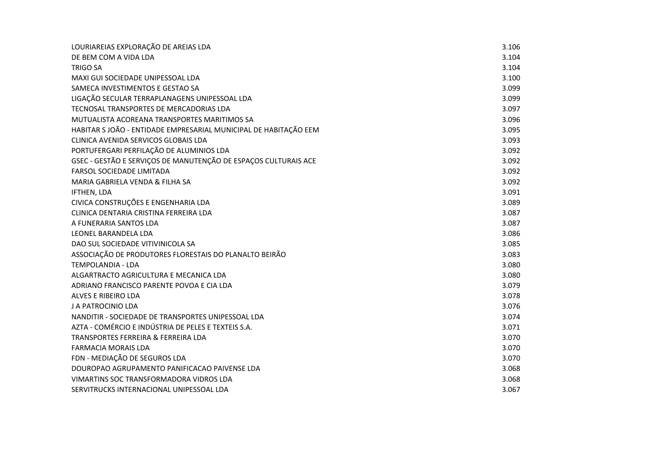| LOURIAREIAS EXPLORAÇÃO DE AREIAS LDA                             | 3.106 |
|------------------------------------------------------------------|-------|
| DE BEM COM A VIDA LDA                                            | 3.104 |
| <b>TRIGO SA</b>                                                  | 3.104 |
| MAXI GUI SOCIEDADE UNIPESSOAL LDA                                | 3.100 |
| SAMECA INVESTIMENTOS E GESTAO SA                                 | 3.099 |
| LIGAÇÃO SECULAR TERRAPLANAGENS UNIPESSOAL LDA                    | 3.099 |
| TECNOSAL TRANSPORTES DE MERCADORIAS LDA                          | 3.097 |
| MUTUALISTA ACOREANA TRANSPORTES MARITIMOS SA                     | 3.096 |
| HABITAR S JOÃO - ENTIDADE EMPRESARIAL MUNICIPAL DE HABITAÇÃO EEM | 3.095 |
| CLINICA AVENIDA SERVICOS GLOBAIS LDA                             | 3.093 |
| PORTUFERGARI PERFILAÇÃO DE ALUMINIOS LDA                         | 3.092 |
| GSEC - GESTÃO E SERVIÇOS DE MANUTENÇÃO DE ESPAÇOS CULTURAIS ACE  | 3.092 |
| FARSOL SOCIEDADE LIMITADA                                        | 3.092 |
| MARIA GABRIELA VENDA & FILHA SA                                  | 3.092 |
| IFTHEN, LDA                                                      | 3.091 |
| CIVICA CONSTRUÇÕES E ENGENHARIA LDA                              | 3.089 |
| CLINICA DENTARIA CRISTINA FERREIRA LDA                           | 3.087 |
| A FUNERARIA SANTOS LDA                                           | 3.087 |
| <b>LEONEL BARANDELA LDA</b>                                      | 3.086 |
| DAO SUL SOCIEDADE VITIVINICOLA SA                                | 3.085 |
| ASSOCIAÇÃO DE PRODUTORES FLORESTAIS DO PLANALTO BEIRÃO           | 3.083 |
| <b>TEMPOLANDIA - LDA</b>                                         | 3.080 |
| ALGARTRACTO AGRICULTURA E MECANICA LDA                           | 3.080 |
| ADRIANO FRANCISCO PARENTE POVOA E CIA LDA                        | 3.079 |
| ALVES E RIBEIRO LDA                                              | 3.078 |
| J A PATROCINIO LDA                                               | 3.076 |
| NANDITIR - SOCIEDADE DE TRANSPORTES UNIPESSOAL LDA               | 3.074 |
| AZTA - COMÉRCIO E INDÚSTRIA DE PELES E TEXTEIS S.A.              | 3.071 |
| TRANSPORTES FERREIRA & FERREIRA LDA                              | 3.070 |
| <b>FARMACIA MORAIS LDA</b>                                       | 3.070 |
| FDN - MEDIAÇÃO DE SEGUROS LDA                                    | 3.070 |
| DOUROPAO AGRUPAMENTO PANIFICACAO PAIVENSE LDA                    | 3.068 |
| VIMARTINS SOC TRANSFORMADORA VIDROS LDA                          | 3.068 |
| SERVITRUCKS INTERNACIONAL UNIPESSOAL LDA                         | 3.067 |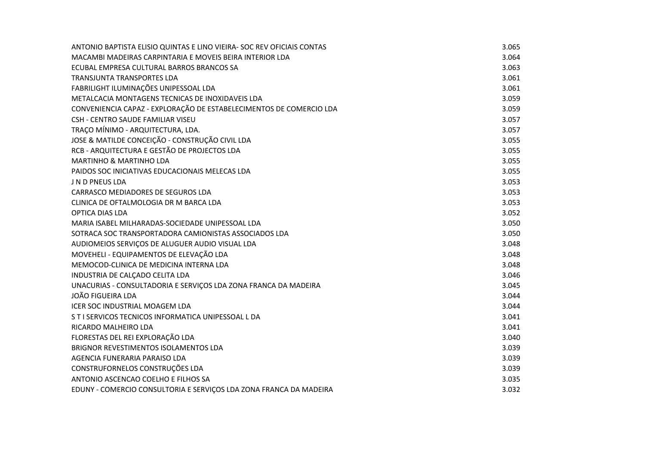| ANTONIO BAPTISTA ELISIO QUINTAS E LINO VIEIRA- SOC REV OFICIAIS CONTAS | 3.065 |
|------------------------------------------------------------------------|-------|
| MACAMBI MADEIRAS CARPINTARIA E MOVEIS BEIRA INTERIOR LDA               | 3.064 |
| ECUBAL EMPRESA CULTURAL BARROS BRANCOS SA                              | 3.063 |
| TRANSJUNTA TRANSPORTES LDA                                             | 3.061 |
| FABRILIGHT ILUMINAÇÕES UNIPESSOAL LDA                                  | 3.061 |
| METALCACIA MONTAGENS TECNICAS DE INOXIDAVEIS LDA                       | 3.059 |
| CONVENIENCIA CAPAZ - EXPLORAÇÃO DE ESTABELECIMENTOS DE COMERCIO LDA    | 3.059 |
| CSH - CENTRO SAUDE FAMILIAR VISEU                                      | 3.057 |
| TRAÇO MÍNIMO - ARQUITECTURA, LDA.                                      | 3.057 |
| JOSE & MATILDE CONCEIÇÃO - CONSTRUÇÃO CIVIL LDA                        | 3.055 |
| RCB - ARQUITECTURA E GESTÃO DE PROJECTOS LDA                           | 3.055 |
| <b>MARTINHO &amp; MARTINHO LDA</b>                                     | 3.055 |
| PAIDOS SOC INICIATIVAS EDUCACIONAIS MELECAS LDA                        | 3.055 |
| J N D PNEUS LDA                                                        | 3.053 |
| CARRASCO MEDIADORES DE SEGUROS LDA                                     | 3.053 |
| CLINICA DE OFTALMOLOGIA DR M BARCA LDA                                 | 3.053 |
| <b>OPTICA DIAS LDA</b>                                                 | 3.052 |
| MARIA ISABEL MILHARADAS-SOCIEDADE UNIPESSOAL LDA                       | 3.050 |
| SOTRACA SOC TRANSPORTADORA CAMIONISTAS ASSOCIADOS LDA                  | 3.050 |
| AUDIOMEIOS SERVIÇOS DE ALUGUER AUDIO VISUAL LDA                        | 3.048 |
| MOVEHELI - EQUIPAMENTOS DE ELEVAÇÃO LDA                                | 3.048 |
| MEMOCOD-CLINICA DE MEDICINA INTERNA LDA                                | 3.048 |
| INDUSTRIA DE CALÇADO CELITA LDA                                        | 3.046 |
| UNACURIAS - CONSULTADORIA E SERVIÇOS LDA ZONA FRANCA DA MADEIRA        | 3.045 |
| <b>JOÃO FIGUEIRA LDA</b>                                               | 3.044 |
| ICER SOC INDUSTRIAL MOAGEM LDA                                         | 3.044 |
| S T I SERVICOS TECNICOS INFORMATICA UNIPESSOAL L DA                    | 3.041 |
| RICARDO MALHEIRO LDA                                                   | 3.041 |
| FLORESTAS DEL REI EXPLORAÇÃO LDA                                       | 3.040 |
| BRIGNOR REVESTIMENTOS ISOLAMENTOS LDA                                  | 3.039 |
| AGENCIA FUNERARIA PARAISO LDA                                          | 3.039 |
| CONSTRUFORNELOS CONSTRUÇÕES LDA                                        | 3.039 |
| ANTONIO ASCENCAO COELHO E FILHOS SA                                    | 3.035 |
| EDUNY - COMERCIO CONSULTORIA E SERVIÇOS LDA ZONA FRANCA DA MADEIRA     | 3.032 |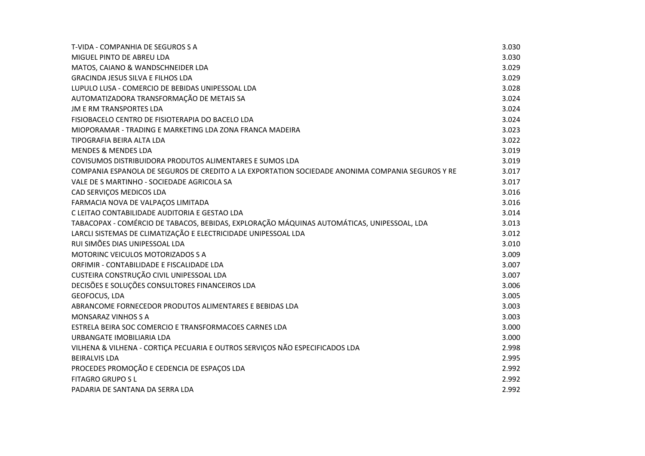| T-VIDA - COMPANHIA DE SEGUROS S A                                                                | 3.030 |
|--------------------------------------------------------------------------------------------------|-------|
| MIGUEL PINTO DE ABREU LDA                                                                        | 3.030 |
| MATOS, CAIANO & WANDSCHNEIDER LDA                                                                | 3.029 |
| <b>GRACINDA JESUS SILVA E FILHOS LDA</b>                                                         | 3.029 |
| LUPULO LUSA - COMERCIO DE BEBIDAS UNIPESSOAL LDA                                                 | 3.028 |
| AUTOMATIZADORA TRANSFORMAÇÃO DE METAIS SA                                                        | 3.024 |
| <b>JM E RM TRANSPORTES LDA</b>                                                                   | 3.024 |
| FISIOBACELO CENTRO DE FISIOTERAPIA DO BACELO LDA                                                 | 3.024 |
| MIOPORAMAR - TRADING E MARKETING LDA ZONA FRANCA MADEIRA                                         | 3.023 |
| TIPOGRAFIA BEIRA ALTA LDA                                                                        | 3.022 |
| <b>MENDES &amp; MENDES LDA</b>                                                                   | 3.019 |
| COVISUMOS DISTRIBUIDORA PRODUTOS ALIMENTARES E SUMOS LDA                                         | 3.019 |
| COMPANIA ESPANOLA DE SEGUROS DE CREDITO A LA EXPORTATION SOCIEDADE ANONIMA COMPANIA SEGUROS Y RE | 3.017 |
| VALE DE S MARTINHO - SOCIEDADE AGRICOLA SA                                                       | 3.017 |
| CAD SERVIÇOS MEDICOS LDA                                                                         | 3.016 |
| FARMACIA NOVA DE VALPAÇOS LIMITADA                                                               | 3.016 |
| C LEITAO CONTABILIDADE AUDITORIA E GESTAO LDA                                                    | 3.014 |
| TABACOPAX - COMÉRCIO DE TABACOS, BEBIDAS, EXPLORAÇÃO MÁQUINAS AUTOMÁTICAS, UNIPESSOAL, LDA       | 3.013 |
| LARCLI SISTEMAS DE CLIMATIZAÇÃO E ELECTRICIDADE UNIPESSOAL LDA                                   | 3.012 |
| RUI SIMÕES DIAS UNIPESSOAL LDA                                                                   | 3.010 |
| <b>MOTORINC VEICULOS MOTORIZADOS S A</b>                                                         | 3.009 |
| ORFIMIR - CONTABILIDADE E FISCALIDADE LDA                                                        | 3.007 |
| CUSTEIRA CONSTRUÇÃO CIVIL UNIPESSOAL LDA                                                         | 3.007 |
| DECISÕES E SOLUÇÕES CONSULTORES FINANCEIROS LDA                                                  | 3.006 |
| GEOFOCUS, LDA                                                                                    | 3.005 |
| ABRANCOME FORNECEDOR PRODUTOS ALIMENTARES E BEBIDAS LDA                                          | 3.003 |
| <b>MONSARAZ VINHOS S A</b>                                                                       | 3.003 |
| ESTRELA BEIRA SOC COMERCIO E TRANSFORMACOES CARNES LDA                                           | 3.000 |
| URBANGATE IMOBILIARIA LDA                                                                        | 3.000 |
| VILHENA & VILHENA - CORTIÇA PECUARIA E OUTROS SERVIÇOS NÃO ESPECIFICADOS LDA                     | 2.998 |
| <b>BEIRALVIS LDA</b>                                                                             | 2.995 |
| PROCEDES PROMOÇÃO E CEDENCIA DE ESPAÇOS LDA                                                      | 2.992 |
| <b>FITAGRO GRUPO S L</b>                                                                         | 2.992 |
| PADARIA DE SANTANA DA SERRA LDA                                                                  | 2.992 |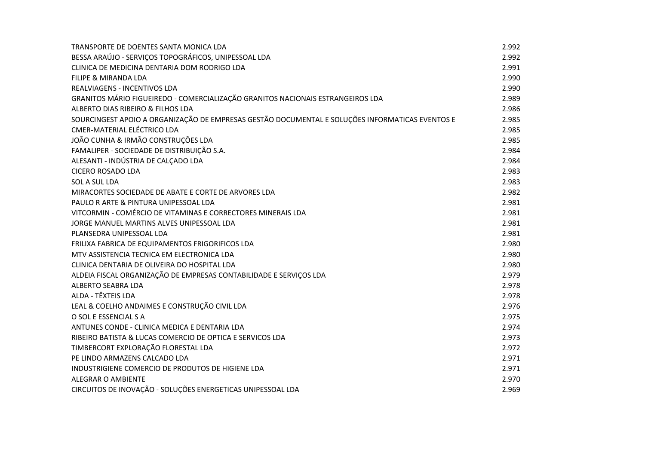| TRANSPORTE DE DOENTES SANTA MONICA LDA                                                          | 2.992 |
|-------------------------------------------------------------------------------------------------|-------|
| BESSA ARAÚJO - SERVIÇOS TOPOGRÁFICOS, UNIPESSOAL LDA                                            | 2.992 |
| CLINICA DE MEDICINA DENTARIA DOM RODRIGO LDA                                                    | 2.991 |
| FILIPE & MIRANDA LDA                                                                            | 2.990 |
| REALVIAGENS - INCENTIVOS LDA                                                                    | 2.990 |
| GRANITOS MÁRIO FIGUEIREDO - COMERCIALIZAÇÃO GRANITOS NACIONAIS ESTRANGEIROS LDA                 | 2.989 |
| ALBERTO DIAS RIBEIRO & FILHOS LDA                                                               | 2.986 |
| SOURCINGEST APOIO A ORGANIZAÇÃO DE EMPRESAS GESTÃO DOCUMENTAL E SOLUÇÕES INFORMATICAS EVENTOS E | 2.985 |
| <b>CMER-MATERIAL ELÉCTRICO LDA</b>                                                              | 2.985 |
| JOÃO CUNHA & IRMÃO CONSTRUÇÕES LDA                                                              | 2.985 |
| FAMALIPER - SOCIEDADE DE DISTRIBUIÇÃO S.A.                                                      | 2.984 |
| ALESANTI - INDÚSTRIA DE CALÇADO LDA                                                             | 2.984 |
| <b>CICERO ROSADO LDA</b>                                                                        | 2.983 |
| SOL A SUL LDA                                                                                   | 2.983 |
| MIRACORTES SOCIEDADE DE ABATE E CORTE DE ARVORES LDA                                            | 2.982 |
| PAULO R ARTE & PINTURA UNIPESSOAL LDA                                                           | 2.981 |
| VITCORMIN - COMÉRCIO DE VITAMINAS E CORRECTORES MINERAIS LDA                                    | 2.981 |
| JORGE MANUEL MARTINS ALVES UNIPESSOAL LDA                                                       | 2.981 |
| PLANSEDRA UNIPESSOAL LDA                                                                        | 2.981 |
| FRILIXA FABRICA DE EQUIPAMENTOS FRIGORIFICOS LDA                                                | 2.980 |
| MTV ASSISTENCIA TECNICA EM ELECTRONICA LDA                                                      | 2.980 |
| CLINICA DENTARIA DE OLIVEIRA DO HOSPITAL LDA                                                    | 2.980 |
| ALDEIA FISCAL ORGANIZAÇÃO DE EMPRESAS CONTABILIDADE E SERVIÇOS LDA                              | 2.979 |
| ALBERTO SEABRA LDA                                                                              | 2.978 |
| ALDA - TÊXTEIS LDA                                                                              | 2.978 |
| LEAL & COELHO ANDAIMES E CONSTRUÇÃO CIVIL LDA                                                   | 2.976 |
| O SOL E ESSENCIAL S A                                                                           | 2.975 |
| ANTUNES CONDE - CLINICA MEDICA E DENTARIA LDA                                                   | 2.974 |
| RIBEIRO BATISTA & LUCAS COMERCIO DE OPTICA E SERVICOS LDA                                       | 2.973 |
| TIMBERCORT EXPLORAÇÃO FLORESTAL LDA                                                             | 2.972 |
| PE LINDO ARMAZENS CALCADO LDA                                                                   | 2.971 |
| INDUSTRIGIENE COMERCIO DE PRODUTOS DE HIGIENE LDA                                               | 2.971 |
| <b>ALEGRAR O AMBIENTE</b>                                                                       | 2.970 |
| CIRCUITOS DE INOVAÇÃO - SOLUÇÕES ENERGETICAS UNIPESSOAL LDA                                     | 2.969 |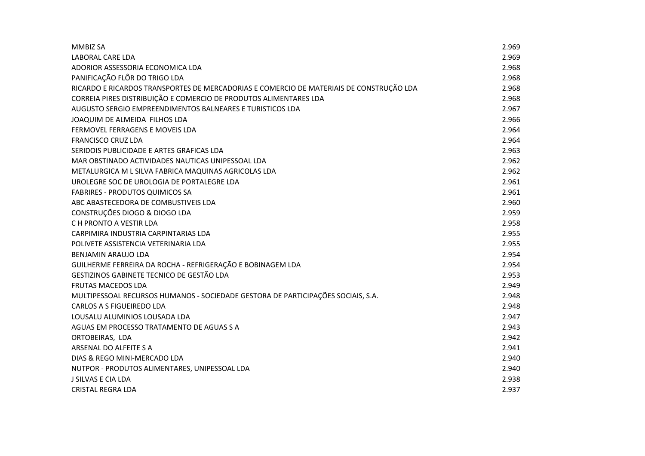| <b>MMBIZ SA</b>                                                                         | 2.969 |
|-----------------------------------------------------------------------------------------|-------|
| LABORAL CARE LDA                                                                        | 2.969 |
| ADORIOR ASSESSORIA ECONOMICA LDA                                                        | 2.968 |
| PANIFICAÇÃO FLÔR DO TRIGO LDA                                                           | 2.968 |
| RICARDO E RICARDOS TRANSPORTES DE MERCADORIAS E COMERCIO DE MATERIAIS DE CONSTRUÇÃO LDA | 2.968 |
| CORREIA PIRES DISTRIBUIÇÃO E COMERCIO DE PRODUTOS ALIMENTARES LDA                       | 2.968 |
| AUGUSTO SERGIO EMPREENDIMENTOS BALNEARES E TURISTICOS LDA                               | 2.967 |
| JOAQUIM DE ALMEIDA FILHOS LDA                                                           | 2.966 |
| FERMOVEL FERRAGENS E MOVEIS LDA                                                         | 2.964 |
| <b>FRANCISCO CRUZ LDA</b>                                                               | 2.964 |
| SERIDOIS PUBLICIDADE E ARTES GRAFICAS LDA                                               | 2.963 |
| MAR OBSTINADO ACTIVIDADES NAUTICAS UNIPESSOAL LDA                                       | 2.962 |
| METALURGICA M L SILVA FABRICA MAQUINAS AGRICOLAS LDA                                    | 2.962 |
| UROLEGRE SOC DE UROLOGIA DE PORTALEGRE LDA                                              | 2.961 |
| <b>FABRIRES - PRODUTOS QUIMICOS SA</b>                                                  | 2.961 |
| ABC ABASTECEDORA DE COMBUSTIVEIS LDA                                                    | 2.960 |
| CONSTRUÇÕES DIOGO & DIOGO LDA                                                           | 2.959 |
| C H PRONTO A VESTIR LDA                                                                 | 2.958 |
| CARPIMIRA INDUSTRIA CARPINTARIAS LDA                                                    | 2.955 |
| POLIVETE ASSISTENCIA VETERINARIA LDA                                                    | 2.955 |
| <b>BENJAMIN ARAUJO LDA</b>                                                              | 2.954 |
| GUILHERME FERREIRA DA ROCHA - REFRIGERAÇÃO E BOBINAGEM LDA                              | 2.954 |
| GESTIZINOS GABINETE TECNICO DE GESTÃO LDA                                               | 2.953 |
| <b>FRUTAS MACEDOS LDA</b>                                                               | 2.949 |
| MULTIPESSOAL RECURSOS HUMANOS - SOCIEDADE GESTORA DE PARTICIPAÇÕES SOCIAIS, S.A.        | 2.948 |
| <b>CARLOS A S FIGUEIREDO LDA</b>                                                        | 2.948 |
| LOUSALU ALUMINIOS LOUSADA LDA                                                           | 2.947 |
| AGUAS EM PROCESSO TRATAMENTO DE AGUAS S A                                               | 2.943 |
| ORTOBEIRAS, LDA                                                                         | 2.942 |
| ARSENAL DO ALFEITE S A                                                                  | 2.941 |
| DIAS & REGO MINI-MERCADO LDA                                                            | 2.940 |
| NUTPOR - PRODUTOS ALIMENTARES, UNIPESSOAL LDA                                           | 2.940 |
| J SILVAS E CIA LDA                                                                      | 2.938 |
| <b>CRISTAL REGRA LDA</b>                                                                | 2.937 |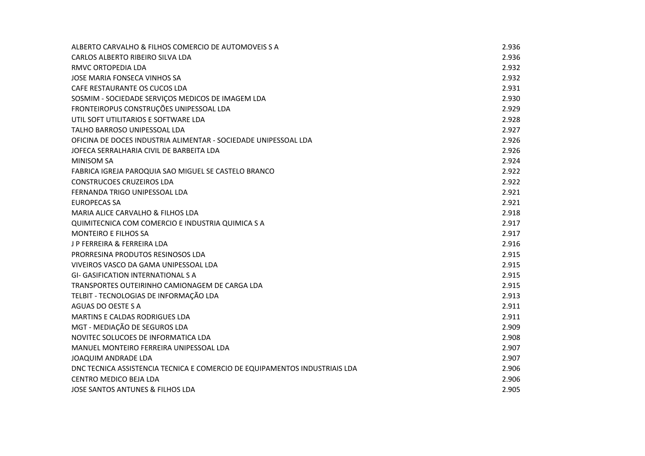| ALBERTO CARVALHO & FILHOS COMERCIO DE AUTOMOVEIS S A                       | 2.936 |
|----------------------------------------------------------------------------|-------|
| CARLOS ALBERTO RIBEIRO SILVA LDA                                           | 2.936 |
| RMVC ORTOPEDIA LDA                                                         | 2.932 |
| JOSE MARIA FONSECA VINHOS SA                                               | 2.932 |
| CAFE RESTAURANTE OS CUCOS LDA                                              | 2.931 |
| SOSMIM - SOCIEDADE SERVIÇOS MEDICOS DE IMAGEM LDA                          | 2.930 |
| FRONTEIROPUS CONSTRUÇÕES UNIPESSOAL LDA                                    | 2.929 |
| UTIL SOFT UTILITARIOS E SOFTWARE LDA                                       | 2.928 |
| TALHO BARROSO UNIPESSOAL LDA                                               | 2.927 |
| OFICINA DE DOCES INDUSTRIA ALIMENTAR - SOCIEDADE UNIPESSOAL LDA            | 2.926 |
| JOFECA SERRALHARIA CIVIL DE BARBEITA LDA                                   | 2.926 |
| <b>MINISOM SA</b>                                                          | 2.924 |
| FABRICA IGREJA PAROQUIA SAO MIGUEL SE CASTELO BRANCO                       | 2.922 |
| <b>CONSTRUCOES CRUZEIROS LDA</b>                                           | 2.922 |
| FERNANDA TRIGO UNIPESSOAL LDA                                              | 2.921 |
| <b>EUROPECAS SA</b>                                                        | 2.921 |
| MARIA ALICE CARVALHO & FILHOS LDA                                          | 2.918 |
| QUIMITECNICA COM COMERCIO E INDUSTRIA QUIMICA S A                          | 2.917 |
| <b>MONTEIRO E FILHOS SA</b>                                                | 2.917 |
| <b>JP FERREIRA &amp; FERREIRA LDA</b>                                      | 2.916 |
| PRORRESINA PRODUTOS RESINOSOS LDA                                          | 2.915 |
| VIVEIROS VASCO DA GAMA UNIPESSOAL LDA                                      | 2.915 |
| <b>GI- GASIFICATION INTERNATIONAL S A</b>                                  | 2.915 |
| TRANSPORTES OUTEIRINHO CAMIONAGEM DE CARGA LDA                             | 2.915 |
| TELBIT - TECNOLOGIAS DE INFORMAÇÃO LDA                                     | 2.913 |
| AGUAS DO OESTE S A                                                         | 2.911 |
| MARTINS E CALDAS RODRIGUES LDA                                             | 2.911 |
| MGT - MEDIAÇÃO DE SEGUROS LDA                                              | 2.909 |
| NOVITEC SOLUCOES DE INFORMATICA LDA                                        | 2.908 |
| MANUEL MONTEIRO FERREIRA UNIPESSOAL LDA                                    | 2.907 |
| <b>JOAQUIM ANDRADE LDA</b>                                                 | 2.907 |
| DNC TECNICA ASSISTENCIA TECNICA E COMERCIO DE EQUIPAMENTOS INDUSTRIAIS LDA | 2.906 |
| <b>CENTRO MEDICO BEJA LDA</b>                                              | 2.906 |
| <b>JOSE SANTOS ANTUNES &amp; FILHOS LDA</b>                                | 2.905 |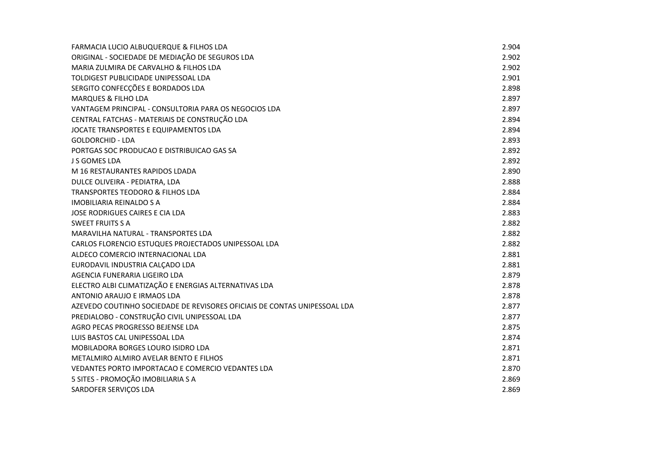| <b>FARMACIA LUCIO ALBUQUERQUE &amp; FILHOS LDA</b>                        | 2.904 |
|---------------------------------------------------------------------------|-------|
| ORIGINAL - SOCIEDADE DE MEDIAÇÃO DE SEGUROS LDA                           | 2.902 |
| MARIA ZULMIRA DE CARVALHO & FILHOS LDA                                    | 2.902 |
| TOLDIGEST PUBLICIDADE UNIPESSOAL LDA                                      | 2.901 |
| SERGITO CONFECÇÕES E BORDADOS LDA                                         | 2.898 |
| <b>MARQUES &amp; FILHO LDA</b>                                            | 2.897 |
| VANTAGEM PRINCIPAL - CONSULTORIA PARA OS NEGOCIOS LDA                     | 2.897 |
| CENTRAL FATCHAS - MATERIAIS DE CONSTRUÇÃO LDA                             | 2.894 |
| JOCATE TRANSPORTES E EQUIPAMENTOS LDA                                     | 2.894 |
| <b>GOLDORCHID - LDA</b>                                                   | 2.893 |
| PORTGAS SOC PRODUCAO E DISTRIBUICAO GAS SA                                | 2.892 |
| <b>J S GOMES LDA</b>                                                      | 2.892 |
| M 16 RESTAURANTES RAPIDOS LDADA                                           | 2.890 |
| DULCE OLIVEIRA - PEDIATRA, LDA                                            | 2.888 |
| TRANSPORTES TEODORO & FILHOS LDA                                          | 2.884 |
| <b>IMOBILIARIA REINALDO S A</b>                                           | 2.884 |
| JOSE RODRIGUES CAIRES E CIA LDA                                           | 2.883 |
| <b>SWEET FRUITS S A</b>                                                   | 2.882 |
| MARAVILHA NATURAL - TRANSPORTES LDA                                       | 2.882 |
| CARLOS FLORENCIO ESTUQUES PROJECTADOS UNIPESSOAL LDA                      | 2.882 |
| ALDECO COMERCIO INTERNACIONAL LDA                                         | 2.881 |
| EURODAVIL INDUSTRIA CALÇADO LDA                                           | 2.881 |
| AGENCIA FUNERARIA LIGEIRO LDA                                             | 2.879 |
| ELECTRO ALBI CLIMATIZAÇÃO E ENERGIAS ALTERNATIVAS LDA                     | 2.878 |
| ANTONIO ARAUJO E IRMAOS LDA                                               | 2.878 |
| AZEVEDO COUTINHO SOCIEDADE DE REVISORES OFICIAIS DE CONTAS UNIPESSOAL LDA | 2.877 |
| PREDIALOBO - CONSTRUÇÃO CIVIL UNIPESSOAL LDA                              | 2.877 |
| AGRO PECAS PROGRESSO BEJENSE LDA                                          | 2.875 |
| LUIS BASTOS CAL UNIPESSOAL LDA                                            | 2.874 |
| MOBILADORA BORGES LOURO ISIDRO LDA                                        | 2.871 |
| METALMIRO ALMIRO AVELAR BENTO E FILHOS                                    | 2.871 |
| VEDANTES PORTO IMPORTACAO E COMERCIO VEDANTES LDA                         | 2.870 |
| 5 SITES - PROMOÇÃO IMOBILIARIA S A                                        | 2.869 |
| SARDOFER SERVIÇOS LDA                                                     | 2.869 |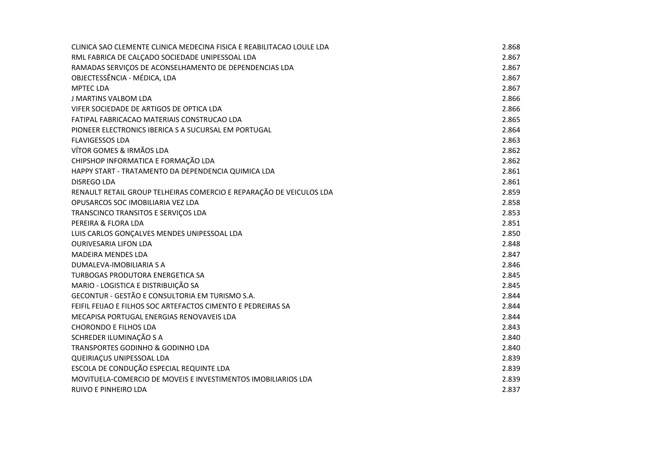| CLINICA SAO CLEMENTE CLINICA MEDECINA FISICA E REABILITACAO LOULE LDA | 2.868 |
|-----------------------------------------------------------------------|-------|
| RML FABRICA DE CALÇADO SOCIEDADE UNIPESSOAL LDA                       | 2.867 |
| RAMADAS SERVIÇOS DE ACONSELHAMENTO DE DEPENDENCIAS LDA                | 2.867 |
| OBJECTESSÊNCIA - MÉDICA, LDA                                          | 2.867 |
| <b>MPTEC LDA</b>                                                      | 2.867 |
| J MARTINS VALBOM LDA                                                  | 2.866 |
| VIFER SOCIEDADE DE ARTIGOS DE OPTICA LDA                              | 2.866 |
| FATIPAL FABRICACAO MATERIAIS CONSTRUCAO LDA                           | 2.865 |
| PIONEER ELECTRONICS IBERICA S A SUCURSAL EM PORTUGAL                  | 2.864 |
| <b>FLAVIGESSOS LDA</b>                                                | 2.863 |
| VÍTOR GOMES & IRMÃOS LDA                                              | 2.862 |
| CHIPSHOP INFORMATICA E FORMAÇÃO LDA                                   | 2.862 |
| HAPPY START - TRATAMENTO DA DEPENDENCIA QUIMICA LDA                   | 2.861 |
| <b>DISREGO LDA</b>                                                    | 2.861 |
| RENAULT RETAIL GROUP TELHEIRAS COMERCIO E REPARAÇÃO DE VEICULOS LDA   | 2.859 |
| OPUSARCOS SOC IMOBILIARIA VEZ LDA                                     | 2.858 |
| TRANSCINCO TRANSITOS E SERVIÇOS LDA                                   | 2.853 |
| PEREIRA & FLORA LDA                                                   | 2.851 |
| LUIS CARLOS GONÇALVES MENDES UNIPESSOAL LDA                           | 2.850 |
| <b>OURIVESARIA LIFON LDA</b>                                          | 2.848 |
| <b>MADEIRA MENDES LDA</b>                                             | 2.847 |
| DUMALEVA-IMOBILIARIA S A                                              | 2.846 |
| TURBOGAS PRODUTORA ENERGETICA SA                                      | 2.845 |
| MARIO - LOGISTICA E DISTRIBUIÇÃO SA                                   | 2.845 |
| GECONTUR - GESTÃO E CONSULTORIA EM TURISMO S.A.                       | 2.844 |
| FEIFIL FEIJAO E FILHOS SOC ARTEFACTOS CIMENTO E PEDREIRAS SA          | 2.844 |
| MECAPISA PORTUGAL ENERGIAS RENOVAVEIS LDA                             | 2.844 |
| <b>CHORONDO E FILHOS LDA</b>                                          | 2.843 |
| SCHREDER ILUMINAÇÃO S A                                               | 2.840 |
| TRANSPORTES GODINHO & GODINHO LDA                                     | 2.840 |
| QUEIRIAÇUS UNIPESSOAL LDA                                             | 2.839 |
| ESCOLA DE CONDUÇÃO ESPECIAL REQUINTE LDA                              | 2.839 |
| MOVITUELA-COMERCIO DE MOVEIS E INVESTIMENTOS IMOBILIARIOS LDA         | 2.839 |
| RUIVO E PINHEIRO LDA                                                  | 2.837 |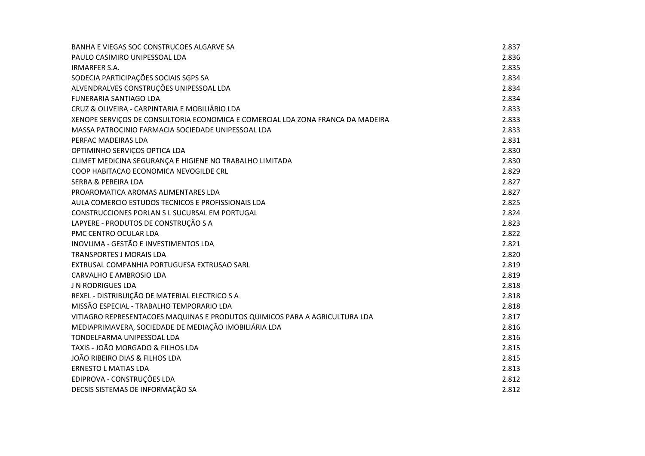| BANHA E VIEGAS SOC CONSTRUCOES ALGARVE SA                                       | 2.837 |
|---------------------------------------------------------------------------------|-------|
| PAULO CASIMIRO UNIPESSOAL LDA                                                   | 2.836 |
| <b>IRMARFER S.A.</b>                                                            | 2.835 |
| SODECIA PARTICIPAÇÕES SOCIAIS SGPS SA                                           | 2.834 |
| ALVENDRALVES CONSTRUÇÕES UNIPESSOAL LDA                                         | 2.834 |
| <b>FUNERARIA SANTIAGO LDA</b>                                                   | 2.834 |
| CRUZ & OLIVEIRA - CARPINTARIA E MOBILIÁRIO LDA                                  | 2.833 |
| XENOPE SERVIÇOS DE CONSULTORIA ECONOMICA E COMERCIAL LDA ZONA FRANCA DA MADEIRA | 2.833 |
| MASSA PATROCINIO FARMACIA SOCIEDADE UNIPESSOAL LDA                              | 2.833 |
| PERFAC MADEIRAS LDA                                                             | 2.831 |
| OPTIMINHO SERVIÇOS OPTICA LDA                                                   | 2.830 |
| CLIMET MEDICINA SEGURANÇA E HIGIENE NO TRABALHO LIMITADA                        | 2.830 |
| COOP HABITACAO ECONOMICA NEVOGILDE CRL                                          | 2.829 |
| <b>SERRA &amp; PEREIRA LDA</b>                                                  | 2.827 |
| PROAROMATICA AROMAS ALIMENTARES LDA                                             | 2.827 |
| AULA COMERCIO ESTUDOS TECNICOS E PROFISSIONAIS LDA                              | 2.825 |
| CONSTRUCCIONES PORLAN S L SUCURSAL EM PORTUGAL                                  | 2.824 |
| LAPYERE - PRODUTOS DE CONSTRUÇÃO S A                                            | 2.823 |
| PMC CENTRO OCULAR LDA                                                           | 2.822 |
| INOVLIMA - GESTÃO E INVESTIMENTOS LDA                                           | 2.821 |
| <b>TRANSPORTES J MORAIS LDA</b>                                                 | 2.820 |
| EXTRUSAL COMPANHIA PORTUGUESA EXTRUSAO SARL                                     | 2.819 |
| <b>CARVALHO E AMBROSIO LDA</b>                                                  | 2.819 |
| <b>J N RODRIGUES LDA</b>                                                        | 2.818 |
| REXEL - DISTRIBUIÇÃO DE MATERIAL ELECTRICO S A                                  | 2.818 |
| MISSÃO ESPECIAL - TRABALHO TEMPORARIO LDA                                       | 2.818 |
| VITIAGRO REPRESENTACOES MAQUINAS E PRODUTOS QUIMICOS PARA A AGRICULTURA LDA     | 2.817 |
| MEDIAPRIMAVERA, SOCIEDADE DE MEDIAÇÃO IMOBILIÁRIA LDA                           | 2.816 |
| TONDELFARMA UNIPESSOAL LDA                                                      | 2.816 |
| TAXIS - JOÃO MORGADO & FILHOS LDA                                               | 2.815 |
| JOÃO RIBEIRO DIAS & FILHOS LDA                                                  | 2.815 |
| <b>ERNESTO L MATIAS LDA</b>                                                     | 2.813 |
| EDIPROVA - CONSTRUÇÕES LDA                                                      | 2.812 |
| DECSIS SISTEMAS DE INFORMAÇÃO SA                                                | 2.812 |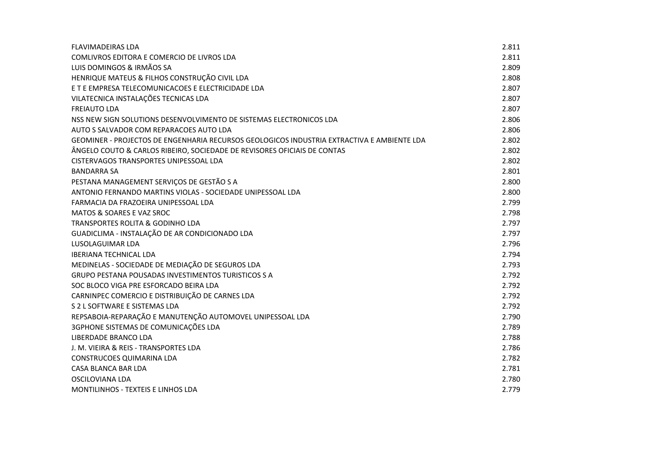| <b>FLAVIMADEIRAS LDA</b>                                                                   | 2.811 |
|--------------------------------------------------------------------------------------------|-------|
| COMLIVROS EDITORA E COMERCIO DE LIVROS LDA                                                 | 2.811 |
| LUIS DOMINGOS & IRMÃOS SA                                                                  | 2.809 |
| HENRIQUE MATEUS & FILHOS CONSTRUÇÃO CIVIL LDA                                              | 2.808 |
| E T E EMPRESA TELECOMUNICACOES E ELECTRICIDADE LDA                                         | 2.807 |
| VILATECNICA INSTALAÇÕES TECNICAS LDA                                                       | 2.807 |
| <b>FREIAUTO LDA</b>                                                                        | 2.807 |
| NSS NEW SIGN SOLUTIONS DESENVOLVIMENTO DE SISTEMAS ELECTRONICOS LDA                        | 2.806 |
| AUTO S SALVADOR COM REPARACOES AUTO LDA                                                    | 2.806 |
| GEOMINER - PROJECTOS DE ENGENHARIA RECURSOS GEOLOGICOS INDUSTRIA EXTRACTIVA E AMBIENTE LDA | 2.802 |
| ÂNGELO COUTO & CARLOS RIBEIRO, SOCIEDADE DE REVISORES OFICIAIS DE CONTAS                   | 2.802 |
| CISTERVAGOS TRANSPORTES UNIPESSOAL LDA                                                     | 2.802 |
| <b>BANDARRA SA</b>                                                                         | 2.801 |
| PESTANA MANAGEMENT SERVIÇOS DE GESTÃO S A                                                  | 2.800 |
| ANTONIO FERNANDO MARTINS VIOLAS - SOCIEDADE UNIPESSOAL LDA                                 | 2.800 |
| FARMACIA DA FRAZOEIRA UNIPESSOAL LDA                                                       | 2.799 |
| MATOS & SOARES E VAZ SROC                                                                  | 2.798 |
| TRANSPORTES ROLITA & GODINHO LDA                                                           | 2.797 |
| GUADICLIMA - INSTALAÇÃO DE AR CONDICIONADO LDA                                             | 2.797 |
| LUSOLAGUIMAR LDA                                                                           | 2.796 |
| <b>IBERIANA TECHNICAL LDA</b>                                                              | 2.794 |
| MEDINELAS - SOCIEDADE DE MEDIAÇÃO DE SEGUROS LDA                                           | 2.793 |
| GRUPO PESTANA POUSADAS INVESTIMENTOS TURISTICOS S A                                        | 2.792 |
| SOC BLOCO VIGA PRE ESFORCADO BEIRA LDA                                                     | 2.792 |
| CARNINPEC COMERCIO E DISTRIBUIÇÃO DE CARNES LDA                                            | 2.792 |
| S 2 L SOFTWARE E SISTEMAS LDA                                                              | 2.792 |
| REPSABOIA-REPARAÇÃO E MANUTENÇÃO AUTOMOVEL UNIPESSOAL LDA                                  | 2.790 |
| 3GPHONE SISTEMAS DE COMUNICAÇÕES LDA                                                       | 2.789 |
| <b>LIBERDADE BRANCO LDA</b>                                                                | 2.788 |
| J. M. VIEIRA & REIS - TRANSPORTES LDA                                                      | 2.786 |
| <b>CONSTRUCOES QUIMARINA LDA</b>                                                           | 2.782 |
| <b>CASA BLANCA BAR LDA</b>                                                                 | 2.781 |
| OSCILOVIANA LDA                                                                            | 2.780 |
| <b>MONTILINHOS - TEXTEIS E LINHOS LDA</b>                                                  | 2.779 |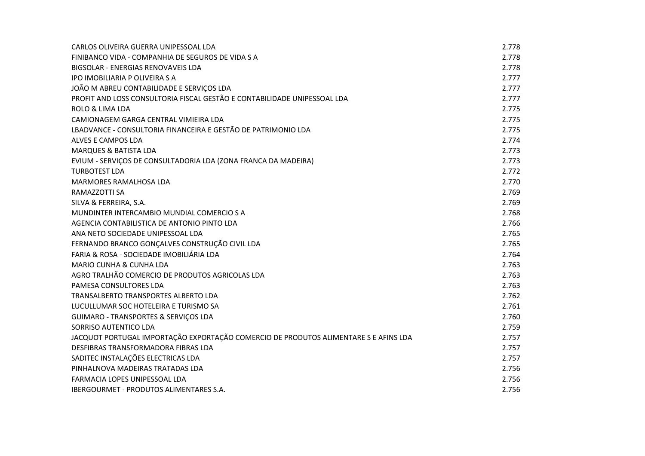| CARLOS OLIVEIRA GUERRA UNIPESSOAL LDA                                                | 2.778 |
|--------------------------------------------------------------------------------------|-------|
| FINIBANCO VIDA - COMPANHIA DE SEGUROS DE VIDA S A                                    | 2.778 |
| BIGSOLAR - ENERGIAS RENOVAVEIS LDA                                                   | 2.778 |
| <b>IPO IMOBILIARIA P OLIVEIRA S A</b>                                                | 2.777 |
| JOÃO M ABREU CONTABILIDADE E SERVIÇOS LDA                                            | 2.777 |
| PROFIT AND LOSS CONSULTORIA FISCAL GESTÃO E CONTABILIDADE UNIPESSOAL LDA             | 2.777 |
| <b>ROLO &amp; LIMA LDA</b>                                                           | 2.775 |
| CAMIONAGEM GARGA CENTRAL VIMIEIRA LDA                                                | 2.775 |
| LBADVANCE - CONSULTORIA FINANCEIRA E GESTÃO DE PATRIMONIO LDA                        | 2.775 |
| ALVES E CAMPOS LDA                                                                   | 2.774 |
| <b>MARQUES &amp; BATISTA LDA</b>                                                     | 2.773 |
| EVIUM - SERVIÇOS DE CONSULTADORIA LDA (ZONA FRANCA DA MADEIRA)                       | 2.773 |
| <b>TURBOTEST LDA</b>                                                                 | 2.772 |
| <b>MARMORES RAMALHOSA LDA</b>                                                        | 2.770 |
| RAMAZZOTTI SA                                                                        | 2.769 |
| SILVA & FERREIRA, S.A.                                                               | 2.769 |
| MUNDINTER INTERCAMBIO MUNDIAL COMERCIO S A                                           | 2.768 |
| AGENCIA CONTABILISTICA DE ANTONIO PINTO LDA                                          | 2.766 |
| ANA NETO SOCIEDADE UNIPESSOAL LDA                                                    | 2.765 |
| FERNANDO BRANCO GONÇALVES CONSTRUÇÃO CIVIL LDA                                       | 2.765 |
| FARIA & ROSA - SOCIEDADE IMOBILIÁRIA LDA                                             | 2.764 |
| MARIO CUNHA & CUNHA LDA                                                              | 2.763 |
| AGRO TRALHÃO COMERCIO DE PRODUTOS AGRICOLAS LDA                                      | 2.763 |
| PAMESA CONSULTORES LDA                                                               | 2.763 |
| TRANSALBERTO TRANSPORTES ALBERTO LDA                                                 | 2.762 |
| LUCULLUMAR SOC HOTELEIRA E TURISMO SA                                                | 2.761 |
| GUIMARO - TRANSPORTES & SERVIÇOS LDA                                                 | 2.760 |
| SORRISO AUTENTICO LDA                                                                | 2.759 |
| JACQUOT PORTUGAL IMPORTAÇÃO EXPORTAÇÃO COMERCIO DE PRODUTOS ALIMENTARE S E AFINS LDA | 2.757 |
| DESFIBRAS TRANSFORMADORA FIBRAS LDA                                                  | 2.757 |
| SADITEC INSTALAÇÕES ELECTRICAS LDA                                                   | 2.757 |
| PINHALNOVA MADEIRAS TRATADAS LDA                                                     | 2.756 |
| FARMACIA LOPES UNIPESSOAL LDA                                                        | 2.756 |
| <b>IBERGOURMET - PRODUTOS ALIMENTARES S.A.</b>                                       | 2.756 |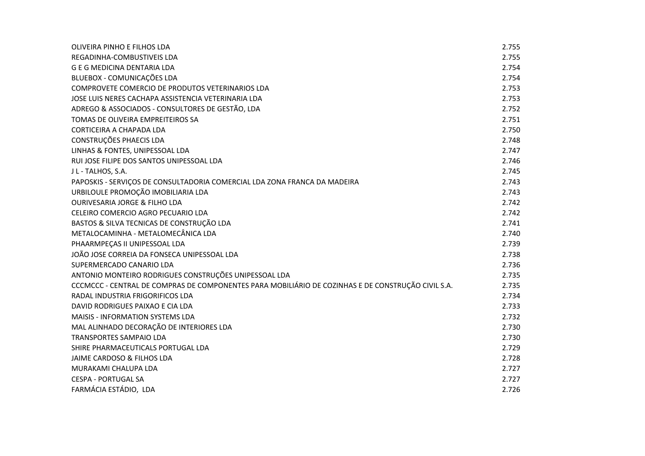| OLIVEIRA PINHO E FILHOS LDA                                                                        | 2.755 |
|----------------------------------------------------------------------------------------------------|-------|
| REGADINHA-COMBUSTIVEIS LDA                                                                         | 2.755 |
| <b>G E G MEDICINA DENTARIA LDA</b>                                                                 | 2.754 |
| BLUEBOX - COMUNICAÇÕES LDA                                                                         | 2.754 |
| COMPROVETE COMERCIO DE PRODUTOS VETERINARIOS LDA                                                   | 2.753 |
| JOSE LUIS NERES CACHAPA ASSISTENCIA VETERINARIA LDA                                                | 2.753 |
| ADREGO & ASSOCIADOS - CONSULTORES DE GESTÃO, LDA                                                   | 2.752 |
| TOMAS DE OLIVEIRA EMPREITEIROS SA                                                                  | 2.751 |
| CORTICEIRA A CHAPADA LDA                                                                           | 2.750 |
| CONSTRUÇÕES PHAECIS LDA                                                                            | 2.748 |
| LINHAS & FONTES, UNIPESSOAL LDA                                                                    | 2.747 |
| RUI JOSE FILIPE DOS SANTOS UNIPESSOAL LDA                                                          | 2.746 |
| J L - TALHOS, S.A.                                                                                 | 2.745 |
| PAPOSKIS - SERVIÇOS DE CONSULTADORIA COMERCIAL LDA ZONA FRANCA DA MADEIRA                          | 2.743 |
| URBILOULE PROMOÇÃO IMOBILIARIA LDA                                                                 | 2.743 |
| <b>OURIVESARIA JORGE &amp; FILHO LDA</b>                                                           | 2.742 |
| CELEIRO COMERCIO AGRO PECUARIO LDA                                                                 | 2.742 |
| BASTOS & SILVA TECNICAS DE CONSTRUÇÃO LDA                                                          | 2.741 |
| METALOCAMINHA - METALOMECÂNICA LDA                                                                 | 2.740 |
| PHAARMPEÇAS II UNIPESSOAL LDA                                                                      | 2.739 |
| JOÃO JOSE CORREIA DA FONSECA UNIPESSOAL LDA                                                        | 2.738 |
| SUPERMERCADO CANARIO LDA                                                                           | 2.736 |
| ANTONIO MONTEIRO RODRIGUES CONSTRUÇÕES UNIPESSOAL LDA                                              | 2.735 |
| CCCMCCC - CENTRAL DE COMPRAS DE COMPONENTES PARA MOBILIÁRIO DE COZINHAS E DE CONSTRUÇÃO CIVIL S.A. | 2.735 |
| RADAL INDUSTRIA FRIGORIFICOS LDA                                                                   | 2.734 |
| DAVID RODRIGUES PAIXAO E CIA LDA                                                                   | 2.733 |
| MAISIS - INFORMATION SYSTEMS LDA                                                                   | 2.732 |
| MAL ALINHADO DECORAÇÃO DE INTERIORES LDA                                                           | 2.730 |
| <b>TRANSPORTES SAMPAIO LDA</b>                                                                     | 2.730 |
| SHIRE PHARMACEUTICALS PORTUGAL LDA                                                                 | 2.729 |
| JAIME CARDOSO & FILHOS LDA                                                                         | 2.728 |
| MURAKAMI CHALUPA LDA                                                                               | 2.727 |
| <b>CESPA - PORTUGAL SA</b>                                                                         | 2.727 |
| FARMÁCIA ESTÁDIO, LDA                                                                              | 2.726 |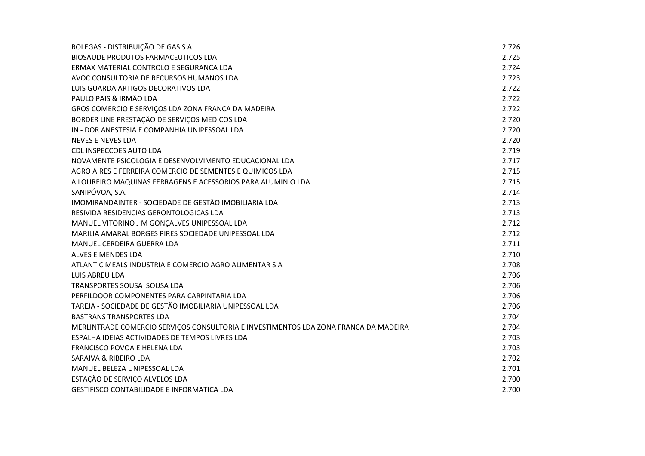| ROLEGAS - DISTRIBUIÇÃO DE GAS S A                                                    | 2.726 |
|--------------------------------------------------------------------------------------|-------|
| <b>BIOSAUDE PRODUTOS FARMACEUTICOS LDA</b>                                           | 2.725 |
| ERMAX MATERIAL CONTROLO E SEGURANCA LDA                                              | 2.724 |
| AVOC CONSULTORIA DE RECURSOS HUMANOS LDA                                             | 2.723 |
| LUIS GUARDA ARTIGOS DECORATIVOS LDA                                                  | 2.722 |
| PAULO PAIS & IRMÃO LDA                                                               | 2.722 |
| GROS COMERCIO E SERVIÇOS LDA ZONA FRANCA DA MADEIRA                                  | 2.722 |
| BORDER LINE PRESTAÇÃO DE SERVIÇOS MEDICOS LDA                                        | 2.720 |
| IN - DOR ANESTESIA E COMPANHIA UNIPESSOAL LDA                                        | 2.720 |
| <b>NEVES E NEVES LDA</b>                                                             | 2.720 |
| <b>CDL INSPECCOES AUTO LDA</b>                                                       | 2.719 |
| NOVAMENTE PSICOLOGIA E DESENVOLVIMENTO EDUCACIONAL LDA                               | 2.717 |
| AGRO AIRES E FERREIRA COMERCIO DE SEMENTES E QUIMICOS LDA                            | 2.715 |
| A LOUREIRO MAQUINAS FERRAGENS E ACESSORIOS PARA ALUMINIO LDA                         | 2.715 |
| SANIPÓVOA, S.A.                                                                      | 2.714 |
| IMOMIRANDAINTER - SOCIEDADE DE GESTÃO IMOBILIARIA LDA                                | 2.713 |
| RESIVIDA RESIDENCIAS GERONTOLOGICAS LDA                                              | 2.713 |
| MANUEL VITORINO J M GONÇALVES UNIPESSOAL LDA                                         | 2.712 |
| MARILIA AMARAL BORGES PIRES SOCIEDADE UNIPESSOAL LDA                                 | 2.712 |
| MANUEL CERDEIRA GUERRA LDA                                                           | 2.711 |
| ALVES E MENDES LDA                                                                   | 2.710 |
| ATLANTIC MEALS INDUSTRIA E COMERCIO AGRO ALIMENTAR S A                               | 2.708 |
| LUIS ABREU LDA                                                                       | 2.706 |
| TRANSPORTES SOUSA SOUSA LDA                                                          | 2.706 |
| PERFILDOOR COMPONENTES PARA CARPINTARIA LDA                                          | 2.706 |
| TAREJA - SOCIEDADE DE GESTÃO IMOBILIARIA UNIPESSOAL LDA                              | 2.706 |
| <b>BASTRANS TRANSPORTES LDA</b>                                                      | 2.704 |
| MERLINTRADE COMERCIO SERVIÇOS CONSULTORIA E INVESTIMENTOS LDA ZONA FRANCA DA MADEIRA | 2.704 |
| ESPALHA IDEIAS ACTIVIDADES DE TEMPOS LIVRES LDA                                      | 2.703 |
| FRANCISCO POVOA E HELENA LDA                                                         | 2.703 |
| SARAIVA & RIBEIRO LDA                                                                | 2.702 |
| MANUEL BELEZA UNIPESSOAL LDA                                                         | 2.701 |
| ESTAÇÃO DE SERVIÇO ALVELOS LDA                                                       | 2.700 |
| <b>GESTIFISCO CONTABILIDADE E INFORMATICA LDA</b>                                    | 2.700 |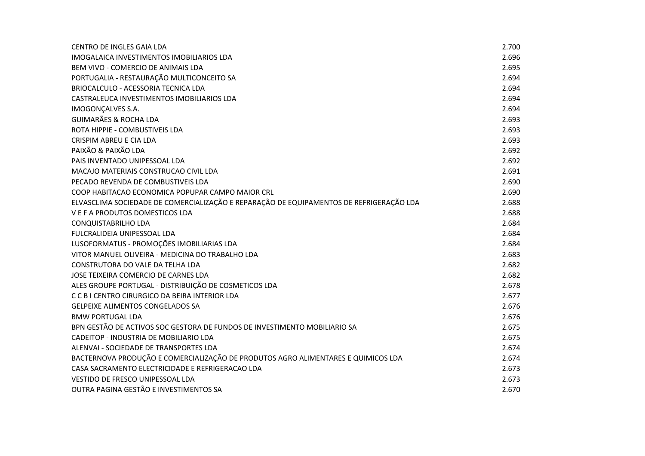| <b>CENTRO DE INGLES GAIA LDA</b>                                                        | 2.700 |
|-----------------------------------------------------------------------------------------|-------|
| IMOGALAICA INVESTIMENTOS IMOBILIARIOS LDA                                               | 2.696 |
| BEM VIVO - COMERCIO DE ANIMAIS LDA                                                      | 2.695 |
| PORTUGALIA - RESTAURAÇÃO MULTICONCEITO SA                                               | 2.694 |
| BRIOCALCULO - ACESSORIA TECNICA LDA                                                     | 2.694 |
| CASTRALEUCA INVESTIMENTOS IMOBILIARIOS LDA                                              | 2.694 |
| IMOGONÇALVES S.A.                                                                       | 2.694 |
| <b>GUIMARÃES &amp; ROCHA LDA</b>                                                        | 2.693 |
| ROTA HIPPIE - COMBUSTIVEIS LDA                                                          | 2.693 |
| CRISPIM ABREU E CIA LDA                                                                 | 2.693 |
| PAIXÃO & PAIXÃO LDA                                                                     | 2.692 |
| PAIS INVENTADO UNIPESSOAL LDA                                                           | 2.692 |
| MACAJO MATERIAIS CONSTRUCAO CIVIL LDA                                                   | 2.691 |
| PECADO REVENDA DE COMBUSTIVEIS LDA                                                      | 2.690 |
| COOP HABITACAO ECONOMICA POPUPAR CAMPO MAIOR CRL                                        | 2.690 |
| ELVASCLIMA SOCIEDADE DE COMERCIALIZAÇÃO E REPARAÇÃO DE EQUIPAMENTOS DE REFRIGERAÇÃO LDA | 2.688 |
| V E F A PRODUTOS DOMESTICOS LDA                                                         | 2.688 |
| <b>CONQUISTABRILHO LDA</b>                                                              | 2.684 |
| FULCRALIDEIA UNIPESSOAL LDA                                                             | 2.684 |
| LUSOFORMATUS - PROMOÇÕES IMOBILIARIAS LDA                                               | 2.684 |
| VITOR MANUEL OLIVEIRA - MEDICINA DO TRABALHO LDA                                        | 2.683 |
| CONSTRUTORA DO VALE DA TELHA LDA                                                        | 2.682 |
| JOSE TEIXEIRA COMERCIO DE CARNES LDA                                                    | 2.682 |
| ALES GROUPE PORTUGAL - DISTRIBUIÇÃO DE COSMETICOS LDA                                   | 2.678 |
| CCBI CENTRO CIRURGICO DA BEIRA INTERIOR LDA                                             | 2.677 |
| <b>GELPEIXE ALIMENTOS CONGELADOS SA</b>                                                 | 2.676 |
| <b>BMW PORTUGAL LDA</b>                                                                 | 2.676 |
| BPN GESTÃO DE ACTIVOS SOC GESTORA DE FUNDOS DE INVESTIMENTO MOBILIARIO SA               | 2.675 |
| CADEITOP - INDUSTRIA DE MOBILIARIO LDA                                                  | 2.675 |
| ALENVAI - SOCIEDADE DE TRANSPORTES LDA                                                  | 2.674 |
| BACTERNOVA PRODUÇÃO E COMERCIALIZAÇÃO DE PRODUTOS AGRO ALIMENTARES E QUIMICOS LDA       | 2.674 |
| CASA SACRAMENTO ELECTRICIDADE E REFRIGERACAO LDA                                        | 2.673 |
| VESTIDO DE FRESCO UNIPESSOAL LDA                                                        | 2.673 |
| OUTRA PAGINA GESTÃO E INVESTIMENTOS SA                                                  | 2.670 |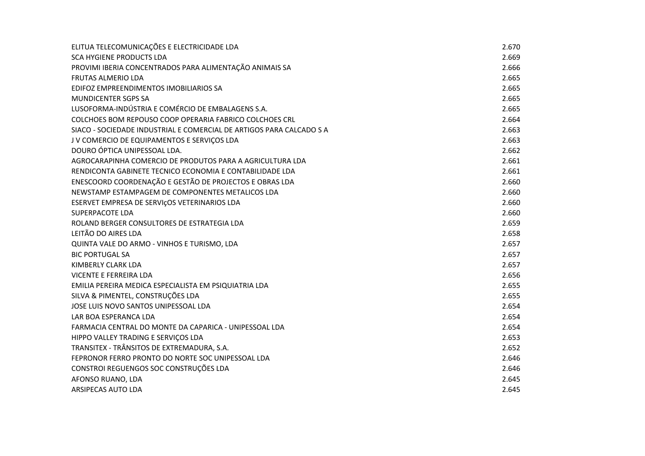| ELITUA TELECOMUNICAÇÕES E ELECTRICIDADE LDA                          | 2.670 |
|----------------------------------------------------------------------|-------|
| SCA HYGIENE PRODUCTS LDA                                             | 2.669 |
| PROVIMI IBERIA CONCENTRADOS PARA ALIMENTAÇÃO ANIMAIS SA              | 2.666 |
| <b>FRUTAS ALMERIO LDA</b>                                            | 2.665 |
| EDIFOZ EMPREENDIMENTOS IMOBILIARIOS SA                               | 2.665 |
| <b>MUNDICENTER SGPS SA</b>                                           | 2.665 |
| LUSOFORMA-INDÚSTRIA E COMÉRCIO DE EMBALAGENS S.A.                    | 2.665 |
| COLCHOES BOM REPOUSO COOP OPERARIA FABRICO COLCHOES CRL              | 2.664 |
| SIACO - SOCIEDADE INDUSTRIAL E COMERCIAL DE ARTIGOS PARA CALCADO S A | 2.663 |
| J V COMERCIO DE EQUIPAMENTOS E SERVIÇOS LDA                          | 2.663 |
| DOURO ÓPTICA UNIPESSOAL LDA.                                         | 2.662 |
| AGROCARAPINHA COMERCIO DE PRODUTOS PARA A AGRICULTURA LDA            | 2.661 |
| RENDICONTA GABINETE TECNICO ECONOMIA E CONTABILIDADE LDA             | 2.661 |
| ENESCOORD COORDENAÇÃO E GESTÃO DE PROJECTOS E OBRAS LDA              | 2.660 |
| NEWSTAMP ESTAMPAGEM DE COMPONENTES METALICOS LDA                     | 2.660 |
| ESERVET EMPRESA DE SERVIÇOS VETERINARIOS LDA                         | 2.660 |
| <b>SUPERPACOTE LDA</b>                                               | 2.660 |
| ROLAND BERGER CONSULTORES DE ESTRATEGIA LDA                          | 2.659 |
| LEITÃO DO AIRES LDA                                                  | 2.658 |
| QUINTA VALE DO ARMO - VINHOS E TURISMO, LDA                          | 2.657 |
| <b>BIC PORTUGAL SA</b>                                               | 2.657 |
| KIMBERLY CLARK LDA                                                   | 2.657 |
| VICENTE E FERREIRA LDA                                               | 2.656 |
| EMILIA PEREIRA MEDICA ESPECIALISTA EM PSIQUIATRIA LDA                | 2.655 |
| SILVA & PIMENTEL, CONSTRUÇÕES LDA                                    | 2.655 |
| JOSE LUIS NOVO SANTOS UNIPESSOAL LDA                                 | 2.654 |
| LAR BOA ESPERANCA LDA                                                | 2.654 |
| FARMACIA CENTRAL DO MONTE DA CAPARICA - UNIPESSOAL LDA               | 2.654 |
| HIPPO VALLEY TRADING E SERVIÇOS LDA                                  | 2.653 |
| TRANSITEX - TRÂNSITOS DE EXTREMADURA, S.A.                           | 2.652 |
| FEPRONOR FERRO PRONTO DO NORTE SOC UNIPESSOAL LDA                    | 2.646 |
| CONSTROI REGUENGOS SOC CONSTRUÇÕES LDA                               | 2.646 |
| AFONSO RUANO, LDA                                                    | 2.645 |
| ARSIPECAS AUTO LDA                                                   | 2.645 |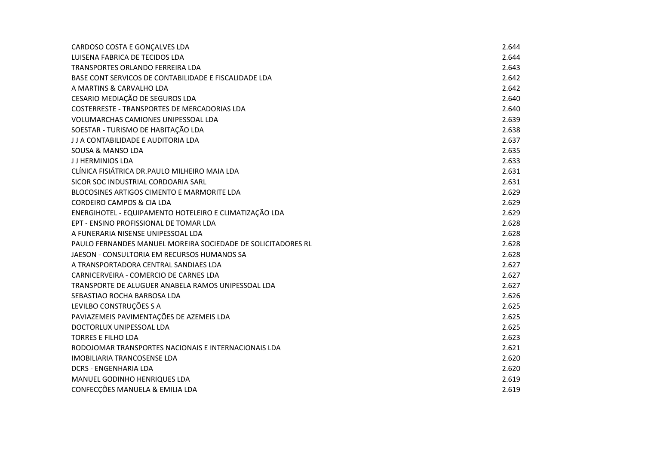| CARDOSO COSTA E GONÇALVES LDA                                | 2.644 |
|--------------------------------------------------------------|-------|
| LUISENA FABRICA DE TECIDOS LDA                               | 2.644 |
| TRANSPORTES ORLANDO FERREIRA LDA                             | 2.643 |
| BASE CONT SERVICOS DE CONTABILIDADE E FISCALIDADE LDA        | 2.642 |
| A MARTINS & CARVALHO LDA                                     | 2.642 |
| CESARIO MEDIAÇÃO DE SEGUROS LDA                              | 2.640 |
| COSTERRESTE - TRANSPORTES DE MERCADORIAS LDA                 | 2.640 |
| VOLUMARCHAS CAMIONES UNIPESSOAL LDA                          | 2.639 |
| SOESTAR - TURISMO DE HABITAÇÃO LDA                           | 2.638 |
| J J A CONTABILIDADE E AUDITORIA LDA                          | 2.637 |
| SOUSA & MANSO LDA                                            | 2.635 |
| JJ HERMINIOS LDA                                             | 2.633 |
| CLÍNICA FISIÁTRICA DR.PAULO MILHEIRO MAIA LDA                | 2.631 |
| SICOR SOC INDUSTRIAL CORDOARIA SARL                          | 2.631 |
| BLOCOSINES ARTIGOS CIMENTO E MARMORITE LDA                   | 2.629 |
| <b>CORDEIRO CAMPOS &amp; CIA LDA</b>                         | 2.629 |
| ENERGIHOTEL - EQUIPAMENTO HOTELEIRO E CLIMATIZAÇÃO LDA       | 2.629 |
| EPT - ENSINO PROFISSIONAL DE TOMAR LDA                       | 2.628 |
| A FUNERARIA NISENSE UNIPESSOAL LDA                           | 2.628 |
| PAULO FERNANDES MANUEL MOREIRA SOCIEDADE DE SOLICITADORES RL | 2.628 |
| JAESON - CONSULTORIA EM RECURSOS HUMANOS SA                  | 2.628 |
| A TRANSPORTADORA CENTRAL SANDIAES LDA                        | 2.627 |
| CARNICERVEIRA - COMERCIO DE CARNES LDA                       | 2.627 |
| TRANSPORTE DE ALUGUER ANABELA RAMOS UNIPESSOAL LDA           | 2.627 |
| SEBASTIAO ROCHA BARBOSA LDA                                  | 2.626 |
| LEVILBO CONSTRUÇÕES S A                                      | 2.625 |
| PAVIAZEMEIS PAVIMENTAÇÕES DE AZEMEIS LDA                     | 2.625 |
| DOCTORLUX UNIPESSOAL LDA                                     | 2.625 |
| <b>TORRES E FILHO LDA</b>                                    | 2.623 |
| RODOJOMAR TRANSPORTES NACIONAIS E INTERNACIONAIS LDA         | 2.621 |
| <b>IMOBILIARIA TRANCOSENSE LDA</b>                           | 2.620 |
| <b>DCRS - ENGENHARIA LDA</b>                                 | 2.620 |
| MANUEL GODINHO HENRIQUES LDA                                 | 2.619 |
| CONFECÇÕES MANUELA & EMILIA LDA                              | 2.619 |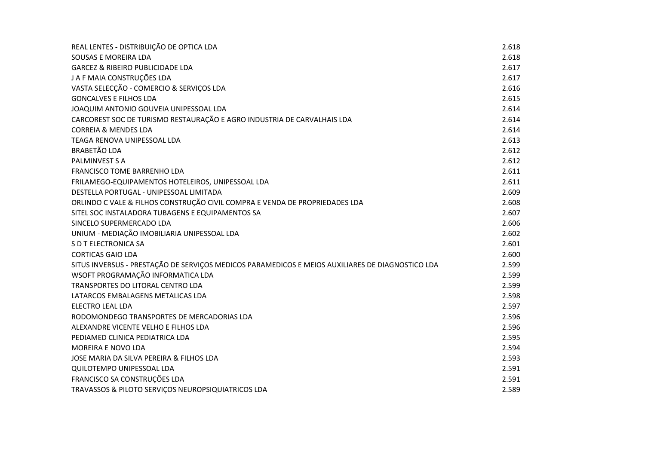| REAL LENTES - DISTRIBUIÇÃO DE OPTICA LDA                                                         | 2.618 |
|--------------------------------------------------------------------------------------------------|-------|
| SOUSAS E MOREIRA LDA                                                                             | 2.618 |
| <b>GARCEZ &amp; RIBEIRO PUBLICIDADE LDA</b>                                                      | 2.617 |
| J A F MAIA CONSTRUÇÕES LDA                                                                       | 2.617 |
| VASTA SELECÇÃO - COMERCIO & SERVIÇOS LDA                                                         | 2.616 |
| <b>GONCALVES E FILHOS LDA</b>                                                                    | 2.615 |
| JOAQUIM ANTONIO GOUVEIA UNIPESSOAL LDA                                                           | 2.614 |
| CARCOREST SOC DE TURISMO RESTAURAÇÃO E AGRO INDUSTRIA DE CARVALHAIS LDA                          | 2.614 |
| <b>CORREIA &amp; MENDES LDA</b>                                                                  | 2.614 |
| TEAGA RENOVA UNIPESSOAL LDA                                                                      | 2.613 |
| <b>BRABETÃO LDA</b>                                                                              | 2.612 |
| <b>PALMINVEST S A</b>                                                                            | 2.612 |
| <b>FRANCISCO TOME BARRENHO LDA</b>                                                               | 2.611 |
| FRILAMEGO-EQUIPAMENTOS HOTELEIROS, UNIPESSOAL LDA                                                | 2.611 |
| DESTELLA PORTUGAL - UNIPESSOAL LIMITADA                                                          | 2.609 |
| ORLINDO C VALE & FILHOS CONSTRUÇÃO CIVIL COMPRA E VENDA DE PROPRIEDADES LDA                      | 2.608 |
| SITEL SOC INSTALADORA TUBAGENS E EQUIPAMENTOS SA                                                 | 2.607 |
| SINCELO SUPERMERCADO LDA                                                                         | 2.606 |
| UNIUM - MEDIAÇÃO IMOBILIARIA UNIPESSOAL LDA                                                      | 2.602 |
| S D T ELECTRONICA SA                                                                             | 2.601 |
| <b>CORTICAS GAIO LDA</b>                                                                         | 2.600 |
| SITUS INVERSUS - PRESTAÇÃO DE SERVIÇOS MEDICOS PARAMEDICOS E MEIOS AUXILIARES DE DIAGNOSTICO LDA | 2.599 |
| WSOFT PROGRAMAÇÃO INFORMATICA LDA                                                                | 2.599 |
| TRANSPORTES DO LITORAL CENTRO LDA                                                                | 2.599 |
| LATARCOS EMBALAGENS METALICAS LDA                                                                | 2.598 |
| <b>ELECTRO LEAL LDA</b>                                                                          | 2.597 |
| RODOMONDEGO TRANSPORTES DE MERCADORIAS LDA                                                       | 2.596 |
| ALEXANDRE VICENTE VELHO E FILHOS LDA                                                             | 2.596 |
| PEDIAMED CLINICA PEDIATRICA LDA                                                                  | 2.595 |
| <b>MOREIRA E NOVO LDA</b>                                                                        | 2.594 |
| JOSE MARIA DA SILVA PEREIRA & FILHOS LDA                                                         | 2.593 |
| <b>QUILOTEMPO UNIPESSOAL LDA</b>                                                                 | 2.591 |
| FRANCISCO SA CONSTRUÇÕES LDA                                                                     | 2.591 |
| TRAVASSOS & PILOTO SERVIÇOS NEUROPSIQUIATRICOS LDA                                               | 2.589 |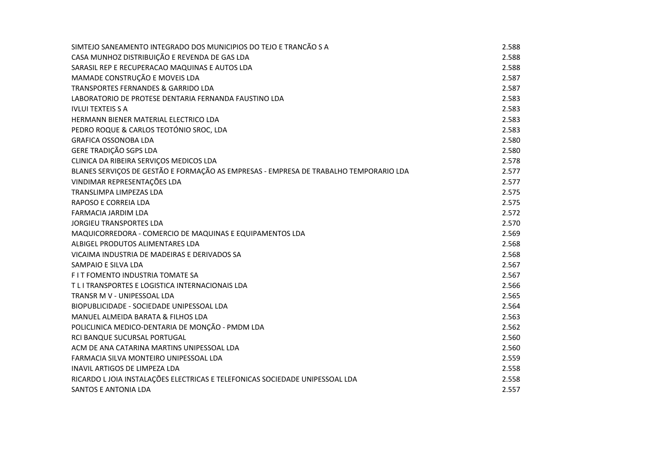| SIMTEJO SANEAMENTO INTEGRADO DOS MUNICIPIOS DO TEJO E TRANCÃO S A                     | 2.588 |
|---------------------------------------------------------------------------------------|-------|
| CASA MUNHOZ DISTRIBUIÇÃO E REVENDA DE GAS LDA                                         | 2.588 |
| SARASIL REP E RECUPERACAO MAQUINAS E AUTOS LDA                                        | 2.588 |
| MAMADE CONSTRUÇÃO E MOVEIS LDA                                                        | 2.587 |
| TRANSPORTES FERNANDES & GARRIDO LDA                                                   | 2.587 |
| LABORATORIO DE PROTESE DENTARIA FERNANDA FAUSTINO LDA                                 | 2.583 |
| <b>IVLUI TEXTEIS S A</b>                                                              | 2.583 |
| HERMANN BIENER MATERIAL ELECTRICO LDA                                                 | 2.583 |
| PEDRO ROQUE & CARLOS TEOTÓNIO SROC, LDA                                               | 2.583 |
| <b>GRAFICA OSSONOBA LDA</b>                                                           | 2.580 |
| <b>GERE TRADIÇÃO SGPS LDA</b>                                                         | 2.580 |
| CLINICA DA RIBEIRA SERVIÇOS MEDICOS LDA                                               | 2.578 |
| BLANES SERVIÇOS DE GESTÃO E FORMAÇÃO AS EMPRESAS - EMPRESA DE TRABALHO TEMPORARIO LDA | 2.577 |
| VINDIMAR REPRESENTAÇÕES LDA                                                           | 2.577 |
| TRANSLIMPA LIMPEZAS LDA                                                               | 2.575 |
| RAPOSO E CORREIA LDA                                                                  | 2.575 |
| FARMACIA JARDIM LDA                                                                   | 2.572 |
| <b>JORGIEU TRANSPORTES LDA</b>                                                        | 2.570 |
| MAQUICORREDORA - COMERCIO DE MAQUINAS E EQUIPAMENTOS LDA                              | 2.569 |
| ALBIGEL PRODUTOS ALIMENTARES LDA                                                      | 2.568 |
| VICAIMA INDUSTRIA DE MADEIRAS E DERIVADOS SA                                          | 2.568 |
| SAMPAIO E SILVA LDA                                                                   | 2.567 |
| FIT FOMENTO INDUSTRIA TOMATE SA                                                       | 2.567 |
| T L I TRANSPORTES E LOGISTICA INTERNACIONAIS LDA                                      | 2.566 |
| TRANSR M V - UNIPESSOAL LDA                                                           | 2.565 |
| BIOPUBLICIDADE - SOCIEDADE UNIPESSOAL LDA                                             | 2.564 |
| MANUEL ALMEIDA BARATA & FILHOS LDA                                                    | 2.563 |
| POLICLINICA MEDICO-DENTARIA DE MONÇÃO - PMDM LDA                                      | 2.562 |
| RCI BANQUE SUCURSAL PORTUGAL                                                          | 2.560 |
| ACM DE ANA CATARINA MARTINS UNIPESSOAL LDA                                            | 2.560 |
| FARMACIA SILVA MONTEIRO UNIPESSOAL LDA                                                | 2.559 |
| INAVIL ARTIGOS DE LIMPEZA LDA                                                         | 2.558 |
| RICARDO LJOIA INSTALAÇÕES ELECTRICAS E TELEFONICAS SOCIEDADE UNIPESSOAL LDA           | 2.558 |
| <b>SANTOS E ANTONIA LDA</b>                                                           | 2.557 |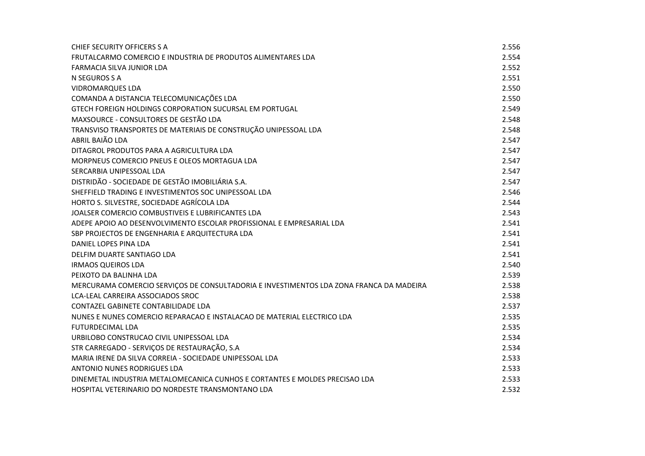| <b>CHIEF SECURITY OFFICERS S A</b>                                                      | 2.556 |
|-----------------------------------------------------------------------------------------|-------|
| FRUTALCARMO COMERCIO E INDUSTRIA DE PRODUTOS ALIMENTARES LDA                            | 2.554 |
| FARMACIA SILVA JUNIOR LDA                                                               | 2.552 |
| N SEGUROS S A                                                                           | 2.551 |
| <b>VIDROMARQUES LDA</b>                                                                 | 2.550 |
| COMANDA A DISTANCIA TELECOMUNICAÇÕES LDA                                                | 2.550 |
| GTECH FOREIGN HOLDINGS CORPORATION SUCURSAL EM PORTUGAL                                 | 2.549 |
| MAXSOURCE - CONSULTORES DE GESTÃO LDA                                                   | 2.548 |
| TRANSVISO TRANSPORTES DE MATERIAIS DE CONSTRUÇÃO UNIPESSOAL LDA                         | 2.548 |
| ABRIL BAIÃO LDA                                                                         | 2.547 |
| DITAGROL PRODUTOS PARA A AGRICULTURA LDA                                                | 2.547 |
| MORPNEUS COMERCIO PNEUS E OLEOS MORTAGUA LDA                                            | 2.547 |
| SERCARBIA UNIPESSOAL LDA                                                                | 2.547 |
| DISTRIDÃO - SOCIEDADE DE GESTÃO IMOBILIÁRIA S.A.                                        | 2.547 |
| SHEFFIELD TRADING E INVESTIMENTOS SOC UNIPESSOAL LDA                                    | 2.546 |
| HORTO S. SILVESTRE, SOCIEDADE AGRÍCOLA LDA                                              | 2.544 |
| JOALSER COMERCIO COMBUSTIVEIS E LUBRIFICANTES LDA                                       | 2.543 |
| ADEPE APOIO AO DESENVOLVIMENTO ESCOLAR PROFISSIONAL E EMPRESARIAL LDA                   | 2.541 |
| SBP PROJECTOS DE ENGENHARIA E ARQUITECTURA LDA                                          | 2.541 |
| DANIEL LOPES PINA LDA                                                                   | 2.541 |
| DELFIM DUARTE SANTIAGO LDA                                                              | 2.541 |
| <b>IRMAOS QUEIROS LDA</b>                                                               | 2.540 |
| PEIXOTO DA BALINHA LDA                                                                  | 2.539 |
| MERCURAMA COMERCIO SERVIÇOS DE CONSULTADORIA E INVESTIMENTOS LDA ZONA FRANCA DA MADEIRA | 2.538 |
| LCA-LEAL CARREIRA ASSOCIADOS SROC                                                       | 2.538 |
| CONTAZEL GABINETE CONTABILIDADE LDA                                                     | 2.537 |
| NUNES E NUNES COMERCIO REPARACAO E INSTALACAO DE MATERIAL ELECTRICO LDA                 | 2.535 |
| <b>FUTURDECIMAL LDA</b>                                                                 | 2.535 |
| URBILOBO CONSTRUCAO CIVIL UNIPESSOAL LDA                                                | 2.534 |
| STR CARREGADO - SERVIÇOS DE RESTAURAÇÃO, S.A                                            | 2.534 |
| MARIA IRENE DA SILVA CORREIA - SOCIEDADE UNIPESSOAL LDA                                 | 2.533 |
| <b>ANTONIO NUNES RODRIGUES LDA</b>                                                      | 2.533 |
| DINEMETAL INDUSTRIA METALOMECANICA CUNHOS E CORTANTES E MOLDES PRECISAO LDA             | 2.533 |
| HOSPITAL VETERINARIO DO NORDESTE TRANSMONTANO LDA                                       | 2.532 |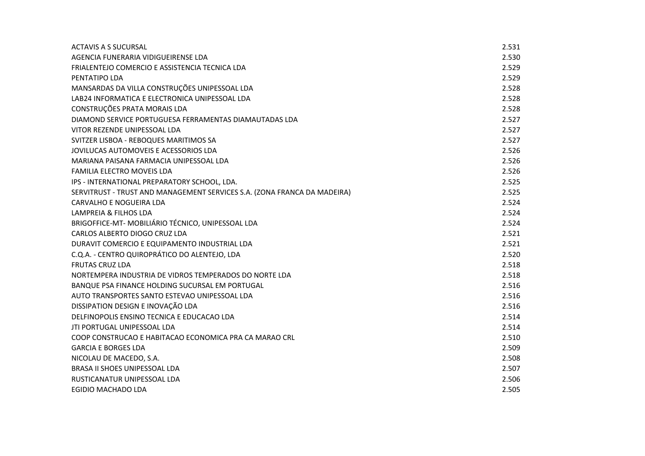| ACTAVIS A S SUCURSAL                                                     | 2.531 |
|--------------------------------------------------------------------------|-------|
| AGENCIA FUNERARIA VIDIGUEIRENSE LDA                                      | 2.530 |
| FRIALENTEJO COMERCIO E ASSISTENCIA TECNICA LDA                           | 2.529 |
| PENTATIPO LDA                                                            | 2.529 |
| MANSARDAS DA VILLA CONSTRUÇÕES UNIPESSOAL LDA                            | 2.528 |
| LAB24 INFORMATICA E ELECTRONICA UNIPESSOAL LDA                           | 2.528 |
| CONSTRUÇÕES PRATA MORAIS LDA                                             | 2.528 |
| DIAMOND SERVICE PORTUGUESA FERRAMENTAS DIAMAUTADAS LDA                   | 2.527 |
| VITOR REZENDE UNIPESSOAL LDA                                             | 2.527 |
| SVITZER LISBOA - REBOQUES MARITIMOS SA                                   | 2.527 |
| JOVILUCAS AUTOMOVEIS E ACESSORIOS LDA                                    | 2.526 |
| MARIANA PAISANA FARMACIA UNIPESSOAL LDA                                  | 2.526 |
| FAMILIA ELECTRO MOVEIS LDA                                               | 2.526 |
| IPS - INTERNATIONAL PREPARATORY SCHOOL, LDA.                             | 2.525 |
| SERVITRUST - TRUST AND MANAGEMENT SERVICES S.A. (ZONA FRANCA DA MADEIRA) | 2.525 |
| CARVALHO E NOGUEIRA LDA                                                  | 2.524 |
| LAMPREIA & FILHOS LDA                                                    | 2.524 |
| BRIGOFFICE-MT- MOBILIÁRIO TÉCNICO, UNIPESSOAL LDA                        | 2.524 |
| CARLOS ALBERTO DIOGO CRUZ LDA                                            | 2.521 |
| DURAVIT COMERCIO E EQUIPAMENTO INDUSTRIAL LDA                            | 2.521 |
| C.Q.A. - CENTRO QUIROPRÁTICO DO ALENTEJO, LDA                            | 2.520 |
| <b>FRUTAS CRUZ LDA</b>                                                   | 2.518 |
| NORTEMPERA INDUSTRIA DE VIDROS TEMPERADOS DO NORTE LDA                   | 2.518 |
| BANQUE PSA FINANCE HOLDING SUCURSAL EM PORTUGAL                          | 2.516 |
| AUTO TRANSPORTES SANTO ESTEVAO UNIPESSOAL LDA                            | 2.516 |
| DISSIPATION DESIGN E INOVAÇÃO LDA                                        | 2.516 |
| DELFINOPOLIS ENSINO TECNICA E EDUCACAO LDA                               | 2.514 |
| JTI PORTUGAL UNIPESSOAL LDA                                              | 2.514 |
| COOP CONSTRUCAO E HABITACAO ECONOMICA PRA CA MARAO CRL                   | 2.510 |
| <b>GARCIA E BORGES LDA</b>                                               | 2.509 |
| NICOLAU DE MACEDO, S.A.                                                  | 2.508 |
| BRASA II SHOES UNIPESSOAL LDA                                            | 2.507 |
| RUSTICANATUR UNIPESSOAL LDA                                              | 2.506 |
| EGIDIO MACHADO LDA                                                       | 2.505 |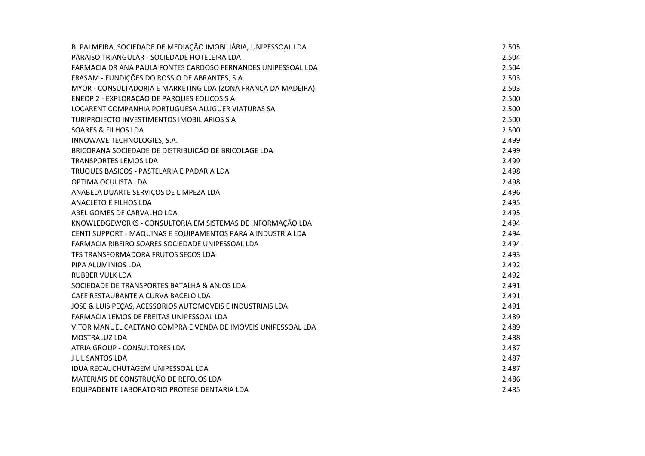| B. PALMEIRA, SOCIEDADE DE MEDIAÇÃO IMOBILIÁRIA, UNIPESSOAL LDA | 2.505 |
|----------------------------------------------------------------|-------|
| PARAISO TRIANGULAR - SOCIEDADE HOTELEIRA LDA                   | 2.504 |
| FARMACIA DR ANA PAULA FONTES CARDOSO FERNANDES UNIPESSOAL LDA  | 2.504 |
| FRASAM - FUNDIÇÕES DO ROSSIO DE ABRANTES, S.A.                 | 2.503 |
| MYOR - CONSULTADORIA E MARKETING LDA (ZONA FRANCA DA MADEIRA)  | 2.503 |
| ENEOP 2 - EXPLORAÇÃO DE PARQUES EOLICOS S A                    | 2.500 |
| LOCARENT COMPANHIA PORTUGUESA ALUGUER VIATURAS SA              | 2.500 |
| TURIPROJECTO INVESTIMENTOS IMOBILIARIOS S A                    | 2.500 |
| <b>SOARES &amp; FILHOS LDA</b>                                 | 2.500 |
| INNOWAVE TECHNOLOGIES, S.A.                                    | 2.499 |
| BRICORANA SOCIEDADE DE DISTRIBUIÇÃO DE BRICOLAGE LDA           | 2.499 |
| <b>TRANSPORTES LEMOS LDA</b>                                   | 2.499 |
| TRUQUES BASICOS - PASTELARIA E PADARIA LDA                     | 2.498 |
| OPTIMA OCULISTA LDA                                            | 2.498 |
| ANABELA DUARTE SERVIÇOS DE LIMPEZA LDA                         | 2.496 |
| ANACLETO E FILHOS LDA                                          | 2.495 |
| ABEL GOMES DE CARVALHO LDA                                     | 2.495 |
| KNOWLEDGEWORKS - CONSULTORIA EM SISTEMAS DE INFORMAÇÃO LDA     | 2.494 |
| CENTI SUPPORT - MAQUINAS E EQUIPAMENTOS PARA A INDUSTRIA LDA   | 2.494 |
| FARMACIA RIBEIRO SOARES SOCIEDADE UNIPESSOAL LDA               | 2.494 |
| TFS TRANSFORMADORA FRUTOS SECOS LDA                            | 2.493 |
| PIPA ALUMINIOS LDA                                             | 2.492 |
| <b>RUBBER VULK LDA</b>                                         | 2.492 |
| SOCIEDADE DE TRANSPORTES BATALHA & ANJOS LDA                   | 2.491 |
| CAFE RESTAURANTE A CURVA BACELO LDA                            | 2.491 |
| JOSE & LUIS PEÇAS, ACESSORIOS AUTOMOVEIS E INDUSTRIAIS LDA     | 2.491 |
| FARMACIA LEMOS DE FREITAS UNIPESSOAL LDA                       | 2.489 |
| VITOR MANUEL CAETANO COMPRA E VENDA DE IMOVEIS UNIPESSOAL LDA  | 2.489 |
| <b>MOSTRALUZ LDA</b>                                           | 2.488 |
| ATRIA GROUP - CONSULTORES LDA                                  | 2.487 |
| <b>JLL SANTOS LDA</b>                                          | 2.487 |
| <b>IDUA RECAUCHUTAGEM UNIPESSOAL LDA</b>                       | 2.487 |
| MATERIAIS DE CONSTRUÇÃO DE REFOJOS LDA                         | 2.486 |
| EQUIPADENTE LABORATORIO PROTESE DENTARIA LDA                   | 2.485 |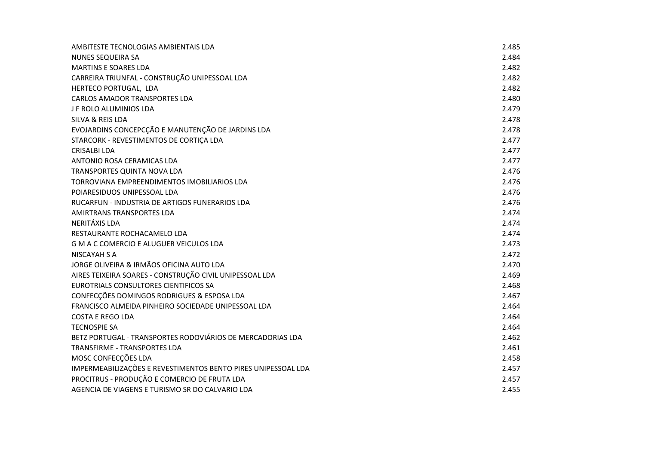| AMBITESTE TECNOLOGIAS AMBIENTAIS LDA                          | 2.485 |
|---------------------------------------------------------------|-------|
| NUNES SEQUEIRA SA                                             | 2.484 |
| <b>MARTINS E SOARES LDA</b>                                   | 2.482 |
| CARREIRA TRIUNFAL - CONSTRUÇÃO UNIPESSOAL LDA                 | 2.482 |
| HERTECO PORTUGAL, LDA                                         | 2.482 |
| <b>CARLOS AMADOR TRANSPORTES LDA</b>                          | 2.480 |
| J F ROLO ALUMINIOS LDA                                        | 2.479 |
| SILVA & REIS LDA                                              | 2.478 |
| EVOJARDINS CONCEPCÇÃO E MANUTENÇÃO DE JARDINS LDA             | 2.478 |
| STARCORK - REVESTIMENTOS DE CORTIÇA LDA                       | 2.477 |
| <b>CRISALBI LDA</b>                                           | 2.477 |
| ANTONIO ROSA CERAMICAS LDA                                    | 2.477 |
| TRANSPORTES QUINTA NOVA LDA                                   | 2.476 |
| TORROVIANA EMPREENDIMENTOS IMOBILIARIOS LDA                   | 2.476 |
| POIARESIDUOS UNIPESSOAL LDA                                   | 2.476 |
| RUCARFUN - INDUSTRIA DE ARTIGOS FUNERARIOS LDA                | 2.476 |
| AMIRTRANS TRANSPORTES LDA                                     | 2.474 |
| NERITÁXIS LDA                                                 | 2.474 |
| RESTAURANTE ROCHACAMELO LDA                                   | 2.474 |
| <b>G M A C COMERCIO E ALUGUER VEICULOS LDA</b>                | 2.473 |
| NISCAYAH S A                                                  | 2.472 |
| JORGE OLIVEIRA & IRMÃOS OFICINA AUTO LDA                      | 2.470 |
| AIRES TEIXEIRA SOARES - CONSTRUÇÃO CIVIL UNIPESSOAL LDA       | 2.469 |
| EUROTRIALS CONSULTORES CIENTIFICOS SA                         | 2.468 |
| CONFECÇÕES DOMINGOS RODRIGUES & ESPOSA LDA                    | 2.467 |
| FRANCISCO ALMEIDA PINHEIRO SOCIEDADE UNIPESSOAL LDA           | 2.464 |
| <b>COSTA E REGO LDA</b>                                       | 2.464 |
| <b>TECNOSPIE SA</b>                                           | 2.464 |
| BETZ PORTUGAL - TRANSPORTES RODOVIÁRIOS DE MERCADORIAS LDA    | 2.462 |
| <b>TRANSFIRME - TRANSPORTES LDA</b>                           | 2.461 |
| MOSC CONFECÇÕES LDA                                           | 2.458 |
| IMPERMEABILIZAÇÕES E REVESTIMENTOS BENTO PIRES UNIPESSOAL LDA | 2.457 |
| PROCITRUS - PRODUÇÃO E COMERCIO DE FRUTA LDA                  | 2.457 |
| AGENCIA DE VIAGENS E TURISMO SR DO CALVARIO LDA               | 2.455 |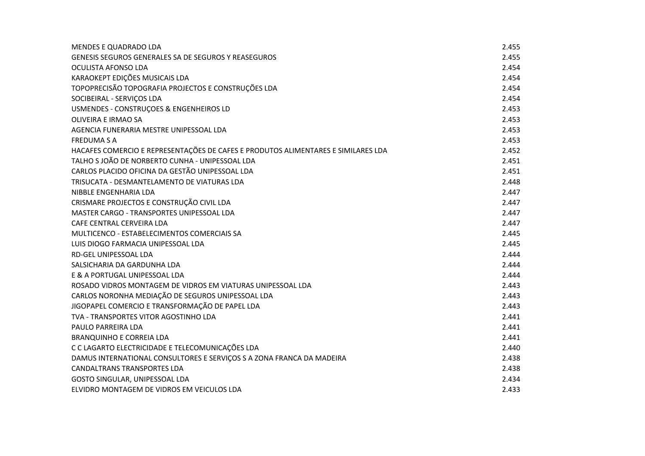| <b>MENDES E QUADRADO LDA</b>                                                      | 2.455 |
|-----------------------------------------------------------------------------------|-------|
| GENESIS SEGUROS GENERALES SA DE SEGUROS Y REASEGUROS                              | 2.455 |
| OCULISTA AFONSO LDA                                                               | 2.454 |
| KARAOKEPT EDIÇÕES MUSICAIS LDA                                                    | 2.454 |
| TOPOPRECISÃO TOPOGRAFIA PROJECTOS E CONSTRUÇÕES LDA                               | 2.454 |
| SOCIBEIRAL - SERVIÇOS LDA                                                         | 2.454 |
| USMENDES - CONSTRUÇOES & ENGENHEIROS LD                                           | 2.453 |
| <b>OLIVEIRA E IRMAO SA</b>                                                        | 2.453 |
| AGENCIA FUNERARIA MESTRE UNIPESSOAL LDA                                           | 2.453 |
| <b>FREDUMA S A</b>                                                                | 2.453 |
| HACAFES COMERCIO E REPRESENTAÇÕES DE CAFES E PRODUTOS ALIMENTARES E SIMILARES LDA | 2.452 |
| TALHO S JOÃO DE NORBERTO CUNHA - UNIPESSOAL LDA                                   | 2.451 |
| CARLOS PLACIDO OFICINA DA GESTÃO UNIPESSOAL LDA                                   | 2.451 |
| TRISUCATA - DESMANTELAMENTO DE VIATURAS LDA                                       | 2.448 |
| NIBBLE ENGENHARIA LDA                                                             | 2.447 |
| CRISMARE PROJECTOS E CONSTRUÇÃO CIVIL LDA                                         | 2.447 |
| MASTER CARGO - TRANSPORTES UNIPESSOAL LDA                                         | 2.447 |
| CAFE CENTRAL CERVEIRA LDA                                                         | 2.447 |
| MULTICENCO - ESTABELECIMENTOS COMERCIAIS SA                                       | 2.445 |
| LUIS DIOGO FARMACIA UNIPESSOAL LDA                                                | 2.445 |
| <b>RD-GEL UNIPESSOAL LDA</b>                                                      | 2.444 |
| SALSICHARIA DA GARDUNHA LDA                                                       | 2.444 |
| E & A PORTUGAL UNIPESSOAL LDA                                                     | 2.444 |
| ROSADO VIDROS MONTAGEM DE VIDROS EM VIATURAS UNIPESSOAL LDA                       | 2.443 |
| CARLOS NORONHA MEDIAÇÃO DE SEGUROS UNIPESSOAL LDA                                 | 2.443 |
| JIGOPAPEL COMERCIO E TRANSFORMAÇÃO DE PAPEL LDA                                   | 2.443 |
| TVA - TRANSPORTES VITOR AGOSTINHO LDA                                             | 2.441 |
| PAULO PARREIRA LDA                                                                | 2.441 |
| <b>BRANQUINHO E CORREIA LDA</b>                                                   | 2.441 |
| C C LAGARTO ELECTRICIDADE E TELECOMUNICAÇÕES LDA                                  | 2.440 |
| DAMUS INTERNATIONAL CONSULTORES E SERVIÇOS S A ZONA FRANCA DA MADEIRA             | 2.438 |
| <b>CANDALTRANS TRANSPORTES LDA</b>                                                | 2.438 |
| GOSTO SINGULAR, UNIPESSOAL LDA                                                    | 2.434 |
| ELVIDRO MONTAGEM DE VIDROS EM VEICULOS LDA                                        | 2.433 |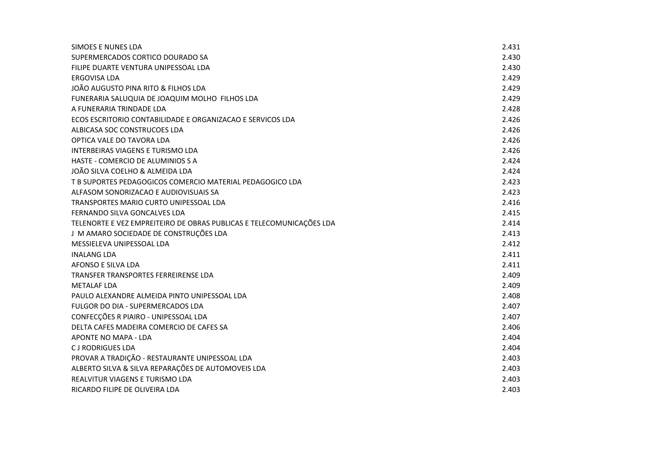| SIMOES E NUNES LDA                                                   | 2.431 |
|----------------------------------------------------------------------|-------|
| SUPERMERCADOS CORTICO DOURADO SA                                     | 2.430 |
| FILIPE DUARTE VENTURA UNIPESSOAL LDA                                 | 2.430 |
| ERGOVISA LDA                                                         | 2.429 |
| JOÃO AUGUSTO PINA RITO & FILHOS LDA                                  | 2.429 |
| FUNERARIA SALUQUIA DE JOAQUIM MOLHO FILHOS LDA                       | 2.429 |
| A FUNERARIA TRINDADE LDA                                             | 2.428 |
| ECOS ESCRITORIO CONTABILIDADE E ORGANIZACAO E SERVICOS LDA           | 2.426 |
| ALBICASA SOC CONSTRUCOES LDA                                         | 2.426 |
| OPTICA VALE DO TAVORA LDA                                            | 2.426 |
| <b>INTERBEIRAS VIAGENS E TURISMO LDA</b>                             | 2.426 |
| HASTE - COMERCIO DE ALUMINIOS S A                                    | 2.424 |
| JOÃO SILVA COELHO & ALMEIDA LDA                                      | 2.424 |
| T B SUPORTES PEDAGOGICOS COMERCIO MATERIAL PEDAGOGICO LDA            | 2.423 |
| ALFASOM SONORIZACAO E AUDIOVISUAIS SA                                | 2.423 |
| TRANSPORTES MARIO CURTO UNIPESSOAL LDA                               | 2.416 |
| FERNANDO SILVA GONCALVES LDA                                         | 2.415 |
| TELENORTE E VEZ EMPREITEIRO DE OBRAS PUBLICAS E TELECOMUNICAÇÕES LDA | 2.414 |
| J M AMARO SOCIEDADE DE CONSTRUÇÕES LDA                               | 2.413 |
| MESSIELEVA UNIPESSOAL LDA                                            | 2.412 |
| <b>INALANG LDA</b>                                                   | 2.411 |
| AFONSO E SILVA LDA                                                   | 2.411 |
| TRANSFER TRANSPORTES FERREIRENSE LDA                                 | 2.409 |
| <b>METALAF LDA</b>                                                   | 2.409 |
| PAULO ALEXANDRE ALMEIDA PINTO UNIPESSOAL LDA                         | 2.408 |
| FULGOR DO DIA - SUPERMERCADOS LDA                                    | 2.407 |
| CONFECÇÕES R PIAIRO - UNIPESSOAL LDA                                 | 2.407 |
| DELTA CAFES MADEIRA COMERCIO DE CAFES SA                             | 2.406 |
| APONTE NO MAPA - LDA                                                 | 2.404 |
| <b>CJ RODRIGUES LDA</b>                                              | 2.404 |
| PROVAR A TRADIÇÃO - RESTAURANTE UNIPESSOAL LDA                       | 2.403 |
| ALBERTO SILVA & SILVA REPARAÇÕES DE AUTOMOVEIS LDA                   | 2.403 |
| <b>REALVITUR VIAGENS E TURISMO LDA</b>                               | 2.403 |
| RICARDO FILIPE DE OLIVEIRA LDA                                       | 2.403 |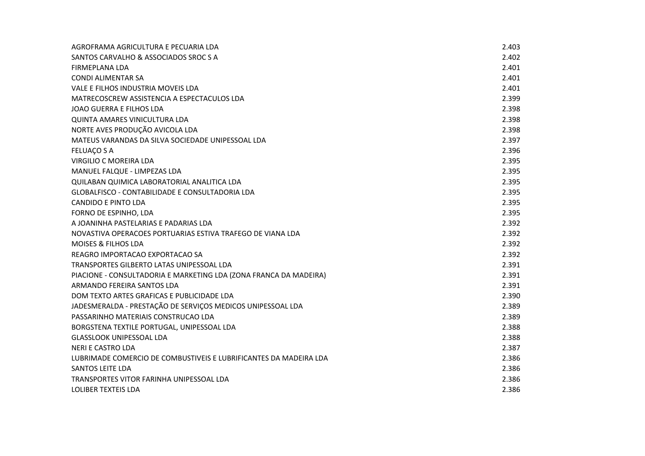| AGROFRAMA AGRICULTURA E PECUARIA LDA                              | 2.403 |
|-------------------------------------------------------------------|-------|
| SANTOS CARVALHO & ASSOCIADOS SROC S A                             | 2.402 |
| FIRMEPLANA LDA                                                    | 2.401 |
| <b>CONDI ALIMENTAR SA</b>                                         | 2.401 |
| VALE E FILHOS INDUSTRIA MOVEIS LDA                                | 2.401 |
| MATRECOSCREW ASSISTENCIA A ESPECTACULOS LDA                       | 2.399 |
| JOAO GUERRA E FILHOS LDA                                          | 2.398 |
| <b>QUINTA AMARES VINICULTURA LDA</b>                              | 2.398 |
| NORTE AVES PRODUÇÃO AVICOLA LDA                                   | 2.398 |
| MATEUS VARANDAS DA SILVA SOCIEDADE UNIPESSOAL LDA                 | 2.397 |
| <b>FELUAÇO S A</b>                                                | 2.396 |
| VIRGILIO C MOREIRA LDA                                            | 2.395 |
| MANUEL FALQUE - LIMPEZAS LDA                                      | 2.395 |
| QUILABAN QUIMICA LABORATORIAL ANALITICA LDA                       | 2.395 |
| GLOBALFISCO - CONTABILIDADE E CONSULTADORIA LDA                   | 2.395 |
| <b>CANDIDO E PINTO LDA</b>                                        | 2.395 |
| FORNO DE ESPINHO, LDA                                             | 2.395 |
| A JOANINHA PASTELARIAS E PADARIAS LDA                             | 2.392 |
| NOVASTIVA OPERACOES PORTUARIAS ESTIVA TRAFEGO DE VIANA LDA        | 2.392 |
| <b>MOISES &amp; FILHOS LDA</b>                                    | 2.392 |
| REAGRO IMPORTACAO EXPORTACAO SA                                   | 2.392 |
| TRANSPORTES GILBERTO LATAS UNIPESSOAL LDA                         | 2.391 |
| PIACIONE - CONSULTADORIA E MARKETING LDA (ZONA FRANCA DA MADEIRA) | 2.391 |
| ARMANDO FEREIRA SANTOS LDA                                        | 2.391 |
| DOM TEXTO ARTES GRAFICAS E PUBLICIDADE LDA                        | 2.390 |
| JADESMERALDA - PRESTAÇÃO DE SERVIÇOS MEDICOS UNIPESSOAL LDA       | 2.389 |
| PASSARINHO MATERIAIS CONSTRUCAO LDA                               | 2.389 |
| BORGSTENA TEXTILE PORTUGAL, UNIPESSOAL LDA                        | 2.388 |
| <b>GLASSLOOK UNIPESSOAL LDA</b>                                   | 2.388 |
| NERI E CASTRO LDA                                                 | 2.387 |
| LUBRIMADE COMERCIO DE COMBUSTIVEIS E LUBRIFICANTES DA MADEIRA LDA | 2.386 |
| SANTOS LEITE LDA                                                  | 2.386 |
| TRANSPORTES VITOR FARINHA UNIPESSOAL LDA                          | 2.386 |
| LOLIBER TEXTEIS LDA                                               | 2.386 |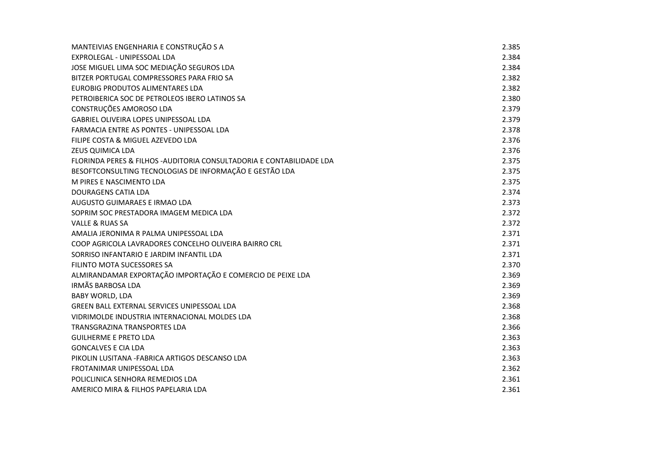| MANTEIVIAS ENGENHARIA E CONSTRUÇÃO S A                                | 2.385 |
|-----------------------------------------------------------------------|-------|
| EXPROLEGAL - UNIPESSOAL LDA                                           | 2.384 |
| JOSE MIGUEL LIMA SOC MEDIAÇÃO SEGUROS LDA                             | 2.384 |
| BITZER PORTUGAL COMPRESSORES PARA FRIO SA                             | 2.382 |
| EUROBIG PRODUTOS ALIMENTARES LDA                                      | 2.382 |
| PETROIBERICA SOC DE PETROLEOS IBERO LATINOS SA                        | 2.380 |
| CONSTRUÇÕES AMOROSO LDA                                               | 2.379 |
| GABRIEL OLIVEIRA LOPES UNIPESSOAL LDA                                 | 2.379 |
| FARMACIA ENTRE AS PONTES - UNIPESSOAL LDA                             | 2.378 |
| FILIPE COSTA & MIGUEL AZEVEDO LDA                                     | 2.376 |
| <b>ZEUS QUIMICA LDA</b>                                               | 2.376 |
| FLORINDA PERES & FILHOS - AUDITORIA CONSULTADORIA E CONTABILIDADE LDA | 2.375 |
| BESOFTCONSULTING TECNOLOGIAS DE INFORMAÇÃO E GESTÃO LDA               | 2.375 |
| M PIRES E NASCIMENTO LDA                                              | 2.375 |
| <b>DOURAGENS CATIA LDA</b>                                            | 2.374 |
| AUGUSTO GUIMARAES E IRMAO LDA                                         | 2.373 |
| SOPRIM SOC PRESTADORA IMAGEM MEDICA LDA                               | 2.372 |
| <b>VALLE &amp; RUAS SA</b>                                            | 2.372 |
| AMALIA JERONIMA R PALMA UNIPESSOAL LDA                                | 2.371 |
| COOP AGRICOLA LAVRADORES CONCELHO OLIVEIRA BAIRRO CRL                 | 2.371 |
| SORRISO INFANTARIO E JARDIM INFANTIL LDA                              | 2.371 |
| FILINTO MOTA SUCESSORES SA                                            | 2.370 |
| ALMIRANDAMAR EXPORTAÇÃO IMPORTAÇÃO E COMERCIO DE PEIXE LDA            | 2.369 |
| <b>IRMÃS BARBOSA LDA</b>                                              | 2.369 |
| <b>BABY WORLD, LDA</b>                                                | 2.369 |
| GREEN BALL EXTERNAL SERVICES UNIPESSOAL LDA                           | 2.368 |
| VIDRIMOLDE INDUSTRIA INTERNACIONAL MOLDES LDA                         | 2.368 |
| TRANSGRAZINA TRANSPORTES LDA                                          | 2.366 |
| <b>GUILHERME E PRETO LDA</b>                                          | 2.363 |
| <b>GONCALVES E CIA LDA</b>                                            | 2.363 |
| PIKOLIN LUSITANA - FABRICA ARTIGOS DESCANSO LDA                       | 2.363 |
| FROTANIMAR UNIPESSOAL LDA                                             | 2.362 |
| POLICLINICA SENHORA REMEDIOS LDA                                      | 2.361 |
| AMERICO MIRA & FILHOS PAPELARIA LDA                                   | 2.361 |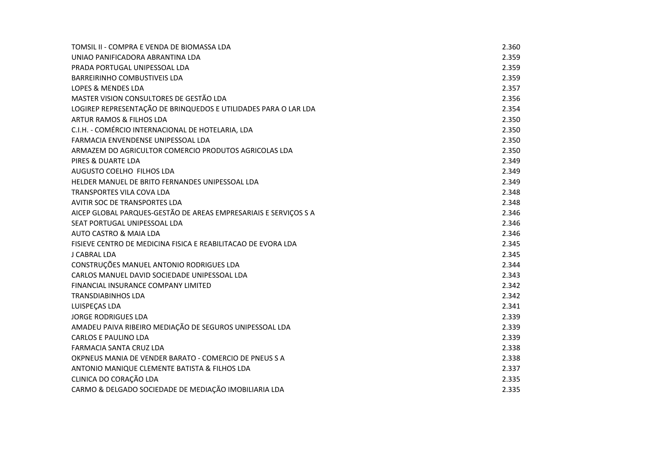| TOMSIL II - COMPRA E VENDA DE BIOMASSA LDA                       | 2.360 |
|------------------------------------------------------------------|-------|
| UNIAO PANIFICADORA ABRANTINA LDA                                 | 2.359 |
| PRADA PORTUGAL UNIPESSOAL LDA                                    | 2.359 |
| <b>BARREIRINHO COMBUSTIVEIS LDA</b>                              | 2.359 |
| LOPES & MENDES LDA                                               | 2.357 |
| MASTER VISION CONSULTORES DE GESTÃO LDA                          | 2.356 |
| LOGIREP REPRESENTAÇÃO DE BRINQUEDOS E UTILIDADES PARA O LAR LDA  | 2.354 |
| ARTUR RAMOS & FILHOS LDA                                         | 2.350 |
| C.I.H. - COMÉRCIO INTERNACIONAL DE HOTELARIA, LDA                | 2.350 |
| FARMACIA ENVENDENSE UNIPESSOAL LDA                               | 2.350 |
| ARMAZEM DO AGRICULTOR COMERCIO PRODUTOS AGRICOLAS LDA            | 2.350 |
| PIRES & DUARTE LDA                                               | 2.349 |
| AUGUSTO COELHO FILHOS LDA                                        | 2.349 |
| HELDER MANUEL DE BRITO FERNANDES UNIPESSOAL LDA                  | 2.349 |
| TRANSPORTES VILA COVA LDA                                        | 2.348 |
| AVITIR SOC DE TRANSPORTES LDA                                    | 2.348 |
| AICEP GLOBAL PARQUES-GESTÃO DE AREAS EMPRESARIAIS E SERVIÇOS S A | 2.346 |
| SEAT PORTUGAL UNIPESSOAL LDA                                     | 2.346 |
| <b>AUTO CASTRO &amp; MAIA LDA</b>                                | 2.346 |
| FISIEVE CENTRO DE MEDICINA FISICA E REABILITACAO DE EVORA LDA    | 2.345 |
| <b>J CABRAL LDA</b>                                              | 2.345 |
| CONSTRUÇÕES MANUEL ANTONIO RODRIGUES LDA                         | 2.344 |
| CARLOS MANUEL DAVID SOCIEDADE UNIPESSOAL LDA                     | 2.343 |
| FINANCIAL INSURANCE COMPANY LIMITED                              | 2.342 |
| <b>TRANSDIABINHOS LDA</b>                                        | 2.342 |
| LUISPEÇAS LDA                                                    | 2.341 |
| <b>JORGE RODRIGUES LDA</b>                                       | 2.339 |
| AMADEU PAIVA RIBEIRO MEDIAÇÃO DE SEGUROS UNIPESSOAL LDA          | 2.339 |
| <b>CARLOS E PAULINO LDA</b>                                      | 2.339 |
| <b>FARMACIA SANTA CRUZ LDA</b>                                   | 2.338 |
| OKPNEUS MANIA DE VENDER BARATO - COMERCIO DE PNEUS SA            | 2.338 |
| ANTONIO MANIQUE CLEMENTE BATISTA & FILHOS LDA                    | 2.337 |
| CLINICA DO CORAÇÃO LDA                                           | 2.335 |
| CARMO & DELGADO SOCIEDADE DE MEDIAÇÃO IMOBILIARIA LDA            | 2.335 |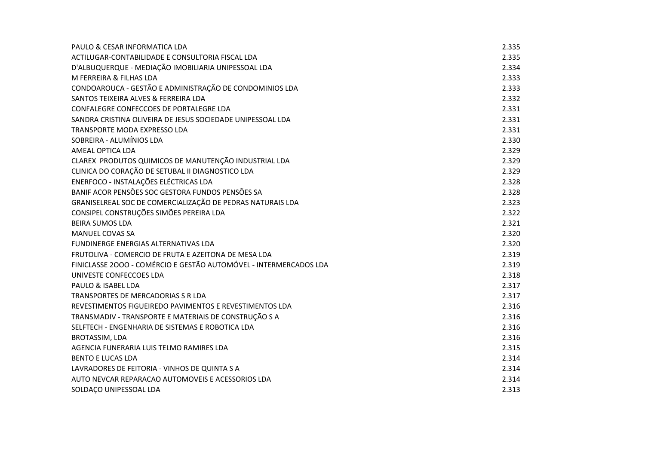| PAULO & CESAR INFORMATICA LDA                                     | 2.335 |
|-------------------------------------------------------------------|-------|
| ACTILUGAR-CONTABILIDADE E CONSULTORIA FISCAL LDA                  | 2.335 |
| D'ALBUQUERQUE - MEDIAÇÃO IMOBILIARIA UNIPESSOAL LDA               | 2.334 |
| M FERREIRA & FILHAS LDA                                           | 2.333 |
| CONDOAROUCA - GESTÃO E ADMINISTRAÇÃO DE CONDOMINIOS LDA           | 2.333 |
| SANTOS TEIXEIRA ALVES & FERREIRA LDA                              | 2.332 |
| CONFALEGRE CONFECCOES DE PORTALEGRE LDA                           | 2.331 |
| SANDRA CRISTINA OLIVEIRA DE JESUS SOCIEDADE UNIPESSOAL LDA        | 2.331 |
| TRANSPORTE MODA EXPRESSO LDA                                      | 2.331 |
| SOBREIRA - ALUMÍNIOS LDA                                          | 2.330 |
| AMEAL OPTICA LDA                                                  | 2.329 |
| CLAREX PRODUTOS QUIMICOS DE MANUTENÇÃO INDUSTRIAL LDA             | 2.329 |
| CLINICA DO CORAÇÃO DE SETUBAL II DIAGNOSTICO LDA                  | 2.329 |
| ENERFOCO - INSTALAÇÕES ELÉCTRICAS LDA                             | 2.328 |
| BANIF ACOR PENSÕES SOC GESTORA FUNDOS PENSÕES SA                  | 2.328 |
| GRANISELREAL SOC DE COMERCIALIZAÇÃO DE PEDRAS NATURAIS LDA        | 2.323 |
| CONSIPEL CONSTRUÇÕES SIMÕES PEREIRA LDA                           | 2.322 |
| <b>BEIRA SUMOS LDA</b>                                            | 2.321 |
| <b>MANUEL COVAS SA</b>                                            | 2.320 |
| <b>FUNDINERGE ENERGIAS ALTERNATIVAS LDA</b>                       | 2.320 |
| FRUTOLIVA - COMERCIO DE FRUTA E AZEITONA DE MESA LDA              | 2.319 |
| FINICLASSE 2000 - COMÉRCIO E GESTÃO AUTOMÓVEL - INTERMERCADOS LDA | 2.319 |
| UNIVESTE CONFECCOES LDA                                           | 2.318 |
| PAULO & ISABEL LDA                                                | 2.317 |
| TRANSPORTES DE MERCADORIAS S R LDA                                | 2.317 |
| REVESTIMENTOS FIGUEIREDO PAVIMENTOS E REVESTIMENTOS LDA           | 2.316 |
| TRANSMADIV - TRANSPORTE E MATERIAIS DE CONSTRUÇÃO S A             | 2.316 |
| SELFTECH - ENGENHARIA DE SISTEMAS E ROBOTICA LDA                  | 2.316 |
| BROTASSIM, LDA                                                    | 2.316 |
| AGENCIA FUNERARIA LUIS TELMO RAMIRES LDA                          | 2.315 |
| <b>BENTO E LUCAS LDA</b>                                          | 2.314 |
| LAVRADORES DE FEITORIA - VINHOS DE QUINTA S A                     | 2.314 |
| AUTO NEVCAR REPARACAO AUTOMOVEIS E ACESSORIOS LDA                 | 2.314 |
| SOLDAÇO UNIPESSOAL LDA                                            | 2.313 |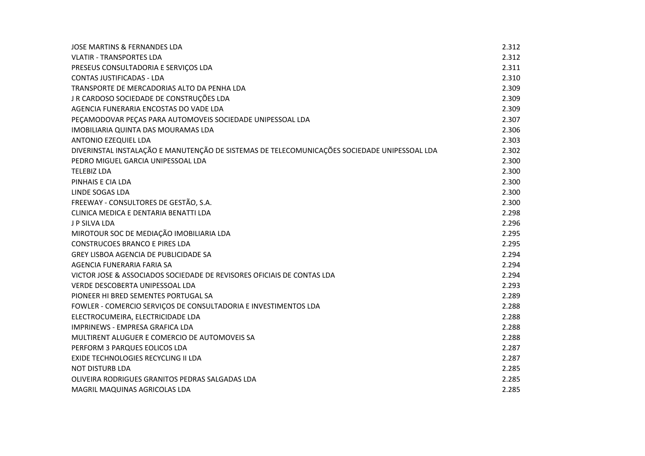| JOSE MARTINS & FERNANDES LDA                                                                 | 2.312 |
|----------------------------------------------------------------------------------------------|-------|
| <b>VLATIR - TRANSPORTES LDA</b>                                                              | 2.312 |
| PRESEUS CONSULTADORIA E SERVIÇOS LDA                                                         | 2.311 |
| <b>CONTAS JUSTIFICADAS - LDA</b>                                                             | 2.310 |
| TRANSPORTE DE MERCADORIAS ALTO DA PENHA LDA                                                  | 2.309 |
| J R CARDOSO SOCIEDADE DE CONSTRUÇÕES LDA                                                     | 2.309 |
| AGENCIA FUNERARIA ENCOSTAS DO VADE LDA                                                       | 2.309 |
| PEÇAMODOVAR PEÇAS PARA AUTOMOVEIS SOCIEDADE UNIPESSOAL LDA                                   | 2.307 |
| IMOBILIARIA QUINTA DAS MOURAMAS LDA                                                          | 2.306 |
| <b>ANTONIO EZEQUIEL LDA</b>                                                                  | 2.303 |
| DIVERINSTAL INSTALAÇÃO E MANUTENÇÃO DE SISTEMAS DE TELECOMUNICAÇÕES SOCIEDADE UNIPESSOAL LDA | 2.302 |
| PEDRO MIGUEL GARCIA UNIPESSOAL LDA                                                           | 2.300 |
| <b>TELEBIZ LDA</b>                                                                           | 2.300 |
| PINHAIS E CIA LDA                                                                            | 2.300 |
| LINDE SOGAS LDA                                                                              | 2.300 |
| FREEWAY - CONSULTORES DE GESTÃO, S.A.                                                        | 2.300 |
| CLINICA MEDICA E DENTARIA BENATTI LDA                                                        | 2.298 |
| J P SILVA LDA                                                                                | 2.296 |
| MIROTOUR SOC DE MEDIAÇÃO IMOBILIARIA LDA                                                     | 2.295 |
| <b>CONSTRUCOES BRANCO E PIRES LDA</b>                                                        | 2.295 |
| <b>GREY LISBOA AGENCIA DE PUBLICIDADE SA</b>                                                 | 2.294 |
| AGENCIA FUNERARIA FARIA SA                                                                   | 2.294 |
| VICTOR JOSE & ASSOCIADOS SOCIEDADE DE REVISORES OFICIAIS DE CONTAS LDA                       | 2.294 |
| VERDE DESCOBERTA UNIPESSOAL LDA                                                              | 2.293 |
| PIONEER HI BRED SEMENTES PORTUGAL SA                                                         | 2.289 |
| FOWLER - COMERCIO SERVIÇOS DE CONSULTADORIA E INVESTIMENTOS LDA                              | 2.288 |
| ELECTROCUMEIRA, ELECTRICIDADE LDA                                                            | 2.288 |
| IMPRINEWS - EMPRESA GRAFICA LDA                                                              | 2.288 |
| MULTIRENT ALUGUER E COMERCIO DE AUTOMOVEIS SA                                                | 2.288 |
| PERFORM 3 PARQUES EOLICOS LDA                                                                | 2.287 |
| EXIDE TECHNOLOGIES RECYCLING II LDA                                                          | 2.287 |
| <b>NOT DISTURB LDA</b>                                                                       | 2.285 |
| OLIVEIRA RODRIGUES GRANITOS PEDRAS SALGADAS LDA                                              | 2.285 |
| MAGRIL MAQUINAS AGRICOLAS LDA                                                                | 2.285 |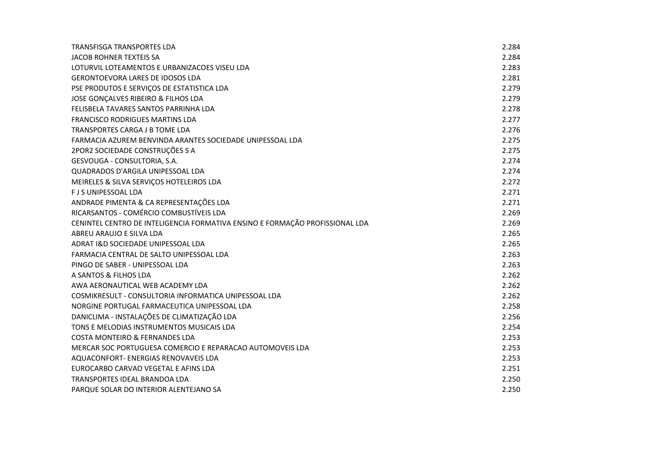| <b>TRANSFISGA TRANSPORTES LDA</b>                                            | 2.284 |
|------------------------------------------------------------------------------|-------|
| <b>JACOB ROHNER TEXTEIS SA</b>                                               | 2.284 |
| LOTURVIL LOTEAMENTOS E URBANIZACOES VISEU LDA                                | 2.283 |
| <b>GERONTOEVORA LARES DE IDOSOS LDA</b>                                      | 2.281 |
| PSE PRODUTOS E SERVIÇOS DE ESTATISTICA LDA                                   | 2.279 |
| JOSE GONÇALVES RIBEIRO & FILHOS LDA                                          | 2.279 |
| FELISBELA TAVARES SANTOS PARRINHA LDA                                        | 2.278 |
| <b>FRANCISCO RODRIGUES MARTINS LDA</b>                                       | 2.277 |
| TRANSPORTES CARGA J B TOME LDA                                               | 2.276 |
| FARMACIA AZUREM BENVINDA ARANTES SOCIEDADE UNIPESSOAL LDA                    | 2.275 |
| 2POR2 SOCIEDADE CONSTRUÇÕES S A                                              | 2.275 |
| GESVOUGA - CONSULTORIA, S.A.                                                 | 2.274 |
| QUADRADOS D'ARGILA UNIPESSOAL LDA                                            | 2.274 |
| MEIRELES & SILVA SERVIÇOS HOTELEIROS LDA                                     | 2.272 |
| <b>FJS UNIPESSOAL LDA</b>                                                    | 2.271 |
| ANDRADE PIMENTA & CA REPRESENTAÇÕES LDA                                      | 2.271 |
| RICARSANTOS - COMÉRCIO COMBUSTÍVEIS LDA                                      | 2.269 |
| CENINTEL CENTRO DE INTELIGENCIA FORMATIVA ENSINO E FORMAÇÃO PROFISSIONAL LDA | 2.269 |
| ABREU ARAUJO E SILVA LDA                                                     | 2.265 |
| ADRAT I&D SOCIEDADE UNIPESSOAL LDA                                           | 2.265 |
| FARMACIA CENTRAL DE SALTO UNIPESSOAL LDA                                     | 2.263 |
| PINGO DE SABER - UNIPESSOAL LDA                                              | 2.263 |
| A SANTOS & FILHOS LDA                                                        | 2.262 |
| AWA AERONAUTICAL WEB ACADEMY LDA                                             | 2.262 |
| COSMIKRESULT - CONSULTORIA INFORMATICA UNIPESSOAL LDA                        | 2.262 |
| NORGINE PORTUGAL FARMACEUTICA UNIPESSOAL LDA                                 | 2.258 |
| DANICLIMA - INSTALAÇÕES DE CLIMATIZAÇÃO LDA                                  | 2.256 |
| TONS E MELODIAS INSTRUMENTOS MUSICAIS LDA                                    | 2.254 |
| <b>COSTA MONTEIRO &amp; FERNANDES LDA</b>                                    | 2.253 |
| MERCAR SOC PORTUGUESA COMERCIO E REPARACAO AUTOMOVEIS LDA                    | 2.253 |
| AQUACONFORT- ENERGIAS RENOVAVEIS LDA                                         | 2.253 |
| EUROCARBO CARVAO VEGETAL E AFINS LDA                                         | 2.251 |
| <b>TRANSPORTES IDEAL BRANDOA LDA</b>                                         | 2.250 |
| PARQUE SOLAR DO INTERIOR ALENTEJANO SA                                       | 2.250 |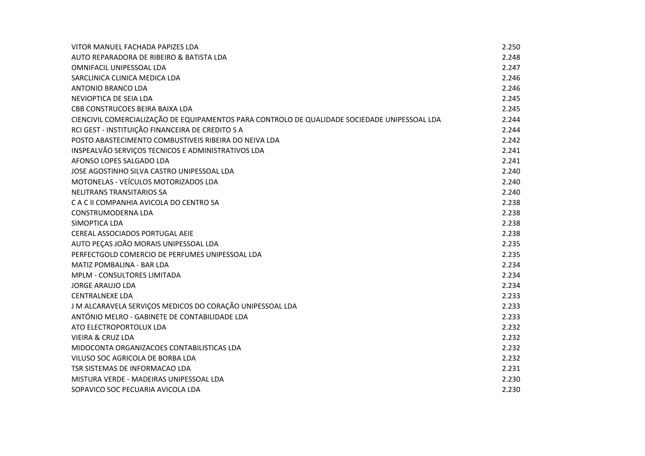| VITOR MANUEL FACHADA PAPIZES LDA                                                              | 2.250 |
|-----------------------------------------------------------------------------------------------|-------|
| AUTO REPARADORA DE RIBEIRO & BATISTA LDA                                                      | 2.248 |
| <b>OMNIFACIL UNIPESSOAL LDA</b>                                                               | 2.247 |
| SARCLINICA CLINICA MEDICA LDA                                                                 | 2.246 |
| <b>ANTONIO BRANCO LDA</b>                                                                     | 2.246 |
| NEVIOPTICA DE SEIA LDA                                                                        | 2.245 |
| CBB CONSTRUCOES BEIRA BAIXA LDA                                                               | 2.245 |
| CIENCIVIL COMERCIALIZAÇÃO DE EQUIPAMENTOS PARA CONTROLO DE QUALIDADE SOCIEDADE UNIPESSOAL LDA | 2.244 |
| RCI GEST - INSTITUIÇÃO FINANCEIRA DE CREDITO S A                                              | 2.244 |
| POSTO ABASTECIMENTO COMBUSTIVEIS RIBEIRA DO NEIVA LDA                                         | 2.242 |
| INSPEALVÃO SERVIÇOS TECNICOS E ADMINISTRATIVOS LDA                                            | 2.241 |
| AFONSO LOPES SALGADO LDA                                                                      | 2.241 |
| JOSE AGOSTINHO SILVA CASTRO UNIPESSOAL LDA                                                    | 2.240 |
| MOTONELAS - VEÍCULOS MOTORIZADOS LDA                                                          | 2.240 |
| NELITRANS TRANSITARIOS SA                                                                     | 2.240 |
| C A C II COMPANHIA AVICOLA DO CENTRO SA                                                       | 2.238 |
| <b>CONSTRUMODERNA LDA</b>                                                                     | 2.238 |
| SIMOPTICA LDA                                                                                 | 2.238 |
| CEREAL ASSOCIADOS PORTUGAL AEIE                                                               | 2.238 |
| AUTO PEÇAS JOÃO MORAIS UNIPESSOAL LDA                                                         | 2.235 |
| PERFECTGOLD COMERCIO DE PERFUMES UNIPESSOAL LDA                                               | 2.235 |
| MATIZ POMBALINA - BAR LDA                                                                     | 2.234 |
| MPLM - CONSULTORES LIMITADA                                                                   | 2.234 |
| <b>JORGE ARAUJO LDA</b>                                                                       | 2.234 |
| <b>CENTRALNEXE LDA</b>                                                                        | 2.233 |
| J M ALCARAVELA SERVIÇOS MEDICOS DO CORAÇÃO UNIPESSOAL LDA                                     | 2.233 |
| ANTÓNIO MELRO - GABINETE DE CONTABILIDADE LDA                                                 | 2.233 |
| ATO ELECTROPORTOLUX LDA                                                                       | 2.232 |
| <b>VIEIRA &amp; CRUZ LDA</b>                                                                  | 2.232 |
| MIDOCONTA ORGANIZACOES CONTABILISTICAS LDA                                                    | 2.232 |
| VILUSO SOC AGRICOLA DE BORBA LDA                                                              | 2.232 |
| TSR SISTEMAS DE INFORMACAO LDA                                                                | 2.231 |
| MISTURA VERDE - MADEIRAS UNIPESSOAL LDA                                                       | 2.230 |
| SOPAVICO SOC PECUARIA AVICOLA LDA                                                             | 2.230 |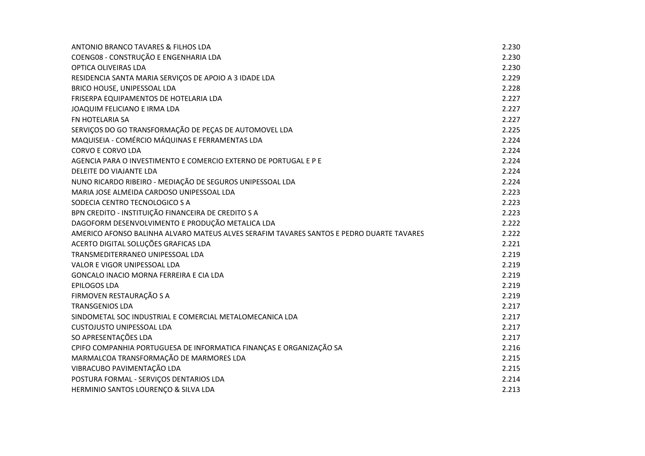| ANTONIO BRANCO TAVARES & FILHOS LDA                                                      | 2.230 |
|------------------------------------------------------------------------------------------|-------|
| COENG08 - CONSTRUÇÃO E ENGENHARIA LDA                                                    | 2.230 |
| OPTICA OLIVEIRAS LDA                                                                     | 2.230 |
| RESIDENCIA SANTA MARIA SERVIÇOS DE APOIO A 3 IDADE LDA                                   | 2.229 |
| BRICO HOUSE, UNIPESSOAL LDA                                                              | 2.228 |
| FRISERPA EQUIPAMENTOS DE HOTELARIA LDA                                                   | 2.227 |
| JOAQUIM FELICIANO E IRMA LDA                                                             | 2.227 |
| FN HOTELARIA SA                                                                          | 2.227 |
| SERVIÇOS DO GO TRANSFORMAÇÃO DE PEÇAS DE AUTOMOVEL LDA                                   | 2.225 |
| MAQUISEIA - COMÉRCIO MÁQUINAS E FERRAMENTAS LDA                                          | 2.224 |
| <b>CORVO E CORVO LDA</b>                                                                 | 2.224 |
| AGENCIA PARA O INVESTIMENTO E COMERCIO EXTERNO DE PORTUGAL E P E                         | 2.224 |
| DELEITE DO VIAJANTE LDA                                                                  | 2.224 |
| NUNO RICARDO RIBEIRO - MEDIAÇÃO DE SEGUROS UNIPESSOAL LDA                                | 2.224 |
| MARIA JOSE ALMEIDA CARDOSO UNIPESSOAL LDA                                                | 2.223 |
| SODECIA CENTRO TECNOLOGICO S A                                                           | 2.223 |
| BPN CREDITO - INSTITUIÇÃO FINANCEIRA DE CREDITO S A                                      | 2.223 |
| DAGOFORM DESENVOLVIMENTO E PRODUÇÃO METALICA LDA                                         | 2.222 |
| AMERICO AFONSO BALINHA ALVARO MATEUS ALVES SERAFIM TAVARES SANTOS E PEDRO DUARTE TAVARES | 2.222 |
| ACERTO DIGITAL SOLUÇÕES GRAFICAS LDA                                                     | 2.221 |
| TRANSMEDITERRANEO UNIPESSOAL LDA                                                         | 2.219 |
| VALOR E VIGOR UNIPESSOAL LDA                                                             | 2.219 |
| GONCALO INACIO MORNA FERREIRA E CIA LDA                                                  | 2.219 |
| <b>EPILOGOS LDA</b>                                                                      | 2.219 |
| FIRMOVEN RESTAURAÇÃO S A                                                                 | 2.219 |
| <b>TRANSGENIOS LDA</b>                                                                   | 2.217 |
| SINDOMETAL SOC INDUSTRIAL E COMERCIAL METALOMECANICA LDA                                 | 2.217 |
| <b>CUSTOJUSTO UNIPESSOAL LDA</b>                                                         | 2.217 |
| SO APRESENTAÇÕES LDA                                                                     | 2.217 |
| CPIFO COMPANHIA PORTUGUESA DE INFORMATICA FINANÇAS E ORGANIZAÇÃO SA                      | 2.216 |
| MARMALCOA TRANSFORMAÇÃO DE MARMORES LDA                                                  | 2.215 |
| VIBRACUBO PAVIMENTAÇÃO LDA                                                               | 2.215 |
| POSTURA FORMAL - SERVIÇOS DENTARIOS LDA                                                  | 2.214 |
| HERMINIO SANTOS LOURENÇO & SILVA LDA                                                     | 2.213 |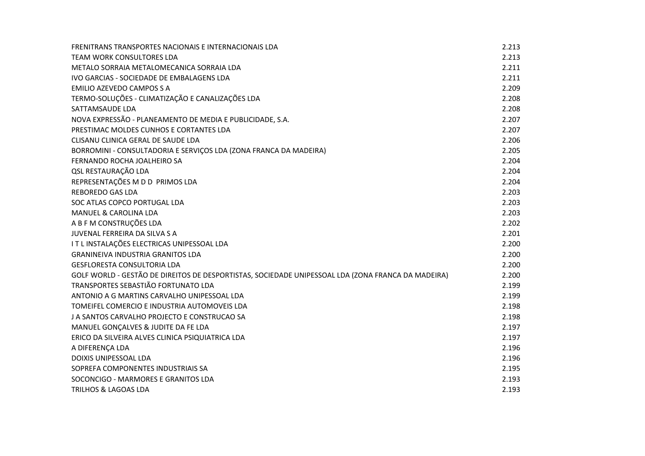| FRENITRANS TRANSPORTES NACIONAIS E INTERNACIONAIS LDA                                              | 2.213 |
|----------------------------------------------------------------------------------------------------|-------|
| TEAM WORK CONSULTORES LDA                                                                          | 2.213 |
| METALO SORRAJA METALOMECANICA SORRAJA LDA                                                          | 2.211 |
| IVO GARCIAS - SOCIEDADE DE EMBALAGENS LDA                                                          | 2.211 |
| <b>EMILIO AZEVEDO CAMPOS S A</b>                                                                   | 2.209 |
| TERMO-SOLUÇÕES - CLIMATIZAÇÃO E CANALIZAÇÕES LDA                                                   | 2.208 |
| SATTAMSAUDE LDA                                                                                    | 2.208 |
| NOVA EXPRESSÃO - PLANEAMENTO DE MEDIA E PUBLICIDADE, S.A.                                          | 2.207 |
| PRESTIMAC MOLDES CUNHOS E CORTANTES LDA                                                            | 2.207 |
| CLISANU CLINICA GERAL DE SAUDE LDA                                                                 | 2.206 |
| BORROMINI - CONSULTADORIA E SERVIÇOS LDA (ZONA FRANCA DA MADEIRA)                                  | 2.205 |
| FERNANDO ROCHA JOALHEIRO SA                                                                        | 2.204 |
| QSL RESTAURAÇÃO LDA                                                                                | 2.204 |
| REPRESENTAÇÕES M D D PRIMOS LDA                                                                    | 2.204 |
| REBOREDO GAS LDA                                                                                   | 2.203 |
| SOC ATLAS COPCO PORTUGAL LDA                                                                       | 2.203 |
| <b>MANUEL &amp; CAROLINA LDA</b>                                                                   | 2.203 |
| A B F M CONSTRUÇÕES LDA                                                                            | 2.202 |
| JUVENAL FERREIRA DA SILVA S A                                                                      | 2.201 |
| IT L INSTALAÇÕES ELECTRICAS UNIPESSOAL LDA                                                         | 2.200 |
| <b>GRANINEIVA INDUSTRIA GRANITOS LDA</b>                                                           | 2.200 |
| <b>GESFLORESTA CONSULTORIA LDA</b>                                                                 | 2.200 |
| GOLF WORLD - GESTÃO DE DIREITOS DE DESPORTISTAS, SOCIEDADE UNIPESSOAL LDA (ZONA FRANCA DA MADEIRA) | 2.200 |
| TRANSPORTES SEBASTIÃO FORTUNATO LDA                                                                | 2.199 |
| ANTONIO A G MARTINS CARVALHO UNIPESSOAL LDA                                                        | 2.199 |
| TOMEIFEL COMERCIO E INDUSTRIA AUTOMOVEIS LDA                                                       | 2.198 |
| J A SANTOS CARVALHO PROJECTO E CONSTRUCAO SA                                                       | 2.198 |
| MANUEL GONÇALVES & JUDITE DA FE LDA                                                                | 2.197 |
| ERICO DA SILVEIRA ALVES CLINICA PSIQUIATRICA LDA                                                   | 2.197 |
| A DIFERENÇA LDA                                                                                    | 2.196 |
| DOIXIS UNIPESSOAL LDA                                                                              | 2.196 |
| SOPREFA COMPONENTES INDUSTRIAIS SA                                                                 | 2.195 |
| SOCONCIGO - MARMORES E GRANITOS LDA                                                                | 2.193 |
| <b>TRILHOS &amp; LAGOAS LDA</b>                                                                    | 2.193 |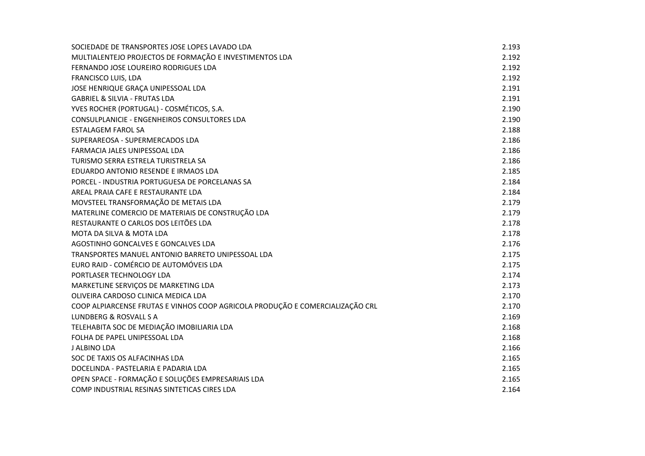| SOCIEDADE DE TRANSPORTES JOSE LOPES LAVADO LDA                                | 2.193 |
|-------------------------------------------------------------------------------|-------|
| MULTIALENTEJO PROJECTOS DE FORMAÇÃO E INVESTIMENTOS LDA                       | 2.192 |
| FERNANDO JOSE LOUREIRO RODRIGUES LDA                                          | 2.192 |
| FRANCISCO LUIS, LDA                                                           | 2.192 |
| JOSE HENRIQUE GRAÇA UNIPESSOAL LDA                                            | 2.191 |
| <b>GABRIEL &amp; SILVIA - FRUTAS LDA</b>                                      | 2.191 |
| YVES ROCHER (PORTUGAL) - COSMÉTICOS, S.A.                                     | 2.190 |
| CONSULPLANICIE - ENGENHEIROS CONSULTORES LDA                                  | 2.190 |
| <b>ESTALAGEM FAROL SA</b>                                                     | 2.188 |
| SUPERAREOSA - SUPERMERCADOS LDA                                               | 2.186 |
| FARMACIA JALES UNIPESSOAL LDA                                                 | 2.186 |
| TURISMO SERRA ESTRELA TURISTRELA SA                                           | 2.186 |
| EDUARDO ANTONIO RESENDE E IRMAOS LDA                                          | 2.185 |
| PORCEL - INDUSTRIA PORTUGUESA DE PORCELANAS SA                                | 2.184 |
| AREAL PRAIA CAFE E RESTAURANTE LDA                                            | 2.184 |
| MOVSTEEL TRANSFORMAÇÃO DE METAIS LDA                                          | 2.179 |
| MATERLINE COMERCIO DE MATERIAIS DE CONSTRUÇÃO LDA                             | 2.179 |
| RESTAURANTE O CARLOS DOS LEITÕES LDA                                          | 2.178 |
| MOTA DA SILVA & MOTA LDA                                                      | 2.178 |
| AGOSTINHO GONCALVES E GONCALVES LDA                                           | 2.176 |
| TRANSPORTES MANUEL ANTONIO BARRETO UNIPESSOAL LDA                             | 2.175 |
| EURO RAID - COMÉRCIO DE AUTOMÓVEIS LDA                                        | 2.175 |
| PORTLASER TECHNOLOGY LDA                                                      | 2.174 |
| MARKETLINE SERVIÇOS DE MARKETING LDA                                          | 2.173 |
| OLIVEIRA CARDOSO CLINICA MEDICA LDA                                           | 2.170 |
| COOP ALPIARCENSE FRUTAS E VINHOS COOP AGRICOLA PRODUÇÃO E COMERCIALIZAÇÃO CRL | 2.170 |
| LUNDBERG & ROSVALL S A                                                        | 2.169 |
| TELEHABITA SOC DE MEDIAÇÃO IMOBILIARIA LDA                                    | 2.168 |
| FOLHA DE PAPEL UNIPESSOAL LDA                                                 | 2.168 |
| J ALBINO LDA                                                                  | 2.166 |
| SOC DE TAXIS OS ALFACINHAS LDA                                                | 2.165 |
| DOCELINDA - PASTELARIA E PADARIA LDA                                          | 2.165 |
| OPEN SPACE - FORMAÇÃO E SOLUÇÕES EMPRESARIAIS LDA                             | 2.165 |
| COMP INDUSTRIAL RESINAS SINTETICAS CIRES LDA                                  | 2.164 |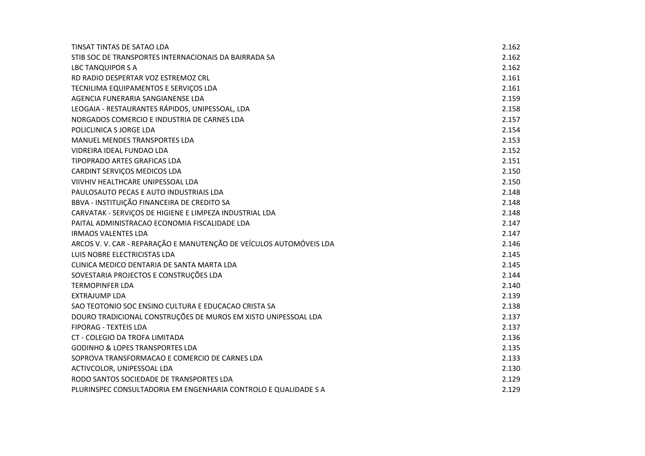| TINSAT TINTAS DE SATAO LDA                                          | 2.162 |
|---------------------------------------------------------------------|-------|
| STIB SOC DE TRANSPORTES INTERNACIONAIS DA BAIRRADA SA               | 2.162 |
| LBC TANQUIPOR S A                                                   | 2.162 |
| RD RADIO DESPERTAR VOZ ESTREMOZ CRL                                 | 2.161 |
| TECNILIMA EQUIPAMENTOS E SERVIÇOS LDA                               | 2.161 |
| AGENCIA FUNERARIA SANGIANENSE LDA                                   | 2.159 |
| LEOGAIA - RESTAURANTES RÁPIDOS, UNIPESSOAL, LDA                     | 2.158 |
| NORGADOS COMERCIO E INDUSTRIA DE CARNES LDA                         | 2.157 |
| POLICLINICA S JORGE LDA                                             | 2.154 |
| <b>MANUEL MENDES TRANSPORTES LDA</b>                                | 2.153 |
| VIDREIRA IDEAL FUNDAO LDA                                           | 2.152 |
| TIPOPRADO ARTES GRAFICAS LDA                                        | 2.151 |
| CARDINT SERVIÇOS MEDICOS LDA                                        | 2.150 |
| VIIVHIV HEALTHCARE UNIPESSOAL LDA                                   | 2.150 |
| PAULOSAUTO PECAS E AUTO INDUSTRIAIS LDA                             | 2.148 |
| BBVA - INSTITUIÇÃO FINANCEIRA DE CREDITO SA                         | 2.148 |
| CARVATAK - SERVIÇOS DE HIGIENE E LIMPEZA INDUSTRIAL LDA             | 2.148 |
| PAITAL ADMINISTRACAO ECONOMIA FISCALIDADE LDA                       | 2.147 |
| <b>IRMAOS VALENTES LDA</b>                                          | 2.147 |
| ARCOS V. V. CAR - REPARAÇÃO E MANUTENÇÃO DE VEÍCULOS AUTOMÓVEIS LDA | 2.146 |
| LUIS NOBRE ELECTRICISTAS LDA                                        | 2.145 |
| CLINICA MEDICO DENTARIA DE SANTA MARTA LDA                          | 2.145 |
| SOVESTARIA PROJECTOS E CONSTRUÇÕES LDA                              | 2.144 |
| <b>TERMOPINFER LDA</b>                                              | 2.140 |
| EXTRAJUMP LDA                                                       | 2.139 |
| SAO TEOTONIO SOC ENSINO CULTURA E EDUCACAO CRISTA SA                | 2.138 |
| DOURO TRADICIONAL CONSTRUÇÕES DE MUROS EM XISTO UNIPESSOAL LDA      | 2.137 |
| <b>FIPORAG - TEXTEIS LDA</b>                                        | 2.137 |
| CT - COLEGIO DA TROFA LIMITADA                                      | 2.136 |
| <b>GODINHO &amp; LOPES TRANSPORTES LDA</b>                          | 2.135 |
| SOPROVA TRANSFORMACAO E COMERCIO DE CARNES LDA                      | 2.133 |
| ACTIVCOLOR, UNIPESSOAL LDA                                          | 2.130 |
| RODO SANTOS SOCIEDADE DE TRANSPORTES LDA                            | 2.129 |
| PLURINSPEC CONSULTADORIA EM ENGENHARIA CONTROLO E QUALIDADE S A     | 2.129 |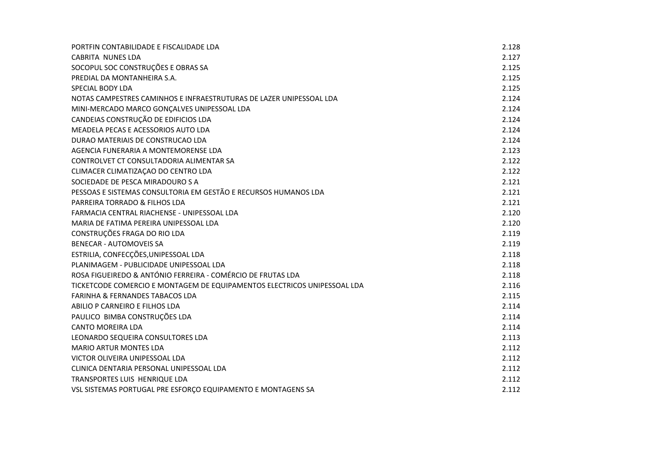| PORTFIN CONTABILIDADE E FISCALIDADE LDA                                  | 2.128 |
|--------------------------------------------------------------------------|-------|
| <b>CABRITA NUNES LDA</b>                                                 | 2.127 |
| SOCOPUL SOC CONSTRUÇÕES E OBRAS SA                                       | 2.125 |
| PREDIAL DA MONTANHEIRA S.A.                                              | 2.125 |
| SPECIAL BODY LDA                                                         | 2.125 |
| NOTAS CAMPESTRES CAMINHOS E INFRAESTRUTURAS DE LAZER UNIPESSOAL LDA      | 2.124 |
| MINI-MERCADO MARCO GONÇALVES UNIPESSOAL LDA                              | 2.124 |
| CANDEIAS CONSTRUÇÃO DE EDIFICIOS LDA                                     | 2.124 |
| MEADELA PECAS E ACESSORIOS AUTO LDA                                      | 2.124 |
| DURAO MATERIAIS DE CONSTRUCAO LDA                                        | 2.124 |
| AGENCIA FUNERARIA A MONTEMORENSE LDA                                     | 2.123 |
| CONTROLVET CT CONSULTADORIA ALIMENTAR SA                                 | 2.122 |
| CLIMACER CLIMATIZAÇÃO DO CENTRO LDA                                      | 2.122 |
| SOCIEDADE DE PESCA MIRADOURO S A                                         | 2.121 |
| PESSOAS E SISTEMAS CONSULTORIA EM GESTÃO E RECURSOS HUMANOS LDA          | 2.121 |
| PARREIRA TORRADO & FILHOS LDA                                            | 2.121 |
| FARMACIA CENTRAL RIACHENSE - UNIPESSOAL LDA                              | 2.120 |
| MARIA DE FATIMA PEREIRA UNIPESSOAL LDA                                   | 2.120 |
| CONSTRUÇÕES FRAGA DO RIO LDA                                             | 2.119 |
| <b>BENECAR - AUTOMOVEIS SA</b>                                           | 2.119 |
| ESTRILIA, CONFECÇÕES, UNIPESSOAL LDA                                     | 2.118 |
| PLANIMAGEM - PUBLICIDADE UNIPESSOAL LDA                                  | 2.118 |
| ROSA FIGUEIREDO & ANTÓNIO FERREIRA - COMÉRCIO DE FRUTAS LDA              | 2.118 |
| TICKETCODE COMERCIO E MONTAGEM DE EQUIPAMENTOS ELECTRICOS UNIPESSOAL LDA | 2.116 |
| <b>FARINHA &amp; FERNANDES TABACOS LDA</b>                               | 2.115 |
| ABILIO P CARNEIRO E FILHOS LDA                                           | 2.114 |
| PAULICO BIMBA CONSTRUÇÕES LDA                                            | 2.114 |
| <b>CANTO MOREIRA LDA</b>                                                 | 2.114 |
| LEONARDO SEQUEIRA CONSULTORES LDA                                        | 2.113 |
| <b>MARIO ARTUR MONTES LDA</b>                                            | 2.112 |
| VICTOR OLIVEIRA UNIPESSOAL LDA                                           | 2.112 |
| CLINICA DENTARIA PERSONAL UNIPESSOAL LDA                                 | 2.112 |
| TRANSPORTES LUIS HENRIQUE LDA                                            | 2.112 |
| VSL SISTEMAS PORTUGAL PRE ESFORÇO EQUIPAMENTO E MONTAGENS SA             | 2.112 |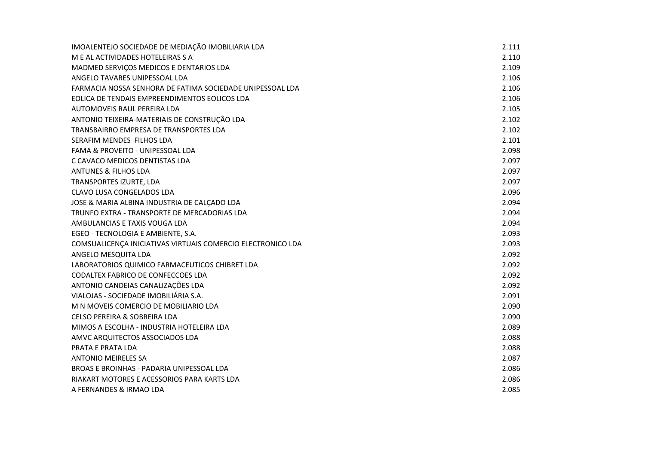| IMOALENTEJO SOCIEDADE DE MEDIAÇÃO IMOBILIARIA LDA           | 2.111 |
|-------------------------------------------------------------|-------|
| M E AL ACTIVIDADES HOTELEIRAS S A                           | 2.110 |
| MADMED SERVIÇOS MEDICOS E DENTARIOS LDA                     | 2.109 |
| ANGELO TAVARES UNIPESSOAL LDA                               | 2.106 |
| FARMACIA NOSSA SENHORA DE FATIMA SOCIEDADE UNIPESSOAL LDA   | 2.106 |
| EOLICA DE TENDAIS EMPREENDIMENTOS EOLICOS LDA               | 2.106 |
| AUTOMOVEIS RAUL PEREIRA LDA                                 | 2.105 |
| ANTONIO TEIXEIRA-MATERIAIS DE CONSTRUÇÃO LDA                | 2.102 |
| TRANSBAIRRO EMPRESA DE TRANSPORTES LDA                      | 2.102 |
| SERAFIM MENDES FILHOS LDA                                   | 2.101 |
| FAMA & PROVEITO - UNIPESSOAL LDA                            | 2.098 |
| C CAVACO MEDICOS DENTISTAS LDA                              | 2.097 |
| <b>ANTUNES &amp; FILHOS LDA</b>                             | 2.097 |
| <b>TRANSPORTES IZURTE, LDA</b>                              | 2.097 |
| <b>CLAVO LUSA CONGELADOS LDA</b>                            | 2.096 |
| JOSE & MARIA ALBINA INDUSTRIA DE CALÇADO LDA                | 2.094 |
| TRUNFO EXTRA - TRANSPORTE DE MERCADORIAS LDA                | 2.094 |
| AMBULANCIAS E TAXIS VOUGA LDA                               | 2.094 |
| EGEO - TECNOLOGIA E AMBIENTE, S.A.                          | 2.093 |
| COMSUALICENÇA INICIATIVAS VIRTUAIS COMERCIO ELECTRONICO LDA | 2.093 |
| ANGELO MESQUITA LDA                                         | 2.092 |
| LABORATORIOS QUIMICO FARMACEUTICOS CHIBRET LDA              | 2.092 |
| CODALTEX FABRICO DE CONFECCOES LDA                          | 2.092 |
| ANTONIO CANDEIAS CANALIZAÇÕES LDA                           | 2.092 |
| VIALOJAS - SOCIEDADE IMOBILIÁRIA S.A.                       | 2.091 |
| M N MOVEIS COMERCIO DE MOBILIARIO LDA                       | 2.090 |
| CELSO PEREIRA & SOBREIRA LDA                                | 2.090 |
| MIMOS A ESCOLHA - INDUSTRIA HOTELEIRA LDA                   | 2.089 |
| AMVC ARQUITECTOS ASSOCIADOS LDA                             | 2.088 |
| PRATA E PRATA LDA                                           | 2.088 |
| <b>ANTONIO MEIRELES SA</b>                                  | 2.087 |
| BROAS E BROINHAS - PADARIA UNIPESSOAL LDA                   | 2.086 |
| RIAKART MOTORES E ACESSORIOS PARA KARTS LDA                 | 2.086 |
| A FERNANDES & IRMAO LDA                                     | 2.085 |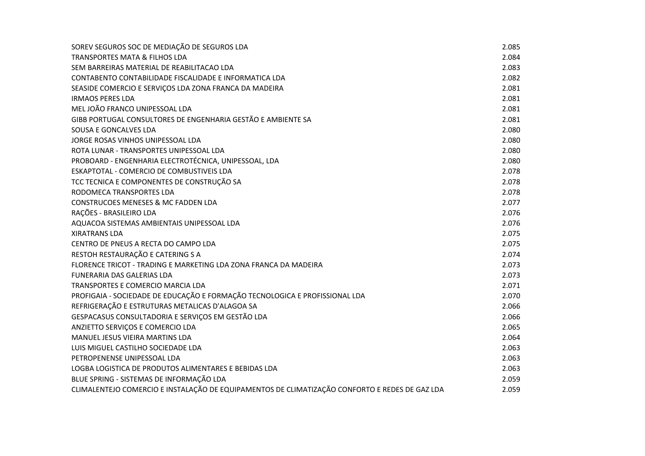| SOREV SEGUROS SOC DE MEDIAÇÃO DE SEGUROS LDA                                                   | 2.085 |
|------------------------------------------------------------------------------------------------|-------|
| <b>TRANSPORTES MATA &amp; FILHOS LDA</b>                                                       | 2.084 |
| SEM BARREIRAS MATERIAL DE REABILITACAO LDA                                                     | 2.083 |
| CONTABENTO CONTABILIDADE FISCALIDADE E INFORMATICA LDA                                         | 2.082 |
| SEASIDE COMERCIO E SERVIÇOS LDA ZONA FRANCA DA MADEIRA                                         | 2.081 |
| <b>IRMAOS PERES LDA</b>                                                                        | 2.081 |
| MEL JOÃO FRANCO UNIPESSOAL LDA                                                                 | 2.081 |
| GIBB PORTUGAL CONSULTORES DE ENGENHARIA GESTÃO E AMBIENTE SA                                   | 2.081 |
| SOUSA E GONCALVES LDA                                                                          | 2.080 |
| JORGE ROSAS VINHOS UNIPESSOAL LDA                                                              | 2.080 |
| ROTA LUNAR - TRANSPORTES UNIPESSOAL LDA                                                        | 2.080 |
| PROBOARD - ENGENHARIA ELECTROTÉCNICA, UNIPESSOAL, LDA                                          | 2.080 |
| ESKAPTOTAL - COMERCIO DE COMBUSTIVEIS LDA                                                      | 2.078 |
| TCC TECNICA E COMPONENTES DE CONSTRUÇÃO SA                                                     | 2.078 |
| RODOMECA TRANSPORTES LDA                                                                       | 2.078 |
| <b>CONSTRUCOES MENESES &amp; MC FADDEN LDA</b>                                                 | 2.077 |
| RAÇÕES - BRASILEIRO LDA                                                                        | 2.076 |
| AQUACOA SISTEMAS AMBIENTAIS UNIPESSOAL LDA                                                     | 2.076 |
| <b>XIRATRANS LDA</b>                                                                           | 2.075 |
| CENTRO DE PNEUS A RECTA DO CAMPO LDA                                                           | 2.075 |
| RESTOH RESTAURAÇÃO E CATERING S A                                                              | 2.074 |
| FLORENCE TRICOT - TRADING E MARKETING LDA ZONA FRANCA DA MADEIRA                               | 2.073 |
| <b>FUNERARIA DAS GALERIAS LDA</b>                                                              | 2.073 |
| TRANSPORTES E COMERCIO MARCIA LDA                                                              | 2.071 |
| PROFIGAIA - SOCIEDADE DE EDUCAÇÃO E FORMAÇÃO TECNOLOGICA E PROFISSIONAL LDA                    | 2.070 |
| REFRIGERAÇÃO E ESTRUTURAS METALICAS D'ALAGOA SA                                                | 2.066 |
| GESPACASUS CONSULTADORIA E SERVIÇOS EM GESTÃO LDA                                              | 2.066 |
| ANZIETTO SERVIÇOS E COMERCIO LDA                                                               | 2.065 |
| MANUEL JESUS VIEIRA MARTINS LDA                                                                | 2.064 |
| LUIS MIGUEL CASTILHO SOCIEDADE LDA                                                             | 2.063 |
| PETROPENENSE UNIPESSOAL LDA                                                                    | 2.063 |
| LOGBA LOGISTICA DE PRODUTOS ALIMENTARES E BEBIDAS LDA                                          | 2.063 |
| BLUE SPRING - SISTEMAS DE INFORMAÇÃO LDA                                                       | 2.059 |
| CLIMALENTEJO COMERCIO E INSTALAÇÃO DE EQUIPAMENTOS DE CLIMATIZAÇÃO CONFORTO E REDES DE GAZ LDA | 2.059 |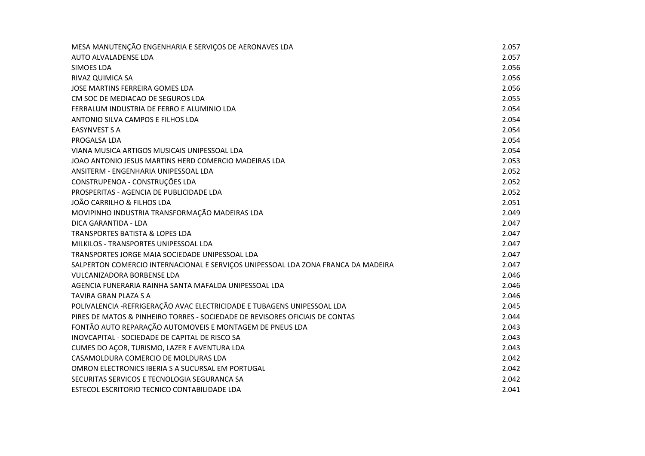| MESA MANUTENÇÃO ENGENHARIA E SERVIÇOS DE AERONAVES LDA                            | 2.057 |
|-----------------------------------------------------------------------------------|-------|
| AUTO ALVALADENSE LDA                                                              | 2.057 |
| <b>SIMOES LDA</b>                                                                 | 2.056 |
| RIVAZ QUIMICA SA                                                                  | 2.056 |
| JOSE MARTINS FERREIRA GOMES LDA                                                   | 2.056 |
| CM SOC DE MEDIACAO DE SEGUROS LDA                                                 | 2.055 |
| FERRALUM INDUSTRIA DE FERRO E ALUMINIO LDA                                        | 2.054 |
| ANTONIO SILVA CAMPOS E FILHOS LDA                                                 | 2.054 |
| <b>EASYNVEST S A</b>                                                              | 2.054 |
| PROGALSA LDA                                                                      | 2.054 |
| VIANA MUSICA ARTIGOS MUSICAIS UNIPESSOAL LDA                                      | 2.054 |
| JOAO ANTONIO JESUS MARTINS HERD COMERCIO MADEIRAS LDA                             | 2.053 |
| ANSITERM - ENGENHARIA UNIPESSOAL LDA                                              | 2.052 |
| CONSTRUPENOA - CONSTRUÇÕES LDA                                                    | 2.052 |
| PROSPERITAS - AGENCIA DE PUBLICIDADE LDA                                          | 2.052 |
| JOÃO CARRILHO & FILHOS LDA                                                        | 2.051 |
| MOVIPINHO INDUSTRIA TRANSFORMAÇÃO MADEIRAS LDA                                    | 2.049 |
| DICA GARANTIDA - LDA                                                              | 2.047 |
| <b>TRANSPORTES BATISTA &amp; LOPES LDA</b>                                        | 2.047 |
| MILKILOS - TRANSPORTES UNIPESSOAL LDA                                             | 2.047 |
| TRANSPORTES JORGE MAIA SOCIEDADE UNIPESSOAL LDA                                   | 2.047 |
| SALPERTON COMERCIO INTERNACIONAL E SERVIÇOS UNIPESSOAL LDA ZONA FRANCA DA MADEIRA | 2.047 |
| <b>VULCANIZADORA BORBENSE LDA</b>                                                 | 2.046 |
| AGENCIA FUNERARIA RAINHA SANTA MAFALDA UNIPESSOAL LDA                             | 2.046 |
| TAVIRA GRAN PLAZA S A                                                             | 2.046 |
| POLIVALENCIA -REFRIGERAÇÃO AVAC ELECTRICIDADE E TUBAGENS UNIPESSOAL LDA           | 2.045 |
| PIRES DE MATOS & PINHEIRO TORRES - SOCIEDADE DE REVISORES OFICIAIS DE CONTAS      | 2.044 |
| FONTÃO AUTO REPARAÇÃO AUTOMOVEIS E MONTAGEM DE PNEUS LDA                          | 2.043 |
| INOVCAPITAL - SOCIEDADE DE CAPITAL DE RISCO SA                                    | 2.043 |
| CUMES DO AÇOR, TURISMO, LAZER E AVENTURA LDA                                      | 2.043 |
| CASAMOLDURA COMERCIO DE MOLDURAS LDA                                              | 2.042 |
| OMRON ELECTRONICS IBERIA S A SUCURSAL EM PORTUGAL                                 | 2.042 |
| SECURITAS SERVICOS E TECNOLOGIA SEGURANCA SA                                      | 2.042 |
| ESTECOL ESCRITORIO TECNICO CONTABILIDADE LDA                                      | 2.041 |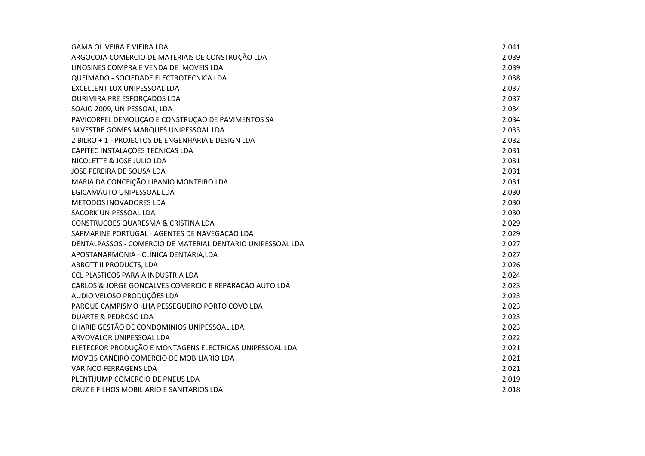| <b>GAMA OLIVEIRA E VIEIRA LDA</b>                           | 2.041 |
|-------------------------------------------------------------|-------|
| ARGOCOJA COMERCIO DE MATERIAIS DE CONSTRUÇÃO LDA            | 2.039 |
| LINOSINES COMPRA E VENDA DE IMOVEIS LDA                     | 2.039 |
| QUEIMADO - SOCIEDADE ELECTROTECNICA LDA                     | 2.038 |
| EXCELLENT LUX UNIPESSOAL LDA                                | 2.037 |
| OURIMIRA PRE ESFORÇADOS LDA                                 | 2.037 |
| SOAJO 2009, UNIPESSOAL, LDA                                 | 2.034 |
| PAVICORFEL DEMOLIÇÃO E CONSTRUÇÃO DE PAVIMENTOS SA          | 2.034 |
| SILVESTRE GOMES MARQUES UNIPESSOAL LDA                      | 2.033 |
| 2 BILRO + 1 - PROJECTOS DE ENGENHARIA E DESIGN LDA          | 2.032 |
| CAPITEC INSTALAÇÕES TECNICAS LDA                            | 2.031 |
| NICOLETTE & JOSE JULIO LDA                                  | 2.031 |
| JOSE PEREIRA DE SOUSA LDA                                   | 2.031 |
| MARIA DA CONCEIÇÃO LIBANIO MONTEIRO LDA                     | 2.031 |
| EGICAMAUTO UNIPESSOAL LDA                                   | 2.030 |
| METODOS INOVADORES LDA                                      | 2.030 |
| SACORK UNIPESSOAL LDA                                       | 2.030 |
| CONSTRUCOES QUARESMA & CRISTINA LDA                         | 2.029 |
| SAFMARINE PORTUGAL - AGENTES DE NAVEGAÇÃO LDA               | 2.029 |
| DENTALPASSOS - COMERCIO DE MATERIAL DENTARIO UNIPESSOAL LDA | 2.027 |
| APOSTANARMONIA - CLÍNICA DENTÁRIA, LDA                      | 2.027 |
| ABBOTT II PRODUCTS, LDA                                     | 2.026 |
| CCL PLASTICOS PARA A INDUSTRIA LDA                          | 2.024 |
| CARLOS & JORGE GONÇALVES COMERCIO E REPARAÇÃO AUTO LDA      | 2.023 |
| AUDIO VELOSO PRODUÇÕES LDA                                  | 2.023 |
| PARQUE CAMPISMO ILHA PESSEGUEIRO PORTO COVO LDA             | 2.023 |
| <b>DUARTE &amp; PEDROSO LDA</b>                             | 2.023 |
| CHARIB GESTÃO DE CONDOMINIOS UNIPESSOAL LDA                 | 2.023 |
| ARVOVALOR UNIPESSOAL LDA                                    | 2.022 |
| ELETECPOR PRODUÇÃO E MONTAGENS ELECTRICAS UNIPESSOAL LDA    | 2.021 |
| MOVEIS CANEIRO COMERCIO DE MOBILIARIO LDA                   | 2.021 |
| <b>VARINCO FERRAGENS LDA</b>                                | 2.021 |
| PLENTIJUMP COMERCIO DE PNEUS LDA                            | 2.019 |
| CRUZ E FILHOS MOBILIARIO E SANITARIOS LDA                   | 2.018 |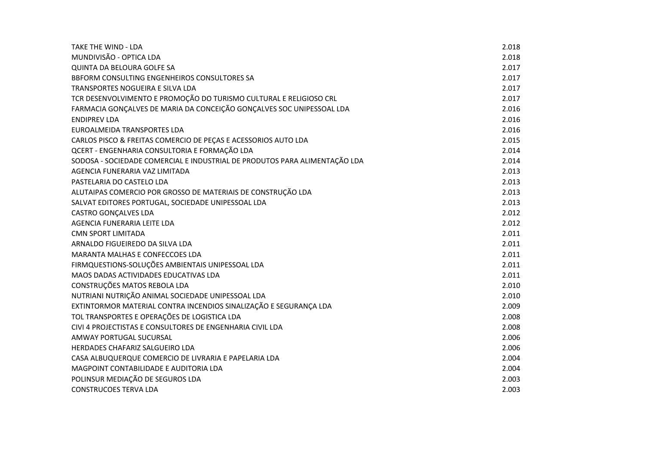| <b>TAKE THE WIND - LDA</b>                                                 | 2.018 |
|----------------------------------------------------------------------------|-------|
| MUNDIVISÃO - OPTICA LDA                                                    | 2.018 |
| <b>QUINTA DA BELOURA GOLFE SA</b>                                          | 2.017 |
| BBFORM CONSULTING ENGENHEIROS CONSULTORES SA                               | 2.017 |
| <b>TRANSPORTES NOGUEIRA E SILVA LDA</b>                                    | 2.017 |
| TCR DESENVOLVIMENTO E PROMOÇÃO DO TURISMO CULTURAL E RELIGIOSO CRL         | 2.017 |
| FARMACIA GONÇALVES DE MARIA DA CONCEIÇÃO GONÇALVES SOC UNIPESSOAL LDA      | 2.016 |
| <b>ENDIPREV LDA</b>                                                        | 2.016 |
| EUROALMEIDA TRANSPORTES LDA                                                | 2.016 |
| CARLOS PISCO & FREITAS COMERCIO DE PEÇAS E ACESSORIOS AUTO LDA             | 2.015 |
| QCERT - ENGENHARIA CONSULTORIA E FORMAÇÃO LDA                              | 2.014 |
| SODOSA - SOCIEDADE COMERCIAL E INDUSTRIAL DE PRODUTOS PARA ALIMENTAÇÃO LDA | 2.014 |
| AGENCIA FUNERARIA VAZ LIMITADA                                             | 2.013 |
| PASTELARIA DO CASTELO LDA                                                  | 2.013 |
| ALUTAIPAS COMERCIO POR GROSSO DE MATERIAIS DE CONSTRUÇÃO LDA               | 2.013 |
| SALVAT EDITORES PORTUGAL, SOCIEDADE UNIPESSOAL LDA                         | 2.013 |
| <b>CASTRO GONÇALVES LDA</b>                                                | 2.012 |
| AGENCIA FUNERARIA LEITE LDA                                                | 2.012 |
| <b>CMN SPORT LIMITADA</b>                                                  | 2.011 |
| ARNALDO FIGUEIREDO DA SILVA LDA                                            | 2.011 |
| MARANTA MALHAS E CONFECCOES LDA                                            | 2.011 |
| FIRMQUESTIONS-SOLUÇÕES AMBIENTAIS UNIPESSOAL LDA                           | 2.011 |
| MAOS DADAS ACTIVIDADES EDUCATIVAS LDA                                      | 2.011 |
| CONSTRUÇÕES MATOS REBOLA LDA                                               | 2.010 |
| NUTRIANI NUTRIÇÃO ANIMAL SOCIEDADE UNIPESSOAL LDA                          | 2.010 |
| EXTINTORMOR MATERIAL CONTRA INCENDIOS SINALIZAÇÃO E SEGURANÇA LDA          | 2.009 |
| TOL TRANSPORTES E OPERAÇÕES DE LOGISTICA LDA                               | 2.008 |
| CIVI 4 PROJECTISTAS E CONSULTORES DE ENGENHARIA CIVIL LDA                  | 2.008 |
| AMWAY PORTUGAL SUCURSAL                                                    | 2.006 |
| HERDADES CHAFARIZ SALGUEIRO LDA                                            | 2.006 |
| CASA ALBUQUERQUE COMERCIO DE LIVRARIA E PAPELARIA LDA                      | 2.004 |
| MAGPOINT CONTABILIDADE E AUDITORIA LDA                                     | 2.004 |
| POLINSUR MEDIAÇÃO DE SEGUROS LDA                                           | 2.003 |
| <b>CONSTRUCOES TERVA LDA</b>                                               | 2.003 |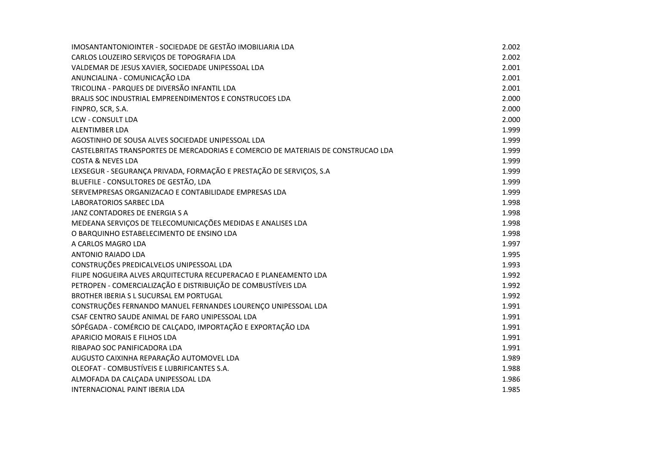| IMOSANTANTONIOINTER - SOCIEDADE DE GESTÃO IMOBILIARIA LDA                         | 2.002 |
|-----------------------------------------------------------------------------------|-------|
| CARLOS LOUZEIRO SERVIÇOS DE TOPOGRAFIA LDA                                        | 2.002 |
| VALDEMAR DE JESUS XAVIER, SOCIEDADE UNIPESSOAL LDA                                | 2.001 |
| ANUNCIALINA - COMUNICAÇÃO LDA                                                     | 2.001 |
| TRICOLINA - PARQUES DE DIVERSÃO INFANTIL LDA                                      | 2.001 |
| BRALIS SOC INDUSTRIAL EMPREENDIMENTOS E CONSTRUCOES LDA                           | 2.000 |
| FINPRO, SCR, S.A.                                                                 | 2.000 |
| LCW - CONSULT LDA                                                                 | 2.000 |
| <b>ALENTIMBER LDA</b>                                                             | 1.999 |
| AGOSTINHO DE SOUSA ALVES SOCIEDADE UNIPESSOAL LDA                                 | 1.999 |
| CASTELBRITAS TRANSPORTES DE MERCADORIAS E COMERCIO DE MATERIAIS DE CONSTRUCAO LDA | 1.999 |
| <b>COSTA &amp; NEVES LDA</b>                                                      | 1.999 |
| LEXSEGUR - SEGURANÇA PRIVADA, FORMAÇÃO E PRESTAÇÃO DE SERVIÇOS, S.A               | 1.999 |
| BLUEFILE - CONSULTORES DE GESTÃO, LDA                                             | 1.999 |
| SERVEMPRESAS ORGANIZACAO E CONTABILIDADE EMPRESAS LDA                             | 1.999 |
| <b>LABORATORIOS SARBEC LDA</b>                                                    | 1.998 |
| JANZ CONTADORES DE ENERGIA S A                                                    | 1.998 |
| MEDEANA SERVIÇOS DE TELECOMUNICAÇÕES MEDIDAS E ANALISES LDA                       | 1.998 |
| O BARQUINHO ESTABELECIMENTO DE ENSINO LDA                                         | 1.998 |
| A CARLOS MAGRO LDA                                                                | 1.997 |
| ANTONIO RAIADO LDA                                                                | 1.995 |
| CONSTRUÇÕES PREDICALVELOS UNIPESSOAL LDA                                          | 1.993 |
| FILIPE NOGUEIRA ALVES ARQUITECTURA RECUPERACAO E PLANEAMENTO LDA                  | 1.992 |
| PETROPEN - COMERCIALIZAÇÃO E DISTRIBUIÇÃO DE COMBUSTÍVEIS LDA                     | 1.992 |
| BROTHER IBERIA S L SUCURSAL EM PORTUGAL                                           | 1.992 |
| CONSTRUÇÕES FERNANDO MANUEL FERNANDES LOURENÇO UNIPESSOAL LDA                     | 1.991 |
| CSAF CENTRO SAUDE ANIMAL DE FARO UNIPESSOAL LDA                                   | 1.991 |
| SÓPÉGADA - COMÉRCIO DE CALÇADO, IMPORTAÇÃO E EXPORTAÇÃO LDA                       | 1.991 |
| APARICIO MORAIS E FILHOS LDA                                                      | 1.991 |
| RIBAPAO SOC PANIFICADORA LDA                                                      | 1.991 |
| AUGUSTO CAIXINHA REPARAÇÃO AUTOMOVEL LDA                                          | 1.989 |
| OLEOFAT - COMBUSTÍVEIS E LUBRIFICANTES S.A.                                       | 1.988 |
| ALMOFADA DA CALÇADA UNIPESSOAL LDA                                                | 1.986 |
| INTERNACIONAL PAINT IBERIA LDA                                                    | 1.985 |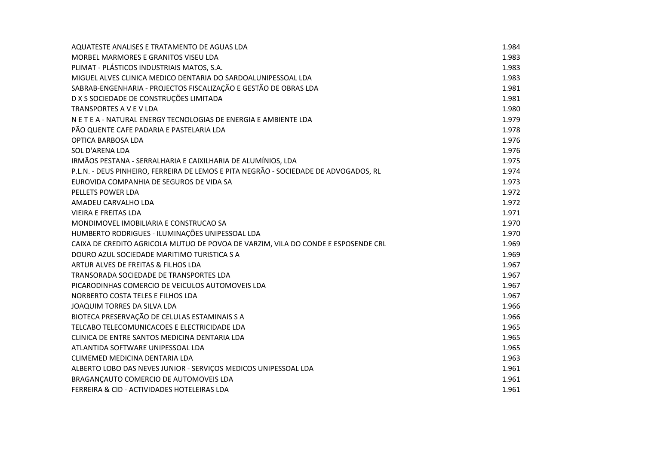| AQUATESTE ANALISES E TRATAMENTO DE AGUAS LDA                                         | 1.984 |
|--------------------------------------------------------------------------------------|-------|
| MORBEL MARMORES E GRANITOS VISEU LDA                                                 | 1.983 |
| PLIMAT - PLÁSTICOS INDUSTRIAIS MATOS, S.A.                                           | 1.983 |
| MIGUEL ALVES CLINICA MEDICO DENTARIA DO SARDOALUNIPESSOAL LDA                        | 1.983 |
| SABRAB-ENGENHARIA - PROJECTOS FISCALIZAÇÃO E GESTÃO DE OBRAS LDA                     | 1.981 |
| D X S SOCIEDADE DE CONSTRUÇÕES LIMITADA                                              | 1.981 |
| TRANSPORTES A V E V LDA                                                              | 1.980 |
| N E T E A - NATURAL ENERGY TECNOLOGIAS DE ENERGIA E AMBIENTE LDA                     | 1.979 |
| PÃO QUENTE CAFE PADARIA E PASTELARIA LDA                                             | 1.978 |
| OPTICA BARBOSA LDA                                                                   | 1.976 |
| SOL D'ARENA LDA                                                                      | 1.976 |
| IRMÃOS PESTANA - SERRALHARIA E CAIXILHARIA DE ALUMÍNIOS, LDA                         | 1.975 |
| P.L.N. - DEUS PINHEIRO, FERREIRA DE LEMOS E PITA NEGRÃO - SOCIEDADE DE ADVOGADOS, RL | 1.974 |
| EUROVIDA COMPANHIA DE SEGUROS DE VIDA SA                                             | 1.973 |
| PELLETS POWER LDA                                                                    | 1.972 |
| AMADEU CARVALHO LDA                                                                  | 1.972 |
| <b>VIEIRA E FREITAS LDA</b>                                                          | 1.971 |
| MONDIMOVEL IMOBILIARIA E CONSTRUCAO SA                                               | 1.970 |
| HUMBERTO RODRIGUES - ILUMINAÇÕES UNIPESSOAL LDA                                      | 1.970 |
| CAIXA DE CREDITO AGRICOLA MUTUO DE POVOA DE VARZIM, VILA DO CONDE E ESPOSENDE CRL    | 1.969 |
| DOURO AZUL SOCIEDADE MARITIMO TURISTICA S A                                          | 1.969 |
| ARTUR ALVES DE FREITAS & FILHOS LDA                                                  | 1.967 |
| TRANSORADA SOCIEDADE DE TRANSPORTES LDA                                              | 1.967 |
| PICARODINHAS COMERCIO DE VEICULOS AUTOMOVEIS LDA                                     | 1.967 |
| NORBERTO COSTA TELES E FILHOS LDA                                                    | 1.967 |
| JOAQUIM TORRES DA SILVA LDA                                                          | 1.966 |
| BIOTECA PRESERVAÇÃO DE CELULAS ESTAMINAIS S A                                        | 1.966 |
| TELCABO TELECOMUNICACOES E ELECTRICIDADE LDA                                         | 1.965 |
| CLINICA DE ENTRE SANTOS MEDICINA DENTARIA LDA                                        | 1.965 |
| ATLANTIDA SOFTWARE UNIPESSOAL LDA                                                    | 1.965 |
| CLIMEMED MEDICINA DENTARIA LDA                                                       | 1.963 |
| ALBERTO LOBO DAS NEVES JUNIOR - SERVIÇOS MEDICOS UNIPESSOAL LDA                      | 1.961 |
| BRAGANÇAUTO COMERCIO DE AUTOMOVEIS LDA                                               | 1.961 |
| FERREIRA & CID - ACTIVIDADES HOTELEIRAS LDA                                          | 1.961 |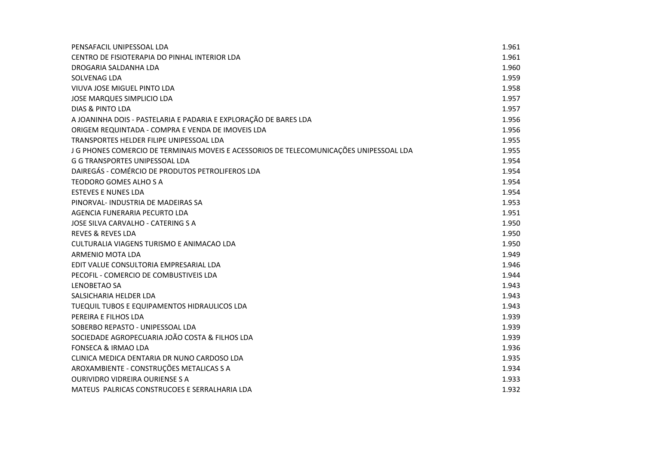| PENSAFACIL UNIPESSOAL LDA                                                               | 1.961 |
|-----------------------------------------------------------------------------------------|-------|
| CENTRO DE FISIOTERAPIA DO PINHAL INTERIOR LDA                                           | 1.961 |
| DROGARIA SALDANHA LDA                                                                   | 1.960 |
| SOLVENAG LDA                                                                            | 1.959 |
| VIUVA JOSE MIGUEL PINTO LDA                                                             | 1.958 |
| JOSE MARQUES SIMPLICIO LDA                                                              | 1.957 |
| <b>DIAS &amp; PINTO LDA</b>                                                             | 1.957 |
| A JOANINHA DOIS - PASTELARIA E PADARIA E EXPLORAÇÃO DE BARES LDA                        | 1.956 |
| ORIGEM REQUINTADA - COMPRA E VENDA DE IMOVEIS LDA                                       | 1.956 |
| TRANSPORTES HELDER FILIPE UNIPESSOAL LDA                                                | 1.955 |
| J G PHONES COMERCIO DE TERMINAIS MOVEIS E ACESSORIOS DE TELECOMUNICAÇÕES UNIPESSOAL LDA | 1.955 |
| G G TRANSPORTES UNIPESSOAL LDA                                                          | 1.954 |
| DAIREGÁS - COMÉRCIO DE PRODUTOS PETROLIFEROS LDA                                        | 1.954 |
| TEODORO GOMES ALHO S A                                                                  | 1.954 |
| <b>ESTEVES E NUNES LDA</b>                                                              | 1.954 |
| PINORVAL- INDUSTRIA DE MADEIRAS SA                                                      | 1.953 |
| AGENCIA FUNERARIA PECURTO LDA                                                           | 1.951 |
| JOSE SILVA CARVALHO - CATERING S A                                                      | 1.950 |
| <b>REVES &amp; REVES LDA</b>                                                            | 1.950 |
| CULTURALIA VIAGENS TURISMO E ANIMACAO LDA                                               | 1.950 |
| ARMENIO MOTA LDA                                                                        | 1.949 |
| EDIT VALUE CONSULTORIA EMPRESARIAL LDA                                                  | 1.946 |
| PECOFIL - COMERCIO DE COMBUSTIVEIS LDA                                                  | 1.944 |
| <b>LENOBETAO SA</b>                                                                     | 1.943 |
| SALSICHARIA HELDER LDA                                                                  | 1.943 |
| TUEQUIL TUBOS E EQUIPAMENTOS HIDRAULICOS LDA                                            | 1.943 |
| PEREIRA E FILHOS LDA                                                                    | 1.939 |
| SOBERBO REPASTO - UNIPESSOAL LDA                                                        | 1.939 |
| SOCIEDADE AGROPECUARIA JOÃO COSTA & FILHOS LDA                                          | 1.939 |
| <b>FONSECA &amp; IRMAO LDA</b>                                                          | 1.936 |
| CLINICA MEDICA DENTARIA DR NUNO CARDOSO LDA                                             | 1.935 |
| AROXAMBIENTE - CONSTRUÇÕES METALICAS S A                                                | 1.934 |
| <b>OURIVIDRO VIDREIRA OURIENSE S A</b>                                                  | 1.933 |
| MATEUS PALRICAS CONSTRUCOES E SERRALHARIA LDA                                           | 1.932 |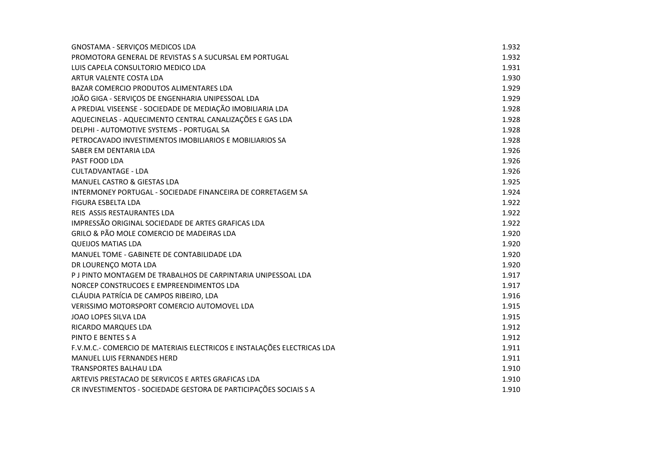| GNOSTAMA - SERVIÇOS MEDICOS LDA                                         | 1.932 |
|-------------------------------------------------------------------------|-------|
| PROMOTORA GENERAL DE REVISTAS S A SUCURSAL EM PORTUGAL                  | 1.932 |
| LUIS CAPELA CONSULTORIO MEDICO LDA                                      | 1.931 |
| ARTUR VALENTE COSTA LDA                                                 | 1.930 |
| BAZAR COMERCIO PRODUTOS ALIMENTARES LDA                                 | 1.929 |
| JOÃO GIGA - SERVIÇOS DE ENGENHARIA UNIPESSOAL LDA                       | 1.929 |
| A PREDIAL VISEENSE - SOCIEDADE DE MEDIAÇÃO IMOBILIARIA LDA              | 1.928 |
| AQUECINELAS - AQUECIMENTO CENTRAL CANALIZAÇÕES E GAS LDA                | 1.928 |
| DELPHI - AUTOMOTIVE SYSTEMS - PORTUGAL SA                               | 1.928 |
| PETROCAVADO INVESTIMENTOS IMOBILIARIOS E MOBILIARIOS SA                 | 1.928 |
| SABER EM DENTARIA LDA                                                   | 1.926 |
| PAST FOOD LDA                                                           | 1.926 |
| <b>CULTADVANTAGE - LDA</b>                                              | 1.926 |
| MANUEL CASTRO & GIESTAS LDA                                             | 1.925 |
| INTERMONEY PORTUGAL - SOCIEDADE FINANCEIRA DE CORRETAGEM SA             | 1.924 |
| <b>FIGURA ESBELTA LDA</b>                                               | 1.922 |
| REIS ASSIS RESTAURANTES LDA                                             | 1.922 |
| IMPRESSÃO ORIGINAL SOCIEDADE DE ARTES GRAFICAS LDA                      | 1.922 |
| GRILO & PÃO MOLE COMERCIO DE MADEIRAS LDA                               | 1.920 |
| <b>QUEIJOS MATIAS LDA</b>                                               | 1.920 |
| MANUEL TOME - GABINETE DE CONTABILIDADE LDA                             | 1.920 |
| DR LOURENÇO MOTA LDA                                                    | 1.920 |
| P J PINTO MONTAGEM DE TRABALHOS DE CARPINTARIA UNIPESSOAL LDA           | 1.917 |
| NORCEP CONSTRUCOES E EMPREENDIMENTOS LDA                                | 1.917 |
| CLÁUDIA PATRÍCIA DE CAMPOS RIBEIRO, LDA                                 | 1.916 |
| VERISSIMO MOTORSPORT COMERCIO AUTOMOVEL LDA                             | 1.915 |
| JOAO LOPES SILVA LDA                                                    | 1.915 |
| RICARDO MARQUES LDA                                                     | 1.912 |
| PINTO E BENTES S A                                                      | 1.912 |
| F.V.M.C.- COMERCIO DE MATERIAIS ELECTRICOS E INSTALAÇÕES ELECTRICAS LDA | 1.911 |
| <b>MANUEL LUIS FERNANDES HERD</b>                                       | 1.911 |
| <b>TRANSPORTES BALHAU LDA</b>                                           | 1.910 |
| ARTEVIS PRESTACAO DE SERVICOS E ARTES GRAFICAS LDA                      | 1.910 |
| CR INVESTIMENTOS - SOCIEDADE GESTORA DE PARTICIPAÇÕES SOCIAIS S A       | 1.910 |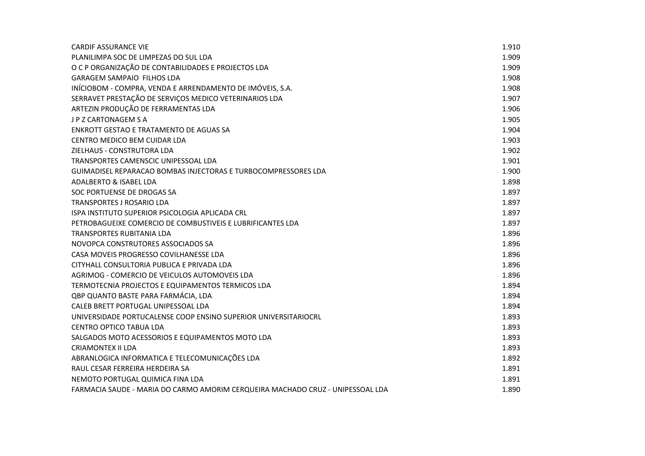| <b>CARDIF ASSURANCE VIE</b>                                                    | 1.910 |
|--------------------------------------------------------------------------------|-------|
| PLANILIMPA SOC DE LIMPEZAS DO SUL LDA                                          | 1.909 |
| O C P ORGANIZAÇÃO DE CONTABILIDADES E PROJECTOS LDA                            | 1.909 |
| GARAGEM SAMPAIO FILHOS LDA                                                     | 1.908 |
| INÍCIOBOM - COMPRA, VENDA E ARRENDAMENTO DE IMÓVEIS, S.A.                      | 1.908 |
| SERRAVET PRESTAÇÃO DE SERVIÇOS MEDICO VETERINARIOS LDA                         | 1.907 |
| ARTEZIN PRODUÇÃO DE FERRAMENTAS LDA                                            | 1.906 |
| J P Z CARTONAGEM S A                                                           | 1.905 |
| ENKROTT GESTAO E TRATAMENTO DE AGUAS SA                                        | 1.904 |
| CENTRO MEDICO BEM CUIDAR LDA                                                   | 1.903 |
| ZIELHAUS - CONSTRUTORA LDA                                                     | 1.902 |
| TRANSPORTES CAMENSCIC UNIPESSOAL LDA                                           | 1.901 |
| GUIMADISEL REPARACAO BOMBAS INJECTORAS E TURBOCOMPRESSORES LDA                 | 1.900 |
| ADALBERTO & ISABEL LDA                                                         | 1.898 |
| SOC PORTUENSE DE DROGAS SA                                                     | 1.897 |
| <b>TRANSPORTES J ROSARIO LDA</b>                                               | 1.897 |
| ISPA INSTITUTO SUPERIOR PSICOLOGIA APLICADA CRL                                | 1.897 |
| PETROBAGUEIXE COMERCIO DE COMBUSTIVEIS E LUBRIFICANTES LDA                     | 1.897 |
| <b>TRANSPORTES RUBITANIA LDA</b>                                               | 1.896 |
| NOVOPCA CONSTRUTORES ASSOCIADOS SA                                             | 1.896 |
| CASA MOVEIS PROGRESSO COVILHANESSE LDA                                         | 1.896 |
| CITYHALL CONSULTORIA PUBLICA E PRIVADA LDA                                     | 1.896 |
| AGRIMOG - COMERCIO DE VEICULOS AUTOMOVEIS LDA                                  | 1.896 |
| TERMOTECNIA PROJECTOS E EQUIPAMENTOS TERMICOS LDA                              | 1.894 |
| QBP QUANTO BASTE PARA FARMÁCIA, LDA                                            | 1.894 |
| CALEB BRETT PORTUGAL UNIPESSOAL LDA                                            | 1.894 |
| UNIVERSIDADE PORTUCALENSE COOP ENSINO SUPERIOR UNIVERSITARIOCRL                | 1.893 |
| <b>CENTRO OPTICO TABUA LDA</b>                                                 | 1.893 |
| SALGADOS MOTO ACESSORIOS E EQUIPAMENTOS MOTO LDA                               | 1.893 |
| <b>CRIAMONTEX II LDA</b>                                                       | 1.893 |
| ABRANLOGICA INFORMATICA E TELECOMUNICAÇÕES LDA                                 | 1.892 |
| RAUL CESAR FERREIRA HERDEIRA SA                                                | 1.891 |
| NEMOTO PORTUGAL QUIMICA FINA LDA                                               | 1.891 |
| FARMACIA SAUDE - MARIA DO CARMO AMORIM CERQUEIRA MACHADO CRUZ - UNIPESSOAL LDA | 1.890 |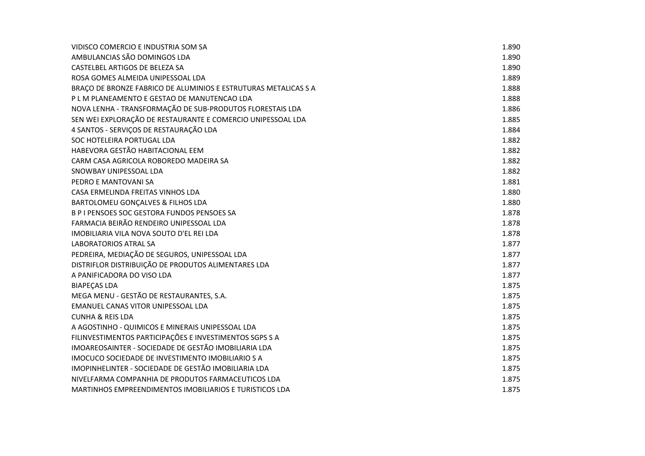| VIDISCO COMERCIO E INDUSTRIA SOM SA                             | 1.890 |
|-----------------------------------------------------------------|-------|
| AMBULANCIAS SÃO DOMINGOS LDA                                    | 1.890 |
| CASTELBEL ARTIGOS DE BELEZA SA                                  | 1.890 |
| ROSA GOMES ALMEIDA UNIPESSOAL LDA                               | 1.889 |
| BRAÇO DE BRONZE FABRICO DE ALUMINIOS E ESTRUTURAS METALICAS S A | 1.888 |
| P L M PLANEAMENTO E GESTAO DE MANUTENCAO LDA                    | 1.888 |
| NOVA LENHA - TRANSFORMAÇÃO DE SUB-PRODUTOS FLORESTAIS LDA       | 1.886 |
| SEN WEI EXPLORAÇÃO DE RESTAURANTE E COMERCIO UNIPESSOAL LDA     | 1.885 |
| 4 SANTOS - SERVIÇOS DE RESTAURAÇÃO LDA                          | 1.884 |
| SOC HOTELEIRA PORTUGAL LDA                                      | 1.882 |
| HABEVORA GESTÃO HABITACIONAL EEM                                | 1.882 |
| CARM CASA AGRICOLA ROBOREDO MADEIRA SA                          | 1.882 |
| SNOWBAY UNIPESSOAL LDA                                          | 1.882 |
| PEDRO E MANTOVANI SA                                            | 1.881 |
| CASA ERMELINDA FREITAS VINHOS LDA                               | 1.880 |
| BARTOLOMEU GONÇALVES & FILHOS LDA                               | 1.880 |
| B P I PENSOES SOC GESTORA FUNDOS PENSOES SA                     | 1.878 |
| FARMACIA BEIRÃO RENDEIRO UNIPESSOAL LDA                         | 1.878 |
| IMOBILIARIA VILA NOVA SOUTO D'EL REI LDA                        | 1.878 |
| <b>LABORATORIOS ATRAL SA</b>                                    | 1.877 |
| PEDREIRA, MEDIAÇÃO DE SEGUROS, UNIPESSOAL LDA                   | 1.877 |
| DISTRIFLOR DISTRIBUIÇÃO DE PRODUTOS ALIMENTARES LDA             | 1.877 |
| A PANIFICADORA DO VISO LDA                                      | 1.877 |
| <b>BIAPEÇAS LDA</b>                                             | 1.875 |
| MEGA MENU - GESTÃO DE RESTAURANTES, S.A.                        | 1.875 |
| EMANUEL CANAS VITOR UNIPESSOAL LDA                              | 1.875 |
| <b>CUNHA &amp; REIS LDA</b>                                     | 1.875 |
| A AGOSTINHO - QUIMICOS E MINERAIS UNIPESSOAL LDA                | 1.875 |
| FILINVESTIMENTOS PARTICIPAÇÕES E INVESTIMENTOS SGPS S A         | 1.875 |
| IMOAREOSAINTER - SOCIEDADE DE GESTÃO IMOBILIARIA LDA            | 1.875 |
| IMOCUCO SOCIEDADE DE INVESTIMENTO IMOBILIARIO S A               | 1.875 |
| IMOPINHELINTER - SOCIEDADE DE GESTÃO IMOBILIARIA LDA            | 1.875 |
| NIVELFARMA COMPANHIA DE PRODUTOS FARMACEUTICOS LDA              | 1.875 |
| MARTINHOS EMPREENDIMENTOS IMOBILIARIOS E TURISTICOS LDA         | 1.875 |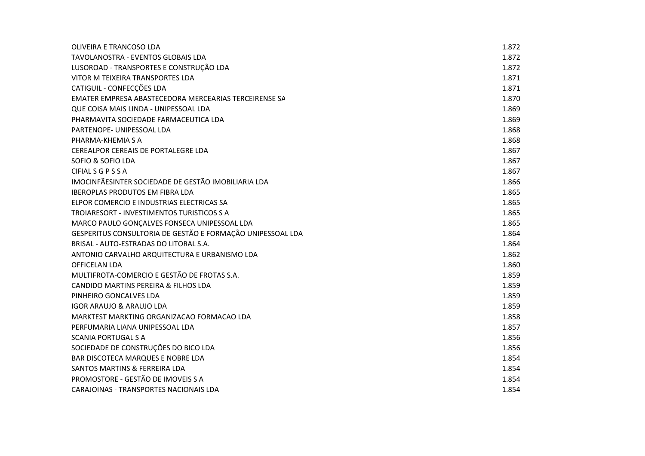| OLIVEIRA E TRANCOSO LDA                                    | 1.872 |
|------------------------------------------------------------|-------|
| TAVOLANOSTRA - EVENTOS GLOBAIS LDA                         | 1.872 |
| LUSOROAD - TRANSPORTES E CONSTRUÇÃO LDA                    | 1.872 |
| VITOR M TEIXEIRA TRANSPORTES LDA                           | 1.871 |
| CATIGUIL - CONFECÇÕES LDA                                  | 1.871 |
| EMATER EMPRESA ABASTECEDORA MERCEARIAS TERCEIRENSE SA      | 1.870 |
| QUE COISA MAIS LINDA - UNIPESSOAL LDA                      | 1.869 |
| PHARMAVITA SOCIEDADE FARMACEUTICA LDA                      | 1.869 |
| PARTENOPE- UNIPESSOAL LDA                                  | 1.868 |
| PHARMA-KHEMIA S A                                          | 1.868 |
| CEREALPOR CEREAIS DE PORTALEGRE LDA                        | 1.867 |
| SOFIO & SOFIO LDA                                          | 1.867 |
| <b>CIFIAL S G P S S A</b>                                  | 1.867 |
| IMOCINFÃESINTER SOCIEDADE DE GESTÃO IMOBILIARIA LDA        | 1.866 |
| <b>IBEROPLAS PRODUTOS EM FIBRA LDA</b>                     | 1.865 |
| ELPOR COMERCIO E INDUSTRIAS ELECTRICAS SA                  | 1.865 |
| TROIARESORT - INVESTIMENTOS TURISTICOS S A                 | 1.865 |
| MARCO PAULO GONÇALVES FONSECA UNIPESSOAL LDA               | 1.865 |
| GESPERITUS CONSULTORIA DE GESTÃO E FORMAÇÃO UNIPESSOAL LDA | 1.864 |
| BRISAL - AUTO-ESTRADAS DO LITORAL S.A.                     | 1.864 |
| ANTONIO CARVALHO ARQUITECTURA E URBANISMO LDA              | 1.862 |
| OFFICELAN LDA                                              | 1.860 |
| MULTIFROTA-COMERCIO E GESTÃO DE FROTAS S.A.                | 1.859 |
| CANDIDO MARTINS PEREIRA & FILHOS LDA                       | 1.859 |
| PINHEIRO GONCALVES LDA                                     | 1.859 |
| <b>IGOR ARAUJO &amp; ARAUJO LDA</b>                        | 1.859 |
| MARKTEST MARKTING ORGANIZACAO FORMACAO LDA                 | 1.858 |
| PERFUMARIA LIANA UNIPESSOAL LDA                            | 1.857 |
| <b>SCANIA PORTUGAL S A</b>                                 | 1.856 |
| SOCIEDADE DE CONSTRUÇÕES DO BICO LDA                       | 1.856 |
| <b>BAR DISCOTECA MARQUES E NOBRE LDA</b>                   | 1.854 |
| <b>SANTOS MARTINS &amp; FERREIRA LDA</b>                   | 1.854 |
| PROMOSTORE - GESTÃO DE IMOVEIS S A                         | 1.854 |
| CARAJOINAS - TRANSPORTES NACIONAIS LDA                     | 1.854 |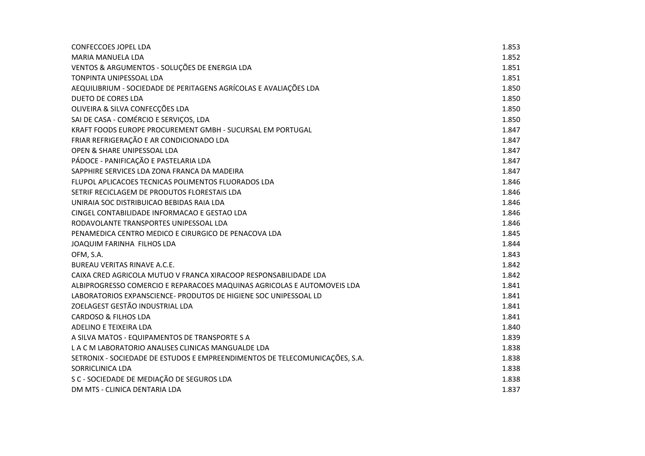| <b>CONFECCOES JOPEL LDA</b>                                                 | 1.853 |
|-----------------------------------------------------------------------------|-------|
| <b>MARIA MANUELA LDA</b>                                                    | 1.852 |
| VENTOS & ARGUMENTOS - SOLUÇÕES DE ENERGIA LDA                               | 1.851 |
| TONPINTA UNIPESSOAL LDA                                                     | 1.851 |
| AEQUILIBRIUM - SOCIEDADE DE PERITAGENS AGRÍCOLAS E AVALIAÇÕES LDA           | 1.850 |
| <b>DUETO DE CORES LDA</b>                                                   | 1.850 |
| OLIVEIRA & SILVA CONFECÇÕES LDA                                             | 1.850 |
| SAI DE CASA - COMÉRCIO E SERVIÇOS, LDA                                      | 1.850 |
| KRAFT FOODS EUROPE PROCUREMENT GMBH - SUCURSAL EM PORTUGAL                  | 1.847 |
| FRIAR REFRIGERAÇÃO E AR CONDICIONADO LDA                                    | 1.847 |
| OPEN & SHARE UNIPESSOAL LDA                                                 | 1.847 |
| PÁDOCE - PANIFICAÇÃO E PASTELARIA LDA                                       | 1.847 |
| SAPPHIRE SERVICES LDA ZONA FRANCA DA MADEIRA                                | 1.847 |
| FLUPOL APLICACOES TECNICAS POLIMENTOS FLUORADOS LDA                         | 1.846 |
| SETRIF RECICLAGEM DE PRODUTOS FLORESTAIS LDA                                | 1.846 |
| UNIRAIA SOC DISTRIBUICAO BEBIDAS RAIA LDA                                   | 1.846 |
| CINGEL CONTABILIDADE INFORMACAO E GESTAO LDA                                | 1.846 |
| RODAVOLANTE TRANSPORTES UNIPESSOAL LDA                                      | 1.846 |
| PENAMEDICA CENTRO MEDICO E CIRURGICO DE PENACOVA LDA                        | 1.845 |
| JOAQUIM FARINHA FILHOS LDA                                                  | 1.844 |
| OFM, S.A.                                                                   | 1.843 |
| <b>BUREAU VERITAS RINAVE A.C.E.</b>                                         | 1.842 |
| CAIXA CRED AGRICOLA MUTUO V FRANCA XIRACOOP RESPONSABILIDADE LDA            | 1.842 |
| ALBIPROGRESSO COMERCIO E REPARACOES MAQUINAS AGRICOLAS E AUTOMOVEIS LDA     | 1.841 |
| LABORATORIOS EXPANSCIENCE- PRODUTOS DE HIGIENE SOC UNIPESSOAL LD            | 1.841 |
| ZOELAGEST GESTÃO INDUSTRIAL LDA                                             | 1.841 |
| CARDOSO & FILHOS LDA                                                        | 1.841 |
| ADELINO E TEIXEIRA LDA                                                      | 1.840 |
| A SILVA MATOS - EQUIPAMENTOS DE TRANSPORTE S A                              | 1.839 |
| LACM LABORATORIO ANALISES CLINICAS MANGUALDE LDA                            | 1.838 |
| SETRONIX - SOCIEDADE DE ESTUDOS E EMPREENDIMENTOS DE TELECOMUNICAÇÕES, S.A. | 1.838 |
| SORRICLINICA LDA                                                            | 1.838 |
| S C - SOCIEDADE DE MEDIAÇÃO DE SEGUROS LDA                                  | 1.838 |
| DM MTS - CLINICA DENTARIA LDA                                               | 1.837 |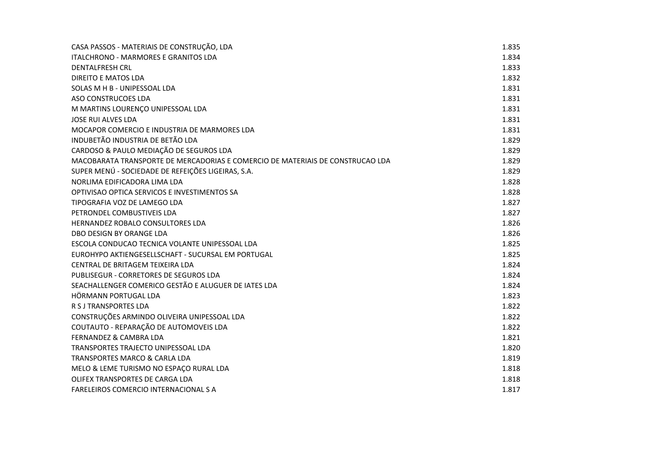| CASA PASSOS - MATERIAIS DE CONSTRUÇÃO, LDA                                     | 1.835 |
|--------------------------------------------------------------------------------|-------|
| <b>ITALCHRONO - MARMORES E GRANITOS LDA</b>                                    | 1.834 |
| <b>DENTALFRESH CRL</b>                                                         | 1.833 |
| <b>DIREITO E MATOS LDA</b>                                                     | 1.832 |
| SOLAS M H B - UNIPESSOAL LDA                                                   | 1.831 |
| ASO CONSTRUCOES LDA                                                            | 1.831 |
| M MARTINS LOURENÇO UNIPESSOAL LDA                                              | 1.831 |
| <b>JOSE RUI ALVES LDA</b>                                                      | 1.831 |
| MOCAPOR COMERCIO E INDUSTRIA DE MARMORES LDA                                   | 1.831 |
| INDUBETÃO INDUSTRIA DE BETÃO LDA                                               | 1.829 |
| CARDOSO & PAULO MEDIAÇÃO DE SEGUROS LDA                                        | 1.829 |
| MACOBARATA TRANSPORTE DE MERCADORIAS E COMERCIO DE MATERIAIS DE CONSTRUCAO LDA | 1.829 |
| SUPER MENÚ - SOCIEDADE DE REFEIÇÕES LIGEIRAS, S.A.                             | 1.829 |
| NORLIMA EDIFICADORA LIMA LDA                                                   | 1.828 |
| OPTIVISAO OPTICA SERVICOS E INVESTIMENTOS SA                                   | 1.828 |
| TIPOGRAFIA VOZ DE LAMEGO LDA                                                   | 1.827 |
| PETRONDEL COMBUSTIVEIS LDA                                                     | 1.827 |
| HERNANDEZ ROBALO CONSULTORES LDA                                               | 1.826 |
| DBO DESIGN BY ORANGE LDA                                                       | 1.826 |
| ESCOLA CONDUCAO TECNICA VOLANTE UNIPESSOAL LDA                                 | 1.825 |
| EUROHYPO AKTIENGESELLSCHAFT - SUCURSAL EM PORTUGAL                             | 1.825 |
| CENTRAL DE BRITAGEM TEIXEIRA LDA                                               | 1.824 |
| PUBLISEGUR - CORRETORES DE SEGUROS LDA                                         | 1.824 |
| SEACHALLENGER COMERICO GESTÃO E ALUGUER DE IATES LDA                           | 1.824 |
| HÖRMANN PORTUGAL LDA                                                           | 1.823 |
| R S J TRANSPORTES LDA                                                          | 1.822 |
| CONSTRUÇÕES ARMINDO OLIVEIRA UNIPESSOAL LDA                                    | 1.822 |
| COUTAUTO - REPARAÇÃO DE AUTOMOVEIS LDA                                         | 1.822 |
| <b>FERNANDEZ &amp; CAMBRA LDA</b>                                              | 1.821 |
| TRANSPORTES TRAJECTO UNIPESSOAL LDA                                            | 1.820 |
| <b>TRANSPORTES MARCO &amp; CARLA LDA</b>                                       | 1.819 |
| MELO & LEME TURISMO NO ESPAÇO RURAL LDA                                        | 1.818 |
| OLIFEX TRANSPORTES DE CARGA LDA                                                | 1.818 |
| <b>FARELEIROS COMERCIO INTERNACIONAL S A</b>                                   | 1.817 |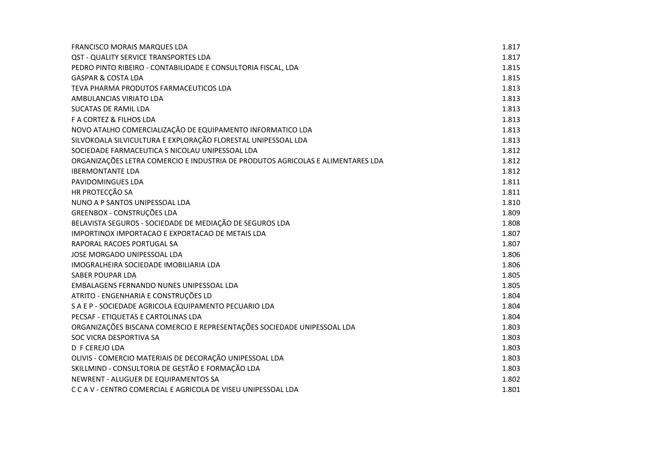| <b>FRANCISCO MORAIS MARQUES LDA</b>                                             | 1.817 |
|---------------------------------------------------------------------------------|-------|
| QST - QUALITY SERVICE TRANSPORTES LDA                                           | 1.817 |
| PEDRO PINTO RIBEIRO - CONTABILIDADE E CONSULTORIA FISCAL, LDA                   | 1.815 |
| <b>GASPAR &amp; COSTA LDA</b>                                                   | 1.815 |
| TEVA PHARMA PRODUTOS FARMACEUTICOS LDA                                          | 1.813 |
| AMBULANCIAS VIRIATO LDA                                                         | 1.813 |
| SUCATAS DE RAMIL LDA                                                            | 1.813 |
| F A CORTEZ & FILHOS LDA                                                         | 1.813 |
| NOVO ATALHO COMERCIALIZAÇÃO DE EQUIPAMENTO INFORMATICO LDA                      | 1.813 |
| SILVOKOALA SILVICULTURA E EXPLORAÇÃO FLORESTAL UNIPESSOAL LDA                   | 1.813 |
| SOCIEDADE FARMACEUTICA S NICOLAU UNIPESSOAL LDA                                 | 1.812 |
| ORGANIZAÇÕES LETRA COMERCIO E INDUSTRIA DE PRODUTOS AGRICOLAS E ALIMENTARES LDA | 1.812 |
| <b>IBERMONTANTE LDA</b>                                                         | 1.812 |
| PAVIDOMINGUES LDA                                                               | 1.811 |
| HR PROTECÇÃO SA                                                                 | 1.811 |
| NUNO A P SANTOS UNIPESSOAL LDA                                                  | 1.810 |
| GREENBOX - CONSTRUÇÕES LDA                                                      | 1.809 |
| BELAVISTA SEGUROS - SOCIEDADE DE MEDIAÇÃO DE SEGUROS LDA                        | 1.808 |
| IMPORTINOX IMPORTACAO E EXPORTACAO DE METAIS LDA                                | 1.807 |
| RAPORAL RACOES PORTUGAL SA                                                      | 1.807 |
| JOSE MORGADO UNIPESSOAL LDA                                                     | 1.806 |
| IMOGRALHEIRA SOCIEDADE IMOBILIARIA LDA                                          | 1.806 |
| <b>SABER POUPAR LDA</b>                                                         | 1.805 |
| EMBALAGENS FERNANDO NUNES UNIPESSOAL LDA                                        | 1.805 |
| ATRITO - ENGENHARIA E CONSTRUÇÕES LD                                            | 1.804 |
| S A E P - SOCIEDADE AGRICOLA EQUIPAMENTO PECUARIO LDA                           | 1.804 |
| PECSAF - ETIQUETAS E CARTOLINAS LDA                                             | 1.804 |
| ORGANIZAÇÕES BISCANA COMERCIO E REPRESENTAÇÕES SOCIEDADE UNIPESSOAL LDA         | 1.803 |
| SOC VICRA DESPORTIVA SA                                                         | 1.803 |
| D F CEREJO LDA                                                                  | 1.803 |
| OLIVIS - COMERCIO MATERIAIS DE DECORAÇÃO UNIPESSOAL LDA                         | 1.803 |
| SKILLMIND - CONSULTORIA DE GESTÃO E FORMAÇÃO LDA                                | 1.803 |
| NEWRENT - ALUGUER DE EQUIPAMENTOS SA                                            | 1.802 |
| C C A V - CENTRO COMERCIAL E AGRICOLA DE VISEU UNIPESSOAL LDA                   | 1.801 |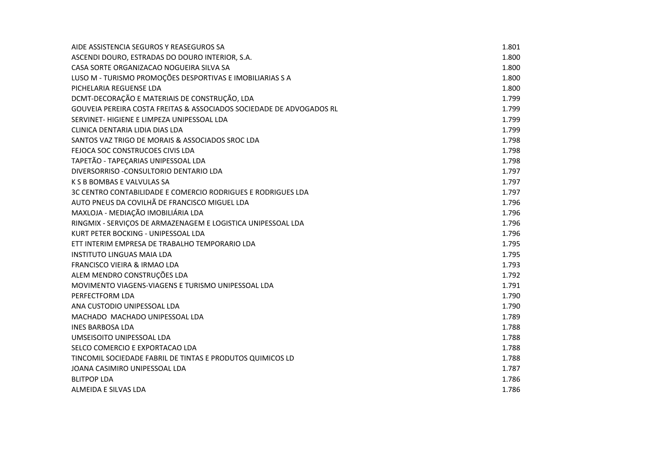| AIDE ASSISTENCIA SEGUROS Y REASEGUROS SA                             | 1.801 |
|----------------------------------------------------------------------|-------|
| ASCENDI DOURO, ESTRADAS DO DOURO INTERIOR, S.A.                      | 1.800 |
| CASA SORTE ORGANIZACAO NOGUEIRA SILVA SA                             | 1.800 |
| LUSO M - TURISMO PROMOÇÕES DESPORTIVAS E IMOBILIARIAS S A            | 1.800 |
| PICHELARIA REGUENSE LDA                                              | 1.800 |
| DCMT-DECORAÇÃO E MATERIAIS DE CONSTRUÇÃO, LDA                        | 1.799 |
| GOUVEIA PEREIRA COSTA FREITAS & ASSOCIADOS SOCIEDADE DE ADVOGADOS RL | 1.799 |
| SERVINET- HIGIENE E LIMPEZA UNIPESSOAL LDA                           | 1.799 |
| CLINICA DENTARIA LIDIA DIAS LDA                                      | 1.799 |
| SANTOS VAZ TRIGO DE MORAIS & ASSOCIADOS SROC LDA                     | 1.798 |
| FEJOCA SOC CONSTRUCOES CIVIS LDA                                     | 1.798 |
| TAPETÃO - TAPEÇARIAS UNIPESSOAL LDA                                  | 1.798 |
| DIVERSORRISO - CONSULTORIO DENTARIO LDA                              | 1.797 |
| K S B BOMBAS E VALVULAS SA                                           | 1.797 |
| 3C CENTRO CONTABILIDADE E COMERCIO RODRIGUES E RODRIGUES LDA         | 1.797 |
| AUTO PNEUS DA COVILHÃ DE FRANCISCO MIGUEL LDA                        | 1.796 |
| MAXLOJA - MEDIAÇÃO IMOBILIÁRIA LDA                                   | 1.796 |
| RINGMIX - SERVIÇOS DE ARMAZENAGEM E LOGISTICA UNIPESSOAL LDA         | 1.796 |
| KURT PETER BOCKING - UNIPESSOAL LDA                                  | 1.796 |
| ETT INTERIM EMPRESA DE TRABALHO TEMPORARIO LDA                       | 1.795 |
| <b>INSTITUTO LINGUAS MAIA LDA</b>                                    | 1.795 |
| FRANCISCO VIEIRA & IRMAO LDA                                         | 1.793 |
| ALEM MENDRO CONSTRUÇÕES LDA                                          | 1.792 |
| MOVIMENTO VIAGENS-VIAGENS E TURISMO UNIPESSOAL LDA                   | 1.791 |
| PERFECTFORM LDA                                                      | 1.790 |
| ANA CUSTODIO UNIPESSOAL LDA                                          | 1.790 |
| MACHADO MACHADO UNIPESSOAL LDA                                       | 1.789 |
| <b>INES BARBOSA LDA</b>                                              | 1.788 |
| UMSEISOITO UNIPESSOAL LDA                                            | 1.788 |
| SELCO COMERCIO E EXPORTACAO LDA                                      | 1.788 |
| TINCOMIL SOCIEDADE FABRIL DE TINTAS E PRODUTOS QUIMICOS LD           | 1.788 |
| JOANA CASIMIRO UNIPESSOAL LDA                                        | 1.787 |
| <b>BLITPOP LDA</b>                                                   | 1.786 |
| ALMEIDA E SILVAS LDA                                                 | 1.786 |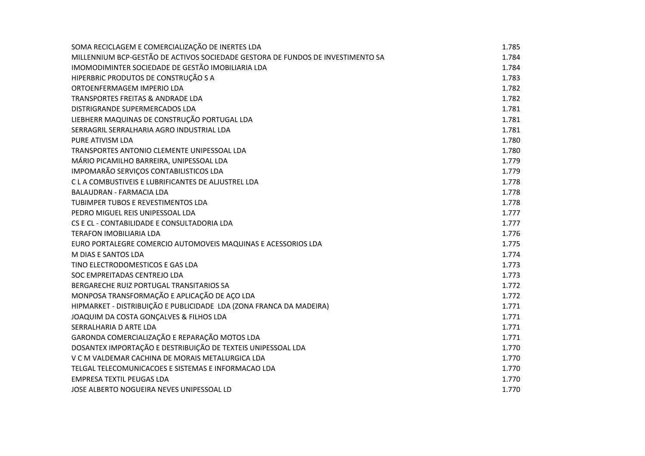| SOMA RECICLAGEM E COMERCIALIZAÇÃO DE INERTES LDA                                | 1.785 |
|---------------------------------------------------------------------------------|-------|
| MILLENNIUM BCP-GESTÃO DE ACTIVOS SOCIEDADE GESTORA DE FUNDOS DE INVESTIMENTO SA | 1.784 |
| IMOMODIMINTER SOCIEDADE DE GESTÃO IMOBILIARIA LDA                               | 1.784 |
| HIPERBRIC PRODUTOS DE CONSTRUÇÃO S A                                            | 1.783 |
| ORTOENFERMAGEM IMPERIO LDA                                                      | 1.782 |
| <b>TRANSPORTES FREITAS &amp; ANDRADE LDA</b>                                    | 1.782 |
| DISTRIGRANDE SUPERMERCADOS LDA                                                  | 1.781 |
| LIEBHERR MAQUINAS DE CONSTRUÇÃO PORTUGAL LDA                                    | 1.781 |
| SERRAGRIL SERRALHARIA AGRO INDUSTRIAL LDA                                       | 1.781 |
| <b>PURE ATIVISM LDA</b>                                                         | 1.780 |
| TRANSPORTES ANTONIO CLEMENTE UNIPESSOAL LDA                                     | 1.780 |
| MÁRIO PICAMILHO BARREIRA, UNIPESSOAL LDA                                        | 1.779 |
| IMPOMARÃO SERVIÇOS CONTABILISTICOS LDA                                          | 1.779 |
| C L A COMBUSTIVEIS E LUBRIFICANTES DE ALJUSTREL LDA                             | 1.778 |
| <b>BALAUDRAN - FARMACIA LDA</b>                                                 | 1.778 |
| TUBIMPER TUBOS E REVESTIMENTOS LDA                                              | 1.778 |
| PEDRO MIGUEL REIS UNIPESSOAL LDA                                                | 1.777 |
| CS E CL - CONTABILIDADE E CONSULTADORIA LDA                                     | 1.777 |
| <b>TERAFON IMOBILIARIA LDA</b>                                                  | 1.776 |
| EURO PORTALEGRE COMERCIO AUTOMOVEIS MAQUINAS E ACESSORIOS LDA                   | 1.775 |
| M DIAS E SANTOS LDA                                                             | 1.774 |
| TINO ELECTRODOMESTICOS E GAS LDA                                                | 1.773 |
| SOC EMPREITADAS CENTREJO LDA                                                    | 1.773 |
| BERGARECHE RUIZ PORTUGAL TRANSITARIOS SA                                        | 1.772 |
| MONPOSA TRANSFORMAÇÃO E APLICAÇÃO DE AÇO LDA                                    | 1.772 |
| HIPMARKET - DISTRIBUIÇÃO E PUBLICIDADE LDA (ZONA FRANCA DA MADEIRA)             | 1.771 |
| JOAQUIM DA COSTA GONÇALVES & FILHOS LDA                                         | 1.771 |
| SERRALHARIA D ARTE LDA                                                          | 1.771 |
| GARONDA COMERCIALIZAÇÃO E REPARAÇÃO MOTOS LDA                                   | 1.771 |
| DOSANTEX IMPORTAÇÃO E DESTRIBUIÇÃO DE TEXTEIS UNIPESSOAL LDA                    | 1.770 |
| V C M VALDEMAR CACHINA DE MORAIS METALURGICA LDA                                | 1.770 |
| TELGAL TELECOMUNICACOES E SISTEMAS E INFORMACAO LDA                             | 1.770 |
| <b>EMPRESA TEXTIL PEUGAS LDA</b>                                                | 1.770 |
| JOSE ALBERTO NOGUEIRA NEVES UNIPESSOAL LD                                       | 1.770 |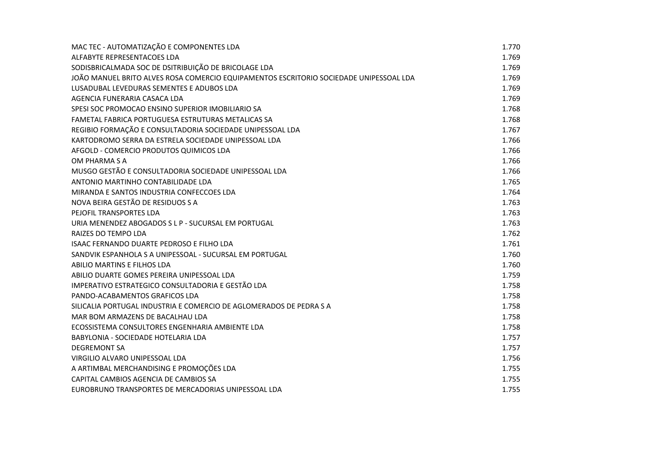| MAC TEC - AUTOMATIZAÇÃO E COMPONENTES LDA                                              | 1.770 |
|----------------------------------------------------------------------------------------|-------|
| ALFABYTE REPRESENTACOES LDA                                                            | 1.769 |
| SODISBRICALMADA SOC DE DSITRIBUIÇÃO DE BRICOLAGE LDA                                   | 1.769 |
| JOÃO MANUEL BRITO ALVES ROSA COMERCIO EQUIPAMENTOS ESCRITORIO SOCIEDADE UNIPESSOAL LDA | 1.769 |
| LUSADUBAL LEVEDURAS SEMENTES E ADUBOS LDA                                              | 1.769 |
| AGENCIA FUNERARIA CASACA LDA                                                           | 1.769 |
| SPESI SOC PROMOCAO ENSINO SUPERIOR IMOBILIARIO SA                                      | 1.768 |
| FAMETAL FABRICA PORTUGUESA ESTRUTURAS METALICAS SA                                     | 1.768 |
| REGIBIO FORMAÇÃO E CONSULTADORIA SOCIEDADE UNIPESSOAL LDA                              | 1.767 |
| KARTODROMO SERRA DA ESTRELA SOCIEDADE UNIPESSOAL LDA                                   | 1.766 |
| AFGOLD - COMERCIO PRODUTOS QUIMICOS LDA                                                | 1.766 |
| OM PHARMA S A                                                                          | 1.766 |
| MUSGO GESTÃO E CONSULTADORIA SOCIEDADE UNIPESSOAL LDA                                  | 1.766 |
| ANTONIO MARTINHO CONTABILIDADE LDA                                                     | 1.765 |
| MIRANDA E SANTOS INDUSTRIA CONFECCOES LDA                                              | 1.764 |
| NOVA BEIRA GESTÃO DE RESIDUOS S A                                                      | 1.763 |
| PEJOFIL TRANSPORTES LDA                                                                | 1.763 |
| URIA MENENDEZ ABOGADOS S L P - SUCURSAL EM PORTUGAL                                    | 1.763 |
| RAIZES DO TEMPO LDA                                                                    | 1.762 |
| ISAAC FERNANDO DUARTE PEDROSO E FILHO LDA                                              | 1.761 |
| SANDVIK ESPANHOLA S A UNIPESSOAL - SUCURSAL EM PORTUGAL                                | 1.760 |
| ABILIO MARTINS E FILHOS LDA                                                            | 1.760 |
| ABILIO DUARTE GOMES PEREIRA UNIPESSOAL LDA                                             | 1.759 |
| IMPERATIVO ESTRATEGICO CONSULTADORIA E GESTÃO LDA                                      | 1.758 |
| PANDO-ACABAMENTOS GRAFICOS LDA                                                         | 1.758 |
| SILICALIA PORTUGAL INDUSTRIA E COMERCIO DE AGLOMERADOS DE PEDRA S A                    | 1.758 |
| MAR BOM ARMAZENS DE BACALHAU LDA                                                       | 1.758 |
| ECOSSISTEMA CONSULTORES ENGENHARIA AMBIENTE LDA                                        | 1.758 |
| BABYLONIA - SOCIEDADE HOTELARIA LDA                                                    | 1.757 |
| <b>DEGREMONT SA</b>                                                                    | 1.757 |
| VIRGILIO ALVARO UNIPESSOAL LDA                                                         | 1.756 |
| A ARTIMBAL MERCHANDISING E PROMOÇÕES LDA                                               | 1.755 |
| CAPITAL CAMBIOS AGENCIA DE CAMBIOS SA                                                  | 1.755 |
| EUROBRUNO TRANSPORTES DE MERCADORIAS UNIPESSOAL LDA                                    | 1.755 |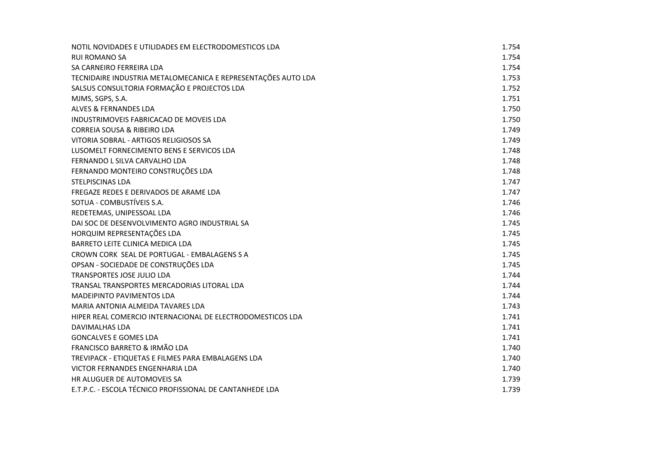| NOTIL NOVIDADES E UTILIDADES EM ELECTRODOMESTICOS LDA         | 1.754 |
|---------------------------------------------------------------|-------|
| <b>RUI ROMANO SA</b>                                          | 1.754 |
| SA CARNEIRO FERREIRA LDA                                      | 1.754 |
| TECNIDAIRE INDUSTRIA METALOMECANICA E REPRESENTAÇÕES AUTO LDA | 1.753 |
| SALSUS CONSULTORIA FORMAÇÃO E PROJECTOS LDA                   | 1.752 |
| MJMS, SGPS, S.A.                                              | 1.751 |
| <b>ALVES &amp; FERNANDES LDA</b>                              | 1.750 |
| INDUSTRIMOVEIS FABRICACAO DE MOVEIS LDA                       | 1.750 |
| <b>CORREIA SOUSA &amp; RIBEIRO LDA</b>                        | 1.749 |
| VITORIA SOBRAL - ARTIGOS RELIGIOSOS SA                        | 1.749 |
| LUSOMELT FORNECIMENTO BENS E SERVICOS LDA                     | 1.748 |
| FERNANDO L SILVA CARVALHO LDA                                 | 1.748 |
| FERNANDO MONTEIRO CONSTRUÇÕES LDA                             | 1.748 |
| STELPISCINAS LDA                                              | 1.747 |
| FREGAZE REDES E DERIVADOS DE ARAME LDA                        | 1.747 |
| SOTUA - COMBUSTÍVEIS S.A.                                     | 1.746 |
| REDETEMAS, UNIPESSOAL LDA                                     | 1.746 |
| DAI SOC DE DESENVOLVIMENTO AGRO INDUSTRIAL SA                 | 1.745 |
| HORQUIM REPRESENTAÇÕES LDA                                    | 1.745 |
| BARRETO LEITE CLINICA MEDICA LDA                              | 1.745 |
| CROWN CORK SEAL DE PORTUGAL - EMBALAGENS S A                  | 1.745 |
| OPSAN - SOCIEDADE DE CONSTRUÇÕES LDA                          | 1.745 |
| TRANSPORTES JOSE JULIO LDA                                    | 1.744 |
| TRANSAL TRANSPORTES MERCADORIAS LITORAL LDA                   | 1.744 |
| <b>MADEIPINTO PAVIMENTOS LDA</b>                              | 1.744 |
| MARIA ANTONIA ALMEIDA TAVARES LDA                             | 1.743 |
| HIPER REAL COMERCIO INTERNACIONAL DE ELECTRODOMESTICOS LDA    | 1.741 |
| <b>DAVIMALHAS LDA</b>                                         | 1.741 |
| <b>GONCALVES E GOMES LDA</b>                                  | 1.741 |
| FRANCISCO BARRETO & IRMÃO LDA                                 | 1.740 |
| TREVIPACK - ETIQUETAS E FILMES PARA EMBALAGENS LDA            | 1.740 |
| VICTOR FERNANDES ENGENHARIA LDA                               | 1.740 |
| HR ALUGUER DE AUTOMOVEIS SA                                   | 1.739 |
| E.T.P.C. - ESCOLA TÉCNICO PROFISSIONAL DE CANTANHEDE LDA      | 1.739 |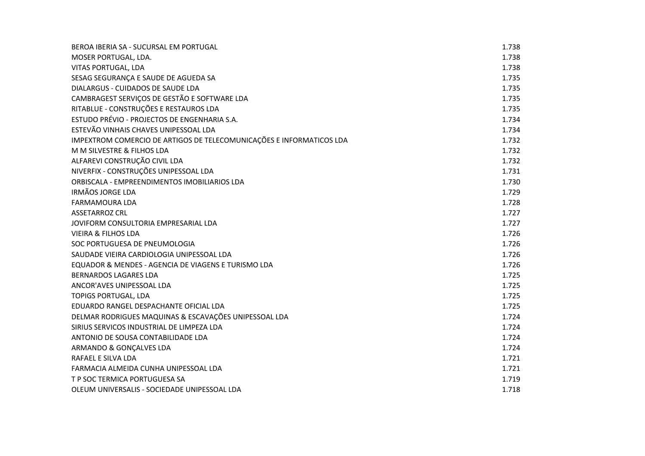| BEROA IBERIA SA - SUCURSAL EM PORTUGAL                               | 1.738 |
|----------------------------------------------------------------------|-------|
| MOSER PORTUGAL, LDA.                                                 | 1.738 |
| VITAS PORTUGAL, LDA                                                  | 1.738 |
| SESAG SEGURANÇA E SAUDE DE AGUEDA SA                                 | 1.735 |
| DIALARGUS - CUIDADOS DE SAUDE LDA                                    | 1.735 |
| CAMBRAGEST SERVIÇOS DE GESTÃO E SOFTWARE LDA                         | 1.735 |
| RITABLUE - CONSTRUÇÕES E RESTAUROS LDA                               | 1.735 |
| ESTUDO PRÉVIO - PROJECTOS DE ENGENHARIA S.A.                         | 1.734 |
| ESTEVÃO VINHAIS CHAVES UNIPESSOAL LDA                                | 1.734 |
| IMPEXTROM COMERCIO DE ARTIGOS DE TELECOMUNICAÇÕES E INFORMATICOS LDA | 1.732 |
| M M SILVESTRE & FILHOS LDA                                           | 1.732 |
| ALFAREVI CONSTRUÇÃO CIVIL LDA                                        | 1.732 |
| NIVERFIX - CONSTRUÇÕES UNIPESSOAL LDA                                | 1.731 |
| ORBISCALA - EMPREENDIMENTOS IMOBILIARIOS LDA                         | 1.730 |
| <b>IRMÃOS JORGE LDA</b>                                              | 1.729 |
| <b>FARMAMOURA LDA</b>                                                | 1.728 |
| <b>ASSETARROZ CRL</b>                                                | 1.727 |
| JOVIFORM CONSULTORIA EMPRESARIAL LDA                                 | 1.727 |
| <b>VIEIRA &amp; FILHOS LDA</b>                                       | 1.726 |
| SOC PORTUGUESA DE PNEUMOLOGIA                                        | 1.726 |
| SAUDADE VIEIRA CARDIOLOGIA UNIPESSOAL LDA                            | 1.726 |
| EQUADOR & MENDES - AGENCIA DE VIAGENS E TURISMO LDA                  | 1.726 |
| <b>BERNARDOS LAGARES LDA</b>                                         | 1.725 |
| ANCOR'AVES UNIPESSOAL LDA                                            | 1.725 |
| TOPIGS PORTUGAL, LDA                                                 | 1.725 |
| EDUARDO RANGEL DESPACHANTE OFICIAL LDA                               | 1.725 |
| DELMAR RODRIGUES MAQUINAS & ESCAVAÇÕES UNIPESSOAL LDA                | 1.724 |
| SIRIUS SERVICOS INDUSTRIAL DE LIMPEZA LDA                            | 1.724 |
| ANTONIO DE SOUSA CONTABILIDADE LDA                                   | 1.724 |
| ARMANDO & GONÇALVES LDA                                              | 1.724 |
| RAFAEL E SILVA LDA                                                   | 1.721 |
| FARMACIA ALMEIDA CUNHA UNIPESSOAL LDA                                | 1.721 |
| T P SOC TERMICA PORTUGUESA SA                                        | 1.719 |
| OLEUM UNIVERSALIS - SOCIEDADE UNIPESSOAL LDA                         | 1.718 |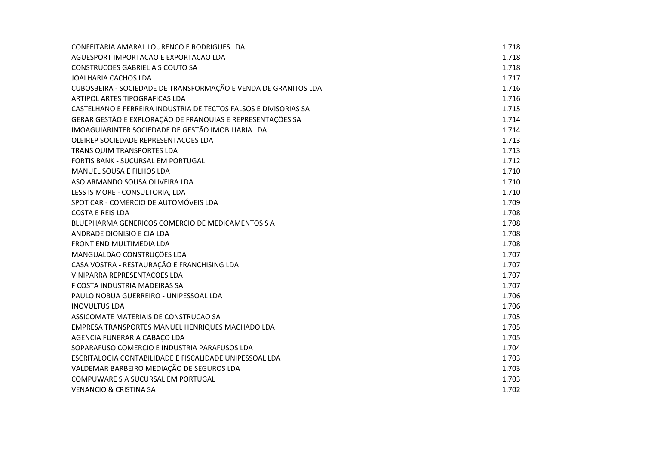| CONFEITARIA AMARAL LOURENCO E RODRIGUES LDA                      | 1.718 |
|------------------------------------------------------------------|-------|
| AGUESPORT IMPORTACAO E EXPORTACAO LDA                            | 1.718 |
| <b>CONSTRUCOES GABRIEL A S COUTO SA</b>                          | 1.718 |
| JOALHARIA CACHOS LDA                                             | 1.717 |
| CUBOSBEIRA - SOCIEDADE DE TRANSFORMAÇÃO E VENDA DE GRANITOS LDA  | 1.716 |
| ARTIPOL ARTES TIPOGRAFICAS LDA                                   | 1.716 |
| CASTELHANO E FERREIRA INDUSTRIA DE TECTOS FALSOS E DIVISORIAS SA | 1.715 |
| GERAR GESTÃO E EXPLORAÇÃO DE FRANQUIAS E REPRESENTAÇÕES SA       | 1.714 |
| IMOAGUIARINTER SOCIEDADE DE GESTÃO IMOBILIARIA LDA               | 1.714 |
| OLEIREP SOCIEDADE REPRESENTACOES LDA                             | 1.713 |
| TRANS QUIM TRANSPORTES LDA                                       | 1.713 |
| FORTIS BANK - SUCURSAL EM PORTUGAL                               | 1.712 |
| MANUEL SOUSA E FILHOS LDA                                        | 1.710 |
| ASO ARMANDO SOUSA OLIVEIRA LDA                                   | 1.710 |
| LESS IS MORE - CONSULTORIA, LDA                                  | 1.710 |
| SPOT CAR - COMÉRCIO DE AUTOMÓVEIS LDA                            | 1.709 |
| <b>COSTA E REIS LDA</b>                                          | 1.708 |
| BLUEPHARMA GENERICOS COMERCIO DE MEDICAMENTOS S A                | 1.708 |
| ANDRADE DIONISIO E CIA LDA                                       | 1.708 |
| FRONT END MULTIMEDIA LDA                                         | 1.708 |
| MANGUALDÃO CONSTRUÇÕES LDA                                       | 1.707 |
| CASA VOSTRA - RESTAURAÇÃO E FRANCHISING LDA                      | 1.707 |
| VINIPARRA REPRESENTACOES LDA                                     | 1.707 |
| F COSTA INDUSTRIA MADEIRAS SA                                    | 1.707 |
| PAULO NOBUA GUERREIRO - UNIPESSOAL LDA                           | 1.706 |
| <b>INOVULTUS LDA</b>                                             | 1.706 |
| ASSICOMATE MATERIAIS DE CONSTRUCAO SA                            | 1.705 |
| EMPRESA TRANSPORTES MANUEL HENRIQUES MACHADO LDA                 | 1.705 |
| AGENCIA FUNERARIA CABAÇO LDA                                     | 1.705 |
| SOPARAFUSO COMERCIO E INDUSTRIA PARAFUSOS LDA                    | 1.704 |
| ESCRITALOGIA CONTABILIDADE E FISCALIDADE UNIPESSOAL LDA          | 1.703 |
| VALDEMAR BARBEIRO MEDIAÇÃO DE SEGUROS LDA                        | 1.703 |
| COMPUWARE S A SUCURSAL EM PORTUGAL                               | 1.703 |
| <b>VENANCIO &amp; CRISTINA SA</b>                                | 1.702 |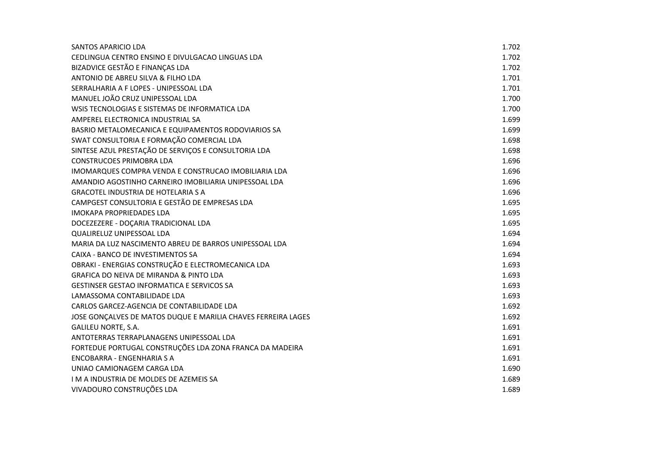| SANTOS APARICIO LDA                                           | 1.702 |
|---------------------------------------------------------------|-------|
| CEDLINGUA CENTRO ENSINO E DIVULGACAO LINGUAS LDA              | 1.702 |
| BIZADVICE GESTÃO E FINANÇAS LDA                               | 1.702 |
| ANTONIO DE ABREU SILVA & FILHO LDA                            | 1.701 |
| SERRALHARIA A F LOPES - UNIPESSOAL LDA                        | 1.701 |
| MANUEL JOÃO CRUZ UNIPESSOAL LDA                               | 1.700 |
| WSIS TECNOLOGIAS E SISTEMAS DE INFORMATICA LDA                | 1.700 |
| AMPEREL ELECTRONICA INDUSTRIAL SA                             | 1.699 |
| BASRIO METALOMECANICA E EQUIPAMENTOS RODOVIARIOS SA           | 1.699 |
| SWAT CONSULTORIA E FORMAÇÃO COMERCIAL LDA                     | 1.698 |
| SINTESE AZUL PRESTAÇÃO DE SERVIÇOS E CONSULTORIA LDA          | 1.698 |
| <b>CONSTRUCOES PRIMOBRA LDA</b>                               | 1.696 |
| IMOMARQUES COMPRA VENDA E CONSTRUCAO IMOBILIARIA LDA          | 1.696 |
| AMANDIO AGOSTINHO CARNEIRO IMOBILIARIA UNIPESSOAL LDA         | 1.696 |
| <b>GRACOTEL INDUSTRIA DE HOTELARIA S A</b>                    | 1.696 |
| CAMPGEST CONSULTORIA E GESTÃO DE EMPRESAS LDA                 | 1.695 |
| <b>IMOKAPA PROPRIEDADES LDA</b>                               | 1.695 |
| DOCEZEZERE - DOÇARIA TRADICIONAL LDA                          | 1.695 |
| QUALIRELUZ UNIPESSOAL LDA                                     | 1.694 |
| MARIA DA LUZ NASCIMENTO ABREU DE BARROS UNIPESSOAL LDA        | 1.694 |
| CAIXA - BANCO DE INVESTIMENTOS SA                             | 1.694 |
| OBRAKI - ENERGIAS CONSTRUÇÃO E ELECTROMECANICA LDA            | 1.693 |
| GRAFICA DO NEIVA DE MIRANDA & PINTO LDA                       | 1.693 |
| <b>GESTINSER GESTAO INFORMATICA E SERVICOS SA</b>             | 1.693 |
| LAMASSOMA CONTABILIDADE LDA                                   | 1.693 |
| CARLOS GARCEZ-AGENCIA DE CONTABILIDADE LDA                    | 1.692 |
| JOSE GONÇALVES DE MATOS DUQUE E MARILIA CHAVES FERREIRA LAGES | 1.692 |
| <b>GALILEU NORTE, S.A.</b>                                    | 1.691 |
| ANTOTERRAS TERRAPLANAGENS UNIPESSOAL LDA                      | 1.691 |
| FORTEDUE PORTUGAL CONSTRUÇÕES LDA ZONA FRANCA DA MADEIRA      | 1.691 |
| ENCOBARRA - ENGENHARIA S A                                    | 1.691 |
| UNIAO CAMIONAGEM CARGA LDA                                    | 1.690 |
| I M A INDUSTRIA DE MOLDES DE AZEMEIS SA                       | 1.689 |
| VIVADOURO CONSTRUÇÕES LDA                                     | 1.689 |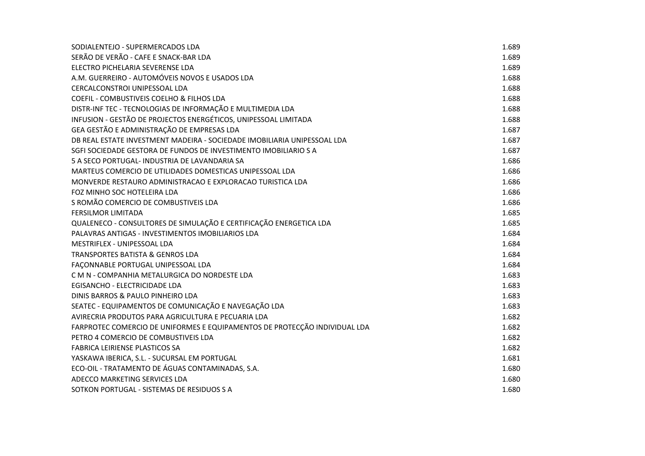| SODIALENTEJO - SUPERMERCADOS LDA                                           | 1.689 |
|----------------------------------------------------------------------------|-------|
| SERÃO DE VERÃO - CAFE E SNACK-BAR LDA                                      | 1.689 |
| ELECTRO PICHELARIA SEVERENSE LDA                                           | 1.689 |
| A.M. GUERREIRO - AUTOMÓVEIS NOVOS E USADOS LDA                             | 1.688 |
| CERCALCONSTROI UNIPESSOAL LDA                                              | 1.688 |
| COEFIL - COMBUSTIVEIS COELHO & FILHOS LDA                                  | 1.688 |
| DISTR-INF TEC - TECNOLOGIAS DE INFORMAÇÃO E MULTIMEDIA LDA                 | 1.688 |
| INFUSION - GESTÃO DE PROJECTOS ENERGÉTICOS, UNIPESSOAL LIMITADA            | 1.688 |
| GEA GESTÃO E ADMINISTRAÇÃO DE EMPRESAS LDA                                 | 1.687 |
| DB REAL ESTATE INVESTMENT MADEIRA - SOCIEDADE IMOBILIARIA UNIPESSOAL LDA   | 1.687 |
| SGFI SOCIEDADE GESTORA DE FUNDOS DE INVESTIMENTO IMOBILIARIO S A           | 1.687 |
| 5 A SECO PORTUGAL- INDUSTRIA DE LAVANDARIA SA                              | 1.686 |
| MARTEUS COMERCIO DE UTILIDADES DOMESTICAS UNIPESSOAL LDA                   | 1.686 |
| MONVERDE RESTAURO ADMINISTRACAO E EXPLORACAO TURISTICA LDA                 | 1.686 |
| FOZ MINHO SOC HOTELEIRA LDA                                                | 1.686 |
| S ROMÃO COMERCIO DE COMBUSTIVEIS LDA                                       | 1.686 |
| <b>FERSILMOR LIMITADA</b>                                                  | 1.685 |
| QUALENECO - CONSULTORES DE SIMULAÇÃO E CERTIFICAÇÃO ENERGETICA LDA         | 1.685 |
| PALAVRAS ANTIGAS - INVESTIMENTOS IMOBILIARIOS LDA                          | 1.684 |
| MESTRIFLEX - UNIPESSOAL LDA                                                | 1.684 |
| <b>TRANSPORTES BATISTA &amp; GENROS LDA</b>                                | 1.684 |
| FAÇONNABLE PORTUGAL UNIPESSOAL LDA                                         | 1.684 |
| CMN-COMPANHIA METALURGICA DO NORDESTE LDA                                  | 1.683 |
| EGISANCHO - ELECTRICIDADE LDA                                              | 1.683 |
| DINIS BARROS & PAULO PINHEIRO LDA                                          | 1.683 |
| SEATEC - EQUIPAMENTOS DE COMUNICAÇÃO E NAVEGAÇÃO LDA                       | 1.683 |
| AVIRECRIA PRODUTOS PARA AGRICULTURA E PECUARIA LDA                         | 1.682 |
| FARPROTEC COMERCIO DE UNIFORMES E EQUIPAMENTOS DE PROTECÇÃO INDIVIDUAL LDA | 1.682 |
| PETRO 4 COMERCIO DE COMBUSTIVEIS LDA                                       | 1.682 |
| FABRICA LEIRIENSE PLASTICOS SA                                             | 1.682 |
| YASKAWA IBERICA, S.L. - SUCURSAL EM PORTUGAL                               | 1.681 |
| ECO-OIL - TRATAMENTO DE ÁGUAS CONTAMINADAS, S.A.                           | 1.680 |
| ADECCO MARKETING SERVICES LDA                                              | 1.680 |
| SOTKON PORTUGAL - SISTEMAS DE RESIDUOS S A                                 | 1.680 |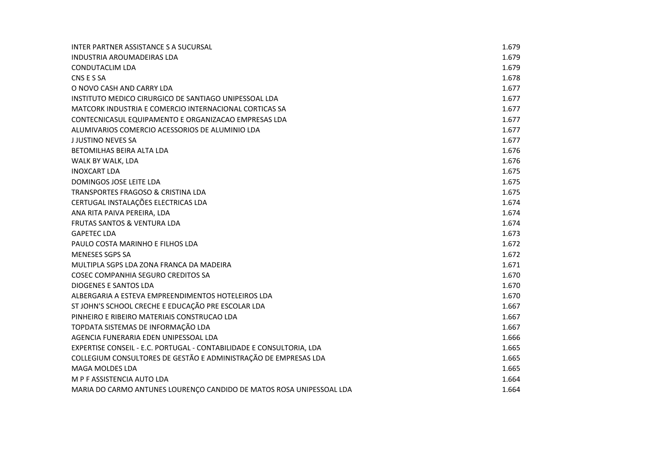| INTER PARTNER ASSISTANCE S A SUCURSAL                                | 1.679 |
|----------------------------------------------------------------------|-------|
| <b>INDUSTRIA AROUMADEIRAS LDA</b>                                    | 1.679 |
| <b>CONDUTACLIM LDA</b>                                               | 1.679 |
| CNS E S SA                                                           | 1.678 |
| O NOVO CASH AND CARRY LDA                                            | 1.677 |
| INSTITUTO MEDICO CIRURGICO DE SANTIAGO UNIPESSOAL LDA                | 1.677 |
| MATCORK INDUSTRIA E COMERCIO INTERNACIONAL CORTICAS SA               | 1.677 |
| CONTECNICASUL EQUIPAMENTO E ORGANIZACAO EMPRESAS LDA                 | 1.677 |
| ALUMIVARIOS COMERCIO ACESSORIOS DE ALUMINIO LDA                      | 1.677 |
| <b>JJUSTINO NEVES SA</b>                                             | 1.677 |
| BETOMILHAS BEIRA ALTA LDA                                            | 1.676 |
| WALK BY WALK, LDA                                                    | 1.676 |
| <b>INOXCART LDA</b>                                                  | 1.675 |
| DOMINGOS JOSE LEITE LDA                                              | 1.675 |
| TRANSPORTES FRAGOSO & CRISTINA LDA                                   | 1.675 |
| CERTUGAL INSTALAÇÕES ELECTRICAS LDA                                  | 1.674 |
| ANA RITA PAIVA PEREIRA, LDA                                          | 1.674 |
| FRUTAS SANTOS & VENTURA LDA                                          | 1.674 |
| <b>GAPETEC LDA</b>                                                   | 1.673 |
| PAULO COSTA MARINHO E FILHOS LDA                                     | 1.672 |
| <b>MENESES SGPS SA</b>                                               | 1.672 |
| MULTIPLA SGPS LDA ZONA FRANCA DA MADEIRA                             | 1.671 |
| <b>COSEC COMPANHIA SEGURO CREDITOS SA</b>                            | 1.670 |
| <b>DIOGENES E SANTOS LDA</b>                                         | 1.670 |
| ALBERGARIA A ESTEVA EMPREENDIMENTOS HOTELEIROS LDA                   | 1.670 |
| ST JOHN'S SCHOOL CRECHE E EDUCAÇÃO PRE ESCOLAR LDA                   | 1.667 |
| PINHEIRO E RIBEIRO MATERIAIS CONSTRUCAO LDA                          | 1.667 |
| TOPDATA SISTEMAS DE INFORMAÇÃO LDA                                   | 1.667 |
| AGENCIA FUNERARIA EDEN UNIPESSOAL LDA                                | 1.666 |
| EXPERTISE CONSEIL - E.C. PORTUGAL - CONTABILIDADE E CONSULTORIA, LDA | 1.665 |
| COLLEGIUM CONSULTORES DE GESTÃO E ADMINISTRAÇÃO DE EMPRESAS LDA      | 1.665 |
| <b>MAGA MOLDES LDA</b>                                               | 1.665 |
| M P F ASSISTENCIA AUTO LDA                                           | 1.664 |
| MARIA DO CARMO ANTUNES LOURENÇO CANDIDO DE MATOS ROSA UNIPESSOAL LDA | 1.664 |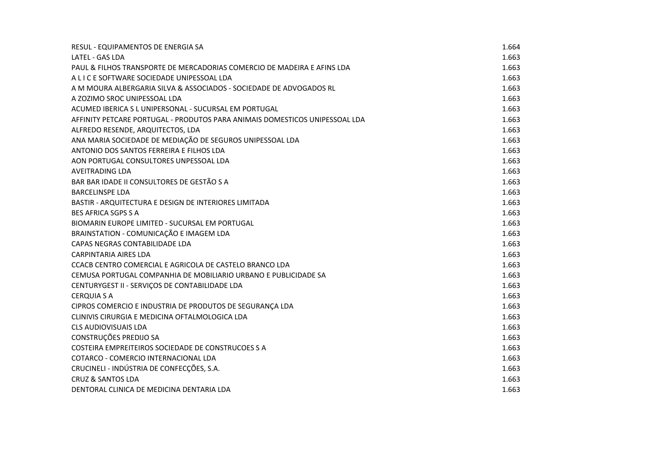| RESUL - EQUIPAMENTOS DE ENERGIA SA                                          | 1.664 |
|-----------------------------------------------------------------------------|-------|
| <b>LATEL - GAS LDA</b>                                                      | 1.663 |
| PAUL & FILHOS TRANSPORTE DE MERCADORIAS COMERCIO DE MADEIRA E AFINS LDA     | 1.663 |
| A L I C E SOFTWARE SOCIEDADE UNIPESSOAL LDA                                 | 1.663 |
| A M MOURA ALBERGARIA SILVA & ASSOCIADOS - SOCIEDADE DE ADVOGADOS RL         | 1.663 |
| A ZOZIMO SROC UNIPESSOAL LDA                                                | 1.663 |
| ACUMED IBERICA S L UNIPERSONAL - SUCURSAL EM PORTUGAL                       | 1.663 |
| AFFINITY PETCARE PORTUGAL - PRODUTOS PARA ANIMAIS DOMESTICOS UNIPESSOAL LDA | 1.663 |
| ALFREDO RESENDE, ARQUITECTOS, LDA                                           | 1.663 |
| ANA MARIA SOCIEDADE DE MEDIAÇÃO DE SEGUROS UNIPESSOAL LDA                   | 1.663 |
| ANTONIO DOS SANTOS FERREIRA E FILHOS LDA                                    | 1.663 |
| AON PORTUGAL CONSULTORES UNPESSOAL LDA                                      | 1.663 |
| <b>AVEITRADING LDA</b>                                                      | 1.663 |
| BAR BAR IDADE II CONSULTORES DE GESTÃO S A                                  | 1.663 |
| <b>BARCELINSPE LDA</b>                                                      | 1.663 |
| BASTIR - ARQUITECTURA E DESIGN DE INTERIORES LIMITADA                       | 1.663 |
| <b>BES AFRICA SGPS S A</b>                                                  | 1.663 |
| BIOMARIN EUROPE LIMITED - SUCURSAL EM PORTUGAL                              | 1.663 |
| BRAINSTATION - COMUNICAÇÃO E IMAGEM LDA                                     | 1.663 |
| CAPAS NEGRAS CONTABILIDADE LDA                                              | 1.663 |
| <b>CARPINTARIA AIRES LDA</b>                                                | 1.663 |
| CCACB CENTRO COMERCIAL E AGRICOLA DE CASTELO BRANCO LDA                     | 1.663 |
| CEMUSA PORTUGAL COMPANHIA DE MOBILIARIO URBANO E PUBLICIDADE SA             | 1.663 |
| CENTURYGEST II - SERVIÇOS DE CONTABILIDADE LDA                              | 1.663 |
| <b>CERQUIA S A</b>                                                          | 1.663 |
| CIPROS COMERCIO E INDUSTRIA DE PRODUTOS DE SEGURANÇA LDA                    | 1.663 |
| CLINIVIS CIRURGIA E MEDICINA OFTALMOLOGICA LDA                              | 1.663 |
| <b>CLS AUDIOVISUAIS LDA</b>                                                 | 1.663 |
| CONSTRUÇÕES PREDIJO SA                                                      | 1.663 |
| COSTEIRA EMPREITEIROS SOCIEDADE DE CONSTRUCOES S A                          | 1.663 |
| COTARCO - COMERCIO INTERNACIONAL LDA                                        | 1.663 |
| CRUCINELI - INDÚSTRIA DE CONFECÇÕES, S.A.                                   | 1.663 |
| <b>CRUZ &amp; SANTOS LDA</b>                                                | 1.663 |
| DENTORAL CLINICA DE MEDICINA DENTARIA LDA                                   | 1.663 |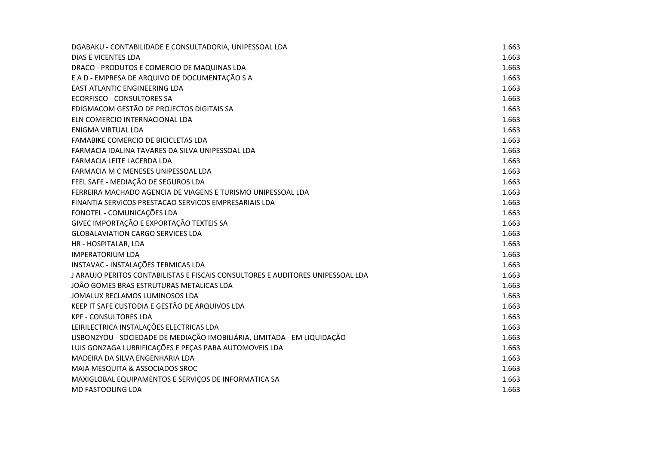| DGABAKU - CONTABILIDADE E CONSULTADORIA, UNIPESSOAL LDA                         | 1.663 |
|---------------------------------------------------------------------------------|-------|
| <b>DIAS E VICENTES LDA</b>                                                      | 1.663 |
| DRACO - PRODUTOS E COMERCIO DE MAQUINAS LDA                                     | 1.663 |
| E A D - EMPRESA DE ARQUIVO DE DOCUMENTAÇÃO S A                                  | 1.663 |
| <b>EAST ATLANTIC ENGINEERING LDA</b>                                            | 1.663 |
| <b>ECORFISCO - CONSULTORES SA</b>                                               | 1.663 |
| EDIGMACOM GESTÃO DE PROJECTOS DIGITAIS SA                                       | 1.663 |
| ELN COMERCIO INTERNACIONAL LDA                                                  | 1.663 |
| <b>ENIGMA VIRTUAL LDA</b>                                                       | 1.663 |
| <b>FAMABIKE COMERCIO DE BICICLETAS LDA</b>                                      | 1.663 |
| FARMACIA IDALINA TAVARES DA SILVA UNIPESSOAL LDA                                | 1.663 |
| FARMACIA LEITE LACERDA LDA                                                      | 1.663 |
| FARMACIA M C MENESES UNIPESSOAL LDA                                             | 1.663 |
| FEEL SAFE - MEDIAÇÃO DE SEGUROS LDA                                             | 1.663 |
| FERREIRA MACHADO AGENCIA DE VIAGENS E TURISMO UNIPESSOAL LDA                    | 1.663 |
| FINANTIA SERVICOS PRESTACAO SERVICOS EMPRESARIAIS LDA                           | 1.663 |
| FONOTEL - COMUNICAÇÕES LDA                                                      | 1.663 |
| GIVEC IMPORTAÇÃO E EXPORTAÇÃO TEXTEIS SA                                        | 1.663 |
| <b>GLOBALAVIATION CARGO SERVICES LDA</b>                                        | 1.663 |
| HR - HOSPITALAR, LDA                                                            | 1.663 |
| <b>IMPERATORIUM LDA</b>                                                         | 1.663 |
| INSTAVAC - INSTALAÇÕES TERMICAS LDA                                             | 1.663 |
| J ARAUJO PERITOS CONTABILISTAS E FISCAIS CONSULTORES E AUDITORES UNIPESSOAL LDA | 1.663 |
| JOÃO GOMES BRAS ESTRUTURAS METALICAS LDA                                        | 1.663 |
| JOMALUX RECLAMOS LUMINOSOS LDA                                                  | 1.663 |
| KEEP IT SAFE CUSTODIA E GESTÃO DE ARQUIVOS LDA                                  | 1.663 |
| <b>KPF - CONSULTORES LDA</b>                                                    | 1.663 |
| LEIRILECTRICA INSTALAÇÕES ELECTRICAS LDA                                        | 1.663 |
| LISBON2YOU - SOCIEDADE DE MEDIAÇÃO IMOBILIÁRIA, LIMITADA - EM LIQUIDAÇÃO        | 1.663 |
| LUIS GONZAGA LUBRIFICAÇÕES E PEÇAS PARA AUTOMOVEIS LDA                          | 1.663 |
| MADEIRA DA SILVA ENGENHARIA LDA                                                 | 1.663 |
| MAIA MESQUITA & ASSOCIADOS SROC                                                 | 1.663 |
| MAXIGLOBAL EQUIPAMENTOS E SERVIÇOS DE INFORMATICA SA                            | 1.663 |
| <b>MD FASTOOLING LDA</b>                                                        | 1.663 |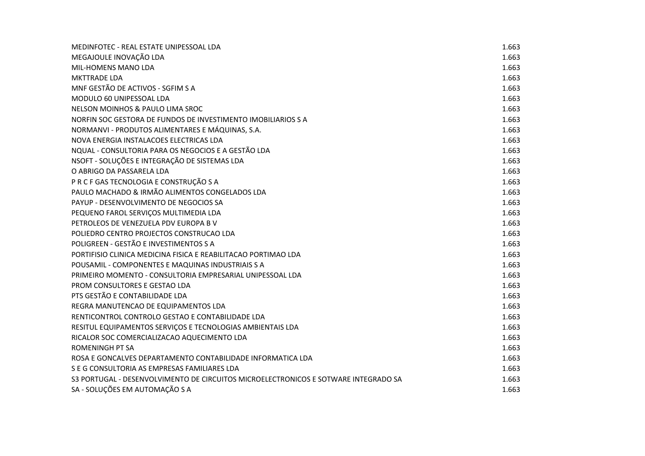| MEDINFOTEC - REAL ESTATE UNIPESSOAL LDA                                             | 1.663 |
|-------------------------------------------------------------------------------------|-------|
| MEGAJOULE INOVAÇÃO LDA                                                              | 1.663 |
| MIL-HOMENS MANO LDA                                                                 | 1.663 |
| <b>MKTTRADE LDA</b>                                                                 | 1.663 |
| MNF GESTÃO DE ACTIVOS - SGFIM S A                                                   | 1.663 |
| MODULO 60 UNIPESSOAL LDA                                                            | 1.663 |
| NELSON MOINHOS & PAULO LIMA SROC                                                    | 1.663 |
| NORFIN SOC GESTORA DE FUNDOS DE INVESTIMENTO IMOBILIARIOS S A                       | 1.663 |
| NORMANVI - PRODUTOS ALIMENTARES E MÁQUINAS, S.A.                                    | 1.663 |
| NOVA ENERGIA INSTALACOES ELECTRICAS LDA                                             | 1.663 |
| NQUAL - CONSULTORIA PARA OS NEGOCIOS E A GESTÃO LDA                                 | 1.663 |
| NSOFT - SOLUÇÕES E INTEGRAÇÃO DE SISTEMAS LDA                                       | 1.663 |
| O ABRIGO DA PASSARELA LDA                                                           | 1.663 |
| P R C F GAS TECNOLOGIA E CONSTRUÇÃO S A                                             | 1.663 |
| PAULO MACHADO & IRMÃO ALIMENTOS CONGELADOS LDA                                      | 1.663 |
| PAYUP - DESENVOLVIMENTO DE NEGOCIOS SA                                              | 1.663 |
| PEQUENO FAROL SERVIÇOS MULTIMEDIA LDA                                               | 1.663 |
| PETROLEOS DE VENEZUELA PDV EUROPA B V                                               | 1.663 |
| POLIEDRO CENTRO PROJECTOS CONSTRUCAO LDA                                            | 1.663 |
| POLIGREEN - GESTÃO E INVESTIMENTOS S A                                              | 1.663 |
| PORTIFISIO CLINICA MEDICINA FISICA E REABILITACAO PORTIMAO LDA                      | 1.663 |
| POUSAMIL - COMPONENTES E MAQUINAS INDUSTRIAIS S A                                   | 1.663 |
| PRIMEIRO MOMENTO - CONSULTORIA EMPRESARIAL UNIPESSOAL LDA                           | 1.663 |
| PROM CONSULTORES E GESTAO LDA                                                       | 1.663 |
| PTS GESTÃO E CONTABILIDADE LDA                                                      | 1.663 |
| REGRA MANUTENCAO DE EQUIPAMENTOS LDA                                                | 1.663 |
| RENTICONTROL CONTROLO GESTAO E CONTABILIDADE LDA                                    | 1.663 |
| RESITUL EQUIPAMENTOS SERVIÇOS E TECNOLOGIAS AMBIENTAIS LDA                          | 1.663 |
| RICALOR SOC COMERCIALIZACAO AQUECIMENTO LDA                                         | 1.663 |
| <b>ROMENINGH PT SA</b>                                                              | 1.663 |
| ROSA E GONCALVES DEPARTAMENTO CONTABILIDADE INFORMATICA LDA                         | 1.663 |
| S E G CONSULTORIA AS EMPRESAS FAMILIARES LDA                                        | 1.663 |
| S3 PORTUGAL - DESENVOLVIMENTO DE CIRCUITOS MICROELECTRONICOS E SOTWARE INTEGRADO SA | 1.663 |
| SA - SOLUÇÕES EM AUTOMAÇÃO S A                                                      | 1.663 |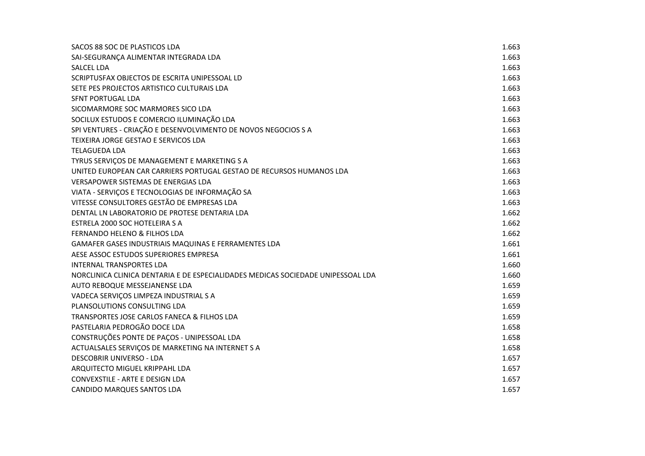| SACOS 88 SOC DE PLASTICOS LDA                                                    | 1.663 |
|----------------------------------------------------------------------------------|-------|
| SAI-SEGURANÇA ALIMENTAR INTEGRADA LDA                                            | 1.663 |
| <b>SALCEL LDA</b>                                                                | 1.663 |
| SCRIPTUSFAX OBJECTOS DE ESCRITA UNIPESSOAL LD                                    | 1.663 |
| SETE PES PROJECTOS ARTISTICO CULTURAIS LDA                                       | 1.663 |
| SFNT PORTUGAL LDA                                                                | 1.663 |
| SICOMARMORE SOC MARMORES SICO LDA                                                | 1.663 |
| SOCILUX ESTUDOS E COMERCIO ILUMINAÇÃO LDA                                        | 1.663 |
| SPI VENTURES - CRIAÇÃO E DESENVOLVIMENTO DE NOVOS NEGOCIOS S A                   | 1.663 |
| TEIXEIRA JORGE GESTAO E SERVICOS LDA                                             | 1.663 |
| <b>TELAGUEDA LDA</b>                                                             | 1.663 |
| TYRUS SERVIÇOS DE MANAGEMENT E MARKETING S A                                     | 1.663 |
| UNITED EUROPEAN CAR CARRIERS PORTUGAL GESTAO DE RECURSOS HUMANOS LDA             | 1.663 |
| <b>VERSAPOWER SISTEMAS DE ENERGIAS LDA</b>                                       | 1.663 |
| VIATA - SERVIÇOS E TECNOLOGIAS DE INFORMAÇÃO SA                                  | 1.663 |
| VITESSE CONSULTORES GESTÃO DE EMPRESAS LDA                                       | 1.663 |
| DENTAL LN LABORATORIO DE PROTESE DENTARIA LDA                                    | 1.662 |
| ESTRELA 2000 SOC HOTELEIRA S A                                                   | 1.662 |
| FERNANDO HELENO & FILHOS LDA                                                     | 1.662 |
| <b>GAMAFER GASES INDUSTRIAIS MAQUINAS E FERRAMENTES LDA</b>                      | 1.661 |
| AESE ASSOC ESTUDOS SUPERIORES EMPRESA                                            | 1.661 |
| <b>INTERNAL TRANSPORTES LDA</b>                                                  | 1.660 |
| NORCLINICA CLINICA DENTARIA E DE ESPECIALIDADES MEDICAS SOCIEDADE UNIPESSOAL LDA | 1.660 |
| AUTO REBOQUE MESSEJANENSE LDA                                                    | 1.659 |
| VADECA SERVIÇOS LIMPEZA INDUSTRIAL S A                                           | 1.659 |
| PLANSOLUTIONS CONSULTING LDA                                                     | 1.659 |
| TRANSPORTES JOSE CARLOS FANECA & FILHOS LDA                                      | 1.659 |
| PASTELARIA PEDROGÃO DOCE LDA                                                     | 1.658 |
| CONSTRUÇÕES PONTE DE PAÇOS - UNIPESSOAL LDA                                      | 1.658 |
| ACTUALSALES SERVIÇOS DE MARKETING NA INTERNET S A                                | 1.658 |
| DESCOBRIR UNIVERSO - LDA                                                         | 1.657 |
| ARQUITECTO MIGUEL KRIPPAHL LDA                                                   | 1.657 |
| CONVEXSTILE - ARTE E DESIGN LDA                                                  | 1.657 |
| CANDIDO MARQUES SANTOS LDA                                                       | 1.657 |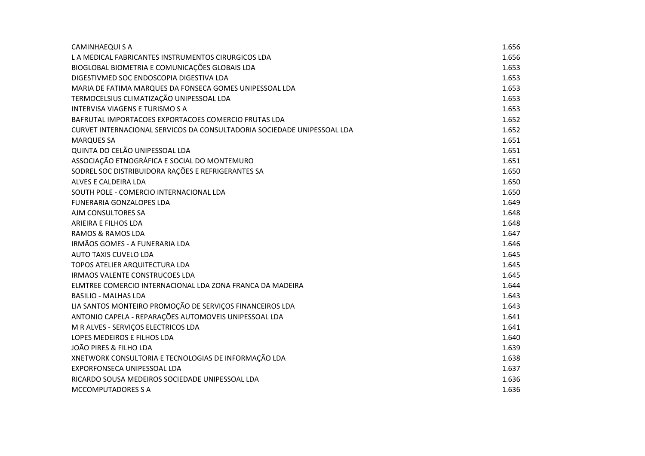| <b>CAMINHAEQUIS A</b>                                                   | 1.656 |
|-------------------------------------------------------------------------|-------|
| L A MEDICAL FABRICANTES INSTRUMENTOS CIRURGICOS LDA                     | 1.656 |
| BIOGLOBAL BIOMETRIA E COMUNICAÇÕES GLOBAIS LDA                          | 1.653 |
| DIGESTIVMED SOC ENDOSCOPIA DIGESTIVA LDA                                | 1.653 |
| MARIA DE FATIMA MARQUES DA FONSECA GOMES UNIPESSOAL LDA                 | 1.653 |
| TERMOCELSIUS CLIMATIZAÇÃO UNIPESSOAL LDA                                | 1.653 |
| <b>INTERVISA VIAGENS E TURISMO S A</b>                                  | 1.653 |
| BAFRUTAL IMPORTACOES EXPORTACOES COMERCIO FRUTAS LDA                    | 1.652 |
| CURVET INTERNACIONAL SERVICOS DA CONSULTADORIA SOCIEDADE UNIPESSOAL LDA | 1.652 |
| <b>MARQUES SA</b>                                                       | 1.651 |
| QUINTA DO CELÃO UNIPESSOAL LDA                                          | 1.651 |
| ASSOCIAÇÃO ETNOGRÁFICA E SOCIAL DO MONTEMURO                            | 1.651 |
| SODREL SOC DISTRIBUIDORA RAÇÕES E REFRIGERANTES SA                      | 1.650 |
| ALVES E CALDEIRA LDA                                                    | 1.650 |
| SOUTH POLE - COMERCIO INTERNACIONAL LDA                                 | 1.650 |
| <b>FUNERARIA GONZALOPES LDA</b>                                         | 1.649 |
| AJM CONSULTORES SA                                                      | 1.648 |
| ARIEIRA E FILHOS LDA                                                    | 1.648 |
| <b>RAMOS &amp; RAMOS LDA</b>                                            | 1.647 |
| IRMÃOS GOMES - A FUNERARIA LDA                                          | 1.646 |
| <b>AUTO TAXIS CUVELO LDA</b>                                            | 1.645 |
| TOPOS ATELIER ARQUITECTURA LDA                                          | 1.645 |
| <b>IRMAOS VALENTE CONSTRUCOES LDA</b>                                   | 1.645 |
| ELMTREE COMERCIO INTERNACIONAL LDA ZONA FRANCA DA MADEIRA               | 1.644 |
| <b>BASILIO - MALHAS LDA</b>                                             | 1.643 |
| LIA SANTOS MONTEIRO PROMOÇÃO DE SERVIÇOS FINANCEIROS LDA                | 1.643 |
| ANTONIO CAPELA - REPARAÇÕES AUTOMOVEIS UNIPESSOAL LDA                   | 1.641 |
| M R ALVES - SERVIÇOS ELECTRICOS LDA                                     | 1.641 |
| LOPES MEDEIROS E FILHOS LDA                                             | 1.640 |
| JOÃO PIRES & FILHO LDA                                                  | 1.639 |
| XNETWORK CONSULTORIA E TECNOLOGIAS DE INFORMAÇÃO LDA                    | 1.638 |
| EXPORFONSECA UNIPESSOAL LDA                                             | 1.637 |
| RICARDO SOUSA MEDEIROS SOCIEDADE UNIPESSOAL LDA                         | 1.636 |
| <b>MCCOMPUTADORES S A</b>                                               | 1.636 |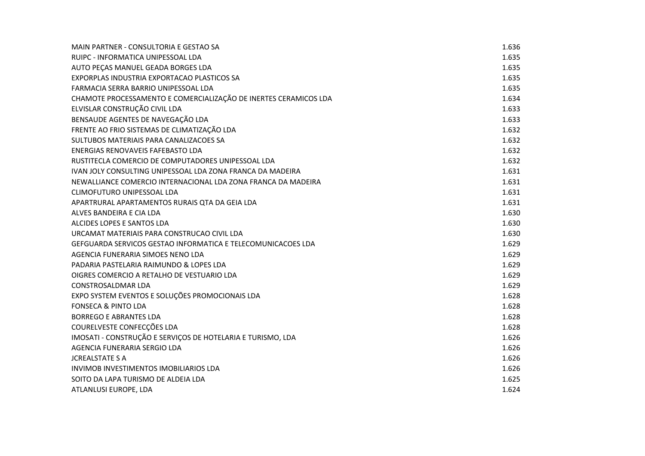| MAIN PARTNER - CONSULTORIA E GESTAO SA                              | 1.636 |
|---------------------------------------------------------------------|-------|
| RUIPC - INFORMATICA UNIPESSOAL LDA                                  | 1.635 |
| AUTO PECAS MANUEL GEADA BORGES LDA                                  | 1.635 |
| EXPORPLAS INDUSTRIA EXPORTACAO PLASTICOS SA                         | 1.635 |
| FARMACIA SERRA BARRIO UNIPESSOAL LDA                                | 1.635 |
| CHAMOTE PROCESSAMENTO E COMERCIALIZAÇÃO DE INERTES CERAMICOS LDA    | 1.634 |
| ELVISLAR CONSTRUÇÃO CIVIL LDA                                       | 1.633 |
| BENSAUDE AGENTES DE NAVEGAÇÃO LDA                                   | 1.633 |
| FRENTE AO FRIO SISTEMAS DE CLIMATIZAÇÃO LDA                         | 1.632 |
| SULTUBOS MATERIAIS PARA CANALIZACOES SA                             | 1.632 |
| ENERGIAS RENOVAVEIS FAFEBASTO LDA                                   | 1.632 |
| RUSTITECLA COMERCIO DE COMPUTADORES UNIPESSOAL LDA                  | 1.632 |
| IVAN JOLY CONSULTING UNIPESSOAL LDA ZONA FRANCA DA MADEIRA          | 1.631 |
| NEWALLIANCE COMERCIO INTERNACIONAL LDA ZONA FRANCA DA MADEIRA       | 1.631 |
| CLIMOFUTURO UNIPESSOAL LDA                                          | 1.631 |
| APARTRURAL APARTAMENTOS RURAIS QTA DA GEIA LDA                      | 1.631 |
| ALVES BANDEIRA E CIA LDA                                            | 1.630 |
| ALCIDES LOPES E SANTOS LDA                                          | 1.630 |
| URCAMAT MATERIAIS PARA CONSTRUCAO CIVIL LDA                         | 1.630 |
| <b>GEFGUARDA SERVICOS GESTAO INFORMATICA E TELECOMUNICACOES LDA</b> | 1.629 |
| AGENCIA FUNERARIA SIMOES NENO LDA                                   | 1.629 |
| PADARIA PASTELARIA RAIMUNDO & LOPES LDA                             | 1.629 |
| OIGRES COMERCIO A RETALHO DE VESTUARIO LDA                          | 1.629 |
| <b>CONSTROSALDMAR LDA</b>                                           | 1.629 |
| EXPO SYSTEM EVENTOS E SOLUÇÕES PROMOCIONAIS LDA                     | 1.628 |
| <b>FONSECA &amp; PINTO LDA</b>                                      | 1.628 |
| <b>BORREGO E ABRANTES LDA</b>                                       | 1.628 |
| COURELVESTE CONFECÇÕES LDA                                          | 1.628 |
| IMOSATI - CONSTRUÇÃO E SERVIÇOS DE HOTELARIA E TURISMO, LDA         | 1.626 |
| AGENCIA FUNERARIA SERGIO LDA                                        | 1.626 |
| <b>JCREALSTATE S A</b>                                              | 1.626 |
| <b>INVIMOB INVESTIMENTOS IMOBILIARIOS LDA</b>                       | 1.626 |
| SOITO DA LAPA TURISMO DE ALDEIA LDA                                 | 1.625 |
| ATLANLUSI EUROPE, LDA                                               | 1.624 |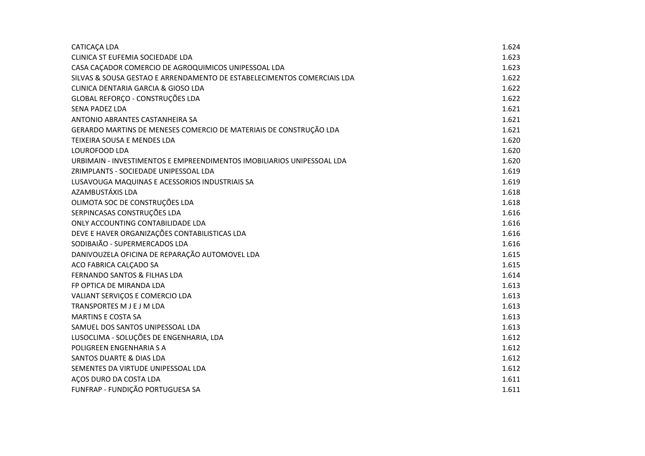| <b>CATICAÇA LDA</b>                                                     | 1.624 |
|-------------------------------------------------------------------------|-------|
| CLINICA ST EUFEMIA SOCIEDADE LDA                                        | 1.623 |
| CASA CAÇADOR COMERCIO DE AGROQUIMICOS UNIPESSOAL LDA                    | 1.623 |
| SILVAS & SOUSA GESTAO E ARRENDAMENTO DE ESTABELECIMENTOS COMERCIAIS LDA | 1.622 |
| CLINICA DENTARIA GARCIA & GIOSO LDA                                     | 1.622 |
| GLOBAL REFORÇO - CONSTRUÇÕES LDA                                        | 1.622 |
| <b>SENA PADEZ LDA</b>                                                   | 1.621 |
| ANTONIO ABRANTES CASTANHEIRA SA                                         | 1.621 |
| GERARDO MARTINS DE MENESES COMERCIO DE MATERIAIS DE CONSTRUÇÃO LDA      | 1.621 |
| TEIXEIRA SOUSA E MENDES LDA                                             | 1.620 |
| LOUROFOOD LDA                                                           | 1.620 |
| URBIMAIN - INVESTIMENTOS E EMPREENDIMENTOS IMOBILIARIOS UNIPESSOAL LDA  | 1.620 |
| ZRIMPLANTS - SOCIEDADE UNIPESSOAL LDA                                   | 1.619 |
| LUSAVOUGA MAQUINAS E ACESSORIOS INDUSTRIAIS SA                          | 1.619 |
| AZAMBUSTÁXIS LDA                                                        | 1.618 |
| OLIMOTA SOC DE CONSTRUÇÕES LDA                                          | 1.618 |
| SERPINCASAS CONSTRUÇÕES LDA                                             | 1.616 |
| ONLY ACCOUNTING CONTABILIDADE LDA                                       | 1.616 |
| DEVE E HAVER ORGANIZAÇÕES CONTABILISTICAS LDA                           | 1.616 |
| SODIBAIÃO - SUPERMERCADOS LDA                                           | 1.616 |
| DANIVOUZELA OFICINA DE REPARAÇÃO AUTOMOVEL LDA                          | 1.615 |
| ACO FABRICA CALCADO SA                                                  | 1.615 |
| <b>FERNANDO SANTOS &amp; FILHAS LDA</b>                                 | 1.614 |
| FP OPTICA DE MIRANDA LDA                                                | 1.613 |
| VALIANT SERVIÇOS E COMERCIO LDA                                         | 1.613 |
| TRANSPORTES M J E J M LDA                                               | 1.613 |
| <b>MARTINS E COSTA SA</b>                                               | 1.613 |
| SAMUEL DOS SANTOS UNIPESSOAL LDA                                        | 1.613 |
| LUSOCLIMA - SOLUÇÕES DE ENGENHARIA, LDA                                 | 1.612 |
| POLIGREEN ENGENHARIA S A                                                | 1.612 |
| <b>SANTOS DUARTE &amp; DIAS LDA</b>                                     | 1.612 |
| SEMENTES DA VIRTUDE UNIPESSOAL LDA                                      | 1.612 |
| AÇOS DURO DA COSTA LDA                                                  | 1.611 |
| FUNFRAP - FUNDIÇÃO PORTUGUESA SA                                        | 1.611 |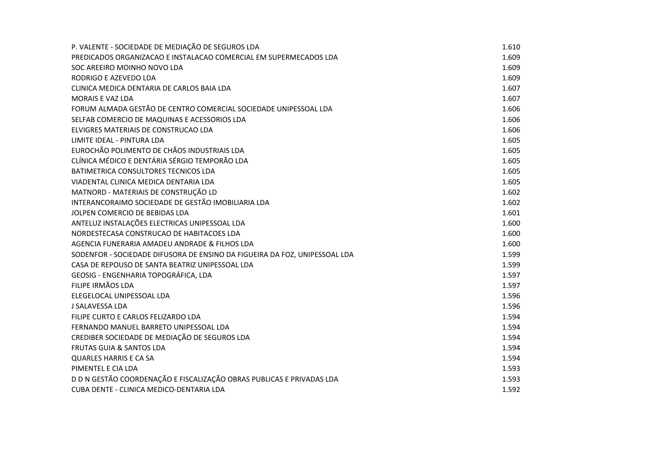| P. VALENTE - SOCIEDADE DE MEDIAÇÃO DE SEGUROS LDA                          | 1.610 |
|----------------------------------------------------------------------------|-------|
| PREDICADOS ORGANIZACAO E INSTALACAO COMERCIAL EM SUPERMECADOS LDA          | 1.609 |
| SOC AREEIRO MOINHO NOVO LDA                                                | 1.609 |
| RODRIGO E AZEVEDO LDA                                                      | 1.609 |
| CLINICA MEDICA DENTARIA DE CARLOS BAIA LDA                                 | 1.607 |
| MORAIS E VAZ LDA                                                           | 1.607 |
| FORUM ALMADA GESTÃO DE CENTRO COMERCIAL SOCIEDADE UNIPESSOAL LDA           | 1.606 |
| SELFAB COMERCIO DE MAQUINAS E ACESSORIOS LDA                               | 1.606 |
| ELVIGRES MATERIAIS DE CONSTRUCAO LDA                                       | 1.606 |
| LIMITE IDEAL - PINTURA LDA                                                 | 1.605 |
| EUROCHÃO POLIMENTO DE CHÃOS INDUSTRIAIS LDA                                | 1.605 |
| CLÍNICA MÉDICO E DENTÁRIA SÉRGIO TEMPORÃO LDA                              | 1.605 |
| BATIMETRICA CONSULTORES TECNICOS LDA                                       | 1.605 |
| VIADENTAL CLINICA MEDICA DENTARIA LDA                                      | 1.605 |
| MATNORD - MATERIAIS DE CONSTRUÇÃO LD                                       | 1.602 |
| INTERANCORAIMO SOCIEDADE DE GESTÃO IMOBILIARIA LDA                         | 1.602 |
| JOLPEN COMERCIO DE BEBIDAS LDA                                             | 1.601 |
| ANTELUZ INSTALAÇÕES ELECTRICAS UNIPESSOAL LDA                              | 1.600 |
| NORDESTECASA CONSTRUCAO DE HABITACOES LDA                                  | 1.600 |
| AGENCIA FUNERARIA AMADEU ANDRADE & FILHOS LDA                              | 1.600 |
| SODENFOR - SOCIEDADE DIFUSORA DE ENSINO DA FIGUEIRA DA FOZ, UNIPESSOAL LDA | 1.599 |
| CASA DE REPOUSO DE SANTA BEATRIZ UNIPESSOAL LDA                            | 1.599 |
| GEOSIG - ENGENHARIA TOPOGRÁFICA, LDA                                       | 1.597 |
| FILIPE IRMÃOS LDA                                                          | 1.597 |
| ELEGELOCAL UNIPESSOAL LDA                                                  | 1.596 |
| J SALAVESSA LDA                                                            | 1.596 |
| FILIPE CURTO E CARLOS FELIZARDO LDA                                        | 1.594 |
| FERNANDO MANUEL BARRETO UNIPESSOAL LDA                                     | 1.594 |
| CREDIBER SOCIEDADE DE MEDIAÇÃO DE SEGUROS LDA                              | 1.594 |
| <b>FRUTAS GUIA &amp; SANTOS LDA</b>                                        | 1.594 |
| <b>QUARLES HARRIS E CA SA</b>                                              | 1.594 |
| PIMENTEL E CIA LDA                                                         | 1.593 |
| D D N GESTÃO COORDENAÇÃO E FISCALIZAÇÃO OBRAS PUBLICAS E PRIVADAS LDA      | 1.593 |
| CUBA DENTE - CLINICA MEDICO-DENTARIA LDA                                   | 1.592 |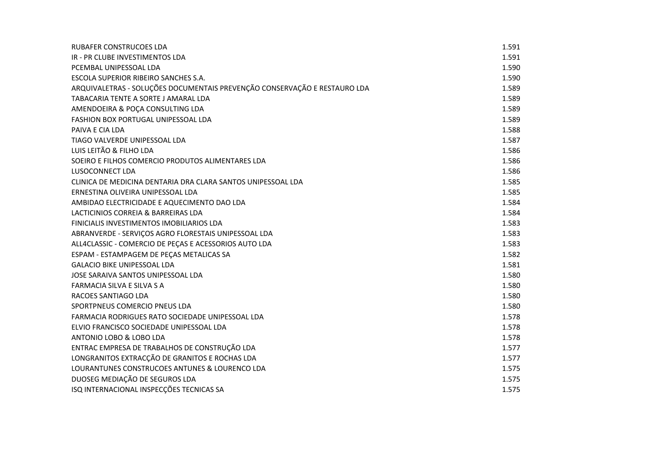| <b>RUBAFER CONSTRUCOES LDA</b>                                            | 1.591 |
|---------------------------------------------------------------------------|-------|
| IR - PR CLUBE INVESTIMENTOS LDA                                           | 1.591 |
| PCEMBAL UNIPESSOAL LDA                                                    | 1.590 |
| ESCOLA SUPERIOR RIBEIRO SANCHES S.A.                                      | 1.590 |
| ARQUIVALETRAS - SOLUÇÕES DOCUMENTAIS PREVENÇÃO CONSERVAÇÃO E RESTAURO LDA | 1.589 |
| TABACARIA TENTE A SORTE J AMARAL LDA                                      | 1.589 |
| AMENDOEIRA & POÇA CONSULTING LDA                                          | 1.589 |
| FASHION BOX PORTUGAL UNIPESSOAL LDA                                       | 1.589 |
| PAIVA E CIA LDA                                                           | 1.588 |
| TIAGO VALVERDE UNIPESSOAL LDA                                             | 1.587 |
| LUIS LEITÃO & FILHO LDA                                                   | 1.586 |
| SOEIRO E FILHOS COMERCIO PRODUTOS ALIMENTARES LDA                         | 1.586 |
| LUSOCONNECT LDA                                                           | 1.586 |
| CLINICA DE MEDICINA DENTARIA DRA CLARA SANTOS UNIPESSOAL LDA              | 1.585 |
| ERNESTINA OLIVEIRA UNIPESSOAL LDA                                         | 1.585 |
| AMBIDAO ELECTRICIDADE E AQUECIMENTO DAO LDA                               | 1.584 |
| LACTICINIOS CORREIA & BARREIRAS LDA                                       | 1.584 |
| FINICIALIS INVESTIMENTOS IMOBILIARIOS LDA                                 | 1.583 |
| ABRANVERDE - SERVIÇOS AGRO FLORESTAIS UNIPESSOAL LDA                      | 1.583 |
| ALL4CLASSIC - COMERCIO DE PEÇAS E ACESSORIOS AUTO LDA                     | 1.583 |
| ESPAM - ESTAMPAGEM DE PEÇAS METALICAS SA                                  | 1.582 |
| <b>GALACIO BIKE UNIPESSOAL LDA</b>                                        | 1.581 |
| JOSE SARAIVA SANTOS UNIPESSOAL LDA                                        | 1.580 |
| FARMACIA SILVA E SILVA S A                                                | 1.580 |
| RACOES SANTIAGO LDA                                                       | 1.580 |
| SPORTPNEUS COMERCIO PNEUS LDA                                             | 1.580 |
| FARMACIA RODRIGUES RATO SOCIEDADE UNIPESSOAL LDA                          | 1.578 |
| ELVIO FRANCISCO SOCIEDADE UNIPESSOAL LDA                                  | 1.578 |
| ANTONIO LOBO & LOBO LDA                                                   | 1.578 |
| ENTRAC EMPRESA DE TRABALHOS DE CONSTRUÇÃO LDA                             | 1.577 |
| LONGRANITOS EXTRACÇÃO DE GRANITOS E ROCHAS LDA                            | 1.577 |
| LOURANTUNES CONSTRUCOES ANTUNES & LOURENCO LDA                            | 1.575 |
| DUOSEG MEDIAÇÃO DE SEGUROS LDA                                            | 1.575 |
| ISQ INTERNACIONAL INSPECÇÕES TECNICAS SA                                  | 1.575 |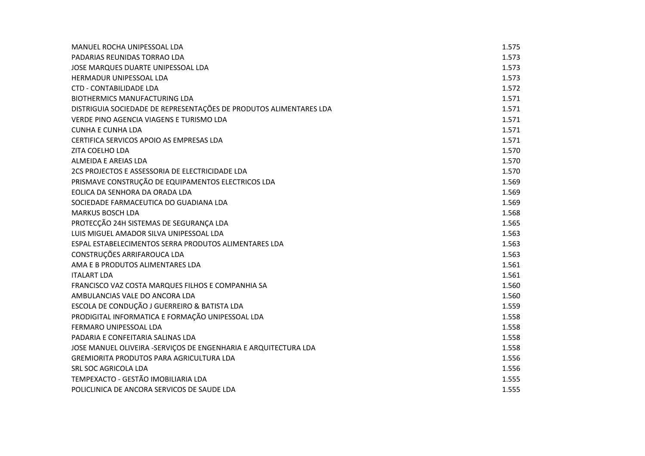| MANUEL ROCHA UNIPESSOAL LDA                                        | 1.575 |
|--------------------------------------------------------------------|-------|
| PADARIAS REUNIDAS TORRAO LDA                                       | 1.573 |
| JOSE MARQUES DUARTE UNIPESSOAL LDA                                 | 1.573 |
| <b>HERMADUR UNIPESSOAL LDA</b>                                     | 1.573 |
| <b>CTD - CONTABILIDADE LDA</b>                                     | 1.572 |
| BIOTHERMICS MANUFACTURING LDA                                      | 1.571 |
| DISTRIGUIA SOCIEDADE DE REPRESENTAÇÕES DE PRODUTOS ALIMENTARES LDA | 1.571 |
| VERDE PINO AGENCIA VIAGENS E TURISMO LDA                           | 1.571 |
| <b>CUNHA E CUNHA LDA</b>                                           | 1.571 |
| CERTIFICA SERVICOS APOIO AS EMPRESAS LDA                           | 1.571 |
| ZITA COELHO LDA                                                    | 1.570 |
| ALMEIDA E AREIAS LDA                                               | 1.570 |
| 2CS PROJECTOS E ASSESSORIA DE ELECTRICIDADE LDA                    | 1.570 |
| PRISMAVE CONSTRUÇÃO DE EQUIPAMENTOS ELECTRICOS LDA                 | 1.569 |
| EOLICA DA SENHORA DA ORADA LDA                                     | 1.569 |
| SOCIEDADE FARMACEUTICA DO GUADIANA LDA                             | 1.569 |
| MARKUS BOSCH LDA                                                   | 1.568 |
| PROTECÇÃO 24H SISTEMAS DE SEGURANÇA LDA                            | 1.565 |
| LUIS MIGUEL AMADOR SILVA UNIPESSOAL LDA                            | 1.563 |
| ESPAL ESTABELECIMENTOS SERRA PRODUTOS ALIMENTARES LDA              | 1.563 |
| CONSTRUÇÕES ARRIFAROUCA LDA                                        | 1.563 |
| AMA E B PRODUTOS ALIMENTARES LDA                                   | 1.561 |
| <b>ITALART LDA</b>                                                 | 1.561 |
| FRANCISCO VAZ COSTA MARQUES FILHOS E COMPANHIA SA                  | 1.560 |
| AMBULANCIAS VALE DO ANCORA LDA                                     | 1.560 |
| ESCOLA DE CONDUÇÃO J GUERREIRO & BATISTA LDA                       | 1.559 |
| PRODIGITAL INFORMATICA E FORMAÇÃO UNIPESSOAL LDA                   | 1.558 |
| FERMARO UNIPESSOAL LDA                                             | 1.558 |
| PADARIA E CONFEITARIA SALINAS LDA                                  | 1.558 |
| JOSE MANUEL OLIVEIRA -SERVIÇOS DE ENGENHARIA E ARQUITECTURA LDA    | 1.558 |
| <b>GREMIORITA PRODUTOS PARA AGRICULTURA LDA</b>                    | 1.556 |
| SRL SOC AGRICOLA LDA                                               | 1.556 |
| TEMPEXACTO - GESTÃO IMOBILIARIA LDA                                | 1.555 |
| POLICLINICA DE ANCORA SERVICOS DE SAUDE LDA                        | 1.555 |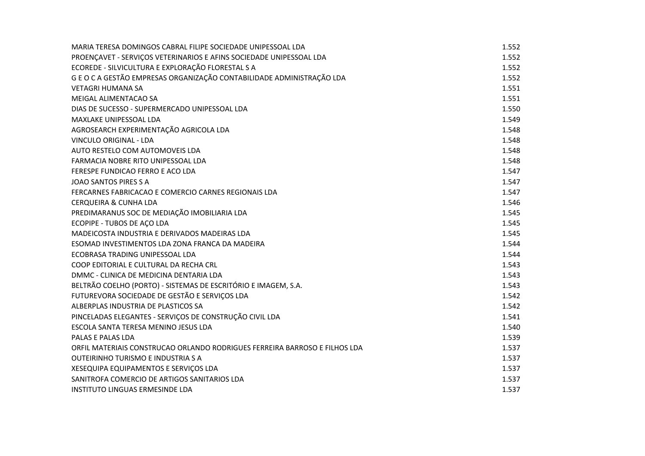| MARIA TERESA DOMINGOS CABRAL FILIPE SOCIEDADE UNIPESSOAL LDA               | 1.552 |
|----------------------------------------------------------------------------|-------|
| PROENÇAVET - SERVIÇOS VETERINARIOS E AFINS SOCIEDADE UNIPESSOAL LDA        | 1.552 |
| ECOREDE - SILVICULTURA E EXPLORAÇÃO FLORESTAL S A                          | 1.552 |
| G E O C A GESTÃO EMPRESAS ORGANIZAÇÃO CONTABILIDADE ADMINISTRAÇÃO LDA      | 1.552 |
| <b>VETAGRI HUMANA SA</b>                                                   | 1.551 |
| MEIGAL ALIMENTACAO SA                                                      | 1.551 |
| DIAS DE SUCESSO - SUPERMERCADO UNIPESSOAL LDA                              | 1.550 |
| MAXLAKE UNIPESSOAL LDA                                                     | 1.549 |
| AGROSEARCH EXPERIMENTAÇÃO AGRICOLA LDA                                     | 1.548 |
| <b>VINCULO ORIGINAL - LDA</b>                                              | 1.548 |
| AUTO RESTELO COM AUTOMOVEIS LDA                                            | 1.548 |
| FARMACIA NOBRE RITO UNIPESSOAL LDA                                         | 1.548 |
| FERESPE FUNDICAO FERRO E ACO LDA                                           | 1.547 |
| JOAO SANTOS PIRES S A                                                      | 1.547 |
| FERCARNES FABRICACAO E COMERCIO CARNES REGIONAIS LDA                       | 1.547 |
| CERQUEIRA & CUNHA LDA                                                      | 1.546 |
| PREDIMARANUS SOC DE MEDIAÇÃO IMOBILIARIA LDA                               | 1.545 |
| ECOPIPE - TUBOS DE AÇO LDA                                                 | 1.545 |
| MADEICOSTA INDUSTRIA E DERIVADOS MADEIRAS LDA                              | 1.545 |
| ESOMAD INVESTIMENTOS LDA ZONA FRANCA DA MADEIRA                            | 1.544 |
| ECOBRASA TRADING UNIPESSOAL LDA                                            | 1.544 |
| COOP EDITORIAL E CULTURAL DA RECHA CRL                                     | 1.543 |
| DMMC - CLINICA DE MEDICINA DENTARIA LDA                                    | 1.543 |
| BELTRÃO COELHO (PORTO) - SISTEMAS DE ESCRITÓRIO E IMAGEM, S.A.             | 1.543 |
| FUTUREVORA SOCIEDADE DE GESTÃO E SERVIÇOS LDA                              | 1.542 |
| ALBERPLAS INDUSTRIA DE PLASTICOS SA                                        | 1.542 |
| PINCELADAS ELEGANTES - SERVIÇOS DE CONSTRUÇÃO CIVIL LDA                    | 1.541 |
| ESCOLA SANTA TERESA MENINO JESUS LDA                                       | 1.540 |
| PALAS E PALAS LDA                                                          | 1.539 |
| ORFIL MATERIAIS CONSTRUCAO ORLANDO RODRIGUES FERREIRA BARROSO E FILHOS LDA | 1.537 |
| <b>OUTEIRINHO TURISMO E INDUSTRIA S A</b>                                  | 1.537 |
| XESEQUIPA EQUIPAMENTOS E SERVIÇOS LDA                                      | 1.537 |
| SANITROFA COMERCIO DE ARTIGOS SANITARIOS LDA                               | 1.537 |
| INSTITUTO LINGUAS ERMESINDE LDA                                            | 1.537 |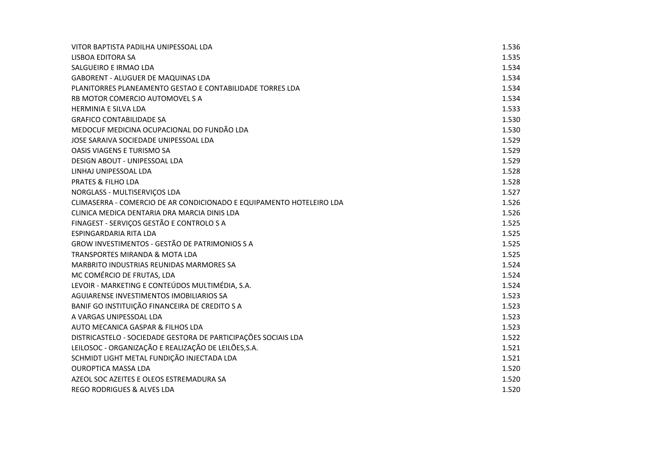| VITOR BAPTISTA PADILHA UNIPESSOAL LDA                                | 1.536 |
|----------------------------------------------------------------------|-------|
| LISBOA EDITORA SA                                                    | 1.535 |
| SALGUEIRO E IRMAO LDA                                                | 1.534 |
| <b>GABORENT - ALUGUER DE MAQUINAS LDA</b>                            | 1.534 |
| PLANITORRES PLANEAMENTO GESTAO E CONTABILIDADE TORRES LDA            | 1.534 |
| RB MOTOR COMERCIO AUTOMOVEL S A                                      | 1.534 |
| <b>HERMINIA E SILVA LDA</b>                                          | 1.533 |
| <b>GRAFICO CONTABILIDADE SA</b>                                      | 1.530 |
| MEDOCUF MEDICINA OCUPACIONAL DO FUNDÃO LDA                           | 1.530 |
| JOSE SARAIVA SOCIEDADE UNIPESSOAL LDA                                | 1.529 |
| OASIS VIAGENS E TURISMO SA                                           | 1.529 |
| DESIGN ABOUT - UNIPESSOAL LDA                                        | 1.529 |
| LINHAJ UNIPESSOAL LDA                                                | 1.528 |
| <b>PRATES &amp; FILHO LDA</b>                                        | 1.528 |
| NORGLASS - MULTISERVIÇOS LDA                                         | 1.527 |
| CLIMASERRA - COMERCIO DE AR CONDICIONADO E EQUIPAMENTO HOTELEIRO LDA | 1.526 |
| CLINICA MEDICA DENTARIA DRA MARCIA DINIS LDA                         | 1.526 |
| FINAGEST - SERVIÇOS GESTÃO E CONTROLO S A                            | 1.525 |
| <b>ESPINGARDARIA RITA LDA</b>                                        | 1.525 |
| GROW INVESTIMENTOS - GESTÃO DE PATRIMONIOS S A                       | 1.525 |
| TRANSPORTES MIRANDA & MOTA LDA                                       | 1.525 |
| MARBRITO INDUSTRIAS REUNIDAS MARMORES SA                             | 1.524 |
| MC COMÉRCIO DE FRUTAS, LDA                                           | 1.524 |
| LEVOIR - MARKETING E CONTEÚDOS MULTIMÉDIA, S.A.                      | 1.524 |
| AGUIARENSE INVESTIMENTOS IMOBILIARIOS SA                             | 1.523 |
| BANIF GO INSTITUIÇÃO FINANCEIRA DE CREDITO S A                       | 1.523 |
| A VARGAS UNIPESSOAL LDA                                              | 1.523 |
| AUTO MECANICA GASPAR & FILHOS LDA                                    | 1.523 |
| DISTRICASTELO - SOCIEDADE GESTORA DE PARTICIPAÇÕES SOCIAIS LDA       | 1.522 |
| LEILOSOC - ORGANIZAÇÃO E REALIZAÇÃO DE LEILÕES, S.A.                 | 1.521 |
| SCHMIDT LIGHT METAL FUNDIÇÃO INJECTADA LDA                           | 1.521 |
| <b>OUROPTICA MASSA LDA</b>                                           | 1.520 |
| AZEOL SOC AZEITES E OLEOS ESTREMADURA SA                             | 1.520 |
| <b>REGO RODRIGUES &amp; ALVES LDA</b>                                | 1.520 |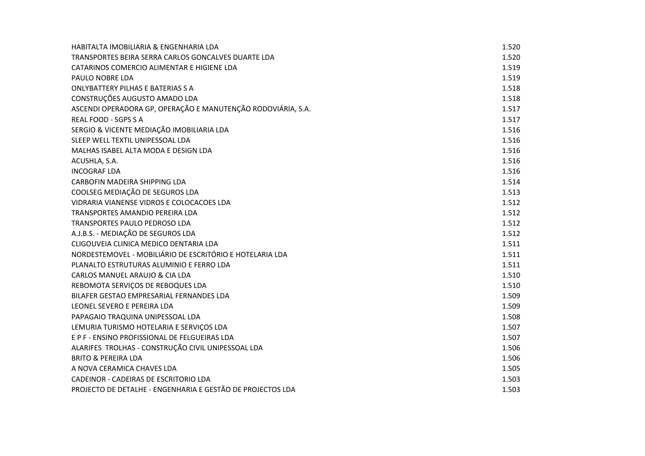| HABITALTA IMOBILIARIA & ENGENHARIA LDA                       | 1.520 |
|--------------------------------------------------------------|-------|
| TRANSPORTES BEIRA SERRA CARLOS GONCALVES DUARTE LDA          | 1.520 |
| CATARINOS COMERCIO ALIMENTAR E HIGIENE LDA                   | 1.519 |
| PAULO NOBRE LDA                                              | 1.519 |
| <b>ONLYBATTERY PILHAS E BATERIAS S A</b>                     | 1.518 |
| CONSTRUÇÕES AUGUSTO AMADO LDA                                | 1.518 |
| ASCENDI OPERADORA GP, OPERAÇÃO E MANUTENÇÃO RODOVIÁRIA, S.A. | 1.517 |
| <b>REAL FOOD - SGPS S A</b>                                  | 1.517 |
| SERGIO & VICENTE MEDIAÇÃO IMOBILIARIA LDA                    | 1.516 |
| SLEEP WELL TEXTIL UNIPESSOAL LDA                             | 1.516 |
| MALHAS ISABEL ALTA MODA E DESIGN LDA                         | 1.516 |
| ACUSHLA, S.A.                                                | 1.516 |
| <b>INCOGRAF LDA</b>                                          | 1.516 |
| CARBOFIN MADEIRA SHIPPING LDA                                | 1.514 |
| COOLSEG MEDIAÇÃO DE SEGUROS LDA                              | 1.513 |
| VIDRARIA VIANENSE VIDROS E COLOCACOES LDA                    | 1.512 |
| <b>TRANSPORTES AMANDIO PEREIRA LDA</b>                       | 1.512 |
| TRANSPORTES PAULO PEDROSO LDA                                | 1.512 |
| A.J.B.S. - MEDIAÇÃO DE SEGUROS LDA                           | 1.512 |
| CLIGOUVEIA CLINICA MEDICO DENTARIA LDA                       | 1.511 |
| NORDESTEMOVEL - MOBILIÁRIO DE ESCRITÓRIO E HOTELARIA LDA     | 1.511 |
| PLANALTO ESTRUTURAS ALUMINIO E FERRO LDA                     | 1.511 |
| CARLOS MANUEL ARAUJO & CIA LDA                               | 1.510 |
| REBOMOTA SERVIÇOS DE REBOQUES LDA                            | 1.510 |
| BILAFER GESTAO EMPRESARIAL FERNANDES LDA                     | 1.509 |
| LEONEL SEVERO E PEREIRA LDA                                  | 1.509 |
| PAPAGAIO TRAQUINA UNIPESSOAL LDA                             | 1.508 |
| LEMURIA TURISMO HOTELARIA E SERVIÇOS LDA                     | 1.507 |
| E P F - ENSINO PROFISSIONAL DE FELGUEIRAS LDA                | 1.507 |
| ALARIFES TROLHAS - CONSTRUÇÃO CIVIL UNIPESSOAL LDA           | 1.506 |
| <b>BRITO &amp; PEREIRA LDA</b>                               | 1.506 |
| A NOVA CERAMICA CHAVES LDA                                   | 1.505 |
| CADEINOR - CADEIRAS DE ESCRITORIO LDA                        | 1.503 |
| PROJECTO DE DETALHE - ENGENHARIA E GESTÃO DE PROJECTOS LDA   | 1.503 |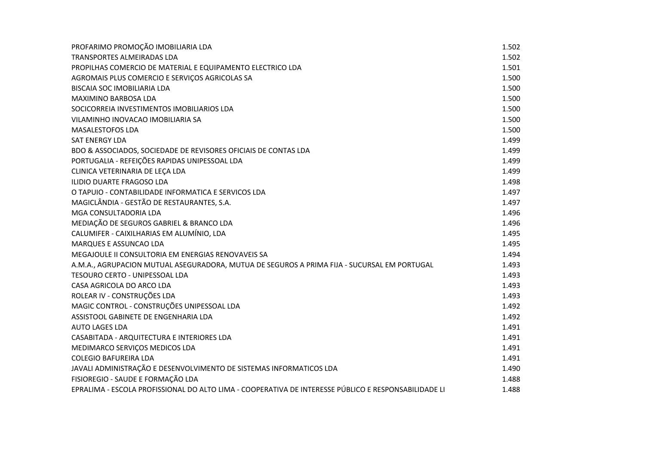| PROFARIMO PROMOÇÃO IMOBILIARIA LDA                                                                   | 1.502 |
|------------------------------------------------------------------------------------------------------|-------|
| TRANSPORTES ALMEIRADAS LDA                                                                           | 1.502 |
| PROPILHAS COMERCIO DE MATERIAL E EQUIPAMENTO ELECTRICO LDA                                           | 1.501 |
| AGROMAIS PLUS COMERCIO E SERVIÇOS AGRICOLAS SA                                                       | 1.500 |
| BISCAIA SOC IMOBILIARIA LDA                                                                          | 1.500 |
| <b>MAXIMINO BARBOSA LDA</b>                                                                          | 1.500 |
| SOCICORREIA INVESTIMENTOS IMOBILIARIOS LDA                                                           | 1.500 |
| VILAMINHO INOVACAO IMOBILIARIA SA                                                                    | 1.500 |
| <b>MASALESTOFOS LDA</b>                                                                              | 1.500 |
| <b>SAT ENERGY LDA</b>                                                                                | 1.499 |
| BDO & ASSOCIADOS, SOCIEDADE DE REVISORES OFICIAIS DE CONTAS LDA                                      | 1.499 |
| PORTUGALIA - REFEIÇÕES RAPIDAS UNIPESSOAL LDA                                                        | 1.499 |
| CLINICA VETERINARIA DE LEÇA LDA                                                                      | 1.499 |
| ILIDIO DUARTE FRAGOSO LDA                                                                            | 1.498 |
| O TAPUIO - CONTABILIDADE INFORMATICA E SERVICOS LDA                                                  | 1.497 |
| MAGICLÂNDIA - GESTÃO DE RESTAURANTES, S.A.                                                           | 1.497 |
| MGA CONSULTADORIA LDA                                                                                | 1.496 |
| MEDIAÇÃO DE SEGUROS GABRIEL & BRANCO LDA                                                             | 1.496 |
| CALUMIFER - CAIXILHARIAS EM ALUMÍNIO, LDA                                                            | 1.495 |
| <b>MARQUES E ASSUNCAO LDA</b>                                                                        | 1.495 |
| MEGAJOULE II CONSULTORIA EM ENERGIAS RENOVAVEIS SA                                                   | 1.494 |
| A.M.A., AGRUPACION MUTUAL ASEGURADORA, MUTUA DE SEGUROS A PRIMA FIJA - SUCURSAL EM PORTUGAL          | 1.493 |
| TESOURO CERTO - UNIPESSOAL LDA                                                                       | 1.493 |
| CASA AGRICOLA DO ARCO LDA                                                                            | 1.493 |
| ROLEAR IV - CONSTRUÇÕES LDA                                                                          | 1.493 |
| MAGIC CONTROL - CONSTRUÇÕES UNIPESSOAL LDA                                                           | 1.492 |
| ASSISTOOL GABINETE DE ENGENHARIA LDA                                                                 | 1.492 |
| <b>AUTO LAGES LDA</b>                                                                                | 1.491 |
| CASABITADA - ARQUITECTURA E INTERIORES LDA                                                           | 1.491 |
| MEDIMARCO SERVIÇOS MEDICOS LDA                                                                       | 1.491 |
| <b>COLEGIO BAFUREIRA LDA</b>                                                                         | 1.491 |
| JAVALI ADMINISTRAÇÃO E DESENVOLVIMENTO DE SISTEMAS INFORMATICOS LDA                                  | 1.490 |
| FISIOREGIO - SAUDE E FORMAÇÃO LDA                                                                    | 1.488 |
| EPRALIMA - ESCOLA PROFISSIONAL DO ALTO LIMA - COOPERATIVA DE INTERESSE PÚBLICO E RESPONSABILIDADE LI | 1.488 |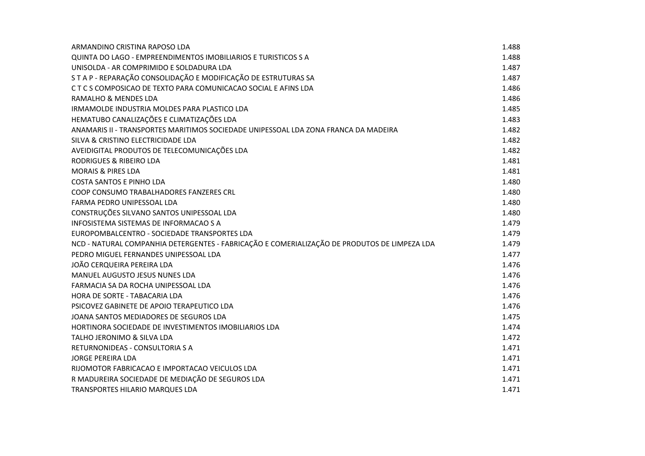| ARMANDINO CRISTINA RAPOSO LDA                                                                | 1.488 |
|----------------------------------------------------------------------------------------------|-------|
| QUINTA DO LAGO - EMPREENDIMENTOS IMOBILIARIOS E TURISTICOS S A                               | 1.488 |
| UNISOLDA - AR COMPRIMIDO E SOLDADURA LDA                                                     | 1.487 |
| STA P - REPARAÇÃO CONSOLIDAÇÃO E MODIFICAÇÃO DE ESTRUTURAS SA                                | 1.487 |
| CTCS COMPOSICAO DE TEXTO PARA COMUNICACAO SOCIAL E AFINS LDA                                 | 1.486 |
| RAMALHO & MENDES LDA                                                                         | 1.486 |
| IRMAMOLDE INDUSTRIA MOLDES PARA PLASTICO LDA                                                 | 1.485 |
| HEMATUBO CANALIZAÇÕES E CLIMATIZAÇÕES LDA                                                    | 1.483 |
| ANAMARIS II - TRANSPORTES MARITIMOS SOCIEDADE UNIPESSOAL LDA ZONA FRANCA DA MADEIRA          | 1.482 |
| SILVA & CRISTINO ELECTRICIDADE LDA                                                           | 1.482 |
| AVEIDIGITAL PRODUTOS DE TELECOMUNICAÇÕES LDA                                                 | 1.482 |
| RODRIGUES & RIBEIRO LDA                                                                      | 1.481 |
| <b>MORAIS &amp; PIRES LDA</b>                                                                | 1.481 |
| <b>COSTA SANTOS E PINHO LDA</b>                                                              | 1.480 |
| COOP CONSUMO TRABALHADORES FANZERES CRL                                                      | 1.480 |
| FARMA PEDRO UNIPESSOAL LDA                                                                   | 1.480 |
| CONSTRUÇÕES SILVANO SANTOS UNIPESSOAL LDA                                                    | 1.480 |
| INFOSISTEMA SISTEMAS DE INFORMACAO S A                                                       | 1.479 |
| EUROPOMBALCENTRO - SOCIEDADE TRANSPORTES LDA                                                 | 1.479 |
| NCD - NATURAL COMPANHIA DETERGENTES - FABRICAÇÃO E COMERIALIZAÇÃO DE PRODUTOS DE LIMPEZA LDA | 1.479 |
| PEDRO MIGUEL FERNANDES UNIPESSOAL LDA                                                        | 1.477 |
| JOÃO CERQUEIRA PEREIRA LDA                                                                   | 1.476 |
| <b>MANUEL AUGUSTO JESUS NUNES LDA</b>                                                        | 1.476 |
| FARMACIA SA DA ROCHA UNIPESSOAL LDA                                                          | 1.476 |
| HORA DE SORTE - TABACARIA LDA                                                                | 1.476 |
| PSICOVEZ GABINETE DE APOIO TERAPEUTICO LDA                                                   | 1.476 |
| JOANA SANTOS MEDIADORES DE SEGUROS LDA                                                       | 1.475 |
| HORTINORA SOCIEDADE DE INVESTIMENTOS IMOBILIARIOS LDA                                        | 1.474 |
| TALHO JERONIMO & SILVA LDA                                                                   | 1.472 |
| RETURNONIDEAS - CONSULTORIA S A                                                              | 1.471 |
| <b>JORGE PEREIRA LDA</b>                                                                     | 1.471 |
| RIJOMOTOR FABRICACAO E IMPORTACAO VEICULOS LDA                                               | 1.471 |
| R MADUREIRA SOCIEDADE DE MEDIAÇÃO DE SEGUROS LDA                                             | 1.471 |
| <b>TRANSPORTES HILARIO MARQUES LDA</b>                                                       | 1.471 |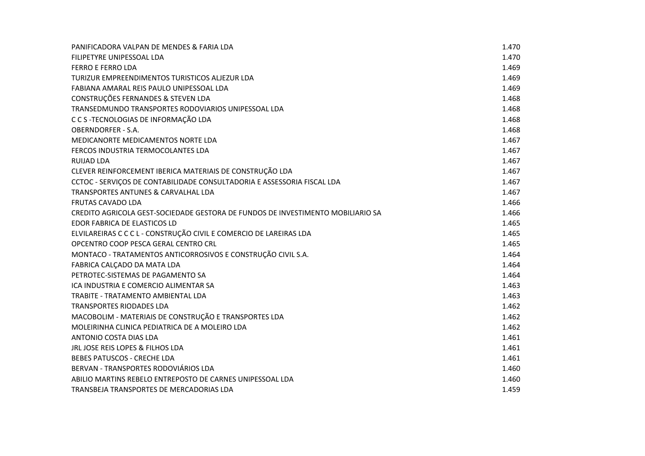| PANIFICADORA VALPAN DE MENDES & FARIA LDA                                       | 1.470 |
|---------------------------------------------------------------------------------|-------|
| FILIPETYRE UNIPESSOAL LDA                                                       | 1.470 |
| <b>FERRO E FERRO LDA</b>                                                        | 1.469 |
| TURIZUR EMPREENDIMENTOS TURISTICOS ALJEZUR LDA                                  | 1.469 |
| FABIANA AMARAL REIS PAULO UNIPESSOAL LDA                                        | 1.469 |
| CONSTRUÇÕES FERNANDES & STEVEN LDA                                              | 1.468 |
| TRANSEDMUNDO TRANSPORTES RODOVIARIOS UNIPESSOAL LDA                             | 1.468 |
| C C S - TECNOLOGIAS DE INFORMAÇÃO LDA                                           | 1.468 |
| <b>OBERNDORFER - S.A.</b>                                                       | 1.468 |
| MEDICANORTE MEDICAMENTOS NORTE LDA                                              | 1.467 |
| FERCOS INDUSTRIA TERMOCOLANTES LDA                                              | 1.467 |
| RUIJAD LDA                                                                      | 1.467 |
| CLEVER REINFORCEMENT IBERICA MATERIAIS DE CONSTRUÇÃO LDA                        | 1.467 |
| CCTOC - SERVIÇOS DE CONTABILIDADE CONSULTADORIA E ASSESSORIA FISCAL LDA         | 1.467 |
| TRANSPORTES ANTUNES & CARVALHAL LDA                                             | 1.467 |
| <b>FRUTAS CAVADO LDA</b>                                                        | 1.466 |
| CREDITO AGRICOLA GEST-SOCIEDADE GESTORA DE FUNDOS DE INVESTIMENTO MOBILIARIO SA | 1.466 |
| EDOR FABRICA DE ELASTICOS LD                                                    | 1.465 |
| ELVILAREIRAS C C C L - CONSTRUÇÃO CIVIL E COMERCIO DE LAREIRAS LDA              | 1.465 |
| OPCENTRO COOP PESCA GERAL CENTRO CRL                                            | 1.465 |
| MONTACO - TRATAMENTOS ANTICORROSIVOS E CONSTRUÇÃO CIVIL S.A.                    | 1.464 |
| FABRICA CALCADO DA MATA LDA                                                     | 1.464 |
| PETROTEC-SISTEMAS DE PAGAMENTO SA                                               | 1.464 |
| ICA INDUSTRIA E COMERCIO ALIMENTAR SA                                           | 1.463 |
| TRABITE - TRATAMENTO AMBIENTAL LDA                                              | 1.463 |
| <b>TRANSPORTES RIODADES LDA</b>                                                 | 1.462 |
| MACOBOLIM - MATERIAIS DE CONSTRUÇÃO E TRANSPORTES LDA                           | 1.462 |
| MOLEIRINHA CLINICA PEDIATRICA DE A MOLEIRO LDA                                  | 1.462 |
| ANTONIO COSTA DIAS LDA                                                          | 1.461 |
| JRL JOSE REIS LOPES & FILHOS LDA                                                | 1.461 |
| <b>BEBES PATUSCOS - CRECHE LDA</b>                                              | 1.461 |
| BERVAN - TRANSPORTES RODOVIÁRIOS LDA                                            | 1.460 |
| ABILIO MARTINS REBELO ENTREPOSTO DE CARNES UNIPESSOAL LDA                       | 1.460 |
| TRANSBEJA TRANSPORTES DE MERCADORIAS LDA                                        | 1.459 |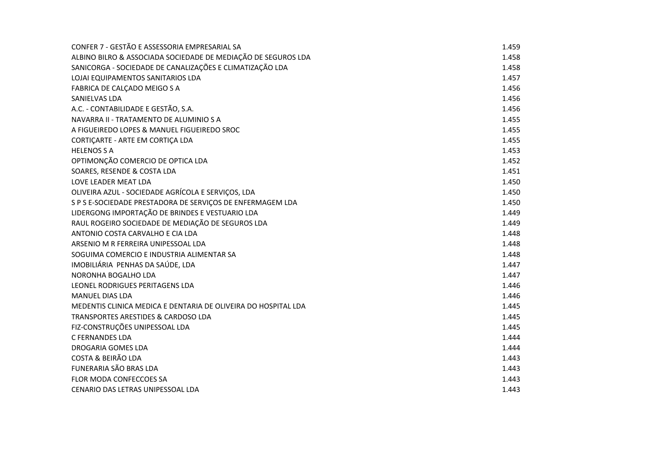| CONFER 7 - GESTÃO E ASSESSORIA EMPRESARIAL SA                  | 1.459 |
|----------------------------------------------------------------|-------|
| ALBINO BILRO & ASSOCIADA SOCIEDADE DE MEDIAÇÃO DE SEGUROS LDA  | 1.458 |
| SANICORGA - SOCIEDADE DE CANALIZAÇÕES E CLIMATIZAÇÃO LDA       | 1.458 |
| LOJAI EQUIPAMENTOS SANITARIOS LDA                              | 1.457 |
| FABRICA DE CALÇADO MEIGO S A                                   | 1.456 |
| SANIELVAS LDA                                                  | 1.456 |
| A.C. - CONTABILIDADE E GESTÃO, S.A.                            | 1.456 |
| NAVARRA II - TRATAMENTO DE ALUMINIO S A                        | 1.455 |
| A FIGUEIREDO LOPES & MANUEL FIGUEIREDO SROC                    | 1.455 |
| CORTIÇARTE - ARTE EM CORTIÇA LDA                               | 1.455 |
| <b>HELENOS S A</b>                                             | 1.453 |
| OPTIMONÇÃO COMERCIO DE OPTICA LDA                              | 1.452 |
| SOARES, RESENDE & COSTA LDA                                    | 1.451 |
| LOVE LEADER MEAT LDA                                           | 1.450 |
| OLIVEIRA AZUL - SOCIEDADE AGRÍCOLA E SERVIÇOS, LDA             | 1.450 |
| S P S E-SOCIEDADE PRESTADORA DE SERVIÇOS DE ENFERMAGEM LDA     | 1.450 |
| LIDERGONG IMPORTAÇÃO DE BRINDES E VESTUARIO LDA                | 1.449 |
| RAUL ROGEIRO SOCIEDADE DE MEDIAÇÃO DE SEGUROS LDA              | 1.449 |
| ANTONIO COSTA CARVALHO E CIA LDA                               | 1.448 |
| ARSENIO M R FERREIRA UNIPESSOAL LDA                            | 1.448 |
| SOGUIMA COMERCIO E INDUSTRIA ALIMENTAR SA                      | 1.448 |
| IMOBILIÁRIA PENHAS DA SAÚDE, LDA                               | 1.447 |
| NORONHA BOGALHO LDA                                            | 1.447 |
| LEONEL RODRIGUES PERITAGENS LDA                                | 1.446 |
| <b>MANUEL DIAS LDA</b>                                         | 1.446 |
| MEDENTIS CLINICA MEDICA E DENTARIA DE OLIVEIRA DO HOSPITAL LDA | 1.445 |
| TRANSPORTES ARESTIDES & CARDOSO LDA                            | 1.445 |
| FIZ-CONSTRUÇÕES UNIPESSOAL LDA                                 | 1.445 |
| <b>C FERNANDES LDA</b>                                         | 1.444 |
| <b>DROGARIA GOMES LDA</b>                                      | 1.444 |
| <b>COSTA &amp; BEIRÃO LDA</b>                                  | 1.443 |
| FUNERARIA SÃO BRAS LDA                                         | 1.443 |
| FLOR MODA CONFECCOES SA                                        | 1.443 |
| CENARIO DAS LETRAS UNIPESSOAL LDA                              | 1.443 |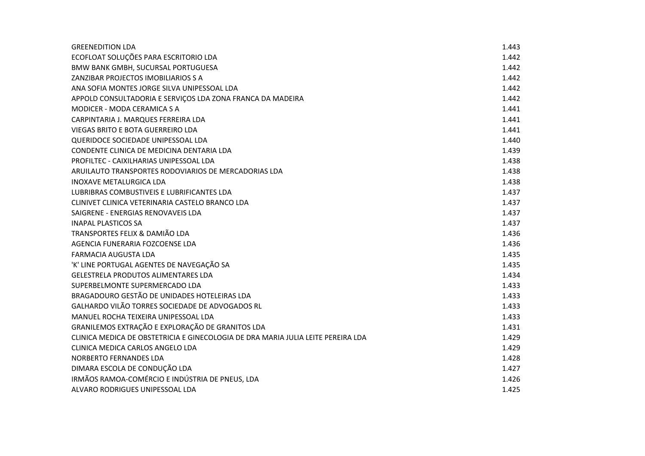| <b>GREENEDITION LDA</b>                                                          | 1.443 |
|----------------------------------------------------------------------------------|-------|
| ECOFLOAT SOLUÇÕES PARA ESCRITORIO LDA                                            | 1.442 |
| BMW BANK GMBH, SUCURSAL PORTUGUESA                                               | 1.442 |
| ZANZIBAR PROJECTOS IMOBILIARIOS S A                                              | 1.442 |
| ANA SOFIA MONTES JORGE SILVA UNIPESSOAL LDA                                      | 1.442 |
| APPOLD CONSULTADORIA E SERVIÇOS LDA ZONA FRANCA DA MADEIRA                       | 1.442 |
| MODICER - MODA CERAMICA S A                                                      | 1.441 |
| CARPINTARIA J. MARQUES FERREIRA LDA                                              | 1.441 |
| <b>VIEGAS BRITO E BOTA GUERREIRO LDA</b>                                         | 1.441 |
| QUERIDOCE SOCIEDADE UNIPESSOAL LDA                                               | 1.440 |
| CONDENTE CLINICA DE MEDICINA DENTARIA LDA                                        | 1.439 |
| PROFILTEC - CAIXILHARIAS UNIPESSOAL LDA                                          | 1.438 |
| ARUILAUTO TRANSPORTES RODOVIARIOS DE MERCADORIAS LDA                             | 1.438 |
| <b>INOXAVE METALURGICA LDA</b>                                                   | 1.438 |
| LUBRIBRAS COMBUSTIVEIS E LUBRIFICANTES LDA                                       | 1.437 |
| CLINIVET CLINICA VETERINARIA CASTELO BRANCO LDA                                  | 1.437 |
| SAIGRENE - ENERGIAS RENOVAVEIS LDA                                               | 1.437 |
| <b>INAPAL PLASTICOS SA</b>                                                       | 1.437 |
| TRANSPORTES FELIX & DAMIÃO LDA                                                   | 1.436 |
| AGENCIA FUNERARIA FOZCOENSE LDA                                                  | 1.436 |
| <b>FARMACIA AUGUSTA LDA</b>                                                      | 1.435 |
| 'K' LINE PORTUGAL AGENTES DE NAVEGAÇÃO SA                                        | 1.435 |
| <b>GELESTRELA PRODUTOS ALIMENTARES LDA</b>                                       | 1.434 |
| SUPERBELMONTE SUPERMERCADO LDA                                                   | 1.433 |
| BRAGADOURO GESTÃO DE UNIDADES HOTELEIRAS LDA                                     | 1.433 |
| GALHARDO VILÃO TORRES SOCIEDADE DE ADVOGADOS RL                                  | 1.433 |
| MANUEL ROCHA TEIXEIRA UNIPESSOAL LDA                                             | 1.433 |
| GRANILEMOS EXTRAÇÃO E EXPLORAÇÃO DE GRANITOS LDA                                 | 1.431 |
| CLINICA MEDICA DE OBSTETRICIA E GINECOLOGIA DE DRA MARIA JULIA LEITE PEREIRA LDA | 1.429 |
| CLINICA MEDICA CARLOS ANGELO LDA                                                 | 1.429 |
| NORBERTO FERNANDES LDA                                                           | 1.428 |
| DIMARA ESCOLA DE CONDUÇÃO LDA                                                    | 1.427 |
| IRMÃOS RAMOA-COMÉRCIO E INDÚSTRIA DE PNEUS, LDA                                  | 1.426 |
| ALVARO RODRIGUES UNIPESSOAL LDA                                                  | 1.425 |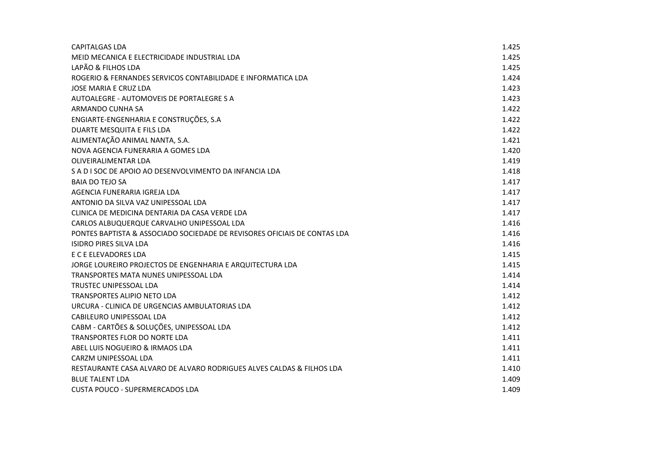| <b>CAPITALGAS LDA</b>                                                     | 1.425 |
|---------------------------------------------------------------------------|-------|
| MEID MECANICA E ELECTRICIDADE INDUSTRIAL LDA                              | 1.425 |
| LAPÃO & FILHOS LDA                                                        | 1.425 |
| ROGERIO & FERNANDES SERVICOS CONTABILIDADE E INFORMATICA LDA              | 1.424 |
| JOSE MARIA E CRUZ LDA                                                     | 1.423 |
| AUTOALEGRE - AUTOMOVEIS DE PORTALEGRE S A                                 | 1.423 |
| ARMANDO CUNHA SA                                                          | 1.422 |
| ENGIARTE-ENGENHARIA E CONSTRUÇÕES, S.A                                    | 1.422 |
| DUARTE MESQUITA E FILS LDA                                                | 1.422 |
| ALIMENTAÇÃO ANIMAL NANTA, S.A.                                            | 1.421 |
| NOVA AGENCIA FUNERARIA A GOMES LDA                                        | 1.420 |
| OLIVEIRALIMENTAR LDA                                                      | 1.419 |
| S A D I SOC DE APOIO AO DESENVOLVIMENTO DA INFANCIA LDA                   | 1.418 |
| <b>BAIA DO TEJO SA</b>                                                    | 1.417 |
| AGENCIA FUNERARIA IGREJA LDA                                              | 1.417 |
| ANTONIO DA SILVA VAZ UNIPESSOAL LDA                                       | 1.417 |
| CLINICA DE MEDICINA DENTARIA DA CASA VERDE LDA                            | 1.417 |
| CARLOS ALBUQUERQUE CARVALHO UNIPESSOAL LDA                                | 1.416 |
| PONTES BAPTISTA & ASSOCIADO SOCIEDADE DE REVISORES OFICIAIS DE CONTAS LDA | 1.416 |
| ISIDRO PIRES SILVA LDA                                                    | 1.416 |
| E C E ELEVADORES LDA                                                      | 1.415 |
| JORGE LOUREIRO PROJECTOS DE ENGENHARIA E ARQUITECTURA LDA                 | 1.415 |
| TRANSPORTES MATA NUNES UNIPESSOAL LDA                                     | 1.414 |
| <b>TRUSTEC UNIPESSOAL LDA</b>                                             | 1.414 |
| <b>TRANSPORTES ALIPIO NETO LDA</b>                                        | 1.412 |
| URCURA - CLINICA DE URGENCIAS AMBULATORIAS LDA                            | 1.412 |
| CABILEURO UNIPESSOAL LDA                                                  | 1.412 |
| CABM - CARTÕES & SOLUÇÕES, UNIPESSOAL LDA                                 | 1.412 |
| <b>TRANSPORTES FLOR DO NORTE LDA</b>                                      | 1.411 |
| ABEL LUIS NOGUEIRO & IRMAOS LDA                                           | 1.411 |
| CARZM UNIPESSOAL LDA                                                      | 1.411 |
| RESTAURANTE CASA ALVARO DE ALVARO RODRIGUES ALVES CALDAS & FILHOS LDA     | 1.410 |
| <b>BLUE TALENT LDA</b>                                                    | 1.409 |
| CUSTA POUCO - SUPERMERCADOS LDA                                           | 1.409 |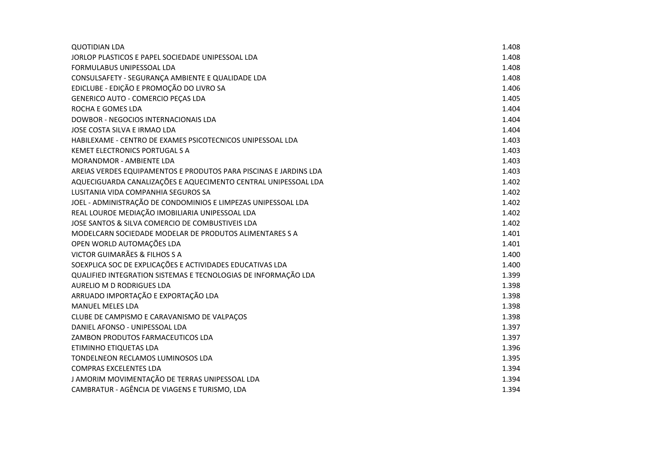| <b>QUOTIDIAN LDA</b>                                              | 1.408 |
|-------------------------------------------------------------------|-------|
| JORLOP PLASTICOS E PAPEL SOCIEDADE UNIPESSOAL LDA                 | 1.408 |
| FORMULABUS UNIPESSOAL LDA                                         | 1.408 |
| CONSULSAFETY - SEGURANÇA AMBIENTE E QUALIDADE LDA                 | 1.408 |
| EDICLUBE - EDIÇÃO E PROMOÇÃO DO LIVRO SA                          | 1.406 |
| GENERICO AUTO - COMERCIO PEÇAS LDA                                | 1.405 |
| ROCHA E GOMES LDA                                                 | 1.404 |
| DOWBOR - NEGOCIOS INTERNACIONAIS LDA                              | 1.404 |
| JOSE COSTA SILVA E IRMAO LDA                                      | 1.404 |
| HABILEXAME - CENTRO DE EXAMES PSICOTECNICOS UNIPESSOAL LDA        | 1.403 |
| KEMET ELECTRONICS PORTUGAL S A                                    | 1.403 |
| <b>MORANDMOR - AMBIENTE LDA</b>                                   | 1.403 |
| AREIAS VERDES EQUIPAMENTOS E PRODUTOS PARA PISCINAS E JARDINS LDA | 1.403 |
| AQUECIGUARDA CANALIZAÇÕES E AQUECIMENTO CENTRAL UNIPESSOAL LDA    | 1.402 |
| LUSITANIA VIDA COMPANHIA SEGUROS SA                               | 1.402 |
| JOEL - ADMINISTRAÇÃO DE CONDOMINIOS E LIMPEZAS UNIPESSOAL LDA     | 1.402 |
| REAL LOUROE MEDIAÇÃO IMOBILIARIA UNIPESSOAL LDA                   | 1.402 |
| JOSE SANTOS & SILVA COMERCIO DE COMBUSTIVEIS LDA                  | 1.402 |
| MODELCARN SOCIEDADE MODELAR DE PRODUTOS ALIMENTARES S A           | 1.401 |
| OPEN WORLD AUTOMAÇÕES LDA                                         | 1.401 |
| VICTOR GUIMARÃES & FILHOS S A                                     | 1.400 |
| SOEXPLICA SOC DE EXPLICAÇÕES E ACTIVIDADES EDUCATIVAS LDA         | 1.400 |
| QUALIFIED INTEGRATION SISTEMAS E TECNOLOGIAS DE INFORMAÇÃO LDA    | 1.399 |
| AURELIO M D RODRIGUES LDA                                         | 1.398 |
| ARRUADO IMPORTAÇÃO E EXPORTAÇÃO LDA                               | 1.398 |
| <b>MANUEL MELES LDA</b>                                           | 1.398 |
| CLUBE DE CAMPISMO E CARAVANISMO DE VALPAÇOS                       | 1.398 |
| DANIEL AFONSO - UNIPESSOAL LDA                                    | 1.397 |
| ZAMBON PRODUTOS FARMACEUTICOS LDA                                 | 1.397 |
| ETIMINHO ETIQUETAS LDA                                            | 1.396 |
| TONDELNEON RECLAMOS LUMINOSOS LDA                                 | 1.395 |
| <b>COMPRAS EXCELENTES LDA</b>                                     | 1.394 |
| J AMORIM MOVIMENTAÇÃO DE TERRAS UNIPESSOAL LDA                    | 1.394 |
| CAMBRATUR - AGÊNCIA DE VIAGENS E TURISMO, LDA                     | 1.394 |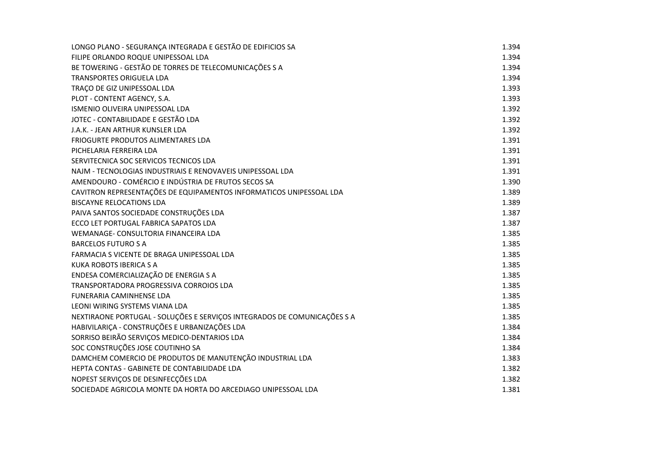| LONGO PLANO - SEGURANÇA INTEGRADA E GESTÃO DE EDIFICIOS SA               | 1.394 |
|--------------------------------------------------------------------------|-------|
| FILIPE ORLANDO ROQUE UNIPESSOAL LDA                                      | 1.394 |
| BE TOWERING - GESTÃO DE TORRES DE TELECOMUNICAÇÕES S A                   | 1.394 |
| <b>TRANSPORTES ORIGUELA LDA</b>                                          | 1.394 |
| TRAÇO DE GIZ UNIPESSOAL LDA                                              | 1.393 |
| PLOT - CONTENT AGENCY, S.A.                                              | 1.393 |
| ISMENIO OLIVEIRA UNIPESSOAL LDA                                          | 1.392 |
| JOTEC - CONTABILIDADE E GESTÃO LDA                                       | 1.392 |
| J.A.K. - JEAN ARTHUR KUNSLER LDA                                         | 1.392 |
| FRIOGURTE PRODUTOS ALIMENTARES LDA                                       | 1.391 |
| PICHELARIA FERREIRA LDA                                                  | 1.391 |
| SERVITECNICA SOC SERVICOS TECNICOS LDA                                   | 1.391 |
| NAJM - TECNOLOGIAS INDUSTRIAIS E RENOVAVEIS UNIPESSOAL LDA               | 1.391 |
| AMENDOURO - COMÉRCIO E INDÚSTRIA DE FRUTOS SECOS SA                      | 1.390 |
| CAVITRON REPRESENTAÇÕES DE EQUIPAMENTOS INFORMATICOS UNIPESSOAL LDA      | 1.389 |
| <b>BISCAYNE RELOCATIONS LDA</b>                                          | 1.389 |
| PAIVA SANTOS SOCIEDADE CONSTRUÇÕES LDA                                   | 1.387 |
| ECCO LET PORTUGAL FABRICA SAPATOS LDA                                    | 1.387 |
| WEMANAGE- CONSULTORIA FINANCEIRA LDA                                     | 1.385 |
| <b>BARCELOS FUTURO S A</b>                                               | 1.385 |
| FARMACIA S VICENTE DE BRAGA UNIPESSOAL LDA                               | 1.385 |
| <b>KUKA ROBOTS IBERICA S A</b>                                           | 1.385 |
| ENDESA COMERCIALIZAÇÃO DE ENERGIA S A                                    | 1.385 |
| TRANSPORTADORA PROGRESSIVA CORROIOS LDA                                  | 1.385 |
| FUNERARIA CAMINHENSE LDA                                                 | 1.385 |
| LEONI WIRING SYSTEMS VIANA LDA                                           | 1.385 |
| NEXTIRAONE PORTUGAL - SOLUÇÕES E SERVIÇOS INTEGRADOS DE COMUNICAÇÕES S A | 1.385 |
| HABIVILARIÇA - CONSTRUÇÕES E URBANIZAÇÕES LDA                            | 1.384 |
| SORRISO BEIRÃO SERVIÇOS MEDICO-DENTARIOS LDA                             | 1.384 |
| SOC CONSTRUÇÕES JOSE COUTINHO SA                                         | 1.384 |
| DAMCHEM COMERCIO DE PRODUTOS DE MANUTENÇÃO INDUSTRIAL LDA                | 1.383 |
| HEPTA CONTAS - GABINETE DE CONTABILIDADE LDA                             | 1.382 |
| NOPEST SERVIÇOS DE DESINFECÇÕES LDA                                      | 1.382 |
| SOCIEDADE AGRICOLA MONTE DA HORTA DO ARCEDIAGO UNIPESSOAL LDA            | 1.381 |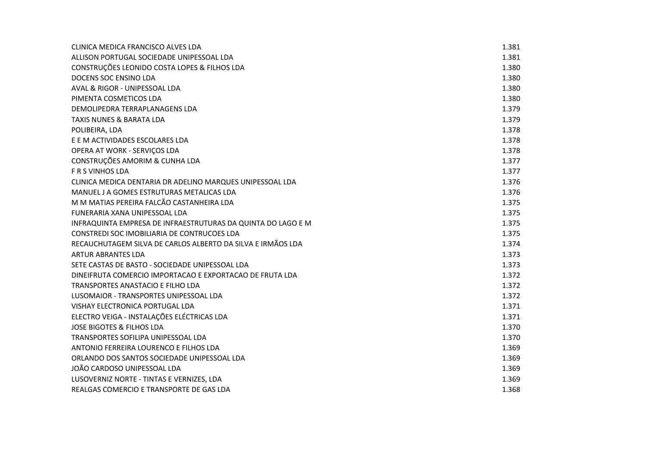| CLINICA MEDICA FRANCISCO ALVES LDA                           | 1.381 |
|--------------------------------------------------------------|-------|
| ALLISON PORTUGAL SOCIEDADE UNIPESSOAL LDA                    | 1.381 |
| CONSTRUÇÕES LEONIDO COSTA LOPES & FILHOS LDA                 | 1.380 |
| DOCENS SOC ENSINO LDA                                        | 1.380 |
| AVAL & RIGOR - UNIPESSOAL LDA                                | 1.380 |
| PIMENTA COSMETICOS LDA                                       | 1.380 |
| DEMOLIPEDRA TERRAPLANAGENS LDA                               | 1.379 |
| <b>TAXIS NUNES &amp; BARATA LDA</b>                          | 1.379 |
| POLIBEIRA, LDA                                               | 1.378 |
| E E M ACTIVIDADES ESCOLARES LDA                              | 1.378 |
| OPERA AT WORK - SERVIÇOS LDA                                 | 1.378 |
| CONSTRUÇÕES AMORIM & CUNHA LDA                               | 1.377 |
| <b>F R S VINHOS LDA</b>                                      | 1.377 |
| CLINICA MEDICA DENTARIA DR ADELINO MARQUES UNIPESSOAL LDA    | 1.376 |
| MANUEL J A GOMES ESTRUTURAS METALICAS LDA                    | 1.376 |
| M M MATIAS PEREIRA FALCÃO CASTANHEIRA LDA                    | 1.375 |
| FUNERARIA XANA UNIPESSOAL LDA                                | 1.375 |
| INFRAQUINTA EMPRESA DE INFRAESTRUTURAS DA QUINTA DO LAGO E M | 1.375 |
| CONSTREDI SOC IMOBILIARIA DE CONTRUCOES LDA                  | 1.375 |
| RECAUCHUTAGEM SILVA DE CARLOS ALBERTO DA SILVA E IRMÃOS LDA  | 1.374 |
| <b>ARTUR ABRANTES LDA</b>                                    | 1.373 |
| SETE CASTAS DE BASTO - SOCIEDADE UNIPESSOAL LDA              | 1.373 |
| DINEIFRUTA COMERCIO IMPORTACAO E EXPORTACAO DE FRUTA LDA     | 1.372 |
| TRANSPORTES ANASTACIO E FILHO LDA                            | 1.372 |
| LUSOMAIOR - TRANSPORTES UNIPESSOAL LDA                       | 1.372 |
| VISHAY ELECTRONICA PORTUGAL LDA                              | 1.371 |
| ELECTRO VEIGA - INSTALAÇÕES ELÉCTRICAS LDA                   | 1.371 |
| <b>JOSE BIGOTES &amp; FILHOS LDA</b>                         | 1.370 |
| TRANSPORTES SOFILIPA UNIPESSOAL LDA                          | 1.370 |
| ANTONIO FERREIRA LOURENCO E FILHOS LDA                       | 1.369 |
| ORLANDO DOS SANTOS SOCIEDADE UNIPESSOAL LDA                  | 1.369 |
| JOÃO CARDOSO UNIPESSOAL LDA                                  | 1.369 |
| LUSOVERNIZ NORTE - TINTAS E VERNIZES, LDA                    | 1.369 |
| REALGAS COMERCIO E TRANSPORTE DE GAS LDA                     | 1.368 |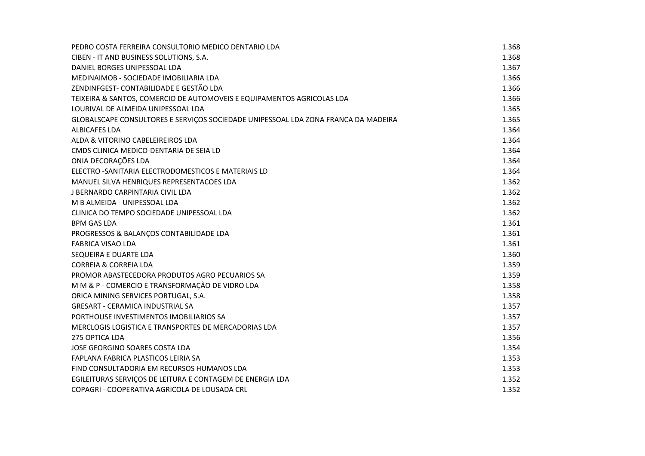| PEDRO COSTA FERREIRA CONSULTORIO MEDICO DENTARIO LDA                               | 1.368 |
|------------------------------------------------------------------------------------|-------|
| CIBEN - IT AND BUSINESS SOLUTIONS, S.A.                                            | 1.368 |
| DANIEL BORGES UNIPESSOAL LDA                                                       | 1.367 |
| MEDINAIMOB - SOCIEDADE IMOBILIARIA LDA                                             | 1.366 |
| ZENDINFGEST- CONTABILIDADE E GESTÃO LDA                                            | 1.366 |
| TEIXEIRA & SANTOS, COMERCIO DE AUTOMOVEIS E EQUIPAMENTOS AGRICOLAS LDA             | 1.366 |
| LOURIVAL DE ALMEIDA UNIPESSOAL LDA                                                 | 1.365 |
| GLOBALSCAPE CONSULTORES E SERVIÇOS SOCIEDADE UNIPESSOAL LDA ZONA FRANCA DA MADEIRA | 1.365 |
| <b>ALBICAFES LDA</b>                                                               | 1.364 |
| ALDA & VITORINO CABELEIREIROS LDA                                                  | 1.364 |
| CMDS CLINICA MEDICO-DENTARIA DE SEIA LD                                            | 1.364 |
| ONIA DECORAÇÕES LDA                                                                | 1.364 |
| ELECTRO - SANITARIA ELECTRODOMESTICOS E MATERIAIS LD                               | 1.364 |
| MANUEL SILVA HENRIQUES REPRESENTACOES LDA                                          | 1.362 |
| J BERNARDO CARPINTARIA CIVIL LDA                                                   | 1.362 |
| M B ALMEIDA - UNIPESSOAL LDA                                                       | 1.362 |
| CLINICA DO TEMPO SOCIEDADE UNIPESSOAL LDA                                          | 1.362 |
| <b>BPM GAS LDA</b>                                                                 | 1.361 |
| PROGRESSOS & BALANÇOS CONTABILIDADE LDA                                            | 1.361 |
| <b>FABRICA VISAO LDA</b>                                                           | 1.361 |
| SEQUEIRA E DUARTE LDA                                                              | 1.360 |
| <b>CORREIA &amp; CORREIA LDA</b>                                                   | 1.359 |
| PROMOR ABASTECEDORA PRODUTOS AGRO PECUARIOS SA                                     | 1.359 |
| M M & P - COMERCIO E TRANSFORMAÇÃO DE VIDRO LDA                                    | 1.358 |
| ORICA MINING SERVICES PORTUGAL, S.A.                                               | 1.358 |
| <b>GRESART - CERAMICA INDUSTRIAL SA</b>                                            | 1.357 |
| PORTHOUSE INVESTIMENTOS IMOBILIARIOS SA                                            | 1.357 |
| MERCLOGIS LOGISTICA E TRANSPORTES DE MERCADORIAS LDA                               | 1.357 |
| 275 OPTICA LDA                                                                     | 1.356 |
| JOSE GEORGINO SOARES COSTA LDA                                                     | 1.354 |
| FAPLANA FABRICA PLASTICOS LEIRIA SA                                                | 1.353 |
| FIND CONSULTADORIA EM RECURSOS HUMANOS LDA                                         | 1.353 |
| EGILEITURAS SERVIÇOS DE LEITURA E CONTAGEM DE ENERGIA LDA                          | 1.352 |
| COPAGRI - COOPERATIVA AGRICOLA DE LOUSADA CRL                                      | 1.352 |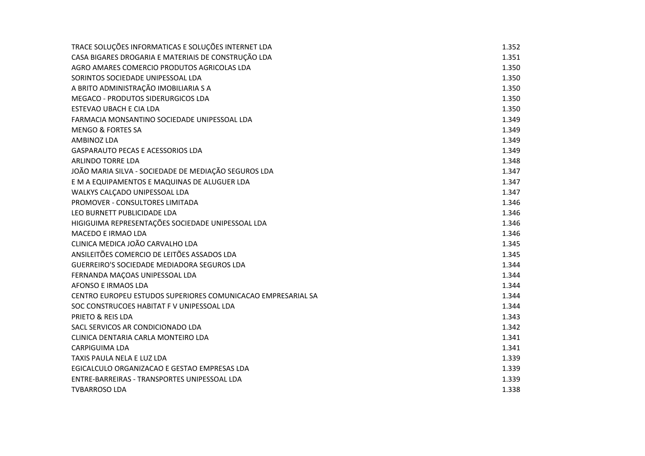| TRACE SOLUÇÕES INFORMATICAS E SOLUÇÕES INTERNET LDA          | 1.352 |
|--------------------------------------------------------------|-------|
| CASA BIGARES DROGARIA E MATERIAIS DE CONSTRUÇÃO LDA          | 1.351 |
| AGRO AMARES COMERCIO PRODUTOS AGRICOLAS LDA                  | 1.350 |
| SORINTOS SOCIEDADE UNIPESSOAL LDA                            | 1.350 |
| A BRITO ADMINISTRAÇÃO IMOBILIARIA S A                        | 1.350 |
| MEGACO - PRODUTOS SIDERURGICOS LDA                           | 1.350 |
| ESTEVAO UBACH E CIA LDA                                      | 1.350 |
| FARMACIA MONSANTINO SOCIEDADE UNIPESSOAL LDA                 | 1.349 |
| <b>MENGO &amp; FORTES SA</b>                                 | 1.349 |
| AMBINOZ LDA                                                  | 1.349 |
| <b>GASPARAUTO PECAS E ACESSORIOS LDA</b>                     | 1.349 |
| <b>ARLINDO TORRE LDA</b>                                     | 1.348 |
| JOÃO MARIA SILVA - SOCIEDADE DE MEDIAÇÃO SEGUROS LDA         | 1.347 |
| E M A EQUIPAMENTOS E MAQUINAS DE ALUGUER LDA                 | 1.347 |
| WALKYS CALCADO UNIPESSOAL LDA                                | 1.347 |
| PROMOVER - CONSULTORES LIMITADA                              | 1.346 |
| LEO BURNETT PUBLICIDADE LDA                                  | 1.346 |
| HIGIGUIMA REPRESENTAÇÕES SOCIEDADE UNIPESSOAL LDA            | 1.346 |
| <b>MACEDO E IRMAO LDA</b>                                    | 1.346 |
| CLINICA MEDICA JOÃO CARVALHO LDA                             | 1.345 |
| ANSILEITÕES COMERCIO DE LEITÕES ASSADOS LDA                  | 1.345 |
| GUERREIRO'S SOCIEDADE MEDIADORA SEGUROS LDA                  | 1.344 |
| FERNANDA MAÇOAS UNIPESSOAL LDA                               | 1.344 |
| AFONSO E IRMAOS LDA                                          | 1.344 |
| CENTRO EUROPEU ESTUDOS SUPERIORES COMUNICACAO EMPRESARIAL SA | 1.344 |
| SOC CONSTRUCOES HABITAT F V UNIPESSOAL LDA                   | 1.344 |
| PRIETO & REIS LDA                                            | 1.343 |
| SACL SERVICOS AR CONDICIONADO LDA                            | 1.342 |
| CLINICA DENTARIA CARLA MONTEIRO LDA                          | 1.341 |
| <b>CARPIGUIMA LDA</b>                                        | 1.341 |
| TAXIS PAULA NELA E LUZ LDA                                   | 1.339 |
| EGICALCULO ORGANIZACAO E GESTAO EMPRESAS LDA                 | 1.339 |
| ENTRE-BARREIRAS - TRANSPORTES UNIPESSOAL LDA                 | 1.339 |
| <b>TVBARROSO LDA</b>                                         | 1.338 |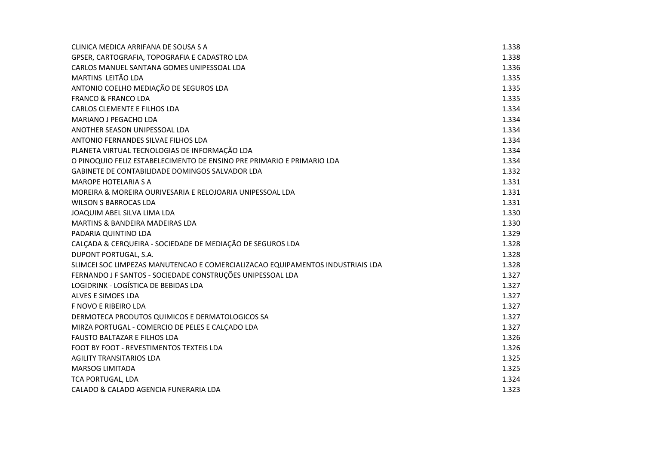| CLINICA MEDICA ARRIFANA DE SOUSA S A                                           | 1.338 |
|--------------------------------------------------------------------------------|-------|
| GPSER, CARTOGRAFIA, TOPOGRAFIA E CADASTRO LDA                                  | 1.338 |
| CARLOS MANUEL SANTANA GOMES UNIPESSOAL LDA                                     | 1.336 |
| MARTINS LEITÃO LDA                                                             | 1.335 |
| ANTONIO COELHO MEDIAÇÃO DE SEGUROS LDA                                         | 1.335 |
| <b>FRANCO &amp; FRANCO LDA</b>                                                 | 1.335 |
| CARLOS CLEMENTE E FILHOS LDA                                                   | 1.334 |
| MARIANO J PEGACHO LDA                                                          | 1.334 |
| ANOTHER SEASON UNIPESSOAL LDA                                                  | 1.334 |
| ANTONIO FERNANDES SILVAE FILHOS LDA                                            | 1.334 |
| PLANETA VIRTUAL TECNOLOGIAS DE INFORMAÇÃO LDA                                  | 1.334 |
| O PINOQUIO FELIZ ESTABELECIMENTO DE ENSINO PRE PRIMARIO E PRIMARIO LDA         | 1.334 |
| GABINETE DE CONTABILIDADE DOMINGOS SALVADOR LDA                                | 1.332 |
| <b>MAROPE HOTELARIA S A</b>                                                    | 1.331 |
| MOREIRA & MOREIRA OURIVESARIA E RELOJOARIA UNIPESSOAL LDA                      | 1.331 |
| <b>WILSON S BARROCAS LDA</b>                                                   | 1.331 |
| JOAQUIM ABEL SILVA LIMA LDA                                                    | 1.330 |
| MARTINS & BANDEIRA MADEIRAS LDA                                                | 1.330 |
| PADARIA QUINTINO LDA                                                           | 1.329 |
| CALÇADA & CERQUEIRA - SOCIEDADE DE MEDIAÇÃO DE SEGUROS LDA                     | 1.328 |
| DUPONT PORTUGAL, S.A.                                                          | 1.328 |
| SLIMCEI SOC LIMPEZAS MANUTENCAO E COMERCIALIZACAO EQUIPAMENTOS INDUSTRIAIS LDA | 1.328 |
| FERNANDO J F SANTOS - SOCIEDADE CONSTRUÇÕES UNIPESSOAL LDA                     | 1.327 |
| LOGIDRINK - LOGÍSTICA DE BEBIDAS LDA                                           | 1.327 |
| ALVES E SIMOES LDA                                                             | 1.327 |
| F NOVO E RIBEIRO LDA                                                           | 1.327 |
| DERMOTECA PRODUTOS QUIMICOS E DERMATOLOGICOS SA                                | 1.327 |
| MIRZA PORTUGAL - COMERCIO DE PELES E CALÇADO LDA                               | 1.327 |
| <b>FAUSTO BALTAZAR E FILHOS LDA</b>                                            | 1.326 |
| FOOT BY FOOT - REVESTIMENTOS TEXTEIS LDA                                       | 1.326 |
| <b>AGILITY TRANSITARIOS LDA</b>                                                | 1.325 |
| <b>MARSOG LIMITADA</b>                                                         | 1.325 |
| <b>TCA PORTUGAL, LDA</b>                                                       | 1.324 |
| CALADO & CALADO AGENCIA FUNERARIA LDA                                          | 1.323 |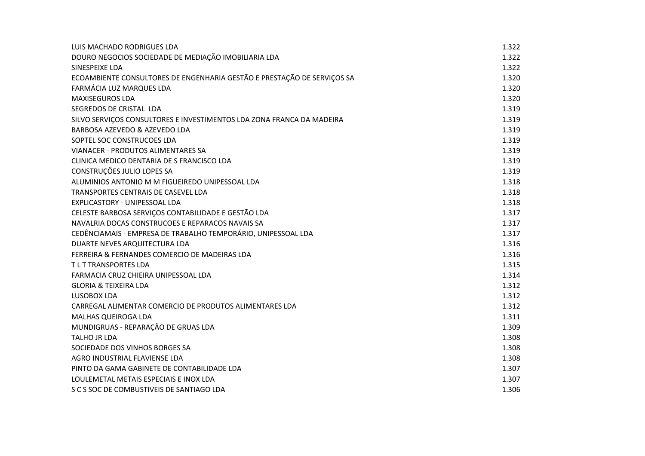| LUIS MACHADO RODRIGUES LDA                                              | 1.322 |
|-------------------------------------------------------------------------|-------|
| DOURO NEGOCIOS SOCIEDADE DE MEDIAÇÃO IMOBILIARIA LDA                    | 1.322 |
| SINESPEIXE LDA                                                          | 1.322 |
| ECOAMBIENTE CONSULTORES DE ENGENHARIA GESTÃO E PRESTAÇÃO DE SERVIÇOS SA | 1.320 |
| FARMÁCIA LUZ MARQUES LDA                                                | 1.320 |
| <b>MAXISEGUROS LDA</b>                                                  | 1.320 |
| SEGREDOS DE CRISTAL LDA                                                 | 1.319 |
| SILVO SERVIÇOS CONSULTORES E INVESTIMENTOS LDA ZONA FRANCA DA MADEIRA   | 1.319 |
| BARBOSA AZEVEDO & AZEVEDO LDA                                           | 1.319 |
| SOPTEL SOC CONSTRUCOES LDA                                              | 1.319 |
| VIANACER - PRODUTOS ALIMENTARES SA                                      | 1.319 |
| CLINICA MEDICO DENTARIA DE S FRANCISCO LDA                              | 1.319 |
| CONSTRUÇÕES JULIO LOPES SA                                              | 1.319 |
| ALUMINIOS ANTONIO M M FIGUEIREDO UNIPESSOAL LDA                         | 1.318 |
| TRANSPORTES CENTRAIS DE CASEVEL LDA                                     | 1.318 |
| EXPLICASTORY - UNIPESSOAL LDA                                           | 1.318 |
| CELESTE BARBOSA SERVIÇOS CONTABILIDADE E GESTÃO LDA                     | 1.317 |
| NAVALRIA DOCAS CONSTRUCOES E REPARACOS NAVAIS SA                        | 1.317 |
| CEDÊNCIAMAIS - EMPRESA DE TRABALHO TEMPORÁRIO, UNIPESSOAL LDA           | 1.317 |
| DUARTE NEVES ARQUITECTURA LDA                                           | 1.316 |
| FERREIRA & FERNANDES COMERCIO DE MADEIRAS LDA                           | 1.316 |
| <b>TLT TRANSPORTES LDA</b>                                              | 1.315 |
| FARMACIA CRUZ CHIEIRA UNIPESSOAL LDA                                    | 1.314 |
| <b>GLORIA &amp; TEIXEIRA LDA</b>                                        | 1.312 |
| LUSOBOX LDA                                                             | 1.312 |
| CARREGAL ALIMENTAR COMERCIO DE PRODUTOS ALIMENTARES LDA                 | 1.312 |
| MALHAS QUEIROGA LDA                                                     | 1.311 |
| MUNDIGRUAS - REPARAÇÃO DE GRUAS LDA                                     | 1.309 |
| <b>TALHO JR LDA</b>                                                     | 1.308 |
| SOCIEDADE DOS VINHOS BORGES SA                                          | 1.308 |
| AGRO INDUSTRIAL FLAVIENSE LDA                                           | 1.308 |
| PINTO DA GAMA GABINETE DE CONTABILIDADE LDA                             | 1.307 |
| LOULEMETAL METAIS ESPECIAIS E INOX LDA                                  | 1.307 |
| S C S SOC DE COMBUSTIVEIS DE SANTIAGO LDA                               | 1.306 |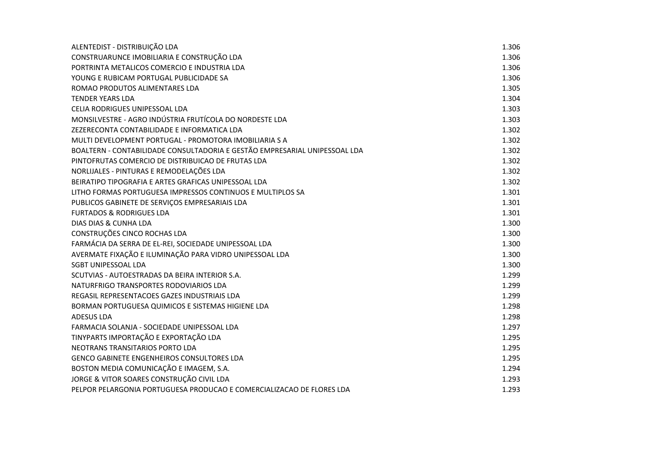| ALENTEDIST - DISTRIBUIÇÃO LDA                                              | 1.306 |
|----------------------------------------------------------------------------|-------|
| CONSTRUARUNCE IMOBILIARIA E CONSTRUÇÃO LDA                                 | 1.306 |
| PORTRINTA METALICOS COMERCIO E INDUSTRIA LDA                               | 1.306 |
| YOUNG E RUBICAM PORTUGAL PUBLICIDADE SA                                    | 1.306 |
| ROMAO PRODUTOS ALIMENTARES LDA                                             | 1.305 |
| <b>TENDER YEARS LDA</b>                                                    | 1.304 |
| CELIA RODRIGUES UNIPESSOAL LDA                                             | 1.303 |
| MONSILVESTRE - AGRO INDÚSTRIA FRUTÍCOLA DO NORDESTE LDA                    | 1.303 |
| ZEZERECONTA CONTABILIDADE E INFORMATICA LDA                                | 1.302 |
| MULTI DEVELOPMENT PORTUGAL - PROMOTORA IMOBILIARIA S A                     | 1.302 |
| BOALTERN - CONTABILIDADE CONSULTADORIA E GESTÃO EMPRESARIAL UNIPESSOAL LDA | 1.302 |
| PINTOFRUTAS COMERCIO DE DISTRIBUICAO DE FRUTAS LDA                         | 1.302 |
| NORLIJALES - PINTURAS E REMODELAÇÕES LDA                                   | 1.302 |
| BEIRATIPO TIPOGRAFIA E ARTES GRAFICAS UNIPESSOAL LDA                       | 1.302 |
| LITHO FORMAS PORTUGUESA IMPRESSOS CONTINUOS E MULTIPLOS SA                 | 1.301 |
| PUBLICOS GABINETE DE SERVIÇOS EMPRESARIAIS LDA                             | 1.301 |
| <b>FURTADOS &amp; RODRIGUES LDA</b>                                        | 1.301 |
| DIAS DIAS & CUNHA LDA                                                      | 1.300 |
| CONSTRUÇÕES CINCO ROCHAS LDA                                               | 1.300 |
| FARMÁCIA DA SERRA DE EL-REI, SOCIEDADE UNIPESSOAL LDA                      | 1.300 |
| AVERMATE FIXAÇÃO E ILUMINAÇÃO PARA VIDRO UNIPESSOAL LDA                    | 1.300 |
| <b>SGBT UNIPESSOAL LDA</b>                                                 | 1.300 |
| SCUTVIAS - AUTOESTRADAS DA BEIRA INTERIOR S.A.                             | 1.299 |
| NATURFRIGO TRANSPORTES RODOVIARIOS LDA                                     | 1.299 |
| REGASIL REPRESENTACOES GAZES INDUSTRIAIS LDA                               | 1.299 |
| BORMAN PORTUGUESA QUIMICOS E SISTEMAS HIGIENE LDA                          | 1.298 |
| <b>ADESUS LDA</b>                                                          | 1.298 |
| FARMACIA SOLANJA - SOCIEDADE UNIPESSOAL LDA                                | 1.297 |
| TINYPARTS IMPORTAÇÃO E EXPORTAÇÃO LDA                                      | 1.295 |
| NEOTRANS TRANSITARIOS PORTO LDA                                            | 1.295 |
| <b>GENCO GABINETE ENGENHEIROS CONSULTORES LDA</b>                          | 1.295 |
| BOSTON MEDIA COMUNICAÇÃO E IMAGEM, S.A.                                    | 1.294 |
| JORGE & VITOR SOARES CONSTRUÇÃO CIVIL LDA                                  | 1.293 |
| PELPOR PELARGONIA PORTUGUESA PRODUCAO E COMERCIALIZACAO DE FLORES LDA      | 1.293 |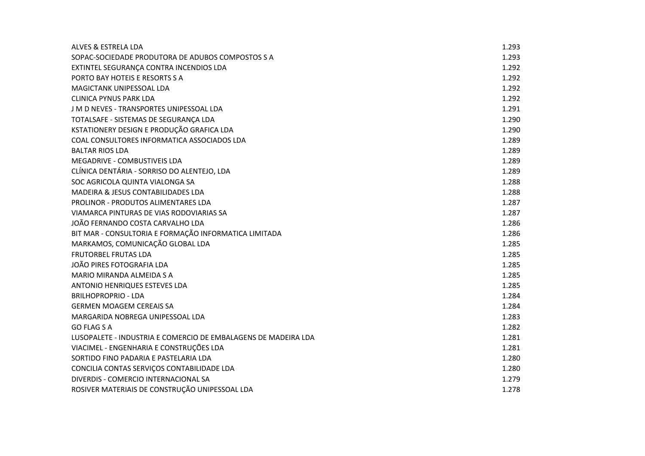| ALVES & ESTRELA LDA                                            | 1.293 |
|----------------------------------------------------------------|-------|
| SOPAC-SOCIEDADE PRODUTORA DE ADUBOS COMPOSTOS S A              | 1.293 |
| EXTINTEL SEGURANÇA CONTRA INCENDIOS LDA                        | 1.292 |
| PORTO BAY HOTEIS E RESORTS S A                                 | 1.292 |
| MAGICTANK UNIPESSOAL LDA                                       | 1.292 |
| <b>CLINICA PYNUS PARK LDA</b>                                  | 1.292 |
| J M D NEVES - TRANSPORTES UNIPESSOAL LDA                       | 1.291 |
| TOTALSAFE - SISTEMAS DE SEGURANÇA LDA                          | 1.290 |
| KSTATIONERY DESIGN E PRODUÇÃO GRAFICA LDA                      | 1.290 |
| COAL CONSULTORES INFORMATICA ASSOCIADOS LDA                    | 1.289 |
| <b>BALTAR RIOS LDA</b>                                         | 1.289 |
| MEGADRIVE - COMBUSTIVEIS LDA                                   | 1.289 |
| CLÍNICA DENTÁRIA - SORRISO DO ALENTEJO, LDA                    | 1.289 |
| SOC AGRICOLA QUINTA VIALONGA SA                                | 1.288 |
| MADEIRA & JESUS CONTABILIDADES LDA                             | 1.288 |
| PROLINOR - PRODUTOS ALIMENTARES LDA                            | 1.287 |
| VIAMARCA PINTURAS DE VIAS RODOVIARIAS SA                       | 1.287 |
| JOÃO FERNANDO COSTA CARVALHO LDA                               | 1.286 |
| BIT MAR - CONSULTORIA E FORMAÇÃO INFORMATICA LIMITADA          | 1.286 |
| MARKAMOS, COMUNICAÇÃO GLOBAL LDA                               | 1.285 |
| FRUTORBEL FRUTAS LDA                                           | 1.285 |
| JOÃO PIRES FOTOGRAFIA LDA                                      | 1.285 |
| MARIO MIRANDA ALMEIDA S A                                      | 1.285 |
| <b>ANTONIO HENRIQUES ESTEVES LDA</b>                           | 1.285 |
| <b>BRILHOPROPRIO - LDA</b>                                     | 1.284 |
| <b>GERMEN MOAGEM CEREAIS SA</b>                                | 1.284 |
| MARGARIDA NOBREGA UNIPESSOAL LDA                               | 1.283 |
| GO FLAG S A                                                    | 1.282 |
| LUSOPALETE - INDUSTRIA E COMERCIO DE EMBALAGENS DE MADEIRA LDA | 1.281 |
| VIACIMEL - ENGENHARIA E CONSTRUÇÕES LDA                        | 1.281 |
| SORTIDO FINO PADARIA E PASTELARIA LDA                          | 1.280 |
| CONCILIA CONTAS SERVIÇOS CONTABILIDADE LDA                     | 1.280 |
| DIVERDIS - COMERCIO INTERNACIONAL SA                           | 1.279 |
| ROSIVER MATERIAIS DE CONSTRUÇÃO UNIPESSOAL LDA                 | 1.278 |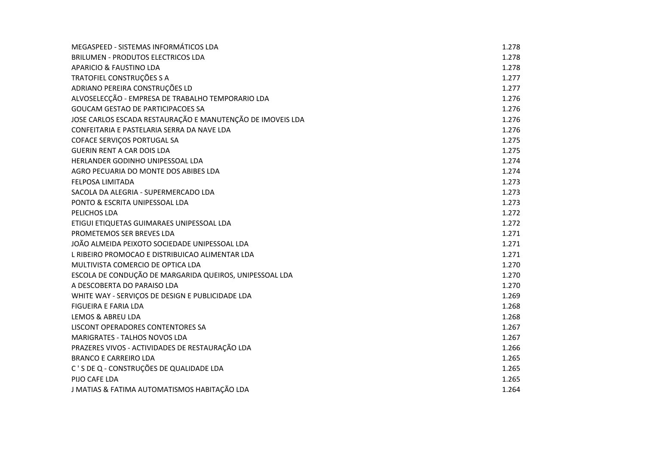| MEGASPEED - SISTEMAS INFORMÁTICOS LDA                      | 1.278 |
|------------------------------------------------------------|-------|
| <b>BRILUMEN - PRODUTOS ELECTRICOS LDA</b>                  | 1.278 |
| APARICIO & FAUSTINO LDA                                    | 1.278 |
| TRATOFIEL CONSTRUÇÕES S A                                  | 1.277 |
| ADRIANO PEREIRA CONSTRUÇÕES LD                             | 1.277 |
| ALVOSELECÇÃO - EMPRESA DE TRABALHO TEMPORARIO LDA          | 1.276 |
| GOUCAM GESTAO DE PARTICIPACOES SA                          | 1.276 |
| JOSE CARLOS ESCADA RESTAURAÇÃO E MANUTENÇÃO DE IMOVEIS LDA | 1.276 |
| CONFEITARIA E PASTELARIA SERRA DA NAVE LDA                 | 1.276 |
| COFACE SERVIÇOS PORTUGAL SA                                | 1.275 |
| <b>GUERIN RENT A CAR DOIS LDA</b>                          | 1.275 |
| HERLANDER GODINHO UNIPESSOAL LDA                           | 1.274 |
| AGRO PECUARIA DO MONTE DOS ABIBES LDA                      | 1.274 |
| FELPOSA LIMITADA                                           | 1.273 |
| SACOLA DA ALEGRIA - SUPERMERCADO LDA                       | 1.273 |
| PONTO & ESCRITA UNIPESSOAL LDA                             | 1.273 |
| PELICHOS LDA                                               | 1.272 |
| ETIGUI ETIQUETAS GUIMARAES UNIPESSOAL LDA                  | 1.272 |
| PROMETEMOS SER BREVES LDA                                  | 1.271 |
| JOÃO ALMEIDA PEIXOTO SOCIEDADE UNIPESSOAL LDA              | 1.271 |
| L RIBEIRO PROMOCAO E DISTRIBUICAO ALIMENTAR LDA            | 1.271 |
| MULTIVISTA COMERCIO DE OPTICA LDA                          | 1.270 |
| ESCOLA DE CONDUÇÃO DE MARGARIDA QUEIROS, UNIPESSOAL LDA    | 1.270 |
| A DESCOBERTA DO PARAISO LDA                                | 1.270 |
| WHITE WAY - SERVIÇOS DE DESIGN E PUBLICIDADE LDA           | 1.269 |
| <b>FIGUEIRA E FARIA LDA</b>                                | 1.268 |
| LEMOS & ABREU LDA                                          | 1.268 |
| LISCONT OPERADORES CONTENTORES SA                          | 1.267 |
| <b>MARIGRATES - TALHOS NOVOS LDA</b>                       | 1.267 |
| PRAZERES VIVOS - ACTIVIDADES DE RESTAURAÇÃO LDA            | 1.266 |
| <b>BRANCO E CARREIRO LDA</b>                               | 1.265 |
| C'S DE Q - CONSTRUÇÕES DE QUALIDADE LDA                    | 1.265 |
| PIJO CAFE LDA                                              | 1.265 |
| J MATIAS & FATIMA AUTOMATISMOS HABITAÇÃO LDA               | 1.264 |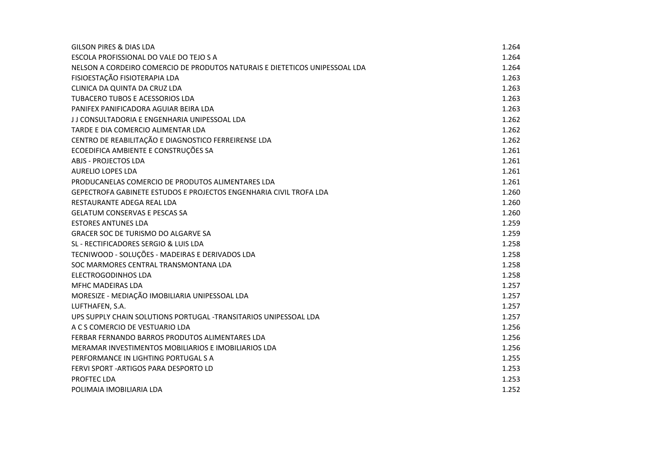| <b>GILSON PIRES &amp; DIAS LDA</b>                                          | 1.264 |
|-----------------------------------------------------------------------------|-------|
| ESCOLA PROFISSIONAL DO VALE DO TEJO S A                                     | 1.264 |
| NELSON A CORDEIRO COMERCIO DE PRODUTOS NATURAIS E DIETETICOS UNIPESSOAL LDA | 1.264 |
| FISIOESTAÇÃO FISIOTERAPIA LDA                                               | 1.263 |
| CLINICA DA QUINTA DA CRUZ LDA                                               | 1.263 |
| TUBACERO TUBOS E ACESSORIOS LDA                                             | 1.263 |
| PANIFEX PANIFICADORA AGUIAR BEIRA LDA                                       | 1.263 |
| J J CONSULTADORIA E ENGENHARIA UNIPESSOAL LDA                               | 1.262 |
| TARDE E DIA COMERCIO ALIMENTAR LDA                                          | 1.262 |
| CENTRO DE REABILITAÇÃO E DIAGNOSTICO FERREIRENSE LDA                        | 1.262 |
| ECOEDIFICA AMBIENTE E CONSTRUÇÕES SA                                        | 1.261 |
| ABJS - PROJECTOS LDA                                                        | 1.261 |
| <b>AURELIO LOPES LDA</b>                                                    | 1.261 |
| PRODUCANELAS COMERCIO DE PRODUTOS ALIMENTARES LDA                           | 1.261 |
| GEPECTROFA GABINETE ESTUDOS E PROJECTOS ENGENHARIA CIVIL TROFA LDA          | 1.260 |
| RESTAURANTE ADEGA REAL LDA                                                  | 1.260 |
| <b>GELATUM CONSERVAS E PESCAS SA</b>                                        | 1.260 |
| <b>ESTORES ANTUNES LDA</b>                                                  | 1.259 |
| <b>GRACER SOC DE TURISMO DO ALGARVE SA</b>                                  | 1.259 |
| SL - RECTIFICADORES SERGIO & LUIS LDA                                       | 1.258 |
| TECNIWOOD - SOLUÇÕES - MADEIRAS E DERIVADOS LDA                             | 1.258 |
| SOC MARMORES CENTRAL TRANSMONTANA LDA                                       | 1.258 |
| <b>ELECTROGODINHOS LDA</b>                                                  | 1.258 |
| <b>MFHC MADEIRAS LDA</b>                                                    | 1.257 |
| MORESIZE - MEDIAÇÃO IMOBILIARIA UNIPESSOAL LDA                              | 1.257 |
| LUFTHAFEN, S.A.                                                             | 1.257 |
| UPS SUPPLY CHAIN SOLUTIONS PORTUGAL -TRANSITARIOS UNIPESSOAL LDA            | 1.257 |
| A C S COMERCIO DE VESTUARIO LDA                                             | 1.256 |
| FERBAR FERNANDO BARROS PRODUTOS ALIMENTARES LDA                             | 1.256 |
| MERAMAR INVESTIMENTOS MOBILIARIOS E IMOBILIARIOS LDA                        | 1.256 |
| PERFORMANCE IN LIGHTING PORTUGAL S A                                        | 1.255 |
| FERVI SPORT - ARTIGOS PARA DESPORTO LD                                      | 1.253 |
| PROFTEC LDA                                                                 | 1.253 |
| POLIMAIA IMOBILIARIA LDA                                                    | 1.252 |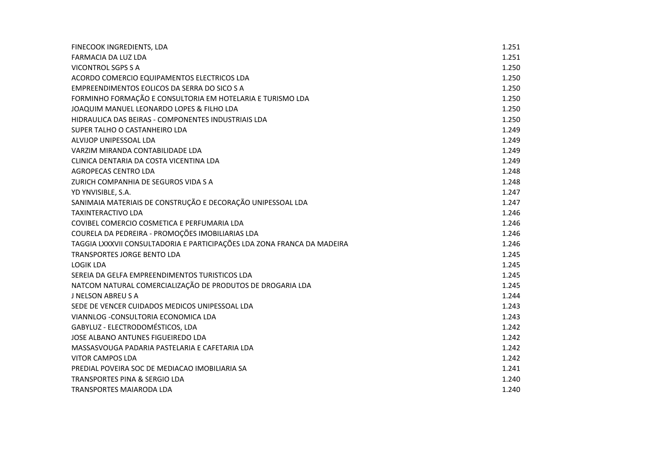| FINECOOK INGREDIENTS, LDA                                               | 1.251 |
|-------------------------------------------------------------------------|-------|
| FARMACIA DA LUZ LDA                                                     | 1.251 |
| VICONTROL SGPS S A                                                      | 1.250 |
| ACORDO COMERCIO EQUIPAMENTOS ELECTRICOS LDA                             | 1.250 |
| EMPREENDIMENTOS EOLICOS DA SERRA DO SICO S A                            | 1.250 |
| FORMINHO FORMAÇÃO E CONSULTORIA EM HOTELARIA E TURISMO LDA              | 1.250 |
| JOAQUIM MANUEL LEONARDO LOPES & FILHO LDA                               | 1.250 |
| HIDRAULICA DAS BEIRAS - COMPONENTES INDUSTRIAIS LDA                     | 1.250 |
| SUPER TALHO O CASTANHEIRO LDA                                           | 1.249 |
| ALVIJOP UNIPESSOAL LDA                                                  | 1.249 |
| VARZIM MIRANDA CONTABILIDADE LDA                                        | 1.249 |
| CLINICA DENTARIA DA COSTA VICENTINA LDA                                 | 1.249 |
| <b>AGROPECAS CENTRO LDA</b>                                             | 1.248 |
| ZURICH COMPANHIA DE SEGUROS VIDA S A                                    | 1.248 |
| YD YNVISIBLE, S.A.                                                      | 1.247 |
| SANIMAIA MATERIAIS DE CONSTRUÇÃO E DECORAÇÃO UNIPESSOAL LDA             | 1.247 |
| <b>TAXINTERACTIVO LDA</b>                                               | 1.246 |
| COVIBEL COMERCIO COSMETICA E PERFUMARIA LDA                             | 1.246 |
| COURELA DA PEDREIRA - PROMOÇÕES IMOBILIARIAS LDA                        | 1.246 |
| TAGGIA LXXXVII CONSULTADORIA E PARTICIPAÇÕES LDA ZONA FRANCA DA MADEIRA | 1.246 |
| <b>TRANSPORTES JORGE BENTO LDA</b>                                      | 1.245 |
| LOGIK LDA                                                               | 1.245 |
| SEREIA DA GELFA EMPREENDIMENTOS TURISTICOS LDA                          | 1.245 |
| NATCOM NATURAL COMERCIALIZAÇÃO DE PRODUTOS DE DROGARIA LDA              | 1.245 |
| J NELSON ABREUS A                                                       | 1.244 |
| SEDE DE VENCER CUIDADOS MEDICOS UNIPESSOAL LDA                          | 1.243 |
| VIANNLOG - CONSULTORIA ECONOMICA LDA                                    | 1.243 |
| GABYLUZ - ELECTRODOMÉSTICOS, LDA                                        | 1.242 |
| JOSE ALBANO ANTUNES FIGUEIREDO LDA                                      | 1.242 |
| MASSASVOUGA PADARIA PASTELARIA E CAFETARIA LDA                          | 1.242 |
| <b>VITOR CAMPOS LDA</b>                                                 | 1.242 |
| PREDIAL POVEIRA SOC DE MEDIACAO IMOBILIARIA SA                          | 1.241 |
| TRANSPORTES PINA & SERGIO LDA                                           | 1.240 |
| <b>TRANSPORTES MAIARODA LDA</b>                                         | 1.240 |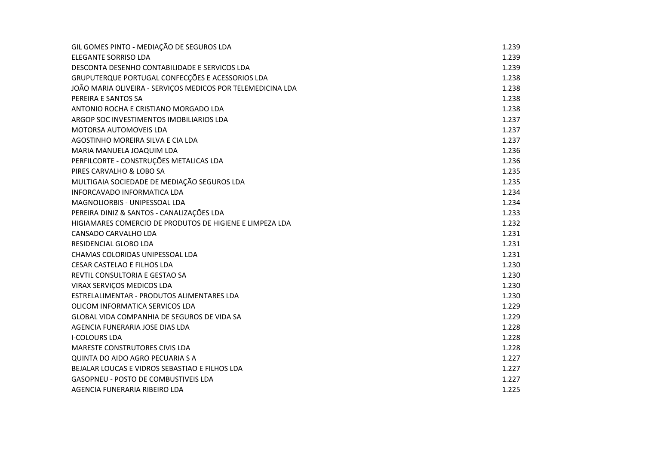| GIL GOMES PINTO - MEDIAÇÃO DE SEGUROS LDA                   | 1.239 |
|-------------------------------------------------------------|-------|
| <b>ELEGANTE SORRISO LDA</b>                                 | 1.239 |
| DESCONTA DESENHO CONTABILIDADE E SERVICOS LDA               | 1.239 |
| GRUPUTERQUE PORTUGAL CONFECÇÕES E ACESSORIOS LDA            | 1.238 |
| JOÃO MARIA OLIVEIRA - SERVIÇOS MEDICOS POR TELEMEDICINA LDA | 1.238 |
| PEREIRA E SANTOS SA                                         | 1.238 |
| ANTONIO ROCHA E CRISTIANO MORGADO LDA                       | 1.238 |
| ARGOP SOC INVESTIMENTOS IMOBILIARIOS LDA                    | 1.237 |
| MOTORSA AUTOMOVEIS LDA                                      | 1.237 |
| AGOSTINHO MOREIRA SILVA E CIA LDA                           | 1.237 |
| MARIA MANUELA JOAQUIM LDA                                   | 1.236 |
| PERFILCORTE - CONSTRUÇÕES METALICAS LDA                     | 1.236 |
| PIRES CARVALHO & LOBO SA                                    | 1.235 |
| MULTIGAIA SOCIEDADE DE MEDIAÇÃO SEGUROS LDA                 | 1.235 |
| INFORCAVADO INFORMATICA LDA                                 | 1.234 |
| MAGNOLIORBIS - UNIPESSOAL LDA                               | 1.234 |
| PEREIRA DINIZ & SANTOS - CANALIZAÇÕES LDA                   | 1.233 |
| HIGIAMARES COMERCIO DE PRODUTOS DE HIGIENE E LIMPEZA LDA    | 1.232 |
| CANSADO CARVALHO LDA                                        | 1.231 |
| RESIDENCIAL GLOBO LDA                                       | 1.231 |
| CHAMAS COLORIDAS UNIPESSOAL LDA                             | 1.231 |
| CESAR CASTELAO E FILHOS LDA                                 | 1.230 |
| REVTIL CONSULTORIA E GESTAO SA                              | 1.230 |
| VIRAX SERVIÇOS MEDICOS LDA                                  | 1.230 |
| ESTRELALIMENTAR - PRODUTOS ALIMENTARES LDA                  | 1.230 |
| OLICOM INFORMATICA SERVICOS LDA                             | 1.229 |
| GLOBAL VIDA COMPANHIA DE SEGUROS DE VIDA SA                 | 1.229 |
| AGENCIA FUNERARIA JOSE DIAS LDA                             | 1.228 |
| <b>I-COLOURS LDA</b>                                        | 1.228 |
| <b>MARESTE CONSTRUTORES CIVIS LDA</b>                       | 1.228 |
| QUINTA DO AIDO AGRO PECUARIA S A                            | 1.227 |
| BEJALAR LOUCAS E VIDROS SEBASTIAO E FILHOS LDA              | 1.227 |
| GASOPNEU - POSTO DE COMBUSTIVEIS LDA                        | 1.227 |
| AGENCIA FUNERARIA RIBEIRO LDA                               | 1.225 |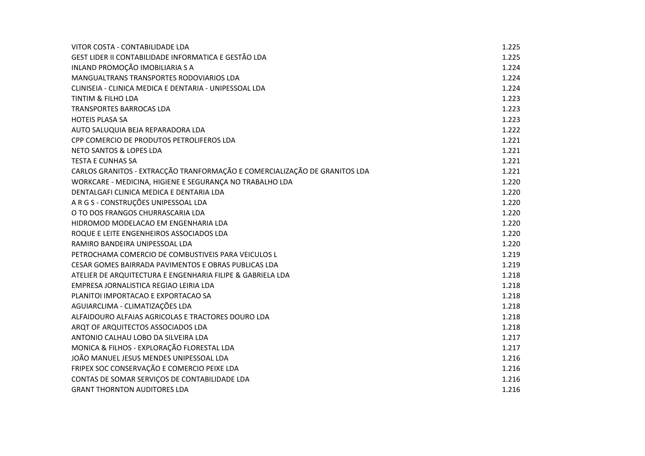| VITOR COSTA - CONTABILIDADE LDA                                            | 1.225 |
|----------------------------------------------------------------------------|-------|
| GEST LIDER II CONTABILIDADE INFORMATICA E GESTÃO LDA                       | 1.225 |
| INLAND PROMOÇÃO IMOBILIARIA S A                                            | 1.224 |
| MANGUALTRANS TRANSPORTES RODOVIARIOS LDA                                   | 1.224 |
| CLINISEIA - CLINICA MEDICA E DENTARIA - UNIPESSOAL LDA                     | 1.224 |
| <b>TINTIM &amp; FILHO LDA</b>                                              | 1.223 |
| <b>TRANSPORTES BARROCAS LDA</b>                                            | 1.223 |
| <b>HOTEIS PLASA SA</b>                                                     | 1.223 |
| AUTO SALUQUIA BEJA REPARADORA LDA                                          | 1.222 |
| CPP COMERCIO DE PRODUTOS PETROLIFEROS LDA                                  | 1.221 |
| NETO SANTOS & LOPES LDA                                                    | 1.221 |
| <b>TESTA E CUNHAS SA</b>                                                   | 1.221 |
| CARLOS GRANITOS - EXTRACÇÃO TRANFORMAÇÃO E COMERCIALIZAÇÃO DE GRANITOS LDA | 1.221 |
| WORKCARE - MEDICINA, HIGIENE E SEGURANÇA NO TRABALHO LDA                   | 1.220 |
| DENTALGAFI CLINICA MEDICA E DENTARIA LDA                                   | 1.220 |
| A R G S - CONSTRUÇÕES UNIPESSOAL LDA                                       | 1.220 |
| O TO DOS FRANGOS CHURRASCARIA LDA                                          | 1.220 |
| HIDROMOD MODELACAO EM ENGENHARIA LDA                                       | 1.220 |
| ROQUE E LEITE ENGENHEIROS ASSOCIADOS LDA                                   | 1.220 |
| RAMIRO BANDEIRA UNIPESSOAL LDA                                             | 1.220 |
| PETROCHAMA COMERCIO DE COMBUSTIVEIS PARA VEICULOS L                        | 1.219 |
| CESAR GOMES BAIRRADA PAVIMENTOS E OBRAS PUBLICAS LDA                       | 1.219 |
| ATELIER DE ARQUITECTURA E ENGENHARIA FILIPE & GABRIELA LDA                 | 1.218 |
| EMPRESA JORNALISTICA REGIAO LEIRIA LDA                                     | 1.218 |
| PLANITOI IMPORTACAO E EXPORTACAO SA                                        | 1.218 |
| AGUIARCLIMA - CLIMATIZAÇÕES LDA                                            | 1.218 |
| ALFAIDOURO ALFAIAS AGRICOLAS E TRACTORES DOURO LDA                         | 1.218 |
| ARQT OF ARQUITECTOS ASSOCIADOS LDA                                         | 1.218 |
| ANTONIO CALHAU LOBO DA SILVEIRA LDA                                        | 1.217 |
| MONICA & FILHOS - EXPLORAÇÃO FLORESTAL LDA                                 | 1.217 |
| JOÃO MANUEL JESUS MENDES UNIPESSOAL LDA                                    | 1.216 |
| FRIPEX SOC CONSERVAÇÃO E COMERCIO PEIXE LDA                                | 1.216 |
| CONTAS DE SOMAR SERVIÇOS DE CONTABILIDADE LDA                              | 1.216 |
| <b>GRANT THORNTON AUDITORES LDA</b>                                        | 1.216 |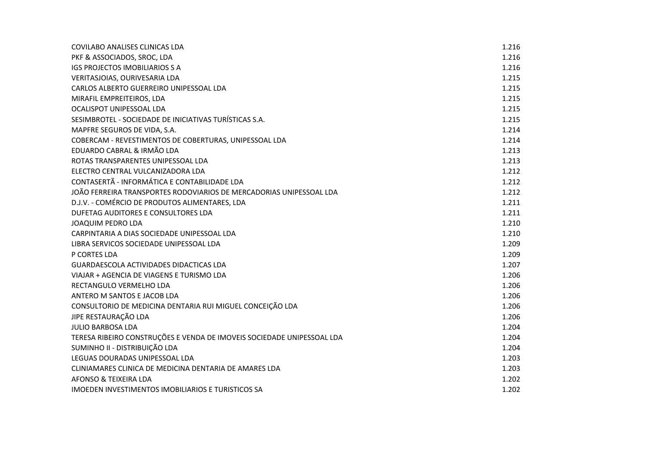| COVILABO ANALISES CLINICAS LDA                                         | 1.216 |
|------------------------------------------------------------------------|-------|
| PKF & ASSOCIADOS, SROC, LDA                                            | 1.216 |
| IGS PROJECTOS IMOBILIARIOS S A                                         | 1.216 |
| VERITASJOIAS, OURIVESARIA LDA                                          | 1.215 |
| CARLOS ALBERTO GUERREIRO UNIPESSOAL LDA                                | 1.215 |
| MIRAFIL EMPREITEIROS, LDA                                              | 1.215 |
| OCALISPOT UNIPESSOAL LDA                                               | 1.215 |
| SESIMBROTEL - SOCIEDADE DE INICIATIVAS TURÍSTICAS S.A.                 | 1.215 |
| MAPFRE SEGUROS DE VIDA, S.A.                                           | 1.214 |
| COBERCAM - REVESTIMENTOS DE COBERTURAS, UNIPESSOAL LDA                 | 1.214 |
| EDUARDO CABRAL & IRMÃO LDA                                             | 1.213 |
| ROTAS TRANSPARENTES UNIPESSOAL LDA                                     | 1.213 |
| ELECTRO CENTRAL VULCANIZADORA LDA                                      | 1.212 |
| CONTASERTÃ - INFORMÁTICA E CONTABILIDADE LDA                           | 1.212 |
| JOÃO FERREIRA TRANSPORTES RODOVIARIOS DE MERCADORIAS UNIPESSOAL LDA    | 1.212 |
| D.J.V. - COMÉRCIO DE PRODUTOS ALIMENTARES, LDA                         | 1.211 |
| DUFETAG AUDITORES E CONSULTORES LDA                                    | 1.211 |
| <b>JOAQUIM PEDRO LDA</b>                                               | 1.210 |
| CARPINTARIA A DIAS SOCIEDADE UNIPESSOAL LDA                            | 1.210 |
| LIBRA SERVICOS SOCIEDADE UNIPESSOAL LDA                                | 1.209 |
| P CORTES LDA                                                           | 1.209 |
| GUARDAESCOLA ACTIVIDADES DIDACTICAS LDA                                | 1.207 |
| VIAJAR + AGENCIA DE VIAGENS E TURISMO LDA                              | 1.206 |
| RECTANGULO VERMELHO LDA                                                | 1.206 |
| ANTERO M SANTOS E JACOB LDA                                            | 1.206 |
| CONSULTORIO DE MEDICINA DENTARIA RUI MIGUEL CONCEIÇÃO LDA              | 1.206 |
| JIPE RESTAURAÇÃO LDA                                                   | 1.206 |
| <b>JULIO BARBOSA LDA</b>                                               | 1.204 |
| TERESA RIBEIRO CONSTRUÇÕES E VENDA DE IMOVEIS SOCIEDADE UNIPESSOAL LDA | 1.204 |
| SUMINHO II - DISTRIBUIÇÃO LDA                                          | 1.204 |
| LEGUAS DOURADAS UNIPESSOAL LDA                                         | 1.203 |
| CLINIAMARES CLINICA DE MEDICINA DENTARIA DE AMARES LDA                 | 1.203 |
| AFONSO & TEIXEIRA LDA                                                  | 1.202 |
| <b>IMOEDEN INVESTIMENTOS IMOBILIARIOS E TURISTICOS SA</b>              | 1.202 |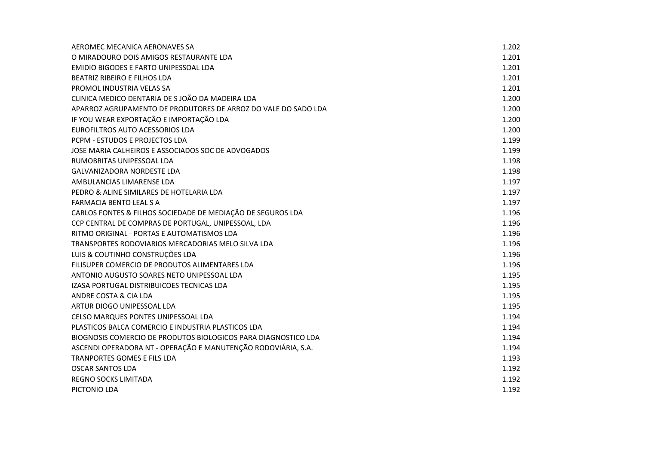| AEROMEC MECANICA AERONAVES SA                                  | 1.202 |
|----------------------------------------------------------------|-------|
| O MIRADOURO DOIS AMIGOS RESTAURANTE LDA                        | 1.201 |
| <b>EMIDIO BIGODES E FARTO UNIPESSOAL LDA</b>                   | 1.201 |
| <b>BEATRIZ RIBEIRO E FILHOS LDA</b>                            | 1.201 |
| PROMOL INDUSTRIA VELAS SA                                      | 1.201 |
| CLINICA MEDICO DENTARIA DE S JOÃO DA MADEIRA LDA               | 1.200 |
| APARROZ AGRUPAMENTO DE PRODUTORES DE ARROZ DO VALE DO SADO LDA | 1.200 |
| IF YOU WEAR EXPORTAÇÃO E IMPORTAÇÃO LDA                        | 1.200 |
| EUROFILTROS AUTO ACESSORIOS LDA                                | 1.200 |
| PCPM - ESTUDOS E PROJECTOS LDA                                 | 1.199 |
| JOSE MARIA CALHEIROS E ASSOCIADOS SOC DE ADVOGADOS             | 1.199 |
| RUMOBRITAS UNIPESSOAL LDA                                      | 1.198 |
| <b>GALVANIZADORA NORDESTE LDA</b>                              | 1.198 |
| AMBULANCIAS LIMARENSE LDA                                      | 1.197 |
| PEDRO & ALINE SIMILARES DE HOTELARIA LDA                       | 1.197 |
| <b>FARMACIA BENTO LEAL S A</b>                                 | 1.197 |
| CARLOS FONTES & FILHOS SOCIEDADE DE MEDIAÇÃO DE SEGUROS LDA    | 1.196 |
| CCP CENTRAL DE COMPRAS DE PORTUGAL, UNIPESSOAL, LDA            | 1.196 |
| RITMO ORIGINAL - PORTAS E AUTOMATISMOS LDA                     | 1.196 |
| TRANSPORTES RODOVIARIOS MERCADORIAS MELO SILVA LDA             | 1.196 |
| LUIS & COUTINHO CONSTRUÇÕES LDA                                | 1.196 |
| FILISUPER COMERCIO DE PRODUTOS ALIMENTARES LDA                 | 1.196 |
| ANTONIO AUGUSTO SOARES NETO UNIPESSOAL LDA                     | 1.195 |
| IZASA PORTUGAL DISTRIBUICOES TECNICAS LDA                      | 1.195 |
| ANDRE COSTA & CIA LDA                                          | 1.195 |
| ARTUR DIOGO UNIPESSOAL LDA                                     | 1.195 |
| CELSO MARQUES PONTES UNIPESSOAL LDA                            | 1.194 |
| PLASTICOS BALCA COMERCIO E INDUSTRIA PLASTICOS LDA             | 1.194 |
| BIOGNOSIS COMERCIO DE PRODUTOS BIOLOGICOS PARA DIAGNOSTICO LDA | 1.194 |
| ASCENDI OPERADORA NT - OPERAÇÃO E MANUTENÇÃO RODOVIÁRIA, S.A.  | 1.194 |
| <b>TRANPORTES GOMES E FILS LDA</b>                             | 1.193 |
| <b>OSCAR SANTOS LDA</b>                                        | 1.192 |
| <b>REGNO SOCKS LIMITADA</b>                                    | 1.192 |
| PICTONIO LDA                                                   | 1.192 |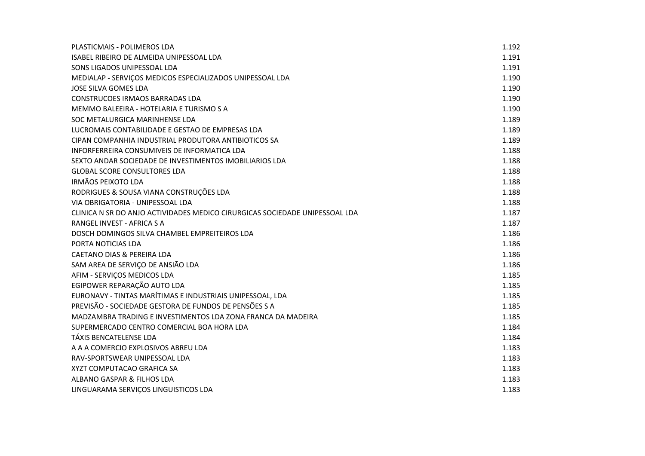| PLASTICMAIS - POLIMEROS LDA                                                 | 1.192 |
|-----------------------------------------------------------------------------|-------|
| ISABEL RIBEIRO DE ALMEIDA UNIPESSOAL LDA                                    | 1.191 |
| SONS LIGADOS UNIPESSOAL LDA                                                 | 1.191 |
| MEDIALAP - SERVIÇOS MEDICOS ESPECIALIZADOS UNIPESSOAL LDA                   | 1.190 |
| JOSE SILVA GOMES LDA                                                        | 1.190 |
| <b>CONSTRUCOES IRMAOS BARRADAS LDA</b>                                      | 1.190 |
| MEMMO BALEEIRA - HOTELARIA E TURISMO S A                                    | 1.190 |
| SOC METALURGICA MARINHENSE LDA                                              | 1.189 |
| LUCROMAIS CONTABILIDADE E GESTAO DE EMPRESAS LDA                            | 1.189 |
| CIPAN COMPANHIA INDUSTRIAL PRODUTORA ANTIBIOTICOS SA                        | 1.189 |
| INFORFERREIRA CONSUMIVEIS DE INFORMATICA LDA                                | 1.188 |
| SEXTO ANDAR SOCIEDADE DE INVESTIMENTOS IMOBILIARIOS LDA                     | 1.188 |
| <b>GLOBAL SCORE CONSULTORES LDA</b>                                         | 1.188 |
| <b>IRMÃOS PEIXOTO LDA</b>                                                   | 1.188 |
| RODRIGUES & SOUSA VIANA CONSTRUÇÕES LDA                                     | 1.188 |
| VIA OBRIGATORIA - UNIPESSOAL LDA                                            | 1.188 |
| CLINICA N SR DO ANJO ACTIVIDADES MEDICO CIRURGICAS SOCIEDADE UNIPESSOAL LDA | 1.187 |
| RANGEL INVEST - AFRICA S A                                                  | 1.187 |
| DOSCH DOMINGOS SILVA CHAMBEL EMPREITEIROS LDA                               | 1.186 |
| PORTA NOTICIAS LDA                                                          | 1.186 |
| <b>CAETANO DIAS &amp; PEREIRA LDA</b>                                       | 1.186 |
| SAM AREA DE SERVIÇO DE ANSIÃO LDA                                           | 1.186 |
| AFIM - SERVIÇOS MEDICOS LDA                                                 | 1.185 |
| EGIPOWER REPARAÇÃO AUTO LDA                                                 | 1.185 |
| EURONAVY - TINTAS MARÍTIMAS E INDUSTRIAIS UNIPESSOAL, LDA                   | 1.185 |
| PREVISÃO - SOCIEDADE GESTORA DE FUNDOS DE PENSÕES S A                       | 1.185 |
| MADZAMBRA TRADING E INVESTIMENTOS LDA ZONA FRANCA DA MADEIRA                | 1.185 |
| SUPERMERCADO CENTRO COMERCIAL BOA HORA LDA                                  | 1.184 |
| TÁXIS BENCATELENSE LDA                                                      | 1.184 |
| A A A COMERCIO EXPLOSIVOS ABREU LDA                                         | 1.183 |
| RAV-SPORTSWEAR UNIPESSOAL LDA                                               | 1.183 |
| XYZT COMPUTACAO GRAFICA SA                                                  | 1.183 |
| ALBANO GASPAR & FILHOS LDA                                                  | 1.183 |
| LINGUARAMA SERVIÇOS LINGUISTICOS LDA                                        | 1.183 |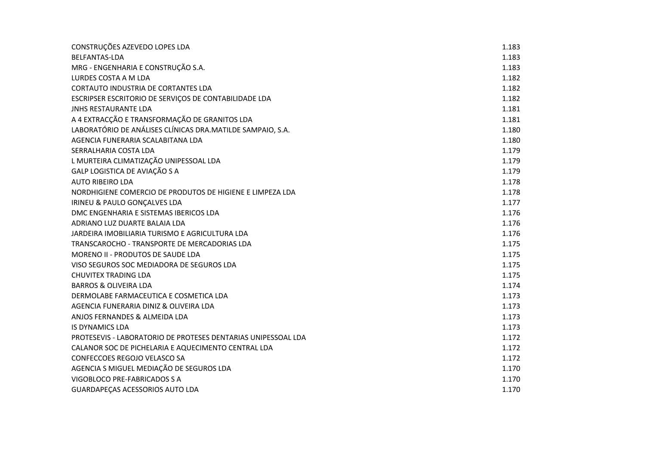| CONSTRUÇÕES AZEVEDO LOPES LDA                                 | 1.183 |
|---------------------------------------------------------------|-------|
| <b>BELFANTAS-LDA</b>                                          | 1.183 |
| MRG - ENGENHARIA E CONSTRUÇÃO S.A.                            | 1.183 |
| LURDES COSTA A M LDA                                          | 1.182 |
| <b>CORTAUTO INDUSTRIA DE CORTANTES LDA</b>                    | 1.182 |
| ESCRIPSER ESCRITORIO DE SERVIÇOS DE CONTABILIDADE LDA         | 1.182 |
| <b>JNHS RESTAURANTE LDA</b>                                   | 1.181 |
| A 4 EXTRACÇÃO E TRANSFORMAÇÃO DE GRANITOS LDA                 | 1.181 |
| LABORATÓRIO DE ANÁLISES CLÍNICAS DRA.MATILDE SAMPAIO, S.A.    | 1.180 |
| AGENCIA FUNERARIA SCALABITANA LDA                             | 1.180 |
| SERRALHARIA COSTA LDA                                         | 1.179 |
| L MURTEIRA CLIMATIZAÇÃO UNIPESSOAL LDA                        | 1.179 |
| GALP LOGISTICA DE AVIAÇÃO S A                                 | 1.179 |
| <b>AUTO RIBEIRO LDA</b>                                       | 1.178 |
| NORDHIGIENE COMERCIO DE PRODUTOS DE HIGIENE E LIMPEZA LDA     | 1.178 |
| IRINEU & PAULO GONÇALVES LDA                                  | 1.177 |
| DMC ENGENHARIA E SISTEMAS IBERICOS LDA                        | 1.176 |
| ADRIANO LUZ DUARTE BALAIA LDA                                 | 1.176 |
| JARDEIRA IMOBILIARIA TURISMO E AGRICULTURA LDA                | 1.176 |
| TRANSCAROCHO - TRANSPORTE DE MERCADORIAS LDA                  | 1.175 |
| MORENO II - PRODUTOS DE SAUDE LDA                             | 1.175 |
| VISO SEGUROS SOC MEDIADORA DE SEGUROS LDA                     | 1.175 |
| <b>CHUVITEX TRADING LDA</b>                                   | 1.175 |
| <b>BARROS &amp; OLIVEIRA LDA</b>                              | 1.174 |
| DERMOLABE FARMACEUTICA E COSMETICA LDA                        | 1.173 |
| AGENCIA FUNERARIA DINIZ & OLIVEIRA LDA                        | 1.173 |
| ANJOS FERNANDES & ALMEIDA LDA                                 | 1.173 |
| <b>IS DYNAMICS LDA</b>                                        | 1.173 |
| PROTESEVIS - LABORATORIO DE PROTESES DENTARIAS UNIPESSOAL LDA | 1.172 |
| CALANOR SOC DE PICHELARIA E AQUECIMENTO CENTRAL LDA           | 1.172 |
| CONFECCOES REGOJO VELASCO SA                                  | 1.172 |
| AGENCIA S MIGUEL MEDIAÇÃO DE SEGUROS LDA                      | 1.170 |
| VIGOBLOCO PRE-FABRICADOS S A                                  | 1.170 |
| GUARDAPEÇAS ACESSORIOS AUTO LDA                               | 1.170 |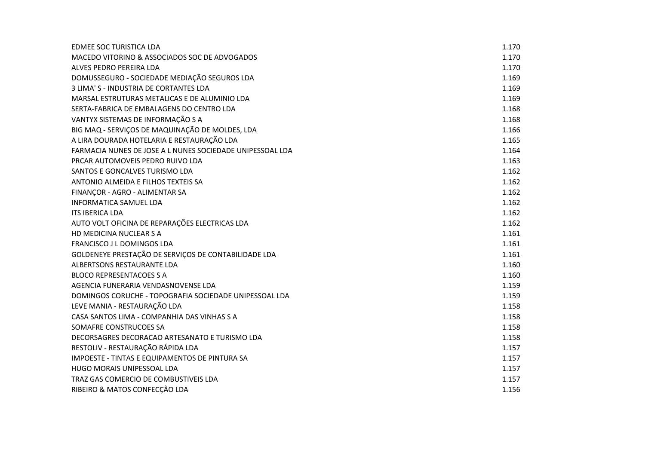| EDMEE SOC TURISTICA LDA                                   | 1.170 |
|-----------------------------------------------------------|-------|
| MACEDO VITORINO & ASSOCIADOS SOC DE ADVOGADOS             | 1.170 |
| ALVES PEDRO PEREIRA LDA                                   | 1.170 |
| DOMUSSEGURO - SOCIEDADE MEDIAÇÃO SEGUROS LDA              | 1.169 |
| 3 LIMA'S - INDUSTRIA DE CORTANTES LDA                     | 1.169 |
| MARSAL ESTRUTURAS METALICAS E DE ALUMINIO LDA             | 1.169 |
| SERTA-FABRICA DE EMBALAGENS DO CENTRO LDA                 | 1.168 |
| VANTYX SISTEMAS DE INFORMAÇÃO S A                         | 1.168 |
| BIG MAQ - SERVIÇOS DE MAQUINAÇÃO DE MOLDES, LDA           | 1.166 |
| A LIRA DOURADA HOTELARIA E RESTAURAÇÃO LDA                | 1.165 |
| FARMACIA NUNES DE JOSE A L NUNES SOCIEDADE UNIPESSOAL LDA | 1.164 |
| PRCAR AUTOMOVEIS PEDRO RUIVO LDA                          | 1.163 |
| SANTOS E GONCALVES TURISMO LDA                            | 1.162 |
| ANTONIO ALMEIDA E FILHOS TEXTEIS SA                       | 1.162 |
| FINANÇOR - AGRO - ALIMENTAR SA                            | 1.162 |
| <b>INFORMATICA SAMUEL LDA</b>                             | 1.162 |
| <b>ITS IBERICA LDA</b>                                    | 1.162 |
| AUTO VOLT OFICINA DE REPARAÇÕES ELECTRICAS LDA            | 1.162 |
| HD MEDICINA NUCLEAR S A                                   | 1.161 |
| FRANCISCO J L DOMINGOS LDA                                | 1.161 |
| GOLDENEYE PRESTAÇÃO DE SERVIÇOS DE CONTABILIDADE LDA      | 1.161 |
| ALBERTSONS RESTAURANTE LDA                                | 1.160 |
| <b>BLOCO REPRESENTACOES S A</b>                           | 1.160 |
| AGENCIA FUNERARIA VENDASNOVENSE LDA                       | 1.159 |
| DOMINGOS CORUCHE - TOPOGRAFIA SOCIEDADE UNIPESSOAL LDA    | 1.159 |
| LEVE MANIA - RESTAURAÇÃO LDA                              | 1.158 |
| CASA SANTOS LIMA - COMPANHIA DAS VINHAS S A               | 1.158 |
| SOMAFRE CONSTRUCOES SA                                    | 1.158 |
| DECORSAGRES DECORACAO ARTESANATO E TURISMO LDA            | 1.158 |
| RESTOLIV - RESTAURAÇÃO RÁPIDA LDA                         | 1.157 |
| IMPOESTE - TINTAS E EQUIPAMENTOS DE PINTURA SA            | 1.157 |
| HUGO MORAIS UNIPESSOAL LDA                                | 1.157 |
| TRAZ GAS COMERCIO DE COMBUSTIVEIS LDA                     | 1.157 |
| RIBEIRO & MATOS CONFECÇÃO LDA                             | 1.156 |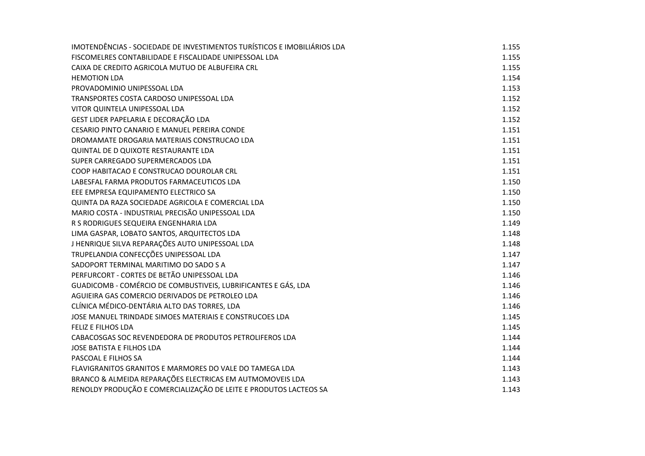| IMOTENDÊNCIAS - SOCIEDADE DE INVESTIMENTOS TURÍSTICOS E IMOBILIÁRIOS LDA | 1.155 |
|--------------------------------------------------------------------------|-------|
| FISCOMELRES CONTABILIDADE E FISCALIDADE UNIPESSOAL LDA                   | 1.155 |
| CAIXA DE CREDITO AGRICOLA MUTUO DE ALBUFEIRA CRL                         | 1.155 |
| <b>HEMOTION LDA</b>                                                      | 1.154 |
| PROVADOMINIO UNIPESSOAL LDA                                              | 1.153 |
| TRANSPORTES COSTA CARDOSO UNIPESSOAL LDA                                 | 1.152 |
| VITOR QUINTELA UNIPESSOAL LDA                                            | 1.152 |
| GEST LIDER PAPELARIA E DECORAÇÃO LDA                                     | 1.152 |
| CESARIO PINTO CANARIO E MANUEL PEREIRA CONDE                             | 1.151 |
| DROMAMATE DROGARIA MATERIAIS CONSTRUCAO LDA                              | 1.151 |
| QUINTAL DE D QUIXOTE RESTAURANTE LDA                                     | 1.151 |
| SUPER CARREGADO SUPERMERCADOS LDA                                        | 1.151 |
| COOP HABITACAO E CONSTRUCAO DOUROLAR CRL                                 | 1.151 |
| LABESFAL FARMA PRODUTOS FARMACEUTICOS LDA                                | 1.150 |
| EEE EMPRESA EQUIPAMENTO ELECTRICO SA                                     | 1.150 |
| QUINTA DA RAZA SOCIEDADE AGRICOLA E COMERCIAL LDA                        | 1.150 |
| MARIO COSTA - INDUSTRIAL PRECISÃO UNIPESSOAL LDA                         | 1.150 |
| R S RODRIGUES SEQUEIRA ENGENHARIA LDA                                    | 1.149 |
| LIMA GASPAR, LOBATO SANTOS, ARQUITECTOS LDA                              | 1.148 |
| J HENRIQUE SILVA REPARAÇÕES AUTO UNIPESSOAL LDA                          | 1.148 |
| TRUPELANDIA CONFECÇÕES UNIPESSOAL LDA                                    | 1.147 |
| SADOPORT TERMINAL MARITIMO DO SADO S A                                   | 1.147 |
| PERFURCORT - CORTES DE BETÃO UNIPESSOAL LDA                              | 1.146 |
| GUADICOMB - COMÉRCIO DE COMBUSTIVEIS, LUBRIFICANTES E GÁS, LDA           | 1.146 |
| AGUIEIRA GAS COMERCIO DERIVADOS DE PETROLEO LDA                          | 1.146 |
| CLÍNICA MÉDICO-DENTÁRIA ALTO DAS TORRES, LDA                             | 1.146 |
| JOSE MANUEL TRINDADE SIMOES MATERIAIS E CONSTRUCOES LDA                  | 1.145 |
| FELIZ E FILHOS LDA                                                       | 1.145 |
| CABACOSGAS SOC REVENDEDORA DE PRODUTOS PETROLIFEROS LDA                  | 1.144 |
| JOSE BATISTA E FILHOS LDA                                                | 1.144 |
| PASCOAL E FILHOS SA                                                      | 1.144 |
| FLAVIGRANITOS GRANITOS E MARMORES DO VALE DO TAMEGA LDA                  | 1.143 |
| BRANCO & ALMEIDA REPARAÇÕES ELECTRICAS EM AUTMOMOVEIS LDA                | 1.143 |
| RENOLDY PRODUÇÃO E COMERCIALIZAÇÃO DE LEITE E PRODUTOS LACTEOS SA        | 1.143 |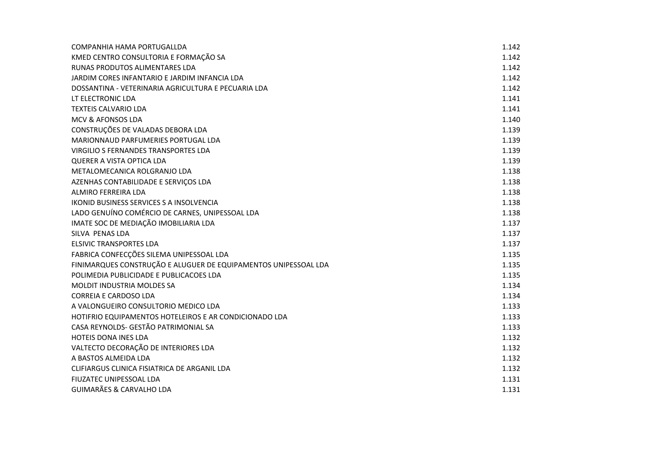| COMPANHIA HAMA PORTUGALLDA                                      | 1.142 |
|-----------------------------------------------------------------|-------|
| KMED CENTRO CONSULTORIA E FORMAÇÃO SA                           | 1.142 |
| RUNAS PRODUTOS ALIMENTARES LDA                                  | 1.142 |
| JARDIM CORES INFANTARIO E JARDIM INFANCIA LDA                   | 1.142 |
| DOSSANTINA - VETERINARIA AGRICULTURA E PECUARIA LDA             | 1.142 |
| LT ELECTRONIC LDA                                               | 1.141 |
| <b>TEXTEIS CALVARIO LDA</b>                                     | 1.141 |
| <b>MCV &amp; AFONSOS LDA</b>                                    | 1.140 |
| CONSTRUÇÕES DE VALADAS DEBORA LDA                               | 1.139 |
| MARIONNAUD PARFUMERIES PORTUGAL LDA                             | 1.139 |
| VIRGILIO S FERNANDES TRANSPORTES LDA                            | 1.139 |
| <b>QUERER A VISTA OPTICA LDA</b>                                | 1.139 |
| METALOMECANICA ROLGRANJO LDA                                    | 1.138 |
| AZENHAS CONTABILIDADE E SERVIÇOS LDA                            | 1.138 |
| ALMIRO FERREIRA LDA                                             | 1.138 |
| IKONID BUSINESS SERVICES S A INSOLVENCIA                        | 1.138 |
| LADO GENUÍNO COMÉRCIO DE CARNES, UNIPESSOAL LDA                 | 1.138 |
| IMATE SOC DE MEDIAÇÃO IMOBILIARIA LDA                           | 1.137 |
| SILVA PENAS LDA                                                 | 1.137 |
| <b>ELSIVIC TRANSPORTES LDA</b>                                  | 1.137 |
| FABRICA CONFECÇÕES SILEMA UNIPESSOAL LDA                        | 1.135 |
| FINIMARQUES CONSTRUÇÃO E ALUGUER DE EQUIPAMENTOS UNIPESSOAL LDA | 1.135 |
| POLIMEDIA PUBLICIDADE E PUBLICACOES LDA                         | 1.135 |
| <b>MOLDIT INDUSTRIA MOLDES SA</b>                               | 1.134 |
| <b>CORREIA E CARDOSO LDA</b>                                    | 1.134 |
| A VALONGUEIRO CONSULTORIO MEDICO LDA                            | 1.133 |
| HOTIFRIO EQUIPAMENTOS HOTELEIROS E AR CONDICIONADO LDA          | 1.133 |
| CASA REYNOLDS- GESTÃO PATRIMONIAL SA                            | 1.133 |
| HOTEIS DONA INES LDA                                            | 1.132 |
| VALTECTO DECORAÇÃO DE INTERIORES LDA                            | 1.132 |
| A BASTOS ALMEIDA LDA                                            | 1.132 |
| CLIFIARGUS CLINICA FISIATRICA DE ARGANIL LDA                    | 1.132 |
| FIUZATEC UNIPESSOAL LDA                                         | 1.131 |
| <b>GUIMARÃES &amp; CARVALHO LDA</b>                             | 1.131 |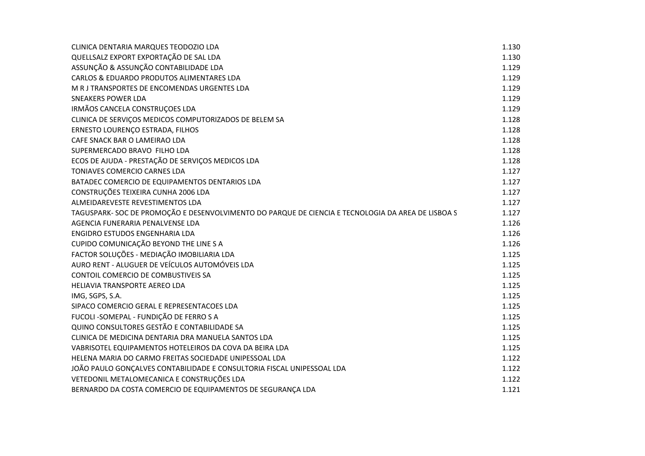| CLINICA DENTARIA MARQUES TEODOZIO LDA                                                              | 1.130 |
|----------------------------------------------------------------------------------------------------|-------|
| QUELLSALZ EXPORT EXPORTAÇÃO DE SAL LDA                                                             | 1.130 |
| ASSUNÇÃO & ASSUNÇÃO CONTABILIDADE LDA                                                              | 1.129 |
| CARLOS & EDUARDO PRODUTOS ALIMENTARES LDA                                                          | 1.129 |
| M R J TRANSPORTES DE ENCOMENDAS URGENTES LDA                                                       | 1.129 |
| <b>SNEAKERS POWER LDA</b>                                                                          | 1.129 |
| IRMÃOS CANCELA CONSTRUÇOES LDA                                                                     | 1.129 |
| CLINICA DE SERVIÇOS MEDICOS COMPUTORIZADOS DE BELEM SA                                             | 1.128 |
| ERNESTO LOURENÇO ESTRADA, FILHOS                                                                   | 1.128 |
| CAFE SNACK BAR O LAMEIRAO LDA                                                                      | 1.128 |
| SUPERMERCADO BRAVO FILHO LDA                                                                       | 1.128 |
| ECOS DE AJUDA - PRESTAÇÃO DE SERVIÇOS MEDICOS LDA                                                  | 1.128 |
| TONIAVES COMERCIO CARNES LDA                                                                       | 1.127 |
| BATADEC COMERCIO DE EQUIPAMENTOS DENTARIOS LDA                                                     | 1.127 |
| CONSTRUÇÕES TEIXEIRA CUNHA 2006 LDA                                                                | 1.127 |
| ALMEIDAREVESTE REVESTIMENTOS LDA                                                                   | 1.127 |
| TAGUSPARK- SOC DE PROMOÇÃO E DESENVOLVIMENTO DO PARQUE DE CIENCIA E TECNOLOGIA DA AREA DE LISBOA S | 1.127 |
| AGENCIA FUNERARIA PENALVENSE LDA                                                                   | 1.126 |
| ENGIDRO ESTUDOS ENGENHARIA LDA                                                                     | 1.126 |
| CUPIDO COMUNICAÇÃO BEYOND THE LINE S A                                                             | 1.126 |
| FACTOR SOLUÇÕES - MEDIAÇÃO IMOBILIARIA LDA                                                         | 1.125 |
| AURO RENT - ALUGUER DE VEÍCULOS AUTOMÓVEIS LDA                                                     | 1.125 |
| CONTOIL COMERCIO DE COMBUSTIVEIS SA                                                                | 1.125 |
| HELIAVIA TRANSPORTE AEREO LDA                                                                      | 1.125 |
| IMG, SGPS, S.A.                                                                                    | 1.125 |
| SIPACO COMERCIO GERAL E REPRESENTACOES LDA                                                         | 1.125 |
| FUCOLI - SOMEPAL - FUNDIÇÃO DE FERRO S A                                                           | 1.125 |
| QUINO CONSULTORES GESTÃO E CONTABILIDADE SA                                                        | 1.125 |
| CLINICA DE MEDICINA DENTARIA DRA MANUELA SANTOS LDA                                                | 1.125 |
| VABRISOTEL EQUIPAMENTOS HOTELEIROS DA COVA DA BEIRA LDA                                            | 1.125 |
| HELENA MARIA DO CARMO FREITAS SOCIEDADE UNIPESSOAL LDA                                             | 1.122 |
| JOÃO PAULO GONÇALVES CONTABILIDADE E CONSULTORIA FISCAL UNIPESSOAL LDA                             | 1.122 |
| VETEDONIL METALOMECANICA E CONSTRUÇÕES LDA                                                         | 1.122 |
| BERNARDO DA COSTA COMERCIO DE EQUIPAMENTOS DE SEGURANÇA LDA                                        | 1.121 |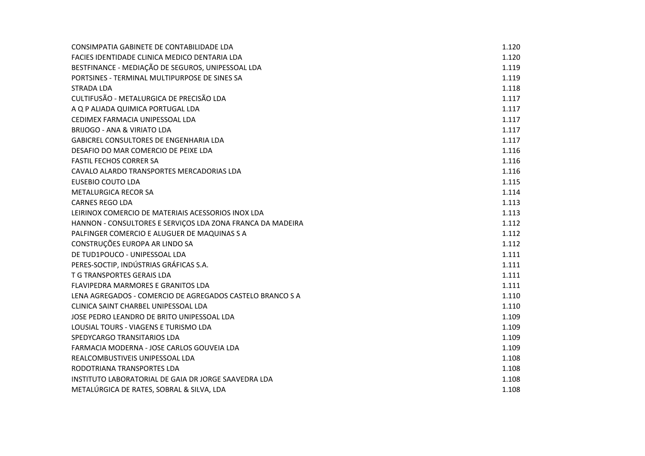| CONSIMPATIA GABINETE DE CONTABILIDADE LDA                  | 1.120 |
|------------------------------------------------------------|-------|
| FACIES IDENTIDADE CLINICA MEDICO DENTARIA LDA              | 1.120 |
| BESTFINANCE - MEDIAÇÃO DE SEGUROS, UNIPESSOAL LDA          | 1.119 |
| PORTSINES - TERMINAL MULTIPURPOSE DE SINES SA              | 1.119 |
| STRADA LDA                                                 | 1.118 |
| CULTIFUSÃO - METALURGICA DE PRECISÃO LDA                   | 1.117 |
| A Q P ALIADA QUIMICA PORTUGAL LDA                          | 1.117 |
| CEDIMEX FARMACIA UNIPESSOAL LDA                            | 1.117 |
| <b>BRIJOGO - ANA &amp; VIRIATO LDA</b>                     | 1.117 |
| GABICREL CONSULTORES DE ENGENHARIA LDA                     | 1.117 |
| DESAFIO DO MAR COMERCIO DE PEIXE LDA                       | 1.116 |
| <b>FASTIL FECHOS CORRER SA</b>                             | 1.116 |
| CAVALO ALARDO TRANSPORTES MERCADORIAS LDA                  | 1.116 |
| EUSEBIO COUTO LDA                                          | 1.115 |
| <b>METALURGICA RECOR SA</b>                                | 1.114 |
| <b>CARNES REGO LDA</b>                                     | 1.113 |
| LEIRINOX COMERCIO DE MATERIAIS ACESSORIOS INOX LDA         | 1.113 |
| HANNON - CONSULTORES E SERVIÇOS LDA ZONA FRANCA DA MADEIRA | 1.112 |
| PALFINGER COMERCIO E ALUGUER DE MAQUINAS S A               | 1.112 |
| CONSTRUÇÕES EUROPA AR LINDO SA                             | 1.112 |
| DE TUD1POUCO - UNIPESSOAL LDA                              | 1.111 |
| PERES-SOCTIP, INDÚSTRIAS GRÁFICAS S.A.                     | 1.111 |
| T G TRANSPORTES GERAIS LDA                                 | 1.111 |
| FLAVIPEDRA MARMORES E GRANITOS LDA                         | 1.111 |
| LENA AGREGADOS - COMERCIO DE AGREGADOS CASTELO BRANCO S A  | 1.110 |
| CLINICA SAINT CHARBEL UNIPESSOAL LDA                       | 1.110 |
| JOSE PEDRO LEANDRO DE BRITO UNIPESSOAL LDA                 | 1.109 |
| LOUSIAL TOURS - VIAGENS E TURISMO LDA                      | 1.109 |
| SPEDYCARGO TRANSITARIOS LDA                                | 1.109 |
| FARMACIA MODERNA - JOSE CARLOS GOUVEIA LDA                 | 1.109 |
| REALCOMBUSTIVEIS UNIPESSOAL LDA                            | 1.108 |
| RODOTRIANA TRANSPORTES LDA                                 | 1.108 |
| INSTITUTO LABORATORIAL DE GAIA DR JORGE SAAVEDRA LDA       | 1.108 |
| METALÚRGICA DE RATES, SOBRAL & SILVA, LDA                  | 1.108 |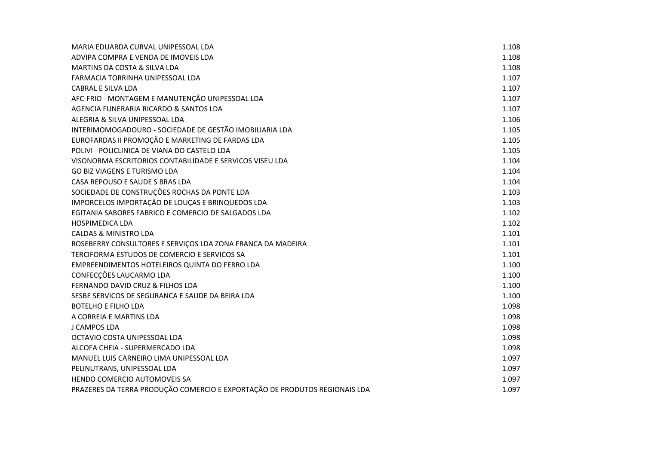| MARIA EDUARDA CURVAL UNIPESSOAL LDA                                        | 1.108 |
|----------------------------------------------------------------------------|-------|
| ADVIPA COMPRA E VENDA DE IMOVEIS LDA                                       | 1.108 |
| MARTINS DA COSTA & SILVA LDA                                               | 1.108 |
| FARMACIA TORRINHA UNIPESSOAL LDA                                           | 1.107 |
| <b>CABRAL E SILVA LDA</b>                                                  | 1.107 |
| AFC-FRIO - MONTAGEM E MANUTENÇÃO UNIPESSOAL LDA                            | 1.107 |
| AGENCIA FUNERARIA RICARDO & SANTOS LDA                                     | 1.107 |
| ALEGRIA & SILVA UNIPESSOAL LDA                                             | 1.106 |
| INTERIMOMOGADOURO - SOCIEDADE DE GESTÃO IMOBILIARIA LDA                    | 1.105 |
| EUROFARDAS II PROMOÇÃO E MARKETING DE FARDAS LDA                           | 1.105 |
| POLIVI - POLICLINICA DE VIANA DO CASTELO LDA                               | 1.105 |
| VISONORMA ESCRITORIOS CONTABILIDADE E SERVICOS VISEU LDA                   | 1.104 |
| GO BIZ VIAGENS E TURISMO LDA                                               | 1.104 |
| CASA REPOUSO E SAUDE S BRAS LDA                                            | 1.104 |
| SOCIEDADE DE CONSTRUÇÕES ROCHAS DA PONTE LDA                               | 1.103 |
| IMPORCELOS IMPORTAÇÃO DE LOUÇAS E BRINQUEDOS LDA                           | 1.103 |
| EGITANIA SABORES FABRICO E COMERCIO DE SALGADOS LDA                        | 1.102 |
| <b>HOSPIMEDICA LDA</b>                                                     | 1.102 |
| <b>CALDAS &amp; MINISTRO LDA</b>                                           | 1.101 |
| ROSEBERRY CONSULTORES E SERVIÇOS LDA ZONA FRANCA DA MADEIRA                | 1.101 |
| TERCIFORMA ESTUDOS DE COMERCIO E SERVICOS SA                               | 1.101 |
| EMPREENDIMENTOS HOTELEIROS QUINTA DO FERRO LDA                             | 1.100 |
| CONFECÇÕES LAUCARMO LDA                                                    | 1.100 |
| FERNANDO DAVID CRUZ & FILHOS LDA                                           | 1.100 |
| SESBE SERVICOS DE SEGURANCA E SAUDE DA BEIRA LDA                           | 1.100 |
| <b>BOTELHO E FILHO LDA</b>                                                 | 1.098 |
| A CORREIA E MARTINS LDA                                                    | 1.098 |
| J CAMPOS LDA                                                               | 1.098 |
| OCTAVIO COSTA UNIPESSOAL LDA                                               | 1.098 |
| ALCOFA CHEIA - SUPERMERCADO LDA                                            | 1.098 |
| MANUEL LUIS CARNEIRO LIMA UNIPESSOAL LDA                                   | 1.097 |
| PELINUTRANS, UNIPESSOAL LDA                                                | 1.097 |
| HENDO COMERCIO AUTOMOVEIS SA                                               | 1.097 |
| PRAZERES DA TERRA PRODUÇÃO COMERCIO E EXPORTAÇÃO DE PRODUTOS REGIONAIS LDA | 1.097 |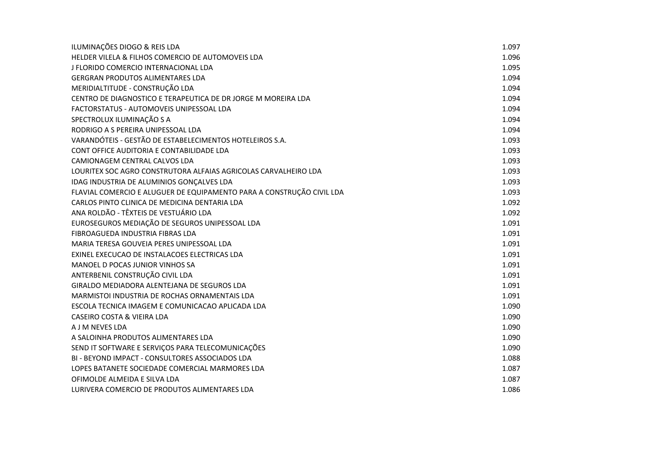| ILUMINAÇÕES DIOGO & REIS LDA                                          | 1.097 |
|-----------------------------------------------------------------------|-------|
| HELDER VILELA & FILHOS COMERCIO DE AUTOMOVEIS LDA                     | 1.096 |
| J FLORIDO COMERCIO INTERNACIONAL LDA                                  | 1.095 |
| <b>GERGRAN PRODUTOS ALIMENTARES LDA</b>                               | 1.094 |
| MERIDIALTITUDE - CONSTRUÇÃO LDA                                       | 1.094 |
| CENTRO DE DIAGNOSTICO E TERAPEUTICA DE DR JORGE M MOREIRA LDA         | 1.094 |
| FACTORSTATUS - AUTOMOVEIS UNIPESSOAL LDA                              | 1.094 |
| SPECTROLUX ILUMINAÇÃO S A                                             | 1.094 |
| RODRIGO A S PEREIRA UNIPESSOAL LDA                                    | 1.094 |
| VARANDÓTEIS - GESTÃO DE ESTABELECIMENTOS HOTELEIROS S.A.              | 1.093 |
| CONT OFFICE AUDITORIA E CONTABILIDADE LDA                             | 1.093 |
| CAMIONAGEM CENTRAL CALVOS LDA                                         | 1.093 |
| LOURITEX SOC AGRO CONSTRUTORA ALFAIAS AGRICOLAS CARVALHEIRO LDA       | 1.093 |
| IDAG INDUSTRIA DE ALUMINIOS GONÇALVES LDA                             | 1.093 |
| FLAVIAL COMERCIO E ALUGUER DE EQUIPAMENTO PARA A CONSTRUÇÃO CIVIL LDA | 1.093 |
| CARLOS PINTO CLINICA DE MEDICINA DENTARIA LDA                         | 1.092 |
| ANA ROLDÃO - TÊXTEIS DE VESTUÁRIO LDA                                 | 1.092 |
| EUROSEGUROS MEDIAÇÃO DE SEGUROS UNIPESSOAL LDA                        | 1.091 |
| FIBROAGUEDA INDUSTRIA FIBRAS LDA                                      | 1.091 |
| MARIA TERESA GOUVEIA PERES UNIPESSOAL LDA                             | 1.091 |
| EXINEL EXECUCAO DE INSTALACOES ELECTRICAS LDA                         | 1.091 |
| MANOEL D POCAS JUNIOR VINHOS SA                                       | 1.091 |
| ANTERBENIL CONSTRUÇÃO CIVIL LDA                                       | 1.091 |
| GIRALDO MEDIADORA ALENTEJANA DE SEGUROS LDA                           | 1.091 |
| MARMISTOI INDUSTRIA DE ROCHAS ORNAMENTAIS LDA                         | 1.091 |
| ESCOLA TECNICA IMAGEM E COMUNICACAO APLICADA LDA                      | 1.090 |
| <b>CASEIRO COSTA &amp; VIEIRA LDA</b>                                 | 1.090 |
| A J M NEVES LDA                                                       | 1.090 |
| A SALOINHA PRODUTOS ALIMENTARES LDA                                   | 1.090 |
| SEND IT SOFTWARE E SERVIÇOS PARA TELECOMUNICAÇÕES                     | 1.090 |
| BI - BEYOND IMPACT - CONSULTORES ASSOCIADOS LDA                       | 1.088 |
| LOPES BATANETE SOCIEDADE COMERCIAL MARMORES LDA                       | 1.087 |
| OFIMOLDE ALMEIDA E SILVA LDA                                          | 1.087 |
| LURIVERA COMERCIO DE PRODUTOS ALIMENTARES LDA                         | 1.086 |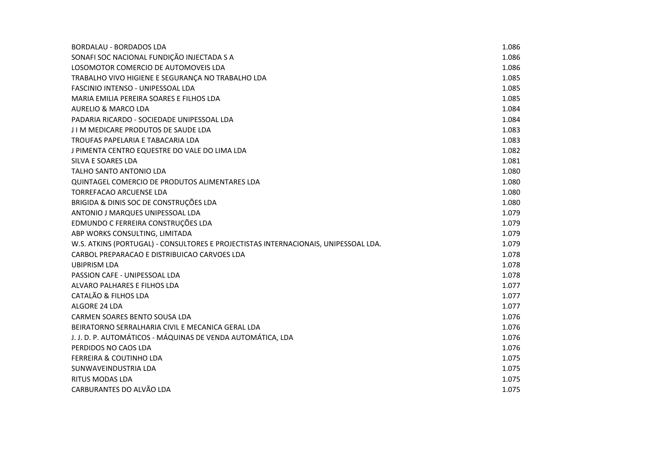| <b>BORDALAU - BORDADOS LDA</b>                                                      | 1.086 |
|-------------------------------------------------------------------------------------|-------|
| SONAFI SOC NACIONAL FUNDIÇÃO INJECTADA S A                                          | 1.086 |
| LOSOMOTOR COMERCIO DE AUTOMOVEIS LDA                                                | 1.086 |
| TRABALHO VIVO HIGIENE E SEGURANÇA NO TRABALHO LDA                                   | 1.085 |
| FASCINIO INTENSO - UNIPESSOAL LDA                                                   | 1.085 |
| MARIA EMILIA PEREIRA SOARES E FILHOS LDA                                            | 1.085 |
| <b>AURELIO &amp; MARCO LDA</b>                                                      | 1.084 |
| PADARIA RICARDO - SOCIEDADE UNIPESSOAL LDA                                          | 1.084 |
| J I M MEDICARE PRODUTOS DE SAUDE LDA                                                | 1.083 |
| TROUFAS PAPELARIA E TABACARIA LDA                                                   | 1.083 |
| J PIMENTA CENTRO EQUESTRE DO VALE DO LIMA LDA                                       | 1.082 |
| SILVA E SOARES LDA                                                                  | 1.081 |
| TALHO SANTO ANTONIO LDA                                                             | 1.080 |
| QUINTAGEL COMERCIO DE PRODUTOS ALIMENTARES LDA                                      | 1.080 |
| <b>TORREFACAO ARCUENSE LDA</b>                                                      | 1.080 |
| BRIGIDA & DINIS SOC DE CONSTRUÇÕES LDA                                              | 1.080 |
| ANTONIO J MARQUES UNIPESSOAL LDA                                                    | 1.079 |
| EDMUNDO C FERREIRA CONSTRUÇÕES LDA                                                  | 1.079 |
| ABP WORKS CONSULTING, LIMITADA                                                      | 1.079 |
| W.S. ATKINS (PORTUGAL) - CONSULTORES E PROJECTISTAS INTERNACIONAIS, UNIPESSOAL LDA. | 1.079 |
| CARBOL PREPARACAO E DISTRIBUICAO CARVOES LDA                                        | 1.078 |
| <b>UBIPRISM LDA</b>                                                                 | 1.078 |
| PASSION CAFE - UNIPESSOAL LDA                                                       | 1.078 |
| ALVARO PALHARES E FILHOS LDA                                                        | 1.077 |
| CATALÃO & FILHOS LDA                                                                | 1.077 |
| ALGORE 24 LDA                                                                       | 1.077 |
| CARMEN SOARES BENTO SOUSA LDA                                                       | 1.076 |
| BEIRATORNO SERRALHARIA CIVIL E MECANICA GERAL LDA                                   | 1.076 |
| J. J. D. P. AUTOMÁTICOS - MÁQUINAS DE VENDA AUTOMÁTICA, LDA                         | 1.076 |
| PERDIDOS NO CAOS LDA                                                                | 1.076 |
| <b>FERREIRA &amp; COUTINHO LDA</b>                                                  | 1.075 |
| SUNWAVEINDUSTRIA LDA                                                                | 1.075 |
| <b>RITUS MODAS LDA</b>                                                              | 1.075 |
| CARBURANTES DO ALVÃO LDA                                                            | 1.075 |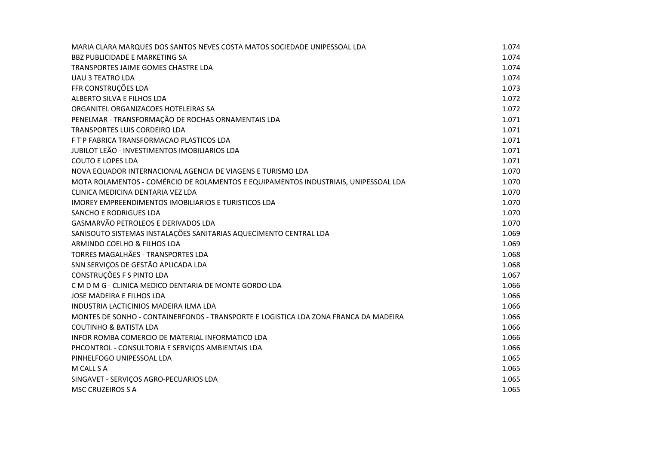| MARIA CLARA MARQUES DOS SANTOS NEVES COSTA MATOS SOCIEDADE UNIPESSOAL LDA            | 1.074 |
|--------------------------------------------------------------------------------------|-------|
| <b>BBZ PUBLICIDADE E MARKETING SA</b>                                                | 1.074 |
| TRANSPORTES JAIME GOMES CHASTRE LDA                                                  | 1.074 |
| <b>UAU 3 TEATRO LDA</b>                                                              | 1.074 |
| FFR CONSTRUÇÕES LDA                                                                  | 1.073 |
| ALBERTO SILVA E FILHOS LDA                                                           | 1.072 |
| ORGANITEL ORGANIZACOES HOTELEIRAS SA                                                 | 1.072 |
| PENELMAR - TRANSFORMAÇÃO DE ROCHAS ORNAMENTAIS LDA                                   | 1.071 |
| TRANSPORTES LUIS CORDEIRO LDA                                                        | 1.071 |
| F T P FABRICA TRANSFORMACAO PLASTICOS LDA                                            | 1.071 |
| JUBILOT LEÃO - INVESTIMENTOS IMOBILIARIOS LDA                                        | 1.071 |
| <b>COUTO E LOPES LDA</b>                                                             | 1.071 |
| NOVA EQUADOR INTERNACIONAL AGENCIA DE VIAGENS E TURISMO LDA                          | 1.070 |
| MOTA ROLAMENTOS - COMÉRCIO DE ROLAMENTOS E EQUIPAMENTOS INDUSTRIAIS, UNIPESSOAL LDA  | 1.070 |
| CLINICA MEDICINA DENTARIA VEZ LDA                                                    | 1.070 |
| IMOREY EMPREENDIMENTOS IMOBILIARIOS E TURISTICOS LDA                                 | 1.070 |
| <b>SANCHO E RODRIGUES LDA</b>                                                        | 1.070 |
| GASMARVÃO PETROLEOS E DERIVADOS LDA                                                  | 1.070 |
| SANISOUTO SISTEMAS INSTALAÇÕES SANITARIAS AQUECIMENTO CENTRAL LDA                    | 1.069 |
| ARMINDO COELHO & FILHOS LDA                                                          | 1.069 |
| TORRES MAGALHÃES - TRANSPORTES LDA                                                   | 1.068 |
| SNN SERVIÇOS DE GESTÃO APLICADA LDA                                                  | 1.068 |
| CONSTRUÇÕES F S PINTO LDA                                                            | 1.067 |
| CM D M G - CLINICA MEDICO DENTARIA DE MONTE GORDO LDA                                | 1.066 |
| JOSE MADEIRA E FILHOS LDA                                                            | 1.066 |
| INDUSTRIA LACTICINIOS MADEIRA ILMA LDA                                               | 1.066 |
| MONTES DE SONHO - CONTAINERFONDS - TRANSPORTE E LOGISTICA LDA ZONA FRANCA DA MADEIRA | 1.066 |
| <b>COUTINHO &amp; BATISTA LDA</b>                                                    | 1.066 |
| INFOR ROMBA COMERCIO DE MATERIAL INFORMATICO LDA                                     | 1.066 |
| PHCONTROL - CONSULTORIA E SERVIÇOS AMBIENTAIS LDA                                    | 1.066 |
| PINHELFOGO UNIPESSOAL LDA                                                            | 1.065 |
| M CALL S A                                                                           | 1.065 |
| SINGAVET - SERVIÇOS AGRO-PECUARIOS LDA                                               | 1.065 |
| <b>MSC CRUZEIROS S A</b>                                                             | 1.065 |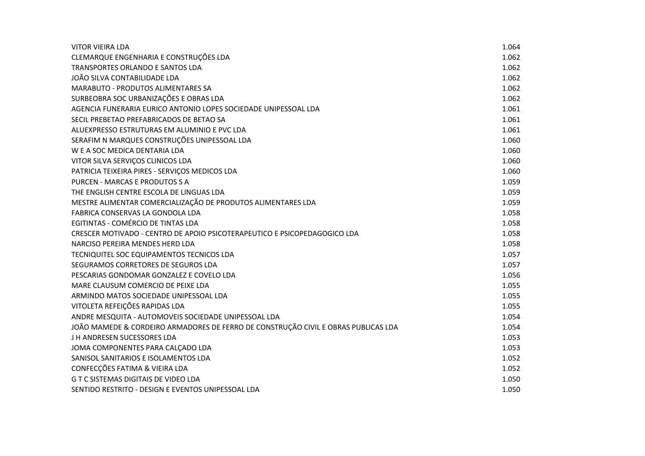| <b>VITOR VIEIRA LDA</b>                                                            | 1.064 |
|------------------------------------------------------------------------------------|-------|
| CLEMARQUE ENGENHARIA E CONSTRUÇÕES LDA                                             | 1.062 |
| TRANSPORTES ORLANDO E SANTOS LDA                                                   | 1.062 |
| JOÃO SILVA CONTABILIDADE LDA                                                       | 1.062 |
| <b>MARABUTO - PRODUTOS ALIMENTARES SA</b>                                          | 1.062 |
| SURBEOBRA SOC URBANIZAÇÕES E OBRAS LDA                                             | 1.062 |
| AGENCIA FUNERARIA EURICO ANTONIO LOPES SOCIEDADE UNIPESSOAL LDA                    | 1.061 |
| SECIL PREBETAO PREFABRICADOS DE BETAO SA                                           | 1.061 |
| ALUEXPRESSO ESTRUTURAS EM ALUMINIO E PVC LDA                                       | 1.061 |
| SERAFIM N MARQUES CONSTRUÇÕES UNIPESSOAL LDA                                       | 1.060 |
| W E A SOC MEDICA DENTARIA LDA                                                      | 1.060 |
| VITOR SILVA SERVIÇOS CLINICOS LDA                                                  | 1.060 |
| PATRICIA TEIXEIRA PIRES - SERVIÇOS MEDICOS LDA                                     | 1.060 |
| PURCEN - MARCAS E PRODUTOS S A                                                     | 1.059 |
| THE ENGLISH CENTRE ESCOLA DE LINGUAS LDA                                           | 1.059 |
| MESTRE ALIMENTAR COMERCIALIZAÇÃO DE PRODUTOS ALIMENTARES LDA                       | 1.059 |
| FABRICA CONSERVAS LA GONDOLA LDA                                                   | 1.058 |
| EGITINTAS - COMÉRCIO DE TINTAS LDA                                                 | 1.058 |
| CRESCER MOTIVADO - CENTRO DE APOIO PSICOTERAPEUTICO E PSICOPEDAGOGICO LDA          | 1.058 |
| NARCISO PEREIRA MENDES HERD LDA                                                    | 1.058 |
| TECNIQUITEL SOC EQUIPAMENTOS TECNICOS LDA                                          | 1.057 |
| SEGURAMOS CORRETORES DE SEGUROS LDA                                                | 1.057 |
| PESCARIAS GONDOMAR GONZALEZ E COVELO LDA                                           | 1.056 |
| MARE CLAUSUM COMERCIO DE PEIXE LDA                                                 | 1.055 |
| ARMINDO MATOS SOCIEDADE UNIPESSOAL LDA                                             | 1.055 |
| VITOLETA REFEIÇÕES RAPIDAS LDA                                                     | 1.055 |
| ANDRE MESQUITA - AUTOMOVEIS SOCIEDADE UNIPESSOAL LDA                               | 1.054 |
| JOÃO MAMEDE & CORDEIRO ARMADORES DE FERRO DE CONSTRUÇÃO CIVIL E OBRAS PUBLICAS LDA | 1.054 |
| J H ANDRESEN SUCESSORES LDA                                                        | 1.053 |
| JOMA COMPONENTES PARA CALÇADO LDA                                                  | 1.053 |
| SANISOL SANITARIOS E ISOLAMENTOS LDA                                               | 1.052 |
| CONFECÇÕES FATIMA & VIEIRA LDA                                                     | 1.052 |
| G T C SISTEMAS DIGITAIS DE VIDEO LDA                                               | 1.050 |
| SENTIDO RESTRITO - DESIGN E EVENTOS UNIPESSOAL LDA                                 | 1.050 |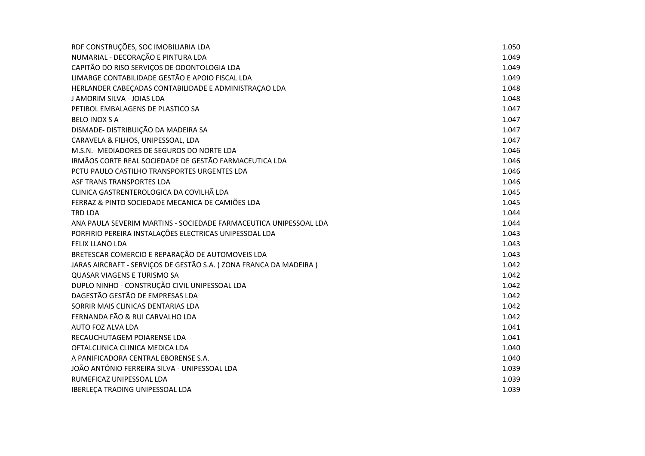| RDF CONSTRUÇÕES, SOC IMOBILIARIA LDA                              | 1.050 |
|-------------------------------------------------------------------|-------|
| NUMARIAL - DECORAÇÃO E PINTURA LDA                                | 1.049 |
| CAPITÃO DO RISO SERVIÇOS DE ODONTOLOGIA LDA                       | 1.049 |
| LIMARGE CONTABILIDADE GESTÃO E APOIO FISCAL LDA                   | 1.049 |
| HERLANDER CABEÇADAS CONTABILIDADE E ADMINISTRAÇÃO LDA             | 1.048 |
| J AMORIM SILVA - JOIAS LDA                                        | 1.048 |
| PETIBOL EMBALAGENS DE PLASTICO SA                                 | 1.047 |
| <b>BELO INOX S A</b>                                              | 1.047 |
| DISMADE- DISTRIBUIÇÃO DA MADEIRA SA                               | 1.047 |
| CARAVELA & FILHOS, UNIPESSOAL, LDA                                | 1.047 |
| M.S.N.- MEDIADORES DE SEGUROS DO NORTE LDA                        | 1.046 |
| IRMÃOS CORTE REAL SOCIEDADE DE GESTÃO FARMACEUTICA LDA            | 1.046 |
| PCTU PAULO CASTILHO TRANSPORTES URGENTES LDA                      | 1.046 |
| ASF TRANS TRANSPORTES LDA                                         | 1.046 |
| CLINICA GASTRENTEROLOGICA DA COVILHÃ LDA                          | 1.045 |
| FERRAZ & PINTO SOCIEDADE MECANICA DE CAMIÕES LDA                  | 1.045 |
| <b>TRD LDA</b>                                                    | 1.044 |
| ANA PAULA SEVERIM MARTINS - SOCIEDADE FARMACEUTICA UNIPESSOAL LDA | 1.044 |
| PORFIRIO PEREIRA INSTALAÇÕES ELECTRICAS UNIPESSOAL LDA            | 1.043 |
| FELIX LLANO LDA                                                   | 1.043 |
| BRETESCAR COMERCIO E REPARAÇÃO DE AUTOMOVEIS LDA                  | 1.043 |
| JARAS AIRCRAFT - SERVIÇOS DE GESTÃO S.A. (ZONA FRANCA DA MADEIRA) | 1.042 |
| QUASAR VIAGENS E TURISMO SA                                       | 1.042 |
| DUPLO NINHO - CONSTRUÇÃO CIVIL UNIPESSOAL LDA                     | 1.042 |
| DAGESTÃO GESTÃO DE EMPRESAS LDA                                   | 1.042 |
| SORRIR MAIS CLINICAS DENTARIAS LDA                                | 1.042 |
| FERNANDA FÃO & RUI CARVALHO LDA                                   | 1.042 |
| AUTO FOZ ALVA LDA                                                 | 1.041 |
| RECAUCHUTAGEM POIARENSE LDA                                       | 1.041 |
| OFTALCLINICA CLINICA MEDICA LDA                                   | 1.040 |
| A PANIFICADORA CENTRAL EBORENSE S.A.                              | 1.040 |
| JOÃO ANTÓNIO FERREIRA SILVA - UNIPESSOAL LDA                      | 1.039 |
| RUMEFICAZ UNIPESSOAL LDA                                          | 1.039 |
| IBERLECA TRADING UNIPESSOAL LDA                                   | 1.039 |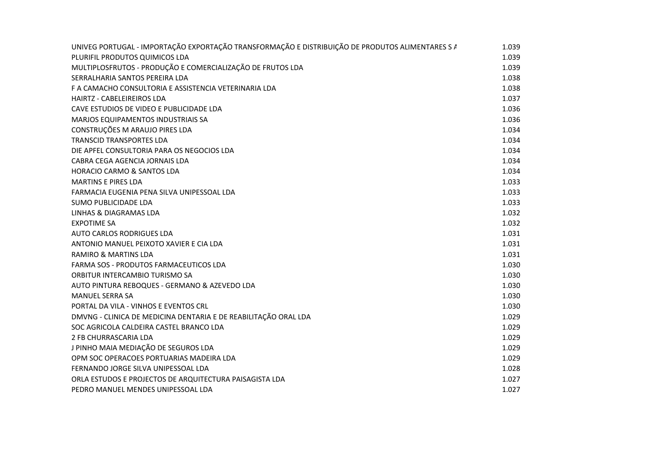| UNIVEG PORTUGAL - IMPORTAÇÃO EXPORTAÇÃO TRANSFORMAÇÃO E DISTRIBUIÇÃO DE PRODUTOS ALIMENTARES S A | 1.039 |
|--------------------------------------------------------------------------------------------------|-------|
| PLURIFIL PRODUTOS QUIMICOS LDA                                                                   | 1.039 |
| MULTIPLOSFRUTOS - PRODUÇÃO E COMERCIALIZAÇÃO DE FRUTOS LDA                                       | 1.039 |
| SERRALHARIA SANTOS PEREIRA LDA                                                                   | 1.038 |
| F A CAMACHO CONSULTORIA E ASSISTENCIA VETERINARIA LDA                                            | 1.038 |
| HAIRTZ - CABELEIREIROS LDA                                                                       | 1.037 |
| CAVE ESTUDIOS DE VIDEO E PUBLICIDADE LDA                                                         | 1.036 |
| <b>MARJOS EQUIPAMENTOS INDUSTRIAIS SA</b>                                                        | 1.036 |
| CONSTRUÇÕES M ARAUJO PIRES LDA                                                                   | 1.034 |
| <b>TRANSCID TRANSPORTES LDA</b>                                                                  | 1.034 |
| DIE APFEL CONSULTORIA PARA OS NEGOCIOS LDA                                                       | 1.034 |
| CABRA CEGA AGENCIA JORNAIS LDA                                                                   | 1.034 |
| <b>HORACIO CARMO &amp; SANTOS LDA</b>                                                            | 1.034 |
| <b>MARTINS E PIRES LDA</b>                                                                       | 1.033 |
| FARMACIA EUGENIA PENA SILVA UNIPESSOAL LDA                                                       | 1.033 |
| SUMO PUBLICIDADE LDA                                                                             | 1.033 |
| LINHAS & DIAGRAMAS LDA                                                                           | 1.032 |
| <b>EXPOTIME SA</b>                                                                               | 1.032 |
| <b>AUTO CARLOS RODRIGUES LDA</b>                                                                 | 1.031 |
| ANTONIO MANUEL PEIXOTO XAVIER E CIA LDA                                                          | 1.031 |
| <b>RAMIRO &amp; MARTINS LDA</b>                                                                  | 1.031 |
| FARMA SOS - PRODUTOS FARMACEUTICOS LDA                                                           | 1.030 |
| ORBITUR INTERCAMBIO TURISMO SA                                                                   | 1.030 |
| AUTO PINTURA REBOQUES - GERMANO & AZEVEDO LDA                                                    | 1.030 |
| <b>MANUEL SERRA SA</b>                                                                           | 1.030 |
| PORTAL DA VILA - VINHOS E EVENTOS CRL                                                            | 1.030 |
| DMVNG - CLINICA DE MEDICINA DENTARIA E DE REABILITAÇÃO ORAL LDA                                  | 1.029 |
| SOC AGRICOLA CALDEIRA CASTEL BRANCO LDA                                                          | 1.029 |
| 2 FB CHURRASCARIA LDA                                                                            | 1.029 |
| J PINHO MAIA MEDIAÇÃO DE SEGUROS LDA                                                             | 1.029 |
| OPM SOC OPERACOES PORTUARIAS MADEIRA LDA                                                         | 1.029 |
| FERNANDO JORGE SILVA UNIPESSOAL LDA                                                              | 1.028 |
| ORLA ESTUDOS E PROJECTOS DE ARQUITECTURA PAISAGISTA LDA                                          | 1.027 |
| PEDRO MANUEL MENDES UNIPESSOAL LDA                                                               | 1.027 |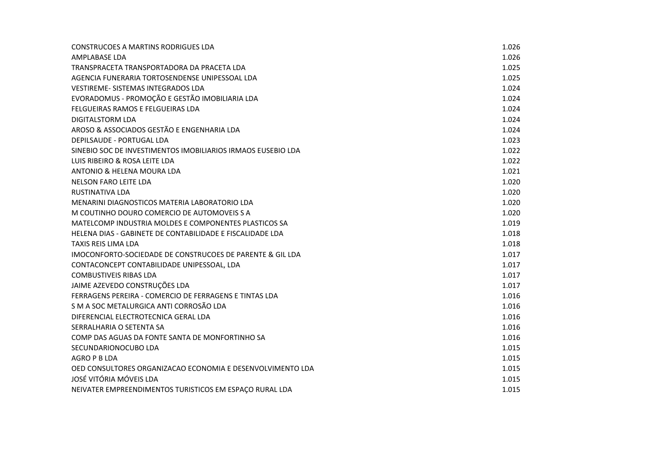| <b>CONSTRUCOES A MARTINS RODRIGUES LDA</b>                   | 1.026 |
|--------------------------------------------------------------|-------|
| AMPLABASE LDA                                                | 1.026 |
| TRANSPRACETA TRANSPORTADORA DA PRACETA LDA                   | 1.025 |
| AGENCIA FUNERARIA TORTOSENDENSE UNIPESSOAL LDA               | 1.025 |
| VESTIREME- SISTEMAS INTEGRADOS LDA                           | 1.024 |
| EVORADOMUS - PROMOÇÃO E GESTÃO IMOBILIARIA LDA               | 1.024 |
| FELGUEIRAS RAMOS E FELGUEIRAS LDA                            | 1.024 |
| <b>DIGITALSTORM LDA</b>                                      | 1.024 |
| AROSO & ASSOCIADOS GESTÃO E ENGENHARIA LDA                   | 1.024 |
| <b>DEPILSAUDE - PORTUGAL LDA</b>                             | 1.023 |
| SINEBIO SOC DE INVESTIMENTOS IMOBILIARIOS IRMAOS EUSEBIO LDA | 1.022 |
| LUIS RIBEIRO & ROSA LEITE LDA                                | 1.022 |
| ANTONIO & HELENA MOURA LDA                                   | 1.021 |
| NELSON FARO LEITE LDA                                        | 1.020 |
| RUSTINATIVA LDA                                              | 1.020 |
| MENARINI DIAGNOSTICOS MATERIA LABORATORIO LDA                | 1.020 |
| M COUTINHO DOURO COMERCIO DE AUTOMOVEIS S A                  | 1.020 |
| MATELCOMP INDUSTRIA MOLDES E COMPONENTES PLASTICOS SA        | 1.019 |
| HELENA DIAS - GABINETE DE CONTABILIDADE E FISCALIDADE LDA    | 1.018 |
| <b>TAXIS REIS LIMA LDA</b>                                   | 1.018 |
| IMOCONFORTO-SOCIEDADE DE CONSTRUCOES DE PARENTE & GIL LDA    | 1.017 |
| CONTACONCEPT CONTABILIDADE UNIPESSOAL, LDA                   | 1.017 |
| <b>COMBUSTIVEIS RIBAS LDA</b>                                | 1.017 |
| JAIME AZEVEDO CONSTRUÇÕES LDA                                | 1.017 |
| FERRAGENS PEREIRA - COMERCIO DE FERRAGENS E TINTAS LDA       | 1.016 |
| S M A SOC METALURGICA ANTI CORROSÃO LDA                      | 1.016 |
| DIFERENCIAL ELECTROTECNICA GERAL LDA                         | 1.016 |
| SERRALHARIA O SETENTA SA                                     | 1.016 |
| COMP DAS AGUAS DA FONTE SANTA DE MONFORTINHO SA              | 1.016 |
| SECUNDARIONOCUBO LDA                                         | 1.015 |
| AGRO P B LDA                                                 | 1.015 |
| OED CONSULTORES ORGANIZACAO ECONOMIA E DESENVOLVIMENTO LDA   | 1.015 |
| JOSÉ VITÓRIA MÓVEIS LDA                                      | 1.015 |
| NEIVATER EMPREENDIMENTOS TURISTICOS EM ESPAÇO RURAL LDA      | 1.015 |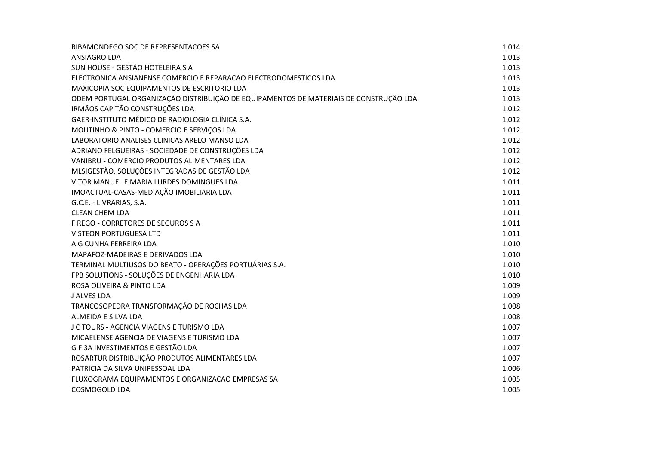| RIBAMONDEGO SOC DE REPRESENTACOES SA                                                  | 1.014 |
|---------------------------------------------------------------------------------------|-------|
| <b>ANSIAGRO LDA</b>                                                                   | 1.013 |
| SUN HOUSE - GESTÃO HOTELEIRA S A                                                      | 1.013 |
| ELECTRONICA ANSIANENSE COMERCIO E REPARACAO ELECTRODOMESTICOS LDA                     | 1.013 |
| MAXICOPIA SOC EQUIPAMENTOS DE ESCRITORIO LDA                                          | 1.013 |
| ODEM PORTUGAL ORGANIZAÇÃO DISTRIBUIÇÃO DE EQUIPAMENTOS DE MATERIAIS DE CONSTRUÇÃO LDA | 1.013 |
| IRMÃOS CAPITÃO CONSTRUÇÕES LDA                                                        | 1.012 |
| GAER-INSTITUTO MÉDICO DE RADIOLOGIA CLÍNICA S.A.                                      | 1.012 |
| MOUTINHO & PINTO - COMERCIO E SERVIÇOS LDA                                            | 1.012 |
| LABORATORIO ANALISES CLINICAS ARELO MANSO LDA                                         | 1.012 |
| ADRIANO FELGUEIRAS - SOCIEDADE DE CONSTRUÇÕES LDA                                     | 1.012 |
| VANIBRU - COMERCIO PRODUTOS ALIMENTARES LDA                                           | 1.012 |
| MLSIGESTÃO, SOLUÇÕES INTEGRADAS DE GESTÃO LDA                                         | 1.012 |
| VITOR MANUEL E MARIA LURDES DOMINGUES LDA                                             | 1.011 |
| IMOACTUAL-CASAS-MEDIAÇÃO IMOBILIARIA LDA                                              | 1.011 |
| G.C.E. - LIVRARIAS, S.A.                                                              | 1.011 |
| <b>CLEAN CHEM LDA</b>                                                                 | 1.011 |
| F REGO - CORRETORES DE SEGUROS S A                                                    | 1.011 |
| VISTEON PORTUGUESA LTD                                                                | 1.011 |
| A G CUNHA FERREIRA LDA                                                                | 1.010 |
| MAPAFOZ-MADEIRAS E DERIVADOS LDA                                                      | 1.010 |
| TERMINAL MULTIUSOS DO BEATO - OPERAÇÕES PORTUÁRIAS S.A.                               | 1.010 |
| FPB SOLUTIONS - SOLUÇÕES DE ENGENHARIA LDA                                            | 1.010 |
| ROSA OLIVEIRA & PINTO LDA                                                             | 1.009 |
| <b>J ALVES LDA</b>                                                                    | 1.009 |
| TRANCOSOPEDRA TRANSFORMAÇÃO DE ROCHAS LDA                                             | 1.008 |
| ALMEIDA E SILVA LDA                                                                   | 1.008 |
| J C TOURS - AGENCIA VIAGENS E TURISMO LDA                                             | 1.007 |
| MICAELENSE AGENCIA DE VIAGENS E TURISMO LDA                                           | 1.007 |
| G F 3A INVESTIMENTOS E GESTÃO LDA                                                     | 1.007 |
| ROSARTUR DISTRIBUIÇÃO PRODUTOS ALIMENTARES LDA                                        | 1.007 |
| PATRICIA DA SILVA UNIPESSOAL LDA                                                      | 1.006 |
| FLUXOGRAMA EQUIPAMENTOS E ORGANIZACAO EMPRESAS SA                                     | 1.005 |
| <b>COSMOGOLD LDA</b>                                                                  | 1.005 |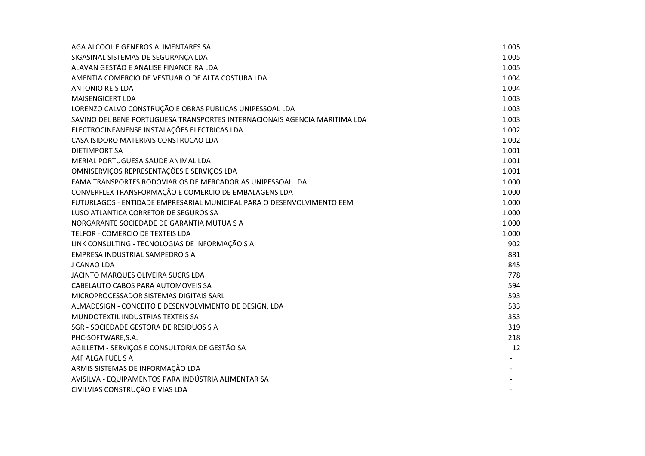| AGA ALCOOL E GENEROS ALIMENTARES SA                                        | 1.005 |
|----------------------------------------------------------------------------|-------|
| SIGASINAL SISTEMAS DE SEGURANÇA LDA                                        | 1.005 |
| ALAVAN GESTÃO E ANALISE FINANCEIRA LDA                                     | 1.005 |
| AMENTIA COMERCIO DE VESTUARIO DE ALTA COSTURA LDA                          | 1.004 |
| <b>ANTONIO REIS LDA</b>                                                    | 1.004 |
| <b>MAISENGICERT LDA</b>                                                    | 1.003 |
| LORENZO CALVO CONSTRUÇÃO E OBRAS PUBLICAS UNIPESSOAL LDA                   | 1.003 |
| SAVINO DEL BENE PORTUGUESA TRANSPORTES INTERNACIONAIS AGENCIA MARITIMA LDA | 1.003 |
| ELECTROCINFANENSE INSTALAÇÕES ELECTRICAS LDA                               | 1.002 |
| CASA ISIDORO MATERIAIS CONSTRUCAO LDA                                      | 1.002 |
| <b>DIETIMPORT SA</b>                                                       | 1.001 |
| MERIAL PORTUGUESA SAUDE ANIMAL LDA                                         | 1.001 |
| OMNISERVIÇOS REPRESENTAÇÕES E SERVIÇOS LDA                                 | 1.001 |
| FAMA TRANSPORTES RODOVIARIOS DE MERCADORIAS UNIPESSOAL LDA                 | 1.000 |
| CONVERFLEX TRANSFORMAÇÃO E COMERCIO DE EMBALAGENS LDA                      | 1.000 |
| FUTURLAGOS - ENTIDADE EMPRESARIAL MUNICIPAL PARA O DESENVOLVIMENTO EEM     | 1.000 |
| LUSO ATLANTICA CORRETOR DE SEGUROS SA                                      | 1.000 |
| NORGARANTE SOCIEDADE DE GARANTIA MUTUA S A                                 | 1.000 |
| TELFOR - COMERCIO DE TEXTEIS LDA                                           | 1.000 |
| LINK CONSULTING - TECNOLOGIAS DE INFORMAÇÃO S A                            | 902   |
| EMPRESA INDUSTRIAL SAMPEDRO S A                                            | 881   |
| J CANAO LDA                                                                | 845   |
| JACINTO MARQUES OLIVEIRA SUCRS LDA                                         | 778   |
| CABELAUTO CABOS PARA AUTOMOVEIS SA                                         | 594   |
| MICROPROCESSADOR SISTEMAS DIGITAIS SARL                                    | 593   |
| ALMADESIGN - CONCEITO E DESENVOLVIMENTO DE DESIGN, LDA                     | 533   |
| MUNDOTEXTIL INDUSTRIAS TEXTEIS SA                                          | 353   |
| SGR - SOCIEDADE GESTORA DE RESIDUOS S A                                    | 319   |
| PHC-SOFTWARE, S.A.                                                         | 218   |
| AGILLETM - SERVIÇOS E CONSULTORIA DE GESTÃO SA                             | 12    |
| A4F ALGA FUEL S A                                                          |       |
| ARMIS SISTEMAS DE INFORMAÇÃO LDA                                           |       |
| AVISILVA - EQUIPAMENTOS PARA INDÚSTRIA ALIMENTAR SA                        |       |
| CIVILVIAS CONSTRUÇÃO E VIAS LDA                                            |       |